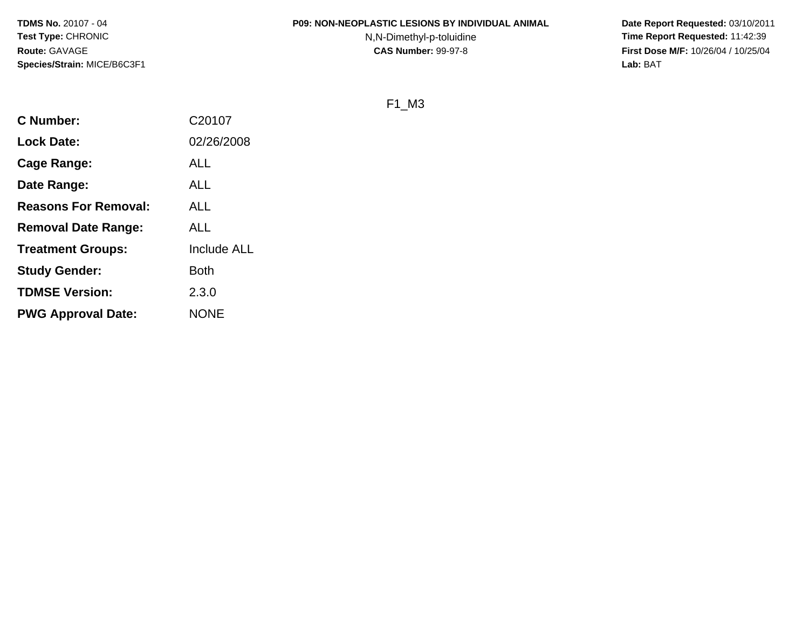#### **P09: NON-NEOPLASTIC LESIONS BY INDIVIDUAL ANIMAL**

N,N-Dimethyl-p-toluidine

 **Date Report Requested:** 03/10/2011 **Time Report Requested:** 11:42:39 **First Dose M/F:** 10/26/04 / 10/25/04<br>**Lab:** BAT **Lab:** BAT

F1\_M3

| <b>C</b> Number:            | C20107      |
|-----------------------------|-------------|
| <b>Lock Date:</b>           | 02/26/2008  |
| Cage Range:                 | <b>ALL</b>  |
| Date Range:                 | <b>ALL</b>  |
| <b>Reasons For Removal:</b> | ALL         |
| <b>Removal Date Range:</b>  | ALL         |
| <b>Treatment Groups:</b>    | Include ALL |
| <b>Study Gender:</b>        | <b>Both</b> |
| <b>TDMSE Version:</b>       | 2.3.0       |
| <b>PWG Approval Date:</b>   | <b>NONE</b> |
|                             |             |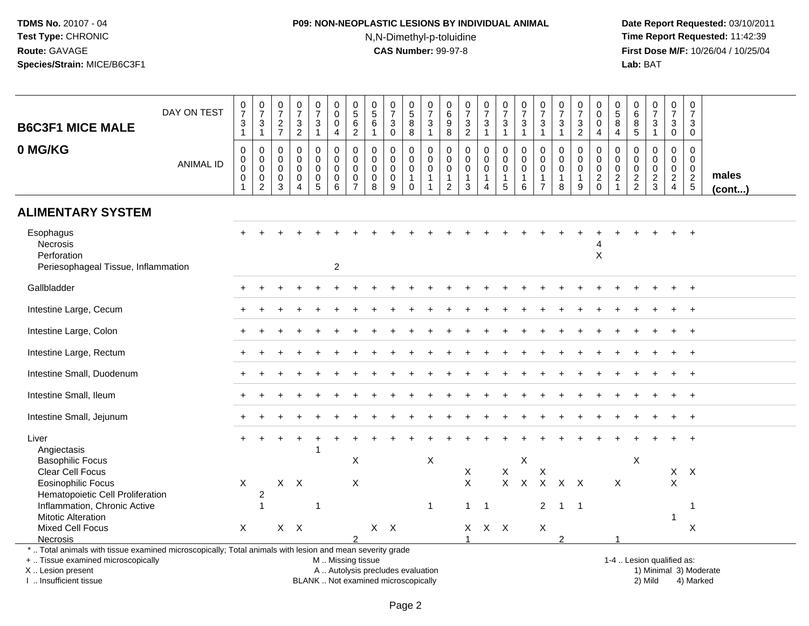## **P09: NON-NEOPLASTIC LESIONS BY INDIVIDUAL ANIMAL**N,N-Dimethyl-p-toluidine

 **Date Report Requested:** 03/10/2011 **Time Report Requested:** 11:42:39 **First Dose M/F:** 10/26/04 / 10/25/04<br>**Lab:** BAT **Lab:** BAT

| <b>B6C3F1 MICE MALE</b>                                                                                  | DAY ON TEST      | $\begin{array}{c} 0 \\ 7 \end{array}$<br>$\mathsf 3$<br>$\mathbf{1}$     | $\frac{0}{7}$<br>$\sqrt{3}$<br>$\mathbf{1}$                      | $\frac{0}{7}$<br>$\frac{2}{7}$                      | $\frac{0}{7}$<br>$\frac{3}{2}$                                 | $\begin{smallmatrix} 0\\7 \end{smallmatrix}$<br>$\mathbf{3}$<br>$\mathbf{1}$ | $\pmb{0}$<br>$\pmb{0}$<br>$\mathbf 0$<br>4 | $\pmb{0}$<br>$\begin{array}{c} 5 \\ 6 \end{array}$<br>$\sqrt{2}$ | $\begin{array}{c} 0 \\ 5 \end{array}$<br>6<br>$\mathbf{1}$  | $\frac{0}{7}$<br>3<br>$\mathbf 0$                   | $\begin{array}{c} 0 \\ 5 \\ 8 \end{array}$<br>$\overline{8}$            | $\frac{0}{7}$<br>$\ensuremath{\mathsf{3}}$<br>$\overline{1}$            | $\pmb{0}$<br>$^6_9$<br>$\overline{8}$                             | $\begin{array}{c} 0 \\ 7 \end{array}$<br>$\mathbf{3}$<br>$\overline{2}$   | $\frac{0}{7}$<br>$\mathbf{3}$<br>1        | $\begin{smallmatrix}0\\7\end{smallmatrix}$<br>$\mathbf{3}$<br>$\mathbf{1}$ | $\frac{0}{7}$<br>$\ensuremath{\mathsf{3}}$<br>$\mathbf{1}$   | 0<br>$\overline{7}$<br>$\mathbf{3}$<br>$\mathbf{1}$                     | $\begin{array}{c} 0 \\ 7 \end{array}$<br>3<br>$\overline{1}$   | 0<br>$\overline{7}$<br>3<br>$\overline{2}$           | $\mathbf 0$<br>$\mathsf{O}\xspace$<br>$\mathbf 0$<br>4                               | $\pmb{0}$<br>$\sqrt{5}$<br>8<br>4                       | 0<br>$\,6\,$<br>$\bf 8$<br>$\overline{5}$        | $\frac{0}{7}$<br>$\sqrt{3}$<br>$\mathbf{1}$              | $\begin{smallmatrix} 0\\7 \end{smallmatrix}$<br>$\sqrt{3}$<br>$\mathsf{O}\xspace$ | $\pmb{0}$<br>$\overline{7}$<br>3<br>$\mathbf 0$                            |                 |
|----------------------------------------------------------------------------------------------------------|------------------|--------------------------------------------------------------------------|------------------------------------------------------------------|-----------------------------------------------------|----------------------------------------------------------------|------------------------------------------------------------------------------|--------------------------------------------|------------------------------------------------------------------|-------------------------------------------------------------|-----------------------------------------------------|-------------------------------------------------------------------------|-------------------------------------------------------------------------|-------------------------------------------------------------------|---------------------------------------------------------------------------|-------------------------------------------|----------------------------------------------------------------------------|--------------------------------------------------------------|-------------------------------------------------------------------------|----------------------------------------------------------------|------------------------------------------------------|--------------------------------------------------------------------------------------|---------------------------------------------------------|--------------------------------------------------|----------------------------------------------------------|-----------------------------------------------------------------------------------|----------------------------------------------------------------------------|-----------------|
| 0 MG/KG                                                                                                  | <b>ANIMAL ID</b> | $\mathbf 0$<br>$\mathbf 0$<br>$\mathbf 0$<br>$\mathbf 0$<br>$\mathbf{1}$ | $\mathbf 0$<br>$\mathbf 0$<br>$\mathbf 0$<br>0<br>$\overline{2}$ | $\mathbf 0$<br>0<br>$\mathbf 0$<br>$\mathbf 0$<br>3 | $\mathbf 0$<br>0<br>$\mathbf 0$<br>$\pmb{0}$<br>$\overline{4}$ | $\mathbf 0$<br>$\mathbf 0$<br>$\mathbf 0$<br>$\mathbf 0$<br>$\sqrt{5}$       | $\mathbf 0$<br>$\mathbf 0$<br>0<br>0<br>6  | $\mathbf 0$<br>$\mathbf 0$<br>$\mathbf 0$<br>0<br>$\overline{7}$ | $\mathbf 0$<br>$\mathbf 0$<br>$\mathbf 0$<br>$\pmb{0}$<br>8 | $\mathbf 0$<br>$\mathbf 0$<br>0<br>$\mathbf 0$<br>9 | 0<br>$\mathsf{O}$<br>$\mathsf{O}\xspace$<br>$\mathbf{1}$<br>$\mathbf 0$ | $\mathbf 0$<br>$\mathsf 0$<br>$\pmb{0}$<br>$\mathbf{1}$<br>$\mathbf{1}$ | $\mathbf 0$<br>0<br>$\mathbf 0$<br>$\mathbf{1}$<br>$\overline{2}$ | $\mathbf 0$<br>$\mathbf 0$<br>$\mathbf 0$<br>$\mathbf{1}$<br>$\mathbf{3}$ | 0<br>$\mathbf 0$<br>$\mathbf 0$<br>1<br>4 | $\mathbf 0$<br>$\mathbf 0$<br>$\pmb{0}$<br>$\mathbf{1}$<br>$5\phantom{.0}$ | $\mathbf 0$<br>$\mathbf 0$<br>$\pmb{0}$<br>$\mathbf{1}$<br>6 | $\Omega$<br>$\mathbf 0$<br>$\mathbf 0$<br>$\mathbf 1$<br>$\overline{7}$ | $\mathbf 0$<br>$\mathbf 0$<br>$\mathbf 0$<br>$\mathbf{1}$<br>8 | 0<br>$\mathbf 0$<br>$\mathbf 0$<br>$\mathbf{1}$<br>9 | $\mathbf 0$<br>$\mathsf{O}\xspace$<br>$\mathbf 0$<br>$\boldsymbol{2}$<br>$\mathbf 0$ | $\mathbf 0$<br>0<br>0<br>$\overline{c}$<br>$\mathbf{1}$ | $\mathbf 0$<br>$\mathbf 0$<br>0<br>$\frac{2}{2}$ | $\mathbf 0$<br>$\mathbf 0$<br>$\pmb{0}$<br>$\frac{2}{3}$ | 0<br>$\mathbf 0$<br>$\mathbf 0$<br>$\overline{2}$<br>$\overline{4}$               | $\mathbf 0$<br>$\mathbf 0$<br>$\mathbf 0$<br>$\sqrt{2}$<br>$5\phantom{.0}$ | males<br>(cont) |
| <b>ALIMENTARY SYSTEM</b>                                                                                 |                  |                                                                          |                                                                  |                                                     |                                                                |                                                                              |                                            |                                                                  |                                                             |                                                     |                                                                         |                                                                         |                                                                   |                                                                           |                                           |                                                                            |                                                              |                                                                         |                                                                |                                                      |                                                                                      |                                                         |                                                  |                                                          |                                                                                   |                                                                            |                 |
| Esophagus<br>Necrosis<br>Perforation<br>Periesophageal Tissue, Inflammation                              |                  |                                                                          |                                                                  |                                                     |                                                                |                                                                              | $\overline{2}$                             |                                                                  |                                                             |                                                     |                                                                         |                                                                         |                                                                   |                                                                           |                                           |                                                                            |                                                              |                                                                         |                                                                |                                                      | X                                                                                    |                                                         |                                                  |                                                          |                                                                                   |                                                                            |                 |
| Gallbladder                                                                                              |                  |                                                                          |                                                                  |                                                     |                                                                |                                                                              |                                            |                                                                  |                                                             |                                                     |                                                                         |                                                                         |                                                                   |                                                                           |                                           |                                                                            |                                                              |                                                                         |                                                                |                                                      |                                                                                      |                                                         |                                                  |                                                          |                                                                                   | $\ddot{}$                                                                  |                 |
| Intestine Large, Cecum                                                                                   |                  |                                                                          |                                                                  |                                                     |                                                                |                                                                              |                                            |                                                                  |                                                             |                                                     |                                                                         |                                                                         |                                                                   |                                                                           |                                           |                                                                            |                                                              |                                                                         |                                                                |                                                      |                                                                                      |                                                         |                                                  |                                                          |                                                                                   |                                                                            |                 |
| Intestine Large, Colon                                                                                   |                  |                                                                          |                                                                  |                                                     |                                                                |                                                                              |                                            |                                                                  |                                                             |                                                     |                                                                         |                                                                         |                                                                   |                                                                           |                                           |                                                                            |                                                              |                                                                         |                                                                |                                                      |                                                                                      |                                                         |                                                  |                                                          |                                                                                   | $+$                                                                        |                 |
| Intestine Large, Rectum                                                                                  |                  |                                                                          |                                                                  |                                                     |                                                                |                                                                              |                                            |                                                                  |                                                             |                                                     |                                                                         |                                                                         |                                                                   |                                                                           |                                           |                                                                            |                                                              |                                                                         |                                                                |                                                      |                                                                                      |                                                         |                                                  |                                                          |                                                                                   | $^{+}$                                                                     |                 |
| Intestine Small, Duodenum                                                                                |                  |                                                                          |                                                                  |                                                     |                                                                |                                                                              |                                            |                                                                  |                                                             |                                                     |                                                                         |                                                                         |                                                                   |                                                                           |                                           |                                                                            |                                                              |                                                                         |                                                                |                                                      |                                                                                      |                                                         |                                                  |                                                          |                                                                                   | $+$                                                                        |                 |
| Intestine Small, Ileum                                                                                   |                  |                                                                          |                                                                  |                                                     |                                                                |                                                                              |                                            |                                                                  |                                                             |                                                     |                                                                         |                                                                         |                                                                   |                                                                           |                                           |                                                                            |                                                              |                                                                         |                                                                |                                                      |                                                                                      |                                                         |                                                  |                                                          |                                                                                   | $+$                                                                        |                 |
| Intestine Small, Jejunum                                                                                 |                  |                                                                          |                                                                  |                                                     |                                                                |                                                                              |                                            |                                                                  |                                                             |                                                     |                                                                         |                                                                         |                                                                   |                                                                           |                                           |                                                                            |                                                              |                                                                         |                                                                |                                                      |                                                                                      |                                                         |                                                  |                                                          |                                                                                   | $+$                                                                        |                 |
| Liver<br>Angiectasis<br><b>Basophilic Focus</b>                                                          |                  |                                                                          |                                                                  |                                                     |                                                                |                                                                              |                                            | $\boldsymbol{\mathsf{X}}$                                        |                                                             |                                                     |                                                                         | X                                                                       |                                                                   |                                                                           |                                           |                                                                            | $\mathsf X$                                                  |                                                                         |                                                                |                                                      |                                                                                      |                                                         | $\boldsymbol{\mathsf{X}}$                        |                                                          |                                                                                   |                                                                            |                 |
| Clear Cell Focus                                                                                         |                  |                                                                          |                                                                  |                                                     |                                                                |                                                                              |                                            |                                                                  |                                                             |                                                     |                                                                         |                                                                         |                                                                   | X                                                                         |                                           | $\mathsf{X}$                                                               |                                                              | Χ                                                                       |                                                                |                                                      |                                                                                      |                                                         |                                                  |                                                          | $X$ $X$                                                                           |                                                                            |                 |
| <b>Eosinophilic Focus</b>                                                                                |                  | $\mathsf{X}$                                                             |                                                                  | $X$ $X$                                             |                                                                |                                                                              |                                            | X                                                                |                                                             |                                                     |                                                                         |                                                                         |                                                                   | $\mathsf X$                                                               |                                           | $\mathsf{X}$                                                               | $\mathsf{X}$                                                 | $\mathsf{X}$                                                            | $X$ $X$                                                        |                                                      |                                                                                      | X                                                       |                                                  |                                                          | $\mathsf{X}$                                                                      |                                                                            |                 |
| Hematopoietic Cell Proliferation                                                                         |                  |                                                                          | $\overline{c}$                                                   |                                                     |                                                                |                                                                              |                                            |                                                                  |                                                             |                                                     |                                                                         |                                                                         |                                                                   |                                                                           |                                           |                                                                            |                                                              |                                                                         |                                                                |                                                      |                                                                                      |                                                         |                                                  |                                                          |                                                                                   |                                                                            |                 |
| Inflammation, Chronic Active                                                                             |                  |                                                                          | $\mathbf{1}$                                                     |                                                     |                                                                | $\mathbf 1$                                                                  |                                            |                                                                  |                                                             |                                                     |                                                                         | $\mathbf{1}$                                                            |                                                                   | $\mathbf{1}$                                                              | - 1                                       |                                                                            |                                                              | $\overline{2}$                                                          | $\overline{1}$                                                 | $\overline{\phantom{0}}$ 1                           |                                                                                      |                                                         |                                                  |                                                          |                                                                                   | -1                                                                         |                 |
| <b>Mitotic Alteration</b>                                                                                |                  |                                                                          |                                                                  |                                                     |                                                                |                                                                              |                                            |                                                                  |                                                             |                                                     |                                                                         |                                                                         |                                                                   |                                                                           |                                           |                                                                            |                                                              |                                                                         |                                                                |                                                      |                                                                                      |                                                         |                                                  |                                                          | 1                                                                                 |                                                                            |                 |
| Mixed Cell Focus                                                                                         |                  | $\mathsf{X}$                                                             |                                                                  | $X$ $X$                                             |                                                                |                                                                              |                                            |                                                                  | $X$ $X$                                                     |                                                     |                                                                         |                                                                         |                                                                   | X                                                                         | X X                                       |                                                                            |                                                              | X                                                                       |                                                                |                                                      |                                                                                      |                                                         |                                                  |                                                          |                                                                                   | X                                                                          |                 |
| Necrosis                                                                                                 |                  |                                                                          |                                                                  |                                                     |                                                                |                                                                              |                                            | $\mathfrak{p}$                                                   |                                                             |                                                     |                                                                         |                                                                         |                                                                   | $\overline{1}$                                                            |                                           |                                                                            |                                                              |                                                                         | $\mathfrak{p}$                                                 |                                                      |                                                                                      |                                                         |                                                  |                                                          |                                                                                   |                                                                            |                 |
| *  Total animals with tissue examined microscopically; Total animals with lesion and mean severity grade |                  |                                                                          |                                                                  |                                                     |                                                                |                                                                              |                                            |                                                                  |                                                             |                                                     |                                                                         |                                                                         |                                                                   |                                                                           |                                           |                                                                            |                                                              |                                                                         |                                                                |                                                      |                                                                                      |                                                         |                                                  |                                                          |                                                                                   |                                                                            |                 |
| +  Tissue examined microscopically                                                                       |                  |                                                                          |                                                                  |                                                     |                                                                |                                                                              | M  Missing tissue                          |                                                                  |                                                             |                                                     |                                                                         |                                                                         |                                                                   |                                                                           |                                           |                                                                            |                                                              |                                                                         |                                                                |                                                      |                                                                                      |                                                         |                                                  | 1-4  Lesion qualified as:                                |                                                                                   |                                                                            |                 |
| X  Lesion present                                                                                        |                  |                                                                          |                                                                  |                                                     |                                                                |                                                                              |                                            |                                                                  |                                                             | A  Autolysis precludes evaluation                   |                                                                         |                                                                         |                                                                   |                                                                           |                                           |                                                                            |                                                              |                                                                         |                                                                |                                                      |                                                                                      |                                                         |                                                  |                                                          |                                                                                   | 1) Minimal 3) Moderate                                                     |                 |

I .. Insufficient tissue

BLANK .. Not examined microscopically 2) Mild 4) Marked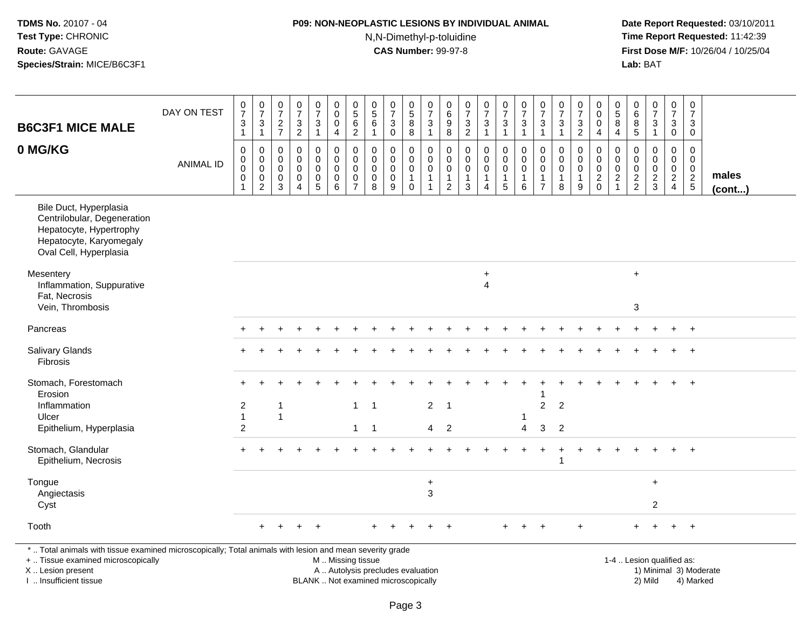## **P09: NON-NEOPLASTIC LESIONS BY INDIVIDUAL ANIMAL**

N,N-Dimethyl-p-toluidine

 **Date Report Requested:** 03/10/2011 **Time Report Requested:** 11:42:39 **First Dose M/F:** 10/26/04 / 10/25/04<br>**Lab:** BAT **Lab:** BAT

| <b>B6C3F1 MICE MALE</b>                                                                                                                                             | DAY ON TEST      | $\frac{0}{7}$<br>$\ensuremath{\mathsf{3}}$<br>$\mathbf{1}$  | $\begin{array}{c} 0 \\ 7 \end{array}$<br>$\sqrt{3}$<br>$\overline{1}$      | $\begin{array}{c} 0 \\ 7 \end{array}$<br>$\frac{2}{7}$ | $\begin{array}{c} 0 \\ 7 \end{array}$<br>$\overline{3}$<br>$\overline{2}$  | $\frac{0}{7}$<br>3<br>$\mathbf{1}$                   | $\begin{smallmatrix}0\\0\end{smallmatrix}$<br>$\pmb{0}$<br>$\overline{4}$ | $\begin{array}{c} 0 \\ 5 \\ 6 \end{array}$<br>$\overline{2}$           | $\begin{array}{c} 0 \\ 5 \\ 6 \end{array}$<br>$\mathbf{1}$  | $\begin{array}{c} 0 \\ 7 \end{array}$<br>$\sqrt{3}$<br>$\mathbf 0$ | $\begin{array}{c} 0 \\ 5 \\ 8 \end{array}$<br>$\,8\,$        | $\frac{0}{7}$<br>$\mathbf 3$<br>$\mathbf{1}$                                 | $\pmb{0}$<br>$^6_9$<br>8                                | $\frac{0}{7}$<br>$\mathfrak{Z}$<br>$\overline{2}$                         | $\frac{0}{7}$<br>$\sqrt{3}$<br>$\mathbf{1}$                    | $\begin{smallmatrix} 0\\7 \end{smallmatrix}$<br>$\sqrt{3}$<br>$\mathbf{1}$ | $\begin{array}{c} 0 \\ 7 \end{array}$<br>$\overline{3}$<br>$\overline{1}$      | $\begin{array}{c} 0 \\ 7 \end{array}$<br>$\ensuremath{\mathsf{3}}$<br>$\mathbf{1}$ | $\frac{0}{7}$<br>$\mathbf 3$<br>$\mathbf{1}$                   | $\frac{0}{7}$<br>3<br>$\overline{c}$                 | $\begin{smallmatrix}0\0\0\end{smallmatrix}$<br>$\mathbf 0$<br>4            | $\begin{array}{c} 0 \\ 5 \\ 8 \end{array}$<br>$\overline{4}$                     | 0<br>$\begin{array}{c} 6 \\ 8 \\ 5 \end{array}$ | $\begin{smallmatrix} 0\\7 \end{smallmatrix}$<br>$\frac{3}{1}$ | $\begin{array}{c} 0 \\ 7 \end{array}$<br>$\sqrt{3}$<br>$\mathbf 0$ | $\pmb{0}$<br>$\overline{7}$<br>3<br>$\mathbf 0$                               |                        |
|---------------------------------------------------------------------------------------------------------------------------------------------------------------------|------------------|-------------------------------------------------------------|----------------------------------------------------------------------------|--------------------------------------------------------|----------------------------------------------------------------------------|------------------------------------------------------|---------------------------------------------------------------------------|------------------------------------------------------------------------|-------------------------------------------------------------|--------------------------------------------------------------------|--------------------------------------------------------------|------------------------------------------------------------------------------|---------------------------------------------------------|---------------------------------------------------------------------------|----------------------------------------------------------------|----------------------------------------------------------------------------|--------------------------------------------------------------------------------|------------------------------------------------------------------------------------|----------------------------------------------------------------|------------------------------------------------------|----------------------------------------------------------------------------|----------------------------------------------------------------------------------|-------------------------------------------------|---------------------------------------------------------------|--------------------------------------------------------------------|-------------------------------------------------------------------------------|------------------------|
| 0 MG/KG                                                                                                                                                             | <b>ANIMAL ID</b> | $\mathbf 0$<br>$\boldsymbol{0}$<br>$\mathsf{O}\xspace$<br>0 | $\mathbf 0$<br>$\mathbf 0$<br>$\mathbf 0$<br>$\mathbf 0$<br>$\overline{c}$ | 0<br>$\mathbf 0$<br>$\mathbf 0$<br>$\mathbf 0$<br>3    | $\mathbf 0$<br>$\mathbf 0$<br>$\mathbf 0$<br>$\mathbf 0$<br>$\overline{4}$ | $\mathsf{O}$<br>$\mathbf 0$<br>$\mathbf 0$<br>0<br>5 | $\mathsf 0$<br>$\mathbf 0$<br>$\mathsf 0$<br>$\mathbf 0$<br>6             | $\mathbf 0$<br>$\pmb{0}$<br>$\mathbf 0$<br>$\pmb{0}$<br>$\overline{7}$ | $\mathbf 0$<br>$\mathbf 0$<br>$\mathbf 0$<br>$\pmb{0}$<br>8 | $\mathbf 0$<br>$\mathbf 0$<br>$\mathbf 0$<br>$\mathbf 0$<br>9      | 0<br>$\mathbf 0$<br>$\pmb{0}$<br>$\mathbf{1}$<br>$\mathbf 0$ | $\mathbf 0$<br>$\mathbf 0$<br>$\overline{0}$<br>$\mathbf{1}$<br>$\mathbf{1}$ | $\mathbf 0$<br>0<br>0<br>$\mathbf{1}$<br>$\overline{2}$ | $\mathbf 0$<br>$\mathbf 0$<br>$\mathbf 0$<br>$\mathbf{1}$<br>$\mathbf{3}$ | $\mathbf 0$<br>$\pmb{0}$<br>$\mathbf 0$<br>1<br>$\overline{4}$ | $\mathbf 0$<br>$\mathbf 0$<br>$\mathbf 0$<br>$\mathbf{1}$<br>5             | $\mathbf 0$<br>$\mathbf 0$<br>$\mathbf 0$<br>$\overline{1}$<br>$6\phantom{1}6$ | $\mathbf 0$<br>$\mathbf 0$<br>$\mathbf 0$<br>$\mathbf{1}$<br>$\overline{7}$        | $\mathbf 0$<br>$\mathbf 0$<br>$\mathbf 0$<br>$\mathbf{1}$<br>8 | 0<br>$\mathbf 0$<br>$\mathbf 0$<br>$\mathbf{1}$<br>9 | $\mathbf 0$<br>$\mathbf 0$<br>$\mathsf 0$<br>$\overline{c}$<br>$\mathbf 0$ | $\mathbf 0$<br>$\mathbf 0$<br>$\boldsymbol{0}$<br>$\overline{c}$<br>$\mathbf{1}$ | $\Omega$<br>$\mathbf 0$<br>0<br>$\frac{2}{2}$   | $\mathbf 0$<br>$\mathbf 0$<br>$\pmb{0}$<br>$\frac{2}{3}$      | 0<br>$\mathbf 0$<br>0<br>$\overline{2}$<br>$\overline{4}$          | $\mathbf 0$<br>$\mathbf 0$<br>$\mathbf 0$<br>$\overline{2}$<br>$\overline{5}$ | males<br>(cont)        |
| Bile Duct, Hyperplasia<br>Centrilobular, Degeneration<br>Hepatocyte, Hypertrophy<br>Hepatocyte, Karyomegaly<br>Oval Cell, Hyperplasia                               |                  |                                                             |                                                                            |                                                        |                                                                            |                                                      |                                                                           |                                                                        |                                                             |                                                                    |                                                              |                                                                              |                                                         |                                                                           |                                                                |                                                                            |                                                                                |                                                                                    |                                                                |                                                      |                                                                            |                                                                                  |                                                 |                                                               |                                                                    |                                                                               |                        |
| Mesentery<br>Inflammation, Suppurative<br>Fat, Necrosis<br>Vein, Thrombosis                                                                                         |                  |                                                             |                                                                            |                                                        |                                                                            |                                                      |                                                                           |                                                                        |                                                             |                                                                    |                                                              |                                                                              |                                                         |                                                                           | $\ddot{}$<br>$\overline{4}$                                    |                                                                            |                                                                                |                                                                                    |                                                                |                                                      |                                                                            |                                                                                  | $\ddot{}$<br>$\sqrt{3}$                         |                                                               |                                                                    |                                                                               |                        |
| Pancreas                                                                                                                                                            |                  |                                                             |                                                                            |                                                        |                                                                            |                                                      |                                                                           |                                                                        |                                                             |                                                                    |                                                              |                                                                              |                                                         |                                                                           |                                                                |                                                                            |                                                                                |                                                                                    |                                                                |                                                      |                                                                            |                                                                                  |                                                 |                                                               |                                                                    | $+$                                                                           |                        |
| Salivary Glands<br>Fibrosis                                                                                                                                         |                  |                                                             |                                                                            |                                                        |                                                                            |                                                      |                                                                           |                                                                        |                                                             |                                                                    |                                                              |                                                                              |                                                         |                                                                           |                                                                |                                                                            |                                                                                |                                                                                    |                                                                |                                                      |                                                                            |                                                                                  |                                                 |                                                               |                                                                    | $\ddot{}$                                                                     |                        |
| Stomach, Forestomach<br>Erosion<br>Inflammation<br>Ulcer<br>Epithelium, Hyperplasia                                                                                 |                  | $\overline{2}$<br>$\mathbf{1}$<br>$\overline{c}$            |                                                                            | $\mathbf{1}$<br>$\mathbf{1}$                           |                                                                            |                                                      |                                                                           | $\mathbf{1}$<br>$\mathbf{1}$                                           | $\overline{1}$<br>$\overline{1}$                            |                                                                    |                                                              | $\overline{2}$<br>4                                                          | $\overline{1}$<br>$\overline{2}$                        |                                                                           |                                                                |                                                                            | -1<br>$\overline{4}$                                                           | $\overline{2}$<br>3                                                                | $\overline{2}$<br>$\overline{2}$                               |                                                      |                                                                            |                                                                                  |                                                 |                                                               |                                                                    | $\overline{+}$                                                                |                        |
| Stomach, Glandular<br>Epithelium, Necrosis                                                                                                                          |                  |                                                             |                                                                            |                                                        |                                                                            |                                                      |                                                                           |                                                                        |                                                             |                                                                    |                                                              |                                                                              |                                                         |                                                                           |                                                                |                                                                            |                                                                                |                                                                                    |                                                                |                                                      |                                                                            |                                                                                  |                                                 |                                                               | $+$                                                                | $+$                                                                           |                        |
| Tongue<br>Angiectasis<br>Cyst                                                                                                                                       |                  |                                                             |                                                                            |                                                        |                                                                            |                                                      |                                                                           |                                                                        |                                                             |                                                                    |                                                              | $\ddot{}$<br>3                                                               |                                                         |                                                                           |                                                                |                                                                            |                                                                                |                                                                                    |                                                                |                                                      |                                                                            |                                                                                  |                                                 | $\ddot{}$<br>$\overline{c}$                                   |                                                                    |                                                                               |                        |
| Tooth                                                                                                                                                               |                  |                                                             |                                                                            |                                                        |                                                                            |                                                      |                                                                           |                                                                        |                                                             |                                                                    |                                                              |                                                                              |                                                         |                                                                           |                                                                |                                                                            |                                                                                | $\ddot{}$                                                                          |                                                                | $\ddot{}$                                            |                                                                            |                                                                                  | $\ddot{}$                                       |                                                               | $\ddot{}$                                                          | $+$                                                                           |                        |
| *  Total animals with tissue examined microscopically; Total animals with lesion and mean severity grade<br>+  Tissue examined microscopically<br>X  Lesion present |                  |                                                             |                                                                            |                                                        |                                                                            |                                                      | M  Missing tissue                                                         |                                                                        | A  Autolysis precludes evaluation                           |                                                                    |                                                              |                                                                              |                                                         |                                                                           |                                                                |                                                                            |                                                                                |                                                                                    |                                                                |                                                      |                                                                            |                                                                                  |                                                 | 1-4  Lesion qualified as:                                     |                                                                    |                                                                               | 1) Minimal 3) Moderate |

BLANK .. Not examined microscopically 2) Mild 4) Marked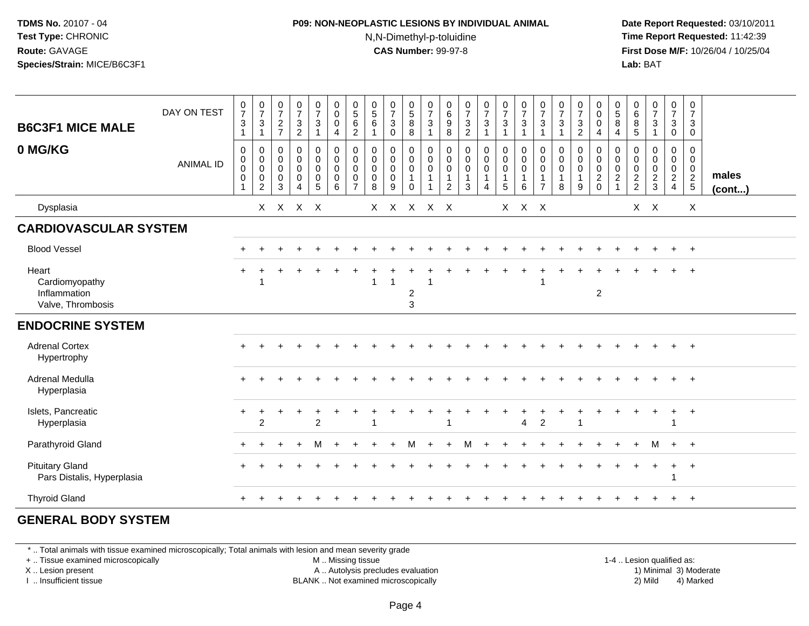#### **P09: NON-NEOPLASTIC LESIONS BY INDIVIDUAL ANIMAL**N,N-Dimethyl-p-toluidine

 **Date Report Requested:** 03/10/2011 **Time Report Requested:** 11:42:39 **First Dose M/F:** 10/26/04 / 10/25/04 Lab: BAT **Lab:** BAT

| <b>B6C3F1 MICE MALE</b>                                      | DAY ON TEST      | $\frac{0}{7}$<br>$\sqrt{3}$<br>$\mathbf{1}$       | $\frac{0}{7}$<br>$\mathbf{3}$<br>$\mathbf{1}$                                      | $\frac{0}{7}$<br>$\frac{2}{7}$                    | $\frac{0}{7}$<br>$\ensuremath{\mathsf{3}}$<br>$\overline{2}$      | $\frac{0}{7}$<br>$\mathbf{3}$<br>$\overline{1}$                      | $\begin{smallmatrix} 0\\0 \end{smallmatrix}$<br>$\mathbf 0$<br>$\overline{a}$      | $\begin{array}{c} 0 \\ 5 \end{array}$<br>$\,6\,$<br>$\boldsymbol{2}$ | $\begin{matrix} 0 \\ 5 \end{matrix}$<br>$6\overline{6}$<br>$\mathbf{1}$ | $\frac{0}{7}$<br>$\ensuremath{\mathsf{3}}$<br>$\mathsf{O}\xspace$ | $\begin{array}{c} 0 \\ 5 \\ 8 \end{array}$<br>8                          | $\frac{0}{7}$<br>$\sqrt{3}$<br>$\overline{1}$     | $\begin{matrix}0\\6\end{matrix}$<br>$\overline{9}$<br>8 | $\frac{0}{7}$<br>$\ensuremath{\mathsf{3}}$<br>$\boldsymbol{2}$ | $\frac{0}{7}$<br>$\mathbf{3}$<br>1                                          | $\begin{smallmatrix}0\\7\end{smallmatrix}$<br>$\mathbf{3}$<br>$\mathbf{1}$                        | $\frac{0}{7}$<br>$\ensuremath{\mathsf{3}}$<br>$\overline{1}$  | $\frac{0}{7}$<br>3<br>$\overline{1}$                        | $\frac{0}{7}$<br>$\sqrt{3}$<br>$\overline{1}$        | $\frac{0}{7}$<br>$\mathbf{3}$<br>$\overline{2}$ | $_{0}^{0}$<br>$\overline{0}$<br>$\overline{4}$                 | $\begin{array}{c} 0 \\ 5 \\ 8 \end{array}$<br>$\overline{4}$                        | 0<br>6<br>$\overline{8}$<br>$\sqrt{5}$ | $\begin{smallmatrix}0\\7\end{smallmatrix}$<br>$\ensuremath{\mathsf{3}}$<br>$\overline{1}$ | $\frac{0}{7}$<br>$\ensuremath{\mathsf{3}}$<br>$\mathbf 0$              | 0<br>$\overline{7}$<br>3<br>0                       |                       |
|--------------------------------------------------------------|------------------|---------------------------------------------------|------------------------------------------------------------------------------------|---------------------------------------------------|-------------------------------------------------------------------|----------------------------------------------------------------------|------------------------------------------------------------------------------------|----------------------------------------------------------------------|-------------------------------------------------------------------------|-------------------------------------------------------------------|--------------------------------------------------------------------------|---------------------------------------------------|---------------------------------------------------------|----------------------------------------------------------------|-----------------------------------------------------------------------------|---------------------------------------------------------------------------------------------------|---------------------------------------------------------------|-------------------------------------------------------------|------------------------------------------------------|-------------------------------------------------|----------------------------------------------------------------|-------------------------------------------------------------------------------------|----------------------------------------|-------------------------------------------------------------------------------------------|------------------------------------------------------------------------|-----------------------------------------------------|-----------------------|
| 0 MG/KG                                                      | <b>ANIMAL ID</b> | $\mathsf 0$<br>$\pmb{0}$<br>0<br>$\mathbf 0$<br>1 | $\mathbf 0$<br>$\mathbf 0$<br>$\ddot{\mathbf{0}}$<br>$\mathbf 0$<br>$\overline{c}$ | 0<br>$\pmb{0}$<br>$\mathbf 0$<br>$\mathbf 0$<br>3 | $\pmb{0}$<br>$\overline{0}$<br>0<br>$\mathbf 0$<br>$\overline{A}$ | $\pmb{0}$<br>$\mathbf 0$<br>$\mathsf 0$<br>$\mathbf 0$<br>$\sqrt{5}$ | $\begin{smallmatrix} 0\\0 \end{smallmatrix}$<br>$\overline{0}$<br>$\mathbf 0$<br>6 | 0<br>$\mathbf 0$<br>$\mathbf 0$<br>$\mathbf 0$                       | 0<br>$\mathsf{O}\xspace$<br>$\mathbf 0$<br>$\mathbf 0$<br>8             | 0<br>$\pmb{0}$<br>$\pmb{0}$<br>$\mathsf{O}\xspace$<br>9           | 0<br>$\mathsf{O}\xspace$<br>$\mathbf 0$<br>$\overline{1}$<br>$\mathbf 0$ | $\pmb{0}$<br>$_{\rm 0}^{\rm 0}$<br>$\overline{1}$ | $\mathbf 0$<br>0<br>$\mathbf 0$<br>$\overline{1}$<br>2  | $\mathbf 0$<br>$\mathbf 0$<br>$\mathbf 0$<br>$\mathbf{1}$<br>3 | $\mathbf 0$<br>$\boldsymbol{0}$<br>$\mathsf{O}\xspace$<br>$\mathbf{1}$<br>4 | $\begin{smallmatrix} 0\\0 \end{smallmatrix}$<br>$\mathsf{O}\xspace$<br>$\mathbf{1}$<br>$\sqrt{5}$ | $\pmb{0}$<br>$\pmb{0}$<br>$\overline{0}$<br>$\mathbf{1}$<br>6 | $\mathbf 0$<br>$\mathbf 0$<br>$\mathbf 0$<br>$\overline{7}$ | 0<br>$\mathbf 0$<br>$\mathbf 0$<br>$\mathbf{1}$<br>8 | 0<br>0<br>$\mathbf 0$<br>9                      | $\begin{smallmatrix}0\\0\\0\end{smallmatrix}$<br>$\frac{2}{0}$ | $\pmb{0}$<br>$\mathbf 0$<br>$\ddot{\mathbf{0}}$<br>$\overline{c}$<br>$\overline{1}$ | 0<br>0<br>$\mathbf 0$<br>$\frac{2}{2}$ | 0<br>$\pmb{0}$<br>$\pmb{0}$<br>$\frac{2}{3}$                                              | 0<br>$\mathbf 0$<br>$\overline{0}$<br>$\overline{2}$<br>$\overline{4}$ | 0<br>$\overline{0}$<br>$\mathbf 0$<br>$\frac{2}{5}$ | males<br>$($ cont $)$ |
| Dysplasia                                                    |                  |                                                   | X                                                                                  |                                                   | X X X                                                             |                                                                      |                                                                                    |                                                                      |                                                                         | $X$ $X$                                                           |                                                                          | X X X                                             |                                                         |                                                                |                                                                             |                                                                                                   | $X$ $X$ $X$                                                   |                                                             |                                                      |                                                 |                                                                |                                                                                     | $\mathsf{X}^-$                         | $\mathsf{X}$                                                                              |                                                                        | $\mathsf{X}$                                        |                       |
| <b>CARDIOVASCULAR SYSTEM</b>                                 |                  |                                                   |                                                                                    |                                                   |                                                                   |                                                                      |                                                                                    |                                                                      |                                                                         |                                                                   |                                                                          |                                                   |                                                         |                                                                |                                                                             |                                                                                                   |                                                               |                                                             |                                                      |                                                 |                                                                |                                                                                     |                                        |                                                                                           |                                                                        |                                                     |                       |
| <b>Blood Vessel</b>                                          |                  |                                                   |                                                                                    |                                                   |                                                                   |                                                                      |                                                                                    |                                                                      |                                                                         |                                                                   |                                                                          |                                                   |                                                         |                                                                |                                                                             |                                                                                                   |                                                               |                                                             |                                                      |                                                 |                                                                |                                                                                     |                                        |                                                                                           | $+$                                                                    | $^{+}$                                              |                       |
| Heart<br>Cardiomyopathy<br>Inflammation<br>Valve, Thrombosis |                  |                                                   |                                                                                    |                                                   |                                                                   |                                                                      |                                                                                    |                                                                      |                                                                         | -1                                                                | $\overline{c}$<br>$\mathbf{3}$                                           |                                                   |                                                         |                                                                |                                                                             |                                                                                                   |                                                               |                                                             |                                                      |                                                 | $\overline{2}$                                                 |                                                                                     |                                        |                                                                                           |                                                                        |                                                     |                       |
| <b>ENDOCRINE SYSTEM</b>                                      |                  |                                                   |                                                                                    |                                                   |                                                                   |                                                                      |                                                                                    |                                                                      |                                                                         |                                                                   |                                                                          |                                                   |                                                         |                                                                |                                                                             |                                                                                                   |                                                               |                                                             |                                                      |                                                 |                                                                |                                                                                     |                                        |                                                                                           |                                                                        |                                                     |                       |
| <b>Adrenal Cortex</b><br>Hypertrophy                         |                  |                                                   |                                                                                    |                                                   |                                                                   |                                                                      |                                                                                    |                                                                      |                                                                         |                                                                   |                                                                          |                                                   |                                                         |                                                                |                                                                             |                                                                                                   |                                                               |                                                             |                                                      |                                                 |                                                                |                                                                                     |                                        |                                                                                           |                                                                        | $^{+}$                                              |                       |
| Adrenal Medulla<br>Hyperplasia                               |                  |                                                   |                                                                                    |                                                   |                                                                   |                                                                      |                                                                                    |                                                                      |                                                                         |                                                                   |                                                                          |                                                   |                                                         |                                                                |                                                                             |                                                                                                   |                                                               |                                                             |                                                      |                                                 |                                                                |                                                                                     |                                        |                                                                                           |                                                                        | $+$                                                 |                       |
| Islets, Pancreatic<br>Hyperplasia                            |                  |                                                   | 2                                                                                  |                                                   |                                                                   | $\overline{2}$                                                       |                                                                                    |                                                                      |                                                                         |                                                                   |                                                                          |                                                   | 1                                                       |                                                                |                                                                             |                                                                                                   | $\overline{4}$                                                | $\overline{2}$                                              |                                                      |                                                 |                                                                |                                                                                     |                                        |                                                                                           | +<br>1                                                                 | $^{+}$                                              |                       |
| Parathyroid Gland                                            |                  |                                                   |                                                                                    |                                                   | $\overline{ }$                                                    | м                                                                    |                                                                                    |                                                                      |                                                                         |                                                                   | м                                                                        |                                                   | $\ddot{}$                                               | M                                                              | $\div$                                                                      |                                                                                                   |                                                               |                                                             |                                                      |                                                 |                                                                |                                                                                     | $+$                                    | м                                                                                         | $+$                                                                    | $+$                                                 |                       |
| <b>Pituitary Gland</b><br>Pars Distalis, Hyperplasia         |                  |                                                   |                                                                                    |                                                   |                                                                   |                                                                      |                                                                                    |                                                                      |                                                                         |                                                                   |                                                                          |                                                   |                                                         |                                                                |                                                                             |                                                                                                   |                                                               |                                                             |                                                      |                                                 |                                                                |                                                                                     |                                        |                                                                                           | $\ddot{}$                                                              | $+$                                                 |                       |
| <b>Thyroid Gland</b>                                         |                  |                                                   |                                                                                    |                                                   |                                                                   |                                                                      |                                                                                    |                                                                      |                                                                         |                                                                   |                                                                          |                                                   |                                                         |                                                                |                                                                             |                                                                                                   |                                                               |                                                             |                                                      |                                                 |                                                                |                                                                                     |                                        |                                                                                           |                                                                        | $+$                                                 |                       |

#### **GENERAL BODY SYSTEM**

\* .. Total animals with tissue examined microscopically; Total animals with lesion and mean severity grade

+ .. Tissue examined microscopically

X .. Lesion present

I .. Insufficient tissue

M .. Missing tissue

A .. Autolysis precludes evaluation

1-4 .. Lesion qualified as:<br>1) Minimal 3) Moderate BLANK .. Not examined microscopically 2) Mild 4) Marked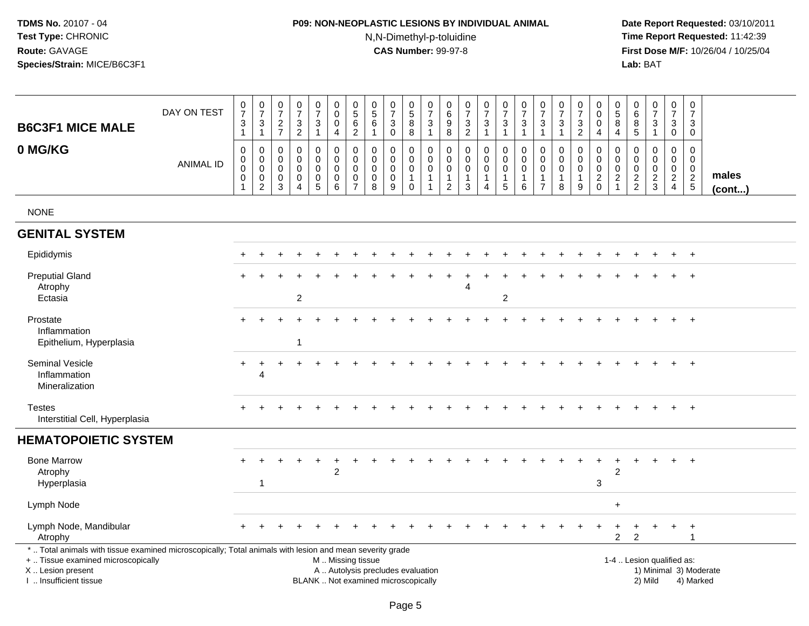## **P09: NON-NEOPLASTIC LESIONS BY INDIVIDUAL ANIMAL**N,N-Dimethyl-p-toluidine

| <b>B6C3F1 MICE MALE</b>                                                                                                                                                                       | DAY ON TEST      | $\frac{0}{7}$<br>$\mathbf{3}$<br>$\mathbf{1}$                               | 0<br>$\overline{7}$<br>3<br>$\overline{1}$   | 0<br>$\overline{7}$<br>2<br>$\overline{7}$                 | 0<br>$\overline{7}$<br>$\mathbf{3}$<br>$\overline{c}$ | 0<br>$\overline{7}$<br>3<br>$\mathbf{1}$ | 0<br>$\pmb{0}$<br>$\mathbf 0$<br>$\overline{4}$                                               | 0<br>$\sqrt{5}$<br>$\,6\,$<br>$\overline{2}$                            | 0<br>$\sqrt{5}$<br>6<br>$\mathbf{1}$                          | $\pmb{0}$<br>$\overline{7}$<br>3<br>0                          | 0<br>$\sqrt{5}$<br>8<br>8                                                | 0<br>$\overline{7}$<br>3<br>$\mathbf{1}$                       | 0<br>$\,6$<br>9<br>8                                 | $\begin{array}{c} 0 \\ 7 \end{array}$<br>$\mathbf{3}$<br>$\boldsymbol{2}$ | $\begin{array}{c} 0 \\ 7 \end{array}$<br>3<br>$\overline{1}$             | 0<br>$\overline{7}$<br>$\sqrt{3}$<br>$\mathbf{1}$                           | 0<br>$\overline{7}$<br>3<br>$\mathbf{1}$  | 0<br>$\overline{7}$<br>3<br>$\mathbf{1}$                          | $\frac{0}{7}$<br>3<br>-1                  | $\frac{0}{7}$<br>$\mathbf{3}$<br>$\overline{2}$ | 0<br>$\mathbf 0$<br>$\mathbf 0$<br>4                      | 0<br>$\sqrt{5}$<br>8<br>4                                             | 0<br>$\,6\,$<br>8<br>5                                  | $\pmb{0}$<br>$\overline{7}$<br>3<br>$\mathbf{1}$ | $\mathbf 0$<br>$\overline{7}$<br>3<br>0                  | $\mathbf 0$<br>$\overline{7}$<br>3<br>$\mathbf 0$          |                       |
|-----------------------------------------------------------------------------------------------------------------------------------------------------------------------------------------------|------------------|-----------------------------------------------------------------------------|----------------------------------------------|------------------------------------------------------------|-------------------------------------------------------|------------------------------------------|-----------------------------------------------------------------------------------------------|-------------------------------------------------------------------------|---------------------------------------------------------------|----------------------------------------------------------------|--------------------------------------------------------------------------|----------------------------------------------------------------|------------------------------------------------------|---------------------------------------------------------------------------|--------------------------------------------------------------------------|-----------------------------------------------------------------------------|-------------------------------------------|-------------------------------------------------------------------|-------------------------------------------|-------------------------------------------------|-----------------------------------------------------------|-----------------------------------------------------------------------|---------------------------------------------------------|--------------------------------------------------|----------------------------------------------------------|------------------------------------------------------------|-----------------------|
| 0 MG/KG                                                                                                                                                                                       | <b>ANIMAL ID</b> | $\mathbf 0$<br>$\mathbf 0$<br>$\pmb{0}$<br>$\boldsymbol{0}$<br>$\mathbf{1}$ | 0<br>0<br>$\mathbf 0$<br>0<br>$\overline{c}$ | $\mathbf 0$<br>$\Omega$<br>$\mathbf 0$<br>$\mathbf 0$<br>3 | 0<br>$\mathbf 0$<br>$\mathbf 0$<br>$\mathbf 0$<br>4   | 0<br>0<br>$\mathbf 0$<br>$\pmb{0}$<br>5  | $\mathbf 0$<br>$\mathbf 0$<br>$\mathbf 0$<br>$\pmb{0}$<br>6                                   | $\mathbf 0$<br>$\Omega$<br>$\mathbf 0$<br>$\mathbf 0$<br>$\overline{7}$ | $\mathbf 0$<br>$\mathbf 0$<br>$\mathbf 0$<br>$\mathbf 0$<br>8 | $\mathbf 0$<br>0<br>$\pmb{0}$<br>$\pmb{0}$<br>$\boldsymbol{9}$ | $\mathbf 0$<br>$\mathbf 0$<br>$\mathbf 0$<br>$\mathbf{1}$<br>$\mathsf 0$ | $\mathbf 0$<br>$\mathbf 0$<br>0<br>$\mathbf{1}$<br>$\mathbf 1$ | 0<br>$\mathbf 0$<br>$\mathbf 0$<br>$\mathbf{1}$<br>2 | $\mathbf 0$<br>$\mathbf 0$<br>$\mathbf 0$<br>3                            | $\mathbf 0$<br>$\mathbf 0$<br>$\mathsf{O}\xspace$<br>$\overline{1}$<br>4 | $\mathbf 0$<br>$\mathbf 0$<br>$\mathbf 0$<br>$\mathbf{1}$<br>$\overline{5}$ | 0<br>$\mathbf 0$<br>$\mathbf 0$<br>1<br>6 | 0<br>$\mathbf 0$<br>$\mathbf 0$<br>$\mathbf{1}$<br>$\overline{7}$ | 0<br>$\mathbf 0$<br>$\mathbf 0$<br>1<br>8 | 0<br>0<br>$\pmb{0}$<br>$\mathbf{1}$<br>$9\,$    | $\mathbf 0$<br>$\mathbf 0$<br>$\mathbf 0$<br>$^2_{\rm 0}$ | $\mathbf 0$<br>$\mathbf 0$<br>0<br>$\boldsymbol{2}$<br>$\overline{1}$ | $\mathbf 0$<br>$\Omega$<br>$\mathbf 0$<br>$\frac{2}{2}$ | 0<br>$\mathbf 0$<br>0<br>$\frac{2}{3}$           | $\mathbf 0$<br>0<br>$\mathsf{O}\xspace$<br>$\frac{2}{4}$ | $\mathbf 0$<br>$\mathbf 0$<br>$\mathbf 0$<br>$\frac{2}{5}$ | males<br>$($ cont $)$ |
| <b>NONE</b>                                                                                                                                                                                   |                  |                                                                             |                                              |                                                            |                                                       |                                          |                                                                                               |                                                                         |                                                               |                                                                |                                                                          |                                                                |                                                      |                                                                           |                                                                          |                                                                             |                                           |                                                                   |                                           |                                                 |                                                           |                                                                       |                                                         |                                                  |                                                          |                                                            |                       |
| <b>GENITAL SYSTEM</b>                                                                                                                                                                         |                  |                                                                             |                                              |                                                            |                                                       |                                          |                                                                                               |                                                                         |                                                               |                                                                |                                                                          |                                                                |                                                      |                                                                           |                                                                          |                                                                             |                                           |                                                                   |                                           |                                                 |                                                           |                                                                       |                                                         |                                                  |                                                          |                                                            |                       |
| Epididymis                                                                                                                                                                                    |                  |                                                                             |                                              |                                                            |                                                       |                                          |                                                                                               |                                                                         |                                                               |                                                                |                                                                          |                                                                |                                                      |                                                                           |                                                                          |                                                                             |                                           |                                                                   |                                           |                                                 |                                                           |                                                                       |                                                         |                                                  |                                                          | $\overline{ }$                                             |                       |
| <b>Preputial Gland</b><br>Atrophy<br>Ectasia                                                                                                                                                  |                  |                                                                             |                                              |                                                            | $\boldsymbol{2}$                                      |                                          |                                                                                               |                                                                         |                                                               |                                                                |                                                                          |                                                                |                                                      | Δ                                                                         |                                                                          | $\overline{c}$                                                              |                                           |                                                                   |                                           |                                                 |                                                           |                                                                       |                                                         |                                                  |                                                          | $\overline{+}$                                             |                       |
| Prostate<br>Inflammation<br>Epithelium, Hyperplasia                                                                                                                                           |                  |                                                                             |                                              |                                                            | 1                                                     |                                          |                                                                                               |                                                                         |                                                               |                                                                |                                                                          |                                                                |                                                      |                                                                           |                                                                          |                                                                             |                                           |                                                                   |                                           |                                                 |                                                           |                                                                       |                                                         |                                                  |                                                          |                                                            |                       |
| <b>Seminal Vesicle</b><br>Inflammation<br>Mineralization                                                                                                                                      |                  | $\pm$                                                                       | ÷<br>Δ                                       |                                                            |                                                       |                                          |                                                                                               |                                                                         |                                                               |                                                                |                                                                          |                                                                |                                                      |                                                                           |                                                                          |                                                                             |                                           |                                                                   |                                           |                                                 |                                                           |                                                                       |                                                         |                                                  | $+$                                                      | $+$                                                        |                       |
| <b>Testes</b><br>Interstitial Cell, Hyperplasia                                                                                                                                               |                  |                                                                             |                                              |                                                            |                                                       |                                          |                                                                                               |                                                                         |                                                               |                                                                |                                                                          |                                                                |                                                      |                                                                           |                                                                          |                                                                             |                                           |                                                                   |                                           |                                                 |                                                           |                                                                       |                                                         |                                                  |                                                          | $\overline{+}$                                             |                       |
| <b>HEMATOPOIETIC SYSTEM</b>                                                                                                                                                                   |                  |                                                                             |                                              |                                                            |                                                       |                                          |                                                                                               |                                                                         |                                                               |                                                                |                                                                          |                                                                |                                                      |                                                                           |                                                                          |                                                                             |                                           |                                                                   |                                           |                                                 |                                                           |                                                                       |                                                         |                                                  |                                                          |                                                            |                       |
| <b>Bone Marrow</b><br>Atrophy<br>Hyperplasia                                                                                                                                                  |                  |                                                                             | 1                                            |                                                            |                                                       | $\div$                                   | ÷<br>$\overline{2}$                                                                           |                                                                         |                                                               |                                                                |                                                                          |                                                                |                                                      |                                                                           |                                                                          |                                                                             |                                           |                                                                   |                                           |                                                 | 3                                                         | 2                                                                     |                                                         |                                                  |                                                          | $\overline{+}$                                             |                       |
| Lymph Node                                                                                                                                                                                    |                  |                                                                             |                                              |                                                            |                                                       |                                          |                                                                                               |                                                                         |                                                               |                                                                |                                                                          |                                                                |                                                      |                                                                           |                                                                          |                                                                             |                                           |                                                                   |                                           |                                                 |                                                           | $\ddot{}$                                                             |                                                         |                                                  |                                                          |                                                            |                       |
| Lymph Node, Mandibular<br>Atrophy                                                                                                                                                             |                  |                                                                             |                                              |                                                            |                                                       |                                          |                                                                                               |                                                                         |                                                               |                                                                |                                                                          |                                                                |                                                      |                                                                           |                                                                          |                                                                             |                                           |                                                                   |                                           |                                                 |                                                           | $\overline{2}$                                                        | $\overline{2}$                                          |                                                  | $\ddot{}$                                                | $\ddot{}$<br>$\overline{1}$                                |                       |
| *  Total animals with tissue examined microscopically; Total animals with lesion and mean severity grade<br>+  Tissue examined microscopically<br>X  Lesion present<br>I  Insufficient tissue |                  |                                                                             |                                              |                                                            |                                                       |                                          | M  Missing tissue<br>A  Autolysis precludes evaluation<br>BLANK  Not examined microscopically |                                                                         |                                                               |                                                                |                                                                          |                                                                |                                                      |                                                                           |                                                                          |                                                                             |                                           |                                                                   |                                           |                                                 |                                                           |                                                                       |                                                         | 1-4  Lesion qualified as:<br>2) Mild             |                                                          | 1) Minimal 3) Moderate<br>4) Marked                        |                       |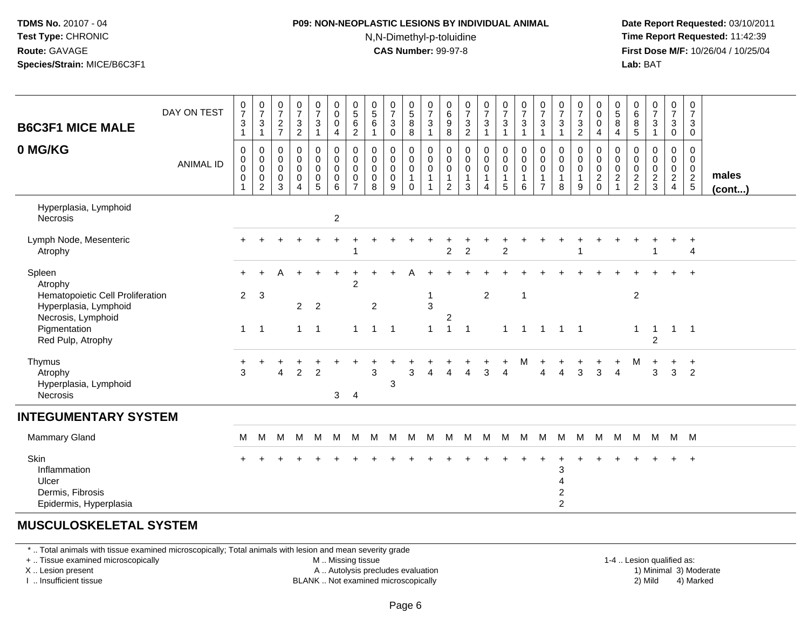#### **P09: NON-NEOPLASTIC LESIONS BY INDIVIDUAL ANIMAL**N,N-Dimethyl-p-toluidine

 **Date Report Requested:** 03/10/2011 **Time Report Requested:** 11:42:39 **First Dose M/F:** 10/26/04 / 10/25/04 Lab: BAT **Lab:** BAT

| <b>B6C3F1 MICE MALE</b>                                                          | DAY ON TEST      | $\frac{0}{7}$<br>$\sqrt{3}$<br>$\mathbf{1}$            | $\frac{0}{7}$<br>$\ensuremath{\mathsf{3}}$<br>$\mathbf{1}$      | 0<br>$\boldsymbol{7}$<br>$\sqrt{2}$<br>$\overline{7}$         | $\begin{smallmatrix}0\\7\end{smallmatrix}$<br>$\frac{3}{2}$ | $\frac{0}{7}$<br>$\mathbf{3}$<br>$\mathbf{1}$                                   | $\mathbf 0$<br>$\mathsf{O}\xspace$<br>$\mathbf 0$<br>4                   | $\begin{array}{c} 0 \\ 5 \\ 6 \end{array}$<br>$\overline{c}$           | 0<br>$\overline{5}$<br>6<br>$\mathbf{1}$                      | $\frac{0}{7}$<br>$\mathbf 3$<br>$\mathbf 0$                   | $\begin{smallmatrix}0\5\8\end{smallmatrix}$<br>8 | $\begin{array}{c} 0 \\ 7 \\ 3 \end{array}$<br>$\mathbf{1}$ | $\pmb{0}$<br>$\frac{6}{9}$<br>8                                         | 0<br>$\boldsymbol{7}$<br>$\mathbf{3}$<br>$\overline{c}$ | $\frac{0}{7}$<br>$\overline{3}$<br>$\overline{1}$                                       | $\frac{0}{7}$<br>$\mathbf 3$<br>$\mathbf{1}$         | $\frac{0}{7}$<br>$\ensuremath{\mathsf{3}}$<br>$\mathbf{1}$ | $\frac{0}{7}$<br>$\mathbf{3}$<br>$\mathbf{1}$         | $\frac{0}{7}$<br>$\mathbf{3}$<br>$\mathbf{1}$           | 0<br>$\overline{7}$<br>$\ensuremath{\mathsf{3}}$<br>$\overline{c}$ | 0<br>$\mathsf{O}\xspace$<br>$\mathbf 0$<br>$\overline{4}$ | 0<br>$\overline{5}$<br>8<br>$\overline{4}$                 | 0<br>$\,6\,$<br>8<br>$\overline{5}$              | $\frac{0}{7}$<br>$\sqrt{3}$<br>$\mathbf{1}$      | $\frac{0}{7}$<br>3<br>$\boldsymbol{0}$ | 0<br>$\overline{7}$<br>$\mathbf{3}$<br>$\pmb{0}$         |                       |
|----------------------------------------------------------------------------------|------------------|--------------------------------------------------------|-----------------------------------------------------------------|---------------------------------------------------------------|-------------------------------------------------------------|---------------------------------------------------------------------------------|--------------------------------------------------------------------------|------------------------------------------------------------------------|---------------------------------------------------------------|---------------------------------------------------------------|--------------------------------------------------|------------------------------------------------------------|-------------------------------------------------------------------------|---------------------------------------------------------|-----------------------------------------------------------------------------------------|------------------------------------------------------|------------------------------------------------------------|-------------------------------------------------------|---------------------------------------------------------|--------------------------------------------------------------------|-----------------------------------------------------------|------------------------------------------------------------|--------------------------------------------------|--------------------------------------------------|----------------------------------------|----------------------------------------------------------|-----------------------|
| 0 MG/KG                                                                          | <b>ANIMAL ID</b> | 0<br>$\begin{smallmatrix} 0\\0 \end{smallmatrix}$<br>0 | 0<br>$\pmb{0}$<br>$\overline{0}$<br>$\pmb{0}$<br>$\overline{2}$ | $\mathbf 0$<br>$\mathbf 0$<br>$\mathbf 0$<br>$\mathbf 0$<br>3 | $\mathbf 0$<br>$\pmb{0}$<br>$\pmb{0}$<br>$\mathbf 0$<br>4   | $\pmb{0}$<br>$\mathsf{O}$<br>$\ddot{\mathbf{0}}$<br>$\pmb{0}$<br>$\overline{5}$ | 0<br>$\mathsf{O}\xspace$<br>$\mathbf 0$<br>$\mathbf 0$<br>$6\phantom{1}$ | $\pmb{0}$<br>$\pmb{0}$<br>$\mathbf 0$<br>$\mathbf 0$<br>$\overline{7}$ | $\mathbf 0$<br>$\mathbf 0$<br>$\mathbf 0$<br>$\mathbf 0$<br>8 | $\mathbf 0$<br>$\mathbf 0$<br>$\mathbf 0$<br>$\mathbf 0$<br>9 | 0<br>0<br>$\mathbf 0$<br>1<br>$\Omega$           | $_{\rm 0}^{\rm 0}$<br>$\ddot{\mathbf{0}}$<br>$\mathbf{1}$  | 0<br>$\pmb{0}$<br>$\ddot{\mathbf{0}}$<br>$\mathbf{1}$<br>$\overline{2}$ | 0<br>0<br>0<br>3                                        | $\pmb{0}$<br>$\pmb{0}$<br>$\ddot{\mathbf{0}}$<br>$\mathbf{1}$<br>$\boldsymbol{\Lambda}$ | 0<br>$\mathbf 0$<br>$\mathbf 0$<br>$\mathbf{1}$<br>5 | 0<br>$\pmb{0}$<br>$\mathbf 0$<br>$\mathbf{1}$<br>6         | 0<br>$\pmb{0}$<br>0<br>$\mathbf{1}$<br>$\overline{7}$ | 0<br>0<br>$\mathbf 0$<br>$\mathbf{1}$<br>8              | 0<br>0<br>$\mathbf 0$<br>9                                         | 0<br>$\mathbf 0$<br>$\mathsf{O}\xspace$<br>$^2_{\rm 0}$   | $\mathbf 0$<br>$\mathbf 0$<br>$\mathbf 0$<br>$\frac{2}{1}$ | $\mathbf 0$<br>0<br>$\mathbf 0$<br>$\frac{2}{2}$ | $\mathbf 0$<br>0<br>$\mathbf 0$<br>$\frac{2}{3}$ | 0<br>0<br>$\mathbf 0$<br>$\frac{2}{4}$ | 0<br>$\mathbf 0$<br>$\mathsf{O}\xspace$<br>$\frac{2}{5}$ | males<br>$($ cont $)$ |
| Hyperplasia, Lymphoid<br>Necrosis                                                |                  |                                                        |                                                                 |                                                               |                                                             |                                                                                 | $\boldsymbol{2}$                                                         |                                                                        |                                                               |                                                               |                                                  |                                                            |                                                                         |                                                         |                                                                                         |                                                      |                                                            |                                                       |                                                         |                                                                    |                                                           |                                                            |                                                  |                                                  |                                        |                                                          |                       |
| Lymph Node, Mesenteric<br>Atrophy                                                |                  |                                                        |                                                                 |                                                               |                                                             |                                                                                 |                                                                          |                                                                        |                                                               |                                                               |                                                  |                                                            | $\overline{2}$                                                          | $\overline{c}$                                          |                                                                                         | $\overline{c}$                                       |                                                            |                                                       |                                                         |                                                                    |                                                           |                                                            |                                                  |                                                  |                                        | $\ddot{}$<br>$\overline{4}$                              |                       |
| Spleen<br>Atrophy<br>Hematopoietic Cell Proliferation                            |                  | $\overline{2}$                                         | 3                                                               | А                                                             |                                                             | $\ddot{}$                                                                       | $\ddot{}$                                                                | $\overline{ }$<br>$\overline{2}$                                       |                                                               |                                                               |                                                  |                                                            |                                                                         |                                                         | $\overline{c}$                                                                          |                                                      | $\overline{1}$                                             |                                                       |                                                         |                                                                    |                                                           |                                                            | $\overline{c}$                                   |                                                  |                                        |                                                          |                       |
| Hyperplasia, Lymphoid<br>Necrosis, Lymphoid<br>Pigmentation<br>Red Pulp, Atrophy |                  | $\mathbf{1}$                                           | $\overline{1}$                                                  |                                                               | 2 <sup>7</sup><br>$\mathbf{1}$                              | $\overline{2}$<br>$\overline{1}$                                                |                                                                          |                                                                        | $\overline{c}$<br>$\overline{1}$                              | $\overline{1}$                                                |                                                  | 3<br>$\mathbf{1}$                                          | 2<br>$\mathbf{1}$                                                       | $\overline{1}$                                          |                                                                                         | $\mathbf 1$                                          | $\mathbf{1}$                                               | $\mathbf{1}$                                          | $1 \quad 1$                                             |                                                                    |                                                           |                                                            | $\mathbf{1}$                                     | -1<br>2                                          | $\mathbf{1}$                           | $\overline{\phantom{0}}$ 1                               |                       |
| Thymus<br>Atrophy<br>Hyperplasia, Lymphoid<br><b>Necrosis</b>                    |                  | +<br>3                                                 |                                                                 | ٠<br>$\overline{A}$                                           | $\overline{2}$                                              | $\ddot{}$<br>$\overline{2}$                                                     | 3                                                                        | $\overline{4}$                                                         | 3                                                             | 3                                                             | 3                                                | Δ                                                          | $\Delta$                                                                |                                                         | 3                                                                                       | +<br>$\overline{4}$                                  | M                                                          | ÷<br>$\boldsymbol{\Lambda}$                           | Δ                                                       | $\mathbf +$<br>3                                                   | +<br>3                                                    | +<br>$\overline{4}$                                        | Μ                                                | $\ddot{}$<br>3                                   | $\ddot{}$<br>$\mathbf{3}$              | $+$<br>$\overline{2}$                                    |                       |
| <b>INTEGUMENTARY SYSTEM</b>                                                      |                  |                                                        |                                                                 |                                                               |                                                             |                                                                                 |                                                                          |                                                                        |                                                               |                                                               |                                                  |                                                            |                                                                         |                                                         |                                                                                         |                                                      |                                                            |                                                       |                                                         |                                                                    |                                                           |                                                            |                                                  |                                                  |                                        |                                                          |                       |
| <b>Mammary Gland</b>                                                             |                  | м                                                      | м                                                               | M                                                             | M                                                           | M                                                                               | M                                                                        | м                                                                      | M                                                             | м                                                             | М                                                | M                                                          | M                                                                       | м                                                       | м                                                                                       | м                                                    | M                                                          | M                                                     | M                                                       | M                                                                  | M                                                         | м                                                          | M                                                | M                                                | M                                      | <b>M</b>                                                 |                       |
| Skin<br>Inflammation<br>Ulcer<br>Dermis, Fibrosis<br>Epidermis, Hyperplasia      |                  |                                                        |                                                                 |                                                               |                                                             |                                                                                 |                                                                          |                                                                        |                                                               |                                                               |                                                  |                                                            |                                                                         |                                                         |                                                                                         |                                                      |                                                            |                                                       | 3<br>$\overline{4}$<br>$\overline{c}$<br>$\overline{2}$ |                                                                    |                                                           |                                                            |                                                  |                                                  |                                        | $\ddot{}$                                                |                       |

#### **MUSCULOSKELETAL SYSTEM**

\* .. Total animals with tissue examined microscopically; Total animals with lesion and mean severity grade

+ .. Tissue examined microscopically

X .. Lesion present

I .. Insufficient tissue

M .. Missing tissue

A .. Autolysis precludes evaluation

BLANK .. Not examined microscopically 2) Mild 4) Marked

1-4 .. Lesion qualified as: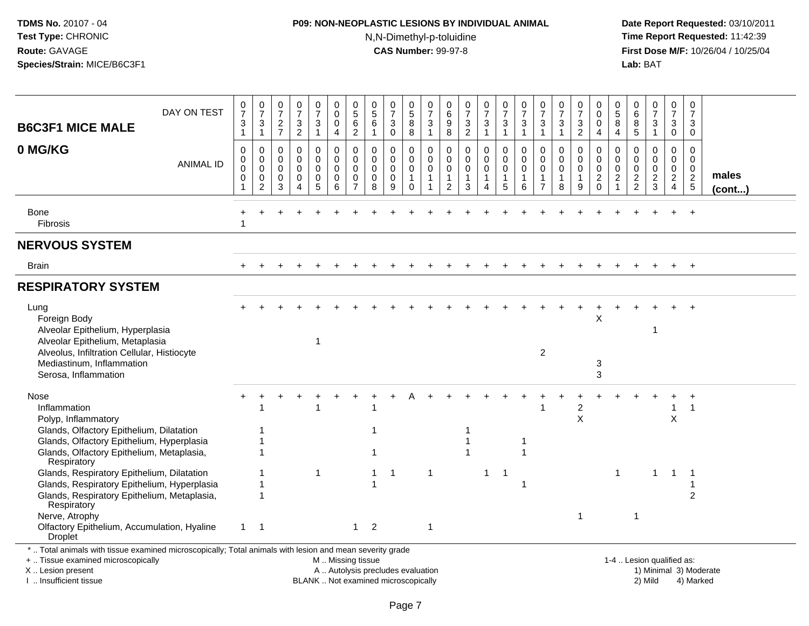## **P09: NON-NEOPLASTIC LESIONS BY INDIVIDUAL ANIMAL**N,N-Dimethyl-p-toluidine

 **Date Report Requested:** 03/10/2011 **Time Report Requested:** 11:42:39 **First Dose M/F:** 10/26/04 / 10/25/04<br>**Lab:** BAT **Lab:** BAT

| <b>B6C3F1 MICE MALE</b>                                                                                                                                                                                                                                                                                                                                                                                                                 | DAY ON TEST      | 0<br>$\overline{7}$<br>$\sqrt{3}$<br>$\mathbf{1}$ | $\frac{0}{7}$<br>$\ensuremath{\mathsf{3}}$<br>$\mathbf{1}$                 | $\frac{0}{7}$<br>$\overline{c}$<br>$\overline{7}$   | $\frac{0}{7}$<br>3<br>$\overline{a}$                | $\frac{0}{7}$<br>$\sqrt{3}$<br>$\mathbf{1}$                    | 0<br>$\mathbf 0$<br>$\mathbf 0$<br>$\overline{4}$             | 0<br>$\overline{5}$<br>6<br>$\overline{c}$                                 | $\begin{array}{c} 0 \\ 5 \end{array}$<br>$\,6\,$<br>$\mathbf{1}$ | $\frac{0}{7}$<br>3<br>$\mathbf 0$                   | $\begin{array}{c} 0 \\ 5 \end{array}$<br>$\bf 8$<br>8                       | 0<br>$\overline{7}$<br>$\ensuremath{\mathsf{3}}$<br>$\mathbf{1}$          | 0<br>$\,6$<br>$\boldsymbol{9}$<br>8                              | $\frac{0}{7}$<br>$\frac{3}{2}$                               | $\frac{0}{7}$<br>$\ensuremath{\mathsf{3}}$<br>$\mathbf{1}$ | $\frac{0}{7}$<br>3<br>$\mathbf{1}$                             | $\frac{0}{7}$<br>$\ensuremath{\mathsf{3}}$<br>$\mathbf{1}$ | 0<br>$\overline{7}$<br>$\sqrt{3}$<br>$\mathbf{1}$       | $\frac{0}{7}$<br>3<br>$\mathbf{1}$   | 0<br>$\overline{7}$<br>3<br>$\overline{2}$                     | 0<br>$\mathbf 0$<br>$\mathbf 0$<br>$\overline{4}$               | 0<br>$\sqrt{5}$<br>8<br>$\overline{4}$                                      | 0<br>6<br>8<br>5                                 | $\frac{0}{7}$<br>3<br>$\mathbf{1}$               | 0<br>$\overline{7}$<br>$\mathsf 3$<br>$\mathbf 0$           | 0<br>$\overline{7}$<br>3<br>$\mathbf 0$                            |                        |
|-----------------------------------------------------------------------------------------------------------------------------------------------------------------------------------------------------------------------------------------------------------------------------------------------------------------------------------------------------------------------------------------------------------------------------------------|------------------|---------------------------------------------------|----------------------------------------------------------------------------|-----------------------------------------------------|-----------------------------------------------------|----------------------------------------------------------------|---------------------------------------------------------------|----------------------------------------------------------------------------|------------------------------------------------------------------|-----------------------------------------------------|-----------------------------------------------------------------------------|---------------------------------------------------------------------------|------------------------------------------------------------------|--------------------------------------------------------------|------------------------------------------------------------|----------------------------------------------------------------|------------------------------------------------------------|---------------------------------------------------------|--------------------------------------|----------------------------------------------------------------|-----------------------------------------------------------------|-----------------------------------------------------------------------------|--------------------------------------------------|--------------------------------------------------|-------------------------------------------------------------|--------------------------------------------------------------------|------------------------|
| 0 MG/KG                                                                                                                                                                                                                                                                                                                                                                                                                                 | <b>ANIMAL ID</b> | $\Omega$<br>0<br>$\Omega$<br>$\mathbf 0$<br>1     | $\mathbf 0$<br>$\mathbf 0$<br>$\mathbf 0$<br>$\mathbf 0$<br>$\overline{2}$ | $\mathbf 0$<br>$\mathbf 0$<br>0<br>$\mathbf 0$<br>3 | $\mathbf 0$<br>$\mathbf 0$<br>$\mathbf 0$<br>0<br>4 | 0<br>$\mathbf 0$<br>$\mathsf 0$<br>$\pmb{0}$<br>$\overline{5}$ | $\mathbf 0$<br>$\mathbf 0$<br>$\mathbf 0$<br>$\mathbf 0$<br>6 | $\mathbf 0$<br>$\mathbf 0$<br>$\mathbf 0$<br>$\mathbf 0$<br>$\overline{7}$ | $\mathbf 0$<br>$\mathbf 0$<br>$\mathbf 0$<br>$\mathbf 0$<br>8    | 0<br>$\mathbf 0$<br>$\mathbf 0$<br>$\mathbf 0$<br>9 | $\mathbf 0$<br>$\mathsf{O}\xspace$<br>$\pmb{0}$<br>$\mathbf{1}$<br>$\Omega$ | $\mathsf{O}\xspace$<br>$\mathbf 0$<br>$\mathsf{O}\xspace$<br>$\mathbf{1}$ | $\mathbf 0$<br>$\mathbf 0$<br>0<br>$\mathbf 1$<br>$\overline{c}$ | $\mathbf 0$<br>$\mathbf 0$<br>$\pmb{0}$<br>$\mathbf{1}$<br>3 | 0<br>$\mathbf{0}$<br>$\mathbf 0$<br>$\mathbf{1}$<br>4      | $\mathbf 0$<br>$\mathbf 0$<br>$\mathbf 0$<br>$\mathbf{1}$<br>5 | $\mathbf 0$<br>$\mathbf 0$<br>0<br>1<br>6                  | $\Omega$<br>$\Omega$<br>$\Omega$<br>1<br>$\overline{7}$ | $\Omega$<br>0<br>$\pmb{0}$<br>1<br>8 | $\mathbf 0$<br>$\mathbf 0$<br>$\mathbf 0$<br>$\mathbf{1}$<br>9 | $\mathbf 0$<br>$\mathbf 0$<br>$\boldsymbol{0}$<br>$\frac{2}{0}$ | $\mathbf 0$<br>$\mathbf 0$<br>$\mathbf 0$<br>$\overline{c}$<br>$\mathbf{1}$ | $\mathbf 0$<br>$\mathbf 0$<br>0<br>$\frac{2}{2}$ | $\mathbf 0$<br>$\mathbf 0$<br>0<br>$\frac{2}{3}$ | $\mathbf 0$<br>$\mathsf{O}$<br>$\mathsf 0$<br>$\frac{2}{4}$ | $\mathbf 0$<br>$\mathbf 0$<br>$\mathsf{O}\xspace$<br>$\frac{2}{5}$ | males<br>$($ cont $)$  |
| Bone<br>Fibrosis                                                                                                                                                                                                                                                                                                                                                                                                                        |                  | 1                                                 |                                                                            |                                                     |                                                     |                                                                |                                                               |                                                                            |                                                                  |                                                     |                                                                             |                                                                           |                                                                  |                                                              |                                                            |                                                                |                                                            |                                                         |                                      |                                                                |                                                                 |                                                                             |                                                  |                                                  |                                                             | $\ddot{}$                                                          |                        |
| <b>NERVOUS SYSTEM</b>                                                                                                                                                                                                                                                                                                                                                                                                                   |                  |                                                   |                                                                            |                                                     |                                                     |                                                                |                                                               |                                                                            |                                                                  |                                                     |                                                                             |                                                                           |                                                                  |                                                              |                                                            |                                                                |                                                            |                                                         |                                      |                                                                |                                                                 |                                                                             |                                                  |                                                  |                                                             |                                                                    |                        |
| <b>Brain</b>                                                                                                                                                                                                                                                                                                                                                                                                                            |                  | $+$                                               |                                                                            |                                                     |                                                     |                                                                |                                                               |                                                                            |                                                                  |                                                     |                                                                             |                                                                           |                                                                  |                                                              |                                                            |                                                                |                                                            |                                                         |                                      | $\ddot{}$                                                      |                                                                 |                                                                             |                                                  | $\ddot{}$                                        | $+$                                                         | $+$                                                                |                        |
| <b>RESPIRATORY SYSTEM</b>                                                                                                                                                                                                                                                                                                                                                                                                               |                  |                                                   |                                                                            |                                                     |                                                     |                                                                |                                                               |                                                                            |                                                                  |                                                     |                                                                             |                                                                           |                                                                  |                                                              |                                                            |                                                                |                                                            |                                                         |                                      |                                                                |                                                                 |                                                                             |                                                  |                                                  |                                                             |                                                                    |                        |
| Lung<br>Foreign Body<br>Alveolar Epithelium, Hyperplasia<br>Alveolar Epithelium, Metaplasia<br>Alveolus, Infiltration Cellular, Histiocyte<br>Mediastinum, Inflammation<br>Serosa, Inflammation                                                                                                                                                                                                                                         |                  |                                                   |                                                                            |                                                     |                                                     |                                                                |                                                               |                                                                            |                                                                  |                                                     |                                                                             |                                                                           |                                                                  |                                                              |                                                            |                                                                |                                                            | $\overline{c}$                                          |                                      |                                                                | X<br>3<br>3                                                     |                                                                             |                                                  | 1                                                |                                                             |                                                                    |                        |
| Nose<br>Inflammation<br>Polyp, Inflammatory<br>Glands, Olfactory Epithelium, Dilatation<br>Glands, Olfactory Epithelium, Hyperplasia<br>Glands, Olfactory Epithelium, Metaplasia,<br>Respiratory<br>Glands, Respiratory Epithelium, Dilatation<br>Glands, Respiratory Epithelium, Hyperplasia<br>Glands, Respiratory Epithelium, Metaplasia,<br>Respiratory<br>Nerve, Atrophy<br>Olfactory Epithelium, Accumulation, Hyaline<br>Droplet |                  | $\mathbf{1}$                                      | -1<br>1<br>$\mathbf{1}$<br>$\mathbf{1}$<br>1<br>1<br>$\overline{1}$        |                                                     |                                                     | $\mathbf 1$                                                    |                                                               | $1 \quad 2$                                                                | $\mathbf{1}$                                                     | $\overline{1}$                                      |                                                                             | $\mathbf{1}$<br>$\mathbf{1}$                                              |                                                                  |                                                              | $\mathbf{1}$                                               | $\overline{1}$                                                 | 1<br>$\mathbf{1}$<br>$\mathbf{1}$                          |                                                         |                                      | $\overline{c}$<br>$\pmb{\times}$<br>$\mathbf{1}$               |                                                                 | $\mathbf{1}$                                                                | 1                                                | $\mathbf 1$                                      | 1<br>X<br>$\mathbf{1}$                                      | $\overline{1}$<br>-1<br>2                                          |                        |
| *  Total animals with tissue examined microscopically; Total animals with lesion and mean severity grade<br>+  Tissue examined microscopically<br>X  Lesion present                                                                                                                                                                                                                                                                     |                  |                                                   |                                                                            |                                                     |                                                     |                                                                | M  Missing tissue<br>A  Autolysis precludes evaluation        |                                                                            |                                                                  |                                                     |                                                                             |                                                                           |                                                                  |                                                              |                                                            |                                                                |                                                            |                                                         |                                      |                                                                |                                                                 |                                                                             | 1-4  Lesion qualified as:                        |                                                  |                                                             |                                                                    | 1) Minimal 3) Moderate |

I .. Insufficient tissue

BLANK .. Not examined microscopically 2) Mild 4) Marked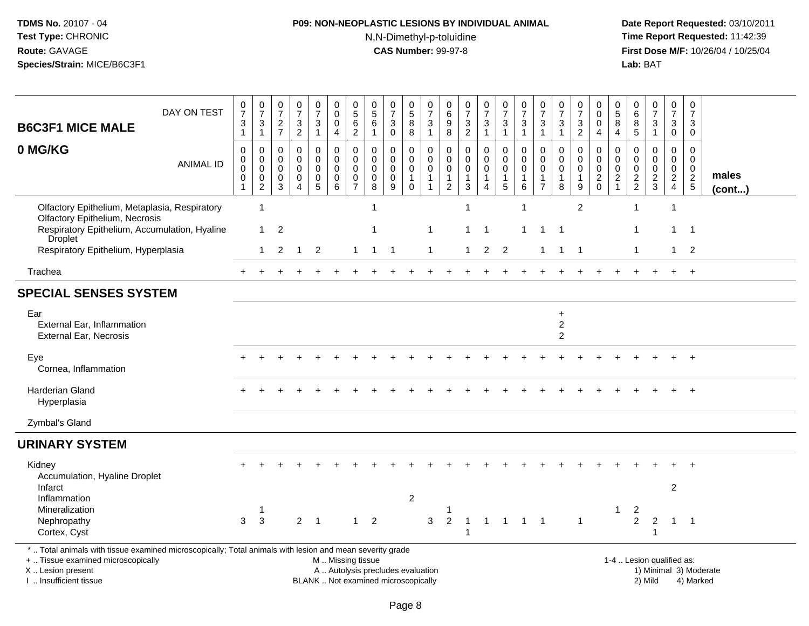## **P09: NON-NEOPLASTIC LESIONS BY INDIVIDUAL ANIMAL**N,N-Dimethyl-p-toluidine

| DAY ON TEST<br><b>B6C3F1 MICE MALE</b>                                                                                                                                                        | $\frac{0}{7}$<br>$\frac{3}{1}$                                     | $\begin{array}{c} 0 \\ 7 \end{array}$<br>$\mathbf{3}$<br>$\mathbf{1}$ | $\begin{array}{c} 0 \\ 7 \end{array}$<br>$\frac{2}{7}$       | $\frac{0}{7}$<br>$\frac{3}{2}$                                               | $\begin{smallmatrix}0\\7\end{smallmatrix}$<br>$\frac{3}{1}$                | 0<br>$\mathbf 0$<br>0<br>$\overline{4}$                                                       | $\begin{array}{c} 0 \\ 5 \end{array}$<br>$\,6$<br>$\sqrt{2}$    | $\begin{matrix}0\\5\end{matrix}$<br>6<br>$\mathbf{1}$                         | $\frac{0}{7}$<br>3<br>$\mathbf 0$                                     | $\begin{array}{c} 0 \\ 5 \end{array}$<br>8<br>$\overline{8}$              | $\frac{0}{7}$<br>$\ensuremath{\mathsf{3}}$<br>$\mathbf{1}$              | $\begin{matrix} 0 \\ 6 \end{matrix}$<br>$\boldsymbol{9}$<br>8 | $\frac{0}{7}$<br>$\frac{3}{2}$                                                  | $\frac{0}{7}$<br>$\sqrt{3}$<br>$\mathbf{1}$          | $\frac{0}{7}$<br>3<br>$\mathbf{1}$        | $\frac{0}{7}$<br>$\ensuremath{\mathsf{3}}$<br>$\mathbf{1}$ | $\frac{0}{7}$<br>$\ensuremath{\mathsf{3}}$<br>$\overline{1}$          | $\frac{0}{7}$<br>$\ensuremath{\mathsf{3}}$<br>$\mathbf{1}$     | $\mathbf 0$<br>$\overline{7}$<br>$\mathsf 3$<br>$\overline{2}$ | 0<br>$\mathbf 0$<br>$\boldsymbol{0}$<br>$\overline{4}$ | $\begin{array}{c} 0 \\ 5 \end{array}$<br>8<br>$\overline{4}$ | 0<br>$\,6\,$<br>$\bf 8$<br>5                                 | $\frac{0}{7}$<br>$\mathbf{3}$<br>$\mathbf{1}$  | $\pmb{0}$<br>$\overline{7}$<br>$\mathbf{3}$<br>$\mathbf 0$ | $\pmb{0}$<br>$\overline{7}$<br>3<br>$\mathbf 0$               |                        |
|-----------------------------------------------------------------------------------------------------------------------------------------------------------------------------------------------|--------------------------------------------------------------------|-----------------------------------------------------------------------|--------------------------------------------------------------|------------------------------------------------------------------------------|----------------------------------------------------------------------------|-----------------------------------------------------------------------------------------------|-----------------------------------------------------------------|-------------------------------------------------------------------------------|-----------------------------------------------------------------------|---------------------------------------------------------------------------|-------------------------------------------------------------------------|---------------------------------------------------------------|---------------------------------------------------------------------------------|------------------------------------------------------|-------------------------------------------|------------------------------------------------------------|-----------------------------------------------------------------------|----------------------------------------------------------------|----------------------------------------------------------------|--------------------------------------------------------|--------------------------------------------------------------|--------------------------------------------------------------|------------------------------------------------|------------------------------------------------------------|---------------------------------------------------------------|------------------------|
| 0 MG/KG<br><b>ANIMAL ID</b>                                                                                                                                                                   | $\pmb{0}$<br>$\pmb{0}$<br>$\pmb{0}$<br>$\pmb{0}$<br>$\overline{1}$ | $\mathbf 0$<br>$\mathbf 0$<br>$\pmb{0}$<br>0<br>$\overline{2}$        | $\pmb{0}$<br>$\mathbf 0$<br>0<br>$\pmb{0}$<br>$\overline{3}$ | $\pmb{0}$<br>$\pmb{0}$<br>$\mathbf 0$<br>$\pmb{0}$<br>$\boldsymbol{\Lambda}$ | $\mathbf 0$<br>$\mathbf 0$<br>$\mathbf 0$<br>$\mathbf 0$<br>$\overline{5}$ | $\pmb{0}$<br>$\mathbf 0$<br>$\mathbf 0$<br>$\pmb{0}$<br>$6\phantom{1}$                        | 0<br>$\mathbf 0$<br>$\mathbf{0}$<br>$\pmb{0}$<br>$\overline{7}$ | $\pmb{0}$<br>$\mathbf 0$<br>$\mathbf 0$<br>$\boldsymbol{0}$<br>$\overline{8}$ | 0<br>$\Omega$<br>$\mathsf{O}\xspace$<br>$\mathbf 0$<br>$\overline{9}$ | $\pmb{0}$<br>$\mathbf 0$<br>$\mathbf 0$<br>$\mathbf{1}$<br>$\overline{0}$ | $\mathbf 0$<br>$\pmb{0}$<br>$\pmb{0}$<br>$\mathbf{1}$<br>$\overline{1}$ | 0<br>$\mathbf 0$<br>0<br>$\mathbf{1}$<br>$\overline{2}$       | $\pmb{0}$<br>$\mathsf{O}\xspace$<br>$\mathbf 0$<br>$\mathbf{1}$<br>$\mathbf{3}$ | 0<br>$\mathbf 0$<br>$\mathbf 0$<br>$\mathbf{1}$<br>4 | 0<br>$\mathbf 0$<br>$\mathbf 0$<br>1<br>5 | 0<br>$\mathbf 0$<br>$\mathbf 0$<br>1<br>6                  | $\mathbf 0$<br>$\Omega$<br>$\Omega$<br>$\mathbf{1}$<br>$\overline{7}$ | $\mathbf 0$<br>$\mathbf 0$<br>$\mathbf 0$<br>$\mathbf{1}$<br>8 | $\mathbf 0$<br>$\mathbf 0$<br>$\Omega$<br>$\mathbf{1}$<br>9    | $\mathbf 0$<br>$\pmb{0}$<br>$\,0\,$<br>$\frac{2}{0}$   | $\mathbf 0$<br>$\Omega$<br>$\mathbf{0}$<br>$\frac{2}{1}$     | $\mathbf 0$<br>$\Omega$<br>$\boldsymbol{0}$<br>$\frac{2}{2}$ | 0<br>$\mathbf 0$<br>$\pmb{0}$<br>$\frac{2}{3}$ | 0<br>$\mathbf 0$<br>$\mathbf 0$<br>$\frac{2}{4}$           | $\mathbf 0$<br>$\mathbf 0$<br>$\Omega$<br>$\overline{c}$<br>5 | males<br>$($ cont $)$  |
| Olfactory Epithelium, Metaplasia, Respiratory<br><b>Olfactory Epithelium, Necrosis</b><br>Respiratory Epithelium, Accumulation, Hyaline                                                       |                                                                    | $\overline{1}$<br>$\mathbf{1}$                                        | $\overline{2}$                                               |                                                                              |                                                                            |                                                                                               |                                                                 | $\mathbf{1}$<br>1                                                             |                                                                       |                                                                           | $\mathbf 1$                                                             |                                                               | $\overline{1}$<br>$\overline{1}$                                                | $\mathbf{1}$                                         |                                           | $\mathbf{1}$<br>1                                          | -1                                                                    | -1                                                             | $\overline{c}$                                                 |                                                        |                                                              | $\mathbf{1}$<br>1                                            |                                                | $\overline{1}$<br>1                                        | $\mathbf{1}$                                                  |                        |
| Droplet<br>Respiratory Epithelium, Hyperplasia                                                                                                                                                |                                                                    | $\mathbf{1}$                                                          | $\overline{2}$                                               | -1                                                                           | $\overline{2}$                                                             |                                                                                               | 1                                                               | $\overline{1}$                                                                | $\overline{\phantom{0}}$ 1                                            |                                                                           | $\mathbf{1}$                                                            |                                                               | $\overline{1}$                                                                  | $\overline{2}$                                       | $\overline{2}$                            |                                                            |                                                                       | $\overline{1}$                                                 | - 1                                                            |                                                        |                                                              | $\mathbf{1}$                                                 |                                                |                                                            | $1 \quad 2$                                                   |                        |
| Trachea                                                                                                                                                                                       |                                                                    |                                                                       |                                                              |                                                                              |                                                                            |                                                                                               |                                                                 |                                                                               |                                                                       |                                                                           |                                                                         |                                                               |                                                                                 |                                                      |                                           |                                                            |                                                                       |                                                                |                                                                |                                                        |                                                              |                                                              |                                                | $+$                                                        | $+$                                                           |                        |
| <b>SPECIAL SENSES SYSTEM</b>                                                                                                                                                                  |                                                                    |                                                                       |                                                              |                                                                              |                                                                            |                                                                                               |                                                                 |                                                                               |                                                                       |                                                                           |                                                                         |                                                               |                                                                                 |                                                      |                                           |                                                            |                                                                       |                                                                |                                                                |                                                        |                                                              |                                                              |                                                |                                                            |                                                               |                        |
| Ear<br><b>External Ear, Inflammation</b><br><b>External Ear, Necrosis</b>                                                                                                                     |                                                                    |                                                                       |                                                              |                                                                              |                                                                            |                                                                                               |                                                                 |                                                                               |                                                                       |                                                                           |                                                                         |                                                               |                                                                                 |                                                      |                                           |                                                            |                                                                       | $\ddot{}$<br>$\overline{c}$<br>2                               |                                                                |                                                        |                                                              |                                                              |                                                |                                                            |                                                               |                        |
| Eye<br>Cornea, Inflammation                                                                                                                                                                   |                                                                    |                                                                       |                                                              |                                                                              |                                                                            |                                                                                               |                                                                 |                                                                               |                                                                       |                                                                           |                                                                         |                                                               |                                                                                 |                                                      |                                           |                                                            |                                                                       |                                                                |                                                                |                                                        |                                                              |                                                              |                                                |                                                            | $+$                                                           |                        |
| Harderian Gland<br>Hyperplasia                                                                                                                                                                |                                                                    |                                                                       |                                                              |                                                                              |                                                                            |                                                                                               |                                                                 |                                                                               |                                                                       |                                                                           |                                                                         |                                                               |                                                                                 |                                                      |                                           |                                                            |                                                                       |                                                                |                                                                |                                                        |                                                              |                                                              |                                                |                                                            | $\ddot{+}$                                                    |                        |
| Zymbal's Gland                                                                                                                                                                                |                                                                    |                                                                       |                                                              |                                                                              |                                                                            |                                                                                               |                                                                 |                                                                               |                                                                       |                                                                           |                                                                         |                                                               |                                                                                 |                                                      |                                           |                                                            |                                                                       |                                                                |                                                                |                                                        |                                                              |                                                              |                                                |                                                            |                                                               |                        |
| <b>URINARY SYSTEM</b>                                                                                                                                                                         |                                                                    |                                                                       |                                                              |                                                                              |                                                                            |                                                                                               |                                                                 |                                                                               |                                                                       |                                                                           |                                                                         |                                                               |                                                                                 |                                                      |                                           |                                                            |                                                                       |                                                                |                                                                |                                                        |                                                              |                                                              |                                                |                                                            |                                                               |                        |
| Kidney<br>Accumulation, Hyaline Droplet                                                                                                                                                       |                                                                    |                                                                       |                                                              |                                                                              |                                                                            |                                                                                               |                                                                 |                                                                               |                                                                       |                                                                           |                                                                         |                                                               |                                                                                 |                                                      |                                           |                                                            |                                                                       |                                                                |                                                                |                                                        |                                                              |                                                              |                                                |                                                            |                                                               |                        |
| Infarct<br>Inflammation<br>Mineralization<br>Nephropathy<br>Cortex, Cyst                                                                                                                      | 3                                                                  | -1<br>3                                                               |                                                              | $\overline{2}$                                                               | $\overline{\phantom{0}}$                                                   |                                                                                               | $\mathbf{1}$                                                    | $\overline{2}$                                                                |                                                                       | $\overline{2}$                                                            | 3                                                                       | 2                                                             | $\overline{1}$<br>$\overline{1}$                                                | $\mathbf{1}$                                         | $\overline{1}$                            | $\mathbf{1}$                                               | $\overline{1}$                                                        |                                                                | $\mathbf{1}$                                                   |                                                        | 1                                                            | 2<br>$\overline{c}$                                          | $\overline{c}$<br>$\mathbf{1}$                 | 2<br>$\mathbf{1}$                                          | $\overline{1}$                                                |                        |
| *  Total animals with tissue examined microscopically; Total animals with lesion and mean severity grade<br>+  Tissue examined microscopically<br>X  Lesion present<br>I  Insufficient tissue |                                                                    |                                                                       |                                                              |                                                                              |                                                                            | M  Missing tissue<br>A  Autolysis precludes evaluation<br>BLANK  Not examined microscopically |                                                                 |                                                                               |                                                                       |                                                                           |                                                                         |                                                               |                                                                                 |                                                      |                                           |                                                            |                                                                       |                                                                |                                                                |                                                        |                                                              |                                                              | 1-4  Lesion qualified as:<br>2) Mild           |                                                            | 4) Marked                                                     | 1) Minimal 3) Moderate |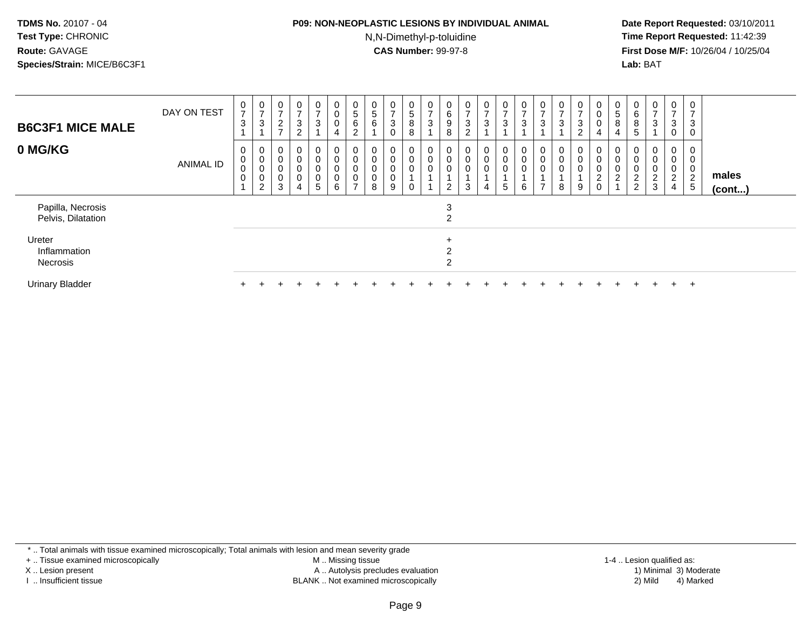# **P09: NON-NEOPLASTIC LESIONS BY INDIVIDUAL ANIMAL**

N,N-Dimethyl-p-toluidine

 **Date Report Requested:** 03/10/2011 **Time Report Requested:** 11:42:39 **First Dose M/F:** 10/26/04 / 10/25/04 Lab: BAT **Lab:** BAT

| <b>B6C3F1 MICE MALE</b>                 | DAY ON TEST      | 0<br>$\overline{ }$<br>3           | 0<br>$\rightarrow$<br>3 | 0<br>$\rightarrow$<br>$\frac{2}{7}$               | 0<br>-<br>$\ensuremath{\mathsf{3}}$<br>$\Omega$<br>∠ | 0<br>$\rightarrow$<br>$\sqrt{3}$    | 0<br>$\pmb{0}$<br>$\pmb{0}$                                  | 0<br>$\sqrt{5}$<br>6<br>$\overline{c}$                | 0<br>5<br>$\,6\,$                                       | $\mathbf 0$<br>3<br>0           | 0<br>$\sqrt{5}$<br>8<br>8 | 0<br>$\rightarrow$<br>$\sqrt{3}$ | $\mathbf 0$<br>6<br>9<br>8         | 0<br>$\overline{ }$<br>$\ensuremath{\mathsf{3}}$<br>$\Omega$ | $\frac{0}{7}$<br>$\ensuremath{\mathsf{3}}$    | 0<br>$\overline{7}$<br>$\sqrt{3}$                   | 0<br>$\overline{ }$<br>3           | $\mathbf 0$<br>$\overline{ }$<br>$\ensuremath{\mathsf{3}}$ | 0<br>$\overline{ }$<br>3 | $\frac{0}{7}$<br>$\frac{3}{2}$ | 0<br>$\pmb{0}$<br>$\pmb{0}$                                  | $\theta$<br>$\,$ 5 $\,$<br>$\bf 8$<br>$\overline{4}$ | $\mathbf{0}$<br>$\,6\,$<br>$\,8\,$<br>5                           | $\mathbf{0}$<br>$\overline{ }$<br>3 | 0<br>$\overline{7}$<br>$\mathbf{3}$<br>$\mathbf 0$                    | 0<br>3                |                 |
|-----------------------------------------|------------------|------------------------------------|-------------------------|---------------------------------------------------|------------------------------------------------------|-------------------------------------|--------------------------------------------------------------|-------------------------------------------------------|---------------------------------------------------------|---------------------------------|---------------------------|----------------------------------|------------------------------------|--------------------------------------------------------------|-----------------------------------------------|-----------------------------------------------------|------------------------------------|------------------------------------------------------------|--------------------------|--------------------------------|--------------------------------------------------------------|------------------------------------------------------|-------------------------------------------------------------------|-------------------------------------|-----------------------------------------------------------------------|-----------------------|-----------------|
| 0 MG/KG                                 | <b>ANIMAL ID</b> | 0<br>$\mathbf 0$<br>0<br>$\pmb{0}$ | 0<br>0<br>0<br>2        | 0<br>$\pmb{0}$<br>$\mathbf 0$<br>$\mathbf 0$<br>3 | 0<br>0<br>$\boldsymbol{0}$<br>0<br>4                 | 0<br>0<br>0<br>0<br>$5\overline{)}$ | $\boldsymbol{0}$<br>$\pmb{0}$<br>$\pmb{0}$<br>$\pmb{0}$<br>6 | $\pmb{0}$<br>$\pmb{0}$<br>$\pmb{0}$<br>$\overline{ }$ | $\mathbf 0$<br>$\pmb{0}$<br>$\pmb{0}$<br>$\pmb{0}$<br>8 | $\mathbf 0$<br>0<br>0<br>0<br>9 | 0<br>0<br>0               | $\overline{0}$<br>0<br>0         | $\mathbf 0$<br>0<br>$\overline{2}$ | 0<br>$\pmb{0}$<br>$\mathbf 0$<br>$\mathbf{3}$                | $\overline{0}$<br>$\pmb{0}$<br>$\pmb{0}$<br>4 | $\mathbf 0$<br>$\pmb{0}$<br>$\pmb{0}$<br>$\sqrt{5}$ | 0<br>$\pmb{0}$<br>$\mathbf 0$<br>6 | $\pmb{0}$<br>$\mathbf 0$<br>$\overline{ }$                 | 0<br>0<br>8              | 0<br>$\mathsf 0$<br>0<br>9     | 0<br>$\pmb{0}$<br>$\mathbf 0$<br>$\overline{2}$<br>$\pmb{0}$ | $\pmb{0}$<br>0<br>$\overline{c}$                     | 0<br>$\pmb{0}$<br>$\pmb{0}$<br>$\boldsymbol{2}$<br>$\overline{2}$ | 0<br>0<br>0<br>$\frac{2}{3}$        | $\mathbf 0$<br>$\pmb{0}$<br>$\pmb{0}$<br>$\sqrt{2}$<br>$\overline{4}$ | 0<br>0<br>0<br>2<br>5 | males<br>(cont) |
| Papilla, Necrosis<br>Pelvis, Dilatation |                  |                                    |                         |                                                   |                                                      |                                     |                                                              |                                                       |                                                         |                                 |                           |                                  | 3<br>2                             |                                                              |                                               |                                                     |                                    |                                                            |                          |                                |                                                              |                                                      |                                                                   |                                     |                                                                       |                       |                 |
| Ureter<br>Inflammation<br>Necrosis      |                  |                                    |                         |                                                   |                                                      |                                     |                                                              |                                                       |                                                         |                                 |                           |                                  | $\ddot{}$<br>2                     |                                                              |                                               |                                                     |                                    |                                                            |                          |                                |                                                              |                                                      |                                                                   |                                     |                                                                       |                       |                 |
| <b>Urinary Bladder</b>                  |                  |                                    |                         |                                                   |                                                      |                                     |                                                              |                                                       |                                                         |                                 |                           |                                  |                                    |                                                              |                                               |                                                     |                                    |                                                            |                          |                                |                                                              |                                                      |                                                                   | $\div$                              | $+$                                                                   | $\overline{ }$        |                 |

\* .. Total animals with tissue examined microscopically; Total animals with lesion and mean severity grade

+ .. Tissue examined microscopically

X .. Lesion present

I .. Insufficient tissue

 M .. Missing tissueA .. Autolysis precludes evaluation

BLANK .. Not examined microscopically 2) Mild 4) Marked

1-4 .. Lesion qualified as:<br>1) Minimal 3) Moderate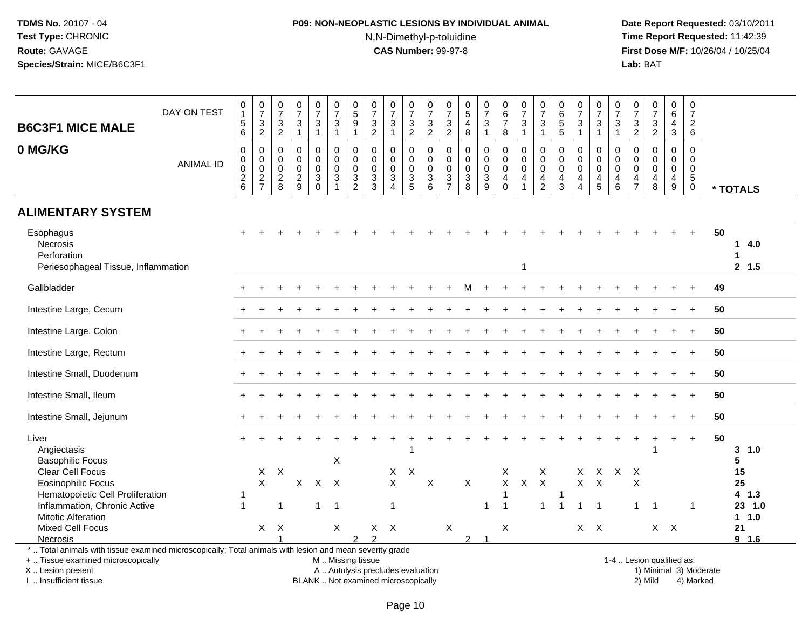## **P09: NON-NEOPLASTIC LESIONS BY INDIVIDUAL ANIMAL**N,N-Dimethyl-p-toluidine

 **Date Report Requested:** 03/10/2011 **Time Report Requested:** 11:42:39 **First Dose M/F:** 10/26/04 / 10/25/04<br>**Lab:** BAT **Lab:** BAT

| <b>B6C3F1 MICE MALE</b>                                                                                                                                                                       | DAY ON TEST      | $\pmb{0}$<br>$\overline{1}$<br>$\,$ 5 $\,$                         | $\frac{0}{7}$<br>$\ensuremath{\mathsf{3}}$  | $\frac{0}{7}$<br>$\frac{3}{2}$                             | $\begin{array}{c} 0 \\ 7 \end{array}$<br>$\sqrt{3}$ | $\frac{0}{7}$<br>$\ensuremath{\mathsf{3}}$                          | $\frac{0}{7}$<br>3                | $\begin{array}{c} 0 \\ 5 \end{array}$<br>$\overline{9}$    | $\frac{0}{7}$<br>3               | $\frac{0}{7}$<br>$\sqrt{3}$                                          | $\begin{array}{c} 0 \\ 7 \end{array}$<br>$\frac{3}{2}$ | 0<br>$\overline{7}$<br>$\sqrt{3}$                                        | $\frac{0}{7}$<br>$\frac{3}{2}$                             | $\begin{matrix} 0 \\ 5 \end{matrix}$<br>$\overline{4}$            | $\frac{0}{7}$<br>$\sqrt{3}$                                      | 0<br>6<br>$\overline{7}$                   | $\frac{0}{7}$<br>$\sqrt{3}$                                                | 0<br>$\overline{7}$<br>$\mathbf{3}$                           | 0<br>6<br>5<br>5                                                 | $\begin{array}{c} 0 \\ 7 \end{array}$<br>$\mathsf 3$                         | 0<br>$\overline{7}$<br>3                                      | $\frac{0}{7}$<br>3                                                | $\frac{0}{7}$<br>3                        | $\frac{0}{7}$<br>$\ensuremath{\mathsf{3}}$                       | 0<br>6<br>4                         | $\pmb{0}$<br>$\overline{7}$<br>$\overline{2}$                         |    |                     |
|-----------------------------------------------------------------------------------------------------------------------------------------------------------------------------------------------|------------------|--------------------------------------------------------------------|---------------------------------------------|------------------------------------------------------------|-----------------------------------------------------|---------------------------------------------------------------------|-----------------------------------|------------------------------------------------------------|----------------------------------|----------------------------------------------------------------------|--------------------------------------------------------|--------------------------------------------------------------------------|------------------------------------------------------------|-------------------------------------------------------------------|------------------------------------------------------------------|--------------------------------------------|----------------------------------------------------------------------------|---------------------------------------------------------------|------------------------------------------------------------------|------------------------------------------------------------------------------|---------------------------------------------------------------|-------------------------------------------------------------------|-------------------------------------------|------------------------------------------------------------------|-------------------------------------|-----------------------------------------------------------------------|----|---------------------|
|                                                                                                                                                                                               |                  | $\,6$                                                              | $\overline{2}$                              |                                                            | $\overline{1}$                                      | $\mathbf{1}$                                                        | $\mathbf{1}$                      | $\mathbf{1}$                                               | $\overline{2}$                   | $\mathbf{1}$                                                         |                                                        | $\overline{2}$                                                           |                                                            | 8                                                                 | $\overline{1}$                                                   | 8                                          | $\mathbf{1}$                                                               | $\mathbf{1}$                                                  |                                                                  | $\mathbf{1}$                                                                 | $\mathbf{1}$                                                  | $\overline{1}$                                                    | $\overline{2}$                            | $\overline{2}$                                                   | 3                                   | 6                                                                     |    |                     |
| 0 MG/KG                                                                                                                                                                                       | <b>ANIMAL ID</b> | $\pmb{0}$<br>$\mathsf{O}\xspace$<br>$\mathbf 0$<br>$\sqrt{2}$<br>6 | 0<br>0<br>0<br>$\sqrt{2}$<br>$\overline{7}$ | $\mathbf 0$<br>$\mathbf 0$<br>$\mathbf 0$<br>$\frac{2}{8}$ | 0<br>$\mathbf 0$<br>0<br>$\sqrt{2}$<br>9            | $\mathbf 0$<br>$\mathbf 0$<br>$\mathbf 0$<br>$\sqrt{3}$<br>$\Omega$ | $\mathbf 0$<br>$\Omega$<br>0<br>3 | $\mathbf 0$<br>$\mathbf 0$<br>$\mathbf 0$<br>$\frac{3}{2}$ | 0<br>0<br>0<br>$\mathbf{3}$<br>3 | 0<br>$\mathbf 0$<br>0<br>$\ensuremath{\mathsf{3}}$<br>$\overline{4}$ | $\mathbf 0$<br>$\mathbf 0$<br>0<br>$\frac{3}{5}$       | $\mathbf 0$<br>$\Omega$<br>$\mathbf 0$<br>$\ensuremath{\mathsf{3}}$<br>6 | $\mathbf 0$<br>$\mathbf 0$<br>$\mathbf 0$<br>$\frac{3}{7}$ | $\mathbf 0$<br>$\mathbf 0$<br>0<br>$\ensuremath{\mathsf{3}}$<br>8 | $\mathbf 0$<br>$\mathbf 0$<br>$\mathbf 0$<br>$\overline{3}$<br>9 | $\Omega$<br>$\Omega$<br>0<br>4<br>$\Omega$ | $\Omega$<br>$\mathbf 0$<br>$\mathbf 0$<br>$\overline{4}$<br>$\overline{1}$ | $\Omega$<br>$\Omega$<br>0<br>$\overline{4}$<br>$\overline{2}$ | $\mathbf 0$<br>$\mathbf 0$<br>$\mathbf 0$<br>$\overline{4}$<br>3 | $\mathbf 0$<br>$\mathbf 0$<br>0<br>$\overline{\mathbf{4}}$<br>$\overline{4}$ | $\mathbf 0$<br>$\Omega$<br>$\mathbf 0$<br>$\overline{4}$<br>5 | $\mathbf 0$<br>$\mathbf{0}$<br>$\mathbf 0$<br>$\overline{4}$<br>6 | 0<br>$\Omega$<br>0<br>4<br>$\overline{7}$ | $\mathbf 0$<br>$\mathbf 0$<br>$\mathbf 0$<br>$\overline{4}$<br>8 | $\Omega$<br>$\Omega$<br>0<br>4<br>9 | $\Omega$<br>$\Omega$<br>$\mathbf 0$<br>$\sqrt{5}$<br>$\boldsymbol{0}$ |    | * TOTALS            |
| <b>ALIMENTARY SYSTEM</b>                                                                                                                                                                      |                  |                                                                    |                                             |                                                            |                                                     |                                                                     |                                   |                                                            |                                  |                                                                      |                                                        |                                                                          |                                                            |                                                                   |                                                                  |                                            |                                                                            |                                                               |                                                                  |                                                                              |                                                               |                                                                   |                                           |                                                                  |                                     |                                                                       |    |                     |
| Esophagus<br>Necrosis<br>Perforation<br>Periesophageal Tissue, Inflammation                                                                                                                   |                  |                                                                    |                                             |                                                            |                                                     |                                                                     |                                   |                                                            |                                  |                                                                      |                                                        |                                                                          |                                                            |                                                                   |                                                                  |                                            | $\mathbf 1$                                                                |                                                               |                                                                  |                                                                              |                                                               |                                                                   |                                           |                                                                  |                                     |                                                                       | 50 | 14.0<br>1<br>2, 1.5 |
| Gallbladder                                                                                                                                                                                   |                  |                                                                    |                                             |                                                            |                                                     |                                                                     |                                   |                                                            |                                  |                                                                      |                                                        |                                                                          |                                                            |                                                                   |                                                                  |                                            |                                                                            |                                                               |                                                                  |                                                                              |                                                               |                                                                   |                                           |                                                                  |                                     |                                                                       | 49 |                     |
| Intestine Large, Cecum                                                                                                                                                                        |                  |                                                                    |                                             |                                                            |                                                     |                                                                     |                                   |                                                            |                                  |                                                                      |                                                        |                                                                          |                                                            |                                                                   |                                                                  |                                            |                                                                            |                                                               |                                                                  |                                                                              |                                                               |                                                                   |                                           |                                                                  |                                     |                                                                       | 50 |                     |
| Intestine Large, Colon                                                                                                                                                                        |                  |                                                                    |                                             |                                                            |                                                     |                                                                     |                                   |                                                            |                                  |                                                                      |                                                        |                                                                          |                                                            |                                                                   |                                                                  |                                            |                                                                            |                                                               |                                                                  |                                                                              |                                                               |                                                                   |                                           |                                                                  |                                     |                                                                       | 50 |                     |
| Intestine Large, Rectum                                                                                                                                                                       |                  |                                                                    |                                             |                                                            |                                                     |                                                                     |                                   |                                                            |                                  |                                                                      |                                                        |                                                                          |                                                            |                                                                   |                                                                  |                                            |                                                                            |                                                               |                                                                  |                                                                              |                                                               |                                                                   |                                           |                                                                  |                                     |                                                                       | 50 |                     |
| Intestine Small, Duodenum                                                                                                                                                                     |                  |                                                                    |                                             |                                                            |                                                     |                                                                     |                                   |                                                            |                                  |                                                                      |                                                        |                                                                          |                                                            |                                                                   |                                                                  |                                            |                                                                            |                                                               |                                                                  |                                                                              |                                                               |                                                                   |                                           |                                                                  |                                     |                                                                       | 50 |                     |
| Intestine Small, Ileum                                                                                                                                                                        |                  |                                                                    |                                             |                                                            |                                                     |                                                                     |                                   |                                                            |                                  |                                                                      |                                                        |                                                                          |                                                            |                                                                   |                                                                  |                                            |                                                                            |                                                               |                                                                  |                                                                              |                                                               |                                                                   |                                           |                                                                  |                                     |                                                                       | 50 |                     |
| Intestine Small, Jejunum                                                                                                                                                                      |                  |                                                                    |                                             |                                                            |                                                     |                                                                     |                                   |                                                            |                                  |                                                                      |                                                        |                                                                          |                                                            |                                                                   |                                                                  |                                            |                                                                            |                                                               |                                                                  |                                                                              |                                                               |                                                                   |                                           |                                                                  |                                     |                                                                       | 50 |                     |
| Liver<br>Angiectasis<br><b>Basophilic Focus</b>                                                                                                                                               |                  | $\ddot{}$                                                          |                                             |                                                            |                                                     |                                                                     | X                                 |                                                            |                                  |                                                                      |                                                        |                                                                          |                                                            |                                                                   |                                                                  |                                            |                                                                            |                                                               |                                                                  |                                                                              |                                                               |                                                                   |                                           | -1                                                               | $\div$                              | $\ddot{}$                                                             | 50 | 3, 1.0<br>5         |
| Clear Cell Focus<br><b>Eosinophilic Focus</b><br>Hematopoietic Cell Proliferation                                                                                                             |                  | -1                                                                 | X<br>X                                      | $\boldsymbol{\mathsf{X}}$                                  | $\mathsf{X}$                                        |                                                                     | $X$ $X$                           |                                                            |                                  | X<br>X                                                               | $\mathsf{X}$                                           | X                                                                        |                                                            | X                                                                 |                                                                  | Х<br>X<br>1                                | $\mathsf{X}$                                                               | Χ<br>$\boldsymbol{\mathsf{X}}$                                | 1                                                                | X<br>X                                                                       | X.<br>X                                                       |                                                                   | $X$ $X$<br>X                              |                                                                  |                                     |                                                                       |    | 15<br>25<br>4 1.3   |
| Inflammation, Chronic Active<br><b>Mitotic Alteration</b>                                                                                                                                     |                  | $\mathbf{1}$                                                       |                                             | $\overline{1}$                                             |                                                     | $\mathbf{1}$                                                        | $\overline{1}$                    |                                                            |                                  | $\mathbf{1}$                                                         |                                                        |                                                                          |                                                            |                                                                   | -1                                                               | $\mathbf{1}$                               |                                                                            | $\mathbf{1}$                                                  | $\overline{1}$                                                   | $\mathbf 1$                                                                  | $\overline{1}$                                                |                                                                   | $\mathbf{1}$                              | $\overline{1}$                                                   |                                     | 1                                                                     |    | 23 1.0<br>1 1.0     |
| <b>Mixed Cell Focus</b><br>Necrosis                                                                                                                                                           |                  |                                                                    | X                                           | $\mathsf{X}$                                               |                                                     |                                                                     | $\times$                          | $\mathfrak{p}$                                             | X<br>$\mathcal{P}$               | $\mathsf{X}$                                                         |                                                        |                                                                          | X                                                          | $\overline{2}$                                                    | -1                                                               | X                                          |                                                                            |                                                               |                                                                  |                                                                              | $X$ $X$                                                       |                                                                   |                                           | $X$ $X$                                                          |                                     |                                                                       |    | 21<br>9 1.6         |
| *  Total animals with tissue examined microscopically; Total animals with lesion and mean severity grade<br>+  Tissue examined microscopically<br>X  Lesion present<br>I  Insufficient tissue |                  |                                                                    |                                             |                                                            |                                                     | BLANK  Not examined microscopically                                 | M  Missing tissue                 |                                                            |                                  |                                                                      |                                                        | A  Autolysis precludes evaluation                                        |                                                            |                                                                   |                                                                  |                                            |                                                                            |                                                               |                                                                  |                                                                              |                                                               |                                                                   | 1-4  Lesion qualified as:                 | 2) Mild                                                          |                                     | 1) Minimal 3) Moderate<br>4) Marked                                   |    |                     |

I .. Insufficient tissue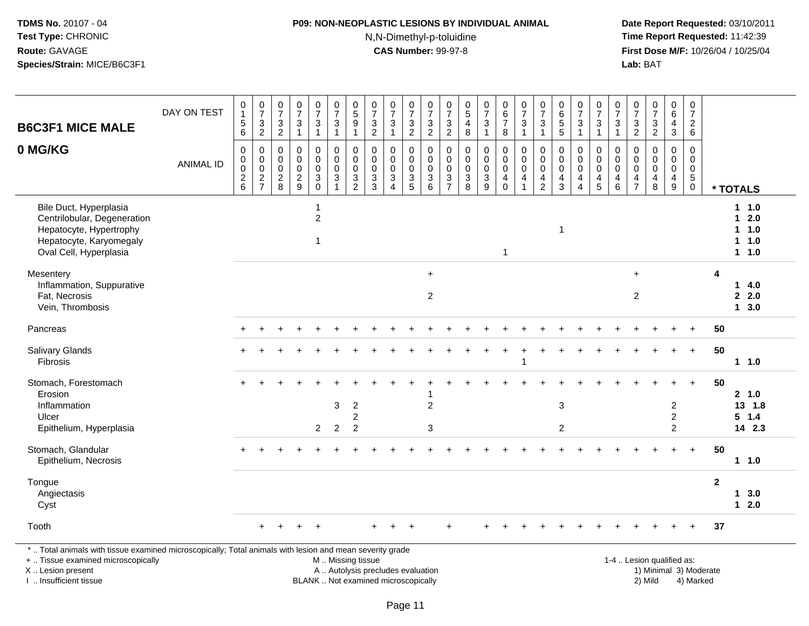## **P09: NON-NEOPLASTIC LESIONS BY INDIVIDUAL ANIMAL**N,N-Dimethyl-p-toluidine

 **Date Report Requested:** 03/10/2011 **Time Report Requested:** 11:42:39 **First Dose M/F:** 10/26/04 / 10/25/04<br>**Lab:** BAT **Lab:** BAT

| <b>B6C3F1 MICE MALE</b>                                                                                                               | DAY ON TEST      | $\begin{smallmatrix}0\\1\end{smallmatrix}$<br>$\begin{array}{c} 5 \\ 6 \end{array}$ | $\frac{0}{7}$<br>$\frac{3}{2}$                   | $\frac{0}{7}$<br>$\sqrt{3}$<br>$\boldsymbol{2}$ | $\frac{0}{7}$<br>$\ensuremath{\mathsf{3}}$<br>$\mathbf{1}$ | $\frac{0}{7}$<br>3<br>$\mathbf{1}$                                              | $\frac{0}{7}$<br>$\mathbf{3}$<br>$\mathbf{1}$                    | $\begin{array}{c} 0 \\ 5 \end{array}$<br>$\boldsymbol{9}$<br>$\mathbf{1}$                      | $\frac{0}{7}$<br>$\frac{3}{2}$                                    | $\begin{array}{c} 0 \\ 7 \end{array}$<br>$\ensuremath{\mathsf{3}}$<br>$\mathbf{1}$ | $\frac{0}{7}$<br>$\frac{3}{2}$                                          | $\frac{0}{7}$<br>$\frac{3}{2}$                                                    | $\frac{0}{7}$<br>$\mathfrak{S}$<br>$\overline{2}$                         | $\begin{array}{c} 0 \\ 5 \\ 4 \\ 8 \end{array}$                 | $\frac{0}{7}$<br>$\ensuremath{\mathsf{3}}$<br>$\mathbf{1}$                                  | $_{6}^{\rm 0}$<br>$\overline{7}$<br>8                                                     | $\frac{0}{7}$<br>$\sqrt{3}$<br>$\overline{1}$                                            | $\frac{0}{7}$<br>3<br>$\mathbf{1}$                                | 0<br>6<br>5<br>5                                                                          | $\frac{0}{7}$<br>3<br>$\overline{1}$                                                | $\frac{0}{7}$<br>$\ensuremath{\mathsf{3}}$<br>$\mathbf{1}$         | $\begin{array}{c} 0 \\ 7 \end{array}$<br>$\ensuremath{\mathsf{3}}$<br>$\mathbf{1}$ | $\frac{0}{7}$<br>$\frac{3}{2}$                                                | $\begin{smallmatrix}0\\7\end{smallmatrix}$<br>$\frac{3}{2}$               | $_6^0$<br>$\overline{4}$<br>3                                            | $\frac{0}{7}$<br>$\frac{2}{6}$                                                         |                |                                                   |
|---------------------------------------------------------------------------------------------------------------------------------------|------------------|-------------------------------------------------------------------------------------|--------------------------------------------------|-------------------------------------------------|------------------------------------------------------------|---------------------------------------------------------------------------------|------------------------------------------------------------------|------------------------------------------------------------------------------------------------|-------------------------------------------------------------------|------------------------------------------------------------------------------------|-------------------------------------------------------------------------|-----------------------------------------------------------------------------------|---------------------------------------------------------------------------|-----------------------------------------------------------------|---------------------------------------------------------------------------------------------|-------------------------------------------------------------------------------------------|------------------------------------------------------------------------------------------|-------------------------------------------------------------------|-------------------------------------------------------------------------------------------|-------------------------------------------------------------------------------------|--------------------------------------------------------------------|------------------------------------------------------------------------------------|-------------------------------------------------------------------------------|---------------------------------------------------------------------------|--------------------------------------------------------------------------|----------------------------------------------------------------------------------------|----------------|---------------------------------------------------|
| 0 MG/KG                                                                                                                               | <b>ANIMAL ID</b> | $\mathbf 0$<br>$\mathbf 0$<br>$\ddot{\mathbf{0}}$<br>$\frac{2}{6}$                  | 0<br>$\mathsf 0$<br>$\mathbf 0$<br>$\frac{2}{7}$ | 0<br>$\mathbf 0$<br>$\pmb{0}$<br>$\frac{2}{8}$  | $\mathbf 0$<br>$\mathbf 0$<br>$\mathbf 0$<br>$\frac{2}{9}$ | $\mathbf 0$<br>$\overline{0}$<br>$\mathsf{O}$<br>$\mathbf{3}$<br>$\overline{0}$ | 0<br>$\pmb{0}$<br>$\boldsymbol{0}$<br>$\sqrt{3}$<br>$\mathbf{1}$ | $\mathbf 0$<br>$\overline{0}$<br>$\overline{0}$<br>$\ensuremath{\mathsf{3}}$<br>$\overline{2}$ | 0<br>$\mathbf 0$<br>$\mathsf 0$<br>$\ensuremath{\mathsf{3}}$<br>3 | $\mathbf 0$<br>$\mathbf 0$<br>$\mathbf 0$<br>$\mathbf{3}$<br>$\overline{4}$        | 0<br>$\mathsf{O}\xspace$<br>$\pmb{0}$<br>$\ensuremath{\mathsf{3}}$<br>5 | 0<br>$\ddot{\mathbf{0}}$<br>$\ddot{\mathbf{0}}$<br>$\ensuremath{\mathsf{3}}$<br>6 | 0<br>$\mathbf 0$<br>$\mathsf{O}\xspace$<br>$\mathbf{3}$<br>$\overline{7}$ | 0<br>$\mathsf 0$<br>$\pmb{0}$<br>$\ensuremath{\mathsf{3}}$<br>8 | $\mathbf 0$<br>$\ddot{\mathbf{0}}$<br>$\ddot{\mathbf{0}}$<br>$\ensuremath{\mathsf{3}}$<br>9 | $\mathbf 0$<br>$\overline{0}$<br>$\overline{0}$<br>$\overline{\mathbf{4}}$<br>$\mathbf 0$ | $\mathbf 0$<br>$\overline{0}$<br>$\ddot{\mathbf{0}}$<br>$\overline{4}$<br>$\overline{1}$ | 0<br>$\mathbf 0$<br>$\pmb{0}$<br>$\overline{4}$<br>$\overline{2}$ | $\mathbf 0$<br>$\ddot{\mathbf{0}}$<br>$\ddot{\mathbf{0}}$<br>$\overline{\mathbf{4}}$<br>3 | $\mathbf 0$<br>$\mathbf 0$<br>$\pmb{0}$<br>$\overline{4}$<br>$\boldsymbol{\Lambda}$ | 0<br>$\mathbf 0$<br>$\overline{0}$<br>$\overline{\mathbf{4}}$<br>5 | $\mathbf 0$<br>$\mathbf 0$<br>$\pmb{0}$<br>$\overline{4}$<br>6                     | $\mathbf 0$<br>$\mathbf 0$<br>$\mathbf 0$<br>$\overline{4}$<br>$\overline{7}$ | $\mathbf 0$<br>$\mathbf 0$<br>$\mathbf 0$<br>$\overline{\mathbf{4}}$<br>8 | $\mathbf 0$<br>$\mathbf 0$<br>$\mathsf{O}\xspace$<br>$\overline{4}$<br>9 | $\mathbf 0$<br>$\ddot{\mathbf{0}}$<br>$\ddot{\mathbf{0}}$<br>$\sqrt{5}$<br>$\mathbf 0$ |                | * TOTALS                                          |
| Bile Duct, Hyperplasia<br>Centrilobular, Degeneration<br>Hepatocyte, Hypertrophy<br>Hepatocyte, Karyomegaly<br>Oval Cell, Hyperplasia |                  |                                                                                     |                                                  |                                                 |                                                            | 1<br>$\overline{c}$<br>1                                                        |                                                                  |                                                                                                |                                                                   |                                                                                    |                                                                         |                                                                                   |                                                                           |                                                                 |                                                                                             | $\overline{1}$                                                                            |                                                                                          |                                                                   | $\mathbf{1}$                                                                              |                                                                                     |                                                                    |                                                                                    |                                                                               |                                                                           |                                                                          |                                                                                        |                | 1 1.0<br>$1 \quad 2.0$<br>1 1.0<br>1 1.0<br>1 1.0 |
| Mesentery<br>Inflammation, Suppurative<br>Fat, Necrosis<br>Vein, Thrombosis                                                           |                  |                                                                                     |                                                  |                                                 |                                                            |                                                                                 |                                                                  |                                                                                                |                                                                   |                                                                                    |                                                                         | $+$<br>$\overline{2}$                                                             |                                                                           |                                                                 |                                                                                             |                                                                                           |                                                                                          |                                                                   |                                                                                           |                                                                                     |                                                                    |                                                                                    | $+$<br>$\overline{c}$                                                         |                                                                           |                                                                          |                                                                                        | 4              | 14.0<br>2.0<br>13.0                               |
| Pancreas                                                                                                                              |                  |                                                                                     |                                                  |                                                 |                                                            |                                                                                 |                                                                  |                                                                                                |                                                                   |                                                                                    |                                                                         |                                                                                   |                                                                           |                                                                 |                                                                                             |                                                                                           |                                                                                          |                                                                   |                                                                                           |                                                                                     |                                                                    |                                                                                    |                                                                               |                                                                           |                                                                          |                                                                                        | 50             |                                                   |
| <b>Salivary Glands</b><br><b>Fibrosis</b>                                                                                             |                  | $+$                                                                                 |                                                  |                                                 |                                                            |                                                                                 |                                                                  |                                                                                                |                                                                   |                                                                                    |                                                                         |                                                                                   |                                                                           |                                                                 |                                                                                             |                                                                                           | 1                                                                                        |                                                                   |                                                                                           |                                                                                     |                                                                    |                                                                                    |                                                                               |                                                                           | $\ddot{}$                                                                | $+$                                                                                    | 50             | 11.0                                              |
| Stomach, Forestomach<br>Erosion<br>Inflammation<br>Ulcer<br>Epithelium, Hyperplasia                                                   |                  |                                                                                     |                                                  |                                                 |                                                            | $\overline{2}$                                                                  | 3<br>$\overline{2}$                                              | $\overline{2}$<br>$\boldsymbol{2}$<br>$\overline{c}$                                           |                                                                   |                                                                                    |                                                                         | $\overline{c}$<br>3                                                               |                                                                           |                                                                 |                                                                                             |                                                                                           |                                                                                          |                                                                   | $\sqrt{3}$<br>$\overline{2}$                                                              |                                                                                     |                                                                    |                                                                                    |                                                                               |                                                                           | 2<br>$\overline{c}$<br>$\overline{2}$                                    |                                                                                        | 50             | 2, 1.0<br>13 1.8<br>$5 \t1.4$<br>14 2.3           |
| Stomach, Glandular<br>Epithelium, Necrosis                                                                                            |                  |                                                                                     |                                                  |                                                 |                                                            |                                                                                 |                                                                  |                                                                                                |                                                                   |                                                                                    |                                                                         |                                                                                   |                                                                           |                                                                 |                                                                                             |                                                                                           |                                                                                          |                                                                   |                                                                                           |                                                                                     |                                                                    |                                                                                    |                                                                               |                                                                           |                                                                          | $+$                                                                                    | 50             | 11.0                                              |
| Tongue<br>Angiectasis<br>Cyst                                                                                                         |                  |                                                                                     |                                                  |                                                 |                                                            |                                                                                 |                                                                  |                                                                                                |                                                                   |                                                                                    |                                                                         |                                                                                   |                                                                           |                                                                 |                                                                                             |                                                                                           |                                                                                          |                                                                   |                                                                                           |                                                                                     |                                                                    |                                                                                    |                                                                               |                                                                           |                                                                          |                                                                                        | $\overline{2}$ | 13.0<br>$12.0$                                    |
| Tooth                                                                                                                                 |                  |                                                                                     | $+$                                              | $\ddot{}$                                       |                                                            | $\div$                                                                          |                                                                  |                                                                                                | $\pm$                                                             | $\ddot{}$                                                                          | $+$                                                                     |                                                                                   | $\ddot{}$                                                                 |                                                                 |                                                                                             |                                                                                           |                                                                                          |                                                                   |                                                                                           |                                                                                     |                                                                    |                                                                                    |                                                                               |                                                                           |                                                                          | $\ddot{}$                                                                              | 37             |                                                   |

X .. Lesion present

I .. Insufficient tissue

BLANK .. Not examined microscopically

A .. Autolysis precludes evaluation and the series of the series of the series of the series of the series of the series of the series of the series of the series of the series of the series of the series of the series of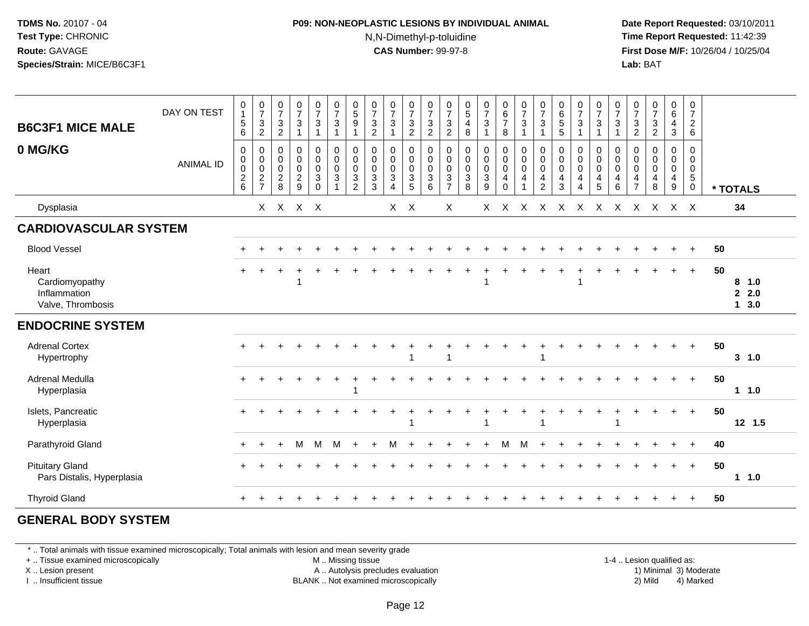#### **P09: NON-NEOPLASTIC LESIONS BY INDIVIDUAL ANIMAL**N,N-Dimethyl-p-toluidine

 **Date Report Requested:** 03/10/2011 **Time Report Requested:** 11:42:39 **First Dose M/F:** 10/26/04 / 10/25/04 Lab: BAT **Lab:** BAT

| <b>B6C3F1 MICE MALE</b><br>0 MG/KG                           | DAY ON TEST<br><b>ANIMAL ID</b> | 0<br>$\overline{1}$<br>5<br>6<br>0<br>$\pmb{0}$<br>$\boldsymbol{0}$<br>$\overline{\mathbf{c}}$<br>6 | $\frac{0}{7}$<br>$\frac{3}{2}$<br>$\mathsf{O}$<br>$\pmb{0}$<br>$\pmb{0}$<br>$\frac{2}{7}$ | $\begin{array}{c} 0 \\ 7 \end{array}$<br>$\frac{3}{2}$<br>0<br>$\pmb{0}$<br>$\mathsf{O}\xspace$<br>$_{\rm 8}^2$ | $\begin{array}{c} 0 \\ 7 \end{array}$<br>$\sqrt{3}$<br>$\mathbf{1}$<br>$\begin{smallmatrix}0\\0\\0\end{smallmatrix}$<br>$\frac{2}{9}$ | $\begin{smallmatrix}0\\7\end{smallmatrix}$<br>$\mathbf{3}$<br>$\overline{1}$<br>$\mathbf 0$<br>$\pmb{0}$<br>$\mathbf 0$<br>$\mathbf{3}$<br>$\mathbf 0$ | $\frac{0}{7}$<br>$\mathbf{3}$<br>$\overline{1}$<br>$\pmb{0}$<br>$\overline{0}$<br>$\overline{0}$<br>$\sqrt{3}$<br>$\overline{\mathbf{A}}$ | $\begin{array}{c} 0 \\ 5 \end{array}$<br>$\boldsymbol{9}$<br>1<br>0<br>$\pmb{0}$<br>$\mathbf 0$<br>3<br>$\overline{2}$ | $\frac{0}{7}$<br>$\frac{3}{2}$<br>0<br>$\pmb{0}$<br>$\mathbf 0$<br>$\ensuremath{\mathsf{3}}$<br>3 | $\frac{0}{7}$<br>$\mathfrak{Z}$<br>0<br>0<br>$\pmb{0}$<br>$\ensuremath{\mathsf{3}}$<br>$\boldsymbol{\Lambda}$ | $\begin{array}{c} 0 \\ 7 \end{array}$<br>$\frac{3}{2}$<br>0<br>$\mathsf 0$<br>$\mathsf{O}\xspace$<br>$\ensuremath{\mathsf{3}}$<br>$\sqrt{5}$ | $\frac{0}{7}$<br>$\frac{3}{2}$<br>0<br>$\boldsymbol{0}$<br>$\mathbf 0$<br>$\sqrt{3}$<br>6 | $\frac{0}{7}$<br>$\sqrt{3}$<br>$\boldsymbol{2}$<br>0<br>$\pmb{0}$<br>$\mathbf 0$<br>$\mathbf{3}$<br>$\overline{7}$ | $\begin{array}{c} 0 \\ 5 \\ 4 \\ 8 \end{array}$<br>$\mathbf 0$<br>$\mathbf 0$<br>$\frac{0}{3}$<br>8 | $\frac{0}{7}$<br>$\mathbf{3}$<br>$\mathbf{1}$<br>$\mathbf 0$<br>$\overline{0}$<br>0<br>$\ensuremath{\mathsf{3}}$<br>9 | $\begin{array}{c} 0 \\ 6 \\ 7 \end{array}$<br>8<br>0<br>$\boldsymbol{0}$<br>$\mathbf 0$<br>4<br>$\Omega$ | $\begin{array}{c} 0 \\ 7 \\ 3 \end{array}$<br>$\overline{1}$<br>$\pmb{0}$<br>$\overline{0}$<br>$\overline{4}$<br>$\overline{1}$ | $\frac{0}{7}$<br>$\sqrt{3}$<br>$\mathbf{1}$<br>0<br>$\pmb{0}$<br>$\mathbf 0$<br>$\overline{4}$<br>$\overline{2}$ | 0<br>6<br>5<br>5<br>$\boldsymbol{0}$<br>$\pmb{0}$<br>$\mathbf 0$<br>4<br>3 | $\frac{0}{7}$<br>$\mathbf{3}$<br>$\overline{1}$<br>0<br>$\mathbf 0$<br>$\pmb{0}$<br>4<br>$\overline{4}$ | $\begin{array}{c} 0 \\ 7 \\ 3 \\ 1 \end{array}$<br>$\pmb{0}$<br>$\begin{matrix} 0 \\ 0 \end{matrix}$<br>$\overline{4}$<br>5 | $\begin{array}{c} 0 \\ 7 \end{array}$<br>$\sqrt{3}$<br>$\mathbf{1}$<br>0<br>$\ddot{\mathbf{0}}$<br>$\mathsf{O}\xspace$<br>$\overline{4}$<br>6 | $\frac{0}{7}$<br>$\frac{3}{2}$<br>0<br>0<br>$\mathsf{O}\xspace$<br>$\overline{4}$<br>$\overline{7}$ | $\frac{0}{7}$<br>$\frac{3}{2}$<br>$\mathbf 0$<br>$\mathbf 0$<br>$\mathbf 0$<br>$\overline{\mathbf{4}}$<br>8 | 0<br>$6\phantom{a}$<br>$\overline{4}$<br>3<br>$\mathbf 0$<br>0<br>$\mathbf 0$<br>$\overline{4}$<br>9 | $\mathbf 0$<br>$\overline{7}$<br>$\frac{2}{6}$<br>$\Omega$<br>0<br>$\mathsf{O}\xspace$<br>$5\phantom{.0}$<br>0 |    | * TOTALS                       |
|--------------------------------------------------------------|---------------------------------|-----------------------------------------------------------------------------------------------------|-------------------------------------------------------------------------------------------|-----------------------------------------------------------------------------------------------------------------|---------------------------------------------------------------------------------------------------------------------------------------|--------------------------------------------------------------------------------------------------------------------------------------------------------|-------------------------------------------------------------------------------------------------------------------------------------------|------------------------------------------------------------------------------------------------------------------------|---------------------------------------------------------------------------------------------------|---------------------------------------------------------------------------------------------------------------|----------------------------------------------------------------------------------------------------------------------------------------------|-------------------------------------------------------------------------------------------|--------------------------------------------------------------------------------------------------------------------|-----------------------------------------------------------------------------------------------------|-----------------------------------------------------------------------------------------------------------------------|----------------------------------------------------------------------------------------------------------|---------------------------------------------------------------------------------------------------------------------------------|------------------------------------------------------------------------------------------------------------------|----------------------------------------------------------------------------|---------------------------------------------------------------------------------------------------------|-----------------------------------------------------------------------------------------------------------------------------|-----------------------------------------------------------------------------------------------------------------------------------------------|-----------------------------------------------------------------------------------------------------|-------------------------------------------------------------------------------------------------------------|------------------------------------------------------------------------------------------------------|----------------------------------------------------------------------------------------------------------------|----|--------------------------------|
| Dysplasia                                                    |                                 |                                                                                                     | X.                                                                                        |                                                                                                                 | $X$ $X$ $X$                                                                                                                           |                                                                                                                                                        |                                                                                                                                           |                                                                                                                        |                                                                                                   | $X$ $X$                                                                                                       |                                                                                                                                              |                                                                                           | X                                                                                                                  |                                                                                                     | $\mathsf{X}$                                                                                                          | X                                                                                                        | $\mathsf{X}$                                                                                                                    | $\mathsf{X}$                                                                                                     | $\mathsf{X}$                                                               | $\boldsymbol{\mathsf{X}}$                                                                               | $\mathsf{X}$                                                                                                                | $\mathsf{X}$                                                                                                                                  | $\mathsf{X}$                                                                                        | X                                                                                                           | $X$ X                                                                                                |                                                                                                                |    | 34                             |
| <b>CARDIOVASCULAR SYSTEM</b>                                 |                                 |                                                                                                     |                                                                                           |                                                                                                                 |                                                                                                                                       |                                                                                                                                                        |                                                                                                                                           |                                                                                                                        |                                                                                                   |                                                                                                               |                                                                                                                                              |                                                                                           |                                                                                                                    |                                                                                                     |                                                                                                                       |                                                                                                          |                                                                                                                                 |                                                                                                                  |                                                                            |                                                                                                         |                                                                                                                             |                                                                                                                                               |                                                                                                     |                                                                                                             |                                                                                                      |                                                                                                                |    |                                |
| <b>Blood Vessel</b>                                          |                                 |                                                                                                     |                                                                                           |                                                                                                                 |                                                                                                                                       |                                                                                                                                                        |                                                                                                                                           |                                                                                                                        |                                                                                                   |                                                                                                               |                                                                                                                                              |                                                                                           |                                                                                                                    |                                                                                                     |                                                                                                                       |                                                                                                          |                                                                                                                                 |                                                                                                                  |                                                                            |                                                                                                         |                                                                                                                             |                                                                                                                                               |                                                                                                     |                                                                                                             |                                                                                                      | $+$                                                                                                            | 50 |                                |
| Heart<br>Cardiomyopathy<br>Inflammation<br>Valve, Thrombosis |                                 |                                                                                                     |                                                                                           |                                                                                                                 |                                                                                                                                       |                                                                                                                                                        |                                                                                                                                           |                                                                                                                        |                                                                                                   |                                                                                                               |                                                                                                                                              |                                                                                           |                                                                                                                    |                                                                                                     |                                                                                                                       |                                                                                                          |                                                                                                                                 |                                                                                                                  |                                                                            |                                                                                                         |                                                                                                                             |                                                                                                                                               |                                                                                                     |                                                                                                             |                                                                                                      | $\ddot{}$                                                                                                      | 50 | 8, 1.0<br>2.0<br>$1 \quad 3.0$ |
| <b>ENDOCRINE SYSTEM</b>                                      |                                 |                                                                                                     |                                                                                           |                                                                                                                 |                                                                                                                                       |                                                                                                                                                        |                                                                                                                                           |                                                                                                                        |                                                                                                   |                                                                                                               |                                                                                                                                              |                                                                                           |                                                                                                                    |                                                                                                     |                                                                                                                       |                                                                                                          |                                                                                                                                 |                                                                                                                  |                                                                            |                                                                                                         |                                                                                                                             |                                                                                                                                               |                                                                                                     |                                                                                                             |                                                                                                      |                                                                                                                |    |                                |
| <b>Adrenal Cortex</b><br>Hypertrophy                         |                                 |                                                                                                     |                                                                                           |                                                                                                                 |                                                                                                                                       |                                                                                                                                                        |                                                                                                                                           |                                                                                                                        |                                                                                                   |                                                                                                               |                                                                                                                                              |                                                                                           |                                                                                                                    |                                                                                                     |                                                                                                                       |                                                                                                          |                                                                                                                                 | 1                                                                                                                |                                                                            |                                                                                                         |                                                                                                                             |                                                                                                                                               |                                                                                                     |                                                                                                             |                                                                                                      | $+$                                                                                                            | 50 | 3 1.0                          |
| Adrenal Medulla<br>Hyperplasia                               |                                 |                                                                                                     |                                                                                           |                                                                                                                 |                                                                                                                                       |                                                                                                                                                        |                                                                                                                                           | -1                                                                                                                     |                                                                                                   |                                                                                                               |                                                                                                                                              |                                                                                           |                                                                                                                    |                                                                                                     |                                                                                                                       |                                                                                                          |                                                                                                                                 |                                                                                                                  |                                                                            |                                                                                                         |                                                                                                                             |                                                                                                                                               |                                                                                                     |                                                                                                             |                                                                                                      | $+$                                                                                                            | 50 | 11.0                           |
| Islets, Pancreatic<br>Hyperplasia                            |                                 |                                                                                                     |                                                                                           |                                                                                                                 |                                                                                                                                       |                                                                                                                                                        |                                                                                                                                           |                                                                                                                        |                                                                                                   |                                                                                                               |                                                                                                                                              |                                                                                           |                                                                                                                    |                                                                                                     |                                                                                                                       |                                                                                                          |                                                                                                                                 | 1                                                                                                                |                                                                            |                                                                                                         |                                                                                                                             |                                                                                                                                               |                                                                                                     |                                                                                                             | ÷                                                                                                    | $+$                                                                                                            | 50 | $12 \t1.5$                     |
| Parathyroid Gland                                            |                                 |                                                                                                     |                                                                                           | $+$                                                                                                             | м                                                                                                                                     | M                                                                                                                                                      | M                                                                                                                                         | $\ddot{}$                                                                                                              | $+$                                                                                               | м                                                                                                             |                                                                                                                                              |                                                                                           |                                                                                                                    |                                                                                                     | $\overline{ }$                                                                                                        | м                                                                                                        | M                                                                                                                               |                                                                                                                  |                                                                            |                                                                                                         |                                                                                                                             |                                                                                                                                               |                                                                                                     |                                                                                                             |                                                                                                      | $+$                                                                                                            | 40 |                                |
| <b>Pituitary Gland</b><br>Pars Distalis, Hyperplasia         |                                 |                                                                                                     |                                                                                           |                                                                                                                 |                                                                                                                                       |                                                                                                                                                        |                                                                                                                                           |                                                                                                                        |                                                                                                   |                                                                                                               |                                                                                                                                              |                                                                                           |                                                                                                                    |                                                                                                     |                                                                                                                       |                                                                                                          |                                                                                                                                 |                                                                                                                  |                                                                            |                                                                                                         |                                                                                                                             |                                                                                                                                               |                                                                                                     |                                                                                                             | $+$                                                                                                  | $+$                                                                                                            | 50 | 11.0                           |
| <b>Thyroid Gland</b>                                         |                                 |                                                                                                     |                                                                                           |                                                                                                                 |                                                                                                                                       |                                                                                                                                                        |                                                                                                                                           |                                                                                                                        |                                                                                                   |                                                                                                               |                                                                                                                                              |                                                                                           |                                                                                                                    |                                                                                                     |                                                                                                                       |                                                                                                          |                                                                                                                                 |                                                                                                                  |                                                                            |                                                                                                         |                                                                                                                             |                                                                                                                                               |                                                                                                     |                                                                                                             |                                                                                                      | $\ddot{}$                                                                                                      | 50 |                                |

#### **GENERAL BODY SYSTEM**

\* .. Total animals with tissue examined microscopically; Total animals with lesion and mean severity grade

+ .. Tissue examined microscopically

X .. Lesion present

I .. Insufficient tissue

 M .. Missing tissueA .. Autolysis precludes evaluation

1-4 .. Lesion qualified as:<br>1) Minimal 3) Moderate BLANK .. Not examined microscopically 2) Mild 4) Marked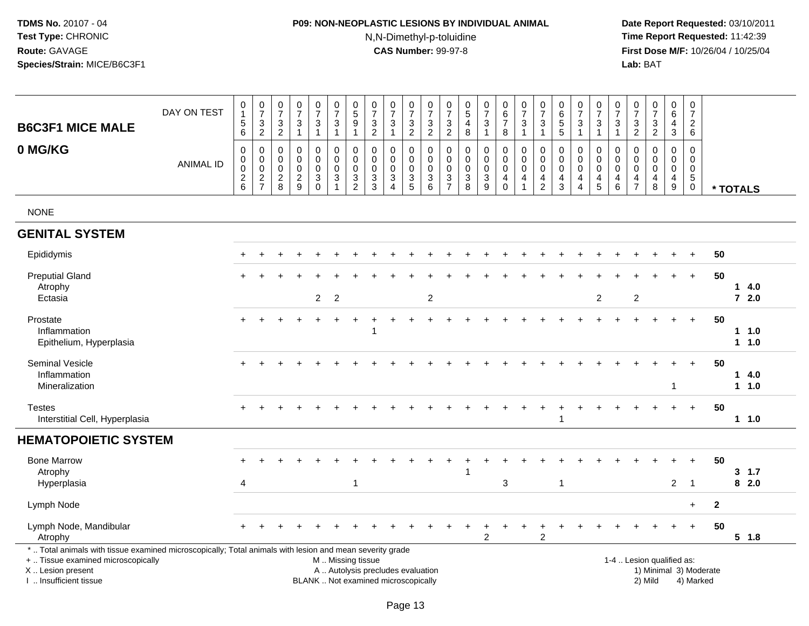## **P09: NON-NEOPLASTIC LESIONS BY INDIVIDUAL ANIMAL**N,N-Dimethyl-p-toluidine

 **Date Report Requested:** 03/10/2011 **Time Report Requested:** 11:42:39 **First Dose M/F:** 10/26/04 / 10/25/04<br>**Lab:** BAT **Lab:** BAT

| <b>B6C3F1 MICE MALE</b>                                                                                                                                                                       | DAY ON TEST      | $\pmb{0}$<br>$\mathbf{1}$<br>$\overline{5}$<br>6 | $\begin{smallmatrix}0\\7\end{smallmatrix}$<br>$\sqrt{3}$<br>$\overline{2}$ | $\frac{0}{7}$<br>$\sqrt{3}$<br>$\overline{c}$          | $\frac{0}{7}$<br>$\sqrt{3}$<br>$\mathbf{1}$                           | $\begin{smallmatrix}0\\7\end{smallmatrix}$<br>$\sqrt{3}$<br>$\overline{1}$ | $\frac{0}{7}$<br>$\sqrt{3}$<br>$\mathbf{1}$                               | $\pmb{0}$<br>$\sqrt{5}$<br>$\boldsymbol{9}$<br>$\mathbf{1}$                              | $\begin{array}{c} 0 \\ 7 \end{array}$<br>$\sqrt{3}$<br>$\overline{2}$ | $\frac{0}{7}$<br>3<br>$\mathbf{1}$                          | $\begin{array}{c} 0 \\ 7 \end{array}$<br>$\sqrt{3}$<br>$\overline{2}$ | $\frac{0}{7}$<br>$\sqrt{3}$<br>$\overline{2}$              | $\frac{0}{7}$<br>$\mathbf{3}$<br>$\sqrt{2}$      | $\begin{array}{c} 0 \\ 5 \end{array}$<br>$\overline{a}$<br>8           | $\begin{array}{c} 0 \\ 7 \end{array}$<br>$\mathbf{3}$<br>$\mathbf{1}$                  | $\begin{array}{c} 0 \\ 6 \end{array}$<br>$\overline{7}$<br>8               | $\frac{0}{7}$<br>$\mathsf 3$<br>$\mathbf{1}$         | $\frac{0}{7}$<br>3<br>-1                                                     | $\pmb{0}$<br>$\,6\,$<br>$\overline{5}$<br>5                 | $\frac{0}{7}$<br>3<br>$\overline{1}$                                | $\frac{0}{7}$<br>$\sqrt{3}$<br>$\mathbf{1}$                                     | $\pmb{0}$<br>$\overline{7}$<br>$\mathbf{3}$<br>$\mathbf{1}$ | $\begin{smallmatrix} 0\\7 \end{smallmatrix}$<br>$\sqrt{3}$<br>$\overline{2}$ | $\begin{array}{c} 0 \\ 7 \end{array}$<br>$\ensuremath{\mathsf{3}}$<br>$\boldsymbol{2}$ | $\pmb{0}$<br>$6\phantom{1}$<br>$\overline{4}$<br>$\mathbf{3}$                   | $\pmb{0}$<br>$\overline{7}$<br>$\overline{c}$<br>6               |                        |                |
|-----------------------------------------------------------------------------------------------------------------------------------------------------------------------------------------------|------------------|--------------------------------------------------|----------------------------------------------------------------------------|--------------------------------------------------------|-----------------------------------------------------------------------|----------------------------------------------------------------------------|---------------------------------------------------------------------------|------------------------------------------------------------------------------------------|-----------------------------------------------------------------------|-------------------------------------------------------------|-----------------------------------------------------------------------|------------------------------------------------------------|--------------------------------------------------|------------------------------------------------------------------------|----------------------------------------------------------------------------------------|----------------------------------------------------------------------------|------------------------------------------------------|------------------------------------------------------------------------------|-------------------------------------------------------------|---------------------------------------------------------------------|---------------------------------------------------------------------------------|-------------------------------------------------------------|------------------------------------------------------------------------------|----------------------------------------------------------------------------------------|---------------------------------------------------------------------------------|------------------------------------------------------------------|------------------------|----------------|
| 0 MG/KG                                                                                                                                                                                       | <b>ANIMAL ID</b> | $\mathbf 0$<br>0<br>$\mathbf 0$<br>$^2$ 6        | 0<br>$\pmb{0}$<br>$\pmb{0}$<br>$\frac{2}{7}$                               | 0<br>$\mathbf 0$<br>$\mathbf 0$<br>$\overline{c}$<br>8 | 0<br>$\mathbf 0$<br>$\mathbf 0$<br>$\overline{c}$<br>$\boldsymbol{9}$ | 0<br>$\mathbf 0$<br>$\mathbf 0$<br>3<br>$\mathbf 0$                        | $\mathbf 0$<br>$\mathbf 0$<br>$\mathbf 0$<br>$\sqrt{3}$<br>$\overline{1}$ | $\mathbf 0$<br>$\mathbf 0$<br>$\mathbf 0$<br>$\ensuremath{\mathsf{3}}$<br>$\overline{2}$ | 0<br>$\mathbf 0$<br>$\mathbf 0$<br>3<br>$\mathbf{3}$                  | 0<br>$\Omega$<br>$\mathbf 0$<br>3<br>$\boldsymbol{\Lambda}$ | 0<br>$\pmb{0}$<br>0<br>$\frac{3}{5}$                                  | $\mathbf 0$<br>$\mathbf 0$<br>$\mathbf 0$<br>$\frac{3}{6}$ | 0<br>$\mathbf 0$<br>$\mathbf 0$<br>$\frac{3}{7}$ | $\mathbf 0$<br>$\Omega$<br>$\mathbf 0$<br>$\sqrt{3}$<br>$\overline{8}$ | $\mathbf 0$<br>$\mathbf 0$<br>$\pmb{0}$<br>$\ensuremath{\mathsf{3}}$<br>$\overline{9}$ | $\mathbf 0$<br>$\mathbf 0$<br>$\mathbf 0$<br>$\overline{4}$<br>$\mathbf 0$ | 0<br>$\mathbf 0$<br>$\mathbf 0$<br>4<br>$\mathbf{1}$ | 0<br>$\mathbf 0$<br>$\mathbf 0$<br>$\overline{\mathbf{4}}$<br>$\overline{c}$ | $\mathbf 0$<br>$\Omega$<br>$\mathbf 0$<br>4<br>$\mathbf{3}$ | 0<br>$\mathbf 0$<br>$\mathbf 0$<br>$\overline{4}$<br>$\overline{4}$ | $\Omega$<br>$\mathbf 0$<br>$\mathbf 0$<br>$\begin{array}{c} 4 \\ 5 \end{array}$ | 0<br>0<br>$\mathbf 0$<br>4<br>$\,6\,$                       | 0<br>$\Omega$<br>$\mathbf 0$<br>$\overline{\mathbf{r}}$<br>$\overline{7}$    | $\mathbf 0$<br>$\Omega$<br>$\mathbf 0$<br>4<br>8                                       | $\mathbf 0$<br>$\mathbf 0$<br>$\mathbf 0$<br>$\overline{4}$<br>$\boldsymbol{9}$ | $\Omega$<br>$\Omega$<br>$\mathbf 0$<br>$\sqrt{5}$<br>$\mathbf 0$ |                        | * TOTALS       |
| <b>NONE</b>                                                                                                                                                                                   |                  |                                                  |                                                                            |                                                        |                                                                       |                                                                            |                                                                           |                                                                                          |                                                                       |                                                             |                                                                       |                                                            |                                                  |                                                                        |                                                                                        |                                                                            |                                                      |                                                                              |                                                             |                                                                     |                                                                                 |                                                             |                                                                              |                                                                                        |                                                                                 |                                                                  |                        |                |
| <b>GENITAL SYSTEM</b>                                                                                                                                                                         |                  |                                                  |                                                                            |                                                        |                                                                       |                                                                            |                                                                           |                                                                                          |                                                                       |                                                             |                                                                       |                                                            |                                                  |                                                                        |                                                                                        |                                                                            |                                                      |                                                                              |                                                             |                                                                     |                                                                                 |                                                             |                                                                              |                                                                                        |                                                                                 |                                                                  |                        |                |
| Epididymis                                                                                                                                                                                    |                  |                                                  |                                                                            |                                                        |                                                                       |                                                                            |                                                                           |                                                                                          |                                                                       |                                                             |                                                                       |                                                            |                                                  |                                                                        |                                                                                        |                                                                            |                                                      |                                                                              |                                                             |                                                                     |                                                                                 |                                                             |                                                                              |                                                                                        |                                                                                 |                                                                  | 50                     |                |
| <b>Preputial Gland</b><br>Atrophy<br>Ectasia                                                                                                                                                  |                  |                                                  |                                                                            |                                                        |                                                                       | $\overline{2}$                                                             | $\overline{2}$                                                            |                                                                                          |                                                                       |                                                             |                                                                       | 2                                                          |                                                  |                                                                        |                                                                                        |                                                                            |                                                      |                                                                              |                                                             |                                                                     | 2                                                                               |                                                             | $\overline{c}$                                                               |                                                                                        |                                                                                 | $+$                                                              | 50                     | 14.0<br>$72.0$ |
| Prostate<br>Inflammation<br>Epithelium, Hyperplasia                                                                                                                                           |                  |                                                  |                                                                            |                                                        |                                                                       |                                                                            |                                                                           |                                                                                          | 1                                                                     |                                                             |                                                                       |                                                            |                                                  |                                                                        |                                                                                        |                                                                            |                                                      |                                                                              |                                                             |                                                                     |                                                                                 |                                                             |                                                                              |                                                                                        | $\ddot{}$                                                                       | $+$                                                              | 50                     | 11.0<br>1 1.0  |
| <b>Seminal Vesicle</b><br>Inflammation<br>Mineralization                                                                                                                                      |                  |                                                  |                                                                            |                                                        |                                                                       |                                                                            |                                                                           |                                                                                          |                                                                       |                                                             |                                                                       |                                                            |                                                  |                                                                        |                                                                                        |                                                                            |                                                      |                                                                              |                                                             |                                                                     |                                                                                 |                                                             |                                                                              |                                                                                        | 1                                                                               | $+$                                                              | 50                     | 14.0<br>11.0   |
| <b>Testes</b><br>Interstitial Cell, Hyperplasia                                                                                                                                               |                  |                                                  |                                                                            |                                                        |                                                                       |                                                                            |                                                                           |                                                                                          |                                                                       |                                                             |                                                                       |                                                            |                                                  |                                                                        |                                                                                        |                                                                            |                                                      |                                                                              | -1                                                          |                                                                     |                                                                                 |                                                             |                                                                              |                                                                                        |                                                                                 | $+$                                                              | 50                     | $1 1.0$        |
| <b>HEMATOPOIETIC SYSTEM</b>                                                                                                                                                                   |                  |                                                  |                                                                            |                                                        |                                                                       |                                                                            |                                                                           |                                                                                          |                                                                       |                                                             |                                                                       |                                                            |                                                  |                                                                        |                                                                                        |                                                                            |                                                      |                                                                              |                                                             |                                                                     |                                                                                 |                                                             |                                                                              |                                                                                        |                                                                                 |                                                                  |                        |                |
| <b>Bone Marrow</b><br>Atrophy<br>Hyperplasia                                                                                                                                                  |                  | 4                                                |                                                                            |                                                        |                                                                       |                                                                            |                                                                           | 1                                                                                        |                                                                       |                                                             |                                                                       |                                                            |                                                  |                                                                        |                                                                                        | 3                                                                          |                                                      |                                                                              | -1                                                          |                                                                     |                                                                                 |                                                             |                                                                              |                                                                                        | $\overline{2}$                                                                  | -1                                                               | 50                     | 3, 1.7<br>82.0 |
| Lymph Node                                                                                                                                                                                    |                  |                                                  |                                                                            |                                                        |                                                                       |                                                                            |                                                                           |                                                                                          |                                                                       |                                                             |                                                                       |                                                            |                                                  |                                                                        |                                                                                        |                                                                            |                                                      |                                                                              |                                                             |                                                                     |                                                                                 |                                                             |                                                                              |                                                                                        |                                                                                 | $+$                                                              | $\mathbf{2}$           |                |
| Lymph Node, Mandibular<br>Atrophy                                                                                                                                                             |                  |                                                  |                                                                            |                                                        |                                                                       |                                                                            |                                                                           |                                                                                          |                                                                       |                                                             |                                                                       |                                                            |                                                  |                                                                        | $\overline{c}$                                                                         |                                                                            |                                                      | $\overline{c}$                                                               |                                                             |                                                                     |                                                                                 |                                                             |                                                                              |                                                                                        |                                                                                 |                                                                  | 50                     | 5 1.8          |
| *  Total animals with tissue examined microscopically; Total animals with lesion and mean severity grade<br>+  Tissue examined microscopically<br>X  Lesion present<br>I  Insufficient tissue |                  |                                                  |                                                                            |                                                        |                                                                       | BLANK  Not examined microscopically                                        |                                                                           | M  Missing tissue                                                                        | A  Autolysis precludes evaluation                                     |                                                             |                                                                       |                                                            |                                                  |                                                                        |                                                                                        |                                                                            |                                                      |                                                                              |                                                             |                                                                     |                                                                                 |                                                             |                                                                              | 1-4  Lesion qualified as:<br>2) Mild                                                   |                                                                                 | 4) Marked                                                        | 1) Minimal 3) Moderate |                |

I .. Insufficient tissue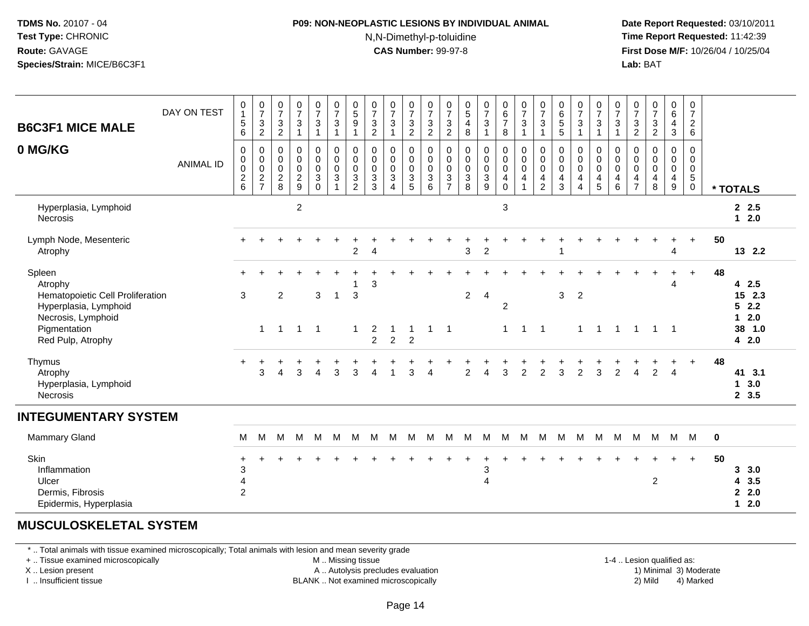#### **P09: NON-NEOPLASTIC LESIONS BY INDIVIDUAL ANIMAL**N,N-Dimethyl-p-toluidine

 **Date Report Requested:** 03/10/2011 **Time Report Requested:** 11:42:39 **First Dose M/F:** 10/26/04 / 10/25/04 Lab: BAT **Lab:** BAT

| <b>B6C3F1 MICE MALE</b><br>0 MG/KG<br>Hyperplasia, Lymphoid                                                                               | DAY ON TEST<br><b>ANIMAL ID</b> | 0<br>1<br>$\,$ 5 $\,$<br>$\,6\,$<br>$\pmb{0}$<br>$\pmb{0}$<br>0<br>$\frac{2}{6}$ | $\begin{array}{c} 0 \\ 7 \\ 3 \end{array}$<br>$\overline{2}$<br>$\,0\,$<br>$\overline{0}$<br>0<br>$\frac{2}{7}$ | $\frac{0}{7}$<br>$\sqrt{3}$<br>$\sqrt{2}$<br>0<br>0<br>$\mathbf 0$<br>$\boldsymbol{2}$<br>8 | $\frac{0}{7}$<br>$\mathbf{3}$<br>$\overline{1}$<br>$\pmb{0}$<br>$\mathbf 0$<br>$\mathbf 0$<br>$\frac{2}{9}$<br>$\sqrt{2}$ | $\frac{0}{7}$<br>3<br>1<br>$\pmb{0}$<br>$\mathsf 0$<br>$\mathsf 0$<br>$\mathbf{3}$<br>$\Omega$ | $\begin{array}{c} 0 \\ 7 \end{array}$<br>$\mathbf{3}$<br>$\mathbf{1}$<br>$\pmb{0}$<br>$\pmb{0}$<br>$\mathbf 0$<br>$\mathbf{3}$ | $\begin{array}{c} 0 \\ 5 \\ 9 \end{array}$<br>$\overline{1}$<br>$\pmb{0}$<br>$\mathbf 0$<br>$\pmb{0}$<br>$\frac{3}{2}$ | $\begin{array}{c} 0 \\ 7 \end{array}$<br>$\mathsf 3$<br>$\sqrt{2}$<br>$\pmb{0}$<br>$\pmb{0}$<br>$\mathbf 0$<br>$\frac{3}{3}$ | $\frac{0}{7}$<br>$\sqrt{3}$<br>$\overline{1}$<br>$\mathbf 0$<br>$\pmb{0}$<br>$\mathbf 0$<br>$\mathbf 3$<br>$\overline{A}$ | $\frac{0}{7}$<br>$\ensuremath{\mathsf{3}}$<br>$\sqrt{2}$<br>$\pmb{0}$<br>$\mathsf{O}\xspace$<br>$\boldsymbol{0}$<br>$\frac{3}{5}$ | 0<br>$\boldsymbol{7}$<br>3<br>$\overline{a}$<br>0<br>$\mathbf 0$<br>$\mathbf 0$<br>3<br>6 | $\frac{0}{7}$<br>3<br>$\overline{c}$<br>0<br>$\mathbf 0$<br>$\mathbf 0$<br>$\mathbf{3}$<br>$\overline{7}$ | $\begin{array}{c} 0 \\ 5 \end{array}$<br>$\overline{4}$<br>$\bf 8$<br>$\pmb{0}$<br>$\pmb{0}$<br>$\pmb{0}$<br>$\frac{3}{8}$ | $\frac{0}{7}$<br>$\ensuremath{\mathsf{3}}$<br>$\mathbf{1}$<br>$\pmb{0}$<br>$\overline{0}$<br>0<br>$\frac{3}{9}$ | $_{6}^{\rm 0}$<br>$\boldsymbol{7}$<br>8<br>$\mathbf 0$<br>$\mathsf{O}\xspace$<br>$\mathbf 0$<br>4<br>$\pmb{0}$<br>3 | $\begin{array}{c} 0 \\ 7 \\ 3 \end{array}$<br>$\mathbf{1}$<br>$\pmb{0}$<br>$\mathbf 0$<br>$\overline{0}$<br>$\overline{4}$<br>$\overline{1}$ | $\frac{0}{7}$<br>3<br>1<br>0<br>$\pmb{0}$<br>$\mathbf 0$<br>4<br>2 | $\begin{array}{c} 0 \\ 6 \\ 5 \end{array}$<br>5<br>$\pmb{0}$<br>$\pmb{0}$<br>$\mathbf 0$<br>4<br>3 | $\frac{0}{7}$<br>$\ensuremath{\mathsf{3}}$<br>$\overline{1}$<br>0<br>$\mathsf{O}\xspace$<br>$\pmb{0}$<br>$\overline{4}$<br>4 | $\begin{array}{c} 0 \\ 7 \end{array}$<br>3<br>$\mathbf{1}$<br>0<br>$\mathbf 0$<br>$\mathbf 0$<br>$\overline{4}$<br>5 | $\begin{array}{c} 0 \\ 7 \\ 3 \end{array}$<br>$\mathbf{1}$<br>$\mathbf 0$<br>$\mathsf{O}\xspace$<br>$\overline{0}$<br>$\overline{4}$<br>6 | 0<br>$\overline{7}$<br>$\sqrt{3}$<br>$\sqrt{2}$<br>0<br>$\mathbf 0$<br>$\mathbf 0$<br>4<br>$\overline{7}$ | $\frac{0}{7}$<br>3<br>$\overline{c}$<br>$\mathbf 0$<br>$\mathbf 0$<br>$\mathbf 0$<br>4<br>8 | $_6^0$<br>$\overline{\mathbf{4}}$<br>$\mathbf{3}$<br>0<br>$\mathsf{O}$<br>$\mathbf 0$<br>$\overline{4}$<br>$\boldsymbol{9}$ | $\begin{array}{c} 0 \\ 7 \end{array}$<br>$\overline{c}$<br>$\,6\,$<br>$\pmb{0}$<br>$\mathbf 0$<br>$\mathbf 0$<br>$\sqrt{5}$<br>$\mathbf 0$ |             | * TOTALS<br>2.5                                    |
|-------------------------------------------------------------------------------------------------------------------------------------------|---------------------------------|----------------------------------------------------------------------------------|-----------------------------------------------------------------------------------------------------------------|---------------------------------------------------------------------------------------------|---------------------------------------------------------------------------------------------------------------------------|------------------------------------------------------------------------------------------------|--------------------------------------------------------------------------------------------------------------------------------|------------------------------------------------------------------------------------------------------------------------|------------------------------------------------------------------------------------------------------------------------------|---------------------------------------------------------------------------------------------------------------------------|-----------------------------------------------------------------------------------------------------------------------------------|-------------------------------------------------------------------------------------------|-----------------------------------------------------------------------------------------------------------|----------------------------------------------------------------------------------------------------------------------------|-----------------------------------------------------------------------------------------------------------------|---------------------------------------------------------------------------------------------------------------------|----------------------------------------------------------------------------------------------------------------------------------------------|--------------------------------------------------------------------|----------------------------------------------------------------------------------------------------|------------------------------------------------------------------------------------------------------------------------------|----------------------------------------------------------------------------------------------------------------------|-------------------------------------------------------------------------------------------------------------------------------------------|-----------------------------------------------------------------------------------------------------------|---------------------------------------------------------------------------------------------|-----------------------------------------------------------------------------------------------------------------------------|--------------------------------------------------------------------------------------------------------------------------------------------|-------------|----------------------------------------------------|
| Necrosis<br>Lymph Node, Mesenteric<br>Atrophy                                                                                             |                                 |                                                                                  |                                                                                                                 |                                                                                             |                                                                                                                           |                                                                                                |                                                                                                                                | $\overline{c}$                                                                                                         | $\overline{4}$                                                                                                               |                                                                                                                           |                                                                                                                                   |                                                                                           |                                                                                                           | 3                                                                                                                          | $\overline{2}$                                                                                                  |                                                                                                                     |                                                                                                                                              |                                                                    |                                                                                                    |                                                                                                                              |                                                                                                                      |                                                                                                                                           |                                                                                                           |                                                                                             | Δ                                                                                                                           | $+$                                                                                                                                        | 50          | $12.0$<br>13 2.2                                   |
| Spleen<br>Atrophy<br>Hematopoietic Cell Proliferation<br>Hyperplasia, Lymphoid<br>Necrosis, Lymphoid<br>Pigmentation<br>Red Pulp, Atrophy |                                 | 3                                                                                | $\mathbf{1}$                                                                                                    | $\overline{c}$<br>$\overline{1}$                                                            |                                                                                                                           | 3<br>$1 \quad 1$                                                                               | $\mathbf{1}$                                                                                                                   | 3<br>$\mathbf{1}$                                                                                                      | 3<br>$\overline{c}$<br>$\overline{2}$                                                                                        | -1<br>$\overline{2}$                                                                                                      | 1<br>$\overline{c}$                                                                                                               | 1                                                                                         | $\overline{1}$                                                                                            | $\overline{a}$                                                                                                             | $\overline{4}$                                                                                                  | $\boldsymbol{2}$<br>$\mathbf{1}$                                                                                    | $\mathbf{1}$                                                                                                                                 | $\overline{1}$                                                     | 3                                                                                                  | $\sqrt{2}$<br>$\mathbf{1}$                                                                                                   | $\overline{1}$                                                                                                       | $\overline{1}$                                                                                                                            | $\mathbf{1}$                                                                                              | $\mathbf{1}$                                                                                | Δ<br>$\overline{\phantom{0}}$                                                                                               | $\ddot{}$                                                                                                                                  | 48          | 42.5<br>15 2.3<br>52.2<br>$12.0$<br>38 1.0<br>42.0 |
| Thymus<br>Atrophy<br>Hyperplasia, Lymphoid<br><b>Necrosis</b>                                                                             |                                 | $+$                                                                              | $\ddot{}$<br>3                                                                                                  | $\overline{4}$                                                                              | 3                                                                                                                         | $\overline{4}$                                                                                 | 3                                                                                                                              | 3                                                                                                                      | 4                                                                                                                            | $\overline{1}$                                                                                                            | 3                                                                                                                                 | $\overline{4}$                                                                            |                                                                                                           | $\overline{2}$                                                                                                             | $\boldsymbol{\Lambda}$                                                                                          | 3                                                                                                                   | $\overline{2}$                                                                                                                               | $\overline{2}$                                                     | 3                                                                                                  | $\overline{2}$                                                                                                               | 3                                                                                                                    | $\overline{2}$                                                                                                                            | $\overline{A}$                                                                                            | $\overline{2}$                                                                              | $\boldsymbol{\Lambda}$                                                                                                      | $+$                                                                                                                                        | 48          | 41 3.1<br>13.0<br>2, 3.5                           |
| <b>INTEGUMENTARY SYSTEM</b>                                                                                                               |                                 |                                                                                  |                                                                                                                 |                                                                                             |                                                                                                                           |                                                                                                |                                                                                                                                |                                                                                                                        |                                                                                                                              |                                                                                                                           |                                                                                                                                   |                                                                                           |                                                                                                           |                                                                                                                            |                                                                                                                 |                                                                                                                     |                                                                                                                                              |                                                                    |                                                                                                    |                                                                                                                              |                                                                                                                      |                                                                                                                                           |                                                                                                           |                                                                                             |                                                                                                                             |                                                                                                                                            |             |                                                    |
| <b>Mammary Gland</b>                                                                                                                      |                                 | M                                                                                | M                                                                                                               | м                                                                                           | M                                                                                                                         | M                                                                                              | M                                                                                                                              | M                                                                                                                      | м                                                                                                                            | м                                                                                                                         | M                                                                                                                                 | M                                                                                         | м                                                                                                         | M                                                                                                                          | м                                                                                                               | M                                                                                                                   | M                                                                                                                                            | M                                                                  | M                                                                                                  | M                                                                                                                            | M                                                                                                                    | M                                                                                                                                         | M                                                                                                         | M                                                                                           | M                                                                                                                           | <b>M</b>                                                                                                                                   | $\mathbf 0$ |                                                    |
| Skin<br>Inflammation<br>Ulcer<br>Dermis, Fibrosis<br>Epidermis, Hyperplasia                                                               |                                 | $\ddot{}$<br>3<br>4<br>2                                                         |                                                                                                                 |                                                                                             |                                                                                                                           |                                                                                                |                                                                                                                                |                                                                                                                        |                                                                                                                              |                                                                                                                           |                                                                                                                                   |                                                                                           |                                                                                                           |                                                                                                                            | 3<br>$\overline{4}$                                                                                             |                                                                                                                     |                                                                                                                                              |                                                                    |                                                                                                    |                                                                                                                              |                                                                                                                      |                                                                                                                                           |                                                                                                           | $\overline{c}$                                                                              |                                                                                                                             | $\ddot{}$                                                                                                                                  | 50          | 3, 3.0<br>43.5<br>22.0<br>$12.0$                   |

#### **MUSCULOSKELETAL SYSTEM**

\* .. Total animals with tissue examined microscopically; Total animals with lesion and mean severity grade

+ .. Tissue examined microscopically

X .. Lesion present

I .. Insufficient tissue

M .. Missing tissue

A .. Autolysis precludes evaluation

BLANK .. Not examined microscopically 2) Mild 4) Marked

1-4 .. Lesion qualified as: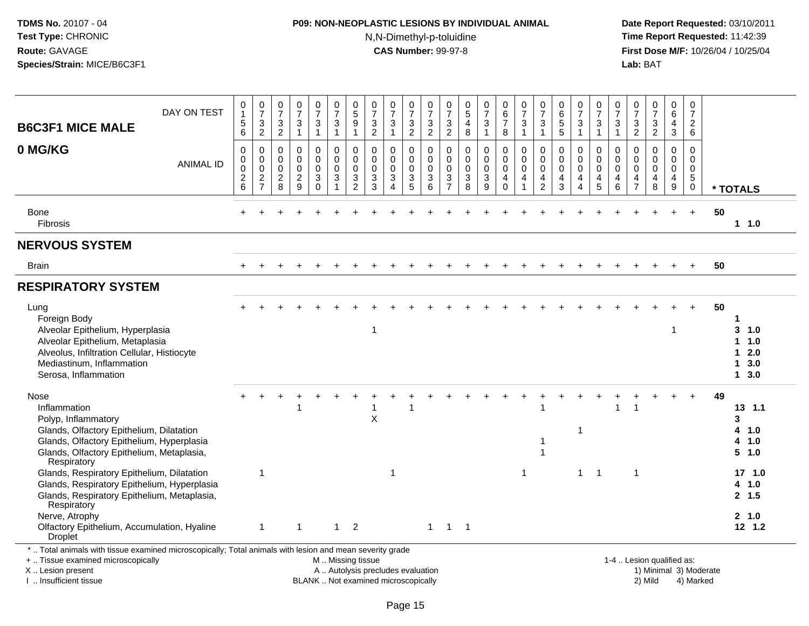## **P09: NON-NEOPLASTIC LESIONS BY INDIVIDUAL ANIMAL**N,N-Dimethyl-p-toluidine

 **Date Report Requested:** 03/10/2011 **Time Report Requested:** 11:42:39 **First Dose M/F:** 10/26/04 / 10/25/04<br>**Lab:** BAT **Lab:** BAT

| <b>B6C3F1 MICE MALE</b>                                                                                                                                                                                                                    | DAY ON TEST      | 0<br>$\mathbf{1}$<br>$\,$ 5 $\,$<br>6                               | 0<br>$\overline{7}$<br>$\mathsf 3$<br>$\overline{2}$ | 0<br>$\overline{7}$<br>$\frac{3}{2}$                       | 0<br>$\overline{7}$<br>$\sqrt{3}$<br>$\mathbf{1}$            | 0<br>$\overline{7}$<br>3<br>1                    | 0<br>$\overline{7}$<br>$\sqrt{3}$<br>$\mathbf{1}$           | $^{\rm 0}_{\rm 5}$<br>9<br>$\mathbf{1}$                                      | 0<br>$\overline{7}$<br>$\mathbf{3}$<br>$\overline{c}$  | 0<br>$\overline{7}$<br>$\sqrt{3}$<br>$\overline{1}$                      | 0<br>$\overline{7}$<br>$\sqrt{3}$<br>$\overline{2}$ | 0<br>$\overline{7}$<br>$\ensuremath{\mathsf{3}}$<br>$\overline{2}$           | 0<br>$\overline{7}$<br>$\mathbf{3}$<br>$\overline{2}$                                    | 0<br>$\overline{5}$<br>4<br>8   | 0<br>$\overline{7}$<br>$\mathbf{3}$                            | 0<br>$6\phantom{a}$<br>$\overline{7}$<br>8        | 0<br>$\overline{7}$<br>$\sqrt{3}$<br>$\mathbf{1}$                           | 0<br>$\overline{7}$<br>3<br>1                       | 0<br>$6\phantom{a}$<br>$\sqrt{5}$<br>5                           | 0<br>$\overline{7}$<br>3<br>$\mathbf{1}$                                    | 0<br>$\overline{7}$<br>$\sqrt{3}$<br>$\mathbf{1}$ | 0<br>$\overline{7}$<br>$\mathbf{3}$<br>$\overline{1}$                          | 0<br>$\overline{7}$<br>$\mathbf{3}$<br>$\overline{2}$       | 0<br>$\overline{7}$<br>$\sqrt{3}$<br>$\overline{2}$ | 0<br>6<br>4<br>3                                                      | $\pmb{0}$<br>$\overline{7}$<br>$\overline{c}$<br>6                     |    |                                                        |
|--------------------------------------------------------------------------------------------------------------------------------------------------------------------------------------------------------------------------------------------|------------------|---------------------------------------------------------------------|------------------------------------------------------|------------------------------------------------------------|--------------------------------------------------------------|--------------------------------------------------|-------------------------------------------------------------|------------------------------------------------------------------------------|--------------------------------------------------------|--------------------------------------------------------------------------|-----------------------------------------------------|------------------------------------------------------------------------------|------------------------------------------------------------------------------------------|---------------------------------|----------------------------------------------------------------|---------------------------------------------------|-----------------------------------------------------------------------------|-----------------------------------------------------|------------------------------------------------------------------|-----------------------------------------------------------------------------|---------------------------------------------------|--------------------------------------------------------------------------------|-------------------------------------------------------------|-----------------------------------------------------|-----------------------------------------------------------------------|------------------------------------------------------------------------|----|--------------------------------------------------------|
| 0 MG/KG                                                                                                                                                                                                                                    | <b>ANIMAL ID</b> | 0<br>0<br>$\mathsf{O}\xspace$<br>$\boldsymbol{2}$<br>$6\phantom{a}$ | 0<br>$\mathsf 0$<br>$\mathsf 0$<br>$\frac{2}{7}$     | $\mathbf 0$<br>$\mathbf 0$<br>$\mathbf 0$<br>$\frac{2}{8}$ | $\mathbf 0$<br>$\mathbf 0$<br>$\mathbf 0$<br>$\sqrt{2}$<br>9 | 0<br>$\mathbf 0$<br>$\mathbf 0$<br>3<br>$\Omega$ | 0<br>$\pmb{0}$<br>$\mathbf 0$<br>$\sqrt{3}$<br>$\mathbf{1}$ | 0<br>$\pmb{0}$<br>$\mathbf 0$<br>$\ensuremath{\mathsf{3}}$<br>$\overline{2}$ | $\Omega$<br>$\mathbf 0$<br>$\mathbf 0$<br>3<br>3       | $\mathbf 0$<br>$\mathbf 0$<br>$\mathbf 0$<br>3<br>$\boldsymbol{\Lambda}$ | 0<br>$\mathbf 0$<br>$\mathbf 0$<br>3<br>5           | $\mathbf 0$<br>$\mathbf 0$<br>$\mathbf 0$<br>$\mathbf{3}$<br>$6\phantom{1}6$ | $\mathbf 0$<br>$\mathbf 0$<br>$\mathbf 0$<br>$\ensuremath{\mathsf{3}}$<br>$\overline{7}$ | 0<br>0<br>$\mathbf 0$<br>3<br>8 | $\mathbf 0$<br>$\mathbf 0$<br>$\mathbf 0$<br>$\mathbf{3}$<br>9 | 0<br>$\pmb{0}$<br>$\mathbf 0$<br>4<br>$\mathbf 0$ | $\mathbf 0$<br>$\mathbf 0$<br>$\mathbf 0$<br>$\overline{4}$<br>$\mathbf{1}$ | $\Omega$<br>0<br>$\mathbf 0$<br>4<br>$\overline{2}$ | $\mathbf 0$<br>$\mathbf 0$<br>$\mathbf 0$<br>$\overline{4}$<br>3 | 0<br>$\mathbf 0$<br>$\mathbf 0$<br>$\overline{4}$<br>$\boldsymbol{\Lambda}$ | 0<br>$\mathbf 0$<br>0<br>4<br>5                   | $\mathbf 0$<br>$\mathbf 0$<br>$\mathbf 0$<br>$\overline{4}$<br>$6\phantom{1}6$ | $\Omega$<br>$\Omega$<br>$\mathbf{0}$<br>4<br>$\overline{7}$ | $\Omega$<br>$\Omega$<br>$\mathbf 0$<br>4<br>8       | 0<br>$\mathbf 0$<br>$\mathbf 0$<br>$\overline{4}$<br>$\boldsymbol{9}$ | $\mathbf 0$<br>$\mathbf 0$<br>$\mathbf 0$<br>$\sqrt{5}$<br>$\mathbf 0$ |    | * TOTALS                                               |
| <b>Bone</b><br>Fibrosis                                                                                                                                                                                                                    |                  |                                                                     |                                                      |                                                            |                                                              |                                                  |                                                             |                                                                              |                                                        |                                                                          |                                                     |                                                                              |                                                                                          |                                 |                                                                |                                                   |                                                                             |                                                     |                                                                  |                                                                             |                                                   |                                                                                |                                                             |                                                     |                                                                       | $\ddot{}$                                                              | 50 | $1 1.0$                                                |
| <b>NERVOUS SYSTEM</b>                                                                                                                                                                                                                      |                  |                                                                     |                                                      |                                                            |                                                              |                                                  |                                                             |                                                                              |                                                        |                                                                          |                                                     |                                                                              |                                                                                          |                                 |                                                                |                                                   |                                                                             |                                                     |                                                                  |                                                                             |                                                   |                                                                                |                                                             |                                                     |                                                                       |                                                                        |    |                                                        |
| <b>Brain</b>                                                                                                                                                                                                                               |                  |                                                                     |                                                      |                                                            |                                                              |                                                  |                                                             |                                                                              |                                                        |                                                                          |                                                     |                                                                              |                                                                                          |                                 |                                                                |                                                   |                                                                             |                                                     |                                                                  |                                                                             |                                                   |                                                                                |                                                             |                                                     |                                                                       |                                                                        | 50 |                                                        |
| <b>RESPIRATORY SYSTEM</b>                                                                                                                                                                                                                  |                  |                                                                     |                                                      |                                                            |                                                              |                                                  |                                                             |                                                                              |                                                        |                                                                          |                                                     |                                                                              |                                                                                          |                                 |                                                                |                                                   |                                                                             |                                                     |                                                                  |                                                                             |                                                   |                                                                                |                                                             |                                                     |                                                                       |                                                                        |    |                                                        |
| Lung<br>Foreign Body<br>Alveolar Epithelium, Hyperplasia<br>Alveolar Epithelium, Metaplasia<br>Alveolus, Infiltration Cellular, Histiocyte<br>Mediastinum, Inflammation<br>Serosa, Inflammation                                            |                  |                                                                     |                                                      |                                                            |                                                              |                                                  |                                                             |                                                                              | 1                                                      |                                                                          |                                                     |                                                                              |                                                                                          |                                 |                                                                |                                                   |                                                                             |                                                     |                                                                  |                                                                             |                                                   |                                                                                |                                                             |                                                     | 1                                                                     |                                                                        | 50 | 1<br>3, 1.0<br>11.0<br>$12.0$<br>13.0<br>$1 \quad 3.0$ |
| Nose<br>Inflammation<br>Polyp, Inflammatory<br>Glands, Olfactory Epithelium, Dilatation<br>Glands, Olfactory Epithelium, Hyperplasia<br>Glands, Olfactory Epithelium, Metaplasia,<br>Respiratory                                           |                  |                                                                     | $\overline{1}$                                       |                                                            |                                                              |                                                  |                                                             |                                                                              | X                                                      | -1                                                                       |                                                     |                                                                              |                                                                                          |                                 |                                                                |                                                   | $\overline{1}$                                                              | 1                                                   |                                                                  | 1<br>$\mathbf{1}$                                                           | $\overline{1}$                                    |                                                                                | $\overline{1}$                                              |                                                     |                                                                       | $\ddot{}$                                                              | 49 | 13, 1.1<br>3<br>4 1.0<br>4 1.0<br>5 1.0<br>17, 1.0     |
| Glands, Respiratory Epithelium, Dilatation<br>Glands, Respiratory Epithelium, Hyperplasia<br>Glands, Respiratory Epithelium, Metaplasia,<br>Respiratory<br>Nerve, Atrophy<br>Olfactory Epithelium, Accumulation, Hyaline<br><b>Droplet</b> |                  |                                                                     | $\mathbf{1}$                                         |                                                            | $\mathbf{1}$                                                 |                                                  |                                                             | $1 \quad 2$                                                                  |                                                        |                                                                          |                                                     |                                                                              | $1 \quad 1 \quad 1$                                                                      |                                 |                                                                |                                                   |                                                                             |                                                     |                                                                  |                                                                             |                                                   |                                                                                |                                                             |                                                     |                                                                       |                                                                        |    | 4 1.0<br>2, 1.5<br>2, 1.0<br>$12$ 1.2                  |
| *  Total animals with tissue examined microscopically; Total animals with lesion and mean severity grade<br>+  Tissue examined microscopically<br>X  Lesion present                                                                        |                  |                                                                     |                                                      |                                                            |                                                              |                                                  |                                                             |                                                                              | M  Missing tissue<br>A  Autolysis precludes evaluation |                                                                          |                                                     |                                                                              |                                                                                          |                                 |                                                                |                                                   |                                                                             |                                                     |                                                                  |                                                                             |                                                   |                                                                                |                                                             | 1-4  Lesion qualified as:                           |                                                                       | 1) Minimal 3) Moderate                                                 |    |                                                        |

I .. Insufficient tissue

BLANK .. Not examined microscopically 2) Mild 4) Marked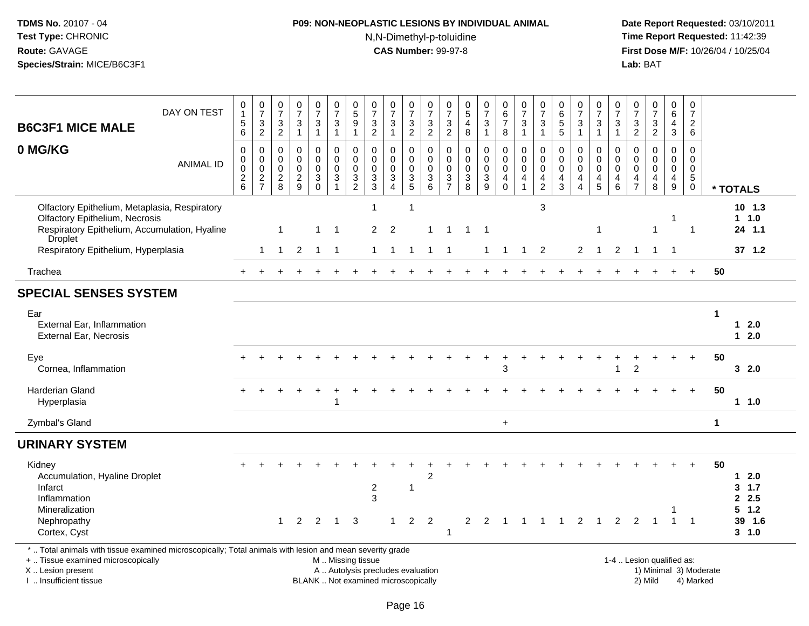## **P09: NON-NEOPLASTIC LESIONS BY INDIVIDUAL ANIMAL**N,N-Dimethyl-p-toluidine

| <b>B6C3F1 MICE MALE</b>                                                                                                                                                                       | DAY ON TEST      | 0<br>$\mathbf{1}$<br>$\begin{array}{c} 5 \\ 6 \end{array}$       | $\begin{array}{c} 0 \\ 7 \end{array}$<br>$\frac{3}{2}$ | 0<br>$\overline{7}$<br>$\sqrt{3}$<br>$\overline{2}$ | $\begin{array}{c} 0 \\ 7 \end{array}$<br>$\frac{3}{1}$           | $\frac{0}{7}$<br>3<br>$\mathbf{1}$                         | $\frac{0}{7}$<br>$\sqrt{3}$<br>$\overline{1}$                                     | $\begin{array}{c} 0 \\ 5 \end{array}$<br>9<br>1                                | $\frac{0}{7}$<br>$\frac{3}{2}$                           | $\frac{0}{7}$<br>3<br>$\mathbf{1}$                                       | $\frac{0}{7}$<br>$\frac{3}{2}$                                                       | $\begin{array}{c} 0 \\ 7 \end{array}$<br>$\frac{3}{2}$ | $\frac{0}{7}$<br>$\sqrt{3}$<br>$\overline{2}$    | $\begin{array}{c} 0 \\ 5 \end{array}$<br>$\overline{4}$<br>$\boldsymbol{8}$ | $\frac{0}{7}$<br>$\mathbf{3}$<br>$\mathbf{1}$                           | 0<br>$6\overline{6}$<br>$\boldsymbol{7}$<br>8                              | $\frac{0}{7}$<br>$\mathbf{3}$<br>$\mathbf{1}$                        | $\frac{0}{7}$<br>3<br>$\mathbf{1}$                             | 0<br>6<br>5<br>5                                                          | $\frac{0}{7}$<br>3<br>$\overline{1}$                 | $\frac{0}{7}$<br>$\frac{3}{1}$                                                | $\frac{0}{7}$<br>3<br>$\mathbf{1}$        | $\frac{0}{7}$<br>$\frac{3}{2}$                           | $\frac{0}{7}$<br>$\frac{3}{2}$                            | $\pmb{0}$<br>$\,6\,$<br>$\frac{4}{3}$                          | $\boldsymbol{0}$<br>$\overline{7}$<br>$\frac{2}{6}$                    |                        |                                               |
|-----------------------------------------------------------------------------------------------------------------------------------------------------------------------------------------------|------------------|------------------------------------------------------------------|--------------------------------------------------------|-----------------------------------------------------|------------------------------------------------------------------|------------------------------------------------------------|-----------------------------------------------------------------------------------|--------------------------------------------------------------------------------|----------------------------------------------------------|--------------------------------------------------------------------------|--------------------------------------------------------------------------------------|--------------------------------------------------------|--------------------------------------------------|-----------------------------------------------------------------------------|-------------------------------------------------------------------------|----------------------------------------------------------------------------|----------------------------------------------------------------------|----------------------------------------------------------------|---------------------------------------------------------------------------|------------------------------------------------------|-------------------------------------------------------------------------------|-------------------------------------------|----------------------------------------------------------|-----------------------------------------------------------|----------------------------------------------------------------|------------------------------------------------------------------------|------------------------|-----------------------------------------------|
| 0 MG/KG                                                                                                                                                                                       | <b>ANIMAL ID</b> | $\mathbf 0$<br>$\pmb{0}$<br>$\mathsf{O}\xspace$<br>$\frac{2}{6}$ | 0<br>$\mathbf 0$<br>$\pmb{0}$<br>$\frac{2}{7}$         | $\mathbf 0$<br>0<br>$\mathbf 0$<br>$\sqrt{2}$<br>8  | $\mathbf 0$<br>$\ddot{\mathbf{0}}$<br>$\pmb{0}$<br>$\frac{2}{9}$ | 0<br>$\mathbf 0$<br>$\pmb{0}$<br>$\sqrt{3}$<br>$\mathbf 0$ | $\mathbf 0$<br>$\ddot{\mathbf{0}}$<br>$\mathbf 0$<br>$\sqrt{3}$<br>$\overline{1}$ | 0<br>$\mathbf 0$<br>$\mathbf 0$<br>$\ensuremath{\mathsf{3}}$<br>$\overline{2}$ | 0<br>$\mathbf 0$<br>$\mathsf{O}\xspace$<br>$\frac{3}{3}$ | 0<br>$\mathbf 0$<br>$\pmb{0}$<br>$\overline{3}$<br>$\overline{4}$        | 0<br>$\mathsf{O}\xspace$<br>$\pmb{0}$<br>$\ensuremath{\mathsf{3}}$<br>$\overline{5}$ | 0<br>$\mathbf 0$<br>$\mathsf 0$<br>$\frac{3}{6}$       | 0<br>$\mathbf 0$<br>$\mathbf 0$<br>$\frac{3}{7}$ | $\mathbf 0$<br>$\mathbf 0$<br>$\mathbf 0$<br>$\sqrt{3}$<br>$\overline{8}$   | 0<br>$\mathsf{O}\xspace$<br>$\pmb{0}$<br>$\ensuremath{\mathsf{3}}$<br>9 | 0<br>$\overline{0}$<br>$\pmb{0}$<br>$\overline{\mathbf{4}}$<br>$\mathbf 0$ | $\mathbf 0$<br>$\ddot{\mathbf{0}}$<br>$\pmb{0}$<br>4<br>$\mathbf{1}$ | $\mathbf 0$<br>$\mathbf 0$<br>$\pmb{0}$<br>4<br>$\overline{2}$ | $\mathbf 0$<br>$\mathbf 0$<br>$\pmb{0}$<br>$\overline{4}$<br>$\mathbf{3}$ | 0<br>$\mathbf 0$<br>$\pmb{0}$<br>4<br>$\overline{4}$ | $\mathbf 0$<br>$\mathbf 0$<br>$\mathsf 0$<br>$\overline{4}$<br>$\overline{5}$ | 0<br>$\mathbf 0$<br>$\mathbf 0$<br>4<br>6 | $\mathbf 0$<br>$\mathbf 0$<br>$\pmb{0}$<br>$\frac{4}{7}$ | 0<br>$\overline{0}$<br>$\mathsf 0$<br>$\overline{4}$<br>8 | 0<br>$\mathbf 0$<br>$\mathsf{O}\xspace$<br>$\overline{4}$<br>9 | $\mathbf 0$<br>$\mathbf 0$<br>$\mathbf 0$<br>$\sqrt{5}$<br>$\mathbf 0$ |                        | * TOTALS                                      |
| Olfactory Epithelium, Metaplasia, Respiratory<br><b>Olfactory Epithelium, Necrosis</b><br>Respiratory Epithelium, Accumulation, Hyaline<br><b>Droplet</b>                                     |                  |                                                                  |                                                        | 1                                                   |                                                                  | -1                                                         | $\overline{\mathbf{1}}$                                                           |                                                                                | 1<br>$\overline{2}$                                      | $\overline{2}$                                                           | $\mathbf 1$                                                                          | $\overline{1}$                                         | -1                                               | $\mathbf 1$                                                                 | -1                                                                      |                                                                            |                                                                      | $\mathbf{3}$                                                   |                                                                           |                                                      | $\mathbf{1}$                                                                  |                                           |                                                          | $\mathbf{1}$                                              | -1                                                             | $\overline{1}$                                                         |                        | 10, 1.3<br>$1 \t1.0$<br>24 1.1                |
| Respiratory Epithelium, Hyperplasia                                                                                                                                                           |                  |                                                                  | $\mathbf 1$                                            | $\mathbf 1$                                         | 2                                                                | $\overline{1}$                                             | $\overline{1}$                                                                    |                                                                                | 1                                                        | $\mathbf 1$                                                              | -1                                                                                   | $\mathbf{1}$                                           | -1                                               |                                                                             | 1                                                                       | -1                                                                         | $\mathbf{1}$                                                         | $\overline{2}$                                                 |                                                                           | $\overline{c}$                                       | $\mathbf{1}$                                                                  | 2                                         | $\overline{1}$                                           | $\overline{1}$                                            | - 1                                                            |                                                                        |                        | 37, 1.2                                       |
| Trachea                                                                                                                                                                                       |                  |                                                                  |                                                        |                                                     |                                                                  |                                                            |                                                                                   |                                                                                |                                                          |                                                                          |                                                                                      |                                                        |                                                  |                                                                             |                                                                         |                                                                            |                                                                      |                                                                |                                                                           |                                                      |                                                                               |                                           |                                                          |                                                           |                                                                |                                                                        | 50                     |                                               |
| <b>SPECIAL SENSES SYSTEM</b>                                                                                                                                                                  |                  |                                                                  |                                                        |                                                     |                                                                  |                                                            |                                                                                   |                                                                                |                                                          |                                                                          |                                                                                      |                                                        |                                                  |                                                                             |                                                                         |                                                                            |                                                                      |                                                                |                                                                           |                                                      |                                                                               |                                           |                                                          |                                                           |                                                                |                                                                        |                        |                                               |
| Ear<br><b>External Ear, Inflammation</b><br><b>External Ear, Necrosis</b>                                                                                                                     |                  |                                                                  |                                                        |                                                     |                                                                  |                                                            |                                                                                   |                                                                                |                                                          |                                                                          |                                                                                      |                                                        |                                                  |                                                                             |                                                                         |                                                                            |                                                                      |                                                                |                                                                           |                                                      |                                                                               |                                           |                                                          |                                                           |                                                                |                                                                        | $\blacktriangleleft$   | $12.0$<br>$12.0$                              |
| Eye<br>Cornea, Inflammation                                                                                                                                                                   |                  |                                                                  |                                                        |                                                     |                                                                  |                                                            |                                                                                   |                                                                                |                                                          |                                                                          |                                                                                      |                                                        |                                                  |                                                                             |                                                                         | 3                                                                          |                                                                      |                                                                |                                                                           |                                                      |                                                                               |                                           | $\overline{2}$                                           |                                                           |                                                                |                                                                        | 50                     | 32.0                                          |
| Harderian Gland<br>Hyperplasia                                                                                                                                                                |                  |                                                                  |                                                        |                                                     |                                                                  |                                                            | 1                                                                                 |                                                                                |                                                          |                                                                          |                                                                                      |                                                        |                                                  |                                                                             |                                                                         |                                                                            |                                                                      |                                                                |                                                                           |                                                      |                                                                               |                                           |                                                          |                                                           |                                                                | $\div$                                                                 | 50                     | $1 1.0$                                       |
| Zymbal's Gland                                                                                                                                                                                |                  |                                                                  |                                                        |                                                     |                                                                  |                                                            |                                                                                   |                                                                                |                                                          |                                                                          |                                                                                      |                                                        |                                                  |                                                                             |                                                                         | $\ddot{}$                                                                  |                                                                      |                                                                |                                                                           |                                                      |                                                                               |                                           |                                                          |                                                           |                                                                |                                                                        | $\mathbf{1}$           |                                               |
| <b>URINARY SYSTEM</b>                                                                                                                                                                         |                  |                                                                  |                                                        |                                                     |                                                                  |                                                            |                                                                                   |                                                                                |                                                          |                                                                          |                                                                                      |                                                        |                                                  |                                                                             |                                                                         |                                                                            |                                                                      |                                                                |                                                                           |                                                      |                                                                               |                                           |                                                          |                                                           |                                                                |                                                                        |                        |                                               |
| Kidney<br>Accumulation, Hyaline Droplet<br>Infarct<br>Inflammation<br>Mineralization<br>Nephropathy                                                                                           |                  |                                                                  |                                                        | $\overline{1}$                                      | 2                                                                | 2                                                          | $\mathbf{1}$                                                                      | 3                                                                              | $\overline{2}$<br>3                                      | 1                                                                        | $\mathbf 1$<br>$\overline{2}$                                                        | $\overline{2}$<br>2                                    |                                                  | $\overline{a}$                                                              | 2                                                                       | $\overline{1}$                                                             |                                                                      |                                                                | $\overline{1}$                                                            | 2                                                    | $\mathbf{1}$                                                                  | 2                                         | 2                                                        | $\overline{1}$                                            | $\overline{1}$                                                 | $\overline{1}$                                                         | 50                     | $1 2.0$<br>3, 1.7<br>2.5<br>$5$ 1.2<br>39 1.6 |
| Cortex, Cyst                                                                                                                                                                                  |                  |                                                                  |                                                        |                                                     |                                                                  |                                                            |                                                                                   |                                                                                |                                                          |                                                                          |                                                                                      |                                                        | -1                                               |                                                                             |                                                                         |                                                                            |                                                                      |                                                                |                                                                           |                                                      |                                                                               |                                           |                                                          |                                                           |                                                                |                                                                        |                        | 3, 1.0                                        |
| *  Total animals with tissue examined microscopically; Total animals with lesion and mean severity grade<br>+  Tissue examined microscopically<br>X  Lesion present<br>I  Insufficient tissue |                  |                                                                  |                                                        |                                                     |                                                                  |                                                            | M  Missing tissue                                                                 |                                                                                |                                                          | A  Autolysis precludes evaluation<br>BLANK  Not examined microscopically |                                                                                      |                                                        |                                                  |                                                                             |                                                                         |                                                                            |                                                                      |                                                                |                                                                           |                                                      |                                                                               |                                           |                                                          | 1-4  Lesion qualified as:<br>2) Mild                      |                                                                | 4) Marked                                                              | 1) Minimal 3) Moderate |                                               |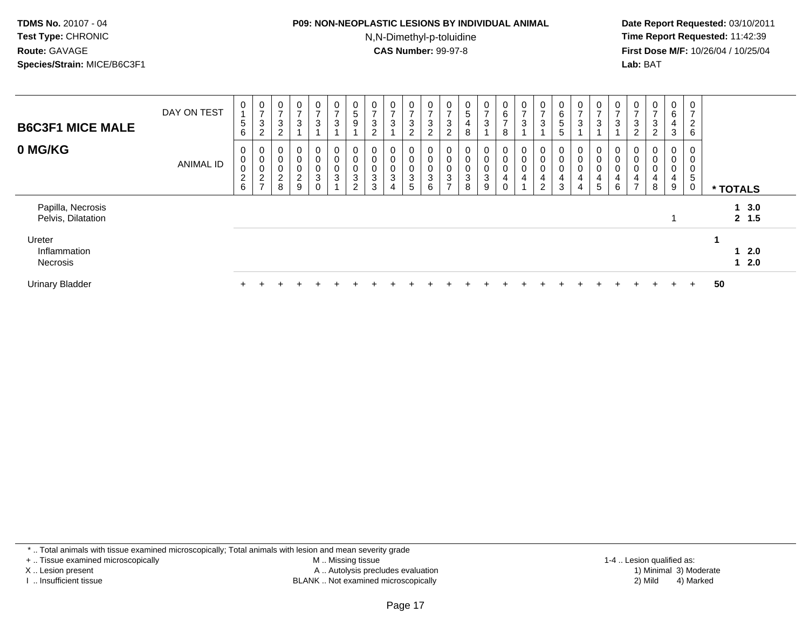#### **P09: NON-NEOPLASTIC LESIONS BY INDIVIDUAL ANIMAL**N,N-Dimethyl-p-toluidine

 **Date Report Requested:** 03/10/2011 **Time Report Requested:** 11:42:39 **First Dose M/F:** 10/26/04 / 10/25/04 Lab: BAT **Lab:** BAT

| <b>B6C3F1 MICE MALE</b>                 | DAY ON TEST      | 0<br>$\sqrt{5}$<br>6                            | $\frac{0}{7}$<br>$\mathbf{3}$<br>2             | 0<br>$\rightarrow$<br>3<br>$\Omega$        | 0<br>$\overline{ }$<br>3                                              | 0<br>$\overline{ }$<br>3 | $\overline{0}$<br>$\rightarrow$<br>$\ensuremath{\mathsf{3}}$    | 0<br>$\sqrt{5}$<br>$\boldsymbol{9}$                         | 0<br>$\rightarrow$<br>$\mathbf{3}$<br>$\overline{c}$     | 0<br>$\overline{ }$<br>$\mathbf{3}$                         | 0<br>$\overline{ }$<br>3<br>$\overline{2}$ | 0<br>$\overline{ }$<br>$\sqrt{3}$<br>$\overline{2}$ | 0<br>$\overline{ }$<br>3<br>$\overline{2}$ | $\mathbf 0$<br>5<br>4<br>8 | $\mathbf{0}$<br>$\rightarrow$<br>$\sqrt{3}$                                    | $\mathbf{0}$<br>$\,6$<br>$\overline{ }$<br>8              | $\frac{0}{7}$<br>$\sqrt{3}$                                       | 0<br>$\overline{ }$<br>3           | 0<br>6<br>5<br>5      | 0<br>$\overline{ }$<br>3                  | $\frac{0}{7}$<br>$\ensuremath{\mathsf{3}}$ | 0<br>$\rightarrow$<br>$\mathbf{3}$    | 0<br>$\overline{ }$<br>$\sqrt{3}$<br>2             | $\frac{0}{7}$<br>$\frac{3}{2}$                              | 0<br>6<br>4<br>3      | 0<br>$\overline{ }$<br>$\overline{c}$<br>6 |                |  |
|-----------------------------------------|------------------|-------------------------------------------------|------------------------------------------------|--------------------------------------------|-----------------------------------------------------------------------|--------------------------|-----------------------------------------------------------------|-------------------------------------------------------------|----------------------------------------------------------|-------------------------------------------------------------|--------------------------------------------|-----------------------------------------------------|--------------------------------------------|----------------------------|--------------------------------------------------------------------------------|-----------------------------------------------------------|-------------------------------------------------------------------|------------------------------------|-----------------------|-------------------------------------------|--------------------------------------------|---------------------------------------|----------------------------------------------------|-------------------------------------------------------------|-----------------------|--------------------------------------------|----------------|--|
| 0 MG/KG                                 | <b>ANIMAL ID</b> | 0<br>$\pmb{0}$<br>$\pmb{0}$<br>$^2\phantom{1}6$ | 0<br>$\mathbf 0$<br>$\pmb{0}$<br>$\frac{2}{7}$ | 0<br>$\pmb{0}$<br>0<br>$\overline{c}$<br>8 | $\overline{0}$<br>$\mathbf 0$<br>$\mathbf 0$<br>$\boldsymbol{2}$<br>9 | 0<br>0<br>0<br>3<br>0    | 0<br>$\pmb{0}$<br>$\boldsymbol{0}$<br>$\ensuremath{\mathsf{3}}$ | 0<br>$\pmb{0}$<br>$\pmb{0}$<br>$\sqrt{3}$<br>$\overline{2}$ | $\mathbf 0$<br>$\pmb{0}$<br>$\pmb{0}$<br>$\sqrt{3}$<br>3 | 0<br>$\pmb{0}$<br>$\pmb{0}$<br>$\sqrt{3}$<br>$\overline{4}$ | 0<br>0<br>0<br>3<br>5                      | 0<br>$\pmb{0}$<br>$\mathbf 0$<br>$\sqrt{3}$<br>6    | 0<br>0<br>0<br>3<br>$\overline{ }$         | $\mathbf 0$<br>0<br>3<br>8 | 0<br>$\pmb{0}$<br>$\mathbf 0$<br>$\ensuremath{\mathsf{3}}$<br>$\boldsymbol{9}$ | $\mathbf 0$<br>$\pmb{0}$<br>$\pmb{0}$<br>4<br>$\mathbf 0$ | $\boldsymbol{0}$<br>$\overline{0}$<br>$\pmb{0}$<br>$\overline{a}$ | 0<br>0<br>0<br>4<br>$\overline{2}$ | 0<br>0<br>0<br>4<br>3 | 0<br>$\mathbf 0$<br>$\mathbf 0$<br>4<br>4 | 0<br>0<br>0<br>4<br>5                      | 0<br>$\pmb{0}$<br>$\pmb{0}$<br>4<br>6 | 0<br>$\pmb{0}$<br>$\pmb{0}$<br>4<br>$\overline{ }$ | 0<br>$\pmb{0}$<br>$\pmb{0}$<br>$\overline{\mathbf{4}}$<br>8 | 0<br>0<br>0<br>4<br>9 | 0<br>0<br>5<br>0                           | * TOTALS       |  |
| Papilla, Necrosis<br>Pelvis, Dilatation |                  |                                                 |                                                |                                            |                                                                       |                          |                                                                 |                                                             |                                                          |                                                             |                                            |                                                     |                                            |                            |                                                                                |                                                           |                                                                   |                                    |                       |                                           |                                            |                                       |                                                    |                                                             |                       |                                            | 13.0<br>2, 1.5 |  |
| Ureter<br>Inflammation<br>Necrosis      |                  |                                                 |                                                |                                            |                                                                       |                          |                                                                 |                                                             |                                                          |                                                             |                                            |                                                     |                                            |                            |                                                                                |                                                           |                                                                   |                                    |                       |                                           |                                            |                                       |                                                    |                                                             |                       |                                            | 12.0<br>12.0   |  |
| <b>Urinary Bladder</b>                  |                  |                                                 |                                                |                                            |                                                                       |                          |                                                                 |                                                             |                                                          |                                                             |                                            |                                                     |                                            |                            |                                                                                |                                                           |                                                                   |                                    |                       |                                           |                                            |                                       |                                                    |                                                             | $\div$                | $+$                                        | 50             |  |

\* .. Total animals with tissue examined microscopically; Total animals with lesion and mean severity grade

+ .. Tissue examined microscopically

X .. Lesion present

I .. Insufficient tissue

 M .. Missing tissueA .. Autolysis precludes evaluation

BLANK .. Not examined microscopically 2) Mild 4) Marked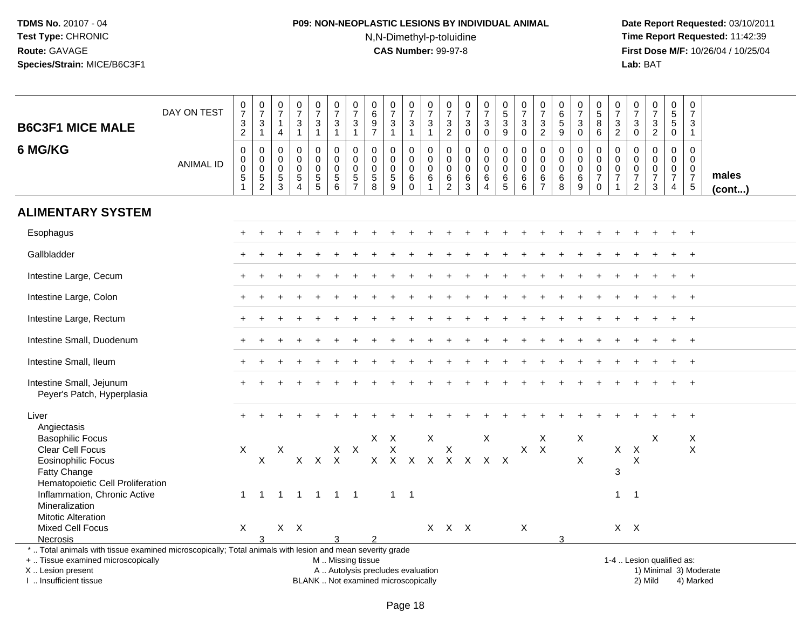## **P09: NON-NEOPLASTIC LESIONS BY INDIVIDUAL ANIMAL**N,N-Dimethyl-p-toluidine

 **Date Report Requested:** 03/10/2011 **Time Report Requested:** 11:42:39 **First Dose M/F:** 10/26/04 / 10/25/04<br>**Lab:** BAT **Lab:** BAT

| <b>B6C3F1 MICE MALE</b>                                                                                  | DAY ON TEST      | $\frac{0}{7}$<br>$\ensuremath{\mathsf{3}}$<br>$\overline{2}$ | $\frac{0}{7}$<br>$\frac{3}{1}$                 | 0<br>$\overline{7}$<br>$\mathbf{1}$<br>4              | $\frac{0}{7}$<br>$\mathbf{3}$<br>$\mathbf{1}$                       | $\frac{0}{7}$<br>3<br>$\mathbf{1}$               | $\frac{0}{7}$<br>$\mathbf{3}$<br>$\mathbf{1}$              | $\frac{0}{7}$<br>$\ensuremath{\mathsf{3}}$<br>$\mathbf{1}$ | 0<br>$\,6\,$<br>$9\,$<br>$\overline{7}$                                   | $\frac{0}{7}$<br>3<br>$\mathbf{1}$                           | $\begin{array}{c} 0 \\ 7 \end{array}$<br>3<br>$\mathbf{1}$ | $\frac{0}{7}$<br>$\sqrt{3}$<br>$\mathbf{1}$                   | 0<br>$\overline{7}$<br>$\mathbf{3}$<br>$\overline{2}$  | $\begin{array}{c} 0 \\ 7 \end{array}$<br>$\mathbf{3}$<br>$\mathbf 0$ | $\begin{array}{c} 0 \\ 7 \end{array}$<br>$\mathbf{3}$<br>$\pmb{0}$ | $^{\rm 0}_{\rm 5}$<br>$\sqrt{3}$<br>$\overline{9}$  | $\frac{0}{7}$<br>$\mathbf{3}$<br>$\mathbf 0$                     | $\pmb{0}$<br>$\overline{7}$<br>3<br>$\overline{c}$     | $\pmb{0}$<br>$\,6\,$<br>$\sqrt{5}$<br>$9\,$                      | $\frac{0}{7}$<br>3<br>$\mathbf 0$ | $^{\rm 0}_{\rm 5}$<br>8<br>$6^{\circ}$                                             | $\frac{0}{7}$<br>$\frac{3}{2}$                              | $\frac{0}{7}$<br>$\sqrt{3}$<br>$\overline{0}$                                        | $\begin{array}{c} 0 \\ 7 \end{array}$<br>$\ensuremath{\mathsf{3}}$<br>$\overline{2}$ | 0<br>$\mathbf 5$<br>$\sqrt{5}$<br>$\pmb{0}$                      | $\pmb{0}$<br>$\boldsymbol{7}$<br>3<br>$\mathbf{1}$         |                 |
|----------------------------------------------------------------------------------------------------------|------------------|--------------------------------------------------------------|------------------------------------------------|-------------------------------------------------------|---------------------------------------------------------------------|--------------------------------------------------|------------------------------------------------------------|------------------------------------------------------------|---------------------------------------------------------------------------|--------------------------------------------------------------|------------------------------------------------------------|---------------------------------------------------------------|--------------------------------------------------------|----------------------------------------------------------------------|--------------------------------------------------------------------|-----------------------------------------------------|------------------------------------------------------------------|--------------------------------------------------------|------------------------------------------------------------------|-----------------------------------|------------------------------------------------------------------------------------|-------------------------------------------------------------|--------------------------------------------------------------------------------------|--------------------------------------------------------------------------------------|------------------------------------------------------------------|------------------------------------------------------------|-----------------|
| 6 MG/KG                                                                                                  | <b>ANIMAL ID</b> | $\mathbf 0$<br>0<br>$\pmb{0}$<br>$\,$ 5 $\,$                 | $\mathbf 0$<br>0<br>$\pmb{0}$<br>$\frac{5}{2}$ | 0<br>0<br>$\mathbf 0$<br>$\sqrt{5}$<br>$\overline{3}$ | $\Omega$<br>$\Omega$<br>$\mathbf 0$<br>$\sqrt{5}$<br>$\overline{A}$ | 0<br>$\mathbf 0$<br>$\mathbf 0$<br>$\frac{5}{5}$ | $\mathbf 0$<br>$\mathbf 0$<br>$\mathbf 0$<br>$\frac{5}{6}$ | $\mathbf 0$<br>$\pmb{0}$<br>$\mathbf 0$<br>$\frac{5}{7}$   | $\mathbf{0}$<br>0<br>$\mathbf 0$<br>$\begin{array}{c} 5 \\ 8 \end{array}$ | $\mathbf 0$<br>$\mathbf 0$<br>$\mathbf 0$<br>$\sqrt{5}$<br>9 | 0<br>0<br>$\mathbf 0$<br>$\,6\,$<br>$\Omega$               | $\Omega$<br>$\mathbf 0$<br>$\mathbf 0$<br>6<br>$\overline{1}$ | $\mathbf 0$<br>0<br>$\mathbf 0$<br>6<br>$\overline{2}$ | $\mathbf 0$<br>$\mathbf 0$<br>$\mathbf 0$<br>6<br>$\overline{3}$     | $\mathbf 0$<br>$\pmb{0}$<br>$\pmb{0}$<br>$\,6\,$<br>$\overline{4}$ | $\mathbf 0$<br>$\mathbf 0$<br>$\mathbf 0$<br>$^6$ 5 | $\mathbf 0$<br>$\mathbf 0$<br>$\mathbf 0$<br>6<br>$6\phantom{1}$ | $\mathbf 0$<br>0<br>$\mathbf 0$<br>6<br>$\overline{7}$ | $\mathbf 0$<br>$\mathbf 0$<br>$\mathbf 0$<br>6<br>$\overline{8}$ | 0<br>0<br>0<br>$^6_9$             | $\mathbf 0$<br>$\mathbf 0$<br>$\mathsf{O}\xspace$<br>$\overline{7}$<br>$\mathbf 0$ | $\mathbf 0$<br>$\mathsf 0$<br>$\mathbf 0$<br>$\overline{7}$ | $\mathbf 0$<br>$\mathbf 0$<br>$\boldsymbol{0}$<br>$\boldsymbol{7}$<br>$\overline{2}$ | $\mathbf 0$<br>$\mathbf 0$<br>$\mathbf 0$<br>$\overline{7}$<br>$\mathbf{3}$          | $\mathbf 0$<br>$\mathbf 0$<br>$\mathbf 0$<br>$\overline{7}$<br>4 | $\mathbf 0$<br>$\mathbf 0$<br>$\mathsf 0$<br>$\frac{7}{5}$ | males<br>(cont) |
| <b>ALIMENTARY SYSTEM</b>                                                                                 |                  |                                                              |                                                |                                                       |                                                                     |                                                  |                                                            |                                                            |                                                                           |                                                              |                                                            |                                                               |                                                        |                                                                      |                                                                    |                                                     |                                                                  |                                                        |                                                                  |                                   |                                                                                    |                                                             |                                                                                      |                                                                                      |                                                                  |                                                            |                 |
| Esophagus                                                                                                |                  |                                                              |                                                |                                                       |                                                                     |                                                  |                                                            |                                                            |                                                                           |                                                              |                                                            |                                                               |                                                        |                                                                      |                                                                    |                                                     |                                                                  |                                                        |                                                                  |                                   |                                                                                    |                                                             |                                                                                      |                                                                                      |                                                                  | $^{+}$                                                     |                 |
| Gallbladder                                                                                              |                  |                                                              |                                                |                                                       |                                                                     |                                                  |                                                            |                                                            |                                                                           |                                                              |                                                            |                                                               |                                                        |                                                                      |                                                                    |                                                     |                                                                  |                                                        |                                                                  |                                   |                                                                                    |                                                             |                                                                                      |                                                                                      |                                                                  | $\overline{+}$                                             |                 |
| Intestine Large, Cecum                                                                                   |                  |                                                              |                                                |                                                       |                                                                     |                                                  |                                                            |                                                            |                                                                           |                                                              |                                                            |                                                               |                                                        |                                                                      |                                                                    |                                                     |                                                                  |                                                        |                                                                  |                                   |                                                                                    |                                                             |                                                                                      |                                                                                      |                                                                  | $\overline{+}$                                             |                 |
| Intestine Large, Colon                                                                                   |                  |                                                              |                                                |                                                       |                                                                     |                                                  |                                                            |                                                            |                                                                           |                                                              |                                                            |                                                               |                                                        |                                                                      |                                                                    |                                                     |                                                                  |                                                        |                                                                  |                                   |                                                                                    |                                                             |                                                                                      |                                                                                      |                                                                  |                                                            |                 |
| Intestine Large, Rectum                                                                                  |                  |                                                              |                                                |                                                       |                                                                     |                                                  |                                                            |                                                            |                                                                           |                                                              |                                                            |                                                               |                                                        |                                                                      |                                                                    |                                                     |                                                                  |                                                        |                                                                  |                                   |                                                                                    |                                                             |                                                                                      |                                                                                      |                                                                  | $\overline{+}$                                             |                 |
| Intestine Small, Duodenum                                                                                |                  |                                                              |                                                |                                                       |                                                                     |                                                  |                                                            |                                                            |                                                                           |                                                              |                                                            |                                                               |                                                        |                                                                      |                                                                    |                                                     |                                                                  |                                                        |                                                                  |                                   |                                                                                    |                                                             |                                                                                      |                                                                                      |                                                                  | $\overline{+}$                                             |                 |
| Intestine Small, Ileum                                                                                   |                  |                                                              |                                                |                                                       |                                                                     |                                                  |                                                            |                                                            |                                                                           |                                                              |                                                            |                                                               |                                                        |                                                                      |                                                                    |                                                     |                                                                  |                                                        |                                                                  |                                   |                                                                                    |                                                             |                                                                                      |                                                                                      |                                                                  | $\overline{+}$                                             |                 |
| Intestine Small, Jejunum<br>Peyer's Patch, Hyperplasia                                                   |                  |                                                              |                                                |                                                       |                                                                     |                                                  |                                                            |                                                            |                                                                           |                                                              |                                                            |                                                               |                                                        |                                                                      |                                                                    |                                                     |                                                                  |                                                        |                                                                  |                                   |                                                                                    |                                                             |                                                                                      |                                                                                      |                                                                  |                                                            |                 |
| Liver<br>Angiectasis                                                                                     |                  |                                                              |                                                |                                                       |                                                                     |                                                  |                                                            |                                                            |                                                                           |                                                              |                                                            |                                                               |                                                        |                                                                      |                                                                    |                                                     |                                                                  |                                                        |                                                                  |                                   |                                                                                    |                                                             |                                                                                      |                                                                                      |                                                                  |                                                            |                 |
| <b>Basophilic Focus</b>                                                                                  |                  |                                                              |                                                |                                                       |                                                                     |                                                  |                                                            |                                                            | $\mathsf{X}^-$                                                            | $\mathsf{X}$                                                 |                                                            | X                                                             |                                                        |                                                                      | X                                                                  |                                                     |                                                                  | Χ                                                      |                                                                  | X                                 |                                                                                    |                                                             |                                                                                      | X                                                                                    |                                                                  | Χ                                                          |                 |
| Clear Cell Focus                                                                                         |                  | X                                                            |                                                | X                                                     |                                                                     |                                                  | $X$ $X$                                                    |                                                            |                                                                           | X                                                            |                                                            |                                                               | X                                                      |                                                                      |                                                                    |                                                     | X                                                                | $\mathsf{X}$                                           |                                                                  |                                   |                                                                                    | X                                                           | $\mathsf{X}$                                                                         |                                                                                      |                                                                  | X                                                          |                 |
| <b>Eosinophilic Focus</b>                                                                                |                  |                                                              | X                                              |                                                       | $\mathsf{X}$                                                        | $\mathsf{X}$                                     | $\mathsf{X}$                                               |                                                            |                                                                           | $X$ $X$                                                      | $\mathsf{X}$                                               | $\mathsf{X}$                                                  |                                                        | X X X X                                                              |                                                                    |                                                     |                                                                  |                                                        |                                                                  | X                                 |                                                                                    |                                                             | X                                                                                    |                                                                                      |                                                                  |                                                            |                 |
| Fatty Change                                                                                             |                  |                                                              |                                                |                                                       |                                                                     |                                                  |                                                            |                                                            |                                                                           |                                                              |                                                            |                                                               |                                                        |                                                                      |                                                                    |                                                     |                                                                  |                                                        |                                                                  |                                   |                                                                                    | $\mathbf{3}$                                                |                                                                                      |                                                                                      |                                                                  |                                                            |                 |
| Hematopoietic Cell Proliferation<br>Inflammation, Chronic Active                                         |                  | $\mathbf 1$                                                  | $\overline{1}$                                 | $\overline{1}$                                        |                                                                     |                                                  |                                                            |                                                            |                                                                           | $\mathbf{1}$                                                 | $\overline{\phantom{0}}$ 1                                 |                                                               |                                                        |                                                                      |                                                                    |                                                     |                                                                  |                                                        |                                                                  |                                   |                                                                                    | $\overline{1}$                                              | $\overline{1}$                                                                       |                                                                                      |                                                                  |                                                            |                 |
| Mineralization                                                                                           |                  |                                                              |                                                |                                                       |                                                                     |                                                  | 1 1 1 1                                                    |                                                            |                                                                           |                                                              |                                                            |                                                               |                                                        |                                                                      |                                                                    |                                                     |                                                                  |                                                        |                                                                  |                                   |                                                                                    |                                                             |                                                                                      |                                                                                      |                                                                  |                                                            |                 |
| <b>Mitotic Alteration</b>                                                                                |                  |                                                              |                                                |                                                       |                                                                     |                                                  |                                                            |                                                            |                                                                           |                                                              |                                                            |                                                               |                                                        |                                                                      |                                                                    |                                                     |                                                                  |                                                        |                                                                  |                                   |                                                                                    |                                                             |                                                                                      |                                                                                      |                                                                  |                                                            |                 |
| <b>Mixed Cell Focus</b>                                                                                  |                  | X                                                            |                                                |                                                       | $X$ $X$                                                             |                                                  |                                                            |                                                            |                                                                           |                                                              |                                                            |                                                               | X X X                                                  |                                                                      |                                                                    |                                                     | X                                                                |                                                        |                                                                  |                                   |                                                                                    |                                                             | $X$ $X$                                                                              |                                                                                      |                                                                  |                                                            |                 |
| Necrosis                                                                                                 |                  |                                                              | 3                                              |                                                       |                                                                     |                                                  |                                                            |                                                            |                                                                           |                                                              |                                                            |                                                               |                                                        |                                                                      |                                                                    |                                                     |                                                                  |                                                        | 3                                                                |                                   |                                                                                    |                                                             |                                                                                      |                                                                                      |                                                                  |                                                            |                 |
| *  Total animals with tissue examined microscopically; Total animals with lesion and mean severity grade |                  |                                                              |                                                |                                                       |                                                                     |                                                  |                                                            |                                                            |                                                                           |                                                              |                                                            |                                                               |                                                        |                                                                      |                                                                    |                                                     |                                                                  |                                                        |                                                                  |                                   |                                                                                    |                                                             |                                                                                      |                                                                                      |                                                                  |                                                            |                 |
| +  Tissue examined microscopically                                                                       |                  |                                                              |                                                |                                                       |                                                                     |                                                  | M  Missing tissue                                          |                                                            |                                                                           |                                                              |                                                            |                                                               |                                                        |                                                                      |                                                                    |                                                     |                                                                  |                                                        |                                                                  |                                   |                                                                                    |                                                             |                                                                                      | 1-4  Lesion qualified as:                                                            |                                                                  |                                                            |                 |
| X  Lesion present                                                                                        |                  |                                                              |                                                |                                                       |                                                                     |                                                  |                                                            |                                                            |                                                                           | A  Autolysis precludes evaluation                            |                                                            |                                                               |                                                        |                                                                      |                                                                    |                                                     |                                                                  |                                                        |                                                                  |                                   |                                                                                    |                                                             |                                                                                      |                                                                                      |                                                                  | 1) Minimal 3) Moderate                                     |                 |
| I  Insufficient tissue                                                                                   |                  |                                                              |                                                |                                                       |                                                                     |                                                  |                                                            |                                                            |                                                                           | BLANK  Not examined microscopically                          |                                                            |                                                               |                                                        |                                                                      |                                                                    |                                                     |                                                                  |                                                        |                                                                  |                                   |                                                                                    |                                                             |                                                                                      | 2) Mild                                                                              |                                                                  | 4) Marked                                                  |                 |

I .. Insufficient tissue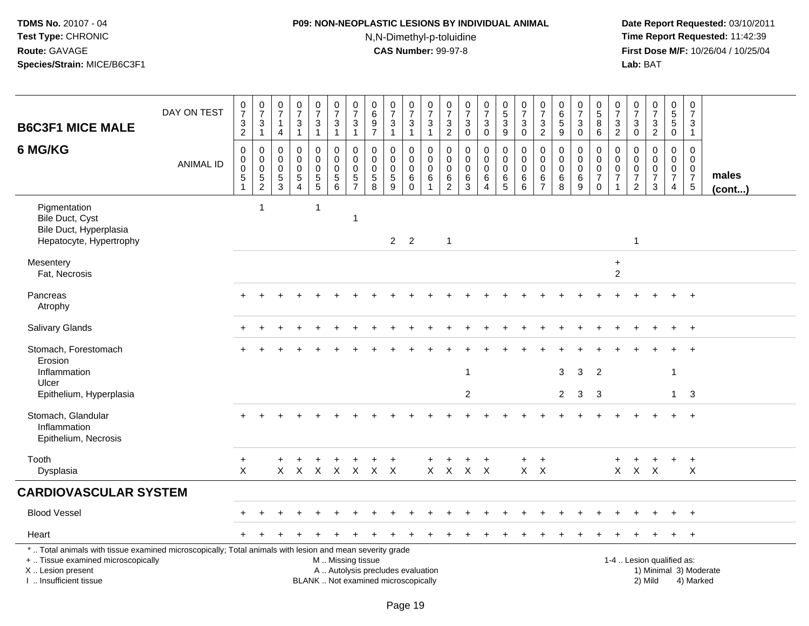## **P09: NON-NEOPLASTIC LESIONS BY INDIVIDUAL ANIMAL**N,N-Dimethyl-p-toluidine

|                                                                                                                                                                                               | DAY ON TEST      | 0<br>$\overline{7}$<br>3                             | $\begin{array}{c} 0 \\ 7 \end{array}$<br>3                 | $\pmb{0}$<br>$\overline{7}$<br>$\mathbf{1}$                   | $\frac{0}{7}$<br>$\mathfrak{Z}$                          | $\begin{array}{c} 0 \\ 7 \end{array}$<br>$\ensuremath{\mathsf{3}}$ | $\begin{array}{c} 0 \\ 7 \end{array}$<br>$\sqrt{3}$        | 0<br>$\overline{7}$<br>3                         | 0<br>$6\phantom{a}$<br>$\boldsymbol{9}$                    | $\frac{0}{7}$<br>3                                                       | $\frac{0}{7}$<br>$\sqrt{3}$             | $\frac{0}{7}$<br>$\sqrt{3}$                                                 | 0<br>$\overline{7}$<br>$\sqrt{3}$            | 0<br>$\overline{7}$<br>$\mathbf{3}$                 | $\pmb{0}$<br>$\overline{7}$<br>$\mathbf{3}$                | 0<br>$\overline{5}$<br>$\mathfrak{Z}$                                  | $\frac{0}{7}$<br>$\mathfrak{Z}$                       | 0<br>$\overline{7}$<br>$\mathbf{3}$                                    | 0<br>$\,6$<br>$\overline{5}$                              | $\pmb{0}$<br>$\overline{7}$<br>$\ensuremath{\mathsf{3}}$  | 0<br>5<br>8                                                         | 0<br>$\overline{7}$<br>$\mathbf{3}$ | 0<br>$\overline{7}$<br>$\mathbf{3}$                       | $\frac{0}{7}$<br>$\sqrt{3}$                                      | $\pmb{0}$<br>$\overline{5}$<br>$\sqrt{5}$                                     | $\pmb{0}$<br>$\overline{7}$<br>3                                       |                 |
|-----------------------------------------------------------------------------------------------------------------------------------------------------------------------------------------------|------------------|------------------------------------------------------|------------------------------------------------------------|---------------------------------------------------------------|----------------------------------------------------------|--------------------------------------------------------------------|------------------------------------------------------------|--------------------------------------------------|------------------------------------------------------------|--------------------------------------------------------------------------|-----------------------------------------|-----------------------------------------------------------------------------|----------------------------------------------|-----------------------------------------------------|------------------------------------------------------------|------------------------------------------------------------------------|-------------------------------------------------------|------------------------------------------------------------------------|-----------------------------------------------------------|-----------------------------------------------------------|---------------------------------------------------------------------|-------------------------------------|-----------------------------------------------------------|------------------------------------------------------------------|-------------------------------------------------------------------------------|------------------------------------------------------------------------|-----------------|
| <b>B6C3F1 MICE MALE</b>                                                                                                                                                                       |                  | $\overline{2}$                                       | $\mathbf{1}$                                               | $\overline{4}$                                                | $\mathbf{1}$                                             | $\overline{1}$                                                     | $\mathbf{1}$                                               | $\mathbf{1}$                                     | $\overline{7}$                                             | $\mathbf{1}$                                                             | $\mathbf{1}$                            | $\overline{1}$                                                              | $\overline{2}$                               | $\mathbf 0$                                         | 0                                                          | 9                                                                      | $\mathbf 0$                                           | $\overline{2}$                                                         | 9                                                         | $\mathbf 0$                                               | 6                                                                   | $\overline{2}$                      | 0                                                         | $\overline{2}$                                                   | $\mathbf 0$                                                                   | $\mathbf{1}$                                                           |                 |
| 6 MG/KG                                                                                                                                                                                       | <b>ANIMAL ID</b> | $\mathbf 0$<br>0<br>0<br>$\mathbf 5$<br>$\mathbf{1}$ | $\mathbf 0$<br>$\mathbf 0$<br>$\mathbf 0$<br>$\frac{5}{2}$ | $\mathbf 0$<br>$\pmb{0}$<br>$\boldsymbol{0}$<br>$\frac{5}{3}$ | $\mathbf 0$<br>$\mathbf 0$<br>$\pmb{0}$<br>$\frac{5}{4}$ | $\mathbf 0$<br>$\mathbf 0$<br>$\pmb{0}$<br>$\frac{5}{5}$           | $\mathbf 0$<br>$\mathbf 0$<br>$\mathbf 0$<br>$\frac{5}{6}$ | 0<br>$\mathbf 0$<br>$\mathbf 0$<br>$\frac{5}{7}$ | $\mathbf 0$<br>$\pmb{0}$<br>$\mathbf 0$<br>$\sqrt{5}$<br>8 | 0<br>$\mathbf 0$<br>$\pmb{0}$<br>5<br>9                                  | 0<br>$\mathbf 0$<br>$\pmb{0}$<br>$^6_0$ | $\mathbf 0$<br>$\boldsymbol{0}$<br>$\mathbf 0$<br>$\,6\,$<br>$\overline{1}$ | 0<br>0<br>$\mathbf 0$<br>6<br>$\overline{2}$ | $\mathbf 0$<br>$\mathbf 0$<br>$\mathbf 0$<br>6<br>3 | 0<br>$\mathsf 0$<br>$\mathbf 0$<br>$\,6$<br>$\overline{4}$ | $\mathbf 0$<br>$\mathbf 0$<br>$\mathbf 0$<br>$\,6\,$<br>$\overline{5}$ | $\mathbf 0$<br>$\pmb{0}$<br>$\pmb{0}$<br>$\,6\,$<br>6 | $\mathbf 0$<br>$\mathbf 0$<br>$\mathbf 0$<br>$\,6\,$<br>$\overline{7}$ | $\mathbf 0$<br>$\mathbf 0$<br>$\mathbf 0$<br>$\,6\,$<br>8 | $\mathbf 0$<br>$\mathsf{O}\xspace$<br>$\pmb{0}$<br>$^6_9$ | $\mathbf 0$<br>0<br>$\mathsf{O}$<br>$\boldsymbol{7}$<br>$\mathbf 0$ | 0<br>0<br>0<br>$\overline{7}$       | $\mathbf 0$<br>0<br>0<br>$\overline{7}$<br>$\overline{2}$ | $\mathbf 0$<br>$\mathbf 0$<br>$\mathbf 0$<br>$\overline{7}$<br>3 | $\mathbf 0$<br>$\mathbf 0$<br>$\mathbf 0$<br>$\overline{7}$<br>$\overline{4}$ | $\mathbf 0$<br>0<br>$\mathbf 0$<br>$\boldsymbol{7}$<br>$5\phantom{.0}$ | males<br>(cont) |
| Pigmentation<br>Bile Duct, Cyst<br>Bile Duct, Hyperplasia<br>Hepatocyte, Hypertrophy                                                                                                          |                  |                                                      | 1                                                          |                                                               |                                                          | -1                                                                 |                                                            | $\mathbf{1}$                                     |                                                            | $2^{\circ}$                                                              | $\overline{2}$                          |                                                                             | $\overline{1}$                               |                                                     |                                                            |                                                                        |                                                       |                                                                        |                                                           |                                                           |                                                                     |                                     | $\mathbf{1}$                                              |                                                                  |                                                                               |                                                                        |                 |
| Mesentery<br>Fat, Necrosis                                                                                                                                                                    |                  |                                                      |                                                            |                                                               |                                                          |                                                                    |                                                            |                                                  |                                                            |                                                                          |                                         |                                                                             |                                              |                                                     |                                                            |                                                                        |                                                       |                                                                        |                                                           |                                                           |                                                                     | $\ddot{}$<br>$\overline{2}$         |                                                           |                                                                  |                                                                               |                                                                        |                 |
| Pancreas<br>Atrophy                                                                                                                                                                           |                  |                                                      |                                                            |                                                               |                                                          |                                                                    |                                                            |                                                  |                                                            |                                                                          |                                         |                                                                             |                                              |                                                     |                                                            |                                                                        |                                                       |                                                                        |                                                           |                                                           |                                                                     |                                     |                                                           |                                                                  |                                                                               | $+$                                                                    |                 |
| Salivary Glands                                                                                                                                                                               |                  |                                                      |                                                            |                                                               |                                                          |                                                                    |                                                            |                                                  |                                                            |                                                                          |                                         |                                                                             |                                              |                                                     |                                                            |                                                                        |                                                       |                                                                        |                                                           |                                                           |                                                                     |                                     |                                                           |                                                                  |                                                                               | $+$                                                                    |                 |
| Stomach, Forestomach<br>Erosion                                                                                                                                                               |                  |                                                      |                                                            |                                                               |                                                          |                                                                    |                                                            |                                                  |                                                            |                                                                          |                                         |                                                                             |                                              |                                                     |                                                            |                                                                        |                                                       |                                                                        |                                                           |                                                           |                                                                     |                                     |                                                           |                                                                  |                                                                               | $+$                                                                    |                 |
| Inflammation<br>Ulcer<br>Epithelium, Hyperplasia                                                                                                                                              |                  |                                                      |                                                            |                                                               |                                                          |                                                                    |                                                            |                                                  |                                                            |                                                                          |                                         |                                                                             |                                              | 1<br>$\overline{c}$                                 |                                                            |                                                                        |                                                       |                                                                        | 3<br>$\overline{2}$                                       | $\mathbf{3}$<br>$\mathbf{3}$                              | $\overline{2}$<br>3                                                 |                                     |                                                           |                                                                  | -1<br>$\mathbf{1}$                                                            | 3                                                                      |                 |
| Stomach, Glandular<br>Inflammation<br>Epithelium, Necrosis                                                                                                                                    |                  |                                                      |                                                            |                                                               |                                                          |                                                                    |                                                            |                                                  |                                                            |                                                                          |                                         |                                                                             |                                              |                                                     |                                                            |                                                                        |                                                       |                                                                        |                                                           |                                                           |                                                                     |                                     |                                                           |                                                                  | $+$                                                                           | $+$                                                                    |                 |
| Tooth<br>Dysplasia                                                                                                                                                                            |                  | $\ddot{}$<br>X                                       |                                                            | $+$                                                           | $\ddot{}$                                                | $\ddot{}$                                                          | $+$                                                        | $\ddot{}$                                        | $\ddot{}$<br>X X X X X X X                                 | $+$                                                                      |                                         | $\ddot{}$                                                                   | $\ddot{}$<br>$X$ $X$ $X$ $X$                 | $\ddot{}$                                           | $+$                                                        |                                                                        | $+$<br>$X$ $X$                                        | $+$                                                                    |                                                           |                                                           |                                                                     | $\ddot{}$                           | $\ddot{}$<br>X X X                                        | $+$                                                              | $+$                                                                           | $+$<br>X                                                               |                 |
| <b>CARDIOVASCULAR SYSTEM</b>                                                                                                                                                                  |                  |                                                      |                                                            |                                                               |                                                          |                                                                    |                                                            |                                                  |                                                            |                                                                          |                                         |                                                                             |                                              |                                                     |                                                            |                                                                        |                                                       |                                                                        |                                                           |                                                           |                                                                     |                                     |                                                           |                                                                  |                                                                               |                                                                        |                 |
| <b>Blood Vessel</b>                                                                                                                                                                           |                  |                                                      |                                                            |                                                               |                                                          |                                                                    |                                                            |                                                  |                                                            |                                                                          |                                         |                                                                             |                                              |                                                     |                                                            |                                                                        |                                                       |                                                                        |                                                           |                                                           |                                                                     |                                     |                                                           |                                                                  |                                                                               | $+$                                                                    |                 |
| Heart                                                                                                                                                                                         |                  |                                                      |                                                            |                                                               |                                                          |                                                                    |                                                            |                                                  |                                                            |                                                                          |                                         |                                                                             |                                              |                                                     |                                                            |                                                                        |                                                       |                                                                        |                                                           |                                                           |                                                                     |                                     |                                                           |                                                                  |                                                                               | $+$                                                                    |                 |
| *  Total animals with tissue examined microscopically; Total animals with lesion and mean severity grade<br>+  Tissue examined microscopically<br>X  Lesion present<br>I. Insufficient tissue |                  |                                                      |                                                            |                                                               |                                                          |                                                                    | M  Missing tissue                                          |                                                  |                                                            | A  Autolysis precludes evaluation<br>BLANK  Not examined microscopically |                                         |                                                                             |                                              |                                                     |                                                            |                                                                        |                                                       |                                                                        |                                                           |                                                           |                                                                     |                                     |                                                           | 1-4  Lesion qualified as:<br>2) Mild                             |                                                                               | 1) Minimal 3) Moderate<br>4) Marked                                    |                 |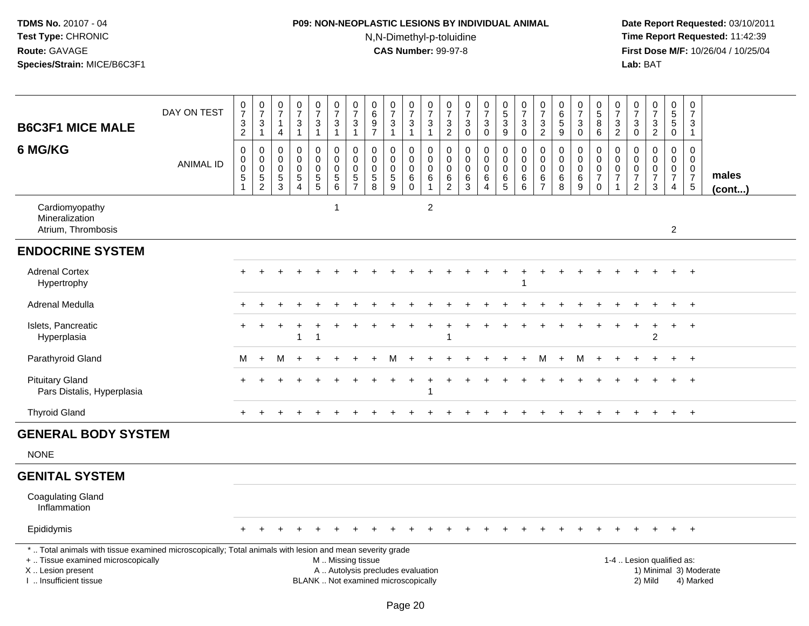## **P09: NON-NEOPLASTIC LESIONS BY INDIVIDUAL ANIMAL**N,N-Dimethyl-p-toluidine

| <b>B6C3F1 MICE MALE</b>                                                                                                                                                                       | DAY ON TEST      | $\mathbf 0$<br>$\overline{7}$<br>$\frac{3}{2}$           | $\begin{array}{c} 0 \\ 7 \end{array}$<br>$\frac{3}{1}$ | 0<br>$\overline{7}$<br>$\overline{1}$<br>$\overline{4}$                 | $\begin{array}{c} 0 \\ 7 \end{array}$<br>$\frac{3}{1}$                    | $\frac{0}{7}$<br>$\ensuremath{\mathsf{3}}$<br>$\mathbf{1}$ | $\frac{0}{7}$<br>$\sqrt{3}$<br>$\mathbf{1}$                                      | $\frac{0}{7}$<br>$\ensuremath{\mathsf{3}}$<br>$\mathbf{1}$ | 0<br>$\,6\,$<br>$\overline{9}$<br>$\overline{7}$       | $\frac{0}{7}$<br>$\ensuremath{\mathsf{3}}$<br>$\mathbf{1}$               | 0<br>$\overline{7}$<br>$\sqrt{3}$<br>$\mathbf{1}$             | $\begin{array}{c} 0 \\ 7 \end{array}$<br>$\ensuremath{\mathsf{3}}$<br>$\mathbf{1}$ | $\begin{smallmatrix}0\\7\end{smallmatrix}$<br>$\frac{3}{2}$ | $\frac{0}{7}$<br>$\mathbf 3$<br>$\mathbf 0$                        | $\begin{smallmatrix}0\\7\end{smallmatrix}$<br>3<br>$\mathbf 0$ | $\begin{array}{c} 0 \\ 5 \end{array}$<br>$\overline{3}$<br>9      | $\begin{array}{c} 0 \\ 7 \end{array}$<br>3<br>$\mathbf 0$ | $\frac{0}{7}$<br>$\frac{3}{2}$                                                 | $\begin{array}{c} 0 \\ 6 \\ 5 \end{array}$<br>9 | $\pmb{0}$<br>$\overline{7}$<br>$\mathbf{3}$<br>$\overline{0}$ | $\begin{array}{c} 0 \\ 5 \end{array}$<br>$\overline{8}$<br>6         | 0<br>$\overline{7}$<br>3<br>$\overline{2}$                  | $\begin{array}{c} 0 \\ 7 \end{array}$<br>$\frac{3}{0}$ | $\frac{0}{7}$<br>$\mathbf{3}$<br>$\overline{2}$                     | $\pmb{0}$<br>$\overline{5}$<br>$\overline{5}$<br>$\mathbf 0$                  | $\overline{0}$<br>$\overline{7}$<br>3<br>$\mathbf{1}$            |                       |  |
|-----------------------------------------------------------------------------------------------------------------------------------------------------------------------------------------------|------------------|----------------------------------------------------------|--------------------------------------------------------|-------------------------------------------------------------------------|---------------------------------------------------------------------------|------------------------------------------------------------|----------------------------------------------------------------------------------|------------------------------------------------------------|--------------------------------------------------------|--------------------------------------------------------------------------|---------------------------------------------------------------|------------------------------------------------------------------------------------|-------------------------------------------------------------|--------------------------------------------------------------------|----------------------------------------------------------------|-------------------------------------------------------------------|-----------------------------------------------------------|--------------------------------------------------------------------------------|-------------------------------------------------|---------------------------------------------------------------|----------------------------------------------------------------------|-------------------------------------------------------------|--------------------------------------------------------|---------------------------------------------------------------------|-------------------------------------------------------------------------------|------------------------------------------------------------------|-----------------------|--|
| 6 MG/KG                                                                                                                                                                                       | <b>ANIMAL ID</b> | $\mathbf 0$<br>$\mathbf 0$<br>$\mathsf 0$<br>$\,$ 5 $\,$ | $\pmb{0}$<br>$\overline{0}$<br>$\frac{5}{2}$           | $\mathbf 0$<br>$\mathbf 0$<br>$\mathbf 0$<br>$\sqrt{5}$<br>$\mathbf{3}$ | $\mathbf 0$<br>$\mathbf 0$<br>$\mathbf 0$<br>$\sqrt{5}$<br>$\overline{4}$ | 0<br>$\pmb{0}$<br>$\mathbf 0$<br>$\frac{5}{5}$             | 0<br>$\mathsf{O}\xspace$<br>$\mathbf 0$<br>$\begin{array}{c} 5 \\ 6 \end{array}$ | 0<br>$\pmb{0}$<br>$\mathbf 0$<br>$\frac{5}{7}$             | $\Omega$<br>$\mathbf 0$<br>$\Omega$<br>$\sqrt{5}$<br>8 | 0<br>$\mathbf 0$<br>$\mathbf 0$<br>$\sqrt{5}$<br>9                       | 0<br>$\mathsf{O}\xspace$<br>0<br>$\,6$<br>$\mathsf{O}\xspace$ | $\mathbf 0$<br>$\mathbf 0$<br>$\mathbf 0$<br>$\,6\,$<br>$\overline{1}$             | 0<br>$\mathbf 0$<br>$\mathbf 0$<br>$\frac{6}{2}$            | $\mathbf 0$<br>$\mathbf 0$<br>$\mathbf 0$<br>$\,6$<br>$\mathbf{3}$ | 0<br>$\mathbf 0$<br>$\mathbf 0$<br>6<br>$\overline{4}$         | $\pmb{0}$<br>$\mathbf 0$<br>$\Omega$<br>$\,6\,$<br>$\overline{5}$ | 0<br>$\mathbf 0$<br>$\Omega$<br>6<br>6                    | $\mathbf 0$<br>$\mathsf{O}\xspace$<br>$\mathbf 0$<br>$\,6\,$<br>$\overline{7}$ | 0<br>$\mathbf 0$<br>$\mathbf 0$<br>6<br>8       | 0<br>$\mathbf 0$<br>$\mathbf 0$<br>$\,6\,$<br>9               | 0<br>$\mathsf{O}\xspace$<br>$\,0\,$<br>$\overline{7}$<br>$\mathbf 0$ | $\mathbf 0$<br>$\mathbf 0$<br>$\mathbf 0$<br>$\overline{7}$ | 0<br>$\mathbf 0$<br>$\mathbf 0$<br>$\frac{7}{2}$       | 0<br>$\mathbf 0$<br>$\mathbf 0$<br>$\boldsymbol{7}$<br>$\mathbf{3}$ | $\mathbf 0$<br>$\mathsf 0$<br>$\mathbf 0$<br>$\overline{7}$<br>$\overline{4}$ | $\Omega$<br>$\mathbf 0$<br>$\overline{0}$<br>$\overline{7}$<br>5 | males<br>$($ cont $)$ |  |
| Cardiomyopathy<br>Mineralization<br>Atrium, Thrombosis                                                                                                                                        |                  |                                                          |                                                        |                                                                         |                                                                           |                                                            | $\mathbf 1$                                                                      |                                                            |                                                        |                                                                          |                                                               | $\overline{2}$                                                                     |                                                             |                                                                    |                                                                |                                                                   |                                                           |                                                                                |                                                 |                                                               |                                                                      |                                                             |                                                        |                                                                     | $\overline{2}$                                                                |                                                                  |                       |  |
| <b>ENDOCRINE SYSTEM</b>                                                                                                                                                                       |                  |                                                          |                                                        |                                                                         |                                                                           |                                                            |                                                                                  |                                                            |                                                        |                                                                          |                                                               |                                                                                    |                                                             |                                                                    |                                                                |                                                                   |                                                           |                                                                                |                                                 |                                                               |                                                                      |                                                             |                                                        |                                                                     |                                                                               |                                                                  |                       |  |
| <b>Adrenal Cortex</b><br>Hypertrophy                                                                                                                                                          |                  |                                                          |                                                        |                                                                         |                                                                           |                                                            |                                                                                  |                                                            |                                                        |                                                                          |                                                               |                                                                                    |                                                             |                                                                    |                                                                |                                                                   | -1                                                        |                                                                                |                                                 |                                                               |                                                                      |                                                             |                                                        |                                                                     |                                                                               | $\ddot{}$                                                        |                       |  |
| Adrenal Medulla                                                                                                                                                                               |                  |                                                          |                                                        |                                                                         |                                                                           |                                                            |                                                                                  |                                                            |                                                        |                                                                          |                                                               |                                                                                    |                                                             |                                                                    |                                                                |                                                                   |                                                           |                                                                                |                                                 |                                                               |                                                                      |                                                             |                                                        |                                                                     |                                                                               | $\ddot{}$                                                        |                       |  |
| Islets, Pancreatic<br>Hyperplasia                                                                                                                                                             |                  |                                                          |                                                        |                                                                         | 1                                                                         | $\overline{\phantom{a}}$                                   |                                                                                  |                                                            |                                                        |                                                                          |                                                               |                                                                                    |                                                             |                                                                    |                                                                |                                                                   |                                                           |                                                                                |                                                 |                                                               |                                                                      |                                                             |                                                        | $\ddot{}$<br>$\overline{2}$                                         | $\ddot{}$                                                                     | $+$                                                              |                       |  |
| Parathyroid Gland                                                                                                                                                                             |                  | М                                                        | $\ddot{}$                                              | м                                                                       |                                                                           |                                                            |                                                                                  |                                                            |                                                        |                                                                          |                                                               |                                                                                    |                                                             |                                                                    |                                                                |                                                                   |                                                           |                                                                                |                                                 | м                                                             |                                                                      |                                                             |                                                        |                                                                     |                                                                               | $+$                                                              |                       |  |
| <b>Pituitary Gland</b><br>Pars Distalis, Hyperplasia                                                                                                                                          |                  |                                                          |                                                        |                                                                         |                                                                           |                                                            |                                                                                  |                                                            |                                                        |                                                                          | $\ddot{}$                                                     |                                                                                    |                                                             |                                                                    |                                                                |                                                                   |                                                           |                                                                                |                                                 |                                                               |                                                                      |                                                             |                                                        |                                                                     |                                                                               | $+$                                                              |                       |  |
| <b>Thyroid Gland</b>                                                                                                                                                                          |                  | $+$                                                      |                                                        |                                                                         |                                                                           |                                                            |                                                                                  |                                                            |                                                        |                                                                          |                                                               |                                                                                    |                                                             |                                                                    |                                                                |                                                                   |                                                           |                                                                                |                                                 |                                                               |                                                                      |                                                             |                                                        |                                                                     | $+$                                                                           | $+$                                                              |                       |  |
| <b>GENERAL BODY SYSTEM</b>                                                                                                                                                                    |                  |                                                          |                                                        |                                                                         |                                                                           |                                                            |                                                                                  |                                                            |                                                        |                                                                          |                                                               |                                                                                    |                                                             |                                                                    |                                                                |                                                                   |                                                           |                                                                                |                                                 |                                                               |                                                                      |                                                             |                                                        |                                                                     |                                                                               |                                                                  |                       |  |
| <b>NONE</b>                                                                                                                                                                                   |                  |                                                          |                                                        |                                                                         |                                                                           |                                                            |                                                                                  |                                                            |                                                        |                                                                          |                                                               |                                                                                    |                                                             |                                                                    |                                                                |                                                                   |                                                           |                                                                                |                                                 |                                                               |                                                                      |                                                             |                                                        |                                                                     |                                                                               |                                                                  |                       |  |
| <b>GENITAL SYSTEM</b>                                                                                                                                                                         |                  |                                                          |                                                        |                                                                         |                                                                           |                                                            |                                                                                  |                                                            |                                                        |                                                                          |                                                               |                                                                                    |                                                             |                                                                    |                                                                |                                                                   |                                                           |                                                                                |                                                 |                                                               |                                                                      |                                                             |                                                        |                                                                     |                                                                               |                                                                  |                       |  |
| <b>Coagulating Gland</b><br>Inflammation                                                                                                                                                      |                  |                                                          |                                                        |                                                                         |                                                                           |                                                            |                                                                                  |                                                            |                                                        |                                                                          |                                                               |                                                                                    |                                                             |                                                                    |                                                                |                                                                   |                                                           |                                                                                |                                                 |                                                               |                                                                      |                                                             |                                                        |                                                                     |                                                                               |                                                                  |                       |  |
| Epididymis                                                                                                                                                                                    |                  |                                                          |                                                        |                                                                         |                                                                           |                                                            |                                                                                  |                                                            |                                                        |                                                                          |                                                               |                                                                                    |                                                             |                                                                    |                                                                |                                                                   |                                                           |                                                                                |                                                 |                                                               |                                                                      |                                                             |                                                        |                                                                     |                                                                               | $\ddot{}$                                                        |                       |  |
| *  Total animals with tissue examined microscopically; Total animals with lesion and mean severity grade<br>+  Tissue examined microscopically<br>X  Lesion present<br>I  Insufficient tissue |                  |                                                          |                                                        |                                                                         |                                                                           |                                                            |                                                                                  | M  Missing tissue                                          |                                                        | A  Autolysis precludes evaluation<br>BLANK  Not examined microscopically |                                                               |                                                                                    |                                                             |                                                                    |                                                                |                                                                   |                                                           |                                                                                |                                                 |                                                               |                                                                      |                                                             |                                                        | 1-4  Lesion qualified as:<br>1) Minimal 3) Moderate<br>2) Mild      |                                                                               | 4) Marked                                                        |                       |  |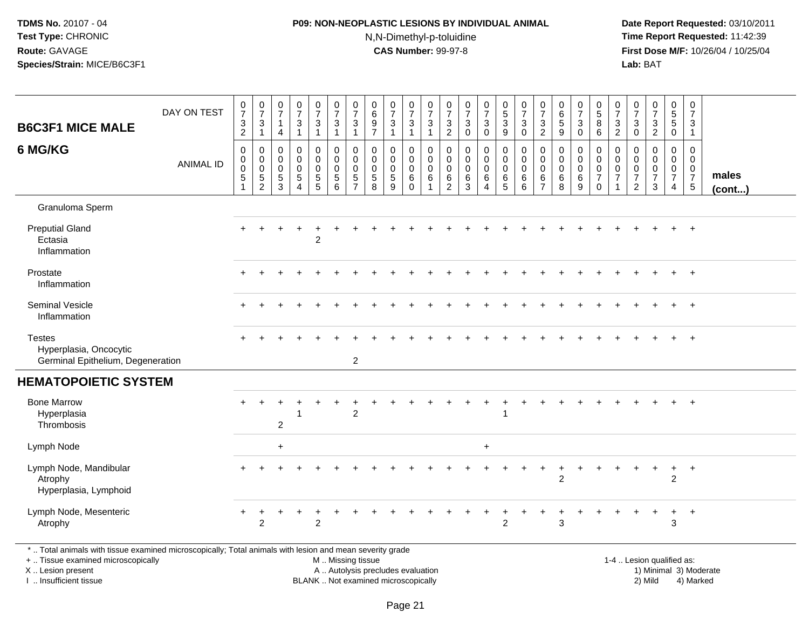## **P09: NON-NEOPLASTIC LESIONS BY INDIVIDUAL ANIMAL**N,N-Dimethyl-p-toluidine

 **Date Report Requested:** 03/10/2011 **Time Report Requested:** 11:42:39 **First Dose M/F:** 10/26/04 / 10/25/04<br>**Lab:** BAT **Lab:** BAT

| <b>B6C3F1 MICE MALE</b>                                                                                                                                             | DAY ON TEST      | $\pmb{0}$<br>$\overline{7}$<br>$\ensuremath{\mathsf{3}}$<br>2 | $\frac{0}{7}$<br>$\mathbf{3}$<br>1                     | $\begin{array}{c} 0 \\ 7 \end{array}$<br>$\mathbf{1}$<br>$\overline{4}$ | $\begin{array}{c} 0 \\ 7 \end{array}$<br>$\mathbf{3}$<br>$\mathbf{1}$              | $\begin{array}{c} 0 \\ 7 \end{array}$<br>$\sqrt{3}$<br>$\overline{1}$            | $\begin{array}{c} 0 \\ 7 \end{array}$<br>$\sqrt{3}$<br>$\mathbf{1}$ | 0<br>$\overline{7}$<br>3<br>$\mathbf 1$   | $\begin{array}{c} 0 \\ 6 \end{array}$<br>$\boldsymbol{9}$<br>$\overline{7}$ | $\frac{0}{7}$<br>3<br>$\mathbf{1}$ | $\frac{0}{7}$<br>$\mathbf{3}$<br>$\mathbf{1}$ | $\begin{array}{c} 0 \\ 7 \end{array}$<br>$\sqrt{3}$<br>$\overline{1}$ | 0<br>$\overline{7}$<br>$\sqrt{3}$<br>2    | $\frac{0}{7}$<br>$\mathbf{3}$<br>$\mathbf 0$     | $\frac{0}{7}$<br>$\mathbf{3}$<br>$\mathbf 0$ | $\begin{array}{c} 0 \\ 5 \end{array}$<br>$\mathfrak{Z}$<br>9 | $\frac{0}{7}$<br>$\mathbf{3}$<br>$\mathbf 0$    | $\frac{0}{7}$<br>$\sqrt{3}$<br>$\overline{2}$           | $\pmb{0}$<br>$6\phantom{a}$<br>5<br>9         | $\frac{0}{7}$<br>3<br>$\mathbf 0$                       | $\begin{array}{c} 0 \\ 5 \end{array}$<br>8<br>6                        | 0<br>$\overline{7}$<br>3<br>$\overline{2}$ | 0<br>$\overline{7}$<br>$\mathbf{3}$<br>$\mathbf 0$     | $\begin{array}{c} 0 \\ 7 \end{array}$<br>$\frac{3}{2}$                 | 0<br>$\overline{5}$<br>$\sqrt{5}$<br>$\mathbf 0$       | $\pmb{0}$<br>$\overline{7}$<br>$\mathbf{3}$<br>$\mathbf{1}$               |                        |
|---------------------------------------------------------------------------------------------------------------------------------------------------------------------|------------------|---------------------------------------------------------------|--------------------------------------------------------|-------------------------------------------------------------------------|------------------------------------------------------------------------------------|----------------------------------------------------------------------------------|---------------------------------------------------------------------|-------------------------------------------|-----------------------------------------------------------------------------|------------------------------------|-----------------------------------------------|-----------------------------------------------------------------------|-------------------------------------------|--------------------------------------------------|----------------------------------------------|--------------------------------------------------------------|-------------------------------------------------|---------------------------------------------------------|-----------------------------------------------|---------------------------------------------------------|------------------------------------------------------------------------|--------------------------------------------|--------------------------------------------------------|------------------------------------------------------------------------|--------------------------------------------------------|---------------------------------------------------------------------------|------------------------|
| 6 MG/KG                                                                                                                                                             | <b>ANIMAL ID</b> | 0<br>0<br>0<br>5<br>1                                         | $\mathbf 0$<br>0<br>$\mathbf 0$<br>5<br>$\overline{2}$ | 0<br>$\Omega$<br>0<br>5<br>3                                            | $\mathbf 0$<br>$\mathbf 0$<br>$\mathbf 0$<br>$\sqrt{5}$<br>$\overline{\mathbf{4}}$ | $\mathbf 0$<br>$\pmb{0}$<br>$\mathbf 0$<br>$\begin{array}{c} 5 \\ 5 \end{array}$ | 0<br>$\mathbf 0$<br>$\mathbf 0$<br>$\sqrt{5}$<br>6                  | 0<br>$\Omega$<br>0<br>5<br>$\overline{ }$ | $\mathbf 0$<br>$\mathbf 0$<br>$\mathbf 0$<br>$\sqrt{5}$<br>8                | 0<br>$\Omega$<br>0<br>5<br>9       | 0<br>$\mathsf{O}$<br>0<br>6<br>$\mathbf 0$    | $\mathbf 0$<br>$\mathbf 0$<br>$\mathbf 0$<br>$6\phantom{1}6$          | 0<br>$\Omega$<br>0<br>6<br>$\overline{c}$ | $\mathbf 0$<br>$\Omega$<br>$\mathbf 0$<br>6<br>3 | 0<br>$\Omega$<br>0<br>6<br>$\Delta$          | 0<br>$\mathbf 0$<br>0<br>$\,6\,$<br>5                        | 0<br>$\mathbf 0$<br>$\mathbf 0$<br>$\,6\,$<br>6 | $\mathbf 0$<br>$\mathbf{0}$<br>0<br>6<br>$\overline{7}$ | $\Omega$<br>$\Omega$<br>$\mathbf 0$<br>6<br>8 | 0<br>$\mathbf 0$<br>$\mathbf 0$<br>$6\phantom{1}6$<br>9 | 0<br>$\mathsf{O}\xspace$<br>$\pmb{0}$<br>$\overline{7}$<br>$\mathbf 0$ | 0<br>$\Omega$<br>0<br>$\overline{7}$<br>1  | 0<br>$\Omega$<br>0<br>$\overline{7}$<br>$\overline{c}$ | $\mathbf 0$<br>$\Omega$<br>$\mathbf 0$<br>$\overline{7}$<br>$\sqrt{3}$ | 0<br>$\mathbf 0$<br>$\mathbf 0$<br>$\overline{7}$<br>4 | $\mathbf 0$<br>$\mathbf 0$<br>$\mathbf 0$<br>$\overline{7}$<br>$\sqrt{5}$ | males<br>(cont)        |
| Granuloma Sperm                                                                                                                                                     |                  |                                                               |                                                        |                                                                         |                                                                                    |                                                                                  |                                                                     |                                           |                                                                             |                                    |                                               |                                                                       |                                           |                                                  |                                              |                                                              |                                                 |                                                         |                                               |                                                         |                                                                        |                                            |                                                        |                                                                        |                                                        |                                                                           |                        |
| <b>Preputial Gland</b><br>Ectasia<br>Inflammation                                                                                                                   |                  |                                                               |                                                        |                                                                         |                                                                                    | $\overline{c}$                                                                   |                                                                     |                                           |                                                                             |                                    |                                               |                                                                       |                                           |                                                  |                                              |                                                              |                                                 |                                                         |                                               |                                                         |                                                                        |                                            |                                                        |                                                                        |                                                        | $+$                                                                       |                        |
| Prostate<br>Inflammation                                                                                                                                            |                  |                                                               |                                                        |                                                                         |                                                                                    |                                                                                  |                                                                     |                                           |                                                                             |                                    |                                               |                                                                       |                                           |                                                  |                                              |                                                              |                                                 |                                                         |                                               |                                                         |                                                                        |                                            |                                                        |                                                                        |                                                        | $+$                                                                       |                        |
| <b>Seminal Vesicle</b><br>Inflammation                                                                                                                              |                  |                                                               |                                                        |                                                                         |                                                                                    |                                                                                  |                                                                     |                                           |                                                                             |                                    |                                               |                                                                       |                                           |                                                  |                                              |                                                              |                                                 |                                                         |                                               |                                                         |                                                                        |                                            |                                                        |                                                                        |                                                        | $\overline{+}$                                                            |                        |
| <b>Testes</b><br>Hyperplasia, Oncocytic<br>Germinal Epithelium, Degeneration                                                                                        |                  |                                                               |                                                        |                                                                         |                                                                                    |                                                                                  |                                                                     | $\overline{2}$                            |                                                                             |                                    |                                               |                                                                       |                                           |                                                  |                                              |                                                              |                                                 |                                                         |                                               |                                                         |                                                                        |                                            |                                                        |                                                                        |                                                        |                                                                           |                        |
| <b>HEMATOPOIETIC SYSTEM</b>                                                                                                                                         |                  |                                                               |                                                        |                                                                         |                                                                                    |                                                                                  |                                                                     |                                           |                                                                             |                                    |                                               |                                                                       |                                           |                                                  |                                              |                                                              |                                                 |                                                         |                                               |                                                         |                                                                        |                                            |                                                        |                                                                        |                                                        |                                                                           |                        |
| <b>Bone Marrow</b><br>Hyperplasia<br>Thrombosis                                                                                                                     |                  |                                                               |                                                        | $\overline{2}$                                                          |                                                                                    |                                                                                  |                                                                     | $\overline{2}$                            |                                                                             |                                    |                                               |                                                                       |                                           |                                                  |                                              |                                                              |                                                 |                                                         |                                               |                                                         |                                                                        |                                            |                                                        |                                                                        |                                                        |                                                                           |                        |
| Lymph Node                                                                                                                                                          |                  |                                                               |                                                        | $\ddot{}$                                                               |                                                                                    |                                                                                  |                                                                     |                                           |                                                                             |                                    |                                               |                                                                       |                                           |                                                  | $\ddot{}$                                    |                                                              |                                                 |                                                         |                                               |                                                         |                                                                        |                                            |                                                        |                                                                        |                                                        |                                                                           |                        |
| Lymph Node, Mandibular<br>Atrophy<br>Hyperplasia, Lymphoid                                                                                                          |                  |                                                               |                                                        |                                                                         |                                                                                    |                                                                                  |                                                                     |                                           |                                                                             |                                    |                                               |                                                                       |                                           |                                                  |                                              |                                                              |                                                 |                                                         | $\overline{2}$                                |                                                         |                                                                        |                                            |                                                        |                                                                        | $\overline{c}$                                         | $^{+}$                                                                    |                        |
| Lymph Node, Mesenteric<br>Atrophy                                                                                                                                   |                  |                                                               | $\overline{2}$                                         |                                                                         |                                                                                    | $\overline{c}$                                                                   |                                                                     |                                           |                                                                             |                                    |                                               |                                                                       |                                           |                                                  |                                              | $\overline{2}$                                               |                                                 |                                                         | 3                                             |                                                         |                                                                        |                                            |                                                        |                                                                        | $\ddot{}$<br>3                                         | $+$                                                                       |                        |
| *  Total animals with tissue examined microscopically; Total animals with lesion and mean severity grade<br>+  Tissue examined microscopically<br>X  Lesion present |                  |                                                               |                                                        |                                                                         |                                                                                    |                                                                                  | M  Missing tissue<br>A  Autolysis precludes evaluation              |                                           |                                                                             |                                    |                                               |                                                                       |                                           |                                                  |                                              |                                                              |                                                 |                                                         |                                               |                                                         |                                                                        | 1-4  Lesion qualified as:                  |                                                        |                                                                        |                                                        |                                                                           | 1) Minimal 3) Moderate |

I .. Insufficient tissue

BLANK .. Not examined microscopically and the contract of the contract of the contract of Modellin 2) Mild 4) Marked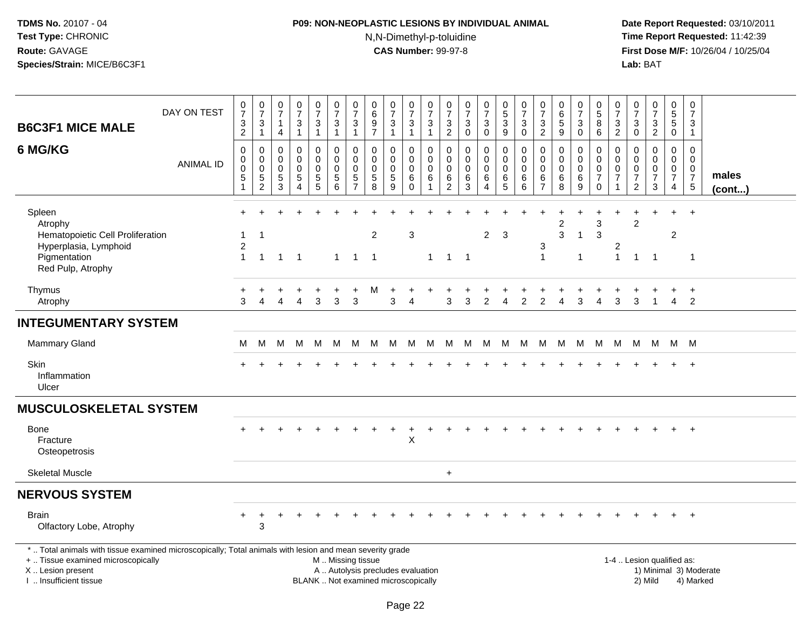## **P09: NON-NEOPLASTIC LESIONS BY INDIVIDUAL ANIMAL**N,N-Dimethyl-p-toluidine

| <b>B6C3F1 MICE MALE</b>                                                                                                                                                                       | DAY ON TEST      | $\frac{0}{7}$<br>$\sqrt{3}$<br>$\overline{2}$                   | $\frac{0}{7}$<br>$\ensuremath{\mathsf{3}}$<br>$\mathbf{1}$ | $\frac{0}{7}$<br>$\mathbf{1}$<br>$\overline{4}$ | $\frac{0}{7}$<br>$\mathbf{3}$<br>$\mathbf{1}$                             | $\begin{smallmatrix}0\\7\end{smallmatrix}$<br>$\ensuremath{\mathsf{3}}$<br>$\mathbf{1}$ | $\frac{0}{7}$<br>$\ensuremath{\mathsf{3}}$<br>$\mathbf{1}$             | $\pmb{0}$<br>$\overline{7}$<br>$\ensuremath{\mathsf{3}}$<br>$\mathbf{1}$ | $\mathbf 0$<br>$\,6\,$<br>$\boldsymbol{9}$<br>$\overline{7}$             | $\frac{0}{7}$<br>$\mathbf{3}$<br>$\mathbf{1}$          | $\frac{0}{7}$<br>$\sqrt{3}$<br>$\overline{1}$          | $\frac{0}{7}$<br>$\ensuremath{\mathsf{3}}$<br>$\mathbf{1}$         | 0<br>$\overline{7}$<br>$\frac{3}{2}$               | $\frac{0}{7}$<br>$\sqrt{3}$<br>$\mathbf 0$                           | $\begin{array}{c} 0 \\ 7 \end{array}$<br>$\ensuremath{\mathsf{3}}$<br>$\mathbf 0$ | 0<br>$\overline{5}$<br>3<br>9             | $\begin{array}{c} 0 \\ 7 \end{array}$<br>3<br>$\mathbf 0$ | $\frac{0}{7}$<br>$\sqrt{3}$<br>$\overline{2}$ | 0<br>$\overline{6}$<br>$\sqrt{5}$<br>$9\,$                   | $\begin{array}{c} 0 \\ 7 \end{array}$<br>$_{\rm 0}^3$        | 0<br>$\overline{5}$<br>$\, 8$<br>6                                     | 0<br>$\overline{7}$<br>$\ensuremath{\mathsf{3}}$<br>$\overline{2}$          | $\frac{0}{7}$<br>$\ensuremath{\mathsf{3}}$<br>$\mathbf 0$ | $\frac{0}{7}$<br>$\frac{3}{2}$                            | $\begin{array}{c} 0 \\ 5 \end{array}$<br>$\overline{5}$ 0      | $\pmb{0}$<br>$\overline{7}$<br>$\mathbf{3}$<br>$\mathbf{1}$        |                        |
|-----------------------------------------------------------------------------------------------------------------------------------------------------------------------------------------------|------------------|-----------------------------------------------------------------|------------------------------------------------------------|-------------------------------------------------|---------------------------------------------------------------------------|-----------------------------------------------------------------------------------------|------------------------------------------------------------------------|--------------------------------------------------------------------------|--------------------------------------------------------------------------|--------------------------------------------------------|--------------------------------------------------------|--------------------------------------------------------------------|----------------------------------------------------|----------------------------------------------------------------------|-----------------------------------------------------------------------------------|-------------------------------------------|-----------------------------------------------------------|-----------------------------------------------|--------------------------------------------------------------|--------------------------------------------------------------|------------------------------------------------------------------------|-----------------------------------------------------------------------------|-----------------------------------------------------------|-----------------------------------------------------------|----------------------------------------------------------------|--------------------------------------------------------------------|------------------------|
| 6 MG/KG                                                                                                                                                                                       | <b>ANIMAL ID</b> | $\boldsymbol{0}$<br>$\mathbf 0$<br>$\mathbf 0$<br>$\frac{5}{1}$ | 0<br>0<br>$\mathbf 0$<br>$\frac{5}{2}$                     | 0<br>$\mathbf 0$<br>0<br>$\frac{5}{3}$          | $\mathsf 0$<br>$\mathbf 0$<br>$\mathbf 0$<br>$\sqrt{5}$<br>$\overline{4}$ | 0<br>0<br>0<br>$\begin{array}{c} 5 \\ 5 \end{array}$                                    | $\pmb{0}$<br>$\mathbf 0$<br>0<br>$\begin{array}{c} 5 \\ 6 \end{array}$ | 0<br>$\mathbf{0}$<br>0<br>5<br>$\overline{7}$                            | 0<br>$\Omega$<br>$\mathbf 0$<br>$\overline{5}$<br>8                      | 0<br>$\mathbf 0$<br>0<br>$\,$ 5 $\,$<br>$\overline{9}$ | 0<br>$\mathbf 0$<br>$\mathbf 0$<br>6<br>$\overline{0}$ | $\mathbf 0$<br>$\mathbf 0$<br>$\mathbf 0$<br>$\,6$<br>$\mathbf{1}$ | 0<br>$\mathbf 0$<br>0<br>$\,6\,$<br>$\overline{c}$ | $\pmb{0}$<br>$\mathbf 0$<br>$\mathbf 0$<br>$\,6\,$<br>$\overline{3}$ | 0<br>$\mathbf 0$<br>$\mathbf 0$<br>$\,6\,$<br>$\overline{4}$                      | 0<br>$\mathbf 0$<br>$\mathbf 0$<br>$^6$ 5 | $\pmb{0}$<br>$\mathbf 0$<br>$\mathbf 0$<br>6<br>6         | 0<br>0<br>0<br>6<br>$\overline{7}$            | $\mathbf 0$<br>$\mathbf 0$<br>0<br>$\,6\,$<br>$\overline{8}$ | 0<br>$\mathbf 0$<br>$\mathbf 0$<br>$\,6\,$<br>$\overline{9}$ | $\Omega$<br>$\Omega$<br>$\mathbf 0$<br>$\boldsymbol{7}$<br>$\mathbf 0$ | $\mathbf 0$<br>$\mathbf 0$<br>$\mathbf 0$<br>$\overline{7}$<br>$\mathbf{1}$ | 0<br>$\mathbf 0$<br>0<br>$\overline{7}$<br>$\overline{2}$ | $\mathsf{O}$<br>$\mathbf 0$<br>0<br>$\boldsymbol{7}$<br>3 | $\pmb{0}$<br>$\mathbf 0$<br>$\mathbf 0$<br>$\overline{7}$<br>4 | $\pmb{0}$<br>$\mathbf 0$<br>$\mathbf 0$<br>$\overline{7}$<br>$5\,$ | males<br>$($ cont $)$  |
| Spleen<br>Atrophy<br>Hematopoietic Cell Proliferation<br>Hyperplasia, Lymphoid<br>Pigmentation<br>Red Pulp, Atrophy                                                                           |                  | 1<br>$\overline{c}$<br>$\mathbf{1}$                             | -1<br>$\mathbf{1}$                                         | $\blacktriangleleft$                            | $\overline{1}$                                                            |                                                                                         | $\mathbf{1}$                                                           | $\overline{1}$                                                           | $\overline{c}$<br>$\overline{1}$                                         |                                                        | 3                                                      | $\mathbf{1}$                                                       | $1 \quad 1$                                        |                                                                      | $\overline{2}$                                                                    | 3                                         |                                                           | 3<br>$\mathbf{1}$                             | $\overline{\mathbf{c}}$<br>3                                 | -1<br>-1                                                     | 3<br>3                                                                 | 2<br>$\mathbf{1}$                                                           | $\overline{c}$<br>$\mathbf{1}$                            | $\overline{1}$                                            | $\overline{2}$                                                 | $\overline{1}$                                                     |                        |
| Thymus<br>Atrophy                                                                                                                                                                             |                  | 3                                                               | 4                                                          |                                                 | 4                                                                         | 3                                                                                       | 3                                                                      | $\ddot{}$<br>3                                                           | м                                                                        | 3                                                      | 4                                                      |                                                                    | 3                                                  | 3                                                                    | 2                                                                                 | 4                                         | 2                                                         | 2                                             | $\boldsymbol{\Lambda}$                                       | 3                                                            | 4                                                                      | 3                                                                           | 3                                                         | $\overline{1}$                                            | $\ddot{}$<br>$\overline{4}$                                    | $+$<br>$\overline{2}$                                              |                        |
| <b>INTEGUMENTARY SYSTEM</b>                                                                                                                                                                   |                  |                                                                 |                                                            |                                                 |                                                                           |                                                                                         |                                                                        |                                                                          |                                                                          |                                                        |                                                        |                                                                    |                                                    |                                                                      |                                                                                   |                                           |                                                           |                                               |                                                              |                                                              |                                                                        |                                                                             |                                                           |                                                           |                                                                |                                                                    |                        |
| Mammary Gland                                                                                                                                                                                 |                  | М                                                               | М                                                          | M                                               | M                                                                         | M                                                                                       | M                                                                      | M                                                                        |                                                                          | M M                                                    | M                                                      |                                                                    | M M M                                              |                                                                      | M                                                                                 |                                           | M M                                                       | M                                             | M                                                            | M                                                            | M                                                                      | M                                                                           |                                                           | M M                                                       |                                                                | M M                                                                |                        |
| Skin<br>Inflammation<br>Ulcer                                                                                                                                                                 |                  |                                                                 |                                                            |                                                 |                                                                           |                                                                                         |                                                                        |                                                                          |                                                                          |                                                        |                                                        |                                                                    |                                                    |                                                                      |                                                                                   |                                           |                                                           |                                               |                                                              |                                                              |                                                                        |                                                                             |                                                           |                                                           |                                                                | $\overline{ }$                                                     |                        |
| <b>MUSCULOSKELETAL SYSTEM</b>                                                                                                                                                                 |                  |                                                                 |                                                            |                                                 |                                                                           |                                                                                         |                                                                        |                                                                          |                                                                          |                                                        |                                                        |                                                                    |                                                    |                                                                      |                                                                                   |                                           |                                                           |                                               |                                                              |                                                              |                                                                        |                                                                             |                                                           |                                                           |                                                                |                                                                    |                        |
| Bone<br>Fracture<br>Osteopetrosis                                                                                                                                                             |                  |                                                                 |                                                            |                                                 |                                                                           |                                                                                         |                                                                        |                                                                          |                                                                          |                                                        | $\sf X$                                                |                                                                    |                                                    |                                                                      |                                                                                   |                                           |                                                           |                                               |                                                              |                                                              |                                                                        |                                                                             |                                                           |                                                           | $+$                                                            | $^{+}$                                                             |                        |
| <b>Skeletal Muscle</b>                                                                                                                                                                        |                  |                                                                 |                                                            |                                                 |                                                                           |                                                                                         |                                                                        |                                                                          |                                                                          |                                                        |                                                        |                                                                    | $\ddot{}$                                          |                                                                      |                                                                                   |                                           |                                                           |                                               |                                                              |                                                              |                                                                        |                                                                             |                                                           |                                                           |                                                                |                                                                    |                        |
| <b>NERVOUS SYSTEM</b>                                                                                                                                                                         |                  |                                                                 |                                                            |                                                 |                                                                           |                                                                                         |                                                                        |                                                                          |                                                                          |                                                        |                                                        |                                                                    |                                                    |                                                                      |                                                                                   |                                           |                                                           |                                               |                                                              |                                                              |                                                                        |                                                                             |                                                           |                                                           |                                                                |                                                                    |                        |
| <b>Brain</b><br>Olfactory Lobe, Atrophy                                                                                                                                                       |                  |                                                                 | $\ensuremath{\mathsf{3}}$                                  |                                                 |                                                                           |                                                                                         |                                                                        |                                                                          |                                                                          |                                                        |                                                        |                                                                    |                                                    |                                                                      |                                                                                   |                                           |                                                           |                                               |                                                              |                                                              |                                                                        |                                                                             |                                                           |                                                           |                                                                |                                                                    |                        |
| *  Total animals with tissue examined microscopically; Total animals with lesion and mean severity grade<br>+  Tissue examined microscopically<br>X  Lesion present<br>I. Insufficient tissue |                  |                                                                 |                                                            |                                                 |                                                                           |                                                                                         | M  Missing tissue                                                      |                                                                          | A  Autolysis precludes evaluation<br>BLANK  Not examined microscopically |                                                        |                                                        |                                                                    |                                                    |                                                                      |                                                                                   |                                           |                                                           |                                               |                                                              |                                                              |                                                                        |                                                                             |                                                           | 1-4  Lesion qualified as:<br>2) Mild                      |                                                                | 4) Marked                                                          | 1) Minimal 3) Moderate |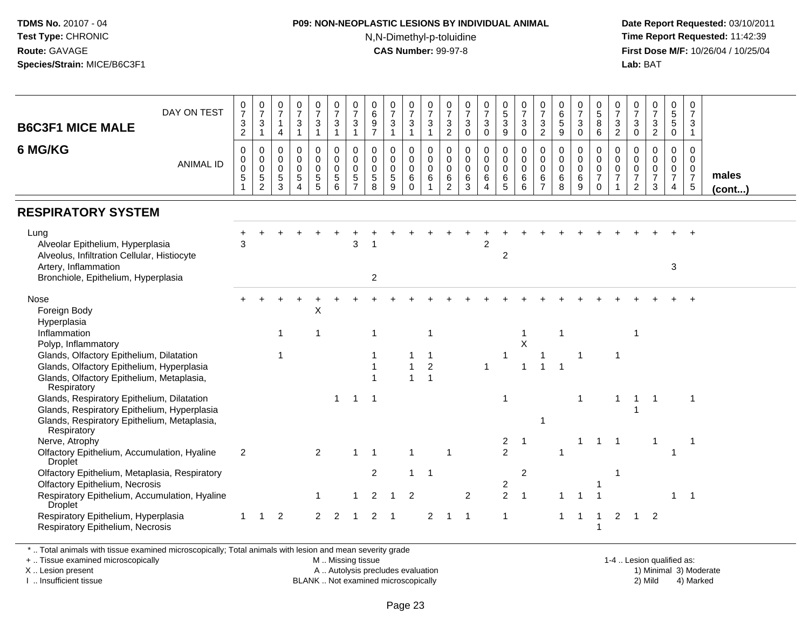## **P09: NON-NEOPLASTIC LESIONS BY INDIVIDUAL ANIMAL**

N,N-Dimethyl-p-toluidine

 **Date Report Requested:** 03/10/2011 **Time Report Requested:** 11:42:39 **First Dose M/F:** 10/26/04 / 10/25/04 Lab: BAT **Lab:** BAT

| DAY ON TEST<br><b>B6C3F1 MICE MALE</b>                                                                                                                  | 0<br>$\overline{7}$<br>$\ensuremath{\mathsf{3}}$<br>$\overline{2}$ | $\frac{0}{7}$<br>$\mathbf{3}$<br>$\mathbf{1}$       | 0<br>$\overline{7}$<br>$\mathbf{1}$<br>$\overline{4}$ | $\frac{0}{7}$<br>3<br>$\mathbf{1}$ | $\frac{0}{7}$<br>3<br>$\mathbf{1}$                        | 0<br>$\overline{7}$<br>$\sqrt{3}$<br>$\overline{1}$           | 0<br>$\overline{7}$<br>3<br>$\mathbf{1}$              | 0<br>$\,6\,$<br>$\boldsymbol{9}$<br>$\overline{7}$               | 0<br>$\overline{7}$<br>$\mathbf{3}$<br>$\mathbf{1}$ | 0<br>$\overline{7}$<br>$\mathbf{3}$<br>$\overline{1}$          | $\frac{0}{7}$<br>$\mathbf{3}$<br>$\blacktriangleleft$ | 0<br>$\overline{7}$<br>$\ensuremath{\mathsf{3}}$<br>$\overline{2}$ | $\frac{0}{7}$<br>$\ensuremath{\mathsf{3}}$<br>$\Omega$    | $\frac{0}{7}$<br>$\mathbf{3}$<br>$\mathbf 0$    | $\begin{matrix} 0 \\ 5 \end{matrix}$<br>$\mathsf 3$<br>9 | $\frac{0}{7}$<br>3<br>$\mathbf 0$         | 0<br>$\overline{7}$<br>$\ensuremath{\mathsf{3}}$<br>$\overline{2}$ | $\begin{array}{c} 0 \\ 6 \end{array}$<br>$\sqrt{5}$<br>9  | $\frac{0}{7}$<br>$\ensuremath{\mathsf{3}}$<br>$\mathbf 0$ | 0<br>$\overline{5}$<br>8<br>6                                           | 0<br>$\overline{7}$<br>$\mathbf{3}$<br>$\overline{2}$       | 0<br>$\overline{7}$<br>$\mathsf 3$<br>$\mathbf 0$           | $\frac{0}{7}$<br>$\frac{3}{2}$                                 | 0<br>$\frac{5}{5}$<br>$\mathbf 0$                                             | 0<br>$\overline{7}$<br>3<br>$\overline{1}$                                    |                 |
|---------------------------------------------------------------------------------------------------------------------------------------------------------|--------------------------------------------------------------------|-----------------------------------------------------|-------------------------------------------------------|------------------------------------|-----------------------------------------------------------|---------------------------------------------------------------|-------------------------------------------------------|------------------------------------------------------------------|-----------------------------------------------------|----------------------------------------------------------------|-------------------------------------------------------|--------------------------------------------------------------------|-----------------------------------------------------------|-------------------------------------------------|----------------------------------------------------------|-------------------------------------------|--------------------------------------------------------------------|-----------------------------------------------------------|-----------------------------------------------------------|-------------------------------------------------------------------------|-------------------------------------------------------------|-------------------------------------------------------------|----------------------------------------------------------------|-------------------------------------------------------------------------------|-------------------------------------------------------------------------------|-----------------|
| 6 MG/KG<br><b>ANIMAL ID</b>                                                                                                                             | $\mathbf 0$<br>$\mathbf 0$<br>0<br>$\overline{5}$                  | $\mathbf 0$<br>0<br>$\mathbf 0$<br>$\,$ 5 $\,$<br>2 | $\mathbf 0$<br>0<br>$\mathbf 0$<br>5<br>3             | 0<br>0<br>$\mathbf 0$<br>5<br>4    | $\mathbf 0$<br>$\pmb{0}$<br>$\pmb{0}$<br>$\,$ 5 $\,$<br>5 | $\mathbf 0$<br>$\mathbf 0$<br>$\mathbf 0$<br>$\,$ 5 $\,$<br>6 | 0<br>0<br>$\mathbf 0$<br>$\sqrt{5}$<br>$\overline{7}$ | $\mathbf 0$<br>$\mathbf 0$<br>$\mathbf 0$<br>$\overline{5}$<br>8 | 0<br>$\mathbf 0$<br>$\mathbf 0$<br>5<br>9           | $\mathbf 0$<br>$\mathbf 0$<br>$\mathbf 0$<br>$\,6$<br>$\Omega$ | $\mathbf 0$<br>$\pmb{0}$<br>$\mathbf 0$<br>6          | 0<br>0<br>$\mathbf 0$<br>$\,6\,$<br>2                              | $\mathbf 0$<br>$\mathbf 0$<br>$\mathbf 0$<br>$\,6\,$<br>3 | 0<br>$\mathbf 0$<br>$\mathbf 0$<br>$\,6\,$<br>4 | $\pmb{0}$<br>$\mathbf 0$<br>$\mathbf 0$<br>6<br>5        | $\mathbf 0$<br>0<br>$\mathbf 0$<br>6<br>6 | $\mathbf 0$<br>0<br>$\mathbf 0$<br>6<br>$\overline{7}$             | $\mathbf 0$<br>$\mathbf 0$<br>$\mathbf 0$<br>$\,6\,$<br>8 | 0<br>$\mathbf 0$<br>$\mathbf 0$<br>$\,6$<br>9             | $\mathbf 0$<br>$\mathbf 0$<br>$\mathbf 0$<br>$\overline{7}$<br>$\Omega$ | $\mathbf 0$<br>$\mathbf 0$<br>$\mathbf 0$<br>$\overline{7}$ | 0<br>0<br>$\mathbf 0$<br>$\boldsymbol{7}$<br>$\overline{2}$ | $\mathbf 0$<br>$\mathbf 0$<br>$\pmb{0}$<br>$\overline{7}$<br>3 | $\mathbf 0$<br>$\mathbf 0$<br>$\mathbf 0$<br>$\overline{7}$<br>$\overline{4}$ | $\Omega$<br>$\mathbf{0}$<br>$\mathbf{0}$<br>$\overline{7}$<br>$5\phantom{.0}$ | males<br>(cont) |
| <b>RESPIRATORY SYSTEM</b>                                                                                                                               |                                                                    |                                                     |                                                       |                                    |                                                           |                                                               |                                                       |                                                                  |                                                     |                                                                |                                                       |                                                                    |                                                           |                                                 |                                                          |                                           |                                                                    |                                                           |                                                           |                                                                         |                                                             |                                                             |                                                                |                                                                               |                                                                               |                 |
| Lung<br>Alveolar Epithelium, Hyperplasia<br>Alveolus, Infiltration Cellular, Histiocyte                                                                 | 3                                                                  |                                                     |                                                       |                                    |                                                           |                                                               | 3                                                     |                                                                  |                                                     |                                                                |                                                       |                                                                    |                                                           | $\overline{2}$                                  | $\overline{2}$                                           |                                           |                                                                    |                                                           |                                                           |                                                                         |                                                             |                                                             |                                                                |                                                                               |                                                                               |                 |
| Artery, Inflammation<br>Bronchiole, Epithelium, Hyperplasia                                                                                             |                                                                    |                                                     |                                                       |                                    |                                                           |                                                               |                                                       | $\overline{2}$                                                   |                                                     |                                                                |                                                       |                                                                    |                                                           |                                                 |                                                          |                                           |                                                                    |                                                           |                                                           |                                                                         |                                                             |                                                             |                                                                | 3                                                                             |                                                                               |                 |
| Nose<br>Foreign Body<br>Hyperplasia                                                                                                                     |                                                                    |                                                     |                                                       |                                    | X                                                         |                                                               |                                                       |                                                                  |                                                     |                                                                |                                                       |                                                                    |                                                           |                                                 |                                                          |                                           |                                                                    |                                                           |                                                           |                                                                         |                                                             |                                                             |                                                                |                                                                               |                                                                               |                 |
| Inflammation<br>Polyp, Inflammatory                                                                                                                     |                                                                    |                                                     | 1                                                     |                                    | $\mathbf 1$                                               |                                                               |                                                       | 1                                                                |                                                     |                                                                | -1                                                    |                                                                    |                                                           |                                                 |                                                          | 1<br>$\sf X$                              |                                                                    | $\overline{1}$                                            |                                                           |                                                                         |                                                             |                                                             |                                                                |                                                                               |                                                                               |                 |
| Glands, Olfactory Epithelium, Dilatation<br>Glands, Olfactory Epithelium, Hyperplasia<br>Glands, Olfactory Epithelium, Metaplasia,                      |                                                                    |                                                     | 1                                                     |                                    |                                                           |                                                               |                                                       | 1<br>1                                                           |                                                     |                                                                | -1<br>$\overline{2}$<br>$\overline{\mathbf{1}}$       |                                                                    |                                                           | $\mathbf{1}$                                    |                                                          | $\mathbf{1}$                              | $\overline{1}$                                                     | $\overline{\mathbf{1}}$                                   | -1                                                        |                                                                         | $\mathbf 1$                                                 |                                                             |                                                                |                                                                               |                                                                               |                 |
| Respiratory<br>Glands, Respiratory Epithelium, Dilatation<br>Glands, Respiratory Epithelium, Hyperplasia<br>Glands, Respiratory Epithelium, Metaplasia, |                                                                    |                                                     |                                                       |                                    |                                                           | $\mathbf{1}$                                                  | $\overline{1}$                                        | $\overline{1}$                                                   |                                                     |                                                                |                                                       |                                                                    |                                                           |                                                 | $\mathbf 1$                                              |                                           |                                                                    |                                                           | -1                                                        |                                                                         | 1                                                           |                                                             | $\overline{1}$                                                 |                                                                               | -1                                                                            |                 |
| Respiratory<br>Nerve, Atrophy<br>Olfactory Epithelium, Accumulation, Hyaline<br><b>Droplet</b>                                                          | 2                                                                  |                                                     |                                                       |                                    | $\overline{2}$                                            |                                                               |                                                       | $\overline{1}$                                                   |                                                     |                                                                |                                                       | $\mathbf{1}$                                                       |                                                           |                                                 | $\frac{2}{2}$                                            | $\overline{1}$                            |                                                                    |                                                           | 1                                                         | $\mathbf 1$                                                             | $\overline{1}$                                              |                                                             | -1                                                             |                                                                               | -1                                                                            |                 |
| Olfactory Epithelium, Metaplasia, Respiratory<br>Olfactory Epithelium, Necrosis<br>Respiratory Epithelium, Accumulation, Hyaline                        |                                                                    |                                                     |                                                       |                                    |                                                           |                                                               |                                                       | $\overline{c}$<br>2                                              |                                                     | 2                                                              | -1                                                    |                                                                    | 2                                                         |                                                 | 2<br>$\overline{2}$                                      | 2<br>$\overline{1}$                       |                                                                    |                                                           |                                                           |                                                                         | -1                                                          |                                                             |                                                                | 1                                                                             | $\overline{\phantom{0}}$                                                      |                 |
| <b>Droplet</b><br>Respiratory Epithelium, Hyperplasia<br>Respiratory Epithelium, Necrosis                                                               | -1                                                                 | -1                                                  | 2                                                     |                                    | $\overline{2}$                                            | 2                                                             |                                                       | 2                                                                | -1                                                  |                                                                | 2                                                     | -1                                                                 | -1                                                        |                                                 | 1                                                        |                                           |                                                                    |                                                           |                                                           | 1                                                                       | 2                                                           | -1                                                          | $\overline{2}$                                                 |                                                                               |                                                                               |                 |

\* .. Total animals with tissue examined microscopically; Total animals with lesion and mean severity grade

+ .. Tissue examined microscopically

X .. Lesion present

I .. Insufficient tissue

M .. Missing tissue

A .. Autolysis precludes evaluation

BLANK .. Not examined microscopically 2) Mild 4) Marked

1-4 .. Lesion qualified as:<br>1) Minimal 3) Moderate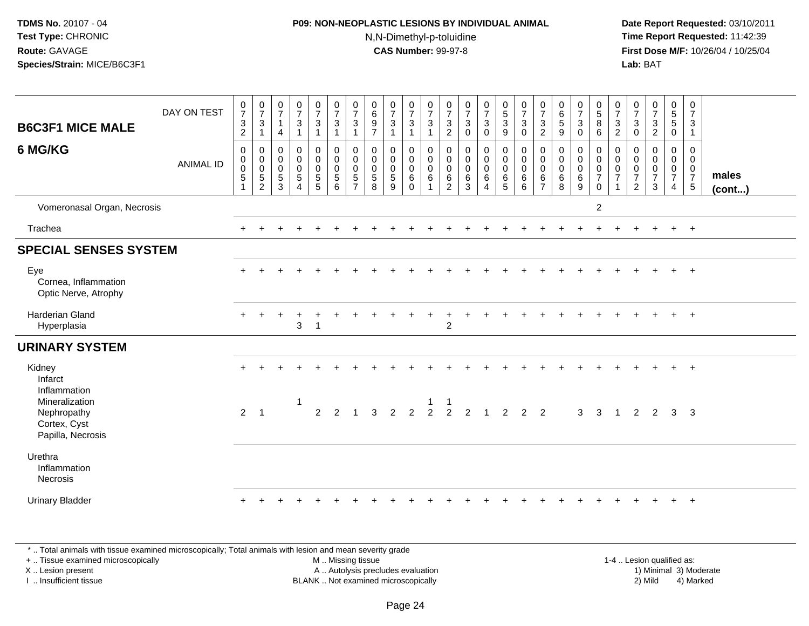#### **P09: NON-NEOPLASTIC LESIONS BY INDIVIDUAL ANIMAL**N,N-Dimethyl-p-toluidine

 **Date Report Requested:** 03/10/2011 **Time Report Requested:** 11:42:39 **First Dose M/F:** 10/26/04 / 10/25/04 Lab: BAT **Lab:** BAT

| <b>B6C3F1 MICE MALE</b>                                            | DAY ON TEST      | $\frac{0}{7}$<br>$\ensuremath{\mathsf{3}}$<br>$\overline{a}$ | $\frac{0}{7}$<br>3<br>$\mathbf{1}$                       | $\frac{0}{7}$<br>$\overline{1}$<br>4            | $\frac{0}{7}$<br>$\ensuremath{\mathsf{3}}$<br>$\mathbf{1}$                | $\frac{0}{7}$<br>$\sqrt{3}$<br>$\overline{1}$            | $\frac{0}{7}$<br>$\sqrt{3}$<br>$\mathbf{1}$                         | $\frac{0}{7}$<br>$\mathbf{3}$<br>1                   | $\begin{matrix} 0 \\ 6 \\ 9 \end{matrix}$<br>$\overline{7}$  | $\frac{0}{7}$<br>$\mathbf{3}$<br>$\mathbf{1}$ | $\frac{0}{7}$<br>$\mathbf{3}$<br>$\mathbf{1}$        | $\frac{0}{7}$<br>$\sqrt{3}$<br>$\mathbf{1}$ | $\frac{0}{7}$<br>$\sqrt{3}$<br>$\sqrt{2}$ | $\frac{0}{7}$<br>$\mathbf 3$<br>$\pmb{0}$             | $\frac{0}{7}$<br>$\mathbf{3}$<br>0                | $\begin{array}{c} 0 \\ 5 \\ 3 \end{array}$<br>$\boldsymbol{9}$       | $\frac{0}{7}$<br>$\mathbf{3}$<br>$\mathsf 0$     | $\frac{0}{7}$<br>$\mathbf{3}$<br>$\overline{c}$ | $\begin{array}{c} 0 \\ 6 \end{array}$<br>$\overline{5}$<br>$\boldsymbol{9}$ | $\frac{0}{7}$<br>$\sqrt{3}$<br>0                       | $\begin{array}{c} 0 \\ 5 \\ 8 \end{array}$<br>$\,6\,$                            | $\frac{0}{7}$<br>$\sqrt{3}$<br>$\overline{c}$ | $\frac{0}{7}$<br>$\sqrt{3}$<br>0                | $\frac{0}{7}$<br>$\ensuremath{\mathsf{3}}$<br>$\overline{c}$ | $\begin{array}{c} 0 \\ 5 \\ 5 \end{array}$<br>$\mathbf 0$ | $\mathbf 0$<br>$\overline{7}$<br>$\ensuremath{\mathsf{3}}$<br>$\overline{1}$ |                 |
|--------------------------------------------------------------------|------------------|--------------------------------------------------------------|----------------------------------------------------------|-------------------------------------------------|---------------------------------------------------------------------------|----------------------------------------------------------|---------------------------------------------------------------------|------------------------------------------------------|--------------------------------------------------------------|-----------------------------------------------|------------------------------------------------------|---------------------------------------------|-------------------------------------------|-------------------------------------------------------|---------------------------------------------------|----------------------------------------------------------------------|--------------------------------------------------|-------------------------------------------------|-----------------------------------------------------------------------------|--------------------------------------------------------|----------------------------------------------------------------------------------|-----------------------------------------------|-------------------------------------------------|--------------------------------------------------------------|-----------------------------------------------------------|------------------------------------------------------------------------------|-----------------|
| 6 MG/KG                                                            | <b>ANIMAL ID</b> | $\pmb{0}$<br>$_{\rm 0}^{\rm 0}$<br>$5\,$<br>$\mathbf{1}$     | 0<br>$\mathbf 0$<br>$\ddot{\mathbf{0}}$<br>$\frac{5}{2}$ | 0<br>$\pmb{0}$<br>$\pmb{0}$<br>$\,$ 5 $\,$<br>3 | $\pmb{0}$<br>$\overline{0}$<br>0<br>$\,$ 5 $\,$<br>$\boldsymbol{\Lambda}$ | $\pmb{0}$<br>$\mathbf 0$<br>$\mathbf 0$<br>$\frac{5}{5}$ | $\begin{smallmatrix}0\\0\\0\\0\end{smallmatrix}$<br>$\sqrt{5}$<br>6 | 0<br>$\pmb{0}$<br>$\mathbf 0$<br>5<br>$\overline{ }$ | $_{\rm 0}^{\rm 0}$<br>$\ddot{\mathbf{0}}$<br>$\sqrt{5}$<br>8 | 0<br>$\pmb{0}$<br>$\bar{0}$<br>5<br>9         | 0<br>$\pmb{0}$<br>$\overline{0}$<br>6<br>$\mathbf 0$ | $\pmb{0}$<br>$\overline{0}$<br>$\,6\,$      | 0<br>0<br>$\mathbf 0$<br>$\,6$<br>2       | $\pmb{0}$<br>$\pmb{0}$<br>$\mathbf 0$<br>$\,6\,$<br>3 | 0<br>$\mathsf{O}\xspace$<br>$\mathbf 0$<br>6<br>4 | $\begin{smallmatrix}0\0\0\0\end{smallmatrix}$<br>6<br>$\overline{5}$ | $\pmb{0}$<br>$\overline{0}$<br>0<br>$\,6\,$<br>6 | 0<br>$\pmb{0}$<br>0<br>6<br>$\overline{7}$      | $\pmb{0}$<br>$\pmb{0}$<br>$\ddot{\mathbf{0}}$<br>$\,6\,$<br>8               | 0<br>$\mathbf 0$<br>$\mathbf 0$<br>$6\phantom{1}$<br>9 | $\pmb{0}$<br>$\mathbf 0$<br>$\ddot{\mathbf{0}}$<br>$\overline{7}$<br>$\mathbf 0$ | 0<br>0<br>$\pmb{0}$<br>$\overline{7}$         | 0<br>0<br>0<br>$\overline{7}$<br>$\overline{2}$ | 0<br>$\boldsymbol{0}$<br>$\pmb{0}$<br>$\overline{7}$<br>3    | 0<br>$\mathbf 0$<br>$\mathbf 0$<br>$\overline{7}$<br>4    | 0<br>$\mathbf 0$<br>$\mathbf 0$<br>$\overline{7}$<br>$5\phantom{.0}$         | males<br>(cont) |
| Vomeronasal Organ, Necrosis                                        |                  |                                                              |                                                          |                                                 |                                                                           |                                                          |                                                                     |                                                      |                                                              |                                               |                                                      |                                             |                                           |                                                       |                                                   |                                                                      |                                                  |                                                 |                                                                             |                                                        | $\boldsymbol{2}$                                                                 |                                               |                                                 |                                                              |                                                           |                                                                              |                 |
| Trachea                                                            |                  |                                                              |                                                          |                                                 |                                                                           |                                                          |                                                                     |                                                      |                                                              |                                               |                                                      |                                             |                                           |                                                       |                                                   |                                                                      |                                                  |                                                 |                                                                             |                                                        |                                                                                  |                                               |                                                 |                                                              | $+$                                                       | $+$                                                                          |                 |
| <b>SPECIAL SENSES SYSTEM</b>                                       |                  |                                                              |                                                          |                                                 |                                                                           |                                                          |                                                                     |                                                      |                                                              |                                               |                                                      |                                             |                                           |                                                       |                                                   |                                                                      |                                                  |                                                 |                                                                             |                                                        |                                                                                  |                                               |                                                 |                                                              |                                                           |                                                                              |                 |
| Eye<br>Cornea, Inflammation<br>Optic Nerve, Atrophy                |                  |                                                              |                                                          |                                                 |                                                                           |                                                          |                                                                     |                                                      |                                                              |                                               |                                                      |                                             |                                           |                                                       |                                                   |                                                                      |                                                  |                                                 |                                                                             |                                                        |                                                                                  |                                               |                                                 |                                                              |                                                           | $+$                                                                          |                 |
| <b>Harderian Gland</b><br>Hyperplasia                              |                  |                                                              | $\ddot{}$                                                | $\pm$                                           | $\overline{1}$<br>3                                                       |                                                          |                                                                     |                                                      |                                                              |                                               |                                                      |                                             | ٠<br>$\overline{2}$                       |                                                       |                                                   |                                                                      |                                                  |                                                 |                                                                             |                                                        |                                                                                  |                                               |                                                 |                                                              | $+$                                                       | $+$                                                                          |                 |
| <b>URINARY SYSTEM</b>                                              |                  |                                                              |                                                          |                                                 |                                                                           |                                                          |                                                                     |                                                      |                                                              |                                               |                                                      |                                             |                                           |                                                       |                                                   |                                                                      |                                                  |                                                 |                                                                             |                                                        |                                                                                  |                                               |                                                 |                                                              |                                                           |                                                                              |                 |
| Kidney<br>Infarct<br>Inflammation                                  |                  |                                                              |                                                          |                                                 |                                                                           |                                                          |                                                                     |                                                      |                                                              |                                               |                                                      |                                             |                                           |                                                       |                                                   |                                                                      |                                                  |                                                 |                                                                             |                                                        |                                                                                  |                                               |                                                 |                                                              |                                                           | $+$                                                                          |                 |
| Mineralization<br>Nephropathy<br>Cortex, Cyst<br>Papilla, Necrosis |                  | $\overline{2}$                                               | $\overline{1}$                                           |                                                 | $\mathbf{1}$                                                              | 2                                                        | $\mathcal{P}$                                                       |                                                      | $\mathbf{3}$                                                 | $\overline{2}$                                | $\overline{2}$                                       | $\overline{2}$                              |                                           | $\begin{array}{ccc} 1 & 2 & 1 \end{array}$            |                                                   | $\overline{2}$                                                       | $2^{\circ}$                                      | 2                                               |                                                                             | $\mathbf{3}$                                           | $\overline{\mathbf{3}}$                                                          | $\overline{1}$                                | $\overline{2}$                                  | $\overline{2}$                                               | $\mathbf{3}$                                              | $\overline{\mathbf{3}}$                                                      |                 |
| Urethra<br>Inflammation<br>Necrosis                                |                  |                                                              |                                                          |                                                 |                                                                           |                                                          |                                                                     |                                                      |                                                              |                                               |                                                      |                                             |                                           |                                                       |                                                   |                                                                      |                                                  |                                                 |                                                                             |                                                        |                                                                                  |                                               |                                                 |                                                              |                                                           |                                                                              |                 |
| <b>Urinary Bladder</b>                                             |                  |                                                              |                                                          |                                                 |                                                                           |                                                          |                                                                     |                                                      |                                                              |                                               |                                                      |                                             |                                           |                                                       |                                                   |                                                                      |                                                  |                                                 |                                                                             |                                                        |                                                                                  |                                               |                                                 |                                                              |                                                           | $\overline{+}$                                                               |                 |

\* .. Total animals with tissue examined microscopically; Total animals with lesion and mean severity grade

+ .. Tissue examined microscopically

X .. Lesion present

I .. Insufficient tissue

 M .. Missing tissueA .. Autolysis precludes evaluation

1-4 .. Lesion qualified as:<br>1) Minimal 3) Moderate BLANK .. Not examined microscopically 2) Mild 4) Marked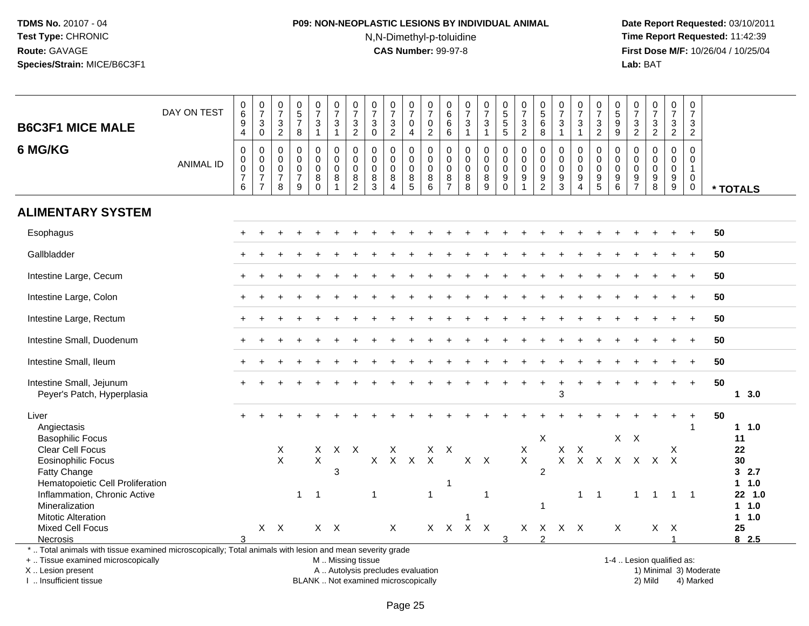## **P09: NON-NEOPLASTIC LESIONS BY INDIVIDUAL ANIMAL**N,N-Dimethyl-p-toluidine

 **Date Report Requested:** 03/10/2011 **Time Report Requested:** 11:42:39 **First Dose M/F:** 10/26/04 / 10/25/04<br>**Lab:** BAT **Lab:** BAT

| <b>B6C3F1 MICE MALE</b>                                                                                                                                                                       | DAY ON TEST      | $_{6}^{\rm 0}$<br>$\frac{9}{4}$                                             | $\frac{0}{7}$<br>$\mathbf{3}$<br>$\overline{0}$                                | $\frac{0}{7}$<br>$\frac{3}{2}$                              | $\begin{array}{c} 0 \\ 5 \\ 7 \end{array}$<br>$\boldsymbol{8}$   | $\begin{array}{c} 0 \\ 7 \end{array}$<br>3<br>$\mathbf{1}$ | $\frac{0}{7}$<br>$\sqrt{3}$<br>$\mathbf{1}$                      | $\begin{array}{c} 0 \\ 7 \end{array}$<br>$\frac{3}{2}$     | $\begin{array}{c} 0 \\ 7 \end{array}$<br>$\mathbf{3}$<br>$\mathbf 0$ | $\begin{array}{c} 0 \\ 7 \end{array}$<br>$\frac{3}{2}$                   | 0<br>$\overline{7}$<br>0<br>4                    | $\begin{array}{c} 0 \\ 7 \end{array}$<br>$\mathbf 0$<br>$\sqrt{2}$ | 0<br>$\,6$<br>6<br>$6\overline{6}$            | 0<br>$\overline{7}$<br>$\ensuremath{\mathsf{3}}$<br>$\mathbf{1}$ | $\begin{array}{c} 0 \\ 7 \end{array}$<br>$\sqrt{3}$<br>$\mathbf{1}$ | 0<br>5<br>5<br>5                          | $\frac{0}{7}$<br>$\frac{3}{2}$                                                | 0<br>$\overline{5}$<br>6<br>8                 | $\frac{0}{7}$<br>$\mathbf{3}$<br>$\mathbf{1}$           | $\frac{0}{7}$<br>3<br>$\mathbf{1}$                            | $\frac{0}{7}$<br>$\frac{3}{2}$                                                   | 0<br>9<br>9                                                     | 0<br>$\overline{7}$<br>$\frac{3}{2}$                     | $\begin{array}{c} 0 \\ 7 \end{array}$<br>$\sqrt{3}$<br>$\overline{2}$ | $\frac{0}{7}$<br>$\frac{3}{2}$                          | $\begin{smallmatrix}0\\7\end{smallmatrix}$<br>$\mathbf{3}$<br>$\overline{2}$ |    |                                    |
|-----------------------------------------------------------------------------------------------------------------------------------------------------------------------------------------------|------------------|-----------------------------------------------------------------------------|--------------------------------------------------------------------------------|-------------------------------------------------------------|------------------------------------------------------------------|------------------------------------------------------------|------------------------------------------------------------------|------------------------------------------------------------|----------------------------------------------------------------------|--------------------------------------------------------------------------|--------------------------------------------------|--------------------------------------------------------------------|-----------------------------------------------|------------------------------------------------------------------|---------------------------------------------------------------------|-------------------------------------------|-------------------------------------------------------------------------------|-----------------------------------------------|---------------------------------------------------------|---------------------------------------------------------------|----------------------------------------------------------------------------------|-----------------------------------------------------------------|----------------------------------------------------------|-----------------------------------------------------------------------|---------------------------------------------------------|------------------------------------------------------------------------------|----|------------------------------------|
| 6 MG/KG                                                                                                                                                                                       | <b>ANIMAL ID</b> | $\mathbf 0$<br>$\pmb{0}$<br>$\mathbf 0$<br>$\overline{7}$<br>$\overline{6}$ | $\mathbf 0$<br>$\pmb{0}$<br>$\overline{0}$<br>$\overline{7}$<br>$\overline{7}$ | $\mathbf 0$<br>0<br>$\boldsymbol{0}$<br>$\overline{7}$<br>8 | $\mathbf 0$<br>$\mathbf 0$<br>$\mathbf 0$<br>$\overline{7}$<br>9 | $\mathbf 0$<br>$\mathbf 0$<br>$\mathbf 0$<br>8<br>$\Omega$ | $\mathbf 0$<br>$\mathbf 0$<br>$\mathbf 0$<br>8<br>$\overline{1}$ | $\mathbf 0$<br>$\mathbf 0$<br>$\mathbf 0$<br>$\frac{8}{2}$ | $\Omega$<br>0<br>$\mathbf 0$<br>8<br>3                               | $\Omega$<br>$\mathbf 0$<br>$\mathbf 0$<br>8<br>$\boldsymbol{\Lambda}$    | $\Omega$<br>$\mathbf 0$<br>$\mathbf 0$<br>$^8$ 5 | $\Omega$<br>$\mathbf 0$<br>$\mathbf 0$<br>8<br>$6\phantom{1}6$     | $\Omega$<br>0<br>$\mathbf 0$<br>$\frac{8}{7}$ | $\mathbf 0$<br>$\mathbf 0$<br>$\mathbf 0$<br>$_{8}^8$            | $\mathbf 0$<br>0<br>$\mathbf 0$<br>$^8_9$                           | 0<br>$\pmb{0}$<br>$\pmb{0}$<br>$_{0}^{9}$ | $\mathbf 0$<br>$\mathbf 0$<br>$\mathbf 0$<br>$\boldsymbol{9}$<br>$\mathbf{1}$ | $\Omega$<br>0<br>$\mathbf 0$<br>$\frac{9}{2}$ | $\Omega$<br>$\mathbf 0$<br>$\mathbf 0$<br>$\frac{9}{3}$ | $\Omega$<br>$\mathbf 0$<br>$\mathbf 0$<br>9<br>$\overline{4}$ | $\Omega$<br>$\mathsf{O}$<br>$\mathbf 0$<br>$\begin{array}{c} 9 \\ 5 \end{array}$ | $\Omega$<br>$\mathbf 0$<br>$\mathbf 0$<br>$\boldsymbol{9}$<br>6 | $\Omega$<br>$\mathbf 0$<br>$\mathbf{0}$<br>$\frac{9}{7}$ | $\Omega$<br>$\Omega$<br>$\Omega$<br>$\boldsymbol{9}$<br>8             | $\Omega$<br>$\mathbf 0$<br>$\mathbf 0$<br>$\frac{9}{9}$ | $\mathbf 0$<br>$\mathbf 0$<br>$\mathbf{1}$<br>$\mathbf 0$<br>$\mathbf 0$     |    | * TOTALS                           |
| <b>ALIMENTARY SYSTEM</b>                                                                                                                                                                      |                  |                                                                             |                                                                                |                                                             |                                                                  |                                                            |                                                                  |                                                            |                                                                      |                                                                          |                                                  |                                                                    |                                               |                                                                  |                                                                     |                                           |                                                                               |                                               |                                                         |                                                               |                                                                                  |                                                                 |                                                          |                                                                       |                                                         |                                                                              |    |                                    |
| Esophagus                                                                                                                                                                                     |                  |                                                                             |                                                                                |                                                             |                                                                  |                                                            |                                                                  |                                                            |                                                                      |                                                                          |                                                  |                                                                    |                                               |                                                                  |                                                                     |                                           |                                                                               |                                               |                                                         |                                                               |                                                                                  |                                                                 |                                                          |                                                                       |                                                         |                                                                              | 50 |                                    |
| Gallbladder                                                                                                                                                                                   |                  |                                                                             |                                                                                |                                                             |                                                                  |                                                            |                                                                  |                                                            |                                                                      |                                                                          |                                                  |                                                                    |                                               |                                                                  |                                                                     |                                           |                                                                               |                                               |                                                         |                                                               |                                                                                  |                                                                 |                                                          |                                                                       |                                                         | $\ddot{}$                                                                    | 50 |                                    |
| Intestine Large, Cecum                                                                                                                                                                        |                  |                                                                             |                                                                                |                                                             |                                                                  |                                                            |                                                                  |                                                            |                                                                      |                                                                          |                                                  |                                                                    |                                               |                                                                  |                                                                     |                                           |                                                                               |                                               |                                                         |                                                               |                                                                                  |                                                                 |                                                          |                                                                       |                                                         | $\ddot{}$                                                                    | 50 |                                    |
| Intestine Large, Colon                                                                                                                                                                        |                  |                                                                             |                                                                                |                                                             |                                                                  |                                                            |                                                                  |                                                            |                                                                      |                                                                          |                                                  |                                                                    |                                               |                                                                  |                                                                     |                                           |                                                                               |                                               |                                                         |                                                               |                                                                                  |                                                                 |                                                          |                                                                       |                                                         |                                                                              | 50 |                                    |
| Intestine Large, Rectum                                                                                                                                                                       |                  |                                                                             |                                                                                |                                                             |                                                                  |                                                            |                                                                  |                                                            |                                                                      |                                                                          |                                                  |                                                                    |                                               |                                                                  |                                                                     |                                           |                                                                               |                                               |                                                         |                                                               |                                                                                  |                                                                 |                                                          |                                                                       |                                                         | $\ddot{}$                                                                    | 50 |                                    |
| Intestine Small, Duodenum                                                                                                                                                                     |                  |                                                                             |                                                                                |                                                             |                                                                  |                                                            |                                                                  |                                                            |                                                                      |                                                                          |                                                  |                                                                    |                                               |                                                                  |                                                                     |                                           |                                                                               |                                               |                                                         |                                                               |                                                                                  |                                                                 |                                                          |                                                                       |                                                         | $\ddot{}$                                                                    | 50 |                                    |
| Intestine Small, Ileum                                                                                                                                                                        |                  |                                                                             |                                                                                |                                                             |                                                                  |                                                            |                                                                  |                                                            |                                                                      |                                                                          |                                                  |                                                                    |                                               |                                                                  |                                                                     |                                           |                                                                               |                                               |                                                         |                                                               |                                                                                  |                                                                 |                                                          |                                                                       |                                                         | $\div$                                                                       | 50 |                                    |
| Intestine Small, Jejunum<br>Peyer's Patch, Hyperplasia                                                                                                                                        |                  |                                                                             |                                                                                |                                                             |                                                                  |                                                            |                                                                  |                                                            |                                                                      |                                                                          |                                                  |                                                                    |                                               |                                                                  |                                                                     |                                           |                                                                               |                                               | 3                                                       | $\ddot{}$                                                     |                                                                                  |                                                                 |                                                          |                                                                       |                                                         | $+$                                                                          | 50 | 13.0                               |
| Liver<br>Angiectasis                                                                                                                                                                          |                  |                                                                             |                                                                                |                                                             |                                                                  |                                                            |                                                                  |                                                            |                                                                      |                                                                          |                                                  |                                                                    |                                               |                                                                  |                                                                     |                                           |                                                                               |                                               |                                                         |                                                               |                                                                                  |                                                                 |                                                          |                                                                       |                                                         | $\ddot{}$<br>1                                                               | 50 | 11.0                               |
| <b>Basophilic Focus</b><br>Clear Cell Focus<br><b>Eosinophilic Focus</b><br>Fatty Change                                                                                                      |                  |                                                                             |                                                                                | X<br>$\mathsf{X}$                                           |                                                                  | $\mathsf{X}$<br>$\mathsf{X}$                               | $X$ $X$<br>3                                                     |                                                            |                                                                      | X<br>X X X                                                               |                                                  | X<br>$\mathsf{X}$                                                  | $\mathsf{X}$                                  |                                                                  | $X$ $X$                                                             |                                           | $\sf X$<br>$\mathsf{X}$                                                       | X<br>$\overline{2}$                           | $X$ $X$<br>$\mathsf X$                                  |                                                               | $X$ $X$                                                                          | X                                                               | $X$ $X$<br>$\mathsf{X}$                                  | $\mathsf{X}$                                                          | X<br>$\mathsf{X}$                                       |                                                                              |    | 11<br>22<br>30<br>32.7             |
| Hematopoietic Cell Proliferation<br>Inflammation, Chronic Active<br>Mineralization                                                                                                            |                  |                                                                             |                                                                                |                                                             | $\mathbf{1}$                                                     | $\overline{1}$                                             |                                                                  |                                                            | $\mathbf{1}$                                                         |                                                                          |                                                  | $\mathbf{1}$                                                       | $\mathbf 1$                                   |                                                                  | $\overline{1}$                                                      |                                           |                                                                               | $\mathbf{1}$                                  |                                                         | $\mathbf{1}$                                                  | $\overline{1}$                                                                   |                                                                 | $\mathbf{1}$                                             | $\overline{1}$                                                        | $\overline{1}$                                          | $\overline{\phantom{1}}$                                                     |    | $1 1.0$<br>22 1.0<br>1 1.0<br>11.0 |
| <b>Mitotic Alteration</b><br>Mixed Cell Focus<br><b>Necrosis</b>                                                                                                                              |                  |                                                                             |                                                                                | $X$ $X$                                                     |                                                                  |                                                            | $X$ $X$                                                          |                                                            |                                                                      | $\mathsf X$                                                              |                                                  |                                                                    |                                               | X X X X                                                          |                                                                     | 3                                         | X                                                                             | $\mathcal{P}$                                 | X X X                                                   |                                                               |                                                                                  | $\times$                                                        |                                                          | X                                                                     | $\mathsf{X}$<br>$\overline{A}$                          |                                                                              |    | 25<br>82.5                         |
| *  Total animals with tissue examined microscopically; Total animals with lesion and mean severity grade<br>+  Tissue examined microscopically<br>X  Lesion present<br>I  Insufficient tissue |                  |                                                                             |                                                                                |                                                             |                                                                  |                                                            | M  Missing tissue                                                |                                                            |                                                                      | A  Autolysis precludes evaluation<br>BLANK  Not examined microscopically |                                                  |                                                                    |                                               |                                                                  |                                                                     |                                           |                                                                               |                                               |                                                         |                                                               |                                                                                  |                                                                 |                                                          | 1-4  Lesion qualified as:<br>1) Minimal 3) Moderate<br>2) Mild        |                                                         | 4) Marked                                                                    |    |                                    |

I .. Insufficient tissue

BLANK .. Not examined microscopically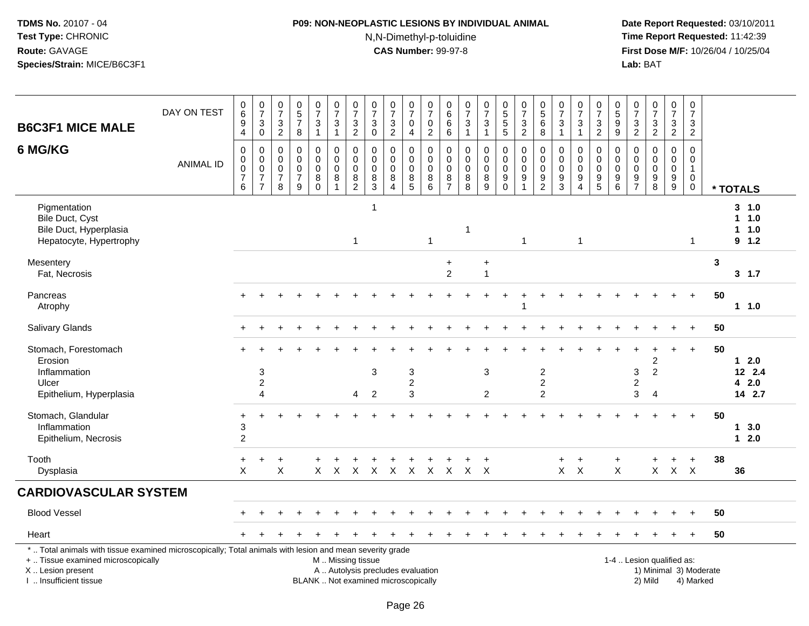## **P09: NON-NEOPLASTIC LESIONS BY INDIVIDUAL ANIMAL**N,N-Dimethyl-p-toluidine

| <b>B6C3F1 MICE MALE</b>                                                                                                                                                                       | DAY ON TEST      | $\begin{array}{c} 0 \\ 6 \end{array}$<br>$\boldsymbol{9}$<br>$\overline{4}$ | $\frac{0}{7}$<br>$_{\rm 0}^3$                                                    | 0<br>$\overline{7}$<br>3<br>$\sqrt{2}$                 | $\pmb{0}$<br>$\overline{5}$<br>$\overline{7}$<br>8            | $\frac{0}{7}$<br>3<br>$\mathbf{1}$               | $\begin{array}{c} 0 \\ 7 \end{array}$<br>$\sqrt{3}$<br>$\mathbf{1}$ | $\frac{0}{7}$<br>$\frac{3}{2}$               | $\begin{array}{c} 0 \\ 7 \end{array}$<br>$\mathbf{3}$<br>$\mathsf{O}\xspace$ | $\frac{0}{7}$<br>$\frac{3}{2}$                                           | $\frac{0}{7}$<br>0<br>$\overline{\mathbf{4}}$ | $\frac{0}{7}$<br>$\boldsymbol{0}$<br>$\overline{2}$                 | 0<br>$\,6\,$<br>6<br>$\overline{6}$                    | $\frac{0}{7}$<br>$\ensuremath{\mathsf{3}}$<br>$\mathbf{1}$ | $\frac{0}{7}$<br>3<br>$\mathbf{1}$               | 0<br>5<br>5<br>5                                      | $\frac{0}{7}$<br>$\frac{3}{2}$                              | 0<br>5<br>6<br>8                                         | $\begin{array}{c} 0 \\ 7 \end{array}$<br>$\sqrt{3}$<br>$\overline{1}$            | $\frac{0}{7}$<br>3<br>$\mathbf{1}$                                  | $\begin{array}{c} 0 \\ 7 \end{array}$<br>$\frac{3}{2}$                             | $\begin{array}{c} 0 \\ 5 \end{array}$<br>$\boldsymbol{9}$<br>$\overline{9}$ | $\begin{smallmatrix} 0\\7 \end{smallmatrix}$<br>$\frac{3}{2}$ | $\frac{0}{7}$<br>$\frac{3}{2}$                            | $\begin{smallmatrix}0\\7\end{smallmatrix}$<br>$\frac{3}{2}$ | $\mathbf 0$<br>$\overline{7}$<br>$\ensuremath{\mathsf{3}}$<br>$\overline{2}$ |                                     |                                       |
|-----------------------------------------------------------------------------------------------------------------------------------------------------------------------------------------------|------------------|-----------------------------------------------------------------------------|----------------------------------------------------------------------------------|--------------------------------------------------------|---------------------------------------------------------------|--------------------------------------------------|---------------------------------------------------------------------|----------------------------------------------|------------------------------------------------------------------------------|--------------------------------------------------------------------------|-----------------------------------------------|---------------------------------------------------------------------|--------------------------------------------------------|------------------------------------------------------------|--------------------------------------------------|-------------------------------------------------------|-------------------------------------------------------------|----------------------------------------------------------|----------------------------------------------------------------------------------|---------------------------------------------------------------------|------------------------------------------------------------------------------------|-----------------------------------------------------------------------------|---------------------------------------------------------------|-----------------------------------------------------------|-------------------------------------------------------------|------------------------------------------------------------------------------|-------------------------------------|---------------------------------------|
| 6 MG/KG                                                                                                                                                                                       | <b>ANIMAL ID</b> | $\mathsf 0$<br>$\mathbf 0$<br>$\pmb{0}$<br>$\overline{7}$<br>$6\phantom{1}$ | $\boldsymbol{0}$<br>$\mathbf 0$<br>$\pmb{0}$<br>$\overline{7}$<br>$\overline{7}$ | 0<br>$\mathbf 0$<br>$\mathbf 0$<br>$\overline{7}$<br>8 | $\mathbf 0$<br>$\Omega$<br>$\mathbf 0$<br>$\overline{7}$<br>9 | 0<br>$\mathbf 0$<br>$\mathbf 0$<br>8<br>$\Omega$ | $\mathsf 0$<br>$\mathbf 0$<br>$\mathbf 0$<br>8<br>1                 | $\pmb{0}$<br>0<br>$\pmb{0}$<br>$\frac{8}{2}$ | $\mathbf 0$<br>$\mathbf 0$<br>0<br>8<br>$\overline{3}$                       | $\pmb{0}$<br>$\mathbf 0$<br>$\pmb{0}$<br>8<br>$\Delta$                   | 0<br>$\mathbf 0$<br>0<br>$^8$ 5               | $\pmb{0}$<br>$\mathsf 0$<br>$\mathbf 0$<br>$\, 8$<br>$\overline{6}$ | $\mathbf 0$<br>0<br>$\mathbf 0$<br>8<br>$\overline{7}$ | $\pmb{0}$<br>$\mathbf 0$<br>$\pmb{0}$<br>$_{8}^8$          | $\mathbf 0$<br>$\mathbf 0$<br>0<br>$\frac{8}{9}$ | $\mathbf 0$<br>$\mathbf 0$<br>$\pmb{0}$<br>$_{0}^{9}$ | $\mathbf 0$<br>$\mathbf 0$<br>$\pmb{0}$<br>$\boldsymbol{9}$ | $\mathbf 0$<br>$\mathbf 0$<br>$\pmb{0}$<br>$\frac{9}{2}$ | $\mathbf 0$<br>$\mathbf{0}$<br>$\mathbf 0$<br>$\boldsymbol{9}$<br>$\overline{3}$ | 0<br>$\mathbf 0$<br>$\pmb{0}$<br>$\boldsymbol{9}$<br>$\overline{4}$ | $\mathbf 0$<br>$\mathbf 0$<br>$\mathbf 0$<br>$\begin{array}{c} 9 \\ 5 \end{array}$ | 0<br>0<br>0<br>9<br>$6\phantom{1}$                                          | $\mathbf 0$<br>$\mathbf 0$<br>$\mathbf 0$<br>$\frac{9}{7}$    | $\mathsf 0$<br>$\mathbf 0$<br>$\pmb{0}$<br>$_{8}^{\rm 9}$ | $\mathbf 0$<br>$\overline{0}$<br>0<br>$\frac{9}{9}$         | $\mathbf 0$<br>$\mathbf 0$<br>$\mathbf{1}$<br>$\mathbf 0$<br>$\mathbf 0$     |                                     | * TOTALS                              |
| Pigmentation<br>Bile Duct, Cyst<br>Bile Duct, Hyperplasia<br>Hepatocyte, Hypertrophy                                                                                                          |                  |                                                                             |                                                                                  |                                                        |                                                               |                                                  |                                                                     | $\overline{1}$                               | $\overline{1}$                                                               |                                                                          |                                               | $\mathbf{1}$                                                        |                                                        | 1                                                          |                                                  |                                                       | $\mathbf{1}$                                                |                                                          |                                                                                  | $\mathbf{1}$                                                        |                                                                                    |                                                                             |                                                               |                                                           |                                                             | $\overline{\mathbf{1}}$                                                      |                                     | 3, 1.0<br>1 1.0<br>1 1.0<br>$9 - 1.2$ |
| Mesentery<br>Fat, Necrosis                                                                                                                                                                    |                  |                                                                             |                                                                                  |                                                        |                                                               |                                                  |                                                                     |                                              |                                                                              |                                                                          |                                               |                                                                     | $\ddot{}$<br>$\overline{2}$                            |                                                            | $\ddot{}$<br>$\mathbf{1}$                        |                                                       |                                                             |                                                          |                                                                                  |                                                                     |                                                                                    |                                                                             |                                                               |                                                           |                                                             |                                                                              | 3                                   | 3, 1.7                                |
| Pancreas<br>Atrophy                                                                                                                                                                           |                  | $+$                                                                         |                                                                                  |                                                        |                                                               |                                                  |                                                                     |                                              |                                                                              |                                                                          |                                               |                                                                     |                                                        |                                                            |                                                  |                                                       |                                                             |                                                          |                                                                                  |                                                                     |                                                                                    |                                                                             |                                                               |                                                           | $\div$                                                      | $+$                                                                          | 50                                  | $1 \t1.0$                             |
| <b>Salivary Glands</b>                                                                                                                                                                        |                  |                                                                             |                                                                                  |                                                        |                                                               |                                                  |                                                                     |                                              |                                                                              |                                                                          |                                               |                                                                     |                                                        |                                                            |                                                  |                                                       |                                                             |                                                          |                                                                                  |                                                                     |                                                                                    |                                                                             |                                                               |                                                           |                                                             | $\ddot{+}$                                                                   | 50                                  |                                       |
| Stomach, Forestomach<br>Erosion<br>Inflammation<br>Ulcer<br>Epithelium, Hyperplasia                                                                                                           |                  |                                                                             | $\sqrt{3}$<br>$\overline{2}$<br>4                                                |                                                        |                                                               |                                                  |                                                                     | $\overline{4}$                               | $\sqrt{3}$<br>$\overline{2}$                                                 |                                                                          | 3<br>$\overline{c}$<br>3                      |                                                                     |                                                        |                                                            | 3<br>$\overline{2}$                              |                                                       |                                                             | $\boldsymbol{2}$<br>$\boldsymbol{2}$<br>$\overline{2}$   |                                                                                  |                                                                     |                                                                                    |                                                                             | 3<br>$\overline{c}$<br>3                                      | $\overline{c}$<br>$\overline{c}$<br>$\overline{4}$        | $\div$                                                      | $\ddot{}$                                                                    | 50                                  | $12.0$<br>12 2.4<br>42.0<br>14 2.7    |
| Stomach, Glandular<br>Inflammation<br>Epithelium, Necrosis                                                                                                                                    |                  | $\ddot{}$<br>3<br>$\overline{c}$                                            |                                                                                  |                                                        |                                                               |                                                  |                                                                     |                                              |                                                                              |                                                                          |                                               |                                                                     |                                                        |                                                            |                                                  |                                                       |                                                             |                                                          |                                                                                  |                                                                     |                                                                                    |                                                                             |                                                               |                                                           |                                                             | $+$                                                                          | 50                                  | $1 \quad 3.0$<br>$12.0$               |
| Tooth<br>Dysplasia                                                                                                                                                                            |                  | $\ddot{}$<br>X                                                              | ÷                                                                                | $\ddot{}$<br>$\times$                                  |                                                               | +<br>X                                           |                                                                     | $\ddot{}$                                    | ÷                                                                            |                                                                          | +                                             |                                                                     |                                                        | X X X X X X X X X                                          | $\ddot{}$                                        |                                                       |                                                             |                                                          | $\ddot{}$                                                                        | $+$<br>$X$ $X$                                                      |                                                                                    | +<br>$\mathsf{X}$                                                           |                                                               | $+$                                                       | $\ddot{}$<br>$X$ $X$ $X$                                    | $\ddot{}$                                                                    | 38                                  | 36                                    |
| <b>CARDIOVASCULAR SYSTEM</b>                                                                                                                                                                  |                  |                                                                             |                                                                                  |                                                        |                                                               |                                                  |                                                                     |                                              |                                                                              |                                                                          |                                               |                                                                     |                                                        |                                                            |                                                  |                                                       |                                                             |                                                          |                                                                                  |                                                                     |                                                                                    |                                                                             |                                                               |                                                           |                                                             |                                                                              |                                     |                                       |
| <b>Blood Vessel</b>                                                                                                                                                                           |                  |                                                                             |                                                                                  |                                                        |                                                               |                                                  |                                                                     |                                              |                                                                              |                                                                          |                                               |                                                                     |                                                        |                                                            |                                                  |                                                       |                                                             |                                                          |                                                                                  |                                                                     |                                                                                    |                                                                             |                                                               |                                                           |                                                             |                                                                              | 50                                  |                                       |
| Heart                                                                                                                                                                                         |                  |                                                                             |                                                                                  |                                                        |                                                               |                                                  |                                                                     |                                              |                                                                              |                                                                          |                                               |                                                                     |                                                        |                                                            |                                                  |                                                       |                                                             |                                                          |                                                                                  |                                                                     |                                                                                    |                                                                             |                                                               |                                                           |                                                             |                                                                              | 50                                  |                                       |
| *  Total animals with tissue examined microscopically; Total animals with lesion and mean severity grade<br>+  Tissue examined microscopically<br>X  Lesion present<br>I. Insufficient tissue |                  |                                                                             |                                                                                  |                                                        |                                                               |                                                  | M  Missing tissue                                                   |                                              |                                                                              | A  Autolysis precludes evaluation<br>BLANK  Not examined microscopically |                                               |                                                                     |                                                        |                                                            |                                                  |                                                       |                                                             |                                                          |                                                                                  |                                                                     |                                                                                    |                                                                             |                                                               | 1-4  Lesion qualified as:<br>2) Mild                      |                                                             |                                                                              | 1) Minimal 3) Moderate<br>4) Marked |                                       |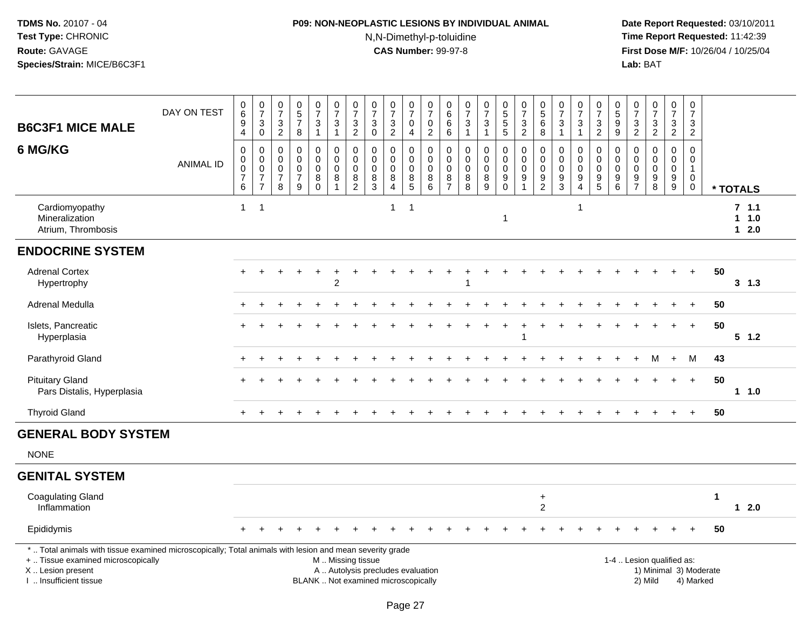## **P09: NON-NEOPLASTIC LESIONS BY INDIVIDUAL ANIMAL**N,N-Dimethyl-p-toluidine

| <b>B6C3F1 MICE MALE</b>                                                                                                                                                                       | DAY ON TEST      | $\begin{array}{c} 0 \\ 6 \end{array}$<br>$\boldsymbol{9}$<br>$\overline{4}$ | $\frac{0}{7}$<br>$\mathbf{3}$<br>$\mathbf 0$                                | $\begin{array}{c} 0 \\ 7 \end{array}$<br>$\ensuremath{\mathsf{3}}$<br>$\overline{2}$ | $\begin{array}{c} 0 \\ 5 \end{array}$<br>$\overline{7}$<br>8 | $\frac{0}{7}$<br>$\mathbf{3}$<br>$\mathbf{1}$           | $\begin{smallmatrix}0\\7\end{smallmatrix}$<br>$\ensuremath{\mathsf{3}}$<br>$\mathbf{1}$       | $\frac{0}{7}$<br>$\ensuremath{\mathsf{3}}$<br>$\overline{2}$     | $\begin{array}{c} 0 \\ 7 \end{array}$<br>$\ensuremath{\mathsf{3}}$<br>$\mathbf 0$ | $\frac{0}{7}$<br>$\ensuremath{\mathsf{3}}$<br>$\overline{2}$       | $\begin{array}{c} 0 \\ 7 \end{array}$<br>0<br>$\overline{4}$ | $\begin{array}{c} 0 \\ 7 \end{array}$<br>$\mathbf 0$<br>$\overline{2}$ | 0<br>6<br>6<br>6                                | $\frac{0}{7}$<br>$\ensuremath{\mathsf{3}}$<br>$\mathbf{1}$ | $\frac{0}{7}$<br>3<br>$\mathbf{1}$                    | 0<br>5<br>5<br>5                                 | $\begin{array}{c} 0 \\ 7 \end{array}$<br>$\frac{3}{2}$      | $\begin{array}{c} 0 \\ 5 \\ 6 \end{array}$<br>8            | $\frac{0}{7}$<br>$\sqrt{3}$<br>$\overline{1}$              | $\frac{0}{7}$<br>$\ensuremath{\mathsf{3}}$<br>$\mathbf{1}$  | $\begin{array}{c} 0 \\ 7 \end{array}$<br>$\ensuremath{\mathsf{3}}$<br>$\overline{2}$ | $^{\rm 0}_{\rm 5}$<br>$\boldsymbol{9}$<br>$\boldsymbol{9}$ | $\frac{0}{7}$<br>$\frac{3}{2}$                             | $\frac{0}{7}$<br>$\frac{3}{2}$                            | $\begin{smallmatrix}0\\7\end{smallmatrix}$<br>$\mathbf{3}$<br>$\overline{2}$ | $\pmb{0}$<br>$\overline{7}$<br>3<br>$\overline{2}$                     |    |                          |  |
|-----------------------------------------------------------------------------------------------------------------------------------------------------------------------------------------------|------------------|-----------------------------------------------------------------------------|-----------------------------------------------------------------------------|--------------------------------------------------------------------------------------|--------------------------------------------------------------|---------------------------------------------------------|-----------------------------------------------------------------------------------------------|------------------------------------------------------------------|-----------------------------------------------------------------------------------|--------------------------------------------------------------------|--------------------------------------------------------------|------------------------------------------------------------------------|-------------------------------------------------|------------------------------------------------------------|-------------------------------------------------------|--------------------------------------------------|-------------------------------------------------------------|------------------------------------------------------------|------------------------------------------------------------|-------------------------------------------------------------|--------------------------------------------------------------------------------------|------------------------------------------------------------|------------------------------------------------------------|-----------------------------------------------------------|------------------------------------------------------------------------------|------------------------------------------------------------------------|----|--------------------------|--|
| 6 MG/KG                                                                                                                                                                                       | <b>ANIMAL ID</b> | 0<br>$\pmb{0}$<br>$\pmb{0}$<br>$\overline{7}$<br>$\,6\,$                    | $\mathbf 0$<br>$\mathbf 0$<br>$\,0\,$<br>$\boldsymbol{7}$<br>$\overline{7}$ | 0<br>$\Omega$<br>0<br>$\overline{7}$<br>8                                            | $\mathbf 0$<br>$\mathbf 0$<br>$\pmb{0}$<br>$\frac{7}{9}$     | $\mathbf 0$<br>$\Omega$<br>$\mathbf 0$<br>8<br>$\Omega$ | 0<br>$\mathbf 0$<br>$\pmb{0}$<br>8<br>$\mathbf{1}$                                            | $\mathsf{O}\xspace$<br>$\mathbf 0$<br>$\pmb{0}$<br>$\frac{8}{2}$ | $\mathbf 0$<br>$\mathbf 0$<br>0<br>$\begin{array}{c} 8 \\ 3 \end{array}$          | $\mathbf 0$<br>$\Omega$<br>$\mathbf 0$<br>$\bf8$<br>$\overline{4}$ | 0<br>$\mathbf 0$<br>0<br>$\frac{8}{5}$                       | $\pmb{0}$<br>$\mathbf 0$<br>$\mathbf 0$<br>$\bf 8$<br>$\overline{6}$   | 0<br>$\Omega$<br>0<br>$\bf 8$<br>$\overline{7}$ | $\pmb{0}$<br>$\mathbf 0$<br>$\pmb{0}$<br>$\frac{8}{8}$     | $\mathsf{O}$<br>$\mathbf 0$<br>$\mathsf{O}$<br>8<br>9 | 0<br>$\mathsf{O}$<br>$\pmb{0}$<br>$\overline{9}$ | $\mathbf 0$<br>$\mathbf 0$<br>$\pmb{0}$<br>$\boldsymbol{9}$ | $\mathbf 0$<br>$\mathbf 0$<br>$\mathbf 0$<br>$\frac{9}{2}$ | $\mathbf 0$<br>$\mathbf 0$<br>$\mathbf 0$<br>$\frac{9}{3}$ | 0<br>$\mathbf 0$<br>0<br>$\boldsymbol{9}$<br>$\overline{4}$ | $\pmb{0}$<br>$\mathbf 0$<br>$\boldsymbol{0}$<br>$\frac{9}{5}$                        | 0<br>$\Omega$<br>$\mathbf 0$<br>$\boldsymbol{9}$<br>6      | $\mathbf 0$<br>$\mathbf 0$<br>$\mathbf 0$<br>$\frac{9}{7}$ | $\mathsf{O}$<br>$\Omega$<br>$\mathsf{O}$<br>$\frac{9}{8}$ | $\mathsf 0$<br>$\mathsf{O}$<br>$\mathsf{O}\xspace$<br>$\frac{9}{9}$          | $\mathbf 0$<br>$\mathbf 0$<br>$\mathbf{1}$<br>$\mathbf 0$<br>$\pmb{0}$ |    | * TOTALS                 |  |
| Cardiomyopathy<br>Mineralization<br>Atrium, Thrombosis                                                                                                                                        |                  | $\mathbf{1}$                                                                | $\overline{1}$                                                              |                                                                                      |                                                              |                                                         |                                                                                               |                                                                  |                                                                                   | $\mathbf{1}$                                                       | $\overline{1}$                                               |                                                                        |                                                 |                                                            |                                                       | 1                                                |                                                             |                                                            |                                                            | 1                                                           |                                                                                      |                                                            |                                                            |                                                           |                                                                              |                                                                        |    | 7, 1.1<br>11.0<br>$12.0$ |  |
| <b>ENDOCRINE SYSTEM</b>                                                                                                                                                                       |                  |                                                                             |                                                                             |                                                                                      |                                                              |                                                         |                                                                                               |                                                                  |                                                                                   |                                                                    |                                                              |                                                                        |                                                 |                                                            |                                                       |                                                  |                                                             |                                                            |                                                            |                                                             |                                                                                      |                                                            |                                                            |                                                           |                                                                              |                                                                        |    |                          |  |
| <b>Adrenal Cortex</b><br>Hypertrophy                                                                                                                                                          |                  |                                                                             |                                                                             |                                                                                      |                                                              |                                                         | $\overline{2}$                                                                                |                                                                  |                                                                                   |                                                                    |                                                              |                                                                        |                                                 |                                                            |                                                       |                                                  |                                                             |                                                            |                                                            |                                                             |                                                                                      |                                                            |                                                            |                                                           |                                                                              | $\ddot{+}$                                                             | 50 | $3 \t1.3$                |  |
| Adrenal Medulla                                                                                                                                                                               |                  |                                                                             |                                                                             |                                                                                      |                                                              |                                                         |                                                                                               |                                                                  |                                                                                   |                                                                    |                                                              |                                                                        |                                                 |                                                            |                                                       |                                                  |                                                             |                                                            |                                                            |                                                             |                                                                                      |                                                            |                                                            |                                                           |                                                                              |                                                                        | 50 |                          |  |
| Islets, Pancreatic<br>Hyperplasia                                                                                                                                                             |                  |                                                                             |                                                                             |                                                                                      |                                                              |                                                         |                                                                                               |                                                                  |                                                                                   |                                                                    |                                                              |                                                                        |                                                 |                                                            |                                                       |                                                  |                                                             |                                                            |                                                            |                                                             |                                                                                      |                                                            |                                                            |                                                           |                                                                              | $+$                                                                    | 50 | $5 \t1.2$                |  |
| Parathyroid Gland                                                                                                                                                                             |                  |                                                                             |                                                                             |                                                                                      |                                                              |                                                         |                                                                                               |                                                                  |                                                                                   |                                                                    |                                                              |                                                                        |                                                 |                                                            |                                                       |                                                  |                                                             |                                                            |                                                            |                                                             |                                                                                      |                                                            |                                                            | м                                                         | $\ddot{}$                                                                    | M                                                                      | 43 |                          |  |
| <b>Pituitary Gland</b><br>Pars Distalis, Hyperplasia                                                                                                                                          |                  |                                                                             |                                                                             |                                                                                      |                                                              |                                                         |                                                                                               |                                                                  |                                                                                   |                                                                    |                                                              |                                                                        |                                                 |                                                            |                                                       |                                                  |                                                             |                                                            |                                                            |                                                             |                                                                                      |                                                            |                                                            |                                                           |                                                                              | $+$                                                                    | 50 | $1 1.0$                  |  |
| <b>Thyroid Gland</b>                                                                                                                                                                          |                  | $+$                                                                         |                                                                             |                                                                                      |                                                              |                                                         |                                                                                               |                                                                  |                                                                                   |                                                                    |                                                              |                                                                        |                                                 |                                                            |                                                       |                                                  |                                                             |                                                            |                                                            |                                                             |                                                                                      |                                                            |                                                            | $\ddot{}$                                                 | $\ddot{}$                                                                    | $+$                                                                    | 50 |                          |  |
| <b>GENERAL BODY SYSTEM</b>                                                                                                                                                                    |                  |                                                                             |                                                                             |                                                                                      |                                                              |                                                         |                                                                                               |                                                                  |                                                                                   |                                                                    |                                                              |                                                                        |                                                 |                                                            |                                                       |                                                  |                                                             |                                                            |                                                            |                                                             |                                                                                      |                                                            |                                                            |                                                           |                                                                              |                                                                        |    |                          |  |
| <b>NONE</b>                                                                                                                                                                                   |                  |                                                                             |                                                                             |                                                                                      |                                                              |                                                         |                                                                                               |                                                                  |                                                                                   |                                                                    |                                                              |                                                                        |                                                 |                                                            |                                                       |                                                  |                                                             |                                                            |                                                            |                                                             |                                                                                      |                                                            |                                                            |                                                           |                                                                              |                                                                        |    |                          |  |
| <b>GENITAL SYSTEM</b>                                                                                                                                                                         |                  |                                                                             |                                                                             |                                                                                      |                                                              |                                                         |                                                                                               |                                                                  |                                                                                   |                                                                    |                                                              |                                                                        |                                                 |                                                            |                                                       |                                                  |                                                             |                                                            |                                                            |                                                             |                                                                                      |                                                            |                                                            |                                                           |                                                                              |                                                                        |    |                          |  |
| <b>Coagulating Gland</b><br>Inflammation                                                                                                                                                      |                  |                                                                             |                                                                             |                                                                                      |                                                              |                                                         |                                                                                               |                                                                  |                                                                                   |                                                                    |                                                              |                                                                        |                                                 |                                                            |                                                       |                                                  |                                                             | $\ddot{}$<br>$\overline{2}$                                |                                                            |                                                             |                                                                                      |                                                            |                                                            |                                                           |                                                                              |                                                                        | 1  | $12.0$                   |  |
| Epididymis                                                                                                                                                                                    |                  |                                                                             |                                                                             |                                                                                      |                                                              |                                                         |                                                                                               |                                                                  |                                                                                   |                                                                    |                                                              |                                                                        |                                                 |                                                            |                                                       |                                                  |                                                             |                                                            |                                                            |                                                             |                                                                                      |                                                            |                                                            |                                                           |                                                                              |                                                                        | 50 |                          |  |
| *  Total animals with tissue examined microscopically; Total animals with lesion and mean severity grade<br>+  Tissue examined microscopically<br>X  Lesion present<br>I  Insufficient tissue |                  |                                                                             |                                                                             |                                                                                      |                                                              |                                                         | M  Missing tissue<br>A  Autolysis precludes evaluation<br>BLANK  Not examined microscopically |                                                                  |                                                                                   |                                                                    |                                                              |                                                                        |                                                 |                                                            |                                                       |                                                  |                                                             |                                                            |                                                            |                                                             |                                                                                      |                                                            |                                                            | 1-4  Lesion qualified as:<br>2) Mild                      |                                                                              | 1) Minimal 3) Moderate<br>4) Marked                                    |    |                          |  |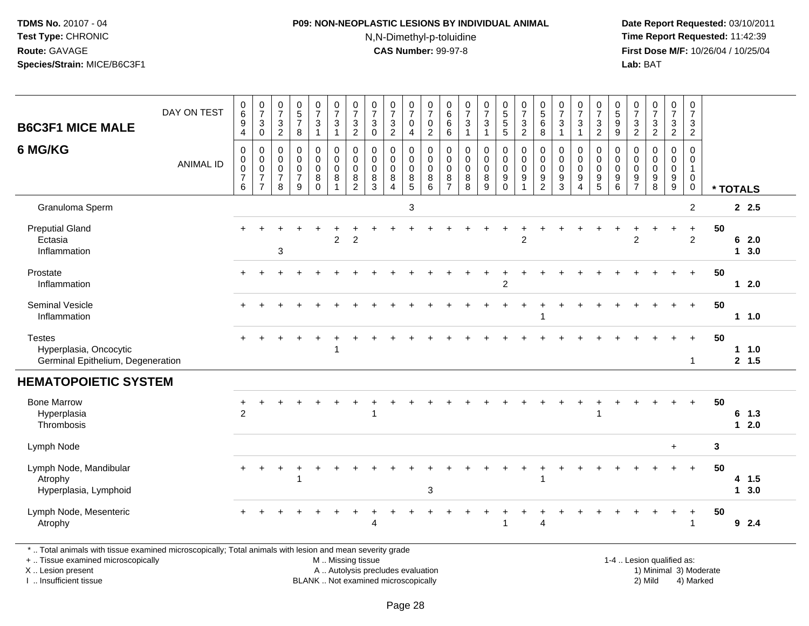## **P09: NON-NEOPLASTIC LESIONS BY INDIVIDUAL ANIMAL**N,N-Dimethyl-p-toluidine

 **Date Report Requested:** 03/10/2011 **Time Report Requested:** 11:42:39 **First Dose M/F:** 10/26/04 / 10/25/04<br>**Lab:** BAT **Lab:** BAT

| <b>B6C3F1 MICE MALE</b>                                                                                                                                             | DAY ON TEST      | $_{6}^{\rm 0}$<br>9<br>$\overline{4}$                | $\frac{0}{7}$<br>$\ensuremath{\mathsf{3}}$<br>$\mathbf 0$         | $\frac{0}{7}$<br>$\mathbf{3}$<br>$\overline{2}$                  | $\begin{array}{c} 0 \\ 5 \end{array}$<br>$\overline{7}$<br>8  | $\frac{0}{7}$<br>3<br>$\mathbf{1}$                            | $\frac{0}{7}$<br>$\mathbf{3}$<br>$\mathbf{1}$                    | $\frac{0}{7}$<br>$\ensuremath{\mathsf{3}}$<br>$\overline{2}$     | $\frac{0}{7}$<br>$\mathbf{3}$<br>$\mathbf 0$ | $\frac{0}{7}$<br>$\frac{3}{2}$                                       | 0<br>$\overline{7}$<br>0<br>$\overline{4}$                             | $\pmb{0}$<br>$\overline{7}$<br>$\boldsymbol{0}$<br>2                | 0<br>$6\phantom{a}$<br>$\,6$<br>6                      | $\frac{0}{7}$<br>$\sqrt{3}$<br>$\overline{1}$ | $\frac{0}{7}$<br>$\mathbf{3}$<br>$\mathbf{1}$          | $\begin{array}{c} 0 \\ 5 \end{array}$<br>$\sqrt{5}$<br>$\overline{5}$ | $\frac{0}{7}$<br>$\mathbf{3}$<br>$\overline{2}$     | $\begin{array}{c} 0 \\ 5 \end{array}$<br>$\,6$<br>8              | $\frac{0}{7}$<br>3<br>$\overline{1}$          | $\frac{0}{7}$<br>3<br>$\mathbf{1}$         | $\frac{0}{7}$<br>$\mathbf{3}$<br>$\overline{2}$        | $\begin{array}{c} 0 \\ 5 \end{array}$<br>$\boldsymbol{9}$<br>$\boldsymbol{9}$ | $\frac{0}{7}$<br>$\frac{3}{2}$                                               | $\frac{0}{7}$<br>$\ensuremath{\mathsf{3}}$<br>$\overline{2}$ | $\frac{0}{7}$<br>$\sqrt{3}$<br>$\overline{2}$       | 0<br>$\boldsymbol{7}$<br>$\mathbf{3}$<br>$\overline{2}$                     |                        |          |                   |
|---------------------------------------------------------------------------------------------------------------------------------------------------------------------|------------------|------------------------------------------------------|-------------------------------------------------------------------|------------------------------------------------------------------|---------------------------------------------------------------|---------------------------------------------------------------|------------------------------------------------------------------|------------------------------------------------------------------|----------------------------------------------|----------------------------------------------------------------------|------------------------------------------------------------------------|---------------------------------------------------------------------|--------------------------------------------------------|-----------------------------------------------|--------------------------------------------------------|-----------------------------------------------------------------------|-----------------------------------------------------|------------------------------------------------------------------|-----------------------------------------------|--------------------------------------------|--------------------------------------------------------|-------------------------------------------------------------------------------|------------------------------------------------------------------------------|--------------------------------------------------------------|-----------------------------------------------------|-----------------------------------------------------------------------------|------------------------|----------|-------------------|
| 6 MG/KG                                                                                                                                                             | <b>ANIMAL ID</b> | 0<br>$\pmb{0}$<br>$\pmb{0}$<br>$\boldsymbol{7}$<br>6 | 0<br>$\mathbf 0$<br>$\pmb{0}$<br>$\overline{7}$<br>$\overline{7}$ | $\mathbf 0$<br>$\mathbf 0$<br>$\mathbf 0$<br>$\overline{7}$<br>8 | $\mathbf 0$<br>$\Omega$<br>$\mathbf 0$<br>$\overline{7}$<br>9 | $\mathbf 0$<br>$\mathbf 0$<br>$\mathbf 0$<br>8<br>$\mathbf 0$ | $\mathbf 0$<br>$\mathbf 0$<br>$\mathsf 0$<br>8<br>$\overline{1}$ | $\mathbf 0$<br>$\mathbf 0$<br>$\mathbf 0$<br>8<br>$\overline{2}$ | $\mathbf 0$<br>0<br>0<br>8<br>3              | $\mathbf 0$<br>$\mathbf 0$<br>$\pmb{0}$<br>$\bf 8$<br>$\overline{4}$ | $\mathbf 0$<br>$\mathbf 0$<br>$\mathbf 0$<br>$\,8\,$<br>$\overline{5}$ | $\mathbf 0$<br>$\overline{0}$<br>$\mathbf 0$<br>8<br>$6\phantom{1}$ | $\mathbf 0$<br>$\mathbf 0$<br>0<br>8<br>$\overline{7}$ | $\Omega$<br>$\Omega$<br>$\mathbf 0$<br>8<br>8 | $\mathbf 0$<br>$\mathbf 0$<br>0<br>8<br>$\overline{9}$ | $\mathbf 0$<br>$\mathbf 0$<br>0<br>9<br>$\mathbf 0$                   | $\mathbf 0$<br>$\mathbf 0$<br>$\mathbf 0$<br>9<br>1 | $\mathbf 0$<br>$\mathbf 0$<br>$\mathbf 0$<br>9<br>$\overline{c}$ | $\Omega$<br>$\Omega$<br>$\mathbf 0$<br>9<br>3 | $\Omega$<br>$\Omega$<br>0<br>9<br>$\Delta$ | $\mathbf 0$<br>$\mathbf 0$<br>0<br>9<br>$\overline{5}$ | $\mathbf 0$<br>$\mathbf 0$<br>$\mathbf 0$<br>9<br>$6\overline{6}$             | $\mathbf 0$<br>$\Omega$<br>$\mathbf 0$<br>$\boldsymbol{9}$<br>$\overline{7}$ | $\Omega$<br>$\Omega$<br>$\mathbf 0$<br>9<br>8                | $\mathbf 0$<br>$\mathbf 0$<br>$\mathbf 0$<br>$^9_9$ | $\mathbf 0$<br>$\mathbf 0$<br>$\mathbf{1}$<br>$\overline{0}$<br>$\mathbf 0$ |                        | * TOTALS |                   |
| Granuloma Sperm                                                                                                                                                     |                  |                                                      |                                                                   |                                                                  |                                                               |                                                               |                                                                  |                                                                  |                                              |                                                                      | 3                                                                      |                                                                     |                                                        |                                               |                                                        |                                                                       |                                                     |                                                                  |                                               |                                            |                                                        |                                                                               |                                                                              |                                                              |                                                     | $\overline{2}$                                                              |                        |          | 2.5               |
| <b>Preputial Gland</b><br>Ectasia<br>Inflammation                                                                                                                   |                  |                                                      |                                                                   | 3                                                                |                                                               |                                                               | 2                                                                | $\overline{2}$                                                   |                                              |                                                                      |                                                                        |                                                                     |                                                        |                                               |                                                        |                                                                       | $\overline{c}$                                      |                                                                  |                                               |                                            |                                                        |                                                                               | 2                                                                            |                                                              |                                                     | $\ddot{}$<br>$\overline{2}$                                                 | 50                     |          | 62.0<br>13.0      |
| Prostate<br>Inflammation                                                                                                                                            |                  |                                                      |                                                                   |                                                                  |                                                               |                                                               |                                                                  |                                                                  |                                              |                                                                      |                                                                        |                                                                     |                                                        |                                               |                                                        | 2                                                                     |                                                     |                                                                  |                                               |                                            |                                                        |                                                                               |                                                                              |                                                              |                                                     | $\ddot{}$                                                                   | 50                     |          | $12.0$            |
| <b>Seminal Vesicle</b><br>Inflammation                                                                                                                              |                  |                                                      |                                                                   |                                                                  |                                                               |                                                               |                                                                  |                                                                  |                                              |                                                                      |                                                                        |                                                                     |                                                        |                                               |                                                        |                                                                       |                                                     |                                                                  |                                               |                                            |                                                        |                                                                               |                                                                              |                                                              |                                                     |                                                                             | 50                     |          | $1 \t1.0$         |
| <b>Testes</b><br>Hyperplasia, Oncocytic<br>Germinal Epithelium, Degeneration                                                                                        |                  |                                                      |                                                                   |                                                                  |                                                               |                                                               |                                                                  |                                                                  |                                              |                                                                      |                                                                        |                                                                     |                                                        |                                               |                                                        |                                                                       |                                                     |                                                                  |                                               |                                            |                                                        |                                                                               |                                                                              |                                                              |                                                     | -1                                                                          | 50                     |          | 1 1.0<br>2, 1.5   |
| <b>HEMATOPOIETIC SYSTEM</b>                                                                                                                                         |                  |                                                      |                                                                   |                                                                  |                                                               |                                                               |                                                                  |                                                                  |                                              |                                                                      |                                                                        |                                                                     |                                                        |                                               |                                                        |                                                                       |                                                     |                                                                  |                                               |                                            |                                                        |                                                                               |                                                                              |                                                              |                                                     |                                                                             |                        |          |                   |
| <b>Bone Marrow</b><br>Hyperplasia<br>Thrombosis                                                                                                                     |                  | 2                                                    |                                                                   |                                                                  |                                                               |                                                               |                                                                  |                                                                  |                                              |                                                                      |                                                                        |                                                                     |                                                        |                                               |                                                        |                                                                       |                                                     |                                                                  |                                               |                                            |                                                        |                                                                               |                                                                              |                                                              |                                                     | $\ddot{}$                                                                   | 50                     |          | $6$ 1.3<br>$12.0$ |
| Lymph Node                                                                                                                                                          |                  |                                                      |                                                                   |                                                                  |                                                               |                                                               |                                                                  |                                                                  |                                              |                                                                      |                                                                        |                                                                     |                                                        |                                               |                                                        |                                                                       |                                                     |                                                                  |                                               |                                            |                                                        |                                                                               |                                                                              |                                                              | $\ddot{}$                                           |                                                                             | $\mathbf{3}$           |          |                   |
| Lymph Node, Mandibular<br>Atrophy<br>Hyperplasia, Lymphoid                                                                                                          |                  |                                                      |                                                                   |                                                                  |                                                               |                                                               |                                                                  |                                                                  |                                              |                                                                      |                                                                        | 3                                                                   |                                                        |                                               |                                                        |                                                                       |                                                     | 1                                                                |                                               |                                            |                                                        |                                                                               |                                                                              |                                                              |                                                     |                                                                             | 50                     |          | 4 1.5<br>13.0     |
| Lymph Node, Mesenteric<br>Atrophy                                                                                                                                   |                  |                                                      |                                                                   |                                                                  |                                                               |                                                               |                                                                  |                                                                  | Δ                                            |                                                                      |                                                                        |                                                                     |                                                        |                                               |                                                        |                                                                       |                                                     | 4                                                                |                                               |                                            |                                                        |                                                                               |                                                                              |                                                              |                                                     |                                                                             | 50                     |          | $9$ 2.4           |
| *  Total animals with tissue examined microscopically; Total animals with lesion and mean severity grade<br>+  Tissue examined microscopically<br>X  Lesion present |                  |                                                      |                                                                   |                                                                  |                                                               |                                                               |                                                                  | M  Missing tissue<br>A  Autolysis precludes evaluation           |                                              |                                                                      |                                                                        |                                                                     |                                                        |                                               |                                                        |                                                                       |                                                     |                                                                  |                                               |                                            |                                                        |                                                                               |                                                                              | 1-4  Lesion qualified as:                                    |                                                     |                                                                             | 1) Minimal 3) Moderate |          |                   |

X .. Lesion present

I .. Insufficient tissue

BLANK .. Not examined microscopically 2) Mild 4) Marked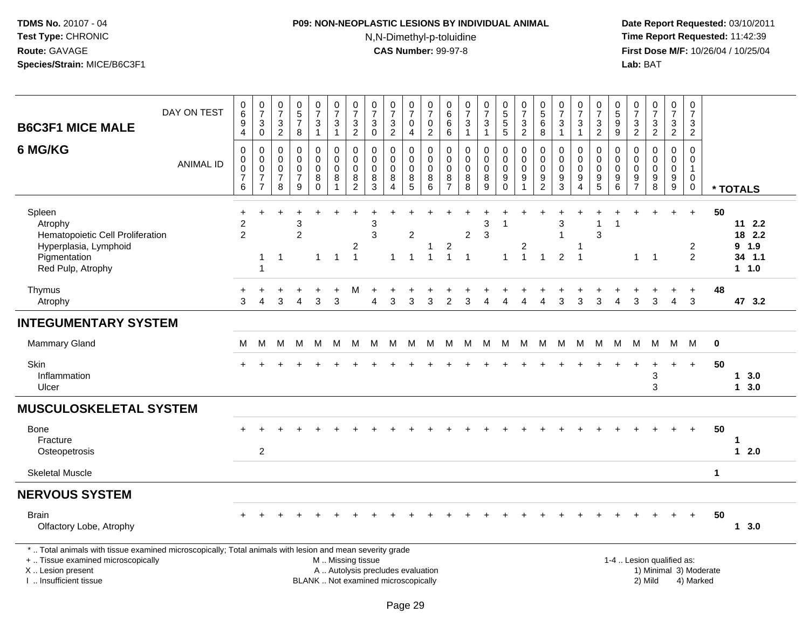## **P09: NON-NEOPLASTIC LESIONS BY INDIVIDUAL ANIMAL**N,N-Dimethyl-p-toluidine

| <b>B6C3F1 MICE MALE</b>                                                                                                                                                                      | DAY ON TEST      | 0<br>$\overline{6}$<br>$\boldsymbol{9}$                | $\frac{0}{7}$<br>$\mathbf{3}$                                                            | $\begin{smallmatrix}0\\7\end{smallmatrix}$<br>$\frac{3}{2}$ | $\begin{array}{c} 0 \\ 5 \\ 7 \end{array}$                                               | $\frac{0}{7}$<br>3                                                          | $\frac{0}{7}$<br>$\ensuremath{\mathsf{3}}$                                     | $\frac{0}{7}$<br>$\ensuremath{\mathsf{3}}$                               | $\frac{0}{7}$<br>$\sqrt{3}$                                                                   | $\begin{array}{c} 0 \\ 7 \end{array}$<br>$\frac{3}{2}$      | $\begin{array}{c} 0 \\ 7 \end{array}$<br>$\pmb{0}$                    | 0<br>$\overline{7}$<br>$\mathsf 0$                                               | 0<br>$\overline{6}$<br>6                                          | $\frac{0}{7}$<br>$\sqrt{3}$                                                     | $\frac{0}{7}$<br>$\mathbf{3}$                                  | 0<br>5<br>5<br>5                    | $\begin{array}{c} 0 \\ 7 \end{array}$<br>$\frac{3}{2}$                        | $\begin{array}{c} 0 \\ 5 \end{array}$<br>$\,6\,$               | $\frac{0}{7}$<br>$\sqrt{3}$                                                           | $\frac{0}{7}$<br>$\mathbf{3}$                                       | $\frac{0}{7}$<br>$\frac{3}{2}$                                         | $\begin{array}{c} 0 \\ 5 \end{array}$<br>$\frac{9}{9}$ | 0<br>$\overline{7}$<br>$\frac{3}{2}$   | $\begin{array}{c} 0 \\ 7 \end{array}$<br>$\frac{3}{2}$                    | $\frac{0}{7}$<br>$\frac{3}{2}$                                        | $\pmb{0}$<br>$\overline{7}$<br>$\sqrt{3}$                                               |                        |                                               |
|----------------------------------------------------------------------------------------------------------------------------------------------------------------------------------------------|------------------|--------------------------------------------------------|------------------------------------------------------------------------------------------|-------------------------------------------------------------|------------------------------------------------------------------------------------------|-----------------------------------------------------------------------------|--------------------------------------------------------------------------------|--------------------------------------------------------------------------|-----------------------------------------------------------------------------------------------|-------------------------------------------------------------|-----------------------------------------------------------------------|----------------------------------------------------------------------------------|-------------------------------------------------------------------|---------------------------------------------------------------------------------|----------------------------------------------------------------|-------------------------------------|-------------------------------------------------------------------------------|----------------------------------------------------------------|---------------------------------------------------------------------------------------|---------------------------------------------------------------------|------------------------------------------------------------------------|--------------------------------------------------------|----------------------------------------|---------------------------------------------------------------------------|-----------------------------------------------------------------------|-----------------------------------------------------------------------------------------|------------------------|-----------------------------------------------|
| 6 MG/KG                                                                                                                                                                                      | <b>ANIMAL ID</b> | 4<br>$\boldsymbol{0}$<br>0<br>0<br>$\overline{7}$<br>6 | $\mathbf 0$<br>$\pmb{0}$<br>0<br>$\pmb{0}$<br>$\overline{\mathcal{I}}$<br>$\overline{7}$ | $\pmb{0}$<br>0<br>0<br>$\boldsymbol{7}$<br>8                | $\,8\,$<br>$\pmb{0}$<br>$\mathbf 0$<br>$\mathsf 0$<br>$\overline{7}$<br>$\boldsymbol{9}$ | $\mathbf{1}$<br>0<br>$\mathbf 0$<br>$\mathbf 0$<br>8<br>$\ddot{\mathbf{0}}$ | $\mathbf{1}$<br>$\mathbf 0$<br>$\mathbf 0$<br>$\mathbf 0$<br>8<br>$\mathbf{1}$ | $\overline{c}$<br>0<br>$\mathbf 0$<br>$\mathbf 0$<br>8<br>$\overline{2}$ | $\mathbf 0$<br>$\pmb{0}$<br>$\mathbf 0$<br>$\mathbf 0$<br>8<br>$\overline{3}$                 | $\mathbf 0$<br>$\mathbf 0$<br>0<br>$\bf8$<br>$\overline{4}$ | $\overline{4}$<br>$\mathbf 0$<br>$\mathbf 0$<br>$\mathbf 0$<br>$^8$ 5 | $\overline{c}$<br>$\pmb{0}$<br>$\mathbf 0$<br>$\mathbf 0$<br>8<br>$6\phantom{1}$ | $\,6\,$<br>0<br>$\mathbf 0$<br>$\mathbf 0$<br>8<br>$\overline{7}$ | $\mathbf{1}$<br>$\mathbf 0$<br>$\mathbf 0$<br>$\mathsf 0$<br>$_{\rm 8}^{\rm 8}$ | $\mathbf{1}$<br>$\mathsf 0$<br>0<br>$\pmb{0}$<br>$\frac{8}{9}$ | 0<br>$\mathbf 0$<br>0<br>$_{0}^{9}$ | $\pmb{0}$<br>$\mathbf 0$<br>$\mathbf 0$<br>$\boldsymbol{9}$<br>$\overline{1}$ | 8<br>$\pmb{0}$<br>0<br>0<br>$\boldsymbol{9}$<br>$\overline{2}$ | $\mathbf{1}$<br>0<br>$\mathbf 0$<br>$\mathbf 0$<br>$\boldsymbol{9}$<br>$\overline{3}$ | $\mathbf{1}$<br>0<br>$\Omega$<br>$\mathbf 0$<br>9<br>$\overline{4}$ | $\mathbf 0$<br>0<br>$\pmb{0}$<br>$\begin{array}{c} 9 \\ 5 \end{array}$ | $\mathsf 0$<br>$\mathbf 0$<br>$\mathbf 0$<br>$^9$ 6    | 0<br>$\mathbf 0$<br>0<br>$\frac{9}{7}$ | $\Omega$<br>$\Omega$<br>$\mathbf 0$<br>$\boldsymbol{9}$<br>$\overline{8}$ | 0<br>$\mathbf 0$<br>$\mathbf 0$<br>$\boldsymbol{9}$<br>$\overline{9}$ | $\overline{2}$<br>$\Omega$<br>$\mathbf 0$<br>$\mathbf{1}$<br>$\mathbf 0$<br>$\mathbf 0$ |                        | * TOTALS                                      |
| Spleen<br>Atrophy<br>Hematopoietic Cell Proliferation<br>Hyperplasia, Lymphoid<br>Pigmentation<br>Red Pulp, Atrophy                                                                          |                  | $\ddot{}$<br>$\boldsymbol{2}$<br>2                     | -1<br>$\overline{1}$                                                                     | $\mathbf 1$                                                 | 3<br>$\overline{2}$                                                                      | $\overline{1}$                                                              | $\mathbf{1}$                                                                   | 2<br>$\mathbf{1}$                                                        | 3<br>3                                                                                        | $\mathbf{1}$                                                | 2<br>$\mathbf{1}$                                                     | 1<br>$\overline{1}$                                                              | $\overline{c}$<br>$\mathbf{1}$                                    | 2<br>$\mathbf{1}$                                                               | 3<br>3                                                         | $\mathbf{1}$                        | $\overline{c}$<br>$\overline{1}$                                              | $\mathbf{1}$                                                   | 3<br>$\overline{2}$                                                                   | -1<br>$\overline{1}$                                                | 3                                                                      |                                                        | $\overline{1}$                         | $\overline{1}$                                                            |                                                                       | $\ddot{}$<br>$\overline{2}$<br>$\overline{2}$                                           | 50                     | 112.2<br>18 2.2<br>9 1.9<br>34 1.1<br>$1 1.0$ |
| Thymus<br>Atrophy                                                                                                                                                                            |                  | 3                                                      | 4                                                                                        | 3                                                           | $\boldsymbol{\varDelta}$                                                                 | 3                                                                           | 3                                                                              | M                                                                        | Δ                                                                                             | 3                                                           | 3                                                                     | 3                                                                                | 2                                                                 | 3                                                                               | $\boldsymbol{\varDelta}$                                       | 4                                   | Δ                                                                             | Δ                                                              | 3                                                                                     | 3                                                                   | 3                                                                      | Δ                                                      | 3                                      | 3                                                                         | $\overline{4}$                                                        | $+$<br>3                                                                                | 48                     | 47 3.2                                        |
| <b>INTEGUMENTARY SYSTEM</b>                                                                                                                                                                  |                  |                                                        |                                                                                          |                                                             |                                                                                          |                                                                             |                                                                                |                                                                          |                                                                                               |                                                             |                                                                       |                                                                                  |                                                                   |                                                                                 |                                                                |                                     |                                                                               |                                                                |                                                                                       |                                                                     |                                                                        |                                                        |                                        |                                                                           |                                                                       |                                                                                         |                        |                                               |
| <b>Mammary Gland</b>                                                                                                                                                                         |                  | М                                                      | м                                                                                        | м                                                           | м                                                                                        | м                                                                           | M                                                                              | M                                                                        | M                                                                                             | M                                                           | M                                                                     | М                                                                                | M                                                                 | M                                                                               | M                                                              | M                                   | M                                                                             | M                                                              | M                                                                                     | M                                                                   | M                                                                      | M                                                      | М                                      | M                                                                         | M                                                                     | M                                                                                       | 0                      |                                               |
| Skin<br>Inflammation<br>Ulcer                                                                                                                                                                |                  |                                                        |                                                                                          |                                                             |                                                                                          |                                                                             |                                                                                |                                                                          |                                                                                               |                                                             |                                                                       |                                                                                  |                                                                   |                                                                                 |                                                                |                                     |                                                                               |                                                                |                                                                                       |                                                                     |                                                                        |                                                        |                                        | 3<br>3                                                                    |                                                                       | $+$                                                                                     | 50                     | 13.0<br>13.0                                  |
| <b>MUSCULOSKELETAL SYSTEM</b>                                                                                                                                                                |                  |                                                        |                                                                                          |                                                             |                                                                                          |                                                                             |                                                                                |                                                                          |                                                                                               |                                                             |                                                                       |                                                                                  |                                                                   |                                                                                 |                                                                |                                     |                                                                               |                                                                |                                                                                       |                                                                     |                                                                        |                                                        |                                        |                                                                           |                                                                       |                                                                                         |                        |                                               |
| Bone<br>Fracture<br>Osteopetrosis                                                                                                                                                            |                  |                                                        | $\overline{2}$                                                                           |                                                             |                                                                                          |                                                                             |                                                                                |                                                                          |                                                                                               |                                                             |                                                                       |                                                                                  |                                                                   |                                                                                 |                                                                |                                     |                                                                               |                                                                |                                                                                       |                                                                     |                                                                        |                                                        |                                        |                                                                           |                                                                       | $\ddot{}$                                                                               | 50                     | $\mathbf 1$<br>$12.0$                         |
| <b>Skeletal Muscle</b>                                                                                                                                                                       |                  |                                                        |                                                                                          |                                                             |                                                                                          |                                                                             |                                                                                |                                                                          |                                                                                               |                                                             |                                                                       |                                                                                  |                                                                   |                                                                                 |                                                                |                                     |                                                                               |                                                                |                                                                                       |                                                                     |                                                                        |                                                        |                                        |                                                                           |                                                                       |                                                                                         | $\mathbf{1}$           |                                               |
| <b>NERVOUS SYSTEM</b>                                                                                                                                                                        |                  |                                                        |                                                                                          |                                                             |                                                                                          |                                                                             |                                                                                |                                                                          |                                                                                               |                                                             |                                                                       |                                                                                  |                                                                   |                                                                                 |                                                                |                                     |                                                                               |                                                                |                                                                                       |                                                                     |                                                                        |                                                        |                                        |                                                                           |                                                                       |                                                                                         |                        |                                               |
| <b>Brain</b><br>Olfactory Lobe, Atrophy                                                                                                                                                      |                  |                                                        |                                                                                          |                                                             |                                                                                          |                                                                             |                                                                                |                                                                          |                                                                                               |                                                             |                                                                       |                                                                                  |                                                                   |                                                                                 |                                                                |                                     |                                                                               |                                                                |                                                                                       |                                                                     |                                                                        |                                                        |                                        |                                                                           |                                                                       | $\ddot{}$                                                                               | 50                     | 13.0                                          |
| *  Total animals with tissue examined microscopically; Total animals with lesion and mean severity grade<br>+  Tissue examined microscopically<br>X Lesion present<br>I. Insufficient tissue |                  |                                                        |                                                                                          |                                                             |                                                                                          |                                                                             |                                                                                |                                                                          | M  Missing tissue<br>A  Autolysis precludes evaluation<br>BLANK  Not examined microscopically |                                                             |                                                                       |                                                                                  |                                                                   |                                                                                 |                                                                |                                     |                                                                               |                                                                |                                                                                       |                                                                     |                                                                        |                                                        |                                        | 1-4  Lesion qualified as:<br>2) Mild                                      |                                                                       | 4) Marked                                                                               | 1) Minimal 3) Moderate |                                               |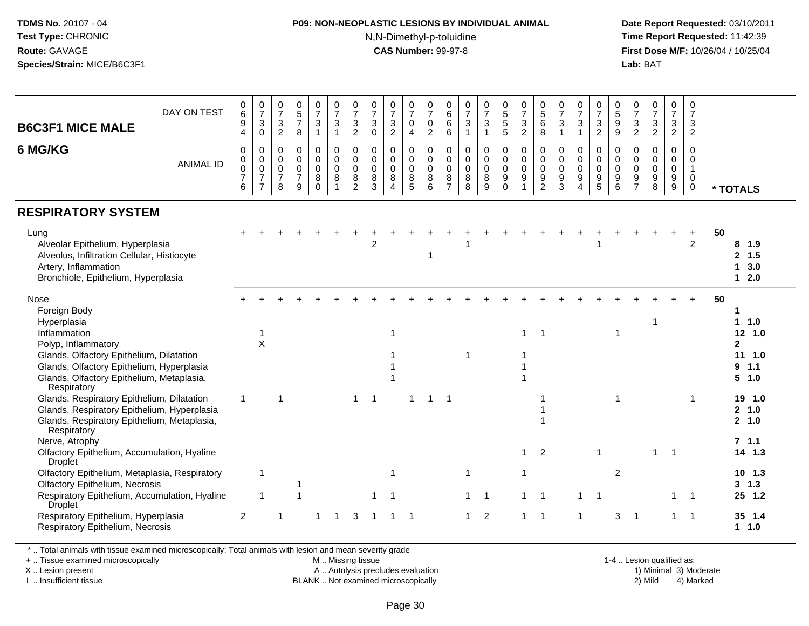## **P09: NON-NEOPLASTIC LESIONS BY INDIVIDUAL ANIMAL**

N,N-Dimethyl-p-toluidine

 **Date Report Requested:** 03/10/2011 **Time Report Requested:** 11:42:39 **First Dose M/F:** 10/26/04 / 10/25/04 Lab: BAT **Lab:** BAT

| DAY ON TEST                                                                                                                                                                                                                     | 0<br>$\overline{6}$<br>9                                 | $\frac{0}{7}$                                                               | $\frac{0}{7}$                                |                                                                  |                                                            |                                                              |                                                                |                                                             |                                                        |                                              |                                                               |                                                        |                                                   |                                    |                                                                          |                                                                |                                                      |                                                            |                                                              |                                                              |                                                                |                                                                  |                                                |                                                       |                                            |                                                                         |
|---------------------------------------------------------------------------------------------------------------------------------------------------------------------------------------------------------------------------------|----------------------------------------------------------|-----------------------------------------------------------------------------|----------------------------------------------|------------------------------------------------------------------|------------------------------------------------------------|--------------------------------------------------------------|----------------------------------------------------------------|-------------------------------------------------------------|--------------------------------------------------------|----------------------------------------------|---------------------------------------------------------------|--------------------------------------------------------|---------------------------------------------------|------------------------------------|--------------------------------------------------------------------------|----------------------------------------------------------------|------------------------------------------------------|------------------------------------------------------------|--------------------------------------------------------------|--------------------------------------------------------------|----------------------------------------------------------------|------------------------------------------------------------------|------------------------------------------------|-------------------------------------------------------|--------------------------------------------|-------------------------------------------------------------------------|
| <b>B6C3F1 MICE MALE</b>                                                                                                                                                                                                         | $\overline{\mathbf{4}}$                                  | $\ensuremath{\mathsf{3}}$<br>$\mathsf{O}\xspace$                            | $\frac{3}{2}$                                | $\begin{array}{c} 0 \\ 5 \\ 7 \end{array}$<br>$\bf8$             | $\frac{0}{7}$<br>$\ensuremath{\mathsf{3}}$<br>$\mathbf{1}$ | 0<br>$\overline{7}$<br>$\sqrt{3}$<br>$\mathbf{1}$            | $\frac{0}{7}$<br>$\ensuremath{\mathsf{3}}$<br>$\boldsymbol{2}$ | $\begin{array}{c} 0 \\ 7 \\ 3 \end{array}$<br>$\pmb{0}$     | $\frac{0}{7}$<br>$\frac{3}{2}$                         | $\frac{0}{7}$<br>$\pmb{0}$<br>$\overline{4}$ | $\frac{0}{7}$<br>$\begin{smallmatrix} 0\\2 \end{smallmatrix}$ | $\begin{array}{c} 0 \\ 6 \end{array}$<br>$^6_6$        | $\frac{0}{7}$<br>$\frac{3}{1}$                    | $\frac{0}{7}$<br>3<br>$\mathbf{1}$ | 0<br>5<br>5<br>5                                                         | $\frac{0}{7}$<br>$\frac{3}{2}$                                 | $\begin{matrix}0\\5\\6\end{matrix}$<br>8             | $\frac{0}{7}$<br>$\frac{3}{1}$                             | $\frac{0}{7}$<br>$\ensuremath{\mathsf{3}}$<br>$\overline{1}$ | 0<br>$\overline{7}$<br>$\frac{3}{2}$                         | $\begin{array}{c} 0 \\ 5 \end{array}$<br>9<br>$\boldsymbol{9}$ | $\frac{0}{7}$<br>$\frac{3}{2}$                                   | $\frac{0}{7}$<br>$\frac{3}{2}$                 | $\frac{0}{7}$<br>$\frac{3}{2}$                        | 0<br>$\overline{7}$<br>3<br>$\overline{2}$ |                                                                         |
| 6 MG/KG<br><b>ANIMAL ID</b>                                                                                                                                                                                                     | $\mathbf 0$<br>0<br>$\mathsf 0$<br>$\boldsymbol{7}$<br>6 | $\mathbf 0$<br>$\pmb{0}$<br>$\mathbf 0$<br>$\overline{7}$<br>$\overline{7}$ | 0<br>$\mathbf 0$<br>0<br>$\overline{7}$<br>8 | $\mathbf 0$<br>$\mathbf 0$<br>$\mathbf 0$<br>$\overline{7}$<br>9 | 0<br>0<br>$\mathsf 0$<br>8<br>$\mathbf 0$                  | $\pmb{0}$<br>$\mathbf 0$<br>$\mathbf 0$<br>8<br>$\mathbf{1}$ | $\mathbf 0$<br>$\Omega$<br>$\mathbf 0$<br>8<br>$\overline{c}$  | $\mathbf 0$<br>$\mathbf 0$<br>$\mathsf{O}\xspace$<br>8<br>3 | 0<br>$\mathbf 0$<br>$\mathbf 0$<br>8<br>$\overline{4}$ | 0<br>0<br>$\mathsf{O}\xspace$<br>8<br>5      | 0<br>$\mathbf 0$<br>$\mathsf 0$<br>8<br>$\,6\,$               | 0<br>$\mathbf 0$<br>$\mathbf 0$<br>8<br>$\overline{7}$ | $\pmb{0}$<br>$\mathbf 0$<br>$\mathbf 0$<br>8<br>8 | 0<br>$\mathbf 0$<br>0<br>8<br>9    | 0<br>$\mathsf 0$<br>$\ddot{\mathbf{0}}$<br>$\boldsymbol{9}$<br>$\pmb{0}$ | $\mathsf 0$<br>$\mathsf 0$<br>$\mathbf 0$<br>9<br>$\mathbf{1}$ | 0<br>0<br>$\mathsf{O}\xspace$<br>9<br>$\overline{2}$ | $\pmb{0}$<br>$\mathbf 0$<br>$\pmb{0}$<br>9<br>$\mathbf{3}$ | 0<br>$\mathbf 0$<br>$\mathbf 0$<br>9<br>$\overline{4}$       | $\mathbf 0$<br>$\mathbf 0$<br>$\mathbf 0$<br>9<br>$\sqrt{5}$ | 0<br>$\mathbf 0$<br>$\mathbf 0$<br>9<br>$\,6\,$                | $\mathbf 0$<br>$\mathbf 0$<br>$\mathbf 0$<br>9<br>$\overline{7}$ | 0<br>$\mathbf 0$<br>$\boldsymbol{0}$<br>9<br>8 | 0<br>$\mathsf 0$<br>$\mathsf{O}\xspace$<br>$9\,$<br>9 | $\mathbf 0$<br>0<br>$\mathbf{1}$<br>0<br>0 | * TOTALS                                                                |
| <b>RESPIRATORY SYSTEM</b>                                                                                                                                                                                                       |                                                          |                                                                             |                                              |                                                                  |                                                            |                                                              |                                                                |                                                             |                                                        |                                              |                                                               |                                                        |                                                   |                                    |                                                                          |                                                                |                                                      |                                                            |                                                              |                                                              |                                                                |                                                                  |                                                |                                                       |                                            |                                                                         |
| Lung<br>Alveolar Epithelium, Hyperplasia<br>Alveolus, Infiltration Cellular, Histiocyte<br>Artery, Inflammation<br>Bronchiole, Epithelium, Hyperplasia                                                                          |                                                          |                                                                             |                                              |                                                                  |                                                            |                                                              |                                                                | 2                                                           |                                                        |                                              | $\mathbf 1$                                                   |                                                        |                                                   |                                    |                                                                          |                                                                |                                                      |                                                            |                                                              |                                                              |                                                                |                                                                  |                                                |                                                       | $\ddot{}$<br>2                             | 50<br>8, 1.9<br>2, 1.5<br>3.0<br>$\mathbf 1$<br>$12.0$                  |
| Nose<br>Foreign Body<br>Hyperplasia<br>Inflammation<br>Polyp, Inflammatory<br>Glands, Olfactory Epithelium, Dilatation<br>Glands, Olfactory Epithelium, Hyperplasia<br>Glands, Olfactory Epithelium, Metaplasia,<br>Respiratory |                                                          | $\overline{1}$<br>$\sf X$                                                   |                                              |                                                                  |                                                            |                                                              |                                                                |                                                             | 1                                                      |                                              |                                                               |                                                        | 1                                                 |                                    |                                                                          | $\mathbf 1$                                                    | -1                                                   |                                                            |                                                              |                                                              | $\mathbf 1$                                                    |                                                                  | -1                                             |                                                       |                                            | 50<br>1<br>1 1.0<br>12, 1.0<br>$\mathbf{2}$<br>111.0<br>9, 1.1<br>5 1.0 |
| Glands, Respiratory Epithelium, Dilatation<br>Glands, Respiratory Epithelium, Hyperplasia<br>Glands, Respiratory Epithelium, Metaplasia,<br>Respiratory                                                                         | 1                                                        |                                                                             | $\overline{1}$                               |                                                                  |                                                            |                                                              | 1                                                              | -1                                                          |                                                        | -1                                           | $\overline{1}$                                                | -1                                                     |                                                   |                                    |                                                                          |                                                                |                                                      |                                                            |                                                              |                                                              | $\mathbf{1}$                                                   |                                                                  |                                                |                                                       | -1                                         | 19 1.0<br>2, 1.0<br>2, 1.0                                              |
| Nerve, Atrophy<br>Olfactory Epithelium, Accumulation, Hyaline<br><b>Droplet</b>                                                                                                                                                 |                                                          |                                                                             |                                              |                                                                  |                                                            |                                                              |                                                                |                                                             |                                                        |                                              |                                                               |                                                        |                                                   |                                    |                                                                          | $\mathbf 1$                                                    | 2                                                    |                                                            |                                                              | $\overline{1}$                                               |                                                                |                                                                  | $\mathbf{1}$                                   | $\overline{1}$                                        |                                            | 7.1.1<br>$14$ 1.3                                                       |
| Olfactory Epithelium, Metaplasia, Respiratory<br><b>Olfactory Epithelium, Necrosis</b><br>Respiratory Epithelium, Accumulation, Hyaline                                                                                         |                                                          | $\mathbf{1}$<br>$\overline{\mathbf{1}}$                                     |                                              |                                                                  |                                                            |                                                              |                                                                |                                                             | 1<br>$\overline{\mathbf{1}}$                           |                                              |                                                               |                                                        | $\mathbf{1}$<br>1                                 |                                    |                                                                          | $\mathbf 1$                                                    |                                                      |                                                            |                                                              | -1                                                           | $\overline{2}$                                                 |                                                                  |                                                | $\mathbf{1}$                                          | $\overline{1}$                             | 10, 1.3<br>$3 \t1.3$<br>25 1.2                                          |
| <b>Droplet</b><br>Respiratory Epithelium, Hyperplasia<br>Respiratory Epithelium, Necrosis                                                                                                                                       | $\overline{2}$                                           |                                                                             |                                              |                                                                  | 1                                                          | -1                                                           | 3                                                              |                                                             | -1                                                     | -1                                           |                                                               |                                                        | $\mathbf{1}$                                      | 2                                  |                                                                          | $\mathbf{1}$                                                   | $\overline{1}$                                       |                                                            | -1                                                           |                                                              | 3                                                              | $\overline{1}$                                                   |                                                | 1                                                     | $\overline{1}$                             | 35 1.4<br>1 1.0                                                         |

\* .. Total animals with tissue examined microscopically; Total animals with lesion and mean severity grade

+ .. Tissue examined microscopically

X .. Lesion present

I .. Insufficient tissue

M .. Missing tissue

A .. Autolysis precludes evaluation

BLANK .. Not examined microscopically 2) Mild 4) Marked

1-4 .. Lesion qualified as:<br>1) Minimal 3) Moderate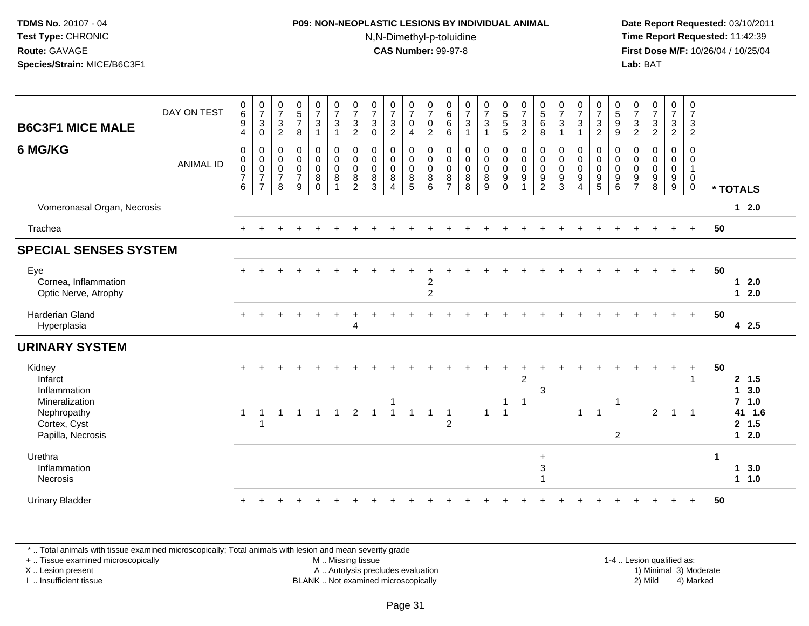#### **P09: NON-NEOPLASTIC LESIONS BY INDIVIDUAL ANIMAL**N,N-Dimethyl-p-toluidine

 **Date Report Requested:** 03/10/2011 **Time Report Requested:** 11:42:39 **First Dose M/F:** 10/26/04 / 10/25/04 Lab: BAT **Lab:** BAT

| <b>B6C3F1 MICE MALE</b>                             | DAY ON TEST      | $\mathbf 0$<br>6<br>9<br>4                                     | $\frac{0}{7}$<br>$\mathbf{3}$<br>$\pmb{0}$                              | $\begin{smallmatrix}0\\7\end{smallmatrix}$<br>$\mathbf{3}$<br>$\overline{2}$ | $\begin{array}{c} 0 \\ 5 \\ 7 \end{array}$<br>$\,8\,$                   | $\begin{smallmatrix}0\\7\end{smallmatrix}$<br>$\sqrt{3}$<br>1          | $\begin{array}{c} 0 \\ 7 \end{array}$<br>$\sqrt{3}$<br>$\mathbf{1}$    | $\begin{array}{c} 0 \\ 7 \end{array}$<br>$\mathbf{3}$<br>$\overline{c}$ | $\frac{0}{7}$<br>$\mathbf{3}$<br>$\pmb{0}$                | $\frac{0}{7}$<br>$\frac{3}{2}$        | $\begin{array}{c} 0 \\ 7 \end{array}$<br>$\boldsymbol{0}$<br>$\overline{4}$ | $\frac{0}{7}$<br>$\mathbf 0$<br>$\overline{2}$         | $\begin{array}{c} 0 \\ 6 \end{array}$<br>$\,6\,$<br>$\,6\,$ | $\begin{array}{c} 0 \\ 7 \end{array}$<br>$\ensuremath{\mathsf{3}}$<br>$\mathbf{1}$ | $\begin{array}{c} 0 \\ 7 \\ 3 \end{array}$<br>$\mathbf{1}$              | 0<br>5<br>5<br>5                                        | $\frac{0}{7}$<br>$\frac{3}{2}$                                               | $\begin{array}{c} 0 \\ 5 \end{array}$<br>$\,6\,$<br>$\,8\,$                        | $\frac{0}{7}$<br>$\ensuremath{\mathsf{3}}$<br>$\mathbf{1}$            | $\frac{0}{7}$<br>$\mathbf{3}$<br>$\mathbf{1}$ | $\frac{0}{7}$<br>$\frac{3}{2}$                                                      | 0<br>9<br>9                                                                           | $\frac{0}{7}$<br>$\frac{3}{2}$               | $\frac{0}{7}$<br>$\sqrt{3}$<br>$\overline{2}$                                 | $\frac{0}{7}$<br>$\frac{3}{2}$               | $\begin{smallmatrix}0\\7\end{smallmatrix}$<br>$\mathbf{3}$<br>$\overline{2}$ |             |                                       |
|-----------------------------------------------------|------------------|----------------------------------------------------------------|-------------------------------------------------------------------------|------------------------------------------------------------------------------|-------------------------------------------------------------------------|------------------------------------------------------------------------|------------------------------------------------------------------------|-------------------------------------------------------------------------|-----------------------------------------------------------|---------------------------------------|-----------------------------------------------------------------------------|--------------------------------------------------------|-------------------------------------------------------------|------------------------------------------------------------------------------------|-------------------------------------------------------------------------|---------------------------------------------------------|------------------------------------------------------------------------------|------------------------------------------------------------------------------------|-----------------------------------------------------------------------|-----------------------------------------------|-------------------------------------------------------------------------------------|---------------------------------------------------------------------------------------|----------------------------------------------|-------------------------------------------------------------------------------|----------------------------------------------|------------------------------------------------------------------------------|-------------|---------------------------------------|
| 6 MG/KG                                             | <b>ANIMAL ID</b> | $\mathbf 0$<br>$\pmb{0}$<br>$\mathbf 0$<br>$\overline{7}$<br>6 | $\pmb{0}$<br>$\pmb{0}$<br>$\pmb{0}$<br>$\overline{7}$<br>$\overline{7}$ | $\pmb{0}$<br>$\pmb{0}$<br>$\pmb{0}$<br>$\boldsymbol{7}$<br>8                 | $_{\rm 0}^{\rm 0}$<br>$\mathbf 0$<br>$\overline{7}$<br>$\boldsymbol{9}$ | $\mathbf 0$<br>$\mathsf{O}\xspace$<br>$\pmb{0}$<br>$\bf 8$<br>$\Omega$ | $\pmb{0}$<br>$\ddot{\mathbf{0}}$<br>$\mathbf 0$<br>8<br>$\overline{1}$ | 0<br>$\mathbf 0$<br>$\mathbf 0$<br>$\bf8$<br>$\overline{2}$             | $\mathbf 0$<br>$\mathbf 0$<br>$\mathbf 0$<br>$\bf 8$<br>3 | 0<br>$\pmb{0}$<br>$\pmb{0}$<br>8<br>Δ | 0<br>$\mathsf 0$<br>$\pmb{0}$<br>8<br>$\overline{5}$                        | 0<br>$\mathbf 0$<br>$\mathbf 0$<br>8<br>$6\phantom{1}$ | 0<br>$\pmb{0}$<br>$\boldsymbol{0}$<br>8<br>$\overline{7}$   | $\mathbf 0$<br>$\pmb{0}$<br>$\mathbf 0$<br>$_{\rm 8}^{\rm 8}$                      | $\mathsf{O}$<br>$\ddot{\mathbf{0}}$<br>$\pmb{0}$<br>8<br>$\overline{9}$ | 0<br>$\overline{0}$<br>$\mathbf 0$<br>$9\,$<br>$\Omega$ | $_{\rm 0}^{\rm 0}$<br>$\boldsymbol{0}$<br>$\boldsymbol{9}$<br>$\overline{1}$ | $\boldsymbol{0}$<br>$\pmb{0}$<br>$\mathbf 0$<br>$\boldsymbol{9}$<br>$\overline{2}$ | $\pmb{0}$<br>$\boldsymbol{0}$<br>$\mathbf 0$<br>$\boldsymbol{9}$<br>3 | 0<br>0<br>$\mathbf 0$<br>9<br>$\overline{4}$  | $\pmb{0}$<br>$\overline{0}$<br>$\mathbf 0$<br>$\begin{array}{c} 9 \\ 5 \end{array}$ | $\pmb{0}$<br>$\ddot{\mathbf{0}}$<br>$\mathbf 0$<br>$\boldsymbol{9}$<br>$6\phantom{a}$ | 0<br>0<br>$\mathbf 0$<br>9<br>$\overline{7}$ | $\mathbf 0$<br>$\mathbf 0$<br>$\pmb{0}$<br>$\boldsymbol{9}$<br>$\overline{8}$ | 0<br>0<br>$\pmb{0}$<br>$\boldsymbol{9}$<br>9 | 0<br>$\mathbf 0$<br>$\mathbf{1}$<br>$\mathbf 0$<br>$\mathbf 0$               |             | * TOTALS                              |
| Vomeronasal Organ, Necrosis                         |                  |                                                                |                                                                         |                                                                              |                                                                         |                                                                        |                                                                        |                                                                         |                                                           |                                       |                                                                             |                                                        |                                                             |                                                                                    |                                                                         |                                                         |                                                                              |                                                                                    |                                                                       |                                               |                                                                                     |                                                                                       |                                              |                                                                               |                                              |                                                                              |             | $1 2.0$                               |
| Trachea                                             |                  |                                                                |                                                                         |                                                                              |                                                                         |                                                                        |                                                                        |                                                                         |                                                           |                                       |                                                                             |                                                        |                                                             |                                                                                    |                                                                         |                                                         |                                                                              |                                                                                    |                                                                       |                                               |                                                                                     |                                                                                       |                                              |                                                                               |                                              |                                                                              | 50          |                                       |
| <b>SPECIAL SENSES SYSTEM</b>                        |                  |                                                                |                                                                         |                                                                              |                                                                         |                                                                        |                                                                        |                                                                         |                                                           |                                       |                                                                             |                                                        |                                                             |                                                                                    |                                                                         |                                                         |                                                                              |                                                                                    |                                                                       |                                               |                                                                                     |                                                                                       |                                              |                                                                               |                                              |                                                                              |             |                                       |
| Eye<br>Cornea, Inflammation<br>Optic Nerve, Atrophy |                  |                                                                |                                                                         |                                                                              |                                                                         |                                                                        |                                                                        |                                                                         |                                                           |                                       |                                                                             | $\overline{c}$<br>$\overline{c}$                       |                                                             |                                                                                    |                                                                         |                                                         |                                                                              |                                                                                    |                                                                       |                                               |                                                                                     |                                                                                       |                                              |                                                                               |                                              | $+$                                                                          | 50          | $1 2.0$<br>$1 2.0$                    |
| <b>Harderian Gland</b><br>Hyperplasia               |                  |                                                                |                                                                         |                                                                              |                                                                         |                                                                        |                                                                        | $\overline{4}$                                                          |                                                           |                                       |                                                                             |                                                        |                                                             |                                                                                    |                                                                         |                                                         |                                                                              |                                                                                    |                                                                       |                                               |                                                                                     |                                                                                       |                                              |                                                                               | $\ddot{}$                                    | $+$                                                                          | 50          | 42.5                                  |
| <b>URINARY SYSTEM</b>                               |                  |                                                                |                                                                         |                                                                              |                                                                         |                                                                        |                                                                        |                                                                         |                                                           |                                       |                                                                             |                                                        |                                                             |                                                                                    |                                                                         |                                                         |                                                                              |                                                                                    |                                                                       |                                               |                                                                                     |                                                                                       |                                              |                                                                               |                                              |                                                                              |             |                                       |
| Kidney<br>Infarct<br>Inflammation<br>Mineralization |                  |                                                                | $\mathbf 1$                                                             | $\blacktriangleleft$                                                         | $\overline{1}$                                                          | $\overline{1}$                                                         | $\overline{1}$                                                         |                                                                         | $\mathbf{1}$                                              | $\overline{1}$                        | $\mathbf{1}$                                                                | $\overline{1}$                                         |                                                             |                                                                                    | $\mathbf{1}$                                                            | $\overline{1}$                                          | $\overline{2}$<br>$\overline{\mathbf{1}}$                                    | 3                                                                                  |                                                                       | $\mathbf{1}$                                  | $\overline{1}$                                                                      | -1                                                                                    |                                              |                                                                               | $\overline{1}$                               | $\ddot{}$<br>$\overline{\phantom{0}}$                                        | 50          | 2, 1.5<br>1, 3.0<br>$7$ 1.0<br>41 1.6 |
| Nephropathy<br>Cortex, Cyst<br>Papilla, Necrosis    |                  | $\mathbf{1}$                                                   |                                                                         |                                                                              |                                                                         |                                                                        |                                                                        | $\overline{2}$                                                          |                                                           |                                       |                                                                             |                                                        | $\overline{1}$<br>2                                         |                                                                                    |                                                                         |                                                         |                                                                              |                                                                                    |                                                                       |                                               |                                                                                     | $\overline{2}$                                                                        |                                              | $2^{\circ}$                                                                   |                                              |                                                                              |             | 2, 1.5<br>$12.0$                      |
| Urethra<br>Inflammation<br>Necrosis                 |                  |                                                                |                                                                         |                                                                              |                                                                         |                                                                        |                                                                        |                                                                         |                                                           |                                       |                                                                             |                                                        |                                                             |                                                                                    |                                                                         |                                                         |                                                                              | $\ddot{}$<br>$\sqrt{3}$<br>$\overline{1}$                                          |                                                                       |                                               |                                                                                     |                                                                                       |                                              |                                                                               |                                              |                                                                              | $\mathbf 1$ | 13.0<br>$1 1.0$                       |
| <b>Urinary Bladder</b>                              |                  |                                                                |                                                                         |                                                                              |                                                                         |                                                                        |                                                                        |                                                                         |                                                           |                                       |                                                                             |                                                        |                                                             |                                                                                    |                                                                         |                                                         |                                                                              |                                                                                    |                                                                       |                                               |                                                                                     |                                                                                       |                                              |                                                                               |                                              |                                                                              | 50          |                                       |

\* .. Total animals with tissue examined microscopically; Total animals with lesion and mean severity grade

+ .. Tissue examined microscopically

X .. Lesion present

I .. Insufficient tissue

 M .. Missing tissueA .. Autolysis precludes evaluation

1-4 .. Lesion qualified as:<br>1) Minimal 3) Moderate BLANK .. Not examined microscopically 2) Mild 4) Marked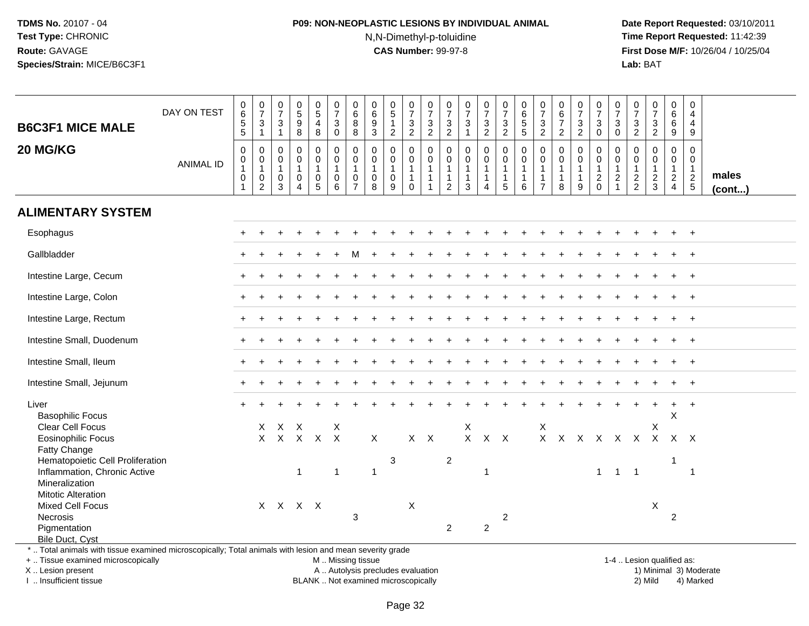## **P09: NON-NEOPLASTIC LESIONS BY INDIVIDUAL ANIMAL**N,N-Dimethyl-p-toluidine

 **Date Report Requested:** 03/10/2011 **Time Report Requested:** 11:42:39 **First Dose M/F:** 10/26/04 / 10/25/04<br>**Lab:** BAT **Lab:** BAT

| <b>B6C3F1 MICE MALE</b>                                                                                                                        | DAY ON TEST      | 0<br>6<br>5<br>5                                        | $\frac{0}{7}$<br>$\ensuremath{\mathsf{3}}$<br>$\mathbf{1}$    | $\frac{0}{7}$<br>$\sqrt{3}$<br>$\overline{1}$                               | $\begin{array}{c} 0 \\ 5 \end{array}$<br>$\boldsymbol{9}$<br>8                    | $\begin{array}{c} 0 \\ 5 \end{array}$<br>4<br>8      | $\frac{0}{7}$<br>$\ensuremath{\mathsf{3}}$<br>$\mathbf 0$                      | $\begin{array}{c} 0 \\ 6 \end{array}$<br>8<br>8                   | $\pmb{0}$<br>$\,6\,$<br>$\boldsymbol{9}$<br>$\mathbf{3}$ | $\begin{array}{c} 0 \\ 5 \end{array}$<br>$\mathbf{1}$<br>$\overline{2}$ | $\frac{0}{7}$<br>3<br>$\overline{2}$                            | $\frac{0}{7}$<br>$\ensuremath{\mathsf{3}}$<br>$\overline{c}$     | $\frac{0}{7}$<br>$\ensuremath{\mathsf{3}}$<br>$\overline{c}$       | $\begin{smallmatrix}0\\7\end{smallmatrix}$<br>$\ensuremath{\mathsf{3}}$<br>$\mathbf{1}$ | $\frac{0}{7}$<br>$\frac{3}{2}$                       | $\frac{0}{7}$<br>$\frac{3}{2}$                                            | $\begin{array}{c} 0 \\ 6 \end{array}$<br>$\sqrt{5}$<br>$\sqrt{5}$ | $\frac{0}{7}$<br>$\ensuremath{\mathsf{3}}$<br>$\overline{2}$ | $_{6}^{\rm 0}$<br>$\overline{7}$<br>$\overline{2}$ | $\frac{0}{7}$<br>$\frac{3}{2}$                        | $\begin{array}{c} 0 \\ 7 \end{array}$<br>$\ensuremath{\mathsf{3}}$<br>$\mathbf 0$ | $\frac{0}{7}$<br>$\ensuremath{\mathsf{3}}$<br>$\mathsf{O}\xspace$          | $\pmb{0}$<br>$\overline{7}$<br>$\ensuremath{\mathsf{3}}$<br>$\boldsymbol{2}$ | $\begin{smallmatrix}0\\7\end{smallmatrix}$<br>$\ensuremath{\mathsf{3}}$<br>$\overline{2}$ | $_6^0$<br>6<br>9                                                     | $\begin{smallmatrix}0\\4\end{smallmatrix}$<br>$\overline{\mathbf{4}}$<br>9 |                       |
|------------------------------------------------------------------------------------------------------------------------------------------------|------------------|---------------------------------------------------------|---------------------------------------------------------------|-----------------------------------------------------------------------------|-----------------------------------------------------------------------------------|------------------------------------------------------|--------------------------------------------------------------------------------|-------------------------------------------------------------------|----------------------------------------------------------|-------------------------------------------------------------------------|-----------------------------------------------------------------|------------------------------------------------------------------|--------------------------------------------------------------------|-----------------------------------------------------------------------------------------|------------------------------------------------------|---------------------------------------------------------------------------|-------------------------------------------------------------------|--------------------------------------------------------------|----------------------------------------------------|-------------------------------------------------------|-----------------------------------------------------------------------------------|----------------------------------------------------------------------------|------------------------------------------------------------------------------|-------------------------------------------------------------------------------------------|----------------------------------------------------------------------|----------------------------------------------------------------------------|-----------------------|
| 20 MG/KG                                                                                                                                       | <b>ANIMAL ID</b> | 0<br>0<br>$\mathbf{1}$<br>$\mathbf 0$<br>$\overline{1}$ | 0<br>$\pmb{0}$<br>$\mathbf{1}$<br>$\pmb{0}$<br>$\overline{c}$ | $\mathbf 0$<br>$\mathbf 0$<br>$\overline{1}$<br>$\mathbf 0$<br>$\mathbf{3}$ | $\pmb{0}$<br>$\mathbf 0$<br>$\mathbf{1}$<br>$\mathbf 0$<br>$\boldsymbol{\Lambda}$ | 0<br>$\mathbf 0$<br>$\mathbf{1}$<br>$\mathbf 0$<br>5 | $\pmb{0}$<br>$\mathbf 0$<br>$\mathbf{1}$<br>$\mathsf{O}\xspace$<br>$6^{\circ}$ | 0<br>$\mathbf 0$<br>$\mathbf{1}$<br>$\mathbf 0$<br>$\overline{7}$ | 0<br>$\mathbf 0$<br>$\mathbf{1}$<br>$\mathbf 0$<br>8     | $\mathbf 0$<br>$\mathbf 0$<br>$\mathbf{1}$<br>$\mathbf 0$<br>9          | 0<br>$\mathbf 0$<br>$\mathbf{1}$<br>$\mathbf{1}$<br>$\mathbf 0$ | 0<br>$\mathbf 0$<br>$\mathbf{1}$<br>$\mathbf{1}$<br>$\mathbf{1}$ | 0<br>$\mathbf 0$<br>$\mathbf{1}$<br>$\mathbf{1}$<br>$\overline{2}$ | 0<br>$\mathbf 0$<br>$\mathbf{1}$<br>$\mathbf{1}$<br>3                                   | $\mathbf 0$<br>$\mathbf 0$<br>1<br>$\mathbf{1}$<br>4 | $\pmb{0}$<br>$\overline{0}$<br>$\mathbf{1}$<br>$\mathbf{1}$<br>$\sqrt{5}$ | $\mathbf 0$<br>$\mathbf 0$<br>$\mathbf{1}$<br>$\mathbf{1}$<br>6   | 0<br>$\mathbf 0$<br>1<br>$\mathbf{1}$<br>$\overline{7}$      | 0<br>$\mathbf 0$<br>-1<br>$\mathbf{1}$<br>8        | 0<br>$\mathbf 0$<br>$\mathbf{1}$<br>$\mathbf{1}$<br>9 | $\mathbf 0$<br>$\mathbf 0$<br>$\mathbf{1}$<br>$\overline{c}$<br>$\mathbf 0$       | $\mathbf 0$<br>$\mathbf 0$<br>$\mathbf{1}$<br>$\sqrt{2}$<br>$\overline{1}$ | $\mathbf 0$<br>$\overline{0}$<br>$\mathbf{1}$<br>$\frac{2}{2}$               | $\mathbf 0$<br>$\mathbf 0$<br>$\mathbf{1}$<br>$\frac{2}{3}$                               | 0<br>$\mathbf 0$<br>$\mathbf{1}$<br>$\overline{2}$<br>$\overline{4}$ | $\mathbf 0$<br>$\mathbf 0$<br>$\mathbf{1}$<br>$\frac{2}{5}$                | males<br>$($ cont $)$ |
| <b>ALIMENTARY SYSTEM</b>                                                                                                                       |                  |                                                         |                                                               |                                                                             |                                                                                   |                                                      |                                                                                |                                                                   |                                                          |                                                                         |                                                                 |                                                                  |                                                                    |                                                                                         |                                                      |                                                                           |                                                                   |                                                              |                                                    |                                                       |                                                                                   |                                                                            |                                                                              |                                                                                           |                                                                      |                                                                            |                       |
| Esophagus                                                                                                                                      |                  |                                                         |                                                               |                                                                             |                                                                                   |                                                      |                                                                                |                                                                   |                                                          |                                                                         |                                                                 |                                                                  |                                                                    |                                                                                         |                                                      |                                                                           |                                                                   |                                                              |                                                    |                                                       |                                                                                   |                                                                            |                                                                              |                                                                                           |                                                                      | $\overline{+}$                                                             |                       |
| Gallbladder                                                                                                                                    |                  |                                                         |                                                               |                                                                             |                                                                                   |                                                      |                                                                                |                                                                   |                                                          |                                                                         |                                                                 |                                                                  |                                                                    |                                                                                         |                                                      |                                                                           |                                                                   |                                                              |                                                    |                                                       |                                                                                   |                                                                            |                                                                              |                                                                                           |                                                                      |                                                                            |                       |
| Intestine Large, Cecum                                                                                                                         |                  |                                                         |                                                               |                                                                             |                                                                                   |                                                      |                                                                                |                                                                   |                                                          |                                                                         |                                                                 |                                                                  |                                                                    |                                                                                         |                                                      |                                                                           |                                                                   |                                                              |                                                    |                                                       |                                                                                   |                                                                            |                                                                              |                                                                                           | $\ddot{}$                                                            | $\ddot{}$                                                                  |                       |
| Intestine Large, Colon                                                                                                                         |                  |                                                         |                                                               |                                                                             |                                                                                   |                                                      |                                                                                |                                                                   |                                                          |                                                                         |                                                                 |                                                                  |                                                                    |                                                                                         |                                                      |                                                                           |                                                                   |                                                              |                                                    |                                                       |                                                                                   |                                                                            |                                                                              |                                                                                           |                                                                      | $\ddot{}$                                                                  |                       |
| Intestine Large, Rectum                                                                                                                        |                  |                                                         |                                                               |                                                                             |                                                                                   |                                                      |                                                                                |                                                                   |                                                          |                                                                         |                                                                 |                                                                  |                                                                    |                                                                                         |                                                      |                                                                           |                                                                   |                                                              |                                                    |                                                       |                                                                                   |                                                                            |                                                                              |                                                                                           |                                                                      | $\ddot{}$                                                                  |                       |
| Intestine Small, Duodenum                                                                                                                      |                  |                                                         |                                                               |                                                                             |                                                                                   |                                                      |                                                                                |                                                                   |                                                          |                                                                         |                                                                 |                                                                  |                                                                    |                                                                                         |                                                      |                                                                           |                                                                   |                                                              |                                                    |                                                       |                                                                                   |                                                                            |                                                                              |                                                                                           |                                                                      | $\div$                                                                     |                       |
| Intestine Small, Ileum                                                                                                                         |                  |                                                         |                                                               |                                                                             |                                                                                   |                                                      |                                                                                |                                                                   |                                                          |                                                                         |                                                                 |                                                                  |                                                                    |                                                                                         |                                                      |                                                                           |                                                                   |                                                              |                                                    |                                                       |                                                                                   |                                                                            |                                                                              |                                                                                           |                                                                      | $\overline{+}$                                                             |                       |
| Intestine Small, Jejunum                                                                                                                       |                  |                                                         |                                                               |                                                                             |                                                                                   |                                                      |                                                                                |                                                                   |                                                          |                                                                         |                                                                 |                                                                  |                                                                    |                                                                                         |                                                      |                                                                           |                                                                   |                                                              |                                                    |                                                       |                                                                                   |                                                                            |                                                                              |                                                                                           |                                                                      | $\ddot{}$                                                                  |                       |
| Liver<br><b>Basophilic Focus</b>                                                                                                               |                  |                                                         |                                                               |                                                                             |                                                                                   |                                                      |                                                                                |                                                                   |                                                          |                                                                         |                                                                 |                                                                  |                                                                    |                                                                                         |                                                      |                                                                           |                                                                   |                                                              |                                                    |                                                       |                                                                                   |                                                                            |                                                                              |                                                                                           | $+$<br>X                                                             | $\ddot{}$                                                                  |                       |
| Clear Cell Focus<br><b>Eosinophilic Focus</b><br>Fatty Change                                                                                  |                  |                                                         | X                                                             | X<br>$X$ $X$ $X$ $X$ $X$                                                    | $\times$                                                                          |                                                      | X                                                                              |                                                                   | X                                                        |                                                                         | $X$ $X$                                                         |                                                                  |                                                                    | X<br>$\mathsf{X}$                                                                       | $X$ $X$                                              |                                                                           |                                                                   | X                                                            |                                                    |                                                       | X X X X X X                                                                       |                                                                            |                                                                              | X                                                                                         | X X X                                                                |                                                                            |                       |
| Hematopoietic Cell Proliferation<br>Inflammation, Chronic Active<br>Mineralization                                                             |                  |                                                         |                                                               |                                                                             | $\overline{1}$                                                                    |                                                      | $\mathbf{1}$                                                                   |                                                                   | $\mathbf 1$                                              | 3                                                                       |                                                                 |                                                                  | $\overline{c}$                                                     |                                                                                         | $\mathbf{1}$                                         |                                                                           |                                                                   |                                                              |                                                    |                                                       | $\mathbf{1}$                                                                      | $\overline{1}$                                                             | $\overline{1}$                                                               |                                                                                           | 1                                                                    | $\overline{1}$                                                             |                       |
| <b>Mitotic Alteration</b><br><b>Mixed Cell Focus</b><br>Necrosis<br>Pigmentation<br><b>Bile Duct, Cyst</b>                                     |                  |                                                         |                                                               | X X X X                                                                     |                                                                                   |                                                      |                                                                                | 3                                                                 |                                                          |                                                                         | X                                                               |                                                                  | 2                                                                  |                                                                                         | $\overline{2}$                                       | 2                                                                         |                                                                   |                                                              |                                                    |                                                       |                                                                                   |                                                                            |                                                                              | X                                                                                         | $\overline{c}$                                                       |                                                                            |                       |
| *  Total animals with tissue examined microscopically; Total animals with lesion and mean severity grade<br>+  Tissue examined microscopically |                  |                                                         |                                                               |                                                                             |                                                                                   |                                                      | M  Missing tissue                                                              |                                                                   |                                                          |                                                                         |                                                                 |                                                                  |                                                                    |                                                                                         |                                                      |                                                                           |                                                                   |                                                              |                                                    |                                                       |                                                                                   |                                                                            |                                                                              | 1-4  Lesion qualified as:                                                                 |                                                                      |                                                                            |                       |

X .. Lesion present

I .. Insufficient tissue

Lesion present **A** .. Autolysis precludes evaluation 1996 and the server all the server all the server all the server and the server all the server all the server all the server all the server all the server all the server

BLANK .. Not examined microscopically 2) Mild 4) Marked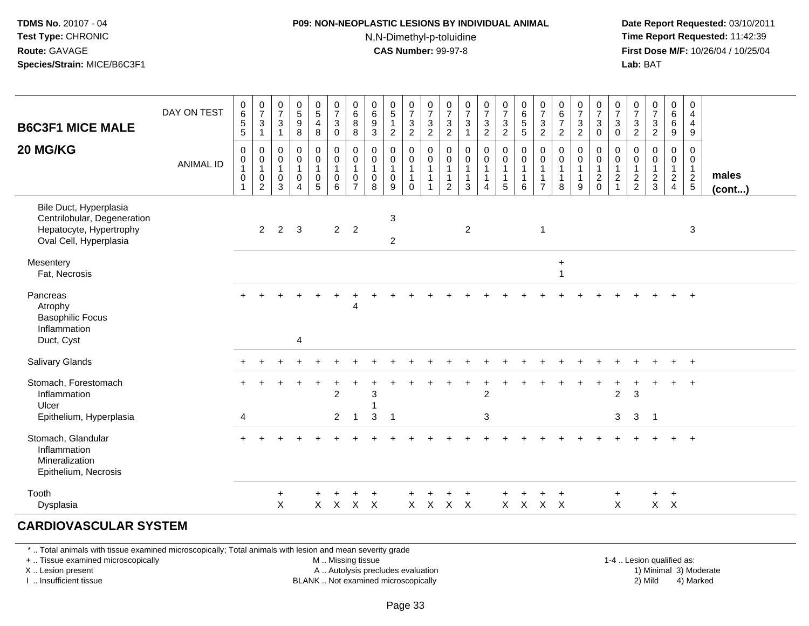#### **P09: NON-NEOPLASTIC LESIONS BY INDIVIDUAL ANIMAL**N,N-Dimethyl-p-toluidine

 **Date Report Requested:** 03/10/2011 **Time Report Requested:** 11:42:39 **First Dose M/F:** 10/26/04 / 10/25/04 Lab: BAT **Lab:** BAT

| <b>B6C3F1 MICE MALE</b>                                                                                    | DAY ON TEST      | 0<br>6<br>5<br>5            | $\frac{0}{7}$<br>$\mathbf{3}$<br>$\mathbf{1}$                                      | 0<br>$\overline{7}$<br>$\mathbf{3}$<br>$\mathbf{1}$ | 0<br>$5\phantom{.0}$<br>$\boldsymbol{9}$<br>8         | $\begin{array}{c} 0 \\ 5 \\ 4 \end{array}$<br>$\bf 8$                   | $\pmb{0}$<br>$\overline{7}$<br>$\mathsf 3$<br>$\mathbf 0$                | $\pmb{0}$<br>$\,6\,$<br>$\,8\,$<br>8                                                       | $\begin{array}{c} 0 \\ 6 \end{array}$<br>$9\,$<br>3  | $\begin{array}{c} 0 \\ 5 \end{array}$<br>$\mathbf{1}$<br>$\overline{2}$ | $\frac{0}{7}$<br>$\mathbf{3}$<br>$\overline{2}$                       | $\begin{smallmatrix}0\\7\end{smallmatrix}$<br>$\ensuremath{\mathsf{3}}$<br>$\overline{2}$ | $\begin{array}{c} 0 \\ 7 \end{array}$<br>$\ensuremath{\mathsf{3}}$<br>$\overline{2}$ | $\frac{0}{7}$<br>$\mathbf{3}$<br>$\overline{1}$           | $\frac{0}{7}$<br>$\ensuremath{\mathsf{3}}$<br>$\overline{2}$                 | $\frac{0}{7}$<br>3<br>$\overline{c}$       | $\begin{array}{c} 0 \\ 6 \end{array}$<br>$\overline{5}$                     | $\begin{array}{c} 0 \\ 7 \end{array}$<br>$\sqrt{3}$<br>$\overline{2}$       | $\pmb{0}$<br>$\,6\,$<br>$\overline{7}$<br>$\overline{c}$ | $\begin{array}{c} 0 \\ 7 \end{array}$<br>$\ensuremath{\mathsf{3}}$<br>$\overline{2}$ | $\frac{0}{7}$<br>$\ensuremath{\mathsf{3}}$<br>$\mathbf 0$ | $\frac{0}{7}$<br>$\mathbf{3}$<br>$\mathbf 0$                | $\frac{0}{7}$<br>$\ensuremath{\mathsf{3}}$<br>$\overline{c}$ | $\begin{smallmatrix}0\\7\end{smallmatrix}$<br>$\sqrt{3}$<br>$\overline{2}$ | $\pmb{0}$<br>6<br>$6\phantom{a}$<br>$\boldsymbol{9}$    | 0<br>4<br>$\overline{4}$<br>9                      |                 |
|------------------------------------------------------------------------------------------------------------|------------------|-----------------------------|------------------------------------------------------------------------------------|-----------------------------------------------------|-------------------------------------------------------|-------------------------------------------------------------------------|--------------------------------------------------------------------------|--------------------------------------------------------------------------------------------|------------------------------------------------------|-------------------------------------------------------------------------|-----------------------------------------------------------------------|-------------------------------------------------------------------------------------------|--------------------------------------------------------------------------------------|-----------------------------------------------------------|------------------------------------------------------------------------------|--------------------------------------------|-----------------------------------------------------------------------------|-----------------------------------------------------------------------------|----------------------------------------------------------|--------------------------------------------------------------------------------------|-----------------------------------------------------------|-------------------------------------------------------------|--------------------------------------------------------------|----------------------------------------------------------------------------|---------------------------------------------------------|----------------------------------------------------|-----------------|
| 20 MG/KG                                                                                                   | <b>ANIMAL ID</b> | 0<br>0<br>$\mathbf{1}$<br>0 | $\boldsymbol{0}$<br>$\mathbf 0$<br>$\overline{1}$<br>$\mathbf 0$<br>$\overline{2}$ | 0<br>0<br>$\mathbf{1}$<br>0<br>3                    | $\pmb{0}$<br>$\pmb{0}$<br>$\mathbf{1}$<br>$\mathbf 0$ | $\pmb{0}$<br>$\pmb{0}$<br>$\overline{1}$<br>$\pmb{0}$<br>$\overline{5}$ | $\mathbf 0$<br>$\mathbf 0$<br>$\mathbf{1}$<br>$\mathbf 0$<br>$6^{\circ}$ | $\mathsf{O}\xspace$<br>$\mathbf 0$<br>$\overline{1}$<br>$\boldsymbol{0}$<br>$\overline{7}$ | $\mathbf 0$<br>$\mathbf 0$<br>$\mathbf{1}$<br>0<br>8 | $\pmb{0}$<br>$\mathbf 0$<br>$\mathbf{1}$<br>$\boldsymbol{0}$<br>9       | $\mathbf 0$<br>$\mathbf 0$<br>$\mathbf{1}$<br>$\mathbf 1$<br>$\Omega$ | $\pmb{0}$<br>$\mathsf{O}\xspace$<br>$\mathbf{1}$<br>$\mathbf{1}$                          | 0<br>$\pmb{0}$<br>$\mathbf{1}$<br>2                                                  | $\mathbf 0$<br>$\overline{0}$<br>1<br>$\overline{1}$<br>3 | $\pmb{0}$<br>$\mathsf 0$<br>$\overline{1}$<br>$\mathbf{1}$<br>$\overline{4}$ | 0<br>$\mathbf 0$<br>$\mathbf{1}$<br>1<br>5 | $\begin{matrix} 0 \\ 0 \\ 1 \end{matrix}$<br>$\mathbf{1}$<br>$6\phantom{a}$ | $\mathsf{O}$<br>$\pmb{0}$<br>$\mathbf{1}$<br>$\mathbf{1}$<br>$\overline{7}$ | 0<br>$\mathbf 0$<br>$\mathbf{1}$<br>8                    | $\pmb{0}$<br>$\pmb{0}$<br>$\overline{1}$<br>$\mathbf{1}$<br>9                        | 0<br>$\pmb{0}$<br>$\overline{1}$<br>$\frac{2}{0}$         | $\pmb{0}$<br>$\mathbf 0$<br>$\overline{1}$<br>$\frac{2}{1}$ | 0<br>$\mathbf 0$<br>$\mathbf{1}$<br>$\frac{2}{2}$            | $\mathbf 0$<br>$\mathbf 0$<br>$\mathbf{1}$<br>$\frac{2}{3}$                | $\pmb{0}$<br>$\pmb{0}$<br>$\mathbf{1}$<br>$\frac{2}{4}$ | $\overline{0}$<br>0<br>$\mathbf{1}$<br>$rac{2}{5}$ | males<br>(cont) |
| Bile Duct, Hyperplasia<br>Centrilobular, Degeneration<br>Hepatocyte, Hypertrophy<br>Oval Cell, Hyperplasia |                  |                             | $\overline{2}$                                                                     | $\overline{2}$                                      | 3                                                     |                                                                         |                                                                          | $2 \quad 2$                                                                                |                                                      | $\ensuremath{\mathsf{3}}$<br>$\overline{2}$                             |                                                                       |                                                                                           |                                                                                      | $\overline{2}$                                            |                                                                              |                                            |                                                                             | $\overline{1}$                                                              |                                                          |                                                                                      |                                                           |                                                             |                                                              |                                                                            |                                                         | 3                                                  |                 |
| Mesentery<br>Fat, Necrosis                                                                                 |                  |                             |                                                                                    |                                                     |                                                       |                                                                         |                                                                          |                                                                                            |                                                      |                                                                         |                                                                       |                                                                                           |                                                                                      |                                                           |                                                                              |                                            |                                                                             |                                                                             | $+$<br>$\mathbf 1$                                       |                                                                                      |                                                           |                                                             |                                                              |                                                                            |                                                         |                                                    |                 |
| Pancreas<br>Atrophy<br><b>Basophilic Focus</b><br>Inflammation<br>Duct, Cyst                               |                  |                             |                                                                                    |                                                     | 4                                                     |                                                                         |                                                                          | 4                                                                                          |                                                      |                                                                         |                                                                       |                                                                                           |                                                                                      |                                                           |                                                                              |                                            |                                                                             |                                                                             |                                                          |                                                                                      |                                                           |                                                             |                                                              |                                                                            |                                                         | $\ddot{}$                                          |                 |
| <b>Salivary Glands</b>                                                                                     |                  |                             |                                                                                    |                                                     |                                                       |                                                                         |                                                                          |                                                                                            |                                                      |                                                                         |                                                                       |                                                                                           |                                                                                      |                                                           |                                                                              |                                            |                                                                             |                                                                             |                                                          |                                                                                      |                                                           |                                                             |                                                              |                                                                            | $\ddot{}$                                               | $+$                                                |                 |
| Stomach, Forestomach<br>Inflammation<br>Ulcer<br>Epithelium, Hyperplasia                                   |                  | 4                           |                                                                                    |                                                     |                                                       |                                                                         | $\overline{2}$<br>$\overline{2}$                                         | -1                                                                                         | 3<br>1<br>3                                          | $\mathbf 1$                                                             |                                                                       |                                                                                           |                                                                                      |                                                           | $\overline{2}$<br>$\mathbf{3}$                                               |                                            |                                                                             |                                                                             |                                                          |                                                                                      |                                                           | $\overline{2}$<br>3                                         | 3<br>3                                                       | $\overline{1}$                                                             | $\ddot{}$                                               | $\ddot{}$                                          |                 |
| Stomach, Glandular<br>Inflammation<br>Mineralization<br>Epithelium, Necrosis                               |                  |                             |                                                                                    |                                                     |                                                       |                                                                         |                                                                          |                                                                                            |                                                      |                                                                         |                                                                       |                                                                                           |                                                                                      |                                                           |                                                                              |                                            |                                                                             |                                                                             |                                                          |                                                                                      |                                                           |                                                             |                                                              |                                                                            |                                                         | $\ddot{}$                                          |                 |
| Tooth<br>Dysplasia                                                                                         |                  |                             |                                                                                    | $\ddot{}$<br>$\boldsymbol{\mathsf{X}}$              |                                                       | ÷                                                                       | X X X X                                                                  |                                                                                            |                                                      |                                                                         |                                                                       | $X$ $X$                                                                                   | $X$ $X$                                                                              |                                                           |                                                                              |                                            | X X X X                                                                     | $\ddot{}$                                                                   | $\pm$                                                    |                                                                                      |                                                           | $\ddot{}$<br>$\boldsymbol{\mathsf{X}}$                      |                                                              | $+$                                                                        | $+$<br>$X$ $X$                                          |                                                    |                 |

#### **CARDIOVASCULAR SYSTEM**

\* .. Total animals with tissue examined microscopically; Total animals with lesion and mean severity grade

+ .. Tissue examined microscopically

X .. Lesion present

I .. Insufficient tissue

M .. Missing tissue

A .. Autolysis precludes evaluation

BLANK .. Not examined microscopically 2) Mild 4) Marked

1-4 .. Lesion qualified as: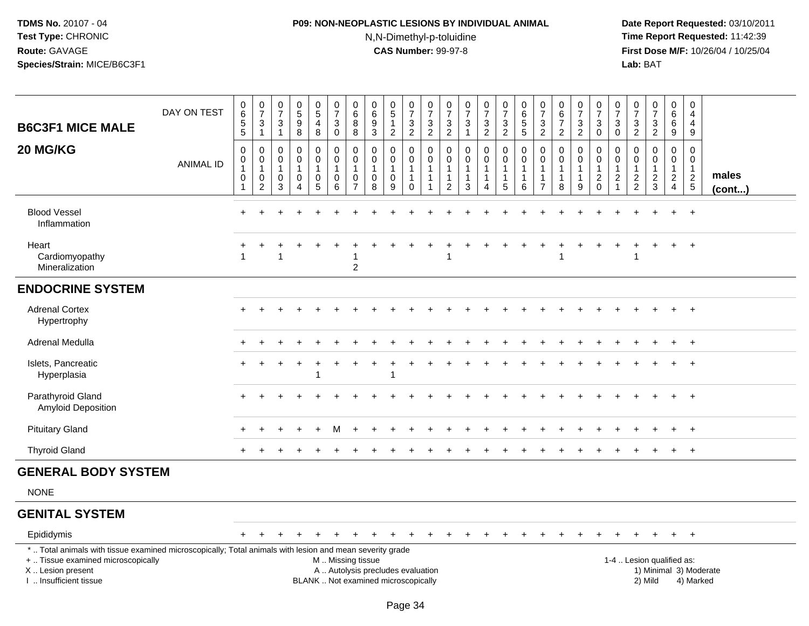## **P09: NON-NEOPLASTIC LESIONS BY INDIVIDUAL ANIMAL**N,N-Dimethyl-p-toluidine

 **Date Report Requested:** 03/10/2011 **Time Report Requested:** 11:42:39 **First Dose M/F:** 10/26/04 / 10/25/04<br>**Lab:** BAT **Lab:** BAT

| <b>B6C3F1 MICE MALE</b>                                                                                                                        | DAY ON TEST      | $_{6}^{\rm 0}$<br>$\overline{5}$                                                   | $\frac{0}{7}$<br>$\ensuremath{\mathsf{3}}$<br>$\mathbf{1}$                             | $\begin{smallmatrix}0\\7\end{smallmatrix}$<br>$\mathbf{3}$<br>$\overline{1}$       | $\begin{array}{c} 0 \\ 5 \end{array}$<br>$\overline{9}$<br>8 | $\begin{array}{c} 0 \\ 5 \end{array}$<br>4<br>8       | $\frac{0}{7}$<br>$\mathbf 3$<br>$\mathbf 0$                   | $\begin{array}{c} 0 \\ 6 \end{array}$<br>$\bf 8$<br>8 | $_{6}^{\rm 0}$<br>$\boldsymbol{9}$<br>$\mathfrak{Z}$ | $\begin{array}{c} 0 \\ 5 \end{array}$<br>$\mathbf{1}$<br>$\overline{c}$ | $\begin{smallmatrix}0\\7\end{smallmatrix}$<br>$\frac{3}{2}$     | $\frac{0}{7}$<br>$\sqrt{3}$<br>$\overline{2}$                            | $\frac{0}{7}$<br>3<br>$\sqrt{2}$              | $\frac{0}{7}$<br>$\sqrt{3}$<br>$\mathbf{1}$                     | $\frac{0}{7}$<br>3<br>$\overline{2}$ | $\frac{0}{7}$<br>$\mathbf{3}$<br>$\overline{2}$                          | $\begin{array}{c} 0 \\ 6 \end{array}$<br>$\overline{5}$               | $\frac{0}{7}$<br>$\mathbf{3}$<br>$\overline{2}$                      | $\begin{array}{c} 0 \\ 6 \end{array}$<br>$\overline{7}$<br>$\overline{2}$ | $\frac{0}{7}$<br>$\sqrt{3}$<br>$\overline{2}$ | $\frac{0}{7}$<br>$\mathsf 3$<br>$\mathbf 0$ | $\frac{0}{7}$<br>3<br>0                                  | $\frac{0}{7}$<br>$\frac{3}{2}$          | $\begin{smallmatrix}0\\7\end{smallmatrix}$<br>$\frac{3}{2}$ | $\begin{array}{c} 0 \\ 6 \end{array}$<br>$\,6\,$<br>9                          | 0<br>$\overline{4}$<br>$\overline{4}$<br>$9\,$                |                 |
|------------------------------------------------------------------------------------------------------------------------------------------------|------------------|------------------------------------------------------------------------------------|----------------------------------------------------------------------------------------|------------------------------------------------------------------------------------|--------------------------------------------------------------|-------------------------------------------------------|---------------------------------------------------------------|-------------------------------------------------------|------------------------------------------------------|-------------------------------------------------------------------------|-----------------------------------------------------------------|--------------------------------------------------------------------------|-----------------------------------------------|-----------------------------------------------------------------|--------------------------------------|--------------------------------------------------------------------------|-----------------------------------------------------------------------|----------------------------------------------------------------------|---------------------------------------------------------------------------|-----------------------------------------------|---------------------------------------------|----------------------------------------------------------|-----------------------------------------|-------------------------------------------------------------|--------------------------------------------------------------------------------|---------------------------------------------------------------|-----------------|
| 20 MG/KG                                                                                                                                       | <b>ANIMAL ID</b> | $\,0\,$<br>$\begin{smallmatrix}0\\1\end{smallmatrix}$<br>$\pmb{0}$<br>$\mathbf{1}$ | $\pmb{0}$<br>$\pmb{0}$<br>$\mathbf{1}$<br>$\begin{smallmatrix} 0\\2 \end{smallmatrix}$ | $\mathbf 0$<br>$\mathbf 0$<br>$\overline{1}$<br>$\boldsymbol{0}$<br>$\overline{3}$ | 0<br>0<br>$\mathbf{1}$<br>$\mathbf 0$<br>$\overline{4}$      | 0<br>0<br>$\mathbf{1}$<br>$\pmb{0}$<br>$\overline{5}$ | 0<br>$\pmb{0}$<br>$\mathbf{1}$<br>$\pmb{0}$<br>$\overline{6}$ | 0<br>0<br>$\mathbf{1}$<br>0<br>$\overline{7}$         | 0<br>$\mathbf 0$<br>$\mathbf{1}$<br>$\pmb{0}$<br>8   | $\mathbf 0$<br>$\pmb{0}$<br>$\mathbf{1}$<br>$\pmb{0}$<br>$9\,$          | 0<br>$\mathbf 0$<br>$\mathbf{1}$<br>$\mathbf{1}$<br>$\mathbf 0$ | $\pmb{0}$<br>$\mathbf 0$<br>$\mathbf{1}$<br>$\mathbf{1}$<br>$\mathbf{1}$ | 0<br>$\mathbf 0$<br>-1<br>1<br>$\overline{c}$ | $\mathbf 0$<br>$\mathbf 0$<br>$\mathbf{1}$<br>$\mathbf{1}$<br>3 | 0<br>0<br>$\mathbf{1}$<br>1<br>4     | $\pmb{0}$<br>$\pmb{0}$<br>$\mathbf{1}$<br>$\mathbf{1}$<br>$\overline{5}$ | $\mathbf 0$<br>$\pmb{0}$<br>$\overline{1}$<br>$\mathbf{1}$<br>$\,6\,$ | 0<br>$\mathbf 0$<br>$\overline{1}$<br>$\mathbf{1}$<br>$\overline{7}$ | $\mathbf 0$<br>$\mathbf 0$<br>$\mathbf{1}$<br>$\mathbf{1}$<br>8           | 0<br>$\mathbf 0$<br>1<br>9                    | $\pmb{0}$<br>$\frac{0}{1}$<br>$\frac{2}{0}$ | 0<br>0<br>$\mathbf{1}$<br>$\overline{2}$<br>$\mathbf{1}$ | 0<br>0<br>$\mathbf{1}$<br>$\frac{2}{2}$ | 0<br>0<br>$\mathbf{1}$<br>$\frac{2}{3}$                     | $\pmb{0}$<br>$\mathbf 0$<br>$\overline{1}$<br>$\overline{2}$<br>$\overline{4}$ | $\mathbf 0$<br>$\mathbf 0$<br>$\overline{1}$<br>$\frac{2}{5}$ | males<br>(cont) |
| <b>Blood Vessel</b><br>Inflammation                                                                                                            |                  |                                                                                    |                                                                                        |                                                                                    |                                                              |                                                       |                                                               |                                                       |                                                      |                                                                         |                                                                 |                                                                          |                                               |                                                                 |                                      |                                                                          |                                                                       |                                                                      |                                                                           |                                               |                                             |                                                          |                                         |                                                             |                                                                                | $+$                                                           |                 |
| Heart<br>Cardiomyopathy<br>Mineralization                                                                                                      |                  |                                                                                    |                                                                                        |                                                                                    |                                                              |                                                       |                                                               | $\boldsymbol{2}$                                      |                                                      |                                                                         |                                                                 |                                                                          |                                               |                                                                 |                                      |                                                                          |                                                                       |                                                                      |                                                                           |                                               |                                             |                                                          |                                         |                                                             | $+$                                                                            | $+$                                                           |                 |
| <b>ENDOCRINE SYSTEM</b>                                                                                                                        |                  |                                                                                    |                                                                                        |                                                                                    |                                                              |                                                       |                                                               |                                                       |                                                      |                                                                         |                                                                 |                                                                          |                                               |                                                                 |                                      |                                                                          |                                                                       |                                                                      |                                                                           |                                               |                                             |                                                          |                                         |                                                             |                                                                                |                                                               |                 |
| <b>Adrenal Cortex</b><br>Hypertrophy                                                                                                           |                  |                                                                                    |                                                                                        |                                                                                    |                                                              |                                                       |                                                               |                                                       |                                                      |                                                                         |                                                                 |                                                                          |                                               |                                                                 |                                      |                                                                          |                                                                       |                                                                      |                                                                           |                                               |                                             |                                                          |                                         |                                                             |                                                                                | $\overline{+}$                                                |                 |
| Adrenal Medulla                                                                                                                                |                  |                                                                                    |                                                                                        |                                                                                    |                                                              |                                                       |                                                               |                                                       |                                                      |                                                                         |                                                                 |                                                                          |                                               |                                                                 |                                      |                                                                          |                                                                       |                                                                      |                                                                           |                                               |                                             |                                                          |                                         |                                                             |                                                                                | $+$                                                           |                 |
| Islets, Pancreatic<br>Hyperplasia                                                                                                              |                  |                                                                                    |                                                                                        |                                                                                    |                                                              | 1                                                     |                                                               |                                                       |                                                      |                                                                         |                                                                 |                                                                          |                                               |                                                                 |                                      |                                                                          |                                                                       |                                                                      |                                                                           |                                               |                                             |                                                          |                                         |                                                             | $\ddot{}$                                                                      | $+$                                                           |                 |
| Parathyroid Gland<br><b>Amyloid Deposition</b>                                                                                                 |                  |                                                                                    |                                                                                        |                                                                                    |                                                              |                                                       |                                                               |                                                       |                                                      |                                                                         |                                                                 |                                                                          |                                               |                                                                 |                                      |                                                                          |                                                                       |                                                                      |                                                                           |                                               |                                             |                                                          |                                         |                                                             |                                                                                | $\overline{+}$                                                |                 |
| <b>Pituitary Gland</b>                                                                                                                         |                  |                                                                                    |                                                                                        |                                                                                    |                                                              |                                                       |                                                               |                                                       |                                                      |                                                                         |                                                                 |                                                                          |                                               |                                                                 |                                      |                                                                          |                                                                       |                                                                      |                                                                           |                                               |                                             |                                                          |                                         |                                                             |                                                                                | $\overline{+}$                                                |                 |
| <b>Thyroid Gland</b>                                                                                                                           |                  |                                                                                    |                                                                                        |                                                                                    |                                                              |                                                       |                                                               |                                                       |                                                      |                                                                         |                                                                 |                                                                          |                                               |                                                                 |                                      |                                                                          |                                                                       |                                                                      |                                                                           |                                               |                                             |                                                          |                                         |                                                             | $+$                                                                            | $+$                                                           |                 |
| <b>GENERAL BODY SYSTEM</b>                                                                                                                     |                  |                                                                                    |                                                                                        |                                                                                    |                                                              |                                                       |                                                               |                                                       |                                                      |                                                                         |                                                                 |                                                                          |                                               |                                                                 |                                      |                                                                          |                                                                       |                                                                      |                                                                           |                                               |                                             |                                                          |                                         |                                                             |                                                                                |                                                               |                 |
| <b>NONE</b>                                                                                                                                    |                  |                                                                                    |                                                                                        |                                                                                    |                                                              |                                                       |                                                               |                                                       |                                                      |                                                                         |                                                                 |                                                                          |                                               |                                                                 |                                      |                                                                          |                                                                       |                                                                      |                                                                           |                                               |                                             |                                                          |                                         |                                                             |                                                                                |                                                               |                 |
| <b>GENITAL SYSTEM</b>                                                                                                                          |                  |                                                                                    |                                                                                        |                                                                                    |                                                              |                                                       |                                                               |                                                       |                                                      |                                                                         |                                                                 |                                                                          |                                               |                                                                 |                                      |                                                                          |                                                                       |                                                                      |                                                                           |                                               |                                             |                                                          |                                         |                                                             |                                                                                |                                                               |                 |
| Epididymis                                                                                                                                     |                  |                                                                                    |                                                                                        |                                                                                    |                                                              |                                                       |                                                               |                                                       |                                                      |                                                                         |                                                                 |                                                                          |                                               |                                                                 |                                      |                                                                          |                                                                       |                                                                      |                                                                           |                                               |                                             |                                                          |                                         |                                                             | $\ddot{}$                                                                      | $+$                                                           |                 |
| *  Total animals with tissue examined microscopically; Total animals with lesion and mean severity grade<br>+  Tissue examined microscopically |                  |                                                                                    |                                                                                        |                                                                                    |                                                              |                                                       | M  Missing tissue                                             |                                                       |                                                      |                                                                         |                                                                 |                                                                          |                                               |                                                                 |                                      |                                                                          |                                                                       |                                                                      |                                                                           |                                               |                                             | 1-4  Lesion qualified as:                                |                                         |                                                             |                                                                                |                                                               |                 |

X .. Lesion present

I .. Insufficient tissue

A .. Autolysis precludes evaluation and the series of the series of the series of the series of the series of the series of the series of the series of the series of the series of the series of the series of the series of BLANK .. Not examined microscopically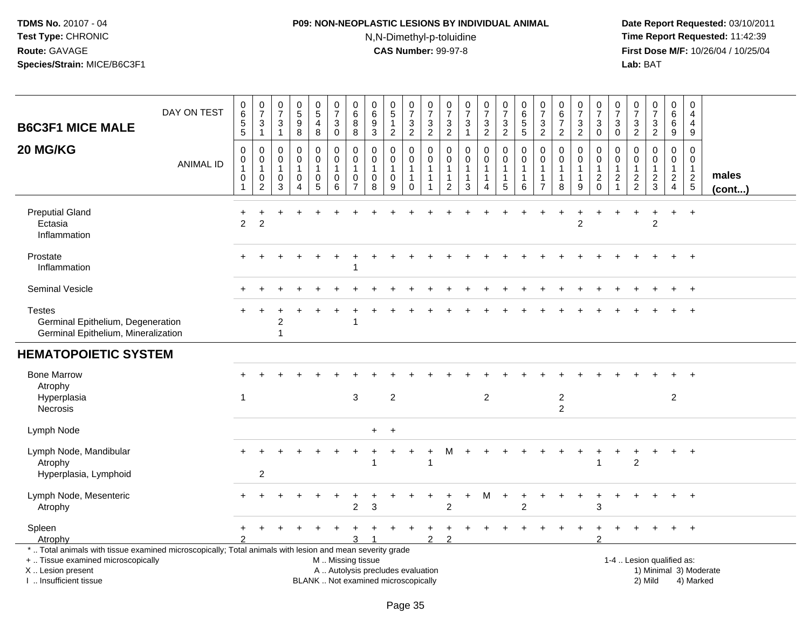## **P09: NON-NEOPLASTIC LESIONS BY INDIVIDUAL ANIMAL**N,N-Dimethyl-p-toluidine

| <b>B6C3F1 MICE MALE</b>                                                                                                                                                                       | DAY ON TEST      | $\pmb{0}$<br>$\,6$<br>$\overline{5}$<br>$\overline{5}$ | $\begin{smallmatrix}0\\7\end{smallmatrix}$<br>$\sqrt{3}$<br>$\mathbf{1}$ | $\frac{0}{7}$<br>3<br>$\mathbf{1}$                              | $\begin{array}{c} 0 \\ 5 \end{array}$<br>$\boldsymbol{9}$<br>8          | $\begin{array}{c} 0 \\ 5 \end{array}$<br>4<br>8    | $\begin{array}{c} 0 \\ 7 \end{array}$<br>$\mathbf{3}$<br>$\mathsf 0$                          | $\pmb{0}$<br>$\,6\,$<br>8<br>$\bf 8$                 | $\pmb{0}$<br>$\,6\,$<br>$\boldsymbol{9}$<br>$\sqrt{3}$ | $\begin{array}{c} 0 \\ 5 \end{array}$<br>$\mathbf{1}$<br>$\overline{c}$ | $\frac{0}{7}$<br>$\ensuremath{\mathsf{3}}$<br>$\overline{c}$                | $\pmb{0}$<br>$\overline{7}$<br>$\mathbf{3}$<br>$\overline{c}$ | $\frac{0}{7}$<br>$\ensuremath{\mathsf{3}}$<br>$\overline{2}$ | $\frac{0}{7}$<br>$\sqrt{3}$<br>$\mathbf{1}$ | $\begin{array}{c} 0 \\ 7 \end{array}$<br>$\sqrt{3}$<br>$\overline{c}$          | $\begin{array}{c} 0 \\ 7 \end{array}$<br>$\ensuremath{\mathsf{3}}$<br>$\overline{2}$ | $\pmb{0}$<br>$\begin{array}{c} 6 \\ 5 \end{array}$<br>5 | $\begin{array}{c} 0 \\ 7 \end{array}$<br>$\sqrt{3}$<br>$\sqrt{2}$  | $\begin{array}{c} 0 \\ 6 \\ 7 \end{array}$<br>$\overline{2}$ | $\frac{0}{7}$<br>$\ensuremath{\mathsf{3}}$<br>$\overline{c}$ | $\begin{array}{c} 0 \\ 7 \end{array}$<br>$\sqrt{3}$<br>$\mathsf{O}\xspace$    | 0<br>$\overline{7}$<br>3<br>$\mathsf 0$         | $\begin{array}{c} 0 \\ 7 \end{array}$<br>3<br>$\overline{c}$        | $\frac{0}{7}$<br>3<br>$\overline{2}$                   | $\pmb{0}$<br>6<br>6<br>$9\,$                                                | $\pmb{0}$<br>$\overline{4}$<br>4<br>$\boldsymbol{9}$                       |                 |
|-----------------------------------------------------------------------------------------------------------------------------------------------------------------------------------------------|------------------|--------------------------------------------------------|--------------------------------------------------------------------------|-----------------------------------------------------------------|-------------------------------------------------------------------------|----------------------------------------------------|-----------------------------------------------------------------------------------------------|------------------------------------------------------|--------------------------------------------------------|-------------------------------------------------------------------------|-----------------------------------------------------------------------------|---------------------------------------------------------------|--------------------------------------------------------------|---------------------------------------------|--------------------------------------------------------------------------------|--------------------------------------------------------------------------------------|---------------------------------------------------------|--------------------------------------------------------------------|--------------------------------------------------------------|--------------------------------------------------------------|-------------------------------------------------------------------------------|-------------------------------------------------|---------------------------------------------------------------------|--------------------------------------------------------|-----------------------------------------------------------------------------|----------------------------------------------------------------------------|-----------------|
| 20 MG/KG                                                                                                                                                                                      | <b>ANIMAL ID</b> | $\mathbf 0$<br>0<br>1<br>0<br>-1                       | 0<br>0<br>$\mathbf{1}$<br>$\mathbf 0$<br>$\overline{2}$                  | $\mathbf 0$<br>$\mathbf 0$<br>$\mathbf{1}$<br>0<br>$\mathbf{3}$ | $\mathbf 0$<br>$\pmb{0}$<br>$\mathbf{1}$<br>$\pmb{0}$<br>$\overline{4}$ | 0<br>$\mathbf 0$<br>$\mathbf{1}$<br>$\pmb{0}$<br>5 | $\mathbf 0$<br>0<br>$\mathbf{1}$<br>0<br>6                                                    | $\Omega$<br>0<br>$\mathbf{1}$<br>0<br>$\overline{7}$ | $\mathbf 0$<br>$\mathbf 0$<br>$\mathbf{1}$<br>0<br>8   | 0<br>0<br>$\mathbf{1}$<br>0<br>$\boldsymbol{9}$                         | $\Omega$<br>$\mathbf 0$<br>$\mathbf{1}$<br>$\mathbf{1}$<br>$\boldsymbol{0}$ | 0<br>0<br>$\mathbf{1}$<br>1<br>1                              | 0<br>0<br>$\mathbf{1}$<br>$\mathbf 1$<br>$\overline{c}$      | $\mathbf 0$<br>$\pmb{0}$<br>1<br>1<br>3     | $\mathbf 0$<br>$\mathbf 0$<br>$\mathbf{1}$<br>$\overline{1}$<br>$\overline{4}$ | $\Omega$<br>$\mathbf 0$<br>$\mathbf{1}$<br>$\mathbf{1}$<br>$\overline{5}$            | $\Omega$<br>$\mathbf 0$<br>1<br>1<br>$\,6$              | 0<br>$\mathbf 0$<br>$\mathbf{1}$<br>$\mathbf{1}$<br>$\overline{7}$ | 0<br>$\mathbf 0$<br>$\mathbf{1}$<br>$\mathbf{1}$<br>8        | 0<br>0<br>1<br>1<br>$\boldsymbol{9}$                         | $\mathbf 0$<br>$\mathbf 0$<br>$\mathbf{1}$<br>$\boldsymbol{2}$<br>$\mathbf 0$ | 0<br>0<br>$\overline{1}$<br>2<br>$\overline{1}$ | $\Omega$<br>0<br>$\mathbf{1}$<br>$\boldsymbol{2}$<br>$\overline{2}$ | $\mathbf 0$<br>$\mathbf 0$<br>1<br>$\overline{c}$<br>3 | $\Omega$<br>$\mathbf 0$<br>$\mathbf{1}$<br>$\overline{c}$<br>$\overline{4}$ | $\mathbf 0$<br>$\mathbf 0$<br>$\mathbf{1}$<br>$\overline{c}$<br>$\sqrt{5}$ | males<br>(cont) |
| <b>Preputial Gland</b><br>Ectasia<br>Inflammation                                                                                                                                             |                  | 2                                                      | $\overline{2}$                                                           |                                                                 |                                                                         |                                                    |                                                                                               |                                                      |                                                        |                                                                         |                                                                             |                                                               |                                                              |                                             |                                                                                |                                                                                      |                                                         |                                                                    |                                                              | $\overline{c}$                                               |                                                                               |                                                 |                                                                     | $\overline{2}$                                         | $+$                                                                         | $\ddot{}$                                                                  |                 |
| Prostate<br>Inflammation                                                                                                                                                                      |                  |                                                        |                                                                          |                                                                 |                                                                         |                                                    |                                                                                               |                                                      |                                                        |                                                                         |                                                                             |                                                               |                                                              |                                             |                                                                                |                                                                                      |                                                         |                                                                    |                                                              |                                                              |                                                                               |                                                 |                                                                     |                                                        |                                                                             | $+$                                                                        |                 |
| Seminal Vesicle                                                                                                                                                                               |                  |                                                        |                                                                          |                                                                 |                                                                         |                                                    |                                                                                               |                                                      |                                                        |                                                                         |                                                                             |                                                               |                                                              |                                             |                                                                                |                                                                                      |                                                         |                                                                    |                                                              |                                                              |                                                                               |                                                 |                                                                     |                                                        | $\ddot{}$                                                                   | $+$                                                                        |                 |
| <b>Testes</b><br>Germinal Epithelium, Degeneration<br>Germinal Epithelium, Mineralization                                                                                                     |                  |                                                        |                                                                          | 2<br>1                                                          |                                                                         |                                                    |                                                                                               |                                                      |                                                        |                                                                         |                                                                             |                                                               |                                                              |                                             |                                                                                |                                                                                      |                                                         |                                                                    |                                                              |                                                              |                                                                               |                                                 |                                                                     |                                                        |                                                                             | $\overline{+}$                                                             |                 |
| <b>HEMATOPOIETIC SYSTEM</b>                                                                                                                                                                   |                  |                                                        |                                                                          |                                                                 |                                                                         |                                                    |                                                                                               |                                                      |                                                        |                                                                         |                                                                             |                                                               |                                                              |                                             |                                                                                |                                                                                      |                                                         |                                                                    |                                                              |                                                              |                                                                               |                                                 |                                                                     |                                                        |                                                                             |                                                                            |                 |
| <b>Bone Marrow</b><br>Atrophy<br>Hyperplasia                                                                                                                                                  |                  | $\mathbf 1$                                            |                                                                          |                                                                 |                                                                         |                                                    |                                                                                               | $\mathbf{3}$                                         |                                                        | $\overline{c}$                                                          |                                                                             |                                                               |                                                              |                                             | $\overline{2}$                                                                 |                                                                                      |                                                         |                                                                    | $\overline{c}$                                               |                                                              |                                                                               |                                                 |                                                                     |                                                        | $\overline{2}$                                                              | $\ddot{}$                                                                  |                 |
| Necrosis                                                                                                                                                                                      |                  |                                                        |                                                                          |                                                                 |                                                                         |                                                    |                                                                                               |                                                      |                                                        |                                                                         |                                                                             |                                                               |                                                              |                                             |                                                                                |                                                                                      |                                                         |                                                                    | $\overline{2}$                                               |                                                              |                                                                               |                                                 |                                                                     |                                                        |                                                                             |                                                                            |                 |
| Lymph Node                                                                                                                                                                                    |                  |                                                        |                                                                          |                                                                 |                                                                         |                                                    |                                                                                               |                                                      | $\ddot{}$                                              | $+$                                                                     |                                                                             |                                                               |                                                              |                                             |                                                                                |                                                                                      |                                                         |                                                                    |                                                              |                                                              |                                                                               |                                                 |                                                                     |                                                        |                                                                             |                                                                            |                 |
| Lymph Node, Mandibular<br>Atrophy                                                                                                                                                             |                  |                                                        |                                                                          |                                                                 |                                                                         |                                                    |                                                                                               |                                                      |                                                        |                                                                         |                                                                             | $\mathbf{1}$                                                  |                                                              |                                             |                                                                                |                                                                                      |                                                         |                                                                    |                                                              |                                                              | -1                                                                            |                                                 | $\overline{2}$                                                      |                                                        | $+$                                                                         | $+$                                                                        |                 |
| Hyperplasia, Lymphoid                                                                                                                                                                         |                  |                                                        | $\overline{c}$                                                           |                                                                 |                                                                         |                                                    |                                                                                               |                                                      |                                                        |                                                                         |                                                                             |                                                               |                                                              |                                             |                                                                                |                                                                                      |                                                         |                                                                    |                                                              |                                                              |                                                                               |                                                 |                                                                     |                                                        |                                                                             |                                                                            |                 |
| Lymph Node, Mesenteric<br>Atrophy                                                                                                                                                             |                  |                                                        |                                                                          |                                                                 |                                                                         |                                                    |                                                                                               | $\overline{2}$                                       | 3                                                      |                                                                         |                                                                             |                                                               | 2                                                            | $\pm$                                       | M                                                                              |                                                                                      | 2                                                       |                                                                    |                                                              |                                                              | 3                                                                             |                                                 |                                                                     |                                                        |                                                                             | $\overline{+}$                                                             |                 |
| Spleen<br>Atrophy                                                                                                                                                                             |                  |                                                        |                                                                          |                                                                 |                                                                         |                                                    |                                                                                               | з                                                    |                                                        |                                                                         |                                                                             | $\mathcal{P}$                                                 | $\mathfrak{p}$                                               |                                             |                                                                                |                                                                                      |                                                         |                                                                    |                                                              |                                                              |                                                                               |                                                 |                                                                     |                                                        |                                                                             | $\ddot{}$                                                                  |                 |
| *  Total animals with tissue examined microscopically; Total animals with lesion and mean severity grade<br>+  Tissue examined microscopically<br>X  Lesion present<br>I  Insufficient tissue |                  |                                                        |                                                                          |                                                                 |                                                                         |                                                    | M  Missing tissue<br>A  Autolysis precludes evaluation<br>BLANK  Not examined microscopically |                                                      |                                                        |                                                                         |                                                                             |                                                               |                                                              |                                             |                                                                                |                                                                                      |                                                         |                                                                    |                                                              |                                                              |                                                                               |                                                 |                                                                     | 1-4  Lesion qualified as:<br>2) Mild                   |                                                                             | 1) Minimal 3) Moderate<br>4) Marked                                        |                 |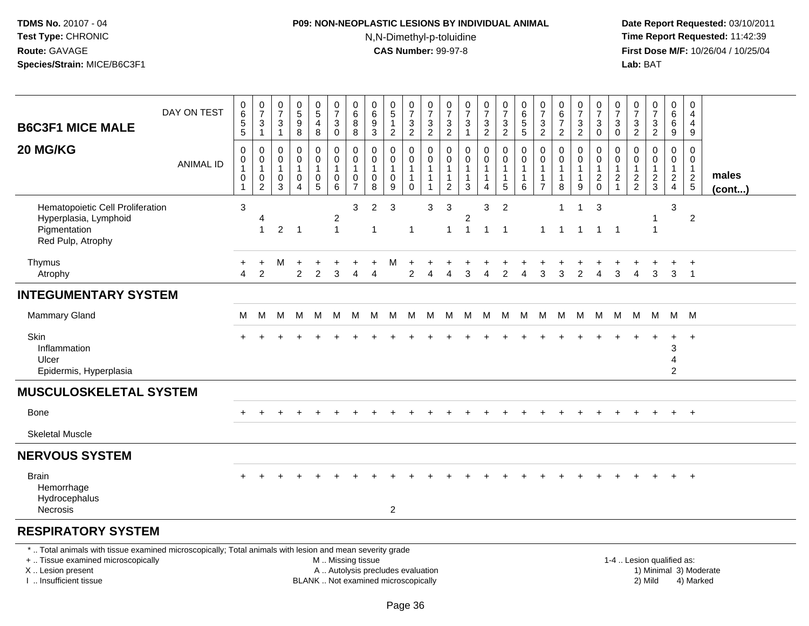## **P09: NON-NEOPLASTIC LESIONS BY INDIVIDUAL ANIMAL**N,N-Dimethyl-p-toluidine

| <b>B6C3F1 MICE MALE</b>                                                                                                                                                                       | DAY ON TEST      | $\pmb{0}$<br>6<br>$\begin{array}{c} 5 \\ 5 \end{array}$ | $\begin{array}{c} 0 \\ 7 \end{array}$<br>$\ensuremath{\mathsf{3}}$<br>$\mathbf{1}$ | $\frac{0}{7}$<br>$\sqrt{3}$<br>$\overline{1}$ | $\pmb{0}$<br>$\overline{5}$<br>$\boldsymbol{9}$<br>8   | $\begin{array}{c} 0 \\ 5 \end{array}$<br>$\overline{\mathbf{4}}$<br>$\bf 8$ | $\pmb{0}$<br>$\overline{7}$<br>3<br>$\pmb{0}$                                                 | $_6^0$<br>8<br>$\bf 8$                                | 0<br>6<br>9<br>$\overline{3}$              | $\begin{array}{c} 0 \\ 5 \end{array}$<br>$\mathbf{1}$<br>$\boldsymbol{2}$ | $\frac{0}{7}$<br>$\frac{3}{2}$                                  | $\pmb{0}$<br>$\overline{7}$<br>$\frac{3}{2}$                                 | $\pmb{0}$<br>$\overline{7}$<br>3<br>$\overline{2}$                 | 0<br>$\overline{7}$<br>3<br>$\mathbf{1}$  | $\frac{0}{7}$<br>$\frac{3}{2}$                        | $\frac{0}{7}$<br>$\ensuremath{\mathsf{3}}$<br>$\overline{2}$           | $\pmb{0}$<br>6<br>$\begin{array}{c} 5 \\ 5 \end{array}$ | $\frac{0}{7}$<br>$\frac{3}{2}$                                                 | $\pmb{0}$<br>$\,6\,$<br>$\overline{7}$<br>$\overline{2}$        | $\frac{0}{7}$<br>$\mathbf{3}$<br>$\overline{2}$ | 0<br>$\overline{7}$<br>3<br>$\mathbf 0$                             | 0<br>$\overline{7}$<br>3<br>$\pmb{0}$                   | 0<br>$\overline{7}$<br>$\frac{3}{2}$             | $\begin{array}{c} 0 \\ 7 \end{array}$<br>$\frac{3}{2}$ | $\mathbf 0$<br>$6\phantom{1}$<br>6<br>$\boldsymbol{9}$ |     | 0<br>$\overline{4}$<br>$\overline{4}$<br>9               |                 |  |
|-----------------------------------------------------------------------------------------------------------------------------------------------------------------------------------------------|------------------|---------------------------------------------------------|------------------------------------------------------------------------------------|-----------------------------------------------|--------------------------------------------------------|-----------------------------------------------------------------------------|-----------------------------------------------------------------------------------------------|-------------------------------------------------------|--------------------------------------------|---------------------------------------------------------------------------|-----------------------------------------------------------------|------------------------------------------------------------------------------|--------------------------------------------------------------------|-------------------------------------------|-------------------------------------------------------|------------------------------------------------------------------------|---------------------------------------------------------|--------------------------------------------------------------------------------|-----------------------------------------------------------------|-------------------------------------------------|---------------------------------------------------------------------|---------------------------------------------------------|--------------------------------------------------|--------------------------------------------------------|--------------------------------------------------------|-----|----------------------------------------------------------|-----------------|--|
| 20 MG/KG                                                                                                                                                                                      | <b>ANIMAL ID</b> | 0<br>$\pmb{0}$<br>$\mathbf{1}$<br>0<br>$\mathbf{1}$     | 0<br>$\mathbf 0$<br>$\mathbf{1}$<br>0<br>$\overline{2}$                            | $\mathbf 0$<br>0<br>$\mathbf{1}$<br>0<br>3    | $\mathbf 0$<br>$\mathbf 0$<br>1<br>0<br>$\overline{4}$ | 0<br>$\mathsf{O}\xspace$<br>$\mathbf{1}$<br>$\pmb{0}$<br>$\sqrt{5}$         | $\mathbf 0$<br>$\mathsf{O}\xspace$<br>$\mathbf{1}$<br>$\mathbf 0$<br>6                        | 0<br>$\pmb{0}$<br>$\mathbf{1}$<br>0<br>$\overline{7}$ | 0<br>$\mathbf 0$<br>$\mathbf{1}$<br>0<br>8 | $\mathbf 0$<br>$\mathbf 0$<br>0<br>9                                      | 0<br>$\mathbf 0$<br>$\mathbf{1}$<br>$\mathbf{1}$<br>$\mathbf 0$ | $\mathbf 0$<br>$\mathbf 0$<br>$\mathbf{1}$<br>$\mathbf{1}$<br>$\overline{1}$ | 0<br>$\mathbf 0$<br>$\mathbf{1}$<br>$\mathbf{1}$<br>$\overline{2}$ | $\mathbf 0$<br>$\mathbf 0$<br>1<br>1<br>3 | 0<br>$\mathbf 0$<br>$\mathbf{1}$<br>$\mathbf{1}$<br>4 | 0<br>$\overline{0}$<br>$\mathbf{1}$<br>$\mathbf{1}$<br>$5\phantom{.0}$ | $\mathbf 0$<br>$\mathbf 0$<br>1<br>1<br>6               | $\mathbf 0$<br>$\mathbf 0$<br>$\mathbf{1}$<br>$\overline{1}$<br>$\overline{7}$ | $\mathbf 0$<br>$\mathbf 0$<br>$\mathbf{1}$<br>$\mathbf{1}$<br>8 | 0<br>$\mathbf 0$<br>1<br>$\mathbf{1}$<br>9      | 0<br>$\mathbf 0$<br>$\mathbf{1}$<br>$\boldsymbol{2}$<br>$\mathbf 0$ | 0<br>$\mathbf 0$<br>1<br>$\overline{c}$<br>$\mathbf{1}$ | 0<br>$\mathbf 0$<br>$\mathbf 1$<br>$\frac{2}{2}$ | $\mathbf 0$<br>$\mathbf 0$<br>1<br>$\frac{2}{3}$       | 0<br>$\mathbf 0$<br>$\mathbf{1}$<br>$\frac{2}{4}$      |     | $\Omega$<br>$\mathbf 0$<br>$\mathbf{1}$<br>$\frac{2}{5}$ | males<br>(cont) |  |
| Hematopoietic Cell Proliferation<br>Hyperplasia, Lymphoid<br>Pigmentation<br>Red Pulp, Atrophy                                                                                                |                  | 3                                                       | $\overline{1}$                                                                     | 2                                             | $\overline{1}$                                         |                                                                             | $\overline{c}$<br>$\mathbf{1}$                                                                | 3                                                     | $\overline{2}$<br>1                        | 3                                                                         | $\mathbf 1$                                                     | 3                                                                            | $\mathbf{3}$<br>$\mathbf{1}$                                       | 2<br>1                                    | 3<br>$\mathbf{1}$                                     | $\overline{2}$<br>$\overline{1}$                                       |                                                         | $\mathbf{1}$                                                                   | $\mathbf 1$<br>$\overline{1}$                                   | $\mathbf{1}$<br>$\mathbf{1}$                    | 3<br>$\mathbf{1}$                                                   | $\overline{1}$                                          |                                                  | $\overline{1}$                                         | 3                                                      |     | $\overline{2}$                                           |                 |  |
| Thymus<br>Atrophy                                                                                                                                                                             |                  | $\boldsymbol{\Lambda}$                                  | $\ddot{}$<br>$\overline{2}$                                                        | м                                             | $\overline{c}$                                         | 2                                                                           | 3                                                                                             | 4                                                     | 4                                          | м                                                                         | 2                                                               | Δ                                                                            | 4                                                                  | 3                                         | $\overline{4}$                                        | $\overline{2}$                                                         | 4                                                       | 3                                                                              | 3                                                               | $\overline{2}$                                  | 4                                                                   | 3                                                       | 4                                                | $\mathbf{3}$                                           | $\ddot{}$<br>3                                         |     | $+$<br>$\overline{1}$                                    |                 |  |
| <b>INTEGUMENTARY SYSTEM</b>                                                                                                                                                                   |                  |                                                         |                                                                                    |                                               |                                                        |                                                                             |                                                                                               |                                                       |                                            |                                                                           |                                                                 |                                                                              |                                                                    |                                           |                                                       |                                                                        |                                                         |                                                                                |                                                                 |                                                 |                                                                     |                                                         |                                                  |                                                        |                                                        |     |                                                          |                 |  |
| Mammary Gland                                                                                                                                                                                 |                  | M                                                       | М                                                                                  | м                                             | м                                                      | M                                                                           | М                                                                                             | M                                                     | M                                          | M                                                                         | M                                                               | M                                                                            | М                                                                  | М                                         | M                                                     | M                                                                      | M                                                       | M                                                                              | M                                                               | M                                               | M                                                                   | M                                                       | M                                                | M                                                      |                                                        | M M |                                                          |                 |  |
| Skin<br>Inflammation<br>Ulcer<br>Epidermis, Hyperplasia                                                                                                                                       |                  |                                                         |                                                                                    |                                               |                                                        |                                                                             |                                                                                               |                                                       |                                            |                                                                           |                                                                 |                                                                              |                                                                    |                                           |                                                       |                                                                        |                                                         |                                                                                |                                                                 |                                                 |                                                                     |                                                         |                                                  |                                                        | 3<br>4<br>$\overline{2}$                               |     | $+$                                                      |                 |  |
| <b>MUSCULOSKELETAL SYSTEM</b>                                                                                                                                                                 |                  |                                                         |                                                                                    |                                               |                                                        |                                                                             |                                                                                               |                                                       |                                            |                                                                           |                                                                 |                                                                              |                                                                    |                                           |                                                       |                                                                        |                                                         |                                                                                |                                                                 |                                                 |                                                                     |                                                         |                                                  |                                                        |                                                        |     |                                                          |                 |  |
| Bone                                                                                                                                                                                          |                  | ÷                                                       | $\div$                                                                             |                                               |                                                        |                                                                             |                                                                                               |                                                       |                                            |                                                                           |                                                                 |                                                                              |                                                                    |                                           |                                                       |                                                                        |                                                         |                                                                                |                                                                 |                                                 |                                                                     |                                                         |                                                  |                                                        | $\ddot{}$                                              |     | $+$                                                      |                 |  |
| <b>Skeletal Muscle</b>                                                                                                                                                                        |                  |                                                         |                                                                                    |                                               |                                                        |                                                                             |                                                                                               |                                                       |                                            |                                                                           |                                                                 |                                                                              |                                                                    |                                           |                                                       |                                                                        |                                                         |                                                                                |                                                                 |                                                 |                                                                     |                                                         |                                                  |                                                        |                                                        |     |                                                          |                 |  |
| <b>NERVOUS SYSTEM</b>                                                                                                                                                                         |                  |                                                         |                                                                                    |                                               |                                                        |                                                                             |                                                                                               |                                                       |                                            |                                                                           |                                                                 |                                                                              |                                                                    |                                           |                                                       |                                                                        |                                                         |                                                                                |                                                                 |                                                 |                                                                     |                                                         |                                                  |                                                        |                                                        |     |                                                          |                 |  |
| <b>Brain</b><br>Hemorrhage<br>Hydrocephalus<br><b>Necrosis</b>                                                                                                                                |                  |                                                         |                                                                                    |                                               |                                                        |                                                                             |                                                                                               |                                                       |                                            | $\overline{2}$                                                            |                                                                 |                                                                              |                                                                    |                                           |                                                       |                                                                        |                                                         |                                                                                |                                                                 |                                                 |                                                                     |                                                         |                                                  |                                                        |                                                        |     | $\ddot{}$                                                |                 |  |
| <b>RESPIRATORY SYSTEM</b>                                                                                                                                                                     |                  |                                                         |                                                                                    |                                               |                                                        |                                                                             |                                                                                               |                                                       |                                            |                                                                           |                                                                 |                                                                              |                                                                    |                                           |                                                       |                                                                        |                                                         |                                                                                |                                                                 |                                                 |                                                                     |                                                         |                                                  |                                                        |                                                        |     |                                                          |                 |  |
| *  Total animals with tissue examined microscopically; Total animals with lesion and mean severity grade<br>+  Tissue examined microscopically<br>X  Lesion present<br>I  Insufficient tissue |                  |                                                         |                                                                                    |                                               |                                                        |                                                                             | M  Missing tissue<br>A  Autolysis precludes evaluation<br>BLANK  Not examined microscopically |                                                       |                                            |                                                                           |                                                                 |                                                                              |                                                                    |                                           |                                                       |                                                                        |                                                         |                                                                                |                                                                 |                                                 |                                                                     |                                                         |                                                  | 1-4  Lesion qualified as:<br>2) Mild                   |                                                        |     | 1) Minimal 3) Moderate<br>4) Marked                      |                 |  |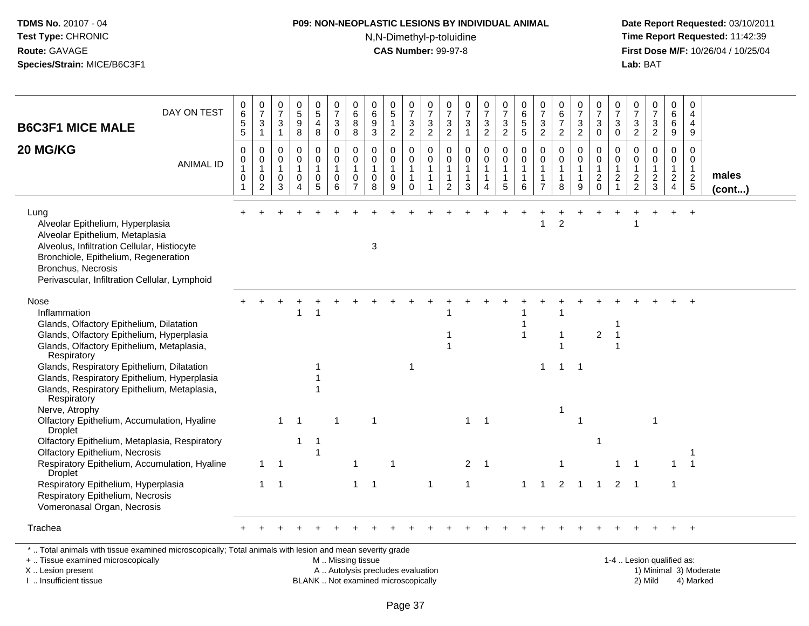# **P09: NON-NEOPLASTIC LESIONS BY INDIVIDUAL ANIMAL**

N,N-Dimethyl-p-toluidine

 **Date Report Requested:** 03/10/2011 **Time Report Requested:** 11:42:39 **First Dose M/F:** 10/26/04 / 10/25/04<br>**Lab:** BAT **Lab:** BAT

| <b>B6C3F1 MICE MALE</b>                                                                                                                                                                                                                          | DAY ON TEST      | $_{6}^{\rm 0}$<br>$\frac{5}{5}$ | $\frac{0}{7}$<br>$\ensuremath{\mathsf{3}}$<br>$\mathbf{1}$      | 0<br>$\overline{7}$<br>$\ensuremath{\mathsf{3}}$<br>$\overline{1}$ | $\pmb{0}$<br>$\sqrt{5}$<br>$\boldsymbol{9}$<br>8                                    | 0<br>$\mathbf 5$<br>$\overline{a}$<br>8               | 0<br>$\overline{7}$<br>$\ensuremath{\mathsf{3}}$<br>$\boldsymbol{0}$ | 0<br>6<br>8<br>8                                        | 0<br>$\,6\,$<br>$\boldsymbol{9}$<br>$\sqrt{3}$ | $\begin{array}{c} 0 \\ 5 \end{array}$<br>$\mathbf{1}$<br>$\overline{2}$ | $\begin{array}{c} 0 \\ 7 \end{array}$<br>3<br>$\boldsymbol{2}$ | $\frac{0}{7}$<br>$\ensuremath{\mathsf{3}}$<br>$\overline{c}$                 | 0<br>$\overline{7}$<br>$\ensuremath{\mathsf{3}}$<br>$\overline{c}$ | $\frac{0}{7}$<br>3<br>$\mathbf{1}$         | $\begin{array}{c} 0 \\ 7 \end{array}$<br>$\ensuremath{\mathsf{3}}$<br>$\overline{2}$ | $\begin{smallmatrix}0\\7\end{smallmatrix}$<br>$\frac{3}{2}$       | 0<br>$\,6\,$<br>$\,$ 5 $\,$<br>$\sqrt{5}$                       | $\frac{0}{7}$<br>3<br>$\overline{c}$                               | $\begin{array}{c} 0 \\ 6 \end{array}$<br>$\overline{7}$<br>$\overline{2}$ | $\frac{0}{7}$<br>$\ensuremath{\mathsf{3}}$<br>$\overline{a}$ | $\frac{0}{7}$<br>$\ensuremath{\mathsf{3}}$<br>$\mathsf{O}\xspace$ | $\frac{0}{7}$<br>$\sqrt{3}$<br>$\mathbf 0$                                         | 0<br>$\overline{7}$<br>3<br>$\overline{c}$                             | 0<br>$\overline{7}$<br>3<br>$\overline{2}$               | 0<br>6<br>6<br>9                                                     | $\pmb{0}$<br>$\overline{4}$<br>$\overline{4}$<br>9               |                       |
|--------------------------------------------------------------------------------------------------------------------------------------------------------------------------------------------------------------------------------------------------|------------------|---------------------------------|-----------------------------------------------------------------|--------------------------------------------------------------------|-------------------------------------------------------------------------------------|-------------------------------------------------------|----------------------------------------------------------------------|---------------------------------------------------------|------------------------------------------------|-------------------------------------------------------------------------|----------------------------------------------------------------|------------------------------------------------------------------------------|--------------------------------------------------------------------|--------------------------------------------|--------------------------------------------------------------------------------------|-------------------------------------------------------------------|-----------------------------------------------------------------|--------------------------------------------------------------------|---------------------------------------------------------------------------|--------------------------------------------------------------|-------------------------------------------------------------------|------------------------------------------------------------------------------------|------------------------------------------------------------------------|----------------------------------------------------------|----------------------------------------------------------------------|------------------------------------------------------------------|-----------------------|
| 20 MG/KG                                                                                                                                                                                                                                         | <b>ANIMAL ID</b> | 0<br>0<br>$\mathbf 1$<br>0      | $\mathbf 0$<br>0<br>$\mathbf{1}$<br>$\pmb{0}$<br>$\overline{2}$ | $\mathbf 0$<br>$\mathbf 0$<br>$\mathbf{1}$<br>0<br>3               | $\mathbf 0$<br>$\mathbf 0$<br>$\mathbf{1}$<br>$\mathbf 0$<br>$\boldsymbol{\Lambda}$ | 0<br>$\overline{0}$<br>$\mathbf{1}$<br>$\pmb{0}$<br>5 | $\boldsymbol{0}$<br>$\mathbf 0$<br>$\mathbf{1}$<br>$\mathbf 0$<br>6  | 0<br>$\mathbf 0$<br>$\mathbf{1}$<br>0<br>$\overline{7}$ | 0<br>0<br>$\mathbf{1}$<br>$\pmb{0}$<br>8       | $\mathbf 0$<br>$\mathbf 0$<br>$\mathbf{1}$<br>$\pmb{0}$<br>9            | 0<br>$\mathbf 0$<br>$\mathbf{1}$<br>$\overline{1}$<br>$\Omega$ | $\mathbf 0$<br>$\mathbf 0$<br>$\mathbf{1}$<br>$\mathbf{1}$<br>$\overline{1}$ | 0<br>$\mathbf 0$<br>1<br>$\mathbf{1}$<br>$\overline{2}$            | 0<br>$\mathbf 0$<br>1<br>$\mathbf{1}$<br>3 | 0<br>$\mathbf 0$<br>1<br>1<br>4                                                      | $\mathbf 0$<br>$\mathbf 0$<br>$\overline{1}$<br>$\mathbf{1}$<br>5 | $\mathbf 0$<br>$\mathbf 0$<br>$\mathbf{1}$<br>$\mathbf{1}$<br>6 | 0<br>$\mathbf 0$<br>$\mathbf{1}$<br>$\mathbf{1}$<br>$\overline{7}$ | 0<br>$\mathbf 0$<br>$\mathbf{1}$<br>$\mathbf{1}$<br>8                     | 0<br>$\mathsf{O}$<br>$\mathbf{1}$<br>$\mathbf{1}$<br>9       | 0<br>$\mathbf 0$<br>$\mathbf{1}$<br>$\overline{c}$<br>$\mathbf 0$ | $\mathbf 0$<br>$\mathbf 0$<br>$\overline{1}$<br>$\boldsymbol{2}$<br>$\overline{1}$ | 0<br>$\mathbf 0$<br>$\mathbf{1}$<br>$\boldsymbol{2}$<br>$\overline{2}$ | $\mathbf 0$<br>$\mathbf 0$<br>1<br>$\boldsymbol{2}$<br>3 | 0<br>$\mathbf 0$<br>$\mathbf{1}$<br>$\overline{a}$<br>$\overline{4}$ | 0<br>$\mathbf 0$<br>$\mathbf{1}$<br>$\sqrt{2}$<br>$\overline{5}$ | males<br>$($ cont $)$ |
| Lung<br>Alveolar Epithelium, Hyperplasia<br>Alveolar Epithelium, Metaplasia<br>Alveolus, Infiltration Cellular, Histiocyte<br>Bronchiole, Epithelium, Regeneration<br><b>Bronchus, Necrosis</b><br>Perivascular, Infiltration Cellular, Lymphoid |                  |                                 |                                                                 |                                                                    |                                                                                     |                                                       |                                                                      |                                                         | $\sqrt{3}$                                     |                                                                         |                                                                |                                                                              |                                                                    |                                            |                                                                                      |                                                                   |                                                                 | 1                                                                  | 2                                                                         |                                                              |                                                                   |                                                                                    |                                                                        |                                                          | $\ddot{}$                                                            | $\ddot{}$                                                        |                       |
| Nose<br>Inflammation<br>Glands, Olfactory Epithelium, Dilatation<br>Glands, Olfactory Epithelium, Hyperplasia<br>Glands, Olfactory Epithelium, Metaplasia,<br>Respiratory                                                                        |                  |                                 |                                                                 |                                                                    | -1                                                                                  | 1                                                     |                                                                      |                                                         |                                                |                                                                         |                                                                |                                                                              | 1<br>$\mathbf{1}$                                                  |                                            |                                                                                      |                                                                   | $\overline{\mathbf{1}}$                                         |                                                                    | 1                                                                         |                                                              | $\overline{2}$                                                    | -1                                                                                 |                                                                        |                                                          |                                                                      |                                                                  |                       |
| Glands, Respiratory Epithelium, Dilatation<br>Glands, Respiratory Epithelium, Hyperplasia<br>Glands, Respiratory Epithelium, Metaplasia,<br>Respiratory<br>Nerve, Atrophy                                                                        |                  |                                 |                                                                 |                                                                    |                                                                                     |                                                       |                                                                      |                                                         |                                                |                                                                         | -1                                                             |                                                                              |                                                                    |                                            |                                                                                      |                                                                   |                                                                 | 1                                                                  | -1<br>1                                                                   | -1                                                           |                                                                   |                                                                                    |                                                                        |                                                          |                                                                      |                                                                  |                       |
| Olfactory Epithelium, Accumulation, Hyaline<br>Droplet<br>Olfactory Epithelium, Metaplasia, Respiratory                                                                                                                                          |                  |                                 |                                                                 | $\mathbf{1}$                                                       | - 1<br>-1                                                                           | 1                                                     |                                                                      |                                                         | $\mathbf 1$                                    |                                                                         |                                                                |                                                                              |                                                                    | $\mathbf{1}$                               | -1                                                                                   |                                                                   |                                                                 |                                                                    |                                                                           | 1                                                            |                                                                   |                                                                                    |                                                                        | -1                                                       |                                                                      |                                                                  |                       |
| <b>Olfactory Epithelium, Necrosis</b><br>Respiratory Epithelium, Accumulation, Hyaline<br><b>Droplet</b>                                                                                                                                         |                  |                                 | -1                                                              | -1                                                                 |                                                                                     | 1                                                     |                                                                      |                                                         |                                                |                                                                         |                                                                |                                                                              |                                                                    | $\overline{2}$                             | -1                                                                                   |                                                                   |                                                                 |                                                                    |                                                                           |                                                              |                                                                   |                                                                                    |                                                                        |                                                          | $\mathbf{1}$                                                         | $\overline{1}$                                                   |                       |
| Respiratory Epithelium, Hyperplasia<br>Respiratory Epithelium, Necrosis<br>Vomeronasal Organ, Necrosis                                                                                                                                           |                  |                                 | 1                                                               | $\overline{\mathbf{1}}$                                            |                                                                                     |                                                       |                                                                      | 1                                                       | $\mathbf 1$                                    |                                                                         |                                                                | 1                                                                            |                                                                    |                                            |                                                                                      |                                                                   |                                                                 |                                                                    | $\overline{2}$                                                            |                                                              | $\mathbf{1}$                                                      | 2                                                                                  | $\overline{1}$                                                         |                                                          | 1                                                                    |                                                                  |                       |
| Trachea                                                                                                                                                                                                                                          |                  |                                 |                                                                 |                                                                    |                                                                                     |                                                       |                                                                      |                                                         |                                                |                                                                         |                                                                |                                                                              |                                                                    |                                            |                                                                                      |                                                                   |                                                                 |                                                                    |                                                                           |                                                              |                                                                   |                                                                                    |                                                                        |                                                          |                                                                      | $+$                                                              |                       |
| *  Total animals with tissue examined microscopically; Total animals with lesion and mean severity grade<br>+  Tissue examined microscopically                                                                                                   |                  |                                 |                                                                 |                                                                    |                                                                                     |                                                       | M  Missing tissue                                                    |                                                         |                                                |                                                                         |                                                                |                                                                              |                                                                    |                                            |                                                                                      |                                                                   |                                                                 |                                                                    |                                                                           |                                                              |                                                                   |                                                                                    |                                                                        | 1-4  Lesion qualified as:                                |                                                                      |                                                                  |                       |

X .. Lesion present

I .. Insufficient tissue

BLANK .. Not examined microscopically

A .. Autolysis precludes evaluation and the series of the series of the series of the series of the series of the series of the series of the series of the series of the series of the series of the series of the series of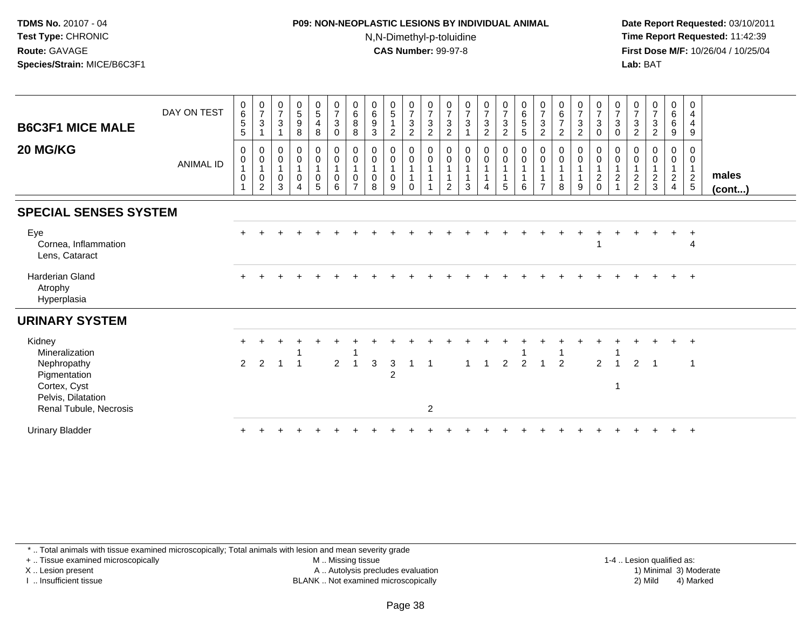# **P09: NON-NEOPLASTIC LESIONS BY INDIVIDUAL ANIMAL**N,N-Dimethyl-p-toluidine

 **Date Report Requested:** 03/10/2011 **Time Report Requested:** 11:42:39 **First Dose M/F:** 10/26/04 / 10/25/04 Lab: BAT **Lab:** BAT

| <b>B6C3F1 MICE MALE</b><br>20 MG/KG                                                                                     | DAY ON TEST<br><b>ANIMAL ID</b> | $\begin{array}{c} 0 \\ 6 \end{array}$<br>$\sqrt{5}$<br>$\sqrt{5}$<br>$\pmb{0}$<br>$\pmb{0}$<br>$\mathbf{1}$<br>$\boldsymbol{0}$<br>$\overline{1}$ | $\frac{0}{7}$<br>$\sqrt{3}$<br>0<br>$\mathbf 0$<br>$\mathbf{1}$<br>$\boldsymbol{0}$<br>2 | $\frac{0}{7}$<br>$\ensuremath{\mathsf{3}}$<br>$\mathbf{1}$<br>$\mathbf 0$<br>$\overline{0}$<br>1<br>$\mathbf 0$<br>3 | $\begin{array}{c} 0 \\ 5 \\ 9 \end{array}$<br>8<br>$\pmb{0}$<br>$\pmb{0}$<br>$\mathbf{1}$<br>$\pmb{0}$<br>$\boldsymbol{\Lambda}$ | $\frac{0}{5}$<br>$\overline{4}$<br>8<br>$\begin{smallmatrix}0\0\0\end{smallmatrix}$<br>$\overline{1}$<br>$\mathbf 0$<br>5 | $\begin{array}{c} 0 \\ 7 \\ 3 \end{array}$<br>$\pmb{0}$<br>$_{\rm 0}^{\rm 0}$<br>$\overline{1}$<br>$\pmb{0}$<br>6 | $\begin{matrix}0\\6\\8\end{matrix}$<br>$\, 8$<br>$\pmb{0}$<br>$\mathbf 0$<br>$\mathbf{1}$<br>$\mathbf 0$<br>$\overline{z}$ | $\begin{matrix} 0 \\ 6 \\ 9 \end{matrix}$<br>$\sqrt{3}$<br>$\begin{matrix} 0 \\ 0 \\ 1 \end{matrix}$<br>$\mathbf 0$<br>8 | $\begin{array}{c} 0 \\ 5 \end{array}$<br>$\overline{c}$<br>$\mathbf 0$<br>$\mathbf 0$<br>$\mathbf{1}$<br>0<br>9 | $\begin{matrix} 0 \\ 7 \\ 3 \end{matrix}$<br>$\overline{a}$<br>$\begin{matrix} 0 \\ 0 \\ 1 \end{matrix}$<br>$\mathbf{1}$<br>$\Omega$ | $\frac{0}{7}$<br>$\ensuremath{\mathsf{3}}$<br>$\sqrt{2}$<br>$_{\rm 0}^{\rm 0}$<br>$\mathbf{1}$<br>$\overline{A}$ | $\frac{0}{7}$<br>$\sqrt{3}$<br>$\overline{2}$<br>$_{\rm 0}^{\rm 0}$<br>$\overline{1}$<br>$\overline{1}$<br>2 | $\begin{array}{c} 0 \\ 7 \\ 3 \end{array}$<br>$\mathbf{1}$<br>$\begin{smallmatrix} 0\\0 \end{smallmatrix}$<br>$\mathbf{1}$<br>$\mathbf{1}$<br>3 | $\frac{0}{7}$<br>$\sqrt{3}$<br>$\overline{c}$<br>$_0^0$<br>$\overline{4}$ | $\begin{array}{c} 0 \\ 7 \\ 3 \\ 2 \end{array}$<br>$\begin{matrix} 0 \\ 0 \\ 1 \end{matrix}$<br>$\mathbf{1}$<br>5 | $\begin{array}{c} 0 \\ 6 \\ 5 \end{array}$<br>$5\phantom{.0}$<br>$_{\rm 0}^{\rm 0}$<br>$\mathbf{1}$<br>$\mathbf{1}$<br>6 | $\frac{0}{7}$<br>$\sqrt{3}$<br>$\overline{2}$<br>0<br>$\mathbf 0$<br>$\overline{ }$ | $\begin{matrix} 0 \\ 6 \\ 7 \end{matrix}$<br>$\overline{2}$<br>$\mathbf 0$<br>$\mathbf 0$<br>8 | $\begin{matrix} 0 \\ 7 \\ 3 \end{matrix}$<br>$\overline{2}$<br>$_0^0$<br>$\mathbf{1}$<br>$\mathbf{1}$<br>9 | $\begin{array}{c} 0 \\ 7 \\ 3 \end{array}$<br>$\pmb{0}$<br>$\begin{smallmatrix} 0\\0 \end{smallmatrix}$<br>$\mathbf{1}$<br>$\boldsymbol{2}$<br>$\Omega$ | $\frac{0}{7}$<br>$\ensuremath{\mathsf{3}}$<br>$\mathsf{O}\xspace$<br>0<br>$\mathbf 0$<br>$\mathbf{1}$<br>$\boldsymbol{2}$ | $\frac{0}{7}$<br>$\frac{3}{2}$<br>0<br>0<br>$\mathbf{1}$<br>$\frac{2}{2}$ | $\frac{0}{7}$<br>$\frac{3}{2}$<br>0<br>$\pmb{0}$<br>$\frac{2}{3}$ | $\mathbf 0$<br>$\overline{6}$<br>$6$<br>9<br>$\mathbf 0$<br>$\mathsf 0$<br>$\mathbf{1}$<br>$\sqrt{2}$<br>$\overline{4}$ | 0<br>$\overline{4}$<br>$\overline{4}$<br>$\boldsymbol{9}$<br>0<br>$\mathbf 0$<br>$\mathbf{1}$<br>$\frac{2}{5}$ | males<br>(cont) |
|-------------------------------------------------------------------------------------------------------------------------|---------------------------------|---------------------------------------------------------------------------------------------------------------------------------------------------|------------------------------------------------------------------------------------------|----------------------------------------------------------------------------------------------------------------------|----------------------------------------------------------------------------------------------------------------------------------|---------------------------------------------------------------------------------------------------------------------------|-------------------------------------------------------------------------------------------------------------------|----------------------------------------------------------------------------------------------------------------------------|--------------------------------------------------------------------------------------------------------------------------|-----------------------------------------------------------------------------------------------------------------|--------------------------------------------------------------------------------------------------------------------------------------|------------------------------------------------------------------------------------------------------------------|--------------------------------------------------------------------------------------------------------------|-------------------------------------------------------------------------------------------------------------------------------------------------|---------------------------------------------------------------------------|-------------------------------------------------------------------------------------------------------------------|--------------------------------------------------------------------------------------------------------------------------|-------------------------------------------------------------------------------------|------------------------------------------------------------------------------------------------|------------------------------------------------------------------------------------------------------------|---------------------------------------------------------------------------------------------------------------------------------------------------------|---------------------------------------------------------------------------------------------------------------------------|---------------------------------------------------------------------------|-------------------------------------------------------------------|-------------------------------------------------------------------------------------------------------------------------|----------------------------------------------------------------------------------------------------------------|-----------------|
| <b>SPECIAL SENSES SYSTEM</b>                                                                                            |                                 |                                                                                                                                                   |                                                                                          |                                                                                                                      |                                                                                                                                  |                                                                                                                           |                                                                                                                   |                                                                                                                            |                                                                                                                          |                                                                                                                 |                                                                                                                                      |                                                                                                                  |                                                                                                              |                                                                                                                                                 |                                                                           |                                                                                                                   |                                                                                                                          |                                                                                     |                                                                                                |                                                                                                            |                                                                                                                                                         |                                                                                                                           |                                                                           |                                                                   |                                                                                                                         |                                                                                                                |                 |
| Eye<br>Cornea, Inflammation<br>Lens, Cataract                                                                           |                                 |                                                                                                                                                   |                                                                                          |                                                                                                                      |                                                                                                                                  |                                                                                                                           |                                                                                                                   |                                                                                                                            |                                                                                                                          |                                                                                                                 |                                                                                                                                      |                                                                                                                  |                                                                                                              |                                                                                                                                                 |                                                                           |                                                                                                                   |                                                                                                                          |                                                                                     |                                                                                                |                                                                                                            |                                                                                                                                                         |                                                                                                                           |                                                                           |                                                                   | $\pm$                                                                                                                   | $\ddot{}$<br>4                                                                                                 |                 |
| <b>Harderian Gland</b><br>Atrophy<br>Hyperplasia                                                                        |                                 |                                                                                                                                                   |                                                                                          |                                                                                                                      |                                                                                                                                  |                                                                                                                           |                                                                                                                   |                                                                                                                            |                                                                                                                          |                                                                                                                 |                                                                                                                                      |                                                                                                                  |                                                                                                              |                                                                                                                                                 |                                                                           |                                                                                                                   |                                                                                                                          |                                                                                     |                                                                                                |                                                                                                            |                                                                                                                                                         |                                                                                                                           |                                                                           |                                                                   |                                                                                                                         | $+$                                                                                                            |                 |
| <b>URINARY SYSTEM</b>                                                                                                   |                                 |                                                                                                                                                   |                                                                                          |                                                                                                                      |                                                                                                                                  |                                                                                                                           |                                                                                                                   |                                                                                                                            |                                                                                                                          |                                                                                                                 |                                                                                                                                      |                                                                                                                  |                                                                                                              |                                                                                                                                                 |                                                                           |                                                                                                                   |                                                                                                                          |                                                                                     |                                                                                                |                                                                                                            |                                                                                                                                                         |                                                                                                                           |                                                                           |                                                                   |                                                                                                                         |                                                                                                                |                 |
| Kidney<br>Mineralization<br>Nephropathy<br>Pigmentation<br>Cortex, Cyst<br>Pelvis, Dilatation<br>Renal Tubule, Necrosis |                                 | $\overline{2}$                                                                                                                                    | 2                                                                                        | $\overline{ }$                                                                                                       | $\overline{\mathbf{1}}$                                                                                                          |                                                                                                                           | $\overline{2}$                                                                                                    | 1                                                                                                                          | 3                                                                                                                        | 3<br>$\overline{2}$                                                                                             |                                                                                                                                      | $\overline{1}$<br>$\overline{2}$                                                                                 |                                                                                                              | 1                                                                                                                                               | $\overline{1}$                                                            | $\overline{2}$                                                                                                    | $\overline{2}$                                                                                                           | $\overline{1}$                                                                      | $\overline{2}$                                                                                 |                                                                                                            | $\overline{2}$                                                                                                                                          | $\overline{1}$<br>1                                                                                                       | $\overline{2}$                                                            | $\overline{1}$                                                    |                                                                                                                         | $+$<br>$\overline{\mathbf{1}}$                                                                                 |                 |
| <b>Urinary Bladder</b>                                                                                                  |                                 |                                                                                                                                                   |                                                                                          |                                                                                                                      |                                                                                                                                  |                                                                                                                           |                                                                                                                   |                                                                                                                            |                                                                                                                          |                                                                                                                 |                                                                                                                                      |                                                                                                                  |                                                                                                              |                                                                                                                                                 |                                                                           |                                                                                                                   |                                                                                                                          |                                                                                     |                                                                                                |                                                                                                            |                                                                                                                                                         |                                                                                                                           |                                                                           |                                                                   |                                                                                                                         | $+$                                                                                                            |                 |

\* .. Total animals with tissue examined microscopically; Total animals with lesion and mean severity grade

+ .. Tissue examined microscopically

X .. Lesion present

I .. Insufficient tissue

 M .. Missing tissueA .. Autolysis precludes evaluation

 1-4 .. Lesion qualified as: BLANK .. Not examined microscopically 2) Mild 4) Marked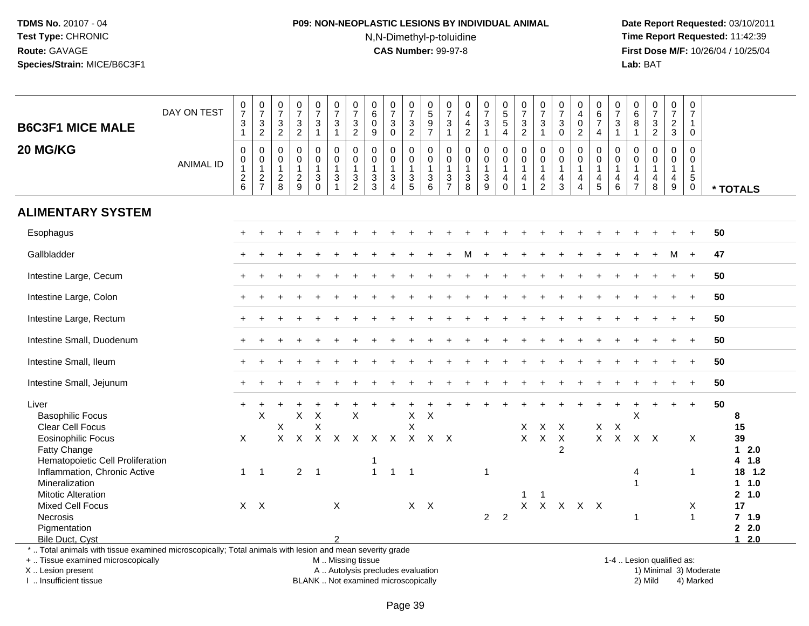# **P09: NON-NEOPLASTIC LESIONS BY INDIVIDUAL ANIMAL**N,N-Dimethyl-p-toluidine

 **Date Report Requested:** 03/10/2011 **Time Report Requested:** 11:42:39 **First Dose M/F:** 10/26/04 / 10/25/04<br>**Lab:** BAT **Lab:** BAT

| <b>B6C3F1 MICE MALE</b>                                                                                                                                             | DAY ON TEST      | $\frac{0}{7}$<br>$\frac{3}{1}$                                    | $\frac{0}{7}$<br>$\frac{3}{2}$                              | $\frac{0}{7}$<br>$\frac{3}{2}$                              | $\frac{0}{7}$<br>$\frac{3}{2}$                            | $\frac{0}{7}$<br>$\mathbf{3}$<br>$\mathbf{1}$                           | $\frac{0}{7}$<br>$\mathbf{3}$<br>$\mathbf{1}$                                | $\frac{0}{7}$<br>$\frac{3}{2}$                                           | $_{6}^{\rm 0}$<br>$\pmb{0}$<br>$\overline{9}$                   | $\frac{0}{7}$<br>$\mathbf{3}$<br>$\mathbf 0$                     | $\frac{0}{7}$<br>$\frac{3}{2}$                                                            | $\begin{matrix} 0 \\ 5 \end{matrix}$<br>$\frac{9}{7}$                        | $\frac{0}{7}$<br>$\mathbf{3}$<br>$\mathbf{1}$                                     | 0<br>$\overline{4}$<br>$\overline{4}$<br>$\overline{2}$                                   | $\frac{0}{7}$<br>$\sqrt{3}$<br>$\mathbf{1}$                   | $\begin{array}{c} 0 \\ 5 \\ 5 \end{array}$<br>$\overline{4}$ | $\frac{0}{7}$<br>$\frac{3}{2}$                                              | $\frac{0}{7}$<br>3<br>$\mathbf{1}$                      | $\frac{0}{7}$<br>$\sqrt{3}$<br>$\overline{0}$       | 0<br>$\overline{4}$<br>$\mathbf 0$<br>$\overline{2}$                         | $\begin{array}{c} 0 \\ 6 \end{array}$<br>$\overline{7}$<br>$\overline{4}$      | $\frac{0}{7}$<br>$\sqrt{3}$<br>$\overline{1}$           | 0<br>$\,6\,$<br>8<br>$\mathbf{1}$                                             | $\frac{0}{7}$<br>$\mathbf 3$<br>$\overline{2}$                            | 0<br>$\overline{7}$<br>$\frac{2}{3}$          | 0<br>$\overline{7}$<br>$\mathbf{1}$<br>$\Omega$                           |                                                    |  |
|---------------------------------------------------------------------------------------------------------------------------------------------------------------------|------------------|-------------------------------------------------------------------|-------------------------------------------------------------|-------------------------------------------------------------|-----------------------------------------------------------|-------------------------------------------------------------------------|------------------------------------------------------------------------------|--------------------------------------------------------------------------|-----------------------------------------------------------------|------------------------------------------------------------------|-------------------------------------------------------------------------------------------|------------------------------------------------------------------------------|-----------------------------------------------------------------------------------|-------------------------------------------------------------------------------------------|---------------------------------------------------------------|--------------------------------------------------------------|-----------------------------------------------------------------------------|---------------------------------------------------------|-----------------------------------------------------|------------------------------------------------------------------------------|--------------------------------------------------------------------------------|---------------------------------------------------------|-------------------------------------------------------------------------------|---------------------------------------------------------------------------|-----------------------------------------------|---------------------------------------------------------------------------|----------------------------------------------------|--|
| 20 MG/KG                                                                                                                                                            | <b>ANIMAL ID</b> | $\pmb{0}$<br>$\mathsf{O}\xspace$<br>$\mathbf{1}$<br>$\frac{2}{6}$ | $\mathbf 0$<br>$\pmb{0}$<br>$\overline{1}$<br>$\frac{2}{7}$ | $\mathbf 0$<br>$\mathbf 0$<br>$\mathbf{1}$<br>$\frac{2}{8}$ | 0<br>$\mathsf{O}\xspace$<br>$\mathbf{1}$<br>$\frac{2}{9}$ | $\pmb{0}$<br>$\pmb{0}$<br>$\mathbf{1}$<br>$\mathfrak{S}$<br>$\mathbf 0$ | $\mathbf 0$<br>$\mathsf 0$<br>$\mathbf{1}$<br>$\mathfrak{S}$<br>$\mathbf{1}$ | $\Omega$<br>$\mathbf 0$<br>$\mathbf{1}$<br>$\mathbf 3$<br>$\overline{2}$ | $\mathbf 0$<br>$\mathbf 0$<br>$\mathbf{1}$<br>$\mathbf{3}$<br>3 | $\mathbf 0$<br>0<br>$\mathbf{1}$<br>$\sqrt{3}$<br>$\overline{4}$ | $\mathsf 0$<br>$\mathsf 0$<br>$\mathbf{1}$<br>$\ensuremath{\mathsf{3}}$<br>$\overline{5}$ | $\mathbf 0$<br>$\mathbf 0$<br>$\mathbf{1}$<br>$\ensuremath{\mathsf{3}}$<br>6 | $\mathbf 0$<br>0<br>$\overline{1}$<br>$\ensuremath{\mathsf{3}}$<br>$\overline{7}$ | $\mathsf 0$<br>$\mathbf 0$<br>$\mathbf{1}$<br>$\ensuremath{\mathsf{3}}$<br>$\overline{8}$ | $\mathbf 0$<br>$\mathbf 0$<br>$\mathbf{1}$<br>$\sqrt{3}$<br>9 | $\mathbf 0$<br>0<br>$\mathbf{1}$<br>4<br>$\mathbf 0$         | $\Omega$<br>$\mathbf 0$<br>$\mathbf{1}$<br>$\overline{4}$<br>$\overline{1}$ | $\mathbf 0$<br>0<br>$\mathbf{1}$<br>4<br>$\overline{2}$ | 0<br>$\pmb{0}$<br>$\mathbf{1}$<br>4<br>$\mathbf{3}$ | $\mathbf 0$<br>$\pmb{0}$<br>$\mathbf{1}$<br>$\overline{a}$<br>$\overline{4}$ | $\mathbf 0$<br>$\mathbf 0$<br>$\mathbf{1}$<br>$\overline{4}$<br>$\overline{5}$ | $\mathbf 0$<br>0<br>$\mathbf{1}$<br>$\overline{4}$<br>6 | 0<br>$\mathbf 0$<br>$\mathbf{1}$<br>$\overline{\mathbf{r}}$<br>$\overline{7}$ | $\mathbf 0$<br>$\mathbf 0$<br>$\overline{1}$<br>$\overline{4}$<br>$\,8\,$ | 0<br>0<br>$\mathbf{1}$<br>$\overline{4}$<br>9 | $\Omega$<br>$\mathbf 0$<br>$\mathbf{1}$<br>$5\phantom{.0}$<br>$\mathbf 0$ | * TOTALS                                           |  |
| <b>ALIMENTARY SYSTEM</b>                                                                                                                                            |                  |                                                                   |                                                             |                                                             |                                                           |                                                                         |                                                                              |                                                                          |                                                                 |                                                                  |                                                                                           |                                                                              |                                                                                   |                                                                                           |                                                               |                                                              |                                                                             |                                                         |                                                     |                                                                              |                                                                                |                                                         |                                                                               |                                                                           |                                               |                                                                           |                                                    |  |
| Esophagus                                                                                                                                                           |                  |                                                                   |                                                             |                                                             |                                                           |                                                                         |                                                                              |                                                                          |                                                                 |                                                                  |                                                                                           |                                                                              |                                                                                   |                                                                                           |                                                               |                                                              |                                                                             |                                                         |                                                     |                                                                              |                                                                                |                                                         |                                                                               |                                                                           |                                               |                                                                           | 50                                                 |  |
| Gallbladder                                                                                                                                                         |                  |                                                                   |                                                             |                                                             |                                                           |                                                                         |                                                                              |                                                                          |                                                                 |                                                                  |                                                                                           |                                                                              |                                                                                   | м                                                                                         |                                                               |                                                              |                                                                             |                                                         |                                                     |                                                                              |                                                                                |                                                         |                                                                               |                                                                           |                                               |                                                                           | 47                                                 |  |
| Intestine Large, Cecum                                                                                                                                              |                  |                                                                   |                                                             |                                                             |                                                           |                                                                         |                                                                              |                                                                          |                                                                 |                                                                  |                                                                                           |                                                                              |                                                                                   |                                                                                           |                                                               |                                                              |                                                                             |                                                         |                                                     |                                                                              |                                                                                |                                                         |                                                                               |                                                                           |                                               |                                                                           | 50                                                 |  |
| Intestine Large, Colon                                                                                                                                              |                  |                                                                   |                                                             |                                                             |                                                           |                                                                         |                                                                              |                                                                          |                                                                 |                                                                  |                                                                                           |                                                                              |                                                                                   |                                                                                           |                                                               |                                                              |                                                                             |                                                         |                                                     |                                                                              |                                                                                |                                                         |                                                                               |                                                                           |                                               |                                                                           | 50                                                 |  |
| Intestine Large, Rectum                                                                                                                                             |                  |                                                                   |                                                             |                                                             |                                                           |                                                                         |                                                                              |                                                                          |                                                                 |                                                                  |                                                                                           |                                                                              |                                                                                   |                                                                                           |                                                               |                                                              |                                                                             |                                                         |                                                     |                                                                              |                                                                                |                                                         |                                                                               |                                                                           |                                               |                                                                           | 50                                                 |  |
| Intestine Small, Duodenum                                                                                                                                           |                  |                                                                   |                                                             |                                                             |                                                           |                                                                         |                                                                              |                                                                          |                                                                 |                                                                  |                                                                                           |                                                                              |                                                                                   |                                                                                           |                                                               |                                                              |                                                                             |                                                         |                                                     |                                                                              |                                                                                |                                                         |                                                                               |                                                                           |                                               |                                                                           | 50                                                 |  |
| Intestine Small, Ileum                                                                                                                                              |                  |                                                                   |                                                             |                                                             |                                                           |                                                                         |                                                                              |                                                                          |                                                                 |                                                                  |                                                                                           |                                                                              |                                                                                   |                                                                                           |                                                               |                                                              |                                                                             |                                                         |                                                     |                                                                              |                                                                                |                                                         |                                                                               |                                                                           |                                               |                                                                           | 50                                                 |  |
| Intestine Small, Jejunum                                                                                                                                            |                  |                                                                   |                                                             |                                                             |                                                           |                                                                         |                                                                              |                                                                          |                                                                 |                                                                  |                                                                                           |                                                                              |                                                                                   |                                                                                           |                                                               |                                                              |                                                                             |                                                         |                                                     |                                                                              |                                                                                |                                                         |                                                                               |                                                                           |                                               |                                                                           | 50                                                 |  |
| Liver<br><b>Basophilic Focus</b><br><b>Clear Cell Focus</b><br><b>Eosinophilic Focus</b>                                                                            |                  | X                                                                 | $\boldsymbol{\mathsf{X}}$                                   | X<br>X                                                      | $\pmb{\times}$<br>$\sf X$                                 | $\boldsymbol{\mathsf{X}}$<br>Χ<br>$\mathsf{X}$                          |                                                                              | X                                                                        | X X X X X X X                                                   |                                                                  | X<br>$\sf X$                                                                              | $\boldsymbol{\mathsf{X}}$                                                    |                                                                                   |                                                                                           |                                                               |                                                              | X<br>$\mathsf{X}$                                                           | $\pmb{\times}$<br>$\mathsf{X}$                          | $\mathsf{X}$<br>$\mathsf{X}$                        |                                                                              | X<br>$\mathsf X$                                                               | $\times$<br>$\mathsf{X}$                                | $\times$                                                                      | $X$ $X$                                                                   |                                               | $\overline{1}$<br>X                                                       | 50<br>8<br>15<br>39                                |  |
| Fatty Change<br>Hematopoietic Cell Proliferation<br>Inflammation, Chronic Active<br>Mineralization                                                                  |                  | $\mathbf{1}$                                                      | $\overline{1}$                                              |                                                             |                                                           | $2 \quad 1$                                                             |                                                                              |                                                                          | $\mathbf{1}$                                                    | $\mathbf{1}$                                                     | $\overline{1}$                                                                            |                                                                              |                                                                                   |                                                                                           | 1                                                             |                                                              |                                                                             |                                                         | $\overline{2}$                                      |                                                                              |                                                                                |                                                         | 4<br>1                                                                        |                                                                           |                                               | 1                                                                         | 2.0<br>$\mathbf 1$<br>4 1.8<br>18 1.2<br>1 1.0     |  |
| <b>Mitotic Alteration</b><br><b>Mixed Cell Focus</b><br>Necrosis<br>Pigmentation<br>Bile Duct, Cyst                                                                 |                  | $\mathsf{X}$                                                      | $\mathsf{X}$                                                |                                                             |                                                           |                                                                         | $\boldsymbol{\mathsf{X}}$<br>$\mathcal{P}$                                   |                                                                          |                                                                 |                                                                  |                                                                                           | $X$ $X$                                                                      |                                                                                   |                                                                                           | $\overline{2}$                                                | $\overline{2}$                                               | 1<br>X                                                                      | -1<br>$\mathsf{X}$                                      | $\mathsf{X}$                                        | X X                                                                          |                                                                                |                                                         | $\mathbf{1}$                                                                  |                                                                           |                                               | Х<br>$\mathbf{1}$                                                         | 2, 1.0<br>17<br>$7$ 1.9<br>$2 \quad 2.0$<br>$12.0$ |  |
| *  Total animals with tissue examined microscopically; Total animals with lesion and mean severity grade<br>+  Tissue examined microscopically<br>X  Lesion present |                  |                                                                   |                                                             |                                                             |                                                           |                                                                         |                                                                              | M. Missing tissue                                                        | A  Autolysis precludes evaluation                               |                                                                  |                                                                                           |                                                                              |                                                                                   |                                                                                           |                                                               |                                                              |                                                                             |                                                         |                                                     |                                                                              |                                                                                |                                                         | 1-4  Lesion qualified as:                                                     |                                                                           |                                               |                                                                           | 1) Minimal 3) Moderate                             |  |

X .. Lesion present I .. Insufficient tissue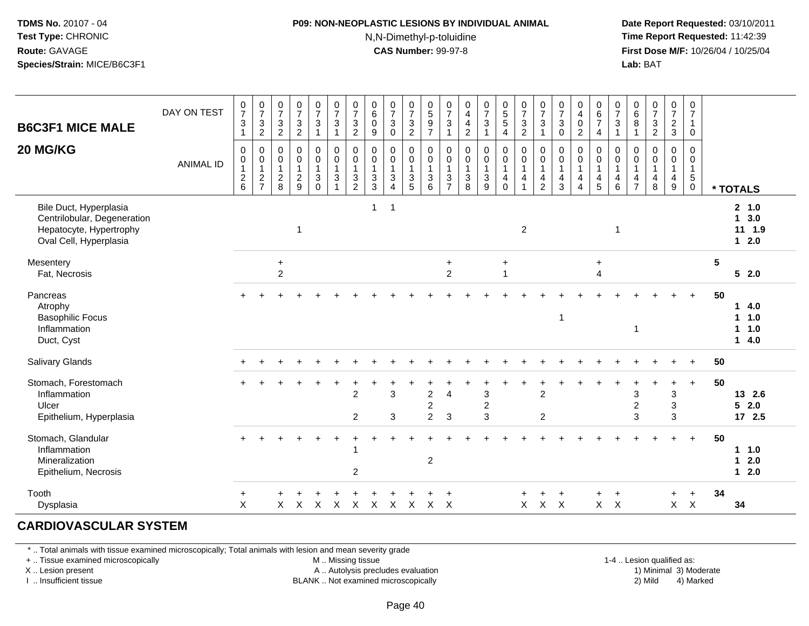# **P09: NON-NEOPLASTIC LESIONS BY INDIVIDUAL ANIMAL**

N,N-Dimethyl-p-toluidine

 **Date Report Requested:** 03/10/2011 **Time Report Requested:** 11:42:39 **First Dose M/F:** 10/26/04 / 10/25/04 Lab: BAT **Lab:** BAT

| <b>B6C3F1 MICE MALE</b><br>20 MG/KG                                                                        | DAY ON TEST<br><b>ANIMAL ID</b> | $\frac{0}{7}$<br>$\ensuremath{\mathsf{3}}$<br>$\mathbf{1}$<br>0<br>$\pmb{0}$<br>$\mathbf{1}$<br>$\frac{2}{6}$ | $\frac{0}{7}$<br>$\frac{3}{2}$<br>$\pmb{0}$<br>$\pmb{0}$<br>$\mathbf{1}$<br>$\frac{2}{7}$ | $\frac{0}{7}$<br>$\frac{3}{2}$<br>$\boldsymbol{0}$<br>$\pmb{0}$<br>$\overline{1}$<br>$\frac{2}{8}$ | $\frac{0}{7}$<br>$\frac{3}{2}$<br>$\pmb{0}$<br>$\overline{0}$<br>1<br>$\overline{2}$<br>9 | $\begin{array}{c} 0 \\ 7 \end{array}$<br>$\mathbf{3}$<br>1<br>0<br>0<br>$\mathbf{1}$<br>3<br>$\Omega$ | $\begin{smallmatrix}0\\7\end{smallmatrix}$<br>$\mathbf{3}$<br>$\overline{1}$<br>$\pmb{0}$<br>$\overline{0}$<br>1<br>$\ensuremath{\mathsf{3}}$<br>$\overline{1}$ | $\frac{0}{7}$<br>$\ensuremath{\mathsf{3}}$<br>$\overline{c}$<br>$\pmb{0}$<br>$\ddot{\mathbf{0}}$<br>$\mathbf{1}$<br>$\sqrt{3}$<br>$\overline{2}$ | $\begin{array}{c} 0 \\ 6 \end{array}$<br>$\mathbf 0$<br>9<br>0<br>$\pmb{0}$<br>$\mathbf 1$<br>$\ensuremath{\mathsf{3}}$<br>$\mathsf 3$ | $\begin{array}{c} 0 \\ 7 \end{array}$<br>$\mathbf 3$<br>$\mathbf 0$<br>$\mathbf 0$<br>$\mathsf 0$<br>$\mathbf{1}$<br>$\mathbf 3$<br>$\overline{4}$ | $\frac{0}{7}$<br>$\mathsf 3$<br>$\overline{c}$<br>0<br>$\pmb{0}$<br>$\mathbf{1}$<br>$\ensuremath{\mathsf{3}}$<br>$5\phantom{.0}$ | $\begin{smallmatrix}0\\5\end{smallmatrix}$<br>$\frac{9}{7}$<br>$\mathbf 0$<br>$\pmb{0}$<br>$\mathbf{1}$<br>$\mathbf{3}$<br>6 | $\frac{0}{7}$<br>$\sqrt{3}$<br>$\mathbf{1}$<br>0<br>$\pmb{0}$<br>$\mathbf{1}$<br>$\ensuremath{\mathsf{3}}$<br>$\overline{7}$ | $\pmb{0}$<br>$\overline{\mathbf{4}}$<br>$\frac{4}{2}$<br>0<br>$\begin{smallmatrix}0\\1\end{smallmatrix}$<br>$\sqrt{3}$<br>8 | $\begin{smallmatrix}0\\7\end{smallmatrix}$<br>$\sqrt{3}$<br>1<br>$\pmb{0}$<br>$\ddot{\mathbf{0}}$<br>$\mathbf{1}$<br>$\ensuremath{\mathsf{3}}$<br>$\overline{9}$ | $\begin{array}{c} 0 \\ 5 \\ 5 \end{array}$<br>$\overline{4}$<br>$\mathbf 0$<br>$\overline{0}$<br>$\mathbf{1}$<br>$\overline{4}$<br>$\mathbf 0$ | $\begin{array}{c} 0 \\ 7 \\ 3 \\ 2 \end{array}$<br>$\mathbf 0$<br>$\overline{0}$<br>$\mathbf{1}$<br>$\overline{\mathbf{4}}$<br>$\mathbf{1}$ | $\frac{0}{7}$<br>3<br>1<br>0<br>$\mathbf 0$<br>$\mathbf{1}$<br>$\overline{\mathbf{4}}$<br>$\overline{2}$ | $\frac{0}{7}$<br>$\sqrt{3}$<br>$\mathbf 0$<br>$\pmb{0}$<br>$\ddot{\mathbf{0}}$<br>$\mathbf{1}$<br>$\overline{4}$<br>3 | $\begin{array}{c} 0 \\ 4 \\ 0 \end{array}$<br>$\overline{2}$<br>0<br>$\pmb{0}$<br>$\mathbf{1}$<br>$\overline{4}$<br>$\boldsymbol{\Lambda}$ | $\begin{array}{c} 0 \\ 6 \\ 7 \end{array}$<br>4<br>0<br>$\pmb{0}$<br>$\mathbf{1}$<br>$\overline{4}$<br>$\sqrt{5}$ | $\frac{0}{7}$<br>$\sqrt{3}$<br>$\overline{1}$<br>$\mathbf 0$<br>$\mathbf 0$<br>$\overline{1}$<br>$\overline{4}$<br>$\,6\,$ | $\pmb{0}$<br>$6\phantom{a}$<br>8<br>$\mathbf{1}$<br>$\mathbf 0$<br>0<br>$\mathbf{1}$<br>$\overline{4}$<br>$\overline{7}$ | $\begin{array}{c} 0 \\ 7 \end{array}$<br>$\sqrt{3}$<br>$\overline{2}$<br>$\mathbf 0$<br>$\mathbf 0$<br>$\mathbf{1}$<br>4<br>8 | $\frac{0}{7}$<br>$\frac{2}{3}$<br>0<br>$\mathbf 0$<br>$\mathbf{1}$<br>4<br>$\boldsymbol{9}$ | $\pmb{0}$<br>$\overline{7}$<br>$\mathbf{1}$<br>$\mathbf 0$<br>$\mathbf 0$<br>$\mathbf 0$<br>$\mathbf{1}$<br>$\sqrt{5}$<br>$\mathbf 0$ |                | * TOTALS                           |
|------------------------------------------------------------------------------------------------------------|---------------------------------|---------------------------------------------------------------------------------------------------------------|-------------------------------------------------------------------------------------------|----------------------------------------------------------------------------------------------------|-------------------------------------------------------------------------------------------|-------------------------------------------------------------------------------------------------------|-----------------------------------------------------------------------------------------------------------------------------------------------------------------|--------------------------------------------------------------------------------------------------------------------------------------------------|----------------------------------------------------------------------------------------------------------------------------------------|----------------------------------------------------------------------------------------------------------------------------------------------------|----------------------------------------------------------------------------------------------------------------------------------|------------------------------------------------------------------------------------------------------------------------------|------------------------------------------------------------------------------------------------------------------------------|-----------------------------------------------------------------------------------------------------------------------------|------------------------------------------------------------------------------------------------------------------------------------------------------------------|------------------------------------------------------------------------------------------------------------------------------------------------|---------------------------------------------------------------------------------------------------------------------------------------------|----------------------------------------------------------------------------------------------------------|-----------------------------------------------------------------------------------------------------------------------|--------------------------------------------------------------------------------------------------------------------------------------------|-------------------------------------------------------------------------------------------------------------------|----------------------------------------------------------------------------------------------------------------------------|--------------------------------------------------------------------------------------------------------------------------|-------------------------------------------------------------------------------------------------------------------------------|---------------------------------------------------------------------------------------------|---------------------------------------------------------------------------------------------------------------------------------------|----------------|------------------------------------|
| Bile Duct, Hyperplasia<br>Centrilobular, Degeneration<br>Hepatocyte, Hypertrophy<br>Oval Cell, Hyperplasia |                                 |                                                                                                               |                                                                                           |                                                                                                    | $\mathbf{1}$                                                                              |                                                                                                       |                                                                                                                                                                 |                                                                                                                                                  | $\mathbf{1}$                                                                                                                           | $\overline{1}$                                                                                                                                     |                                                                                                                                  |                                                                                                                              |                                                                                                                              |                                                                                                                             |                                                                                                                                                                  |                                                                                                                                                | $\sqrt{2}$                                                                                                                                  |                                                                                                          |                                                                                                                       |                                                                                                                                            |                                                                                                                   | $\overline{1}$                                                                                                             |                                                                                                                          |                                                                                                                               |                                                                                             |                                                                                                                                       |                | 2, 1.0<br>13.0<br>11 1.9<br>$12.0$ |
| Mesentery<br>Fat, Necrosis                                                                                 |                                 |                                                                                                               |                                                                                           | $\ddot{}$<br>$\overline{2}$                                                                        |                                                                                           |                                                                                                       |                                                                                                                                                                 |                                                                                                                                                  |                                                                                                                                        |                                                                                                                                                    |                                                                                                                                  |                                                                                                                              | $\ddot{}$<br>$\overline{c}$                                                                                                  |                                                                                                                             |                                                                                                                                                                  | $\ddot{}$<br>$\overline{1}$                                                                                                                    |                                                                                                                                             |                                                                                                          |                                                                                                                       |                                                                                                                                            | $\ddot{}$<br>4                                                                                                    |                                                                                                                            |                                                                                                                          |                                                                                                                               |                                                                                             |                                                                                                                                       | $5\phantom{1}$ | $5 \quad 2.0$                      |
| Pancreas<br>Atrophy<br><b>Basophilic Focus</b><br>Inflammation<br>Duct, Cyst                               |                                 |                                                                                                               |                                                                                           |                                                                                                    |                                                                                           |                                                                                                       |                                                                                                                                                                 |                                                                                                                                                  |                                                                                                                                        |                                                                                                                                                    |                                                                                                                                  |                                                                                                                              |                                                                                                                              |                                                                                                                             |                                                                                                                                                                  |                                                                                                                                                |                                                                                                                                             |                                                                                                          | $\mathbf{1}$                                                                                                          |                                                                                                                                            |                                                                                                                   |                                                                                                                            | $\mathbf{1}$                                                                                                             |                                                                                                                               |                                                                                             | $\ddot{}$                                                                                                                             | 50             | 14.0<br>$1 1.0$<br>11.0<br>$14.0$  |
| <b>Salivary Glands</b>                                                                                     |                                 |                                                                                                               |                                                                                           |                                                                                                    |                                                                                           |                                                                                                       |                                                                                                                                                                 |                                                                                                                                                  |                                                                                                                                        |                                                                                                                                                    |                                                                                                                                  |                                                                                                                              |                                                                                                                              |                                                                                                                             |                                                                                                                                                                  |                                                                                                                                                |                                                                                                                                             |                                                                                                          |                                                                                                                       |                                                                                                                                            |                                                                                                                   |                                                                                                                            |                                                                                                                          |                                                                                                                               |                                                                                             | $\ddot{}$                                                                                                                             | 50             |                                    |
| Stomach, Forestomach<br>Inflammation<br>Ulcer<br>Epithelium, Hyperplasia                                   |                                 |                                                                                                               |                                                                                           |                                                                                                    |                                                                                           |                                                                                                       |                                                                                                                                                                 | $\div$<br>$\overline{2}$<br>$\overline{2}$                                                                                                       |                                                                                                                                        | 3<br>3                                                                                                                                             |                                                                                                                                  | $\overline{c}$<br>$\overline{\mathbf{c}}$<br>$\overline{2}$                                                                  | $\overline{4}$<br>3                                                                                                          |                                                                                                                             | $\mathbf{3}$<br>$\overline{2}$<br>$\overline{3}$                                                                                                                 |                                                                                                                                                |                                                                                                                                             | $\overline{2}$<br>$\overline{2}$                                                                         |                                                                                                                       |                                                                                                                                            |                                                                                                                   |                                                                                                                            | 3<br>$\overline{c}$<br>3                                                                                                 |                                                                                                                               | $\ddot{}$<br>3<br>3<br>$\overline{3}$                                                       | $+$                                                                                                                                   | 50             | 13 2.6<br>$5 \quad 2.0$<br>17 2.5  |
| Stomach, Glandular<br>Inflammation<br>Mineralization<br>Epithelium, Necrosis                               |                                 |                                                                                                               |                                                                                           |                                                                                                    |                                                                                           |                                                                                                       |                                                                                                                                                                 | $\overline{1}$<br>$\overline{c}$                                                                                                                 |                                                                                                                                        |                                                                                                                                                    |                                                                                                                                  | $\overline{c}$                                                                                                               |                                                                                                                              |                                                                                                                             |                                                                                                                                                                  |                                                                                                                                                |                                                                                                                                             |                                                                                                          |                                                                                                                       |                                                                                                                                            |                                                                                                                   |                                                                                                                            |                                                                                                                          |                                                                                                                               |                                                                                             | $+$                                                                                                                                   | 50             | 1 1.0<br>$12.0$<br>$12.0$          |
| Tooth<br>Dysplasia                                                                                         |                                 | $+$<br>X                                                                                                      |                                                                                           | X                                                                                                  | X                                                                                         | $\times$                                                                                              | X                                                                                                                                                               | $\boldsymbol{\mathsf{X}}$                                                                                                                        | X                                                                                                                                      | $\sf X$                                                                                                                                            | $\mathsf{X}$                                                                                                                     | $\mathsf{X}$                                                                                                                 | $\mathsf{X}$                                                                                                                 |                                                                                                                             |                                                                                                                                                                  |                                                                                                                                                | $\mathsf{X}$                                                                                                                                | $\mathsf{X}$                                                                                             | $\times$                                                                                                              |                                                                                                                                            | +                                                                                                                 | $\overline{+}$<br>$X$ $X$                                                                                                  |                                                                                                                          |                                                                                                                               | $\ddot{}$<br>$\mathsf{X}$                                                                   | $+$<br>$\mathsf{X}$                                                                                                                   | 34             | 34                                 |

#### **CARDIOVASCULAR SYSTEM**

\* .. Total animals with tissue examined microscopically; Total animals with lesion and mean severity grade

+ .. Tissue examined microscopically

X .. Lesion present

I .. Insufficient tissue

M .. Missing tissue

A .. Autolysis precludes evaluation

BLANK .. Not examined microscopically 2) Mild 4) Marked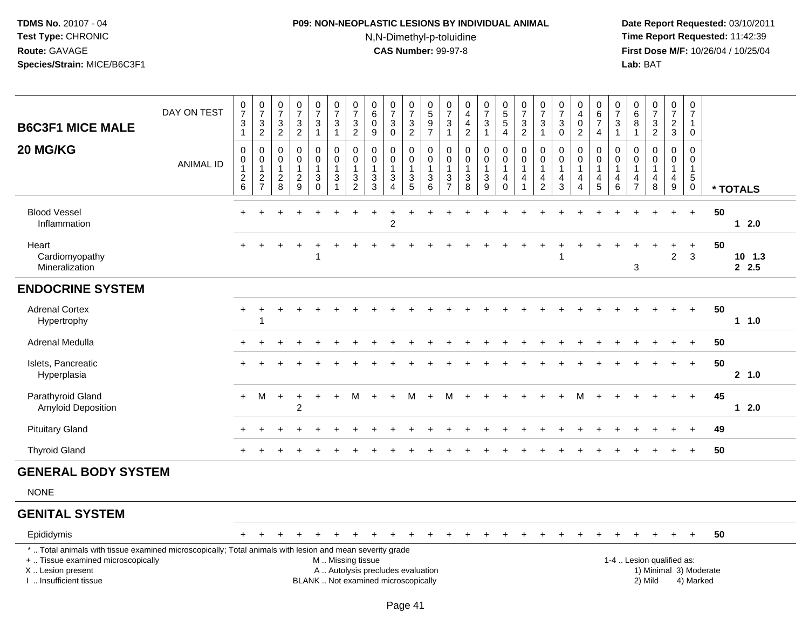### **P09: NON-NEOPLASTIC LESIONS BY INDIVIDUAL ANIMAL**N,N-Dimethyl-p-toluidine

 **Date Report Requested:** 03/10/2011 **Time Report Requested:** 11:42:39 **First Dose M/F:** 10/26/04 / 10/25/04<br>**Lab:** BAT **Lab:** BAT

| <b>B6C3F1 MICE MALE</b>                   | DAY ON TEST      | $\frac{0}{7}$<br>$\ensuremath{\mathsf{3}}$<br>$\mathbf{1}$ | $\frac{0}{7}$<br>$\ensuremath{\mathsf{3}}$<br>$\overline{2}$ | $\frac{0}{7}$<br>$\mathbf{3}$<br>$\overline{2}$              | $\frac{0}{7}$<br>$\ensuremath{\mathsf{3}}$<br>$\overline{2}$    | $\frac{0}{7}$<br>3<br>$\mathbf 1$                 | $\frac{0}{7}$<br>$\mathbf{3}$<br>$\mathbf{1}$                                                  | $\frac{0}{7}$<br>$\mathsf 3$<br>$\overline{2}$                       | $\pmb{0}$<br>6<br>0<br>9         | $\frac{0}{7}$<br>$\mathbf 3$<br>$\boldsymbol{0}$                             | $\frac{0}{7}$<br>$\ensuremath{\mathsf{3}}$<br>$\overline{2}$ | $\begin{array}{c} 0 \\ 5 \end{array}$<br>$\boldsymbol{9}$<br>$\overline{7}$ | $\frac{0}{7}$<br>$\sqrt{3}$<br>$\mathbf{1}$                      | $\pmb{0}$<br>$\overline{4}$<br>$\overline{4}$<br>$\overline{c}$ | $\frac{0}{7}$<br>$\ensuremath{\mathsf{3}}$<br>$\mathbf{1}$                         | $\begin{array}{c} 0 \\ 5 \\ 5 \end{array}$<br>$\overline{4}$                                          | $\begin{array}{c} 0 \\ 7 \\ 3 \end{array}$<br>$\overline{2}$                                   | $\frac{0}{7}$<br>3<br>1                                              | $\frac{0}{7}$<br>$\mathbf{3}$<br>$\mathsf{O}\xspace$ | 0<br>$\overline{\mathbf{4}}$<br>$\pmb{0}$<br>$\overline{2}$        | $_{6}^{\rm 0}$<br>$\boldsymbol{7}$<br>4               | $\begin{array}{c} 0 \\ 7 \\ 3 \end{array}$<br>$\overline{1}$               | $\begin{array}{c} 0 \\ 6 \end{array}$<br>8<br>$\mathbf{1}$ | $\frac{0}{7}$<br>$\mathbf 3$<br>$\overline{2}$ | $\frac{0}{7}$<br>$\overline{c}$<br>3                    | $\mathbf 0$<br>$\overline{7}$<br>$\mathbf{1}$<br>$\mathbf 0$            |    |                 |
|-------------------------------------------|------------------|------------------------------------------------------------|--------------------------------------------------------------|--------------------------------------------------------------|-----------------------------------------------------------------|---------------------------------------------------|------------------------------------------------------------------------------------------------|----------------------------------------------------------------------|----------------------------------|------------------------------------------------------------------------------|--------------------------------------------------------------|-----------------------------------------------------------------------------|------------------------------------------------------------------|-----------------------------------------------------------------|------------------------------------------------------------------------------------|-------------------------------------------------------------------------------------------------------|------------------------------------------------------------------------------------------------|----------------------------------------------------------------------|------------------------------------------------------|--------------------------------------------------------------------|-------------------------------------------------------|----------------------------------------------------------------------------|------------------------------------------------------------|------------------------------------------------|---------------------------------------------------------|-------------------------------------------------------------------------|----|-----------------|
| 20 MG/KG                                  | <b>ANIMAL ID</b> | 0<br>$\pmb{0}$<br>$\mathbf{1}$<br>$^2\phantom{1}6$         | $\pmb{0}$<br>$\overline{0}$<br>$\mathbf{1}$<br>$\frac{2}{7}$ | 0<br>$\mathbf 0$<br>$\overline{\mathbf{1}}$<br>$\frac{2}{8}$ | $\pmb{0}$<br>$\mathbf 0$<br>$\mathbf{1}$<br>$\sqrt{2}$<br>$9\,$ | 0<br>$\mathsf{O}\xspace$<br>1<br>3<br>$\mathbf 0$ | $\begin{smallmatrix} 0\\0 \end{smallmatrix}$<br>$\mathbf{1}$<br>$\mathbf{3}$<br>$\overline{1}$ | $\mathbf 0$<br>$\overline{0}$<br>$\mathbf{1}$<br>3<br>$\overline{c}$ | 0<br>0<br>$\mathbf{1}$<br>3<br>3 | $\mathbf 0$<br>$\mathbf 0$<br>$\mathbf{1}$<br>$\mathbf{3}$<br>$\overline{4}$ | 0<br>$\pmb{0}$<br>$\mathbf{1}$<br>$\sqrt{3}$<br>$\sqrt{5}$   | $\mathbf 0$<br>$\overline{0}$<br>$\mathbf{1}$<br>$\sqrt{3}$<br>$\,6\,$      | 0<br>$\pmb{0}$<br>$\mathbf{1}$<br>$\mathbf{3}$<br>$\overline{7}$ | $\pmb{0}$<br>$\mathbf 0$<br>$\mathbf{1}$<br>3<br>8              | $\pmb{0}$<br>$\ddot{\mathbf{0}}$<br>$\mathbf{1}$<br>$\ensuremath{\mathsf{3}}$<br>9 | $\begin{smallmatrix} 0\\0 \end{smallmatrix}$<br>$\mathbf{1}$<br>$\overline{4}$<br>$\mathsf{O}\xspace$ | $\begin{smallmatrix} 0\\0 \end{smallmatrix}$<br>$\mathbf{1}$<br>$\overline{a}$<br>$\mathbf{1}$ | 0<br>$\mathbf 0$<br>$\mathbf{1}$<br>$\overline{4}$<br>$\overline{c}$ | 0<br>$\pmb{0}$<br>$\mathbf{1}$<br>4<br>3             | 0<br>$\pmb{0}$<br>$\mathbf{1}$<br>$\overline{4}$<br>$\overline{4}$ | 0<br>$\pmb{0}$<br>$\mathbf{1}$<br>$\overline{4}$<br>5 | $\mathbf 0$<br>$\overline{0}$<br>$\mathbf{1}$<br>$\overline{4}$<br>$\,6\,$ | 0<br>0<br>$\mathbf{1}$<br>4<br>$\overline{7}$              | $\mathbf 0$<br>$\mathbf 0$<br>1<br>4<br>8      | 0<br>$\mathbf 0$<br>$\mathbf{1}$<br>$\overline{4}$<br>9 | $\mathsf 0$<br>$\mathbf 0$<br>$\mathbf{1}$<br>$\sqrt{5}$<br>$\mathbf 0$ |    | * TOTALS        |
| <b>Blood Vessel</b><br>Inflammation       |                  |                                                            |                                                              |                                                              |                                                                 |                                                   |                                                                                                |                                                                      |                                  | $\overline{c}$                                                               |                                                              |                                                                             |                                                                  |                                                                 |                                                                                    |                                                                                                       |                                                                                                |                                                                      |                                                      |                                                                    |                                                       |                                                                            |                                                            |                                                |                                                         | $+$                                                                     | 50 | $12.0$          |
| Heart<br>Cardiomyopathy<br>Mineralization |                  | $+$                                                        | $\div$                                                       |                                                              |                                                                 |                                                   |                                                                                                |                                                                      |                                  |                                                                              |                                                              |                                                                             |                                                                  |                                                                 |                                                                                    |                                                                                                       |                                                                                                |                                                                      |                                                      |                                                                    |                                                       |                                                                            | 3                                                          |                                                | $\ddot{}$<br>$\overline{2}$                             | $\ddot{}$<br>3                                                          | 50 | $10$ 1.3<br>2.5 |
| <b>ENDOCRINE SYSTEM</b>                   |                  |                                                            |                                                              |                                                              |                                                                 |                                                   |                                                                                                |                                                                      |                                  |                                                                              |                                                              |                                                                             |                                                                  |                                                                 |                                                                                    |                                                                                                       |                                                                                                |                                                                      |                                                      |                                                                    |                                                       |                                                                            |                                                            |                                                |                                                         |                                                                         |    |                 |
| <b>Adrenal Cortex</b><br>Hypertrophy      |                  | +                                                          |                                                              |                                                              |                                                                 |                                                   |                                                                                                |                                                                      |                                  |                                                                              |                                                              |                                                                             |                                                                  |                                                                 |                                                                                    |                                                                                                       |                                                                                                |                                                                      |                                                      |                                                                    |                                                       |                                                                            |                                                            |                                                | $\ddot{}$                                               | $+$                                                                     | 50 | 1 1.0           |
| Adrenal Medulla                           |                  | $+$                                                        |                                                              |                                                              |                                                                 |                                                   |                                                                                                |                                                                      |                                  |                                                                              |                                                              |                                                                             |                                                                  |                                                                 |                                                                                    |                                                                                                       |                                                                                                |                                                                      |                                                      |                                                                    |                                                       |                                                                            |                                                            |                                                |                                                         | $+$                                                                     | 50 |                 |
| Islets, Pancreatic<br>Hyperplasia         |                  |                                                            |                                                              |                                                              |                                                                 |                                                   |                                                                                                |                                                                      |                                  |                                                                              |                                                              |                                                                             |                                                                  |                                                                 |                                                                                    |                                                                                                       |                                                                                                |                                                                      |                                                      |                                                                    |                                                       |                                                                            |                                                            |                                                | $+$                                                     | $+$                                                                     | 50 | 2, 1.0          |
| Parathyroid Gland<br>Amyloid Deposition   |                  | $+$                                                        | M                                                            | $\ddot{}$                                                    | $\ddot{}$<br>$\overline{c}$                                     | $\ddot{}$                                         | $+$                                                                                            | м                                                                    | $\pm$                            | $\ddot{+}$                                                                   | M                                                            | $+$                                                                         | M                                                                |                                                                 |                                                                                    |                                                                                                       |                                                                                                |                                                                      |                                                      | м                                                                  | $\ddot{}$                                             |                                                                            |                                                            |                                                | $+$                                                     | $+$                                                                     | 45 | $12.0$          |
| <b>Pituitary Gland</b>                    |                  |                                                            |                                                              |                                                              |                                                                 |                                                   |                                                                                                |                                                                      |                                  |                                                                              |                                                              |                                                                             |                                                                  |                                                                 |                                                                                    |                                                                                                       |                                                                                                |                                                                      |                                                      |                                                                    |                                                       |                                                                            |                                                            |                                                |                                                         | $\ddot{}$                                                               | 49 |                 |
| <b>Thyroid Gland</b>                      |                  | $+$                                                        |                                                              |                                                              |                                                                 |                                                   |                                                                                                |                                                                      |                                  |                                                                              |                                                              |                                                                             |                                                                  |                                                                 |                                                                                    |                                                                                                       |                                                                                                |                                                                      |                                                      |                                                                    |                                                       |                                                                            |                                                            |                                                |                                                         | $\ddot{}$                                                               | 50 |                 |
| <b>GENERAL BODY SYSTEM</b>                |                  |                                                            |                                                              |                                                              |                                                                 |                                                   |                                                                                                |                                                                      |                                  |                                                                              |                                                              |                                                                             |                                                                  |                                                                 |                                                                                    |                                                                                                       |                                                                                                |                                                                      |                                                      |                                                                    |                                                       |                                                                            |                                                            |                                                |                                                         |                                                                         |    |                 |
| <b>NONE</b>                               |                  |                                                            |                                                              |                                                              |                                                                 |                                                   |                                                                                                |                                                                      |                                  |                                                                              |                                                              |                                                                             |                                                                  |                                                                 |                                                                                    |                                                                                                       |                                                                                                |                                                                      |                                                      |                                                                    |                                                       |                                                                            |                                                            |                                                |                                                         |                                                                         |    |                 |
| <b>GENITAL SYSTEM</b>                     |                  |                                                            |                                                              |                                                              |                                                                 |                                                   |                                                                                                |                                                                      |                                  |                                                                              |                                                              |                                                                             |                                                                  |                                                                 |                                                                                    |                                                                                                       |                                                                                                |                                                                      |                                                      |                                                                    |                                                       |                                                                            |                                                            |                                                |                                                         |                                                                         |    |                 |
| Epididymis                                |                  | $+$                                                        |                                                              |                                                              |                                                                 |                                                   |                                                                                                |                                                                      |                                  |                                                                              |                                                              |                                                                             |                                                                  |                                                                 |                                                                                    |                                                                                                       |                                                                                                |                                                                      |                                                      |                                                                    |                                                       |                                                                            |                                                            |                                                |                                                         | $\ddot{}$                                                               | 50 |                 |

\* .. Total animals with tissue examined microscopically; Total animals with lesion and mean severity grade

+ .. Tissue examined microscopically

X .. Lesion present

I .. Insufficient tissue

 M .. Missing tissueA .. Autolysis precludes evaluation

BLANK .. Not examined microscopically 2) Mild 4) Marked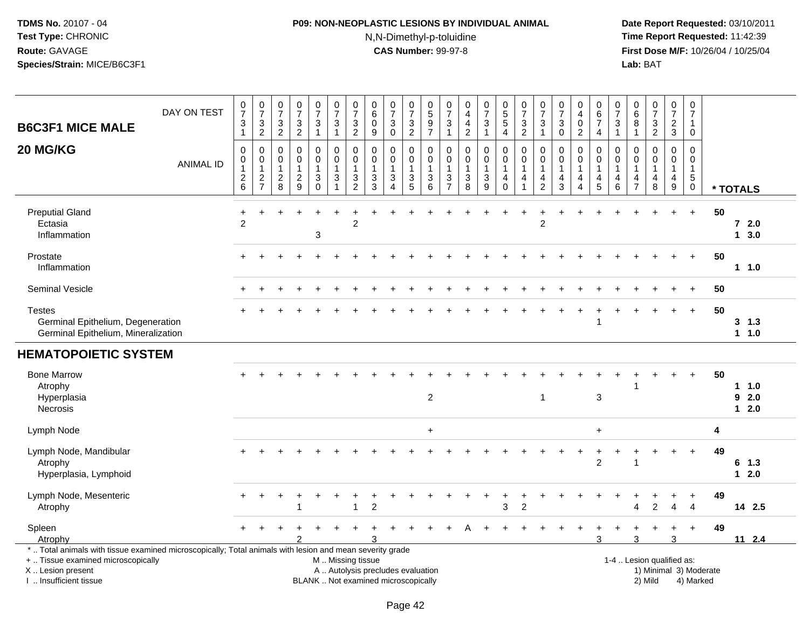# **P09: NON-NEOPLASTIC LESIONS BY INDIVIDUAL ANIMAL**N,N-Dimethyl-p-toluidine

| <b>B6C3F1 MICE MALE</b>                                                                                                                                                                       | DAY ON TEST      | $\begin{smallmatrix}0\\7\end{smallmatrix}$<br>$\sqrt{3}$<br>$\mathbf{1}$ | $\frac{0}{7}$<br>$\sqrt{3}$<br>$\overline{c}$                 | $\frac{0}{7}$<br>$\ensuremath{\mathsf{3}}$<br>$\overline{2}$ | $\frac{0}{7}$<br>$\ensuremath{\mathsf{3}}$<br>$\overline{2}$ | $\begin{smallmatrix}0\\7\end{smallmatrix}$<br>$\ensuremath{\mathsf{3}}$<br>$\mathbf{1}$ | $\begin{array}{c} 0 \\ 7 \end{array}$<br>$\sqrt{3}$<br>$\mathbf{1}$                         | $\begin{array}{c} 0 \\ 7 \end{array}$<br>3<br>$\sqrt{2}$ | $\begin{array}{c} 0 \\ 6 \end{array}$<br>$\pmb{0}$<br>$\boldsymbol{9}$ | $\frac{0}{7}$<br>3<br>$\mathsf 0$                                        | $\frac{0}{7}$<br>$\ensuremath{\mathsf{3}}$<br>$\overline{2}$ | $0$<br>$5$<br>$9$<br>$7$                                  | $\,0\,$<br>$\overline{7}$<br>$\ensuremath{\mathsf{3}}$<br>$\mathbf{1}$ | 0<br>$\overline{4}$<br>$\overline{\mathbf{4}}$<br>$\overline{c}$ | $\frac{0}{7}$<br>3<br>$\mathbf{1}$                | $\begin{array}{c} 0 \\ 5 \\ 5 \end{array}$<br>$\overline{4}$ | $\frac{0}{7}$<br>$\frac{3}{2}$                                               | $\begin{array}{c} 0 \\ 7 \end{array}$<br>3<br>$\overline{1}$                    | $\frac{0}{7}$<br>3<br>$\mathbf 0$                       | 0<br>$\overline{4}$<br>$\pmb{0}$<br>$\overline{c}$                      | $_6^0$<br>$\overline{7}$<br>$\overline{4}$                                     | $\begin{array}{c} 0 \\ 7 \end{array}$<br>3<br>$\mathbf{1}$ | $\boldsymbol{0}$<br>$\overline{6}$<br>$\bf8$<br>$\overline{1}$ | $\begin{array}{c} 0 \\ 7 \end{array}$<br>$\frac{3}{2}$                     | $\frac{0}{7}$<br>$\frac{2}{3}$                                                   | $\frac{0}{7}$<br>$\mathbf{1}$<br>$\mathbf 0$                                    |    |                             |  |
|-----------------------------------------------------------------------------------------------------------------------------------------------------------------------------------------------|------------------|--------------------------------------------------------------------------|---------------------------------------------------------------|--------------------------------------------------------------|--------------------------------------------------------------|-----------------------------------------------------------------------------------------|---------------------------------------------------------------------------------------------|----------------------------------------------------------|------------------------------------------------------------------------|--------------------------------------------------------------------------|--------------------------------------------------------------|-----------------------------------------------------------|------------------------------------------------------------------------|------------------------------------------------------------------|---------------------------------------------------|--------------------------------------------------------------|------------------------------------------------------------------------------|---------------------------------------------------------------------------------|---------------------------------------------------------|-------------------------------------------------------------------------|--------------------------------------------------------------------------------|------------------------------------------------------------|----------------------------------------------------------------|----------------------------------------------------------------------------|----------------------------------------------------------------------------------|---------------------------------------------------------------------------------|----|-----------------------------|--|
| 20 MG/KG                                                                                                                                                                                      | <b>ANIMAL ID</b> | $\mathbf 0$<br>0<br>$\mathbf{1}$<br>$\frac{2}{6}$                        | $\mathbf 0$<br>$\mathbf 0$<br>$\overline{1}$<br>$\frac{2}{7}$ | $\mathbf 0$<br>$\mathbf 0$<br>$\mathbf{1}$<br>$\frac{2}{8}$  | $\mathbf 0$<br>0<br>$\mathbf{1}$<br>$\frac{2}{9}$            | $\mathbf 0$<br>0<br>$\mathbf{1}$<br>$_0^3$                                              | $\mathbf 0$<br>$\mathbf 0$<br>$\overline{1}$<br>$\ensuremath{\mathsf{3}}$<br>$\overline{1}$ | 0<br>0<br>$\mathbf{1}$<br>3<br>$\overline{2}$            | 0<br>$\pmb{0}$<br>$\mathbf{1}$<br>$\frac{3}{3}$                        | 0<br>$\mathbf 0$<br>$\mathbf{1}$<br>$\sqrt{3}$<br>$\boldsymbol{\Lambda}$ | 0<br>0<br>$\mathbf 1$<br>$\frac{3}{5}$                       | $\mathbf 0$<br>$\pmb{0}$<br>$\mathbf{1}$<br>$\frac{3}{6}$ | $\mathbf 0$<br>0<br>$\mathbf{1}$<br>$\frac{3}{7}$                      | $\mathbf 0$<br>$\mathbf 0$<br>$\mathbf{1}$<br>3<br>8             | 0<br>$\mathbf 0$<br>$\mathbf{1}$<br>$\frac{3}{9}$ | $\mathbf 0$<br>$\pmb{0}$<br>$\mathbf{1}$<br>$^4_{\rm 0}$     | $\mathbf 0$<br>$\pmb{0}$<br>$\mathbf{1}$<br>$\overline{4}$<br>$\overline{1}$ | $\mathbf 0$<br>0<br>$\overline{1}$<br>$\overline{\mathbf{4}}$<br>$\overline{c}$ | 0<br>$\mathbf 0$<br>$\mathbf{1}$<br>$\overline{4}$<br>3 | $\Omega$<br>$\mathbf 0$<br>$\mathbf{1}$<br>4<br>$\overline{\mathbf{4}}$ | $\mathbf 0$<br>$\mathbf 0$<br>$\mathbf{1}$<br>$\overline{4}$<br>$\overline{5}$ | 0<br>0<br>$\mathbf{1}$<br>$\overline{4}$<br>$\,6\,$        | $\mathbf 0$<br>0<br>$\overline{1}$<br>$\frac{4}{7}$            | $\mathbf 0$<br>$\mathbf 0$<br>$\mathbf{1}$<br>$\overline{\mathbf{4}}$<br>8 | $\mathbf 0$<br>$\mathbf 0$<br>$\mathbf{1}$<br>$\overline{4}$<br>$\boldsymbol{9}$ | $\mathbf 0$<br>$\mathbf 0$<br>$\mathbf{1}$<br>$\sqrt{5}$<br>$\mathsf{O}\xspace$ |    | * TOTALS                    |  |
| <b>Preputial Gland</b><br>Ectasia<br>Inflammation                                                                                                                                             |                  | $\ddot{}$<br>$\overline{2}$                                              |                                                               |                                                              |                                                              | 3                                                                                       |                                                                                             | $\overline{2}$                                           |                                                                        |                                                                          |                                                              |                                                           |                                                                        |                                                                  |                                                   |                                                              |                                                                              | $\overline{c}$                                                                  |                                                         |                                                                         |                                                                                |                                                            |                                                                |                                                                            |                                                                                  | $\ddot{}$                                                                       | 50 | 72.0<br>13.0                |  |
| Prostate<br>Inflammation                                                                                                                                                                      |                  |                                                                          |                                                               |                                                              |                                                              |                                                                                         |                                                                                             |                                                          |                                                                        |                                                                          |                                                              |                                                           |                                                                        |                                                                  |                                                   |                                                              |                                                                              |                                                                                 |                                                         |                                                                         |                                                                                |                                                            |                                                                |                                                                            |                                                                                  | $\ddot{}$                                                                       | 50 | $1 \t1.0$                   |  |
| Seminal Vesicle                                                                                                                                                                               |                  |                                                                          |                                                               |                                                              |                                                              |                                                                                         |                                                                                             |                                                          |                                                                        |                                                                          |                                                              |                                                           |                                                                        |                                                                  |                                                   |                                                              |                                                                              |                                                                                 |                                                         |                                                                         |                                                                                |                                                            |                                                                |                                                                            |                                                                                  | $\ddot{}$                                                                       | 50 |                             |  |
| <b>Testes</b><br>Germinal Epithelium, Degeneration<br>Germinal Epithelium, Mineralization                                                                                                     |                  |                                                                          |                                                               |                                                              |                                                              |                                                                                         |                                                                                             |                                                          |                                                                        |                                                                          |                                                              |                                                           |                                                                        |                                                                  |                                                   |                                                              |                                                                              |                                                                                 |                                                         |                                                                         |                                                                                |                                                            |                                                                |                                                                            |                                                                                  | $\ddot{}$                                                                       | 50 | 3, 1.3<br>1 1.0             |  |
| <b>HEMATOPOIETIC SYSTEM</b>                                                                                                                                                                   |                  |                                                                          |                                                               |                                                              |                                                              |                                                                                         |                                                                                             |                                                          |                                                                        |                                                                          |                                                              |                                                           |                                                                        |                                                                  |                                                   |                                                              |                                                                              |                                                                                 |                                                         |                                                                         |                                                                                |                                                            |                                                                |                                                                            |                                                                                  |                                                                                 |    |                             |  |
| <b>Bone Marrow</b><br>Atrophy<br>Hyperplasia<br>Necrosis                                                                                                                                      |                  |                                                                          |                                                               |                                                              |                                                              |                                                                                         |                                                                                             |                                                          |                                                                        |                                                                          |                                                              | $\overline{2}$                                            |                                                                        |                                                                  |                                                   |                                                              |                                                                              | -1                                                                              |                                                         |                                                                         | 3                                                                              |                                                            |                                                                |                                                                            |                                                                                  | $\ddot{}$                                                                       | 50 | $1 \t1.0$<br>92.0<br>$12.0$ |  |
| Lymph Node                                                                                                                                                                                    |                  |                                                                          |                                                               |                                                              |                                                              |                                                                                         |                                                                                             |                                                          |                                                                        |                                                                          |                                                              | $\ddot{}$                                                 |                                                                        |                                                                  |                                                   |                                                              |                                                                              |                                                                                 |                                                         |                                                                         | $+$                                                                            |                                                            |                                                                |                                                                            |                                                                                  |                                                                                 | 4  |                             |  |
| Lymph Node, Mandibular<br>Atrophy<br>Hyperplasia, Lymphoid                                                                                                                                    |                  |                                                                          |                                                               |                                                              |                                                              |                                                                                         |                                                                                             |                                                          |                                                                        |                                                                          |                                                              |                                                           |                                                                        |                                                                  |                                                   |                                                              |                                                                              |                                                                                 |                                                         |                                                                         | $\overline{c}$                                                                 |                                                            | 1                                                              |                                                                            |                                                                                  | $+$                                                                             | 49 | 6 1.3<br>$12.0$             |  |
| Lymph Node, Mesenteric<br>Atrophy                                                                                                                                                             |                  |                                                                          |                                                               |                                                              | -1                                                           |                                                                                         |                                                                                             | 1                                                        | $\overline{2}$                                                         |                                                                          |                                                              |                                                           |                                                                        |                                                                  |                                                   | 3                                                            | $\overline{2}$                                                               |                                                                                 |                                                         |                                                                         |                                                                                |                                                            | Δ                                                              | $\overline{2}$                                                             | $\overline{4}$                                                                   | $\ddot{}$<br>$\overline{4}$                                                     | 49 | 14 2.5                      |  |
| Spleen<br>Atrophy                                                                                                                                                                             |                  |                                                                          |                                                               |                                                              |                                                              |                                                                                         |                                                                                             |                                                          |                                                                        |                                                                          |                                                              |                                                           |                                                                        |                                                                  |                                                   |                                                              |                                                                              |                                                                                 |                                                         |                                                                         | 3                                                                              |                                                            | 3                                                              |                                                                            | 3                                                                                | $\ddot{}$                                                                       | 49 | 112.4                       |  |
| *  Total animals with tissue examined microscopically; Total animals with lesion and mean severity grade<br>+  Tissue examined microscopically<br>X  Lesion present<br>I. Insufficient tissue |                  |                                                                          |                                                               |                                                              |                                                              |                                                                                         | M  Missing tissue                                                                           |                                                          |                                                                        | A  Autolysis precludes evaluation<br>BLANK  Not examined microscopically |                                                              |                                                           |                                                                        |                                                                  |                                                   |                                                              |                                                                              |                                                                                 |                                                         |                                                                         |                                                                                |                                                            |                                                                | 1-4  Lesion qualified as:<br>2) Mild                                       |                                                                                  | 1) Minimal 3) Moderate<br>4) Marked                                             |    |                             |  |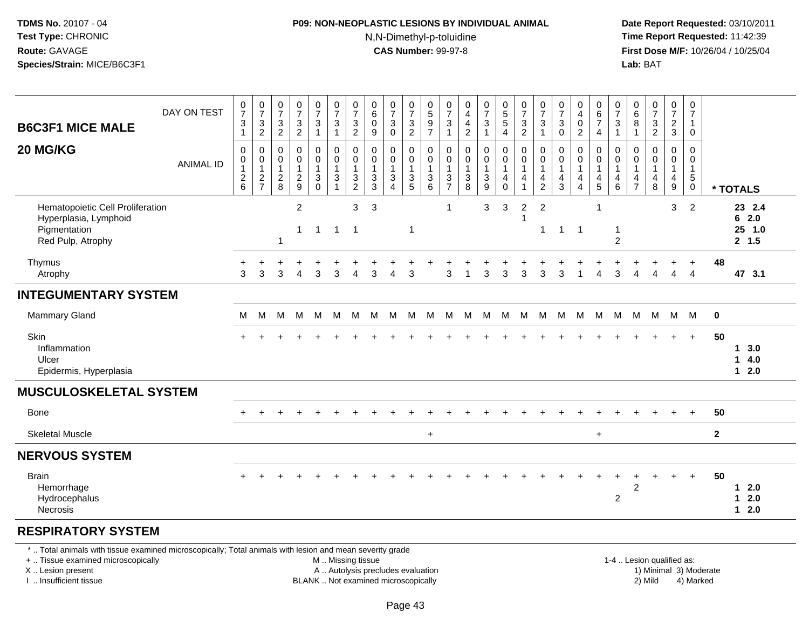### **P09: NON-NEOPLASTIC LESIONS BY INDIVIDUAL ANIMAL**N,N-Dimethyl-p-toluidine

 **Date Report Requested:** 03/10/2011 **Time Report Requested:** 11:42:39 **First Dose M/F:** 10/26/04 / 10/25/04 Lab: BAT **Lab:** BAT

| <b>B6C3F1 MICE MALE</b>                                                                        | DAY ON TEST      | $\frac{0}{7}$<br>$\mathbf{3}$<br>$\mathbf{1}$     | $\frac{0}{7}$<br>3<br>$\overline{2}$                                     | 0<br>$\overline{7}$<br>$\sqrt{3}$<br>$\overline{2}$ | $\frac{0}{7}$<br>$\frac{3}{2}$                          | $\frac{0}{7}$<br>$\ensuremath{\mathsf{3}}$<br>$\mathbf{1}$                   | $\frac{0}{7}$<br>$\sqrt{3}$<br>$\mathbf{1}$                              | $\frac{0}{7}$<br>$\ensuremath{\mathsf{3}}$<br>$\overline{2}$ | 0<br>$\,6\,$<br>$\mathbf 0$<br>$\boldsymbol{9}$ | $\frac{0}{7}$<br>$\sqrt{3}$<br>$\pmb{0}$                       | $\boldsymbol{0}$<br>$\boldsymbol{7}$<br>$\frac{3}{2}$         | 0<br>$\sqrt{5}$<br>$\boldsymbol{9}$<br>$\overline{7}$ | $\frac{0}{7}$<br>$\ensuremath{\mathsf{3}}$<br>$\mathbf{1}$                                | $\boldsymbol{0}$<br>$\overline{4}$<br>$\overline{4}$<br>$\overline{2}$     | $\frac{0}{7}$<br>3<br>$\mathbf{1}$                           | $\begin{array}{c} 0 \\ 5 \\ 5 \end{array}$<br>$\overline{4}$          | $\frac{0}{7}$<br>$\frac{3}{2}$                   | 0<br>$\overline{7}$<br>3<br>$\mathbf{1}$        | 0<br>$\overline{7}$<br>$\mathbf{3}$<br>$\mathbf 0$                  | 0<br>$\overline{4}$<br>$\pmb{0}$<br>$\overline{2}$ | 0<br>6<br>$\overline{7}$<br>$\overline{4}$ | $\frac{0}{7}$<br>$\ensuremath{\mathsf{3}}$<br>$\mathbf{1}$                    | 0<br>$\,6\,$<br>$\bf 8$<br>$\mathbf{1}$                | $\begin{array}{c} 0 \\ 7 \end{array}$<br>$\sqrt{3}$<br>$\overline{2}$ | $\frac{0}{7}$<br>$\frac{2}{3}$                          | 0<br>$\overline{7}$<br>$\mathbf{1}$<br>$\mathbf 0$       |              |                                    |
|------------------------------------------------------------------------------------------------|------------------|---------------------------------------------------|--------------------------------------------------------------------------|-----------------------------------------------------|---------------------------------------------------------|------------------------------------------------------------------------------|--------------------------------------------------------------------------|--------------------------------------------------------------|-------------------------------------------------|----------------------------------------------------------------|---------------------------------------------------------------|-------------------------------------------------------|-------------------------------------------------------------------------------------------|----------------------------------------------------------------------------|--------------------------------------------------------------|-----------------------------------------------------------------------|--------------------------------------------------|-------------------------------------------------|---------------------------------------------------------------------|----------------------------------------------------|--------------------------------------------|-------------------------------------------------------------------------------|--------------------------------------------------------|-----------------------------------------------------------------------|---------------------------------------------------------|----------------------------------------------------------|--------------|------------------------------------|
| 20 MG/KG                                                                                       | <b>ANIMAL ID</b> | $\pmb{0}$<br>0<br>$\overline{1}$<br>$\frac{2}{6}$ | $\pmb{0}$<br>$\begin{smallmatrix}0\\1\end{smallmatrix}$<br>$\frac{2}{7}$ | 0<br>0<br>$\mathbf{1}$<br>$\frac{2}{8}$             | $\pmb{0}$<br>$\pmb{0}$<br>$\mathbf{1}$<br>$\frac{2}{9}$ | 0<br>$\mathbf 0$<br>$\mathbf{1}$<br>$\ensuremath{\mathsf{3}}$<br>$\mathbf 0$ | $\pmb{0}$<br>$\mathbf 0$<br>$\mathbf{1}$<br>$\sqrt{3}$<br>$\overline{1}$ | 0<br>$\pmb{0}$<br>$\mathbf{1}$<br>3<br>$\overline{c}$        | $\mathbf 0$<br>0<br>$\mathbf{1}$<br>3<br>3      | 0<br>$\pmb{0}$<br>$\mathbf{1}$<br>$\sqrt{3}$<br>$\overline{A}$ | $\mathbf 0$<br>$\mathbf 0$<br>$\overline{1}$<br>$\frac{3}{5}$ | 0<br>0<br>$\overline{1}$<br>$\sqrt{3}$<br>6           | $\mathbf 0$<br>$\mathbf 0$<br>$\mathbf{1}$<br>$\ensuremath{\mathsf{3}}$<br>$\overline{7}$ | $\mathbf 0$<br>$\pmb{0}$<br>$\mathbf{1}$<br>$\ensuremath{\mathsf{3}}$<br>8 | 0<br>$\boldsymbol{0}$<br>$\mathbf{1}$<br>3<br>$\overline{9}$ | $\pmb{0}$<br>$\pmb{0}$<br>$\mathbf{1}$<br>$\overline{4}$<br>$\pmb{0}$ | $\pmb{0}$<br>$\pmb{0}$<br>$\mathbf{1}$<br>4<br>1 | 0<br>0<br>$\overline{1}$<br>4<br>$\overline{2}$ | $\mathbf 0$<br>$\mathbf 0$<br>$\overline{1}$<br>$\overline{4}$<br>3 | 0<br>0<br>$\mathbf{1}$<br>4<br>$\overline{4}$      | 0<br>0<br>$\mathbf{1}$<br>$\frac{4}{5}$    | $\mathbf 0$<br>$\pmb{0}$<br>$\mathbf{1}$<br>$\overline{4}$<br>$6\phantom{1}6$ | $\mathbf 0$<br>0<br>$\mathbf 1$<br>4<br>$\overline{7}$ | $\pmb{0}$<br>$\mathbf 0$<br>$\mathbf{1}$<br>4<br>8                    | 0<br>$\mathbf 0$<br>$\mathbf{1}$<br>$\overline{4}$<br>9 | 0<br>0<br>$\mathbf{1}$<br>$5\phantom{.0}$<br>$\mathbf 0$ |              | * TOTALS                           |
| Hematopoietic Cell Proliferation<br>Hyperplasia, Lymphoid<br>Pigmentation<br>Red Pulp, Atrophy |                  |                                                   |                                                                          | $\overline{1}$                                      | $\overline{2}$<br>$\mathbf{1}$                          | $\overline{1}$                                                               | $\overline{1}$                                                           | 3<br>$\overline{1}$                                          | 3                                               |                                                                | $\overline{1}$                                                |                                                       | $\mathbf{1}$                                                                              |                                                                            | 3                                                            | 3                                                                     | $\overline{2}$<br>-1                             | $\overline{2}$<br>$\mathbf{1}$                  | $1 \quad 1$                                                         |                                                    |                                            | $\mathbf{1}$<br>$\overline{2}$                                                |                                                        |                                                                       | 3                                                       | 2                                                        |              | 23 2.4<br>62.0<br>25 1.0<br>2, 1.5 |
| Thymus<br>Atrophy                                                                              |                  | 3                                                 | 3                                                                        | 3                                                   | Δ                                                       | 3                                                                            | 3                                                                        | 4                                                            | 3                                               | $\boldsymbol{\Lambda}$                                         | 3                                                             |                                                       | 3                                                                                         |                                                                            | 3                                                            | 3                                                                     | 3                                                | 3                                               | 3                                                                   | -1                                                 | 4                                          | 3                                                                             | Δ                                                      | Δ                                                                     | 4                                                       | $\ddot{}$<br>$\overline{4}$                              | 48           | 47 3.1                             |
| <b>INTEGUMENTARY SYSTEM</b>                                                                    |                  |                                                   |                                                                          |                                                     |                                                         |                                                                              |                                                                          |                                                              |                                                 |                                                                |                                                               |                                                       |                                                                                           |                                                                            |                                                              |                                                                       |                                                  |                                                 |                                                                     |                                                    |                                            |                                                                               |                                                        |                                                                       |                                                         |                                                          |              |                                    |
| <b>Mammary Gland</b>                                                                           |                  | M                                                 | M                                                                        | м                                                   | M                                                       | M                                                                            | M                                                                        | M                                                            | M                                               | M                                                              | M                                                             | м                                                     | M                                                                                         | M                                                                          | M                                                            | M                                                                     | M                                                | M                                               | M                                                                   | M                                                  | M                                          | M                                                                             | M                                                      | M                                                                     |                                                         | M M                                                      | $\mathbf 0$  |                                    |
| <b>Skin</b><br>Inflammation<br>Ulcer<br>Epidermis, Hyperplasia                                 |                  |                                                   |                                                                          |                                                     |                                                         |                                                                              |                                                                          |                                                              |                                                 |                                                                |                                                               |                                                       |                                                                                           |                                                                            |                                                              |                                                                       |                                                  |                                                 |                                                                     |                                                    |                                            |                                                                               |                                                        |                                                                       |                                                         | $+$                                                      | 50           | 13.0<br>14.0<br>$12.0$             |
| <b>MUSCULOSKELETAL SYSTEM</b>                                                                  |                  |                                                   |                                                                          |                                                     |                                                         |                                                                              |                                                                          |                                                              |                                                 |                                                                |                                                               |                                                       |                                                                                           |                                                                            |                                                              |                                                                       |                                                  |                                                 |                                                                     |                                                    |                                            |                                                                               |                                                        |                                                                       |                                                         |                                                          |              |                                    |
| Bone                                                                                           |                  |                                                   | ÷                                                                        |                                                     |                                                         |                                                                              |                                                                          |                                                              |                                                 |                                                                |                                                               |                                                       |                                                                                           |                                                                            |                                                              |                                                                       |                                                  |                                                 |                                                                     |                                                    |                                            |                                                                               |                                                        |                                                                       |                                                         | $\overline{+}$                                           | 50           |                                    |
| <b>Skeletal Muscle</b>                                                                         |                  |                                                   |                                                                          |                                                     |                                                         |                                                                              |                                                                          |                                                              |                                                 |                                                                |                                                               | $\ddot{}$                                             |                                                                                           |                                                                            |                                                              |                                                                       |                                                  |                                                 |                                                                     |                                                    | $+$                                        |                                                                               |                                                        |                                                                       |                                                         |                                                          | $\mathbf{2}$ |                                    |
| <b>NERVOUS SYSTEM</b>                                                                          |                  |                                                   |                                                                          |                                                     |                                                         |                                                                              |                                                                          |                                                              |                                                 |                                                                |                                                               |                                                       |                                                                                           |                                                                            |                                                              |                                                                       |                                                  |                                                 |                                                                     |                                                    |                                            |                                                                               |                                                        |                                                                       |                                                         |                                                          |              |                                    |
| <b>Brain</b><br>Hemorrhage<br>Hydrocephalus<br>Necrosis                                        |                  |                                                   |                                                                          |                                                     |                                                         |                                                                              |                                                                          |                                                              |                                                 |                                                                |                                                               |                                                       |                                                                                           |                                                                            |                                                              |                                                                       |                                                  |                                                 |                                                                     |                                                    |                                            | $\overline{c}$                                                                | $\boldsymbol{2}$                                       |                                                                       | $\ddot{}$                                               | $\ddot{}$                                                | 50           | $12.0$<br>$1 \quad 2.0$<br>$12.0$  |
| <b>RESPIRATORY SYSTEM</b>                                                                      |                  |                                                   |                                                                          |                                                     |                                                         |                                                                              |                                                                          |                                                              |                                                 |                                                                |                                                               |                                                       |                                                                                           |                                                                            |                                                              |                                                                       |                                                  |                                                 |                                                                     |                                                    |                                            |                                                                               |                                                        |                                                                       |                                                         |                                                          |              |                                    |

#### \* .. Total animals with tissue examined microscopically; Total animals with lesion and mean severity grade

+ .. Tissue examined microscopically

X .. Lesion present

I .. Insufficient tissue

 M .. Missing tissueA .. Autolysis precludes evaluation

BLANK .. Not examined microscopically 2) Mild 4) Marked

1-4 .. Lesion qualified as: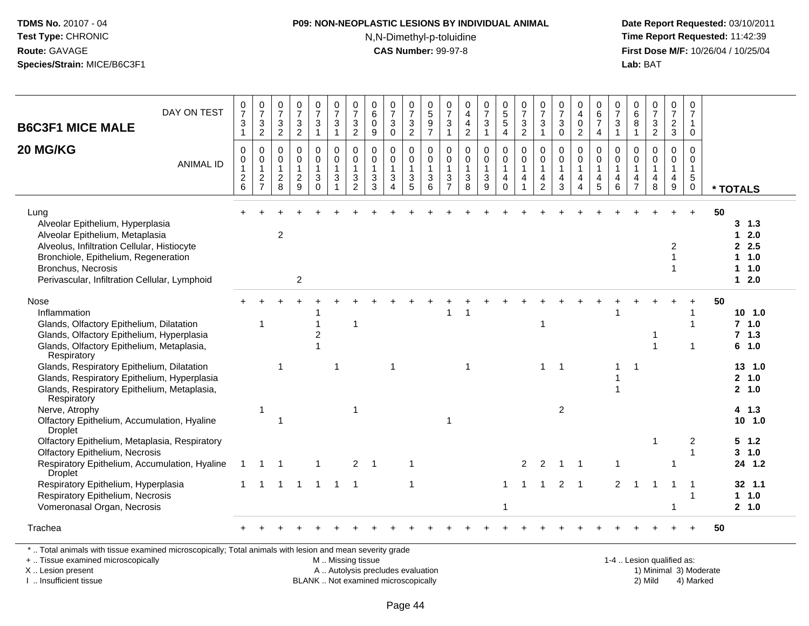# **P09: NON-NEOPLASTIC LESIONS BY INDIVIDUAL ANIMAL**

N,N-Dimethyl-p-toluidine

 **Date Report Requested:** 03/10/2011 **Time Report Requested:** 11:42:39 **First Dose M/F:** 10/26/04 / 10/25/04 Lab: BAT **Lab:** BAT

| DAY ON TEST<br><b>B6C3F1 MICE MALE</b>                                                                                                                                                                                                    | $\frac{0}{7}$<br>$\ensuremath{\mathsf{3}}$                        | 0<br>$\overline{7}$<br>3                                             | $\frac{0}{7}$<br>$\sqrt{3}$                                | $\frac{0}{7}$<br>$\ensuremath{\mathsf{3}}$                                     | 0<br>$\overline{7}$<br>$\mathbf{3}$                                      | 0<br>$\overline{7}$<br>$\mathbf{3}$                                       | 0<br>$\overline{7}$<br>$\mathbf{3}$              | 0<br>$\,6$<br>$\mathbf 0$                                                        | 0<br>$\overline{7}$<br>3                                      | 0<br>$\overline{7}$<br>$\ensuremath{\mathsf{3}}$                                          | $\begin{array}{c} 0 \\ 5 \end{array}$<br>$\boldsymbol{9}$                                         | 0<br>$\overline{7}$<br>$\mathbf{3}$         | 0<br>$\overline{4}$<br>$\overline{\mathbf{4}}$                            | 0<br>$\overline{7}$<br>$\ensuremath{\mathsf{3}}$                               | 0<br>$\overline{5}$<br>$\overline{5}$                        | 0<br>$\overline{7}$<br>3                                          | 0<br>$\overline{7}$<br>$\sqrt{3}$                    | $\frac{0}{7}$<br>$\sqrt{3}$                                            | 0<br>$\overline{\mathbf{4}}$<br>$\mathbf 0$                                         | 0<br>$\,6$<br>$\overline{7}$                                                         | 0<br>$\overline{7}$<br>$\mathbf{3}$                          | 0<br>6<br>8                                          | $\frac{0}{7}$<br>$\ensuremath{\mathsf{3}}$                         | 0<br>$\overline{7}$<br>$\overline{2}$                  | 0<br>$\overline{7}$<br>$\overline{1}$                      |                                                          |
|-------------------------------------------------------------------------------------------------------------------------------------------------------------------------------------------------------------------------------------------|-------------------------------------------------------------------|----------------------------------------------------------------------|------------------------------------------------------------|--------------------------------------------------------------------------------|--------------------------------------------------------------------------|---------------------------------------------------------------------------|--------------------------------------------------|----------------------------------------------------------------------------------|---------------------------------------------------------------|-------------------------------------------------------------------------------------------|---------------------------------------------------------------------------------------------------|---------------------------------------------|---------------------------------------------------------------------------|--------------------------------------------------------------------------------|--------------------------------------------------------------|-------------------------------------------------------------------|------------------------------------------------------|------------------------------------------------------------------------|-------------------------------------------------------------------------------------|--------------------------------------------------------------------------------------|--------------------------------------------------------------|------------------------------------------------------|--------------------------------------------------------------------|--------------------------------------------------------|------------------------------------------------------------|----------------------------------------------------------|
| 20 MG/KG<br><b>ANIMAL ID</b>                                                                                                                                                                                                              | $\mathbf{1}$<br>$\Omega$<br>0<br>$\mathbf{1}$<br>$\boldsymbol{2}$ | $\overline{c}$<br>$\mathbf 0$<br>0<br>$\mathbf{1}$<br>$\overline{c}$ | $\overline{c}$<br>0<br>0<br>$\mathbf{1}$<br>$\overline{c}$ | $\overline{2}$<br>$\mathbf 0$<br>$\mathsf 0$<br>$\mathbf{1}$<br>$\overline{c}$ | $\mathbf{1}$<br>$\mathbf 0$<br>$\mathbf 0$<br>$\mathbf{1}$<br>$\sqrt{3}$ | $\overline{1}$<br>$\Omega$<br>$\mathbf 0$<br>$\overline{1}$<br>$\sqrt{3}$ | $\sqrt{2}$<br>$\Omega$<br>0<br>$\mathbf{1}$<br>3 | $9\,$<br>$\mathbf 0$<br>$\mathbf 0$<br>$\mathbf{1}$<br>$\ensuremath{\mathsf{3}}$ | $\mathbf 0$<br>0<br>$\mathbf 0$<br>$\mathbf{1}$<br>$\sqrt{3}$ | $\overline{2}$<br>$\mathbf 0$<br>$\mathbf 0$<br>$\mathbf{1}$<br>$\ensuremath{\mathsf{3}}$ | $\overline{7}$<br>$\mathbf 0$<br>$\mathsf{O}\xspace$<br>$\mathbf{1}$<br>$\ensuremath{\mathsf{3}}$ | $\mathbf{1}$<br>0<br>0<br>$\mathbf{1}$<br>3 | $\overline{2}$<br>$\mathbf 0$<br>$\mathbf 0$<br>$\mathbf 1$<br>$\sqrt{3}$ | $\mathbf{1}$<br>0<br>$\mathsf{O}$<br>$\mathbf{1}$<br>$\ensuremath{\mathsf{3}}$ | $\overline{4}$<br>$\Omega$<br>$\pmb{0}$<br>$\mathbf{1}$<br>4 | $\overline{2}$<br>$\mathbf 0$<br>$\mathsf 0$<br>$\mathbf{1}$<br>4 | $\overline{1}$<br>$\Omega$<br>0<br>$\mathbf{1}$<br>4 | $\mathbf 0$<br>$\mathbf 0$<br>$\mathsf{O}\xspace$<br>$\mathbf{1}$<br>4 | $\overline{2}$<br>$\mathbf 0$<br>$\overline{0}$<br>$\overline{1}$<br>$\overline{4}$ | $\overline{4}$<br>$\Omega$<br>$\mathbf 0$<br>$\mathbf{1}$<br>$\overline{\mathbf{4}}$ | $\mathbf{1}$<br>$\Omega$<br>$\mathbf 0$<br>$\mathbf{1}$<br>4 | $\mathbf{1}$<br>$\Omega$<br>0<br>$\overline{1}$<br>4 | $\overline{2}$<br>$\mathbf 0$<br>$\mathsf{O}$<br>$\mathbf{1}$<br>4 | 3<br>$\Omega$<br>0<br>$\overline{1}$<br>$\overline{4}$ | $\mathbf 0$<br>$\Omega$<br>0<br>$\mathbf{1}$<br>$\sqrt{5}$ |                                                          |
|                                                                                                                                                                                                                                           | 6                                                                 | $\overline{7}$                                                       | 8                                                          | 9                                                                              | $\mathbf 0$                                                              | $\overline{1}$                                                            | $\overline{2}$                                   | 3                                                                                | 4                                                             | 5                                                                                         | 6                                                                                                 | $\overline{7}$                              | 8                                                                         | 9                                                                              | $\mathbf 0$                                                  | $\mathbf{1}$                                                      | $\overline{2}$                                       | 3                                                                      | $\boldsymbol{\Lambda}$                                                              | 5                                                                                    | 6                                                            | $\overline{7}$                                       | 8                                                                  | $9\,$                                                  | $\pmb{0}$                                                  | * TOTALS                                                 |
| Lung<br>Alveolar Epithelium, Hyperplasia<br>Alveolar Epithelium, Metaplasia<br>Alveolus, Infiltration Cellular, Histiocyte<br>Bronchiole, Epithelium, Regeneration<br>Bronchus, Necrosis<br>Perivascular, Infiltration Cellular, Lymphoid |                                                                   |                                                                      | $\overline{c}$                                             | $\overline{2}$                                                                 |                                                                          |                                                                           |                                                  |                                                                                  |                                                               |                                                                                           |                                                                                                   |                                             |                                                                           |                                                                                |                                                              |                                                                   |                                                      |                                                                        |                                                                                     |                                                                                      |                                                              |                                                      |                                                                    | 2                                                      |                                                            | 50<br>3, 1.3<br>$12.0$<br>2.5<br>11.0<br>1 1.0<br>$12.0$ |
| Nose<br>Inflammation<br>Glands, Olfactory Epithelium, Dilatation<br>Glands, Olfactory Epithelium, Hyperplasia<br>Glands, Olfactory Epithelium, Metaplasia,<br>Respiratory                                                                 |                                                                   | 1                                                                    |                                                            |                                                                                | $\overline{2}$                                                           |                                                                           | 1                                                |                                                                                  |                                                               |                                                                                           |                                                                                                   |                                             |                                                                           |                                                                                |                                                              |                                                                   | -1                                                   |                                                                        |                                                                                     |                                                                                      |                                                              |                                                      | 1<br>1                                                             |                                                        | $\overline{1}$<br>$\overline{1}$                           | 50<br>$10$ 1.0<br>$7$ 1.0<br>7, 1.3<br>6 1.0             |
| Glands, Respiratory Epithelium, Dilatation<br>Glands, Respiratory Epithelium, Hyperplasia<br>Glands, Respiratory Epithelium, Metaplasia,<br>Respiratory                                                                                   |                                                                   |                                                                      | -1                                                         |                                                                                |                                                                          | -1                                                                        |                                                  |                                                                                  | 1                                                             |                                                                                           |                                                                                                   |                                             | -1                                                                        |                                                                                |                                                              |                                                                   |                                                      | -1                                                                     |                                                                                     |                                                                                      | 1<br>1                                                       | -1                                                   |                                                                    |                                                        |                                                            | 13 1.0<br>2, 1.0<br>2, 1.0                               |
| Nerve, Atrophy<br>Olfactory Epithelium, Accumulation, Hyaline<br><b>Droplet</b>                                                                                                                                                           |                                                                   | 1                                                                    | -1                                                         |                                                                                |                                                                          |                                                                           | -1                                               |                                                                                  |                                                               |                                                                                           |                                                                                                   | $\overline{1}$                              |                                                                           |                                                                                |                                                              |                                                                   |                                                      | $\overline{c}$                                                         |                                                                                     |                                                                                      |                                                              |                                                      |                                                                    |                                                        |                                                            | $4$ 1.3<br>$10$ $1.0$                                    |
| Olfactory Epithelium, Metaplasia, Respiratory<br><b>Olfactory Epithelium, Necrosis</b><br>Respiratory Epithelium, Accumulation, Hyaline                                                                                                   | $\mathbf{1}$                                                      | $\mathbf{1}$                                                         |                                                            |                                                                                |                                                                          |                                                                           | $\overline{2}$                                   |                                                                                  |                                                               |                                                                                           |                                                                                                   |                                             |                                                                           |                                                                                |                                                              | 2                                                                 | 2                                                    |                                                                        |                                                                                     |                                                                                      | 1                                                            |                                                      | 1                                                                  |                                                        | 2<br>$\overline{1}$                                        | $5 \t1.2$<br>$3 - 1.0$<br>24 1.2                         |
| <b>Droplet</b><br>Respiratory Epithelium, Hyperplasia<br>Respiratory Epithelium, Necrosis<br>Vomeronasal Organ, Necrosis                                                                                                                  | $\mathbf{1}$                                                      | $\mathbf 1$                                                          | 1                                                          | $\overline{1}$                                                                 | $\overline{1}$                                                           | $\overline{1}$                                                            | $\overline{1}$                                   |                                                                                  |                                                               |                                                                                           |                                                                                                   |                                             |                                                                           |                                                                                | 1<br>-1                                                      |                                                                   |                                                      | 2                                                                      | $\overline{1}$                                                                      |                                                                                      | 2                                                            | -1                                                   | -1                                                                 | -1                                                     | -1<br>$\overline{1}$                                       | 32, 1.1<br>$1 1.0$<br>2, 1.0                             |
| Trachea                                                                                                                                                                                                                                   |                                                                   |                                                                      |                                                            |                                                                                |                                                                          |                                                                           |                                                  |                                                                                  |                                                               |                                                                                           |                                                                                                   |                                             |                                                                           |                                                                                |                                                              |                                                                   |                                                      |                                                                        |                                                                                     |                                                                                      |                                                              |                                                      |                                                                    |                                                        |                                                            | 50                                                       |

X .. Lesion present

I .. Insufficient tissue

A .. Autolysis precludes evaluation

BLANK .. Not examined microscopically 2) Mild 4) Marked

1-4 .. Lesion qualified as: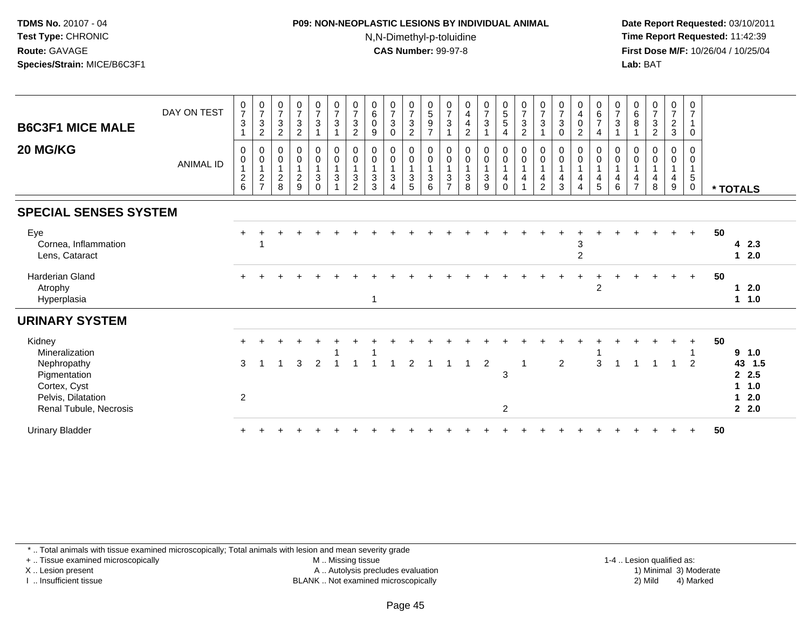# **P09: NON-NEOPLASTIC LESIONS BY INDIVIDUAL ANIMAL**N,N-Dimethyl-p-toluidine

 **Date Report Requested:** 03/10/2011 **Time Report Requested:** 11:42:39 **First Dose M/F:** 10/26/04 / 10/25/04 Lab: BAT **Lab:** BAT

| <b>B6C3F1 MICE MALE</b>                                           | DAY ON TEST      | $\frac{0}{7}$<br>3                                          | $\frac{0}{7}$<br>$\frac{3}{2}$                                           | $\frac{0}{7}$<br>$\ensuremath{\mathsf{3}}$<br>$\overline{c}$ | $073$<br>2                                          | $\begin{array}{c} 0 \\ 7 \\ 3 \end{array}$ | $\begin{array}{c} 0 \\ 7 \\ 3 \end{array}$<br>$\overline{1}$ | $\frac{0}{7}$<br>$\ensuremath{\mathsf{3}}$<br>$\overline{c}$ | $\begin{matrix} 0 \\ 6 \\ 0 \end{matrix}$<br>$\boldsymbol{9}$ | $\begin{array}{c} 0 \\ 7 \\ 3 \end{array}$<br>$\pmb{0}$                                    | $\begin{array}{c} 0 \\ 7 \\ 3 \\ 2 \end{array}$            | $0$<br>$5$<br>$9$<br>$7$                                       | $\frac{0}{7}$<br>3                                      | $_4^0$<br>$\overline{\mathbf{4}}$<br>$\overline{c}$ | $\begin{array}{c} 0 \\ 7 \\ 3 \end{array}$                           | $\begin{array}{c} 0 \\ 5 \\ 5 \end{array}$<br>$\overline{4}$                                 | $\begin{array}{c} 0 \\ 7 \\ 3 \\ 2 \end{array}$                               | $\frac{0}{7}$<br>3                      | $\begin{array}{c} 0 \\ 7 \\ 3 \end{array}$<br>0      | $\pmb{0}$<br>$^4_{\rm 0}$<br>$\overline{2}$           | $\begin{array}{c} 0 \\ 6 \\ 7 \end{array}$<br>$\overline{4}$             | $\begin{matrix} 0 \\ 7 \\ 3 \end{matrix}$<br>$\overline{1}$                      | $\begin{matrix} 0 \\ 6 \\ 8 \end{matrix}$                         | $\begin{array}{c} 0 \\ 7 \\ 3 \\ 2 \end{array}$                   | $072$<br>3                               | 0<br>$\overline{7}$<br>0                   |    |                                                                        |
|-------------------------------------------------------------------|------------------|-------------------------------------------------------------|--------------------------------------------------------------------------|--------------------------------------------------------------|-----------------------------------------------------|--------------------------------------------|--------------------------------------------------------------|--------------------------------------------------------------|---------------------------------------------------------------|--------------------------------------------------------------------------------------------|------------------------------------------------------------|----------------------------------------------------------------|---------------------------------------------------------|-----------------------------------------------------|----------------------------------------------------------------------|----------------------------------------------------------------------------------------------|-------------------------------------------------------------------------------|-----------------------------------------|------------------------------------------------------|-------------------------------------------------------|--------------------------------------------------------------------------|----------------------------------------------------------------------------------|-------------------------------------------------------------------|-------------------------------------------------------------------|------------------------------------------|--------------------------------------------|----|------------------------------------------------------------------------|
| 20 MG/KG                                                          | <b>ANIMAL ID</b> | $\mathbf 0$<br>$\mathbf 0$<br>$\mathbf{1}$<br>$\frac{2}{6}$ | $\boldsymbol{0}$<br>$\mathsf{O}\xspace$<br>$\mathbf{1}$<br>$\frac{2}{7}$ | 0<br>$\pmb{0}$<br>$\mathbf{1}$<br>$_{\rm 8}^2$               | $_{\rm 0}^{\rm 0}$<br>$\mathbf{1}$<br>$\frac{2}{9}$ | $_0^0$<br>$\overline{1}$<br>3<br>$\Omega$  | $\begin{matrix} 0 \\ 0 \\ 1 \end{matrix}$<br>$\sqrt{3}$      | 0<br>$\pmb{0}$<br>$\mathbf{1}$<br>$\mathbf{3}$<br>2          | 0<br>$\pmb{0}$<br>$\mathbf{1}$<br>$\mathbf 3$<br>3            | $\begin{smallmatrix}0\\0\end{smallmatrix}$<br>$\mathbf{1}$<br>$\sqrt{3}$<br>$\overline{4}$ | $\begin{matrix} 0 \\ 0 \\ 1 \end{matrix}$<br>$\frac{3}{5}$ | $\begin{matrix} 0 \\ 0 \\ 1 \end{matrix}$<br>$\mathbf{3}$<br>6 | 0<br>$\mathbf 0$<br>$\mathbf{1}$<br>3<br>$\overline{ }$ | 0<br>$\pmb{0}$<br>$\overline{1}$<br>3<br>8          | $_{\rm 0}^{\rm 0}$<br>$\mathbf{1}$<br>$\ensuremath{\mathsf{3}}$<br>9 | $\begin{smallmatrix} 0\\0 \end{smallmatrix}$<br>$\overline{1}$<br>$\overline{4}$<br>$\Omega$ | $\begin{matrix} 0 \\ 0 \\ 1 \end{matrix}$<br>$\overline{4}$<br>$\overline{1}$ | 0<br>$\mathbf 0$<br>4<br>$\mathfrak{p}$ | $\mathbf 0$<br>$\mathbf 0$<br>$\mathbf{1}$<br>4<br>3 | 0<br>$\pmb{0}$<br>$\mathbf{1}$<br>4<br>$\overline{4}$ | 0<br>$\mathsf{O}\xspace$<br>$\mathbf{1}$<br>$\overline{\mathbf{4}}$<br>5 | $\mathbf 0$<br>$\mathbf 0$<br>$\overline{1}$<br>$\overline{4}$<br>$\overline{6}$ | $\mathbf 0$<br>$\mathbf 0$<br>$\mathbf{1}$<br>4<br>$\overline{7}$ | $\mathbf 0$<br>$\mathbf 0$<br>$\mathbf{1}$<br>$\overline{4}$<br>8 | 0<br>$\pmb{0}$<br>$\mathbf{1}$<br>4<br>9 | 0<br>$\Omega$<br>$\sqrt{5}$<br>$\mathbf 0$ |    | * TOTALS                                                               |
| <b>SPECIAL SENSES SYSTEM</b>                                      |                  |                                                             |                                                                          |                                                              |                                                     |                                            |                                                              |                                                              |                                                               |                                                                                            |                                                            |                                                                |                                                         |                                                     |                                                                      |                                                                                              |                                                                               |                                         |                                                      |                                                       |                                                                          |                                                                                  |                                                                   |                                                                   |                                          |                                            |    |                                                                        |
| Eye<br>Cornea, Inflammation<br>Lens, Cataract                     |                  |                                                             |                                                                          |                                                              |                                                     |                                            |                                                              |                                                              |                                                               |                                                                                            |                                                            |                                                                |                                                         |                                                     |                                                                      |                                                                                              |                                                                               |                                         |                                                      | 3<br>$\overline{2}$                                   |                                                                          |                                                                                  |                                                                   |                                                                   |                                          | $+$                                        | 50 | 42.3<br>$12.0$                                                         |
| <b>Harderian Gland</b><br>Atrophy<br>Hyperplasia                  |                  |                                                             |                                                                          |                                                              |                                                     |                                            |                                                              |                                                              | $\mathbf{1}$                                                  |                                                                                            |                                                            |                                                                |                                                         |                                                     |                                                                      |                                                                                              |                                                                               |                                         |                                                      |                                                       | $\overline{c}$                                                           |                                                                                  |                                                                   |                                                                   |                                          | $+$                                        | 50 | 2.0<br>1<br>1.0<br>$\mathbf{1}$                                        |
| <b>URINARY SYSTEM</b>                                             |                  |                                                             |                                                                          |                                                              |                                                     |                                            |                                                              |                                                              |                                                               |                                                                                            |                                                            |                                                                |                                                         |                                                     |                                                                      |                                                                                              |                                                                               |                                         |                                                      |                                                       |                                                                          |                                                                                  |                                                                   |                                                                   |                                          |                                            |    |                                                                        |
| Kidney<br>Mineralization                                          |                  |                                                             |                                                                          |                                                              |                                                     |                                            |                                                              |                                                              |                                                               |                                                                                            |                                                            |                                                                |                                                         |                                                     |                                                                      |                                                                                              |                                                                               |                                         |                                                      |                                                       |                                                                          |                                                                                  |                                                                   |                                                                   |                                          | $\ddot{}$                                  | 50 | 9<br>1.0                                                               |
| Nephropathy<br>Pigmentation<br>Cortex, Cyst<br>Pelvis, Dilatation |                  | 3<br>2                                                      |                                                                          |                                                              | 3                                                   | $\overline{2}$                             |                                                              |                                                              |                                                               |                                                                                            |                                                            |                                                                |                                                         |                                                     | $\overline{c}$                                                       | 3                                                                                            | -1                                                                            |                                         | $\overline{2}$                                       |                                                       | 3                                                                        | -1                                                                               |                                                                   |                                                                   | $\overline{1}$                           | $\overline{2}$                             |    | 43<br>1.5<br>2.5<br>1.0<br>$\mathbf{1}$<br>2.0<br>$\blacktriangleleft$ |
| Renal Tubule, Necrosis<br><b>Urinary Bladder</b>                  |                  |                                                             |                                                                          |                                                              |                                                     |                                            |                                                              |                                                              |                                                               |                                                                                            |                                                            |                                                                |                                                         |                                                     |                                                                      | 2                                                                                            |                                                                               |                                         |                                                      |                                                       |                                                                          |                                                                                  |                                                                   |                                                                   |                                          |                                            | 50 | 2.0                                                                    |

\* .. Total animals with tissue examined microscopically; Total animals with lesion and mean severity grade

+ .. Tissue examined microscopically

X .. Lesion present

I .. Insufficient tissue

 M .. Missing tissueA .. Autolysis precludes evaluation

 1-4 .. Lesion qualified as: BLANK .. Not examined microscopically 2) Mild 4) Marked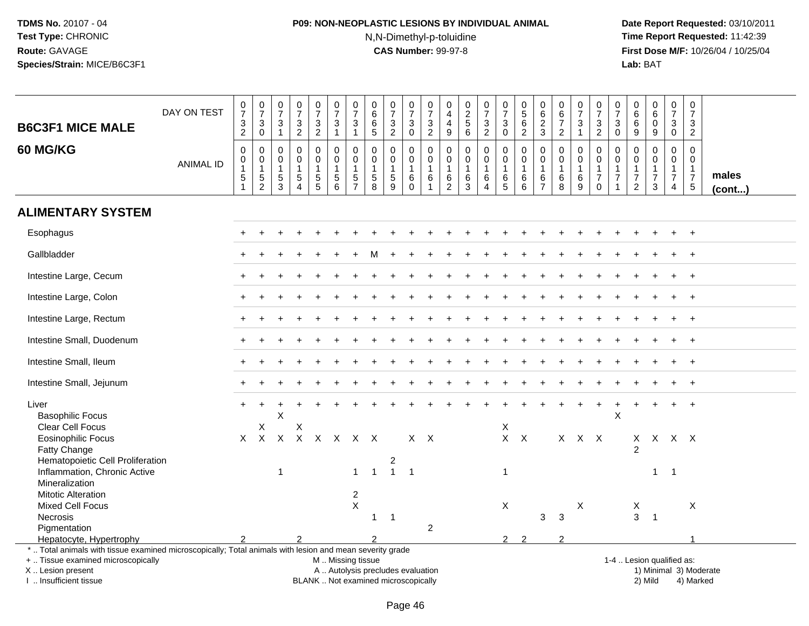# **P09: NON-NEOPLASTIC LESIONS BY INDIVIDUAL ANIMAL**N,N-Dimethyl-p-toluidine

| <b>B6C3F1 MICE MALE</b>                                                                                                                                                                       | DAY ON TEST      | $\frac{0}{7}$<br>$\ensuremath{\mathsf{3}}$<br>2                                 | $\frac{0}{7}$<br>$\mathbf{3}$<br>$\mathbf 0$          | $\frac{0}{7}$<br>$\mathbf{3}$<br>$\overline{1}$                  | $\frac{0}{7}$<br>3<br>$\overline{2}$                                       | $\begin{smallmatrix}0\\7\end{smallmatrix}$<br>$\mathfrak{Z}$<br>$\overline{c}$ | $\frac{0}{7}$<br>$\mathfrak{Z}$<br>$\mathbf{1}$                                               | $\frac{0}{7}$<br>$\sqrt{3}$<br>$\mathbf{1}$                                    | $\pmb{0}$<br>$6\overline{6}$<br>$\,6\,$<br>5               | $\begin{array}{c} 0 \\ 7 \end{array}$<br>$\ensuremath{\mathsf{3}}$<br>$\overline{2}$ | $\begin{array}{c} 0 \\ 7 \end{array}$<br>3<br>$\mathbf 0$         | $\frac{0}{7}$<br>$\ensuremath{\mathsf{3}}$<br>$\overline{2}$ | 0<br>4<br>$\overline{4}$<br>$9\,$                                             | $\begin{array}{c} 0 \\ 2 \\ 5 \end{array}$<br>$\,6\,$             | $\begin{array}{c} 0 \\ 7 \end{array}$<br>$\ensuremath{\mathsf{3}}$<br>$\overline{2}$ | $\frac{0}{7}$<br>$\sqrt{3}$<br>$\mathbf 0$                | $\begin{array}{c} 0 \\ 5 \end{array}$<br>6<br>$\boldsymbol{2}$ | $\pmb{0}$<br>6<br>$\overline{2}$<br>$\mathbf{3}$                      | $_{6}^{\rm 0}$<br>$\overline{7}$<br>$\overline{2}$ | $\begin{array}{c} 0 \\ 7 \end{array}$<br>$\sqrt{3}$<br>$\mathbf{1}$     | $\frac{0}{7}$<br>$\ensuremath{\mathsf{3}}$<br>$\overline{2}$               | $\begin{smallmatrix}0\\7\end{smallmatrix}$<br>$\sqrt{3}$<br>$\mathbf 0$        | $\pmb{0}$<br>$\,6\,$<br>6<br>9                                   | $\begin{array}{c} 0 \\ 6 \end{array}$<br>$\pmb{0}$<br>9             | $\begin{array}{c} 0 \\ 7 \end{array}$<br>$\mathbf{3}$<br>$\mathbf 0$             | 0<br>$\overline{7}$<br>3<br>$\overline{2}$                    |                 |
|-----------------------------------------------------------------------------------------------------------------------------------------------------------------------------------------------|------------------|---------------------------------------------------------------------------------|-------------------------------------------------------|------------------------------------------------------------------|----------------------------------------------------------------------------|--------------------------------------------------------------------------------|-----------------------------------------------------------------------------------------------|--------------------------------------------------------------------------------|------------------------------------------------------------|--------------------------------------------------------------------------------------|-------------------------------------------------------------------|--------------------------------------------------------------|-------------------------------------------------------------------------------|-------------------------------------------------------------------|--------------------------------------------------------------------------------------|-----------------------------------------------------------|----------------------------------------------------------------|-----------------------------------------------------------------------|----------------------------------------------------|-------------------------------------------------------------------------|----------------------------------------------------------------------------|--------------------------------------------------------------------------------|------------------------------------------------------------------|---------------------------------------------------------------------|----------------------------------------------------------------------------------|---------------------------------------------------------------|-----------------|
| <b>60 MG/KG</b>                                                                                                                                                                               | <b>ANIMAL ID</b> | $\mathbf 0$<br>$\boldsymbol{0}$<br>$\overline{1}$<br>$\sqrt{5}$<br>$\mathbf{1}$ | $\mathbf{0}$<br>0<br>$\mathbf{1}$<br>$\,$ 5 $\,$<br>2 | $\Omega$<br>$\mathbf 0$<br>$\overline{1}$<br>$\overline{5}$<br>3 | $\mathbf 0$<br>$\mathsf 0$<br>$\mathbf{1}$<br>$\sqrt{5}$<br>$\overline{4}$ | $\Omega$<br>$\mathsf{O}$<br>$\mathbf{1}$<br>$\sqrt{5}$<br>5                    | $\mathbf 0$<br>$\pmb{0}$<br>$\mathbf{1}$<br>$\,$ 5 $\,$<br>6                                  | $\mathbf{0}$<br>$\mathbf 0$<br>$\overline{1}$<br>$\,$ 5 $\,$<br>$\overline{7}$ | $\Omega$<br>$\mathbf 0$<br>$\mathbf{1}$<br>$\sqrt{5}$<br>8 | $\mathbf 0$<br>$\mathsf{O}\xspace$<br>$\mathbf{1}$<br>$\,$ 5 $\,$<br>9               | $\Omega$<br>$\mathsf 0$<br>$\mathbf{1}$<br>$\,6\,$<br>$\mathbf 0$ | $\mathbf 0$<br>$\mathsf{O}\xspace$<br>1<br>6<br>$\mathbf{1}$ | $\mathbf 0$<br>$\mathsf{O}\xspace$<br>$\mathbf{1}$<br>$\,6$<br>$\overline{2}$ | $\mathbf 0$<br>$\pmb{0}$<br>$\mathbf{1}$<br>$\,6$<br>$\mathbf{3}$ | $\mathbf 0$<br>$\mathbf 0$<br>$\mathbf{1}$<br>$\,6\,$<br>$\overline{4}$              | $\Omega$<br>$\mathbf 0$<br>$\overline{1}$<br>$\,6\,$<br>5 | $\Omega$<br>$\mathbf 0$<br>$\mathbf{1}$<br>$\,6\,$<br>6        | $\mathbf 0$<br>$\mathbf 0$<br>$\mathbf{1}$<br>$\,6$<br>$\overline{7}$ | $\Omega$<br>0<br>$\mathbf{1}$<br>6<br>8            | $\mathbf 0$<br>$\mathbf 0$<br>$\mathbf{1}$<br>$\,6$<br>$\boldsymbol{9}$ | $\Omega$<br>$\mathsf 0$<br>$\mathbf{1}$<br>$\boldsymbol{7}$<br>$\mathbf 0$ | $\mathbf 0$<br>$\mathbf 0$<br>$\mathbf{1}$<br>$\overline{7}$<br>$\overline{1}$ | $\Omega$<br>$\mathbf 0$<br>$\mathbf{1}$<br>$\boldsymbol{7}$<br>2 | $\mathbf 0$<br>$\mathbf 0$<br>$\mathbf{1}$<br>$\boldsymbol{7}$<br>3 | $\mathbf 0$<br>$\mathbf 0$<br>$\mathbf{1}$<br>$\boldsymbol{7}$<br>$\overline{4}$ | $\Omega$<br>$\mathbf 0$<br>$\mathbf 1$<br>$\overline{7}$<br>5 | males<br>(cont) |
| <b>ALIMENTARY SYSTEM</b>                                                                                                                                                                      |                  |                                                                                 |                                                       |                                                                  |                                                                            |                                                                                |                                                                                               |                                                                                |                                                            |                                                                                      |                                                                   |                                                              |                                                                               |                                                                   |                                                                                      |                                                           |                                                                |                                                                       |                                                    |                                                                         |                                                                            |                                                                                |                                                                  |                                                                     |                                                                                  |                                                               |                 |
| Esophagus                                                                                                                                                                                     |                  |                                                                                 |                                                       |                                                                  |                                                                            |                                                                                |                                                                                               |                                                                                |                                                            |                                                                                      |                                                                   |                                                              |                                                                               |                                                                   |                                                                                      |                                                           |                                                                |                                                                       |                                                    |                                                                         |                                                                            |                                                                                |                                                                  |                                                                     |                                                                                  |                                                               |                 |
| Gallbladder                                                                                                                                                                                   |                  |                                                                                 |                                                       |                                                                  |                                                                            |                                                                                |                                                                                               |                                                                                |                                                            |                                                                                      |                                                                   |                                                              |                                                                               |                                                                   |                                                                                      |                                                           |                                                                |                                                                       |                                                    |                                                                         |                                                                            |                                                                                |                                                                  |                                                                     |                                                                                  |                                                               |                 |
| Intestine Large, Cecum                                                                                                                                                                        |                  |                                                                                 |                                                       |                                                                  |                                                                            |                                                                                |                                                                                               |                                                                                |                                                            |                                                                                      |                                                                   |                                                              |                                                                               |                                                                   |                                                                                      |                                                           |                                                                |                                                                       |                                                    |                                                                         |                                                                            |                                                                                |                                                                  |                                                                     |                                                                                  | $\ddot{}$                                                     |                 |
| Intestine Large, Colon                                                                                                                                                                        |                  |                                                                                 |                                                       |                                                                  |                                                                            |                                                                                |                                                                                               |                                                                                |                                                            |                                                                                      |                                                                   |                                                              |                                                                               |                                                                   |                                                                                      |                                                           |                                                                |                                                                       |                                                    |                                                                         |                                                                            |                                                                                |                                                                  |                                                                     |                                                                                  | $\div$                                                        |                 |
| Intestine Large, Rectum                                                                                                                                                                       |                  |                                                                                 |                                                       |                                                                  |                                                                            |                                                                                |                                                                                               |                                                                                |                                                            |                                                                                      |                                                                   |                                                              |                                                                               |                                                                   |                                                                                      |                                                           |                                                                |                                                                       |                                                    |                                                                         |                                                                            |                                                                                |                                                                  |                                                                     |                                                                                  | $\ddot{}$                                                     |                 |
| Intestine Small, Duodenum                                                                                                                                                                     |                  |                                                                                 |                                                       |                                                                  |                                                                            |                                                                                |                                                                                               |                                                                                |                                                            |                                                                                      |                                                                   |                                                              |                                                                               |                                                                   |                                                                                      |                                                           |                                                                |                                                                       |                                                    |                                                                         |                                                                            |                                                                                |                                                                  |                                                                     |                                                                                  | $^+$                                                          |                 |
| Intestine Small, Ileum                                                                                                                                                                        |                  |                                                                                 |                                                       |                                                                  |                                                                            |                                                                                |                                                                                               |                                                                                |                                                            |                                                                                      |                                                                   |                                                              |                                                                               |                                                                   |                                                                                      |                                                           |                                                                |                                                                       |                                                    |                                                                         |                                                                            |                                                                                |                                                                  |                                                                     |                                                                                  | $+$                                                           |                 |
| Intestine Small, Jejunum                                                                                                                                                                      |                  |                                                                                 |                                                       |                                                                  |                                                                            |                                                                                |                                                                                               |                                                                                |                                                            |                                                                                      |                                                                   |                                                              |                                                                               |                                                                   |                                                                                      |                                                           |                                                                |                                                                       |                                                    |                                                                         |                                                                            |                                                                                |                                                                  |                                                                     |                                                                                  |                                                               |                 |
| Liver<br><b>Basophilic Focus</b><br>Clear Cell Focus                                                                                                                                          |                  |                                                                                 | X                                                     | X                                                                | Χ                                                                          |                                                                                |                                                                                               |                                                                                |                                                            |                                                                                      |                                                                   |                                                              |                                                                               |                                                                   |                                                                                      | Χ                                                         |                                                                |                                                                       |                                                    |                                                                         |                                                                            | X                                                                              |                                                                  |                                                                     |                                                                                  |                                                               |                 |
| <b>Eosinophilic Focus</b><br>Fatty Change                                                                                                                                                     |                  | X                                                                               | $\mathsf{X}$                                          | $\mathsf{X}$                                                     | $\boldsymbol{\mathsf{X}}$                                                  |                                                                                | $X$ $X$                                                                                       | $X$ $X$                                                                        |                                                            |                                                                                      | $X$ $X$                                                           |                                                              |                                                                               |                                                                   |                                                                                      | $X$ $X$                                                   |                                                                |                                                                       |                                                    | $X$ $X$ $X$                                                             |                                                                            |                                                                                | $\mathsf{X}$<br>$\mathcal{P}$                                    |                                                                     | X X X                                                                            |                                                               |                 |
| Hematopoietic Cell Proliferation<br>Inflammation, Chronic Active<br>Mineralization                                                                                                            |                  |                                                                                 |                                                       | $\overline{1}$                                                   |                                                                            |                                                                                |                                                                                               | $\mathbf{1}$                                                                   | $\overline{1}$                                             | $\overline{\mathbf{c}}$<br>$\mathbf{1}$                                              | $\overline{1}$                                                    |                                                              |                                                                               |                                                                   |                                                                                      | $\overline{1}$                                            |                                                                |                                                                       |                                                    |                                                                         |                                                                            |                                                                                |                                                                  | $\mathbf{1}$                                                        | $\overline{1}$                                                                   |                                                               |                 |
| <b>Mitotic Alteration</b><br>Mixed Cell Focus<br>Necrosis                                                                                                                                     |                  |                                                                                 |                                                       |                                                                  |                                                                            |                                                                                |                                                                                               | $\overline{c}$<br>$\mathsf X$                                                  | -1                                                         | $\overline{1}$                                                                       |                                                                   |                                                              |                                                                               |                                                                   |                                                                                      | X                                                         |                                                                | 3                                                                     | $\mathbf{3}$                                       | X                                                                       |                                                                            |                                                                                | X<br>$\mathbf{3}$                                                | $\overline{1}$                                                      |                                                                                  | X                                                             |                 |
| Pigmentation<br>Hepatocyte, Hypertrophy                                                                                                                                                       |                  |                                                                                 |                                                       |                                                                  | $\mathfrak{p}$                                                             |                                                                                |                                                                                               |                                                                                |                                                            |                                                                                      |                                                                   | $\overline{c}$                                               |                                                                               |                                                                   |                                                                                      | $\mathcal{P}$                                             | $\mathcal{P}$                                                  |                                                                       | $\mathcal{P}$                                      |                                                                         |                                                                            |                                                                                |                                                                  |                                                                     |                                                                                  |                                                               |                 |
| *  Total animals with tissue examined microscopically; Total animals with lesion and mean severity grade<br>+  Tissue examined microscopically<br>X  Lesion present<br>I  Insufficient tissue |                  |                                                                                 |                                                       |                                                                  |                                                                            |                                                                                | M  Missing tissue<br>A  Autolysis precludes evaluation<br>BLANK  Not examined microscopically |                                                                                |                                                            |                                                                                      |                                                                   |                                                              |                                                                               |                                                                   |                                                                                      |                                                           |                                                                |                                                                       |                                                    |                                                                         |                                                                            |                                                                                |                                                                  | 1-4  Lesion qualified as:<br>2) Mild                                |                                                                                  | 1) Minimal 3) Moderate<br>4) Marked                           |                 |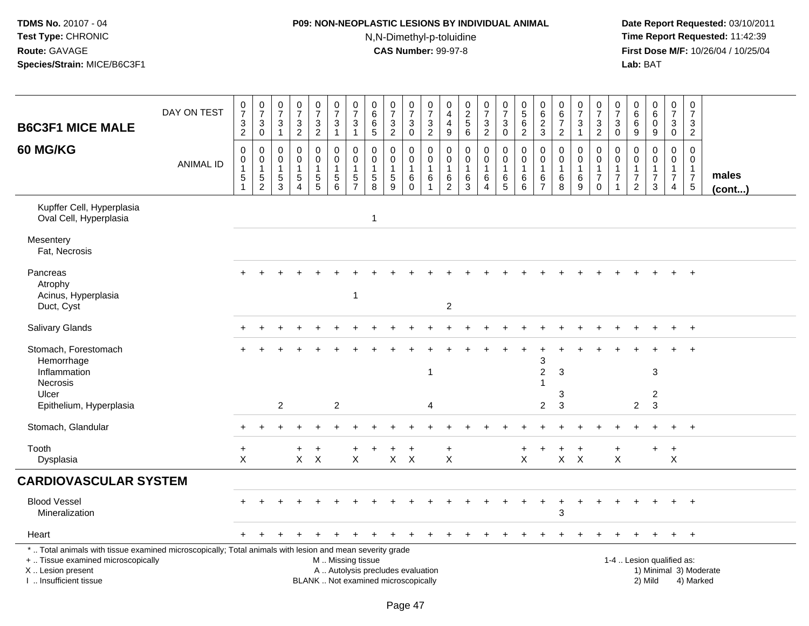# **P09: NON-NEOPLASTIC LESIONS BY INDIVIDUAL ANIMAL**

N,N-Dimethyl-p-toluidine

| <b>B6C3F1 MICE MALE</b>                                                                                                                                                                       | DAY ON TEST      | $\frac{0}{7}$<br>$\ensuremath{\mathsf{3}}$        | $\frac{0}{7}$<br>$\sqrt{3}$                                     | $\mathbf 0$<br>$\overline{7}$<br>3                   | $\frac{0}{7}$<br>$\sqrt{3}$                                                        | $\pmb{0}$<br>$\overline{7}$<br>$\mathsf 3$          | $\mathbf 0$<br>$\overline{7}$<br>$\sqrt{3}$                 | $\frac{0}{7}$<br>$\ensuremath{\mathsf{3}}$              | 0<br>6<br>$\,6$                                            | $\frac{0}{7}$<br>$\sqrt{3}$                                              | 0<br>$\overline{7}$<br>$\mathbf{3}$                        | $\pmb{0}$<br>$\overline{7}$<br>$\ensuremath{\mathsf{3}}$ | 0<br>$\overline{4}$<br>$\overline{4}$     | $\pmb{0}$<br>$rac{2}{5}$                            | $\begin{smallmatrix}0\\7\end{smallmatrix}$<br>$\mathbf{3}$ | 0<br>$\overline{7}$<br>$\sqrt{3}$                        | $\begin{array}{c} 0 \\ 5 \\ 6 \end{array}$         | 0<br>6<br>$\overline{2}$                             | $\begin{array}{c} 0 \\ 6 \end{array}$<br>$\overline{7}$  | 0<br>$\overline{7}$<br>$\ensuremath{\mathsf{3}}$ | $\pmb{0}$<br>$\overline{7}$<br>$\sqrt{3}$                                        | 0<br>$\overline{7}$<br>3      | 0<br>6<br>6                                                                 | $_{6}^{\rm 0}$<br>$\bar{0}$                                    | $\pmb{0}$<br>$\overline{7}$<br>$\mathbf{3}$                          | $\pmb{0}$<br>$\overline{7}$<br>3                                           |                        |
|-----------------------------------------------------------------------------------------------------------------------------------------------------------------------------------------------|------------------|---------------------------------------------------|-----------------------------------------------------------------|------------------------------------------------------|------------------------------------------------------------------------------------|-----------------------------------------------------|-------------------------------------------------------------|---------------------------------------------------------|------------------------------------------------------------|--------------------------------------------------------------------------|------------------------------------------------------------|----------------------------------------------------------|-------------------------------------------|-----------------------------------------------------|------------------------------------------------------------|----------------------------------------------------------|----------------------------------------------------|------------------------------------------------------|----------------------------------------------------------|--------------------------------------------------|----------------------------------------------------------------------------------|-------------------------------|-----------------------------------------------------------------------------|----------------------------------------------------------------|----------------------------------------------------------------------|----------------------------------------------------------------------------|------------------------|
|                                                                                                                                                                                               |                  | $\overline{2}$                                    | $\mathbf 0$                                                     | $\mathbf{1}$                                         | $\overline{2}$                                                                     | $\overline{2}$                                      | 1                                                           | $\mathbf{1}$                                            | 5                                                          | $\overline{2}$                                                           | $\mathbf 0$                                                | 2                                                        | 9                                         | 6                                                   | $\overline{2}$                                             | $\mathbf 0$                                              | $\overline{2}$                                     | 3                                                    | $\overline{2}$                                           | $\mathbf{1}$                                     | 2                                                                                | $\mathbf 0$                   | 9                                                                           | 9                                                              | $\mathbf 0$                                                          | $\overline{2}$                                                             |                        |
| <b>60 MG/KG</b>                                                                                                                                                                               | <b>ANIMAL ID</b> | $\mathbf 0$<br>$\mathbf 0$<br>$\overline{1}$<br>5 | 0<br>$\pmb{0}$<br>$\mathbf{1}$<br>$\,$ 5 $\,$<br>$\overline{2}$ | $\mathbf{0}$<br>0<br>$\mathbf{1}$<br>$\sqrt{5}$<br>3 | $\mathbf 0$<br>$\mathbf 0$<br>$\mathbf{1}$<br>$\sqrt{5}$<br>$\boldsymbol{\Lambda}$ | 0<br>$\mathsf 0$<br>$\mathbf{1}$<br>$\sqrt{5}$<br>5 | $\mathbf 0$<br>$\pmb{0}$<br>$\mathbf{1}$<br>$\sqrt{5}$<br>6 | $\mathbf 0$<br>0<br>$\mathbf{1}$<br>5<br>$\overline{7}$ | $\Omega$<br>$\mathbf 0$<br>$\mathbf{1}$<br>$\sqrt{5}$<br>8 | $\Omega$<br>$\mathbf 0$<br>$\mathbf{1}$<br>$\sqrt{5}$<br>9               | $\Omega$<br>$\mathbf 0$<br>$\overline{1}$<br>6<br>$\Omega$ | $\mathbf 0$<br>$\pmb{0}$<br>$\mathbf{1}$<br>6<br>1       | $\Omega$<br>0<br>$\overline{1}$<br>6<br>2 | $\Omega$<br>$\mathbf 0$<br>$\overline{1}$<br>6<br>3 | $\mathbf 0$<br>$\mathbf 0$<br>$\mathbf{1}$<br>6<br>4       | $\mathbf 0$<br>$\pmb{0}$<br>$\mathbf{1}$<br>$\,6\,$<br>5 | $\mathbf 0$<br>$\pmb{0}$<br>$\mathbf{1}$<br>6<br>6 | $\Omega$<br>0<br>$\mathbf{1}$<br>6<br>$\overline{7}$ | $\mathbf 0$<br>$\pmb{0}$<br>$\mathbf{1}$<br>$\,6\,$<br>8 | 0<br>$\pmb{0}$<br>$\mathbf{1}$<br>$\,6\,$<br>9   | $\mathbf 0$<br>$\boldsymbol{0}$<br>$\mathbf{1}$<br>$\overline{7}$<br>$\mathbf 0$ | 0<br>0<br>1<br>$\overline{7}$ | $\Omega$<br>$\mathbf 0$<br>$\mathbf{1}$<br>$\overline{7}$<br>$\overline{2}$ | $\Omega$<br>$\mathsf 0$<br>$\mathbf{1}$<br>$\overline{7}$<br>3 | 0<br>$\mathbf 0$<br>$\mathbf{1}$<br>$\overline{7}$<br>$\overline{4}$ | $\mathbf 0$<br>$\mathbf 0$<br>$\mathbf{1}$<br>$\overline{7}$<br>$\sqrt{5}$ | males<br>$($ cont $)$  |
| Kupffer Cell, Hyperplasia<br>Oval Cell, Hyperplasia                                                                                                                                           |                  |                                                   |                                                                 |                                                      |                                                                                    |                                                     |                                                             |                                                         | $\mathbf{1}$                                               |                                                                          |                                                            |                                                          |                                           |                                                     |                                                            |                                                          |                                                    |                                                      |                                                          |                                                  |                                                                                  |                               |                                                                             |                                                                |                                                                      |                                                                            |                        |
| Mesentery<br>Fat, Necrosis                                                                                                                                                                    |                  |                                                   |                                                                 |                                                      |                                                                                    |                                                     |                                                             |                                                         |                                                            |                                                                          |                                                            |                                                          |                                           |                                                     |                                                            |                                                          |                                                    |                                                      |                                                          |                                                  |                                                                                  |                               |                                                                             |                                                                |                                                                      |                                                                            |                        |
| Pancreas<br>Atrophy<br>Acinus, Hyperplasia<br>Duct, Cyst                                                                                                                                      |                  |                                                   |                                                                 |                                                      |                                                                                    |                                                     |                                                             | $\mathbf{1}$                                            |                                                            |                                                                          |                                                            |                                                          | $\boldsymbol{2}$                          |                                                     |                                                            |                                                          |                                                    |                                                      |                                                          |                                                  |                                                                                  |                               |                                                                             |                                                                |                                                                      | $+$                                                                        |                        |
| Salivary Glands                                                                                                                                                                               |                  |                                                   |                                                                 |                                                      |                                                                                    |                                                     |                                                             |                                                         |                                                            |                                                                          |                                                            |                                                          |                                           |                                                     |                                                            |                                                          |                                                    |                                                      |                                                          |                                                  |                                                                                  |                               |                                                                             |                                                                |                                                                      | $+$                                                                        |                        |
| Stomach, Forestomach<br>Hemorrhage<br>Inflammation<br>Necrosis<br>Ulcer<br>Epithelium, Hyperplasia                                                                                            |                  |                                                   |                                                                 | $\overline{2}$                                       |                                                                                    |                                                     | $\overline{2}$                                              |                                                         |                                                            |                                                                          |                                                            | $\overline{1}$<br>4                                      |                                           |                                                     |                                                            |                                                          |                                                    | 3<br>$\overline{c}$<br>$\overline{2}$                | $\mathbf{3}$<br>3<br>3                                   |                                                  |                                                                                  |                               | $\overline{2}$                                                              | $\ensuremath{\mathsf{3}}$<br>$\overline{c}$<br>$\mathbf{3}$    |                                                                      |                                                                            |                        |
| Stomach, Glandular                                                                                                                                                                            |                  | ÷                                                 |                                                                 |                                                      |                                                                                    |                                                     |                                                             |                                                         |                                                            |                                                                          |                                                            |                                                          |                                           |                                                     |                                                            |                                                          |                                                    |                                                      |                                                          |                                                  |                                                                                  |                               |                                                                             | $\overline{1}$                                                 | $\ddot{}$                                                            | $+$                                                                        |                        |
| Tooth<br>Dysplasia                                                                                                                                                                            |                  | $\ddot{}$<br>$\sf X$                              |                                                                 |                                                      | $\ddot{}$                                                                          | $\ddot{}$<br>$X$ $X$                                |                                                             | $\ddot{}$<br>X                                          |                                                            | $\ddot{}$<br>$X$ $X$                                                     | $+$                                                        |                                                          | $\ddot{}$<br>X                            |                                                     |                                                            |                                                          | $\ddot{}$<br>X                                     | +                                                    | $\ddot{}$                                                | $\ddot{}$<br>$X$ $X$                             |                                                                                  | $\ddot{}$<br>X                |                                                                             | $+$                                                            | $\ddot{}$<br>X                                                       |                                                                            |                        |
| <b>CARDIOVASCULAR SYSTEM</b>                                                                                                                                                                  |                  |                                                   |                                                                 |                                                      |                                                                                    |                                                     |                                                             |                                                         |                                                            |                                                                          |                                                            |                                                          |                                           |                                                     |                                                            |                                                          |                                                    |                                                      |                                                          |                                                  |                                                                                  |                               |                                                                             |                                                                |                                                                      |                                                                            |                        |
| <b>Blood Vessel</b><br>Mineralization                                                                                                                                                         |                  |                                                   |                                                                 |                                                      |                                                                                    |                                                     |                                                             |                                                         |                                                            |                                                                          |                                                            |                                                          |                                           |                                                     |                                                            |                                                          |                                                    |                                                      | 3                                                        |                                                  |                                                                                  |                               |                                                                             |                                                                | ÷.                                                                   | $+$                                                                        |                        |
| Heart                                                                                                                                                                                         |                  |                                                   |                                                                 |                                                      |                                                                                    |                                                     |                                                             |                                                         |                                                            |                                                                          |                                                            |                                                          |                                           |                                                     |                                                            |                                                          |                                                    |                                                      |                                                          |                                                  |                                                                                  |                               |                                                                             |                                                                | $+$                                                                  | $+$                                                                        |                        |
| *  Total animals with tissue examined microscopically; Total animals with lesion and mean severity grade<br>+  Tissue examined microscopically<br>X  Lesion present<br>I. Insufficient tissue |                  |                                                   |                                                                 |                                                      |                                                                                    |                                                     | M  Missing tissue                                           |                                                         |                                                            | A  Autolysis precludes evaluation<br>BLANK  Not examined microscopically |                                                            |                                                          |                                           |                                                     |                                                            |                                                          |                                                    |                                                      |                                                          |                                                  |                                                                                  |                               |                                                                             | 1-4  Lesion qualified as:<br>2) Mild                           |                                                                      | 4) Marked                                                                  | 1) Minimal 3) Moderate |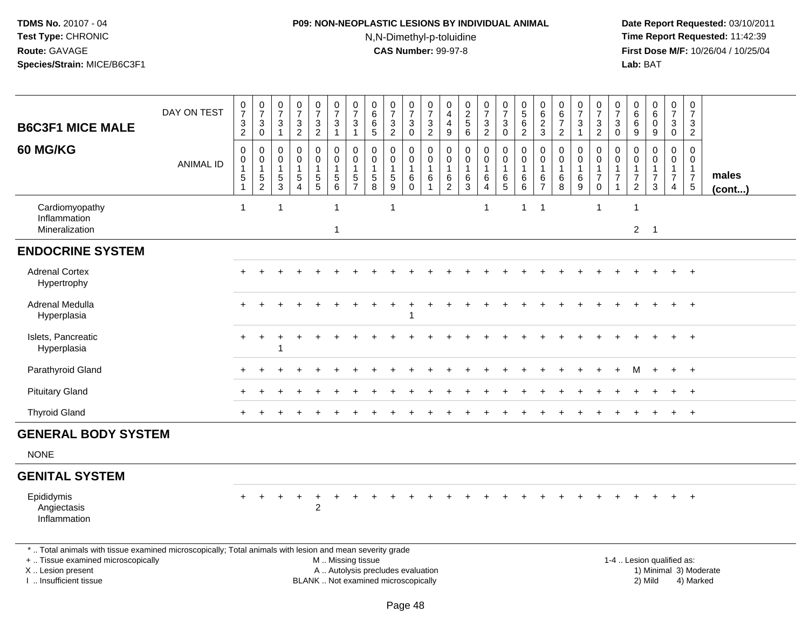# **P09: NON-NEOPLASTIC LESIONS BY INDIVIDUAL ANIMAL**N,N-Dimethyl-p-toluidine

| <b>B6C3F1 MICE MALE</b>                                                                                                                                                                       | DAY ON TEST      | $\frac{0}{7}$<br>$\frac{3}{2}$                                        | $\frac{0}{7}$<br>$\ensuremath{\mathsf{3}}$<br>$\overline{0}$ | $\frac{0}{7}$<br>$\mathsf 3$<br>$\overline{1}$        | $\frac{0}{7}$<br>$\frac{3}{2}$                                             | $\begin{smallmatrix}0\\7\end{smallmatrix}$<br>$\mathsf 3$<br>$\overline{2}$       | $\frac{0}{7}$<br>3<br>$\mathbf{1}$                                | $\begin{array}{c} 0 \\ 7 \end{array}$<br>$\ensuremath{\mathsf{3}}$<br>$\mathbf{1}$ | $\begin{array}{c} 0 \\ 6 \end{array}$<br>$\,6\,$<br>$\overline{5}$ | $\frac{0}{7}$<br>3<br>$\overline{2}$                                     | $\frac{0}{7}$<br>$_0^3$                                          | $\frac{0}{7}$<br>$\frac{3}{2}$                          | $\pmb{0}$<br>$\overline{4}$<br>$\overline{4}$<br>$\boldsymbol{9}$ | $\begin{array}{c} 0 \\ 2 \\ 5 \end{array}$<br>$6\phantom{a}$     | $\frac{0}{7}$<br>$\frac{3}{2}$                            | $\frac{0}{7}$<br>$\mathbf{3}$<br>$\overline{0}$               | $\begin{array}{c} 0 \\ 5 \\ 6 \end{array}$<br>$\overline{2}$ | 0<br>$\,6\,$<br>$\frac{2}{3}$                           | $\begin{array}{c} 0 \\ 6 \end{array}$<br>$\overline{7}$<br>$\boldsymbol{2}$ | $\frac{0}{7}$<br>$\mathbf{3}$<br>$\overline{1}$ | $\begin{array}{c} 0 \\ 7 \\ 3 \\ 2 \end{array}$                               | 0<br>$\overline{7}$<br>$\mathbf{3}$<br>$\mathbf 0$ | $\pmb{0}$<br>$\,6\,$<br>$\,6\,$<br>$9\,$                                    | $_{6}^{\rm 0}$<br>$\mathbf 0$<br>$\boldsymbol{9}$ | $\frac{0}{7}$<br>$_{0}^{3}$                                                  | $\pmb{0}$<br>$\overline{7}$<br>3<br>$\overline{2}$                         |                        |
|-----------------------------------------------------------------------------------------------------------------------------------------------------------------------------------------------|------------------|-----------------------------------------------------------------------|--------------------------------------------------------------|-------------------------------------------------------|----------------------------------------------------------------------------|-----------------------------------------------------------------------------------|-------------------------------------------------------------------|------------------------------------------------------------------------------------|--------------------------------------------------------------------|--------------------------------------------------------------------------|------------------------------------------------------------------|---------------------------------------------------------|-------------------------------------------------------------------|------------------------------------------------------------------|-----------------------------------------------------------|---------------------------------------------------------------|--------------------------------------------------------------|---------------------------------------------------------|-----------------------------------------------------------------------------|-------------------------------------------------|-------------------------------------------------------------------------------|----------------------------------------------------|-----------------------------------------------------------------------------|---------------------------------------------------|------------------------------------------------------------------------------|----------------------------------------------------------------------------|------------------------|
| <b>60 MG/KG</b>                                                                                                                                                                               | <b>ANIMAL ID</b> | $\pmb{0}$<br>$\pmb{0}$<br>$\mathbf{1}$<br>$\,$ 5 $\,$<br>$\mathbf{1}$ | $\pmb{0}$<br>$\mathbf 0$<br>$\mathbf{1}$<br>$\frac{5}{2}$    | $\mathbf 0$<br>0<br>$\overline{1}$<br>$\sqrt{5}$<br>3 | $\mathbf 0$<br>$\mathbf 0$<br>$\mathbf{1}$<br>$\sqrt{5}$<br>$\overline{4}$ | $\pmb{0}$<br>$\mathbf 0$<br>$\mathbf{1}$<br>$\begin{array}{c} 5 \\ 5 \end{array}$ | $\mathbf 0$<br>$\mathbf 0$<br>1<br>$\,$ 5 $\,$<br>$6\phantom{1}6$ | 0<br>$\mathbf 0$<br>$\,$ 5 $\,$<br>$\overline{7}$                                  | 0<br>$\mathbf 0$<br>$\mathbf{1}$<br>$\sqrt{5}$<br>8                | 0<br>$\mathbf{0}$<br>$\mathbf{1}$<br>$\overline{5}$<br>9                 | 0<br>$\mathsf{O}\xspace$<br>$\mathbf{1}$<br>$\,6$<br>$\mathbf 0$ | 0<br>$\mathbf 0$<br>$\mathbf{1}$<br>6<br>$\overline{1}$ | $\mathbf 0$<br>0<br>$\overline{1}$<br>$\frac{6}{2}$               | $\pmb{0}$<br>$\mathbf 0$<br>$\mathbf{1}$<br>$6\phantom{.}6$<br>3 | 0<br>$\pmb{0}$<br>1<br>$\,6\,$<br>$\overline{\mathbf{4}}$ | $\pmb{0}$<br>$\mathsf{O}\xspace$<br>$\mathbf 1$<br>$\,6$<br>5 | 0<br>$\mathbf 0$<br>1<br>6<br>$\,6\,$                        | 0<br>$\mathbf 0$<br>$\mathbf{1}$<br>6<br>$\overline{7}$ | 0<br>$\mathsf{O}\xspace$<br>$\mathbf{1}$<br>$\,6\,$<br>8                    | 0<br>$\mathbf 0$<br>6<br>9                      | $\pmb{0}$<br>$\mathbf 0$<br>$\overline{1}$<br>$\boldsymbol{7}$<br>$\mathbf 0$ | 0<br>$\Omega$<br>-1<br>$\overline{7}$              | $\mathbf 0$<br>$\Omega$<br>$\mathbf{1}$<br>$\overline{7}$<br>$\overline{2}$ | 0<br>$\Omega$<br>$\overline{7}$<br>3              | $\pmb{0}$<br>$\mathbf 0$<br>$\mathbf{1}$<br>$\overline{7}$<br>$\overline{4}$ | $\Omega$<br>$\Omega$<br>$\mathbf{1}$<br>$\boldsymbol{7}$<br>$\overline{5}$ | males<br>(cont)        |
| Cardiomyopathy<br>Inflammation<br>Mineralization                                                                                                                                              |                  | $\mathbf{1}$                                                          |                                                              | 1                                                     |                                                                            |                                                                                   | $\mathbf{1}$<br>1                                                 |                                                                                    |                                                                    | $\mathbf{1}$                                                             |                                                                  |                                                         |                                                                   |                                                                  | $\mathbf 1$                                               |                                                               | 1                                                            | $\overline{1}$                                          |                                                                             |                                                 | $\overline{1}$                                                                |                                                    | $\mathbf{1}$<br>$2^{\circ}$                                                 | $\overline{\phantom{0}}$                          |                                                                              |                                                                            |                        |
| <b>ENDOCRINE SYSTEM</b>                                                                                                                                                                       |                  |                                                                       |                                                              |                                                       |                                                                            |                                                                                   |                                                                   |                                                                                    |                                                                    |                                                                          |                                                                  |                                                         |                                                                   |                                                                  |                                                           |                                                               |                                                              |                                                         |                                                                             |                                                 |                                                                               |                                                    |                                                                             |                                                   |                                                                              |                                                                            |                        |
| <b>Adrenal Cortex</b><br>Hypertrophy                                                                                                                                                          |                  |                                                                       |                                                              |                                                       |                                                                            |                                                                                   |                                                                   |                                                                                    |                                                                    |                                                                          |                                                                  |                                                         |                                                                   |                                                                  |                                                           |                                                               |                                                              |                                                         |                                                                             |                                                 |                                                                               |                                                    |                                                                             |                                                   |                                                                              | $+$                                                                        |                        |
| Adrenal Medulla<br>Hyperplasia                                                                                                                                                                |                  |                                                                       |                                                              |                                                       |                                                                            |                                                                                   |                                                                   |                                                                                    |                                                                    |                                                                          |                                                                  |                                                         |                                                                   |                                                                  |                                                           |                                                               |                                                              |                                                         |                                                                             |                                                 |                                                                               |                                                    |                                                                             |                                                   |                                                                              | $+$                                                                        |                        |
| Islets, Pancreatic<br>Hyperplasia                                                                                                                                                             |                  |                                                                       |                                                              |                                                       |                                                                            |                                                                                   |                                                                   |                                                                                    |                                                                    |                                                                          |                                                                  |                                                         |                                                                   |                                                                  |                                                           |                                                               |                                                              |                                                         |                                                                             |                                                 |                                                                               |                                                    |                                                                             |                                                   |                                                                              | $\ddot{}$                                                                  |                        |
| Parathyroid Gland                                                                                                                                                                             |                  |                                                                       |                                                              |                                                       |                                                                            |                                                                                   |                                                                   |                                                                                    |                                                                    |                                                                          |                                                                  |                                                         |                                                                   |                                                                  |                                                           |                                                               |                                                              |                                                         |                                                                             |                                                 |                                                                               |                                                    | M                                                                           | $\ddot{}$                                         | $+$                                                                          | $+$                                                                        |                        |
| <b>Pituitary Gland</b>                                                                                                                                                                        |                  |                                                                       |                                                              |                                                       |                                                                            |                                                                                   |                                                                   |                                                                                    |                                                                    |                                                                          |                                                                  |                                                         |                                                                   |                                                                  |                                                           |                                                               |                                                              |                                                         |                                                                             |                                                 |                                                                               |                                                    |                                                                             |                                                   |                                                                              | $\ddot{}$                                                                  |                        |
| <b>Thyroid Gland</b>                                                                                                                                                                          |                  |                                                                       |                                                              |                                                       |                                                                            |                                                                                   |                                                                   |                                                                                    |                                                                    |                                                                          |                                                                  |                                                         |                                                                   |                                                                  |                                                           |                                                               |                                                              |                                                         |                                                                             |                                                 |                                                                               |                                                    |                                                                             |                                                   | $+$                                                                          | $+$                                                                        |                        |
| <b>GENERAL BODY SYSTEM</b>                                                                                                                                                                    |                  |                                                                       |                                                              |                                                       |                                                                            |                                                                                   |                                                                   |                                                                                    |                                                                    |                                                                          |                                                                  |                                                         |                                                                   |                                                                  |                                                           |                                                               |                                                              |                                                         |                                                                             |                                                 |                                                                               |                                                    |                                                                             |                                                   |                                                                              |                                                                            |                        |
| <b>NONE</b>                                                                                                                                                                                   |                  |                                                                       |                                                              |                                                       |                                                                            |                                                                                   |                                                                   |                                                                                    |                                                                    |                                                                          |                                                                  |                                                         |                                                                   |                                                                  |                                                           |                                                               |                                                              |                                                         |                                                                             |                                                 |                                                                               |                                                    |                                                                             |                                                   |                                                                              |                                                                            |                        |
| <b>GENITAL SYSTEM</b>                                                                                                                                                                         |                  |                                                                       |                                                              |                                                       |                                                                            |                                                                                   |                                                                   |                                                                                    |                                                                    |                                                                          |                                                                  |                                                         |                                                                   |                                                                  |                                                           |                                                               |                                                              |                                                         |                                                                             |                                                 |                                                                               |                                                    |                                                                             |                                                   |                                                                              |                                                                            |                        |
| Epididymis<br>Angiectasis<br>Inflammation                                                                                                                                                     |                  |                                                                       |                                                              |                                                       |                                                                            | $\ddot{}$<br>$\overline{2}$                                                       |                                                                   |                                                                                    |                                                                    |                                                                          |                                                                  |                                                         |                                                                   |                                                                  |                                                           |                                                               |                                                              |                                                         |                                                                             |                                                 |                                                                               |                                                    |                                                                             |                                                   |                                                                              | $\ddot{}$                                                                  |                        |
| *  Total animals with tissue examined microscopically; Total animals with lesion and mean severity grade<br>+  Tissue examined microscopically<br>X  Lesion present<br>I. Insufficient tissue |                  |                                                                       |                                                              |                                                       |                                                                            |                                                                                   | M  Missing tissue                                                 |                                                                                    |                                                                    | A  Autolysis precludes evaluation<br>BLANK  Not examined microscopically |                                                                  |                                                         |                                                                   |                                                                  |                                                           |                                                               |                                                              |                                                         |                                                                             |                                                 |                                                                               |                                                    |                                                                             | 1-4  Lesion qualified as:<br>2) Mild              |                                                                              | 4) Marked                                                                  | 1) Minimal 3) Moderate |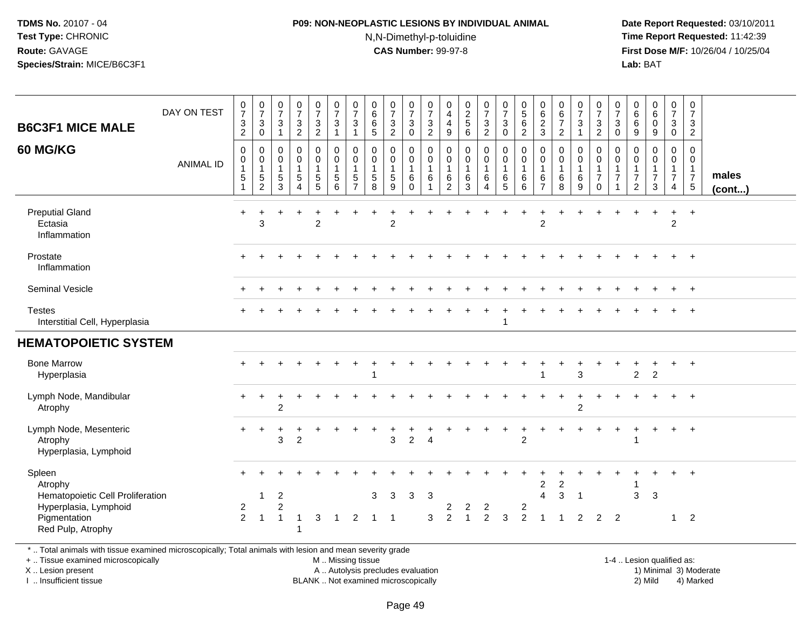### **P09: NON-NEOPLASTIC LESIONS BY INDIVIDUAL ANIMAL**N,N-Dimethyl-p-toluidine

 **Date Report Requested:** 03/10/2011 **Time Report Requested:** 11:42:39 **First Dose M/F:** 10/26/04 / 10/25/04 Lab: BAT **Lab:** BAT

| <b>B6C3F1 MICE MALE</b><br><b>60 MG/KG</b>                                     | DAY ON TEST<br><b>ANIMAL ID</b> | $\frac{0}{7}$<br>$\ensuremath{\mathsf{3}}$<br>$\overline{c}$<br>$\mathbf 0$<br>$\pmb{0}$<br>1<br>5 | $\frac{0}{7}$<br>$\mathbf{3}$<br>$\mathbf 0$<br>$\mathbf 0$<br>$\pmb{0}$<br>$\overline{1}$<br>$\sqrt{5}$<br>$\overline{c}$ | $\frac{0}{7}$<br>$\sqrt{3}$<br>$\overline{1}$<br>$\mathbf 0$<br>$\mathbf 0$<br>$\overline{1}$<br>$\sqrt{5}$<br>3 | $\begin{array}{c} 0 \\ 7 \end{array}$<br>$\ensuremath{\mathsf{3}}$<br>$\overline{2}$<br>$\mathbf 0$<br>0<br>1<br>5<br>4 | 0<br>$\overline{7}$<br>$\ensuremath{\mathsf{3}}$<br>$\overline{2}$<br>0<br>0<br>$\mathbf{1}$<br>$\sqrt{5}$<br>5 | $\begin{array}{c} 0 \\ 7 \end{array}$<br>$\ensuremath{\mathsf{3}}$<br>-1<br>$\mathbf 0$<br>$\pmb{0}$<br>1<br>$\sqrt{5}$<br>6 | $\frac{0}{7}$<br>$\mathbf{3}$<br>$\overline{1}$<br>$\mathbf 0$<br>$\mathbf 0$<br>$\mathbf{1}$<br>$\sqrt{5}$<br>$\overline{7}$ | $\pmb{0}$<br>$\,6\,$<br>$\,6\,$<br>5<br>$\mathbf 0$<br>$\mathbf 0$<br>$\mathbf{1}$<br>$\sqrt{5}$<br>8 | $\frac{0}{7}$<br>$\mathbf{3}$<br>$\overline{c}$<br>$\mathbf{0}$<br>$\mathbf 0$<br>1<br>5<br>9 | $\frac{0}{7}$<br>$\sqrt{3}$<br>$\Omega$<br>0<br>$\mathbf 0$<br>$\mathbf{1}$<br>6<br>$\Omega$ | $\pmb{0}$<br>$\overline{7}$<br>$\ensuremath{\mathsf{3}}$<br>$\overline{c}$<br>$\mathbf 0$<br>$\pmb{0}$<br>$\mathbf{1}$<br>$\,6$<br>1 | 0<br>$\overline{4}$<br>$\overline{4}$<br>9<br>$\mathbf 0$<br>$\mathbf 0$<br>$\mathbf{1}$<br>$\,6\,$<br>2 | $\begin{smallmatrix} 0\\2 \end{smallmatrix}$<br>$\sqrt{5}$<br>6<br>$\mathbf 0$<br>$\mathbf 0$<br>$\mathbf{1}$<br>$\,6\,$<br>3 | $\frac{0}{7}$<br>$\sqrt{3}$<br>$\overline{2}$<br>0<br>$\boldsymbol{0}$<br>$\mathbf{1}$<br>$\,6\,$<br>4 | 0<br>$\overline{7}$<br>$\ensuremath{\mathsf{3}}$<br>0<br>0<br>$\mathbf 0$<br>$\mathbf{1}$<br>6<br>5 | $\begin{array}{c} 0 \\ 5 \end{array}$<br>$\,6\,$<br>$\overline{2}$<br>$\mathbf 0$<br>$\mathbf 0$<br>$\mathbf{1}$<br>$\,6$<br>6 | 0<br>$\,6\,$<br>$\overline{c}$<br>$\mathbf{3}$<br>$\mathbf 0$<br>0<br>$\mathbf{1}$<br>6<br>$\overline{7}$ | $\begin{array}{c} 0 \\ 6 \end{array}$<br>$\overline{7}$<br>$\overline{2}$<br>$\mathbf 0$<br>$\pmb{0}$<br>$\mathbf{1}$<br>$\,6\,$<br>8 | 0<br>$\overline{7}$<br>$\mathbf{3}$<br>$\mathbf 1$<br>0<br>0<br>$\mathbf{1}$<br>$\,6\,$<br>9 | $\pmb{0}$<br>$\overline{7}$<br>$\ensuremath{\mathsf{3}}$<br>$\overline{2}$<br>$\mathbf 0$<br>$\mathbf 0$<br>$\mathbf{1}$<br>$\overline{7}$<br>$\Omega$ | 0<br>$\overline{7}$<br>$\mathbf{3}$<br>$\Omega$<br>$\mathbf 0$<br>0<br>$\mathbf{1}$<br>$\overline{7}$<br>$\mathbf{1}$ | 0<br>6<br>$\,6\,$<br>9<br>0<br>0<br>$\mathbf 1$<br>$\boldsymbol{7}$<br>2 | $\begin{array}{c} 0 \\ 6 \end{array}$<br>$\pmb{0}$<br>9<br>$\mathbf 0$<br>$\mathbf 0$<br>$\overline{7}$<br>3 | 0<br>$\overline{7}$<br>$\mathbf{3}$<br>$\mathbf 0$<br>0<br>$\mathbf 0$<br>$\mathbf{1}$<br>$\boldsymbol{7}$<br>4 | $\pmb{0}$<br>$\overline{7}$<br>$\mathbf{3}$<br>$\overline{2}$<br>$\mathbf 0$<br>$\mathbf 0$<br>$\overline{1}$<br>$\overline{7}$<br>5 | males<br>(cont) |
|--------------------------------------------------------------------------------|---------------------------------|----------------------------------------------------------------------------------------------------|----------------------------------------------------------------------------------------------------------------------------|------------------------------------------------------------------------------------------------------------------|-------------------------------------------------------------------------------------------------------------------------|-----------------------------------------------------------------------------------------------------------------|------------------------------------------------------------------------------------------------------------------------------|-------------------------------------------------------------------------------------------------------------------------------|-------------------------------------------------------------------------------------------------------|-----------------------------------------------------------------------------------------------|----------------------------------------------------------------------------------------------|--------------------------------------------------------------------------------------------------------------------------------------|----------------------------------------------------------------------------------------------------------|-------------------------------------------------------------------------------------------------------------------------------|--------------------------------------------------------------------------------------------------------|-----------------------------------------------------------------------------------------------------|--------------------------------------------------------------------------------------------------------------------------------|-----------------------------------------------------------------------------------------------------------|---------------------------------------------------------------------------------------------------------------------------------------|----------------------------------------------------------------------------------------------|--------------------------------------------------------------------------------------------------------------------------------------------------------|-----------------------------------------------------------------------------------------------------------------------|--------------------------------------------------------------------------|--------------------------------------------------------------------------------------------------------------|-----------------------------------------------------------------------------------------------------------------|--------------------------------------------------------------------------------------------------------------------------------------|-----------------|
| <b>Preputial Gland</b><br>Ectasia<br>Inflammation                              |                                 | $\ddot{}$                                                                                          | 3                                                                                                                          |                                                                                                                  |                                                                                                                         | $\overline{2}$                                                                                                  |                                                                                                                              |                                                                                                                               |                                                                                                       | $\overline{c}$                                                                                |                                                                                              |                                                                                                                                      |                                                                                                          |                                                                                                                               |                                                                                                        |                                                                                                     | $\ddot{}$                                                                                                                      | ÷<br>$\overline{2}$                                                                                       |                                                                                                                                       |                                                                                              |                                                                                                                                                        |                                                                                                                       |                                                                          | $\overline{1}$                                                                                               | $\ddot{}$<br>$\overline{2}$                                                                                     | $+$                                                                                                                                  |                 |
| Prostate<br>Inflammation                                                       |                                 |                                                                                                    |                                                                                                                            |                                                                                                                  |                                                                                                                         |                                                                                                                 |                                                                                                                              |                                                                                                                               |                                                                                                       |                                                                                               |                                                                                              |                                                                                                                                      |                                                                                                          |                                                                                                                               |                                                                                                        |                                                                                                     |                                                                                                                                |                                                                                                           |                                                                                                                                       |                                                                                              |                                                                                                                                                        |                                                                                                                       |                                                                          |                                                                                                              | $\ddot{}$                                                                                                       | $+$                                                                                                                                  |                 |
| Seminal Vesicle                                                                |                                 |                                                                                                    |                                                                                                                            |                                                                                                                  |                                                                                                                         |                                                                                                                 |                                                                                                                              |                                                                                                                               |                                                                                                       |                                                                                               |                                                                                              |                                                                                                                                      |                                                                                                          |                                                                                                                               |                                                                                                        |                                                                                                     |                                                                                                                                |                                                                                                           |                                                                                                                                       |                                                                                              |                                                                                                                                                        |                                                                                                                       |                                                                          |                                                                                                              | $\ddot{}$                                                                                                       | $+$                                                                                                                                  |                 |
| <b>Testes</b><br>Interstitial Cell, Hyperplasia                                |                                 |                                                                                                    |                                                                                                                            |                                                                                                                  |                                                                                                                         |                                                                                                                 |                                                                                                                              |                                                                                                                               |                                                                                                       |                                                                                               |                                                                                              |                                                                                                                                      |                                                                                                          |                                                                                                                               |                                                                                                        | 1                                                                                                   |                                                                                                                                |                                                                                                           |                                                                                                                                       |                                                                                              |                                                                                                                                                        |                                                                                                                       |                                                                          |                                                                                                              |                                                                                                                 |                                                                                                                                      |                 |
| <b>HEMATOPOIETIC SYSTEM</b>                                                    |                                 |                                                                                                    |                                                                                                                            |                                                                                                                  |                                                                                                                         |                                                                                                                 |                                                                                                                              |                                                                                                                               |                                                                                                       |                                                                                               |                                                                                              |                                                                                                                                      |                                                                                                          |                                                                                                                               |                                                                                                        |                                                                                                     |                                                                                                                                |                                                                                                           |                                                                                                                                       |                                                                                              |                                                                                                                                                        |                                                                                                                       |                                                                          |                                                                                                              |                                                                                                                 |                                                                                                                                      |                 |
| <b>Bone Marrow</b><br>Hyperplasia                                              |                                 |                                                                                                    |                                                                                                                            |                                                                                                                  |                                                                                                                         |                                                                                                                 |                                                                                                                              |                                                                                                                               | 1                                                                                                     |                                                                                               |                                                                                              |                                                                                                                                      |                                                                                                          |                                                                                                                               |                                                                                                        |                                                                                                     |                                                                                                                                |                                                                                                           |                                                                                                                                       | 3                                                                                            |                                                                                                                                                        |                                                                                                                       | $\overline{2}$                                                           | 2                                                                                                            | $+$                                                                                                             | $+$                                                                                                                                  |                 |
| Lymph Node, Mandibular<br>Atrophy                                              |                                 |                                                                                                    |                                                                                                                            | $\overline{2}$                                                                                                   |                                                                                                                         |                                                                                                                 |                                                                                                                              |                                                                                                                               |                                                                                                       |                                                                                               |                                                                                              |                                                                                                                                      |                                                                                                          |                                                                                                                               |                                                                                                        |                                                                                                     |                                                                                                                                |                                                                                                           |                                                                                                                                       | $\overline{c}$                                                                               |                                                                                                                                                        |                                                                                                                       |                                                                          |                                                                                                              | $\ddot{}$                                                                                                       | $+$                                                                                                                                  |                 |
| Lymph Node, Mesenteric<br>Atrophy<br>Hyperplasia, Lymphoid                     |                                 |                                                                                                    | +                                                                                                                          | 3                                                                                                                | $\boldsymbol{2}$                                                                                                        |                                                                                                                 |                                                                                                                              |                                                                                                                               |                                                                                                       | $\mathbf 3$                                                                                   | $\overline{c}$                                                                               | $\overline{4}$                                                                                                                       |                                                                                                          |                                                                                                                               |                                                                                                        |                                                                                                     | $\ddot{}$<br>$\overline{2}$                                                                                                    |                                                                                                           |                                                                                                                                       |                                                                                              |                                                                                                                                                        | $\ddot{}$                                                                                                             | +                                                                        | $\overline{1}$                                                                                               | $\ddot{}$                                                                                                       | $+$                                                                                                                                  |                 |
| Spleen<br>Atrophy<br>Hematopoietic Cell Proliferation<br>Hyperplasia, Lymphoid |                                 | $\overline{c}$                                                                                     | 1                                                                                                                          | $\overline{2}$<br>2                                                                                              |                                                                                                                         |                                                                                                                 |                                                                                                                              |                                                                                                                               | 3                                                                                                     | 3                                                                                             | 3                                                                                            | 3                                                                                                                                    | 2                                                                                                        | $\overline{2}$                                                                                                                |                                                                                                        |                                                                                                     | $\overline{\mathbf{c}}$                                                                                                        | 2<br>$\overline{4}$                                                                                       | 2<br>3                                                                                                                                | $\overline{\mathbf{1}}$                                                                      |                                                                                                                                                        |                                                                                                                       | 3                                                                        | 3                                                                                                            |                                                                                                                 | $\ddot{}$                                                                                                                            |                 |
| Pigmentation<br>Red Pulp, Atrophy                                              |                                 | $\overline{2}$                                                                                     | $\overline{1}$                                                                                                             | $\overline{1}$                                                                                                   | $\mathbf{1}$                                                                                                            | 3                                                                                                               | -1                                                                                                                           | 2                                                                                                                             | -1                                                                                                    | -1                                                                                            |                                                                                              | 3                                                                                                                                    | $\overline{2}$                                                                                           | $\overline{1}$                                                                                                                | $\overline{c}$<br>$\overline{c}$                                                                       | 3                                                                                                   | $\overline{2}$                                                                                                                 | 1                                                                                                         | $\overline{1}$                                                                                                                        | $\overline{c}$                                                                               | $\overline{2}$                                                                                                                                         | $\overline{2}$                                                                                                        |                                                                          |                                                                                                              | $\mathbf{1}$                                                                                                    | $\overline{2}$                                                                                                                       |                 |

\* .. Total animals with tissue examined microscopically; Total animals with lesion and mean severity grade

+ .. Tissue examined microscopically

X .. Lesion present

I .. Insufficient tissue

 M .. Missing tissueA .. Autolysis precludes evaluation

BLANK .. Not examined microscopically 2) Mild 4) Marked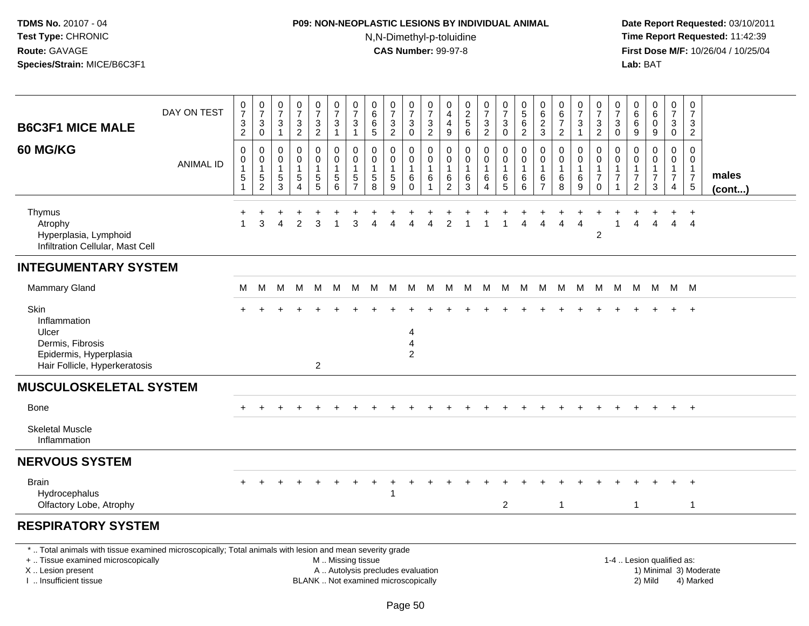# **P09: NON-NEOPLASTIC LESIONS BY INDIVIDUAL ANIMAL**N,N-Dimethyl-p-toluidine

| <b>B6C3F1 MICE MALE</b>                                                                                                                                                                       | DAY ON TEST      | $\frac{0}{7}$<br>$\frac{3}{2}$                          | $\frac{0}{7}$<br>$\ensuremath{\mathsf{3}}$<br>$\mathbf 0$           | $\begin{array}{c} 0 \\ 7 \end{array}$<br>$\ensuremath{\mathsf{3}}$<br>$\mathbf{1}$ | $\frac{0}{7}$<br>$\frac{3}{2}$                                             | $\begin{array}{c} 0 \\ 7 \end{array}$<br>$\frac{3}{2}$          | $\frac{0}{7}$<br>$\ensuremath{\mathsf{3}}$<br>$\overline{1}$ | $\frac{0}{7}$<br>3<br>1                                      | $_{6}^{\rm 0}$<br>$\,6\,$<br>$\sqrt{5}$                         | $\frac{0}{7}$<br>$\frac{3}{2}$                                           | $\frac{0}{7}$<br>$\ensuremath{\mathsf{3}}$<br>$\mathbf 0$     | $\frac{0}{7}$<br>$\frac{3}{2}$                      | 0<br>$\overline{4}$<br>$\overline{4}$<br>$\boldsymbol{9}$ | $\begin{array}{c} 0 \\ 2 \\ 5 \end{array}$<br>6                   | $\frac{0}{7}$<br>$\frac{3}{2}$     | $\begin{array}{c} 0 \\ 7 \end{array}$<br>$\ensuremath{\mathsf{3}}$<br>$\pmb{0}$ | $\begin{array}{c} 0 \\ 5 \end{array}$<br>6<br>$\overline{2}$      | $\pmb{0}$<br>$\,6\,$<br>$\frac{2}{3}$         | $\begin{array}{c} 0 \\ 6 \end{array}$<br>$\overline{7}$<br>$\overline{2}$ | $\frac{0}{7}$<br>$\ensuremath{\mathsf{3}}$<br>$\mathbf{1}$ | $\begin{array}{c} 0 \\ 7 \end{array}$<br>$\frac{3}{2}$                           | $\frac{0}{7}$<br>3<br>0 | $\begin{array}{c} 0 \\ 6 \end{array}$<br>$\,6$<br>$9\,$             | $_6^0$<br>$\mathbf 0$<br>9                   | $\begin{array}{c} 0 \\ 7 \end{array}$<br>$_0^3$         | $\begin{smallmatrix} 0\\7 \end{smallmatrix}$<br>$\ensuremath{\mathsf{3}}$<br>$\overline{2}$ |                        |
|-----------------------------------------------------------------------------------------------------------------------------------------------------------------------------------------------|------------------|---------------------------------------------------------|---------------------------------------------------------------------|------------------------------------------------------------------------------------|----------------------------------------------------------------------------|-----------------------------------------------------------------|--------------------------------------------------------------|--------------------------------------------------------------|-----------------------------------------------------------------|--------------------------------------------------------------------------|---------------------------------------------------------------|-----------------------------------------------------|-----------------------------------------------------------|-------------------------------------------------------------------|------------------------------------|---------------------------------------------------------------------------------|-------------------------------------------------------------------|-----------------------------------------------|---------------------------------------------------------------------------|------------------------------------------------------------|----------------------------------------------------------------------------------|-------------------------|---------------------------------------------------------------------|----------------------------------------------|---------------------------------------------------------|---------------------------------------------------------------------------------------------|------------------------|
| 60 MG/KG                                                                                                                                                                                      | <b>ANIMAL ID</b> | $\pmb{0}$<br>$\pmb{0}$<br>$\mathbf{1}$<br>$\frac{5}{1}$ | $\mathsf{O}\xspace$<br>$\mathbf 0$<br>$\mathbf{1}$<br>$\frac{5}{2}$ | 0<br>0<br>$\mathbf 1$<br>$\frac{5}{3}$                                             | $\mathbf 0$<br>$\pmb{0}$<br>$\overline{1}$<br>$\sqrt{5}$<br>$\overline{4}$ | 0<br>0<br>$\mathbf{1}$<br>$\begin{array}{c} 5 \\ 5 \end{array}$ | $\pmb{0}$<br>$\mathbf 0$<br>$\mathbf{1}$<br>$\sqrt{5}$<br>6  | $\mathbf 0$<br>$\mathbf{0}$<br>$\mathbf 5$<br>$\overline{7}$ | 0<br>0<br>$\mathbf{1}$<br>$\begin{array}{c} 5 \\ 8 \end{array}$ | 0<br>0<br>$\mathbf{1}$<br>5<br>$\overline{9}$                            | 0<br>$\mathsf{O}$<br>$\mathbf{1}$<br>6<br>$\ddot{\mathbf{0}}$ | 0<br>$\pmb{0}$<br>$\mathbf{1}$<br>6<br>$\mathbf{1}$ | 0<br>0<br>$\overline{1}$<br>6<br>$\overline{2}$           | $\mathbf 0$<br>$\mathbf 0$<br>$\mathbf{1}$<br>6<br>$\overline{3}$ | 0<br>0<br>1<br>6<br>$\overline{4}$ | $\mathbf 0$<br>$\mathbf 0$<br>$\mathbf{1}$<br>$6\over 5$                        | $\mathsf 0$<br>$\mathbf 0$<br>$\mathbf{1}$<br>6<br>$\overline{6}$ | 0<br>0<br>$\mathbf{1}$<br>6<br>$\overline{7}$ | $\mathbf 0$<br>$\pmb{0}$<br>$\mathbf{1}$<br>$\,6\,$<br>$\overline{8}$     | 0<br>0<br>$\mathbf{1}$<br>6<br>$\overline{9}$              | $\boldsymbol{0}$<br>$\mathbf 0$<br>$\mathbf{1}$<br>$\overline{7}$<br>$\mathbf 0$ | 0<br>$\Omega$<br>7      | 0<br>$\Omega$<br>$\mathbf{1}$<br>$\boldsymbol{7}$<br>$\overline{2}$ | 0<br>0<br>$\mathbf 1$<br>$\overline{7}$<br>3 | $\mathbf 0$<br>0<br>$\mathbf{1}$<br>$\overline{7}$<br>4 | $\mathbf 0$<br>$\mathbf 0$<br>$\overline{1}$<br>$\overline{7}$<br>$\sqrt{5}$                | males<br>(cont)        |
| Thymus<br>Atrophy<br>Hyperplasia, Lymphoid<br>Infiltration Cellular, Mast Cell                                                                                                                |                  |                                                         | 3                                                                   | 4                                                                                  | $\mathcal{P}$                                                              | 3                                                               | $\overline{1}$                                               | 3                                                            |                                                                 |                                                                          |                                                               |                                                     | $\mathfrak{p}$                                            |                                                                   |                                    |                                                                                 |                                                                   | л                                             | Δ                                                                         | $\overline{A}$                                             | 2                                                                                |                         |                                                                     | $\boldsymbol{\Lambda}$                       | 4                                                       | $\overline{4}$                                                                              |                        |
| <b>INTEGUMENTARY SYSTEM</b>                                                                                                                                                                   |                  |                                                         |                                                                     |                                                                                    |                                                                            |                                                                 |                                                              |                                                              |                                                                 |                                                                          |                                                               |                                                     |                                                           |                                                                   |                                    |                                                                                 |                                                                   |                                               |                                                                           |                                                            |                                                                                  |                         |                                                                     |                                              |                                                         |                                                                                             |                        |
| <b>Mammary Gland</b>                                                                                                                                                                          |                  | M                                                       | M                                                                   | M                                                                                  | M                                                                          | M                                                               | M                                                            | M                                                            |                                                                 | M M                                                                      | M N                                                           | M                                                   |                                                           | M M M M                                                           |                                    |                                                                                 |                                                                   |                                               | M M M M                                                                   |                                                            | M                                                                                | M                       |                                                                     | M M                                          |                                                         | M M                                                                                         |                        |
| Skin<br>Inflammation<br>Ulcer<br>Dermis, Fibrosis<br>Epidermis, Hyperplasia<br>Hair Follicle, Hyperkeratosis                                                                                  |                  |                                                         |                                                                     |                                                                                    |                                                                            | $\overline{c}$                                                  |                                                              |                                                              |                                                                 |                                                                          | $\overline{4}$<br>4<br>2                                      |                                                     |                                                           |                                                                   |                                    |                                                                                 |                                                                   |                                               |                                                                           |                                                            |                                                                                  |                         |                                                                     |                                              | $+$                                                     | $+$                                                                                         |                        |
| <b>MUSCULOSKELETAL SYSTEM</b>                                                                                                                                                                 |                  |                                                         |                                                                     |                                                                                    |                                                                            |                                                                 |                                                              |                                                              |                                                                 |                                                                          |                                                               |                                                     |                                                           |                                                                   |                                    |                                                                                 |                                                                   |                                               |                                                                           |                                                            |                                                                                  |                         |                                                                     |                                              |                                                         |                                                                                             |                        |
| <b>Bone</b>                                                                                                                                                                                   |                  |                                                         |                                                                     |                                                                                    |                                                                            |                                                                 |                                                              |                                                              |                                                                 |                                                                          |                                                               |                                                     |                                                           |                                                                   |                                    |                                                                                 |                                                                   |                                               |                                                                           |                                                            |                                                                                  |                         |                                                                     |                                              |                                                         | $+$                                                                                         |                        |
| <b>Skeletal Muscle</b><br>Inflammation                                                                                                                                                        |                  |                                                         |                                                                     |                                                                                    |                                                                            |                                                                 |                                                              |                                                              |                                                                 |                                                                          |                                                               |                                                     |                                                           |                                                                   |                                    |                                                                                 |                                                                   |                                               |                                                                           |                                                            |                                                                                  |                         |                                                                     |                                              |                                                         |                                                                                             |                        |
| <b>NERVOUS SYSTEM</b>                                                                                                                                                                         |                  |                                                         |                                                                     |                                                                                    |                                                                            |                                                                 |                                                              |                                                              |                                                                 |                                                                          |                                                               |                                                     |                                                           |                                                                   |                                    |                                                                                 |                                                                   |                                               |                                                                           |                                                            |                                                                                  |                         |                                                                     |                                              |                                                         |                                                                                             |                        |
| <b>Brain</b><br>Hydrocephalus<br>Olfactory Lobe, Atrophy                                                                                                                                      |                  | $+$                                                     |                                                                     |                                                                                    |                                                                            |                                                                 |                                                              |                                                              |                                                                 | $\mathbf{1}$                                                             |                                                               |                                                     |                                                           |                                                                   |                                    | $\overline{2}$                                                                  |                                                                   |                                               | $\mathbf{1}$                                                              |                                                            |                                                                                  |                         | $\mathbf{1}$                                                        |                                              | $+$                                                     | $+$<br>$\overline{1}$                                                                       |                        |
| <b>RESPIRATORY SYSTEM</b>                                                                                                                                                                     |                  |                                                         |                                                                     |                                                                                    |                                                                            |                                                                 |                                                              |                                                              |                                                                 |                                                                          |                                                               |                                                     |                                                           |                                                                   |                                    |                                                                                 |                                                                   |                                               |                                                                           |                                                            |                                                                                  |                         |                                                                     |                                              |                                                         |                                                                                             |                        |
| *  Total animals with tissue examined microscopically; Total animals with lesion and mean severity grade<br>+  Tissue examined microscopically<br>X  Lesion present<br>I  Insufficient tissue |                  |                                                         |                                                                     |                                                                                    |                                                                            |                                                                 | M  Missing tissue                                            |                                                              |                                                                 | A  Autolysis precludes evaluation<br>BLANK  Not examined microscopically |                                                               |                                                     |                                                           |                                                                   |                                    |                                                                                 |                                                                   |                                               |                                                                           |                                                            |                                                                                  |                         |                                                                     | 1-4  Lesion qualified as:<br>2) Mild         |                                                         | 4) Marked                                                                                   | 1) Minimal 3) Moderate |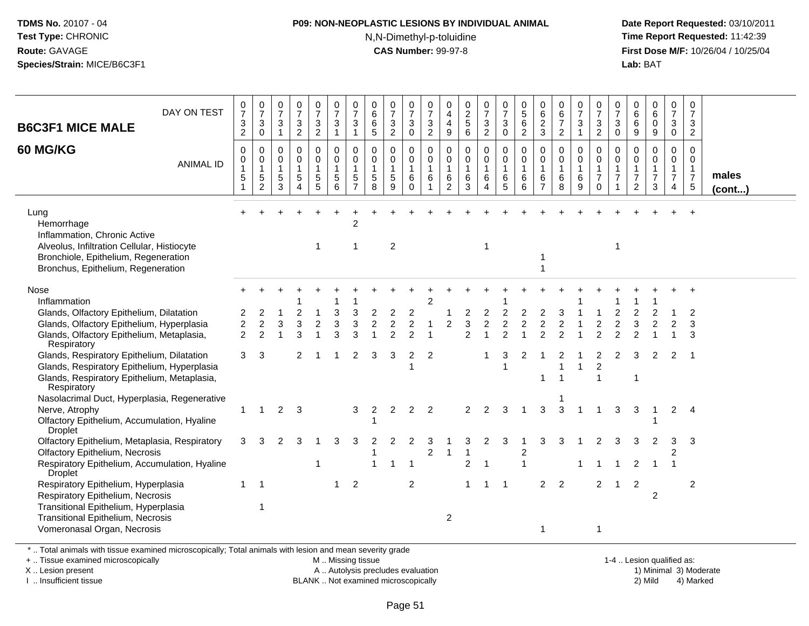#### **P09: NON-NEOPLASTIC LESIONS BY INDIVIDUAL ANIMAL**

N,N-Dimethyl-p-toluidine

 **Date Report Requested:** 03/10/2011 **Time Report Requested:** 11:42:39 **First Dose M/F:** 10/26/04 / 10/25/04 Lab: BAT **Lab:** BAT

| DAY ON TEST<br><b>B6C3F1 MICE MALE</b>                                                                                                                                                                                                                                    | $\frac{0}{7}$<br>$\frac{3}{2}$             | $\frac{0}{7}$<br>$\mathbf{3}$<br>$\mathsf{O}\xspace$    | $\frac{0}{7}$<br>$\mathbf{3}$<br>$\overline{1}$     | $\frac{0}{7}$<br>3<br>$\overline{2}$ | $\frac{0}{7}$<br>$\mathbf{3}$<br>$\overline{2}$ | $\frac{0}{7}$<br>$\mathbf{3}$<br>$\mathbf{1}$ | 0<br>$\overline{7}$<br>3<br>$\overline{1}$                         | $\pmb{0}$<br>$6\phantom{a}$<br>6<br>5               | 0<br>$\overline{7}$<br>3<br>$\overline{2}$   | 0<br>$\overline{7}$<br>3<br>$\mathbf 0$                     | 0<br>$\overline{7}$<br>3<br>$\overline{2}$ | 0<br>4<br>$\overline{\mathbf{4}}$<br>$\boldsymbol{9}$ | $\begin{array}{c} 0 \\ 2 \\ 5 \end{array}$<br>$\,6\,$ | 0<br>$\overline{7}$<br>3<br>$\overline{2}$ | 0<br>$\overline{7}$<br>3<br>$\mathbf 0$    | 0<br>$\overline{5}$<br>6<br>$\overline{c}$ | $\pmb{0}$<br>$6\overline{6}$<br>$\sqrt{2}$<br>3 | $\begin{array}{c} 0 \\ 6 \end{array}$<br>$\overline{7}$<br>2 | $\begin{array}{c} 0 \\ 7 \end{array}$<br>3<br>$\overline{1}$ | 0<br>$\overline{7}$<br>$\ensuremath{\mathsf{3}}$<br>$\overline{2}$ | 0<br>$\overline{7}$<br>3<br>$\mathbf 0$ | 0<br>$6\phantom{a}$<br>$\,6\,$<br>$9\,$                              | $_{6}^{\rm 0}$<br>$\mathsf 0$<br>9            | $\boldsymbol{0}$<br>$\overline{7}$<br>$\mathbf{3}$<br>$\mathbf 0$    | $\mathbf 0$<br>$\overline{7}$<br>3<br>$\overline{2}$                         |                 |
|---------------------------------------------------------------------------------------------------------------------------------------------------------------------------------------------------------------------------------------------------------------------------|--------------------------------------------|---------------------------------------------------------|-----------------------------------------------------|--------------------------------------|-------------------------------------------------|-----------------------------------------------|--------------------------------------------------------------------|-----------------------------------------------------|----------------------------------------------|-------------------------------------------------------------|--------------------------------------------|-------------------------------------------------------|-------------------------------------------------------|--------------------------------------------|--------------------------------------------|--------------------------------------------|-------------------------------------------------|--------------------------------------------------------------|--------------------------------------------------------------|--------------------------------------------------------------------|-----------------------------------------|----------------------------------------------------------------------|-----------------------------------------------|----------------------------------------------------------------------|------------------------------------------------------------------------------|-----------------|
| 60 MG/KG<br><b>ANIMAL ID</b>                                                                                                                                                                                                                                              | 0<br>$\mathbf 0$<br>1<br>5                 | 0<br>0<br>$\mathbf{1}$<br>$\,$ 5 $\,$<br>$\overline{2}$ | 0<br>$\mathbf 0$<br>$\mathbf{1}$<br>$\sqrt{5}$<br>3 | 0<br>0<br>1<br>$\sqrt{5}$<br>4       | 0<br>0<br>$\overline{1}$<br>$\sqrt{5}$<br>5     | 0<br>0<br>$\mathbf{1}$<br>$\,$ 5 $\,$<br>6    | $\mathbf 0$<br>0<br>$\overline{1}$<br>$\sqrt{5}$<br>$\overline{7}$ | 0<br>$\mathbf 0$<br>$\mathbf{1}$<br>$\sqrt{5}$<br>8 | 0<br>0<br>$\mathbf{1}$<br>$\sqrt{5}$<br>9    | $\mathbf 0$<br>$\mathbf 0$<br>$\mathbf{1}$<br>6<br>$\Omega$ | 0<br>0<br>$\mathbf{1}$<br>6                | $\mathbf 0$<br>0<br>$\mathbf{1}$<br>6<br>2            | 0<br>$\mathbf 0$<br>$\mathbf{1}$<br>$\,6\,$<br>3      | 0<br>0<br>$\mathbf{1}$<br>6<br>4           | 0<br>$\mathbf 0$<br>$\mathbf{1}$<br>6<br>5 | 0<br>0<br>$\mathbf{1}$<br>6<br>6           | 0<br>0<br>$\mathbf{1}$<br>6<br>$\overline{7}$   | $\mathbf 0$<br>0<br>$\mathbf{1}$<br>$\,6\,$<br>8             | 0<br>$\mathbf 0$<br>$\overline{1}$<br>6<br>9                 | 0<br>$\mathbf 0$<br>$\mathbf{1}$<br>$\overline{7}$<br>$\Omega$     | $\mathbf 0$<br>$\mathbf 0$<br>1<br>7    | 0<br>$\mathbf 0$<br>$\mathbf{1}$<br>$\overline{7}$<br>$\overline{2}$ | 0<br>0<br>$\mathbf{1}$<br>$\overline{7}$<br>3 | 0<br>$\mathbf 0$<br>$\mathbf{1}$<br>$\overline{7}$<br>$\overline{4}$ | $\mathbf 0$<br>$\mathbf 0$<br>$\overline{1}$<br>$\overline{7}$<br>$\sqrt{5}$ | males<br>(cont) |
| Lung<br>Hemorrhage<br>Inflammation, Chronic Active<br>Alveolus, Infiltration Cellular, Histiocyte<br>Bronchiole, Epithelium, Regeneration<br>Bronchus, Epithelium, Regeneration                                                                                           |                                            |                                                         |                                                     |                                      |                                                 |                                               | 2<br>$\mathbf{1}$                                                  |                                                     | $\overline{c}$                               |                                                             |                                            |                                                       |                                                       |                                            |                                            |                                            |                                                 |                                                              |                                                              |                                                                    | $\overline{1}$                          |                                                                      |                                               |                                                                      |                                                                              |                 |
| Nose<br>Inflammation<br>Glands, Olfactory Epithelium, Dilatation<br>Glands, Olfactory Epithelium, Hyperplasia<br>Glands, Olfactory Epithelium, Metaplasia,<br>Respiratory<br>Glands, Respiratory Epithelium, Dilatation<br>Glands, Respiratory Epithelium, Hyperplasia    | 2<br>$\overline{2}$<br>$\overline{2}$<br>3 | 2<br>$\boldsymbol{2}$<br>$\overline{2}$<br>3            | 3                                                   | 2<br>$\mathbf{3}$<br>3<br>2          | $\overline{c}$                                  | 3<br>3<br>3                                   | 3<br>$\mathbf{3}$<br>3<br>2                                        | 2<br>$\overline{c}$<br>3                            | 2<br>$\boldsymbol{2}$<br>$\mathfrak{p}$<br>3 | 2<br>$\overline{c}$<br>$\mathfrak{p}$<br>2                  | $\overline{c}$<br>$\overline{2}$           | 2                                                     | 2<br>$\mathbf{3}$<br>2                                | $\overline{c}$<br>$\boldsymbol{2}$<br>1    | $\boldsymbol{2}$<br>3                      | 2<br>$\overline{2}$<br>2                   | $\overline{c}$<br>$\mathcal{P}$                 | 3<br>$\sqrt{2}$<br>$\mathcal{D}$<br>2<br>-1                  |                                                              | $\overline{\mathbf{c}}$<br>$\mathcal{P}$<br>2                      | $\overline{c}$<br>2                     | 3<br>3                                                               | $\overline{2}$<br>2                           | $\overline{c}$<br>2                                                  | 2<br>3<br>3<br>-1                                                            |                 |
| Glands, Respiratory Epithelium, Metaplasia,<br>Respiratory<br>Nasolacrimal Duct, Hyperplasia, Regenerative<br>Nerve, Atrophy<br>Olfactory Epithelium, Accumulation, Hyaline<br>Droplet<br>Olfactory Epithelium, Metaplasia, Respiratory<br>Olfactory Epithelium, Necrosis | $\mathbf{1}$<br>3                          | $\overline{1}$<br>3                                     | $\overline{2}$                                      | $\overline{\mathbf{3}}$              |                                                 | 3                                             | 3<br>3                                                             | 2                                                   | $\overline{c}$                               | $\overline{2}$                                              | 2<br>$\overline{c}$                        |                                                       | 2                                                     | 2                                          | 3                                          | $\overline{c}$                             | 3                                               | 3<br>3                                                       |                                                              | $\overline{1}$                                                     | 3                                       | -1<br>3                                                              | 2                                             | $\overline{2}$<br>3<br>$\overline{c}$                                | $\overline{4}$<br>3                                                          |                 |
| Respiratory Epithelium, Accumulation, Hyaline<br><b>Droplet</b><br>Respiratory Epithelium, Hyperplasia<br>Respiratory Epithelium, Necrosis<br>Transitional Epithelium, Hyperplasia<br>Transitional Epithelium, Necrosis<br>Vomeronasal Organ, Necrosis                    | $\overline{1}$                             | $\overline{\mathbf{1}}$<br>-1                           |                                                     |                                      |                                                 | -1                                            | $\overline{2}$                                                     |                                                     |                                              | $\overline{1}$<br>$\overline{2}$                            |                                            | 2                                                     | $\overline{c}$<br>1                                   | -1                                         | -1                                         |                                            | $\overline{2}$                                  | $\overline{2}$                                               |                                                              | $\overline{2}$<br>1                                                |                                         | 2<br>2                                                               | $\overline{c}$                                |                                                                      | $\overline{c}$                                                               |                 |

\* .. Total animals with tissue examined microscopically; Total animals with lesion and mean severity grade

+ .. Tissue examined microscopically

X .. Lesion present

I .. Insufficient tissue

M .. Missing tissue

 Lesion present A .. Autolysis precludes evaluation 1) Minimal 3) ModerateBLANK .. Not examined microscopically 2) Mild 4) Marked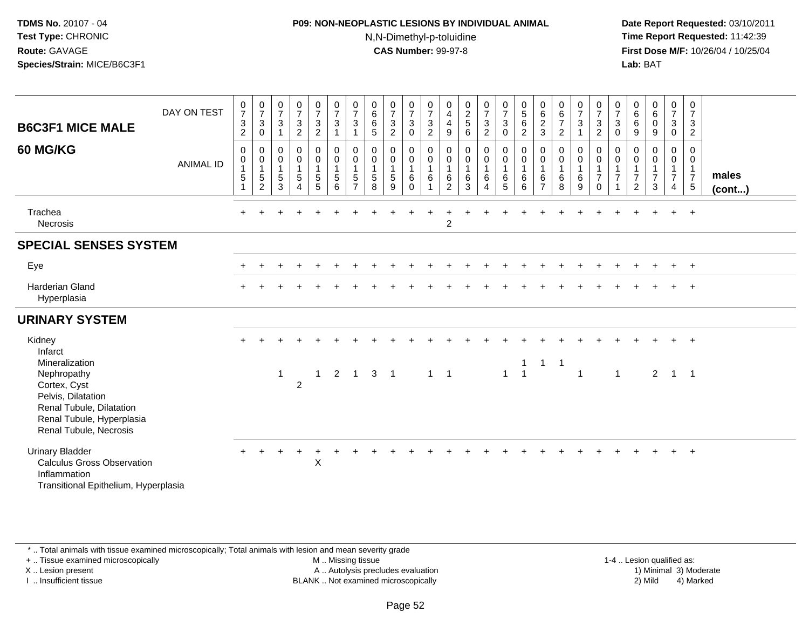### **P09: NON-NEOPLASTIC LESIONS BY INDIVIDUAL ANIMAL**N,N-Dimethyl-p-toluidine

 **Date Report Requested:** 03/10/2011 **Time Report Requested:** 11:42:39 **First Dose M/F:** 10/26/04 / 10/25/04 Lab: BAT **Lab:** BAT

| <b>B6C3F1 MICE MALE</b><br>60 MG/KG                                                                                                                                         | DAY ON TEST<br><b>ANIMAL ID</b> | $\frac{0}{7}$<br>$\ensuremath{\mathsf{3}}$<br>$\overline{c}$<br>0<br>0<br>5 | $\begin{matrix} 0 \\ 7 \\ 3 \\ 0 \end{matrix}$<br>$\boldsymbol{0}$<br>$\begin{array}{c} 0 \\ 1 \\ 5 \\ 2 \end{array}$ | $\begin{array}{c} 0 \\ 7 \end{array}$<br>$\sqrt{3}$<br>$\mathbf{1}$<br>$\mathbf 0$<br>$\mathsf{O}\xspace$<br>$\mathbf{1}$<br>$\mathbf 5$<br>$\overline{3}$ | $\frac{0}{7}$<br>3<br>$\overline{c}$<br>0<br>$\mathsf{O}\xspace$<br>$\mathbf{1}$<br>5<br>$\overline{4}$ | $\frac{0}{7}$<br>$\frac{3}{2}$<br>$_{\rm 0}^{\rm 0}$<br>$\mathbf{1}$<br>$\frac{5}{5}$ | $\frac{0}{7}$<br>$\ensuremath{\mathsf{3}}$<br>$\mathbf{1}$<br>$\pmb{0}$<br>$\pmb{0}$<br>$\mathbf{1}$<br>$\frac{5}{6}$ | $\frac{0}{7}$<br>$\ensuremath{\mathsf{3}}$<br>1<br>0<br>0<br>$\mathbf{1}$<br>$\,$ 5 $\,$<br>$\overline{7}$ | $\begin{matrix} 0 \\ 6 \\ 6 \end{matrix}$<br>$\overline{5}$<br>0<br>$\mathbf 0$<br>$\mathbf{1}$<br>$\mathbf 5$<br>8 | $\frac{0}{7}$<br>$\sqrt{3}$<br>$\sqrt{2}$<br>$\pmb{0}$<br>$\mathsf{O}\xspace$<br>$\mathbf{1}$<br>$\mathbf 5$<br>$\overline{9}$ | $\frac{0}{7}$<br>$\ensuremath{\mathsf{3}}$<br>$\mathbf 0$<br>0<br>$\mathbf 0$<br>$\mathbf{1}$<br>$\,6$<br>$\Omega$ | $\frac{0}{7}$<br>$\frac{3}{2}$<br>0<br>$\pmb{0}$<br>$\mathbf{1}$<br>6 | $\begin{array}{c} 0 \\ 4 \\ 4 \end{array}$<br>$\boldsymbol{9}$<br>$\,0\,$<br>$\pmb{0}$<br>$\mathbf{1}$<br>$\frac{6}{2}$ | $\begin{array}{c} 0 \\ 2 \\ 5 \end{array}$<br>$\,6\,$<br>$\pmb{0}$<br>$\pmb{0}$<br>$\mathbf{1}$<br>$^6_3$ | $\frac{0}{7}$<br>$\frac{3}{2}$<br>$_0^0$<br>$\mathbf{1}$<br>$^6_4$ | $\frac{0}{7}$<br>$\mathbf{3}$<br>$\mathbf 0$<br>$\begin{matrix} 0 \\ 0 \\ 1 \end{matrix}$<br>$\begin{array}{c} 6 \\ 5 \end{array}$ | $\begin{matrix}0\5\6\end{matrix}$<br>$\overline{c}$<br>0<br>$\mathbf 0$<br>$\mathbf{1}$<br>6<br>6 | 0623<br>0<br>$\pmb{0}$<br>$\mathbf{1}$<br>$\,6$<br>$\overline{7}$ | $\begin{array}{c} 0 \\ 6 \\ 7 \end{array}$<br>$\overline{2}$<br>0<br>$\pmb{0}$<br>$\mathbf{1}$<br>$\,6\,$<br>$\overline{8}$ | $\frac{0}{7}$<br>$\sqrt{3}$<br>$\overline{1}$<br>0<br>$\mathbf 0$<br>$\mathbf{1}$<br>6<br>9 | $\frac{0}{7}$<br>$\frac{3}{2}$<br>$\mathbf 0$<br>$\pmb{0}$<br>$\mathbf{1}$<br>$\overline{7}$<br>$\Omega$ | $\frac{0}{7}$<br>$\sqrt{3}$<br>$\boldsymbol{0}$<br>0<br>$\mathbf 0$<br>$\mathbf{1}$<br>$\overline{7}$<br>1 | $0$<br>6<br>6<br>$\boldsymbol{9}$<br>0<br>$\mathsf{O}\xspace$<br>$\mathbf{1}$<br>$\overline{7}$<br>$\overline{2}$ | $\begin{smallmatrix}0\0\0\0\end{smallmatrix}$<br>$9\,$<br>0<br>$\mathbf 0$<br>$\mathbf{1}$<br>$\overline{7}$<br>3 | $\begin{array}{c} 0 \\ 7 \end{array}$<br>$_0^3$<br>$\begin{smallmatrix} 0\\0 \end{smallmatrix}$<br>$\mathbf{1}$<br>$\overline{7}$<br>$\overline{4}$ | $\begin{smallmatrix}0\\7\end{smallmatrix}$<br>$\ensuremath{\mathsf{3}}$<br>$\overline{2}$<br>$\mathbf 0$<br>$\mathbf 0$<br>$\mathbf{1}$<br>$\overline{7}$<br>$\,$ 5 $\,$ | males<br>(cont) |
|-----------------------------------------------------------------------------------------------------------------------------------------------------------------------------|---------------------------------|-----------------------------------------------------------------------------|-----------------------------------------------------------------------------------------------------------------------|------------------------------------------------------------------------------------------------------------------------------------------------------------|---------------------------------------------------------------------------------------------------------|---------------------------------------------------------------------------------------|-----------------------------------------------------------------------------------------------------------------------|------------------------------------------------------------------------------------------------------------|---------------------------------------------------------------------------------------------------------------------|--------------------------------------------------------------------------------------------------------------------------------|--------------------------------------------------------------------------------------------------------------------|-----------------------------------------------------------------------|-------------------------------------------------------------------------------------------------------------------------|-----------------------------------------------------------------------------------------------------------|--------------------------------------------------------------------|------------------------------------------------------------------------------------------------------------------------------------|---------------------------------------------------------------------------------------------------|-------------------------------------------------------------------|-----------------------------------------------------------------------------------------------------------------------------|---------------------------------------------------------------------------------------------|----------------------------------------------------------------------------------------------------------|------------------------------------------------------------------------------------------------------------|-------------------------------------------------------------------------------------------------------------------|-------------------------------------------------------------------------------------------------------------------|-----------------------------------------------------------------------------------------------------------------------------------------------------|--------------------------------------------------------------------------------------------------------------------------------------------------------------------------|-----------------|
| Trachea<br>Necrosis                                                                                                                                                         |                                 |                                                                             |                                                                                                                       |                                                                                                                                                            |                                                                                                         |                                                                                       |                                                                                                                       |                                                                                                            |                                                                                                                     |                                                                                                                                |                                                                                                                    |                                                                       | $\overline{2}$                                                                                                          |                                                                                                           |                                                                    |                                                                                                                                    |                                                                                                   |                                                                   |                                                                                                                             |                                                                                             |                                                                                                          |                                                                                                            |                                                                                                                   |                                                                                                                   |                                                                                                                                                     | $+$                                                                                                                                                                      |                 |
| <b>SPECIAL SENSES SYSTEM</b>                                                                                                                                                |                                 |                                                                             |                                                                                                                       |                                                                                                                                                            |                                                                                                         |                                                                                       |                                                                                                                       |                                                                                                            |                                                                                                                     |                                                                                                                                |                                                                                                                    |                                                                       |                                                                                                                         |                                                                                                           |                                                                    |                                                                                                                                    |                                                                                                   |                                                                   |                                                                                                                             |                                                                                             |                                                                                                          |                                                                                                            |                                                                                                                   |                                                                                                                   |                                                                                                                                                     |                                                                                                                                                                          |                 |
| Eye                                                                                                                                                                         |                                 |                                                                             |                                                                                                                       |                                                                                                                                                            |                                                                                                         |                                                                                       |                                                                                                                       |                                                                                                            |                                                                                                                     |                                                                                                                                |                                                                                                                    |                                                                       |                                                                                                                         |                                                                                                           |                                                                    |                                                                                                                                    |                                                                                                   |                                                                   |                                                                                                                             |                                                                                             |                                                                                                          |                                                                                                            |                                                                                                                   |                                                                                                                   | $\pm$                                                                                                                                               | $^{+}$                                                                                                                                                                   |                 |
| Harderian Gland<br>Hyperplasia                                                                                                                                              |                                 |                                                                             |                                                                                                                       |                                                                                                                                                            |                                                                                                         |                                                                                       |                                                                                                                       |                                                                                                            |                                                                                                                     |                                                                                                                                |                                                                                                                    |                                                                       |                                                                                                                         |                                                                                                           |                                                                    |                                                                                                                                    |                                                                                                   |                                                                   |                                                                                                                             |                                                                                             |                                                                                                          |                                                                                                            |                                                                                                                   |                                                                                                                   |                                                                                                                                                     | $+$                                                                                                                                                                      |                 |
| <b>URINARY SYSTEM</b>                                                                                                                                                       |                                 |                                                                             |                                                                                                                       |                                                                                                                                                            |                                                                                                         |                                                                                       |                                                                                                                       |                                                                                                            |                                                                                                                     |                                                                                                                                |                                                                                                                    |                                                                       |                                                                                                                         |                                                                                                           |                                                                    |                                                                                                                                    |                                                                                                   |                                                                   |                                                                                                                             |                                                                                             |                                                                                                          |                                                                                                            |                                                                                                                   |                                                                                                                   |                                                                                                                                                     |                                                                                                                                                                          |                 |
| Kidney<br>Infarct<br>Mineralization<br>Nephropathy<br>Cortex, Cyst<br>Pelvis, Dilatation<br>Renal Tubule, Dilatation<br>Renal Tubule, Hyperplasia<br>Renal Tubule, Necrosis |                                 |                                                                             |                                                                                                                       | $\mathbf{1}$                                                                                                                                               | $\overline{2}$                                                                                          | $\mathbf{1}$                                                                          | $\overline{2}$                                                                                                        | $\overline{1}$                                                                                             | 3 <sub>1</sub>                                                                                                      |                                                                                                                                |                                                                                                                    | $1 \quad 1$                                                           |                                                                                                                         |                                                                                                           |                                                                    | $\mathbf{1}$                                                                                                                       | $\mathbf{1}$<br>$\overline{1}$                                                                    | $\mathbf{1}$                                                      | $\overline{1}$                                                                                                              | $\overline{1}$                                                                              |                                                                                                          | $\mathbf{1}$                                                                                               |                                                                                                                   | $\overline{2}$                                                                                                    | $\mathbf{1}$                                                                                                                                        | $\overline{ }$<br>$\overline{\phantom{0}}$ 1                                                                                                                             |                 |
| <b>Urinary Bladder</b><br><b>Calculus Gross Observation</b><br>Inflammation<br>Transitional Epithelium, Hyperplasia                                                         |                                 |                                                                             |                                                                                                                       |                                                                                                                                                            |                                                                                                         | $\boldsymbol{\mathsf{X}}$                                                             |                                                                                                                       |                                                                                                            |                                                                                                                     |                                                                                                                                |                                                                                                                    |                                                                       |                                                                                                                         |                                                                                                           |                                                                    |                                                                                                                                    |                                                                                                   |                                                                   |                                                                                                                             |                                                                                             |                                                                                                          |                                                                                                            |                                                                                                                   |                                                                                                                   | $+$                                                                                                                                                 | $+$                                                                                                                                                                      |                 |

\* .. Total animals with tissue examined microscopically; Total animals with lesion and mean severity grade

+ .. Tissue examined microscopically

X .. Lesion present

I .. Insufficient tissue

 M .. Missing tissueA .. Autolysis precludes evaluation

1-4 .. Lesion qualified as:<br>1) Minimal 3) Moderate BLANK .. Not examined microscopically 2) Mild 4) Marked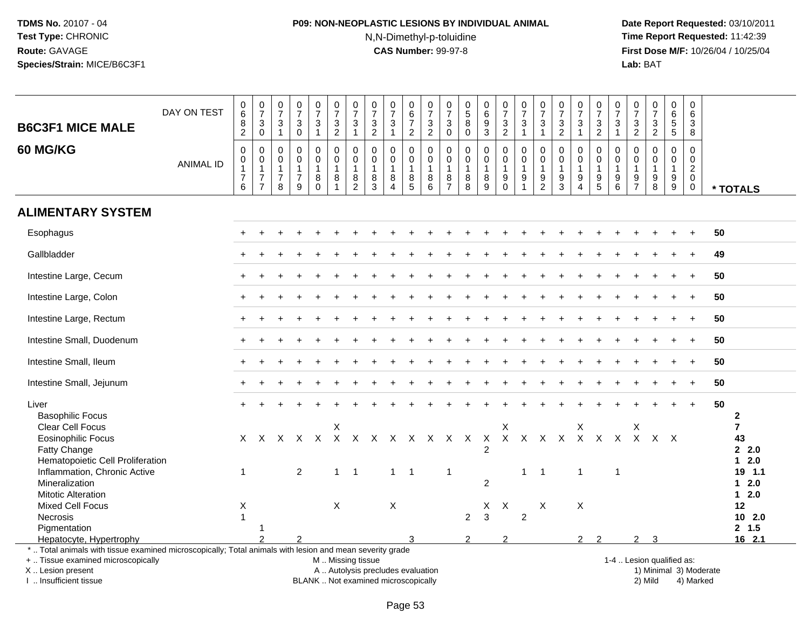# **P09: NON-NEOPLASTIC LESIONS BY INDIVIDUAL ANIMAL**N,N-Dimethyl-p-toluidine

 **Date Report Requested:** 03/10/2011 **Time Report Requested:** 11:42:39 **First Dose M/F:** 10/26/04 / 10/25/04<br>**Lab:** BAT **Lab:** BAT

| <b>B6C3F1 MICE MALE</b>                                                                                                                                                                       | DAY ON TEST      | $\pmb{0}$<br>$6\overline{6}$<br>$\,8\,$<br>$\overline{2}$               | $\frac{0}{7}$<br>$\sqrt{3}$<br>$\mathbf 0$                           | 0<br>$\overline{7}$<br>$\mathbf{3}$<br>$\overline{1}$     | $\pmb{0}$<br>$\overline{7}$<br>$\sqrt{3}$<br>$\mathbf 0$          | $\,0\,$<br>$\overline{7}$<br>3<br>$\mathbf{1}$             | 0<br>$\overline{7}$<br>3<br>$\overline{2}$   | $\begin{array}{c} 0 \\ 7 \end{array}$<br>$\mathbf{3}$<br>$\mathbf{1}$  | $\pmb{0}$<br>$\overline{7}$<br>$\sqrt{3}$<br>$\overline{2}$     | 0<br>$\overline{7}$<br>$\mathbf{3}$<br>$\overline{1}$                       | $\,0\,$<br>$\,6\,$<br>$\overline{7}$<br>$\overline{2}$ | 0<br>$\overline{7}$<br>3<br>$\overline{2}$       | 0<br>$\overline{7}$<br>3<br>$\mathbf 0$       | $\pmb{0}$<br>$\overline{5}$<br>$\bf 8$<br>0 | $\pmb{0}$<br>6<br>$\boldsymbol{9}$<br>3                                 | 0<br>$\overline{7}$<br>3<br>$\overline{2}$ | $\pmb{0}$<br>$\overline{7}$<br>$\mathbf{3}$<br>$\mathbf{1}$                   | $\pmb{0}$<br>$\overline{7}$<br>3<br>$\mathbf{1}$ | $\pmb{0}$<br>$\overline{7}$<br>$\sqrt{3}$<br>$\overline{2}$ | $\begin{array}{c} 0 \\ 7 \end{array}$<br>$\mathbf{3}$                         | $\pmb{0}$<br>$\overline{7}$<br>$\mathsf 3$<br>$\overline{2}$ | 0<br>$\overline{7}$<br>$\sqrt{3}$<br>$\overline{1}$    | $\pmb{0}$<br>$\overline{7}$<br>3<br>$\overline{2}$       | $\pmb{0}$<br>$\overline{7}$<br>$\mathbf{3}$<br>$\overline{2}$ | $\pmb{0}$<br>$6\phantom{a}$<br>5<br>$5\phantom{.0}$                 | $\pmb{0}$<br>6<br>3<br>8                                                    |                        |                                |
|-----------------------------------------------------------------------------------------------------------------------------------------------------------------------------------------------|------------------|-------------------------------------------------------------------------|----------------------------------------------------------------------|-----------------------------------------------------------|-------------------------------------------------------------------|------------------------------------------------------------|----------------------------------------------|------------------------------------------------------------------------|-----------------------------------------------------------------|-----------------------------------------------------------------------------|--------------------------------------------------------|--------------------------------------------------|-----------------------------------------------|---------------------------------------------|-------------------------------------------------------------------------|--------------------------------------------|-------------------------------------------------------------------------------|--------------------------------------------------|-------------------------------------------------------------|-------------------------------------------------------------------------------|--------------------------------------------------------------|--------------------------------------------------------|----------------------------------------------------------|---------------------------------------------------------------|---------------------------------------------------------------------|-----------------------------------------------------------------------------|------------------------|--------------------------------|
| 60 MG/KG                                                                                                                                                                                      | <b>ANIMAL ID</b> | $\pmb{0}$<br>$\pmb{0}$<br>$\mathbf{1}$<br>$\overline{\mathcal{I}}$<br>6 | $\mathbf 0$<br>0<br>$\mathbf{1}$<br>$\overline{7}$<br>$\overline{7}$ | 0<br>$\mathbf 0$<br>$\overline{1}$<br>$\overline{7}$<br>8 | $\mathbf 0$<br>$\mathbf 0$<br>$\mathbf{1}$<br>$\overline{7}$<br>9 | $\mathbf 0$<br>$\mathbf 0$<br>$\mathbf 1$<br>8<br>$\Omega$ | $\mathbf 0$<br>0<br>1<br>8<br>$\overline{1}$ | $\mathbf 0$<br>$\mathbf 0$<br>$\mathbf 1$<br>$\bf 8$<br>$\overline{2}$ | $\mathbf 0$<br>$\mathbf 0$<br>$\mathbf{1}$<br>8<br>$\mathbf{3}$ | $\mathbf 0$<br>$\mathbf 0$<br>$\overline{1}$<br>8<br>$\boldsymbol{\Lambda}$ | 0<br>0<br>$\mathbf{1}$<br>8<br>5                       | $\mathbf 0$<br>0<br>$\mathbf{1}$<br>$\bf 8$<br>6 | 0<br>0<br>$\mathbf{1}$<br>8<br>$\overline{7}$ | 0<br>0<br>$\mathbf{1}$<br>$\bf 8$<br>8      | $\mathbf 0$<br>$\mathbf 0$<br>$\mathbf{1}$<br>$\bf 8$<br>$\overline{9}$ | 0<br>0<br>$\overline{1}$<br>9<br>$\Omega$  | $\Omega$<br>$\mathbf 0$<br>$\mathbf{1}$<br>$\boldsymbol{9}$<br>$\overline{1}$ | 0<br>0<br>$\mathbf{1}$<br>9<br>$\overline{2}$    | $\Omega$<br>0<br>$\overline{1}$<br>$\boldsymbol{9}$<br>3    | $\Omega$<br>$\mathbf 0$<br>$\mathbf{1}$<br>$\boldsymbol{9}$<br>$\overline{4}$ | $\mathbf 0$<br>$\mathbf 0$<br>$\mathbf 1$<br>9<br>5          | $\mathbf 0$<br>$\mathbf 0$<br>$\overline{1}$<br>9<br>6 | $\Omega$<br>$\mathbf 0$<br>$\mathbf{1}$<br>$\frac{9}{7}$ | $\mathbf 0$<br>$\mathbf 0$<br>$\mathbf{1}$<br>9<br>8          | $\mathbf 0$<br>$\mathbf 0$<br>$\mathbf{1}$<br>$\boldsymbol{9}$<br>9 | $\mathbf 0$<br>$\mathbf{0}$<br>$\overline{a}$<br>$\mathbf 0$<br>$\mathbf 0$ |                        | * TOTALS                       |
| <b>ALIMENTARY SYSTEM</b>                                                                                                                                                                      |                  |                                                                         |                                                                      |                                                           |                                                                   |                                                            |                                              |                                                                        |                                                                 |                                                                             |                                                        |                                                  |                                               |                                             |                                                                         |                                            |                                                                               |                                                  |                                                             |                                                                               |                                                              |                                                        |                                                          |                                                               |                                                                     |                                                                             |                        |                                |
| Esophagus                                                                                                                                                                                     |                  |                                                                         |                                                                      |                                                           |                                                                   |                                                            |                                              |                                                                        |                                                                 |                                                                             |                                                        |                                                  |                                               |                                             |                                                                         |                                            |                                                                               |                                                  |                                                             |                                                                               |                                                              |                                                        |                                                          |                                                               |                                                                     |                                                                             | 50                     |                                |
| Gallbladder                                                                                                                                                                                   |                  |                                                                         |                                                                      |                                                           |                                                                   |                                                            |                                              |                                                                        |                                                                 |                                                                             |                                                        |                                                  |                                               |                                             |                                                                         |                                            |                                                                               |                                                  |                                                             |                                                                               |                                                              |                                                        |                                                          |                                                               |                                                                     | $\ddot{}$                                                                   | 49                     |                                |
| Intestine Large, Cecum                                                                                                                                                                        |                  |                                                                         |                                                                      |                                                           |                                                                   |                                                            |                                              |                                                                        |                                                                 |                                                                             |                                                        |                                                  |                                               |                                             |                                                                         |                                            |                                                                               |                                                  |                                                             |                                                                               |                                                              |                                                        |                                                          |                                                               |                                                                     |                                                                             | 50                     |                                |
| Intestine Large, Colon                                                                                                                                                                        |                  |                                                                         |                                                                      |                                                           |                                                                   |                                                            |                                              |                                                                        |                                                                 |                                                                             |                                                        |                                                  |                                               |                                             |                                                                         |                                            |                                                                               |                                                  |                                                             |                                                                               |                                                              |                                                        |                                                          |                                                               |                                                                     | $\ddot{}$                                                                   | 50                     |                                |
| Intestine Large, Rectum                                                                                                                                                                       |                  |                                                                         |                                                                      |                                                           |                                                                   |                                                            |                                              |                                                                        |                                                                 |                                                                             |                                                        |                                                  |                                               |                                             |                                                                         |                                            |                                                                               |                                                  |                                                             |                                                                               |                                                              |                                                        |                                                          |                                                               |                                                                     | $\ddot{}$                                                                   | 50                     |                                |
| Intestine Small, Duodenum                                                                                                                                                                     |                  |                                                                         |                                                                      |                                                           |                                                                   |                                                            |                                              |                                                                        |                                                                 |                                                                             |                                                        |                                                  |                                               |                                             |                                                                         |                                            |                                                                               |                                                  |                                                             |                                                                               |                                                              |                                                        |                                                          |                                                               |                                                                     | $\ddot{}$                                                                   | 50                     |                                |
| Intestine Small, Ileum                                                                                                                                                                        |                  |                                                                         |                                                                      |                                                           |                                                                   |                                                            |                                              |                                                                        |                                                                 |                                                                             |                                                        |                                                  |                                               |                                             |                                                                         |                                            |                                                                               |                                                  |                                                             |                                                                               |                                                              |                                                        |                                                          |                                                               |                                                                     | $\ddot{}$                                                                   | 50                     |                                |
| Intestine Small, Jejunum                                                                                                                                                                      |                  |                                                                         |                                                                      |                                                           |                                                                   |                                                            |                                              |                                                                        |                                                                 |                                                                             |                                                        |                                                  |                                               |                                             |                                                                         |                                            |                                                                               |                                                  |                                                             |                                                                               |                                                              |                                                        |                                                          |                                                               |                                                                     |                                                                             | 50                     |                                |
| Liver<br><b>Basophilic Focus</b><br>Clear Cell Focus                                                                                                                                          |                  |                                                                         |                                                                      |                                                           |                                                                   |                                                            | X                                            |                                                                        |                                                                 |                                                                             |                                                        |                                                  |                                               |                                             |                                                                         | X                                          |                                                                               |                                                  |                                                             | X                                                                             |                                                              |                                                        | X                                                        |                                                               |                                                                     |                                                                             | 50                     | $\mathbf{2}$<br>$\overline{7}$ |
| <b>Eosinophilic Focus</b><br>Fatty Change<br>Hematopoietic Cell Proliferation                                                                                                                 |                  |                                                                         |                                                                      |                                                           |                                                                   |                                                            |                                              |                                                                        |                                                                 |                                                                             |                                                        |                                                  |                                               |                                             | $\mathcal{P}$                                                           |                                            |                                                                               |                                                  |                                                             |                                                                               |                                                              |                                                        |                                                          |                                                               |                                                                     |                                                                             |                        | 43<br>$2 \quad 2.0$<br>$12.0$  |
| Inflammation, Chronic Active<br>Mineralization                                                                                                                                                |                  | $\mathbf{1}$                                                            |                                                                      |                                                           | $\overline{2}$                                                    |                                                            | $\mathbf{1}$                                 | $\overline{1}$                                                         |                                                                 | $\mathbf{1}$                                                                | $\overline{1}$                                         |                                                  | $\overline{1}$                                |                                             | $\overline{2}$                                                          |                                            | $\mathbf 1$                                                                   | $\overline{1}$                                   |                                                             | $\mathbf{1}$                                                                  |                                                              | $\overline{\mathbf{1}}$                                |                                                          |                                                               |                                                                     |                                                                             |                        | 19 1.1<br>$12.0$<br>$12.0$     |
| <b>Mitotic Alteration</b><br><b>Mixed Cell Focus</b><br><b>Necrosis</b>                                                                                                                       |                  | $\mathsf X$<br>1                                                        |                                                                      |                                                           |                                                                   |                                                            | X                                            |                                                                        |                                                                 | $\boldsymbol{\mathsf{X}}$                                                   |                                                        |                                                  |                                               | $\overline{2}$                              | X<br>$\mathbf{3}$                                                       | $\boldsymbol{\mathsf{X}}$                  | $\overline{2}$                                                                | X                                                |                                                             | X                                                                             |                                                              |                                                        |                                                          |                                                               |                                                                     |                                                                             |                        | 12<br>$10$ 2.0                 |
| Pigmentation<br>Hepatocyte, Hypertrophy                                                                                                                                                       |                  |                                                                         |                                                                      |                                                           |                                                                   |                                                            |                                              |                                                                        |                                                                 |                                                                             |                                                        |                                                  |                                               | 2                                           |                                                                         | $\mathcal{P}$                              |                                                                               |                                                  |                                                             | 2                                                                             |                                                              |                                                        | 2                                                        |                                                               |                                                                     |                                                                             |                        | 2, 1.5<br>16 2.1               |
| *  Total animals with tissue examined microscopically; Total animals with lesion and mean severity grade<br>+  Tissue examined microscopically<br>X  Lesion present<br>I  Insufficient tissue |                  |                                                                         |                                                                      |                                                           |                                                                   |                                                            | M  Missing tissue                            |                                                                        |                                                                 | A  Autolysis precludes evaluation<br>BLANK  Not examined microscopically    |                                                        |                                                  |                                               |                                             |                                                                         |                                            |                                                                               |                                                  |                                                             |                                                                               |                                                              |                                                        |                                                          | 1-4  Lesion qualified as:<br>2) Mild                          |                                                                     | 4) Marked                                                                   | 1) Minimal 3) Moderate |                                |

I .. Insufficient tissue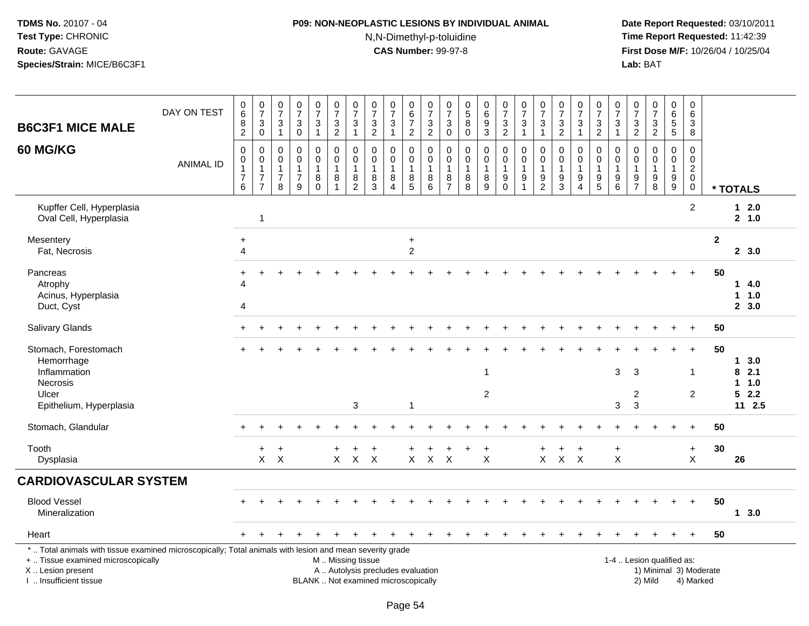# **P09: NON-NEOPLASTIC LESIONS BY INDIVIDUAL ANIMAL**N,N-Dimethyl-p-toluidine

| <b>B6C3F1 MICE MALE</b>                                                                                                                                                                       | DAY ON TEST      | $\begin{array}{c} 0 \\ 6 \end{array}$<br>$\begin{smallmatrix} 8 \\ 2 \end{smallmatrix}$ | $\frac{0}{7}$<br>$\ensuremath{\mathsf{3}}$<br>$\mathsf 0$                      | $\frac{0}{7}$<br>3<br>$\mathbf{1}$                      | $\begin{array}{c} 0 \\ 7 \end{array}$<br>$\ensuremath{\mathsf{3}}$<br>$\pmb{0}$ | $\frac{0}{7}$<br>$\mathbf{3}$<br>$\mathbf{1}$     | $\begin{array}{c} 0 \\ 7 \end{array}$<br>$\frac{3}{2}$  | $\frac{0}{7}$<br>$\ensuremath{\mathsf{3}}$<br>$\mathbf{1}$                                   | $\begin{array}{c} 0 \\ 7 \end{array}$<br>$\mathbf{3}$<br>$\overline{c}$  | $\begin{array}{c} 0 \\ 7 \end{array}$<br>$\sqrt{3}$<br>$\mathbf{1}$       | 0<br>$\overline{6}$<br>$\overline{7}$<br>$\overline{2}$ | $\frac{0}{7}$<br>$\frac{3}{2}$                 | $\frac{0}{7}$<br>$\ensuremath{\mathsf{3}}$<br>$\pmb{0}$ | $\begin{array}{c} 0 \\ 5 \end{array}$<br>8<br>0 | $\begin{array}{c} 0 \\ 6 \\ 9 \end{array}$<br>$\overline{3}$        | $\begin{smallmatrix}0\\7\end{smallmatrix}$<br>$\ensuremath{\mathsf{3}}$<br>$\overline{2}$ | $\frac{0}{7}$<br>3<br>$\mathbf{1}$                                | $\frac{0}{7}$<br>3<br>$\mathbf{1}$                        | $\frac{0}{7}$<br>$\ensuremath{\mathsf{3}}$<br>$\overline{2}$ | $\begin{array}{c} 0 \\ 7 \end{array}$<br>3<br>$\mathbf{1}$                | $\begin{array}{c} 0 \\ 7 \end{array}$<br>$\frac{3}{2}$ | $\frac{0}{7}$<br>$\ensuremath{\mathsf{3}}$<br>$\overline{1}$ | 0<br>$\overline{7}$<br>$\ensuremath{\mathsf{3}}$<br>$\overline{2}$ | $\begin{array}{c} 0 \\ 7 \end{array}$<br>$\ensuremath{\mathsf{3}}$<br>$\overline{2}$ | 0<br>$\overline{6}$<br>5<br>$\overline{5}$           | $\pmb{0}$<br>$6\phantom{a}$<br>$\ensuremath{\mathsf{3}}$<br>$\overline{8}$ |                        |                                         |
|-----------------------------------------------------------------------------------------------------------------------------------------------------------------------------------------------|------------------|-----------------------------------------------------------------------------------------|--------------------------------------------------------------------------------|---------------------------------------------------------|---------------------------------------------------------------------------------|---------------------------------------------------|---------------------------------------------------------|----------------------------------------------------------------------------------------------|--------------------------------------------------------------------------|---------------------------------------------------------------------------|---------------------------------------------------------|------------------------------------------------|---------------------------------------------------------|-------------------------------------------------|---------------------------------------------------------------------|-------------------------------------------------------------------------------------------|-------------------------------------------------------------------|-----------------------------------------------------------|--------------------------------------------------------------|---------------------------------------------------------------------------|--------------------------------------------------------|--------------------------------------------------------------|--------------------------------------------------------------------|--------------------------------------------------------------------------------------|------------------------------------------------------|----------------------------------------------------------------------------|------------------------|-----------------------------------------|
| <b>60 MG/KG</b>                                                                                                                                                                               | <b>ANIMAL ID</b> | $\mathbf 0$<br>$\boldsymbol{0}$<br>$\mathbf{1}$<br>$\boldsymbol{7}$<br>$\,6\,$          | $\mathbf 0$<br>$\mathbf 0$<br>$\mathbf{1}$<br>$\overline{7}$<br>$\overline{7}$ | 0<br>$\mathbf 0$<br>$\mathbf{1}$<br>$\overline{7}$<br>8 | $\mathbf 0$<br>$\mathbf 0$<br>$\mathbf{1}$<br>$\overline{7}$<br>9               | 0<br>$\mathsf 0$<br>$\mathbf{1}$<br>8<br>$\Omega$ | 0<br>$\mathbf 0$<br>$\mathbf{1}$<br>8<br>$\overline{1}$ | $\mathbf 0$<br>$\pmb{0}$<br>$\overline{1}$<br>$\begin{smallmatrix} 8 \\ 2 \end{smallmatrix}$ | $\mathbf 0$<br>$\mathbf 0$<br>$\overline{1}$<br>8<br>3                   | $\mathbf 0$<br>$\mathbf 0$<br>$\mathbf{1}$<br>8<br>$\boldsymbol{\Lambda}$ | 0<br>$\mathbf 0$<br>8<br>$\overline{5}$                 | 0<br>$\mathbf 0$<br>$\mathbf{1}$<br>$_{6}^{8}$ | $\mathbf 0$<br>$\,0\,$<br>$\mathbf{1}$<br>$\frac{8}{7}$ | 0<br>0<br>$\mathbf{1}$<br>8<br>$\overline{8}$   | $\mathbf 0$<br>$\mathbf 0$<br>$\overline{1}$<br>8<br>$\overline{9}$ | 0<br>$\mathsf 0$<br>$\mathbf{1}$<br>9<br>$\ddot{\mathbf{0}}$                              | $\mathbf 0$<br>$\mathbf 0$<br>$\mathbf{1}$<br>9<br>$\overline{1}$ | $\mathbf 0$<br>$\pmb{0}$<br>$\mathbf{1}$<br>$\frac{9}{2}$ | 0<br>$\mathbf 0$<br>$\mathbf{1}$<br>$\frac{9}{3}$            | $\mathbf 0$<br>$\mathbf 0$<br>$\mathbf{1}$<br>9<br>$\boldsymbol{\Lambda}$ | $\mathbf 0$<br>0<br>$\mathbf 1$<br>$\frac{9}{5}$       | $\mathbf 0$<br>$\mathbf 0$<br>$\overline{1}$<br>9<br>6       | $\mathbf 0$<br>$\mathbf 0$<br>$\mathbf{1}$<br>$\frac{9}{7}$        | $\mathbf 0$<br>$\mathbf 0$<br>$\mathbf{1}$<br>9<br>$\overline{8}$                    | $\mathbf 0$<br>$\mathbf 0$<br>$\mathbf{1}$<br>$^9_9$ | $\mathsf 0$<br>$\mathbf 0$<br>$\overline{c}$<br>$\mathbf 0$<br>$\mathbf 0$ |                        | * TOTALS                                |
| Kupffer Cell, Hyperplasia<br>Oval Cell, Hyperplasia                                                                                                                                           |                  |                                                                                         | 1                                                                              |                                                         |                                                                                 |                                                   |                                                         |                                                                                              |                                                                          |                                                                           |                                                         |                                                |                                                         |                                                 |                                                                     |                                                                                           |                                                                   |                                                           |                                                              |                                                                           |                                                        |                                                              |                                                                    |                                                                                      |                                                      | 2                                                                          |                        | $12.0$<br>2, 1.0                        |
| Mesentery<br>Fat, Necrosis                                                                                                                                                                    |                  | $\ddot{}$<br>4                                                                          |                                                                                |                                                         |                                                                                 |                                                   |                                                         |                                                                                              |                                                                          |                                                                           | $\ddot{}$<br>$\overline{2}$                             |                                                |                                                         |                                                 |                                                                     |                                                                                           |                                                                   |                                                           |                                                              |                                                                           |                                                        |                                                              |                                                                    |                                                                                      |                                                      |                                                                            | $\mathbf{2}$           | 2, 3.0                                  |
| Pancreas<br>Atrophy<br>Acinus, Hyperplasia<br>Duct, Cyst                                                                                                                                      |                  | $\ddot{}$<br>Δ<br>4                                                                     |                                                                                |                                                         |                                                                                 |                                                   |                                                         |                                                                                              |                                                                          |                                                                           |                                                         |                                                |                                                         |                                                 |                                                                     |                                                                                           |                                                                   |                                                           |                                                              |                                                                           |                                                        |                                                              |                                                                    |                                                                                      |                                                      |                                                                            | 50                     | 14.0<br>1 1.0<br>2, 3.0                 |
| <b>Salivary Glands</b>                                                                                                                                                                        |                  |                                                                                         |                                                                                |                                                         |                                                                                 |                                                   |                                                         |                                                                                              |                                                                          |                                                                           |                                                         |                                                |                                                         |                                                 |                                                                     |                                                                                           |                                                                   |                                                           |                                                              |                                                                           |                                                        |                                                              |                                                                    |                                                                                      |                                                      | $+$                                                                        | 50                     |                                         |
| Stomach, Forestomach<br>Hemorrhage<br>Inflammation<br>Necrosis<br>Ulcer<br>Epithelium, Hyperplasia                                                                                            |                  |                                                                                         |                                                                                |                                                         |                                                                                 |                                                   |                                                         | 3                                                                                            |                                                                          |                                                                           | -1                                                      |                                                |                                                         |                                                 | -1<br>$\overline{c}$                                                |                                                                                           |                                                                   |                                                           |                                                              |                                                                           |                                                        | 3<br>3                                                       | 3<br>2<br>3                                                        |                                                                                      |                                                      | $+$<br>$\mathbf 1$<br>$\overline{2}$                                       | 50                     | 13.0<br>82.1<br>1 1.0<br>52.2<br>11 2.5 |
| Stomach, Glandular                                                                                                                                                                            |                  | $+$                                                                                     | ÷.                                                                             |                                                         |                                                                                 |                                                   |                                                         |                                                                                              |                                                                          |                                                                           |                                                         |                                                |                                                         |                                                 |                                                                     |                                                                                           |                                                                   |                                                           |                                                              |                                                                           |                                                        |                                                              |                                                                    |                                                                                      | $\ddot{}$                                            | $+$                                                                        | 50                     |                                         |
| Tooth<br>Dysplasia                                                                                                                                                                            |                  |                                                                                         | +<br>$\mathsf{X}$                                                              | $\ddot{}$<br>$\boldsymbol{\mathsf{X}}$                  |                                                                                 |                                                   | $\ddot{}$<br>$\mathsf{X}^-$                             | $\ddot{}$                                                                                    | $\ddot{}$<br>$X$ $X$                                                     |                                                                           |                                                         | $X$ $X$ $X$                                    |                                                         |                                                 | $\ddot{}$<br>$\pmb{\times}$                                         |                                                                                           |                                                                   | $\ddot{}$                                                 | +<br>$X$ $X$ $X$                                             | $\ddot{}$                                                                 |                                                        | $\ddot{}$<br>$\boldsymbol{\mathsf{X}}$                       |                                                                    |                                                                                      |                                                      | $+$<br>$\mathsf{X}$                                                        | 30                     | 26                                      |
| <b>CARDIOVASCULAR SYSTEM</b>                                                                                                                                                                  |                  |                                                                                         |                                                                                |                                                         |                                                                                 |                                                   |                                                         |                                                                                              |                                                                          |                                                                           |                                                         |                                                |                                                         |                                                 |                                                                     |                                                                                           |                                                                   |                                                           |                                                              |                                                                           |                                                        |                                                              |                                                                    |                                                                                      |                                                      |                                                                            |                        |                                         |
| <b>Blood Vessel</b><br>Mineralization                                                                                                                                                         |                  |                                                                                         |                                                                                |                                                         |                                                                                 |                                                   |                                                         |                                                                                              |                                                                          |                                                                           |                                                         |                                                |                                                         |                                                 |                                                                     |                                                                                           |                                                                   |                                                           |                                                              |                                                                           |                                                        |                                                              |                                                                    |                                                                                      |                                                      | $\div$                                                                     | 50                     | 13.0                                    |
| Heart                                                                                                                                                                                         |                  |                                                                                         |                                                                                |                                                         |                                                                                 |                                                   |                                                         |                                                                                              |                                                                          |                                                                           |                                                         |                                                |                                                         |                                                 |                                                                     |                                                                                           |                                                                   |                                                           |                                                              |                                                                           |                                                        |                                                              |                                                                    |                                                                                      |                                                      | $\div$                                                                     | 50                     |                                         |
| *  Total animals with tissue examined microscopically; Total animals with lesion and mean severity grade<br>+  Tissue examined microscopically<br>X  Lesion present<br>I  Insufficient tissue |                  |                                                                                         |                                                                                |                                                         |                                                                                 |                                                   | M  Missing tissue                                       |                                                                                              | A  Autolysis precludes evaluation<br>BLANK  Not examined microscopically |                                                                           |                                                         |                                                |                                                         |                                                 |                                                                     |                                                                                           |                                                                   |                                                           |                                                              |                                                                           |                                                        |                                                              |                                                                    | 1-4  Lesion qualified as:<br>2) Mild                                                 |                                                      | 4) Marked                                                                  | 1) Minimal 3) Moderate |                                         |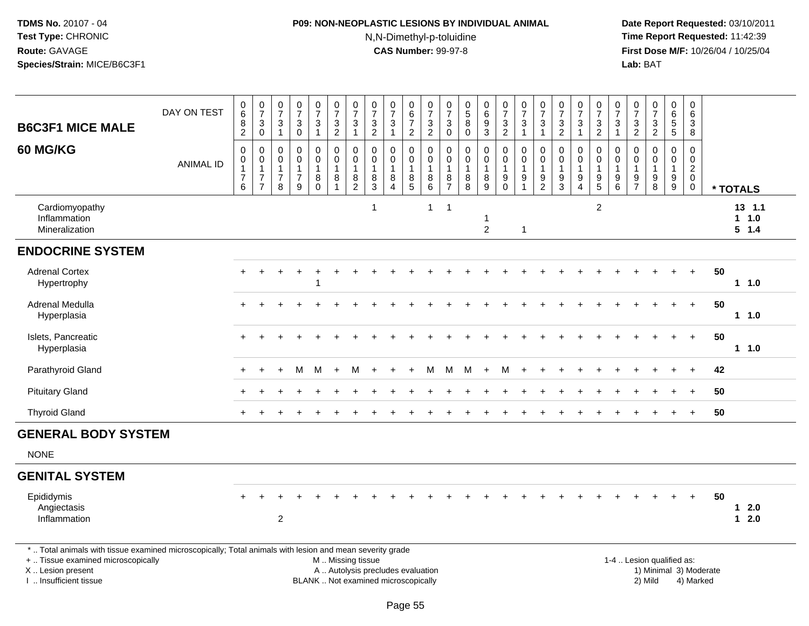# **P09: NON-NEOPLASTIC LESIONS BY INDIVIDUAL ANIMAL**N,N-Dimethyl-p-toluidine

| <b>B6C3F1 MICE MALE</b>                                                                                                                                                                       | DAY ON TEST      | $\pmb{0}$<br>$\,6\,$<br>$\, 8$<br>$\overline{2}$                      | $\frac{0}{7}$<br>$\sqrt{3}$<br>$\overline{0}$                                    | $\frac{0}{7}$<br>$\sqrt{3}$<br>$\mathbf{1}$  | $\frac{0}{7}$<br>$\sqrt{3}$<br>$\mathbf 0$                                     | $\frac{0}{7}$<br>$\mathbf{3}$<br>$\mathbf{1}$            | $\begin{array}{c} 0 \\ 7 \end{array}$<br>$\frac{3}{2}$                 | $\frac{0}{7}$<br>$\sqrt{3}$<br>$\mathbf{1}$                                                     | $\frac{0}{7}$<br>$\sqrt{3}$<br>$\sqrt{2}$                                | $\frac{0}{7}$<br>$\sqrt{3}$<br>$\mathbf{1}$                    | $\begin{array}{c} 0 \\ 6 \end{array}$<br>$\overline{7}$<br>$\overline{2}$ | $\frac{0}{7}$<br>$\frac{3}{2}$                             | $\frac{0}{7}$<br>3<br>$\overline{0}$                       | $\begin{array}{c} 0 \\ 5 \end{array}$<br>$\bf 8$<br>$\bar{0}$ | $_{6}^{\rm 0}$<br>$\boldsymbol{9}$<br>$\overline{3}$                 | $\frac{0}{7}$<br>$\frac{3}{2}$                           | $\frac{0}{7}$<br>$\ensuremath{\mathsf{3}}$<br>$\mathbf{1}$              | $\frac{0}{7}$<br>$\sqrt{3}$<br>$\mathbf{1}$            | $\frac{0}{7}$<br>$\frac{3}{2}$                              | $\frac{0}{7}$<br>3<br>$\mathbf{1}$                         | $\frac{0}{7}$<br>$\frac{3}{2}$                                            | $\begin{array}{c} 0 \\ 7 \end{array}$<br>$\sqrt{3}$<br>$\blacktriangleleft$ | $\frac{0}{7}$<br>$\mathsf 3$<br>$\overline{2}$                | $\frac{0}{7}$<br>$\frac{3}{2}$                                    | $\pmb{0}$<br>$\,6\,$<br>$\sqrt{5}$<br>$\overline{5}$    | $\mathbf 0$<br>$6\phantom{1}6$<br>3<br>8                               |    |                           |  |
|-----------------------------------------------------------------------------------------------------------------------------------------------------------------------------------------------|------------------|-----------------------------------------------------------------------|----------------------------------------------------------------------------------|----------------------------------------------|--------------------------------------------------------------------------------|----------------------------------------------------------|------------------------------------------------------------------------|-------------------------------------------------------------------------------------------------|--------------------------------------------------------------------------|----------------------------------------------------------------|---------------------------------------------------------------------------|------------------------------------------------------------|------------------------------------------------------------|---------------------------------------------------------------|----------------------------------------------------------------------|----------------------------------------------------------|-------------------------------------------------------------------------|--------------------------------------------------------|-------------------------------------------------------------|------------------------------------------------------------|---------------------------------------------------------------------------|-----------------------------------------------------------------------------|---------------------------------------------------------------|-------------------------------------------------------------------|---------------------------------------------------------|------------------------------------------------------------------------|----|---------------------------|--|
| 60 MG/KG                                                                                                                                                                                      | <b>ANIMAL ID</b> | $\mathbf 0$<br>$\pmb{0}$<br>$\mathbf{1}$<br>$\overline{7}$<br>$\,6\,$ | $\mathbf 0$<br>$\mathbf 0$<br>$\mathbf{1}$<br>$\boldsymbol{7}$<br>$\overline{7}$ | $\mathbf 0$<br>0<br>1<br>$\overline{7}$<br>8 | $\mathbf 0$<br>$\mathbf 0$<br>$\mathbf{1}$<br>$\overline{7}$<br>$\overline{9}$ | $\pmb{0}$<br>$\pmb{0}$<br>$\mathbf{1}$<br>8<br>$\bar{0}$ | $\overline{0}$<br>$\mathbf 0$<br>$\overline{1}$<br>8<br>$\overline{1}$ | $\pmb{0}$<br>$\overline{0}$<br>$\overline{1}$<br>$\begin{smallmatrix} 8 \\ 2 \end{smallmatrix}$ | $\Omega$<br>$\mathbf{0}$<br>$\overline{1}$<br>8<br>$\overline{3}$        | $\Omega$<br>$\mathbf 0$<br>$\mathbf{1}$<br>8<br>$\overline{4}$ | 0<br>$\mathbf 0$<br>8<br>$\overline{5}$                                   | $\pmb{0}$<br>$\ddot{\mathbf{0}}$<br>$\mathbf{1}$<br>$^8_6$ | 0<br>$\overline{0}$<br>$\mathbf{1}$<br>8<br>$\overline{7}$ | $\pmb{0}$<br>0<br>$\mathbf{1}$<br>$_{8}^8$                    | $\mathsf{O}\xspace$<br>$\mathsf{O}\xspace$<br>$\mathbf{1}$<br>$^8_9$ | $\pmb{0}$<br>$\mathbf 0$<br>$\overline{1}$<br>$_{0}^{9}$ | $\pmb{0}$<br>$\mathsf{O}\xspace$<br>$\overline{1}$<br>9<br>$\mathbf{1}$ | $\mathbf 0$<br>$\mathbf 0$<br>1<br>9<br>$\overline{2}$ | $\mathbf 0$<br>$\mathbf 0$<br>$\mathbf{1}$<br>$\frac{9}{3}$ | 0<br>$\overline{0}$<br>$\mathbf{1}$<br>9<br>$\overline{4}$ | 0<br>$\mathbf 0$<br>$\mathbf{1}$<br>$\begin{array}{c} 9 \\ 5 \end{array}$ | 0<br>$\pmb{0}$<br>$\mathbf{1}$<br>9<br>$\overline{6}$                       | $\mathbf 0$<br>$\Omega$<br>$\mathbf 1$<br>9<br>$\overline{7}$ | $\mathbf 0$<br>$\mathbf 0$<br>$\mathbf{1}$<br>9<br>$\overline{8}$ | 0<br>$\mathbf 0$<br>$\mathbf{1}$<br>9<br>$\overline{9}$ | $\mathbf 0$<br>$\mathbf 0$<br>$\sqrt{2}$<br>$\mathbf 0$<br>$\mathbf 0$ |    | * TOTALS                  |  |
| Cardiomyopathy<br>Inflammation<br>Mineralization                                                                                                                                              |                  |                                                                       |                                                                                  |                                              |                                                                                |                                                          |                                                                        |                                                                                                 | $\overline{1}$                                                           |                                                                |                                                                           | $\mathbf{1}$                                               | $\overline{1}$                                             |                                                               | $\overline{2}$                                                       |                                                          | $\mathbf{1}$                                                            |                                                        |                                                             |                                                            | $\overline{2}$                                                            |                                                                             |                                                               |                                                                   |                                                         |                                                                        |    | 13, 1.1<br>1 1.0<br>5 1.4 |  |
| <b>ENDOCRINE SYSTEM</b>                                                                                                                                                                       |                  |                                                                       |                                                                                  |                                              |                                                                                |                                                          |                                                                        |                                                                                                 |                                                                          |                                                                |                                                                           |                                                            |                                                            |                                                               |                                                                      |                                                          |                                                                         |                                                        |                                                             |                                                            |                                                                           |                                                                             |                                                               |                                                                   |                                                         |                                                                        |    |                           |  |
| <b>Adrenal Cortex</b><br>Hypertrophy                                                                                                                                                          |                  |                                                                       |                                                                                  |                                              |                                                                                | $\overline{\mathbf{1}}$                                  |                                                                        |                                                                                                 |                                                                          |                                                                |                                                                           |                                                            |                                                            |                                                               |                                                                      |                                                          |                                                                         |                                                        |                                                             |                                                            |                                                                           |                                                                             |                                                               |                                                                   |                                                         | $+$                                                                    | 50 | 1 1.0                     |  |
| Adrenal Medulla<br>Hyperplasia                                                                                                                                                                |                  |                                                                       |                                                                                  |                                              |                                                                                |                                                          |                                                                        |                                                                                                 |                                                                          |                                                                |                                                                           |                                                            |                                                            |                                                               |                                                                      |                                                          |                                                                         |                                                        |                                                             |                                                            |                                                                           |                                                                             |                                                               |                                                                   |                                                         | $+$                                                                    | 50 | 1 1.0                     |  |
| Islets, Pancreatic<br>Hyperplasia                                                                                                                                                             |                  |                                                                       |                                                                                  |                                              |                                                                                |                                                          |                                                                        |                                                                                                 |                                                                          |                                                                |                                                                           |                                                            |                                                            |                                                               |                                                                      |                                                          |                                                                         |                                                        |                                                             |                                                            |                                                                           |                                                                             |                                                               |                                                                   | $\ddot{}$                                               | $+$                                                                    | 50 | 1 1.0                     |  |
| Parathyroid Gland                                                                                                                                                                             |                  |                                                                       |                                                                                  |                                              | м                                                                              | M                                                        | $+$                                                                    | M                                                                                               |                                                                          |                                                                |                                                                           | м                                                          | M                                                          | M                                                             | $+$                                                                  | M                                                        |                                                                         |                                                        |                                                             |                                                            |                                                                           |                                                                             |                                                               |                                                                   |                                                         |                                                                        | 42 |                           |  |
| <b>Pituitary Gland</b>                                                                                                                                                                        |                  |                                                                       |                                                                                  |                                              |                                                                                |                                                          |                                                                        |                                                                                                 |                                                                          |                                                                |                                                                           |                                                            |                                                            |                                                               |                                                                      |                                                          |                                                                         |                                                        |                                                             |                                                            |                                                                           |                                                                             |                                                               |                                                                   |                                                         |                                                                        | 50 |                           |  |
| <b>Thyroid Gland</b>                                                                                                                                                                          |                  | $+$                                                                   |                                                                                  |                                              |                                                                                |                                                          |                                                                        |                                                                                                 |                                                                          |                                                                |                                                                           |                                                            |                                                            |                                                               |                                                                      |                                                          |                                                                         |                                                        |                                                             |                                                            |                                                                           |                                                                             |                                                               |                                                                   | $+$                                                     | $+$                                                                    | 50 |                           |  |
| <b>GENERAL BODY SYSTEM</b>                                                                                                                                                                    |                  |                                                                       |                                                                                  |                                              |                                                                                |                                                          |                                                                        |                                                                                                 |                                                                          |                                                                |                                                                           |                                                            |                                                            |                                                               |                                                                      |                                                          |                                                                         |                                                        |                                                             |                                                            |                                                                           |                                                                             |                                                               |                                                                   |                                                         |                                                                        |    |                           |  |
| <b>NONE</b>                                                                                                                                                                                   |                  |                                                                       |                                                                                  |                                              |                                                                                |                                                          |                                                                        |                                                                                                 |                                                                          |                                                                |                                                                           |                                                            |                                                            |                                                               |                                                                      |                                                          |                                                                         |                                                        |                                                             |                                                            |                                                                           |                                                                             |                                                               |                                                                   |                                                         |                                                                        |    |                           |  |
| <b>GENITAL SYSTEM</b>                                                                                                                                                                         |                  |                                                                       |                                                                                  |                                              |                                                                                |                                                          |                                                                        |                                                                                                 |                                                                          |                                                                |                                                                           |                                                            |                                                            |                                                               |                                                                      |                                                          |                                                                         |                                                        |                                                             |                                                            |                                                                           |                                                                             |                                                               |                                                                   |                                                         |                                                                        |    |                           |  |
| Epididymis<br>Angiectasis<br>Inflammation                                                                                                                                                     |                  |                                                                       |                                                                                  | $\overline{2}$                               |                                                                                |                                                          |                                                                        |                                                                                                 |                                                                          |                                                                |                                                                           |                                                            |                                                            |                                                               |                                                                      |                                                          |                                                                         |                                                        |                                                             |                                                            |                                                                           |                                                                             |                                                               |                                                                   |                                                         | $+$                                                                    | 50 | $1 \quad 2.0$<br>$12.0$   |  |
| *  Total animals with tissue examined microscopically; Total animals with lesion and mean severity grade<br>+  Tissue examined microscopically<br>X  Lesion present<br>I  Insufficient tissue |                  |                                                                       |                                                                                  |                                              |                                                                                |                                                          | M  Missing tissue                                                      |                                                                                                 | A  Autolysis precludes evaluation<br>BLANK  Not examined microscopically |                                                                |                                                                           |                                                            |                                                            |                                                               |                                                                      |                                                          |                                                                         |                                                        |                                                             |                                                            |                                                                           |                                                                             |                                                               | 1-4  Lesion qualified as:<br>1) Minimal 3) Moderate<br>2) Mild    |                                                         | 4) Marked                                                              |    |                           |  |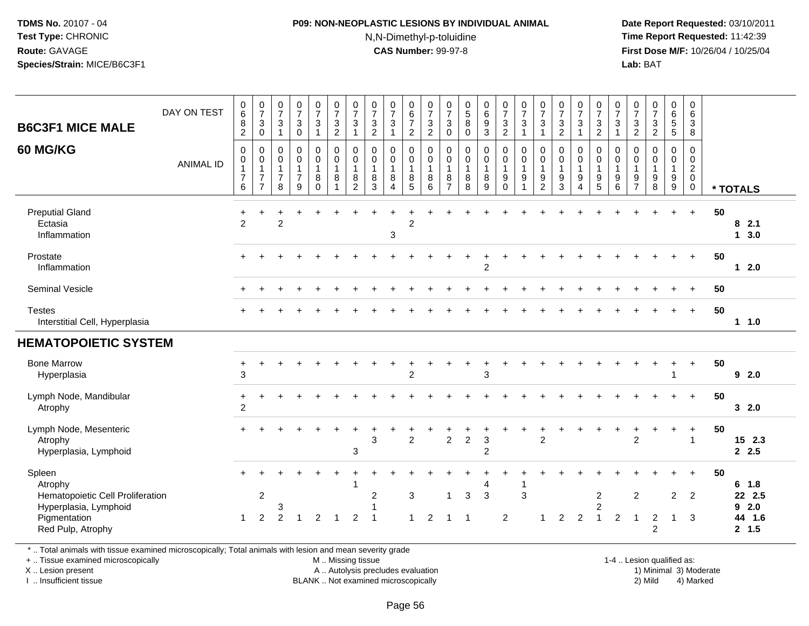### **P09: NON-NEOPLASTIC LESIONS BY INDIVIDUAL ANIMAL**N,N-Dimethyl-p-toluidine

 **Date Report Requested:** 03/10/2011 **Time Report Requested:** 11:42:39 **First Dose M/F:** 10/26/04 / 10/25/04 Lab: BAT **Lab:** BAT

| <b>B6C3F1 MICE MALE</b><br>60 MG/KG                                                                                 | DAY ON TEST<br><b>ANIMAL ID</b> | 0<br>$6\overline{6}$<br>8<br>$\overline{2}$<br>$\mathbf 0$<br>$\pmb{0}$<br>$\mathbf{1}$<br>$\overline{7}$<br>6 | $\frac{0}{7}$<br>$\sqrt{3}$<br>0<br>0<br>$\mathbf 0$<br>$\overline{7}$<br>7 | $\frac{0}{7}$<br>$\ensuremath{\mathsf{3}}$<br>$\overline{1}$<br>$\mathbf 0$<br>$\mathbf 0$<br>$\mathbf{1}$<br>$\overline{7}$<br>8 | $\frac{0}{7}$<br>$\mathbf{3}$<br>$\mathbf 0$<br>$\mathbf 0$<br>$\pmb{0}$<br>$\mathbf{1}$<br>$\overline{7}$<br>9 | $\begin{array}{c} 0 \\ 7 \end{array}$<br>$\mathbf{3}$<br>$\overline{1}$<br>0<br>$\mathbf 0$<br>$\overline{1}$<br>8<br>$\Omega$ | $\frac{0}{7}$<br>$\sqrt{3}$<br>$\overline{2}$<br>$\mathbf 0$<br>$\mathsf{O}\xspace$<br>$\mathbf{1}$<br>$\,8\,$<br>$\overline{1}$ | $\frac{0}{7}$<br>3<br>1<br>$\mathbf 0$<br>$\mathsf{O}\xspace$<br>1<br>8<br>$\overline{2}$ | $\frac{0}{7}$<br>$\frac{3}{2}$<br>0<br>$\pmb{0}$<br>$\mathbf{1}$<br>8<br>3 | $\frac{0}{7}$<br>$\mathbf{3}$<br>$\mathbf 1$<br>$\mathbf 0$<br>$\pmb{0}$<br>$\mathbf{1}$<br>8<br>4 | $\mathbf 0$<br>$\,6\,$<br>$\overline{7}$<br>$\overline{2}$<br>$\mathbf 0$<br>$\mathbf 0$<br>$\mathbf 1$<br>$\bf 8$<br>5 | $\frac{0}{7}$<br>$\sqrt{3}$<br>$\overline{2}$<br>$\Omega$<br>$\mathbf 0$<br>$\overline{1}$<br>$\, 8$<br>6 | $\frac{0}{7}$<br>$\sqrt{3}$<br>$\mathbf 0$<br>$\mathbf 0$<br>$\pmb{0}$<br>$\mathbf{1}$<br>8<br>$\overline{7}$ | $\begin{array}{c} 0 \\ 5 \end{array}$<br>$\overline{8}$<br>0<br>$\mathbf 0$<br>$\pmb{0}$<br>$\mathbf{1}$<br>$\bf 8$<br>8 | $\begin{array}{c} 0 \\ 6 \end{array}$<br>$\overline{9}$<br>$\overline{3}$<br>$\boldsymbol{0}$<br>$\pmb{0}$<br>$\mathbf{1}$<br>8<br>9 | $\frac{0}{7}$<br>$\ensuremath{\mathsf{3}}$<br>$\overline{2}$<br>0<br>$\overline{0}$<br>$\overline{1}$<br>$9\,$<br>$\Omega$ | $\frac{0}{7}$<br>$\sqrt{3}$<br>$\overline{1}$<br>$\mathbf 0$<br>$\mathbf 0$<br>$\mathbf{1}$<br>$9\,$<br>$\overline{1}$ | $\begin{array}{c} 0 \\ 7 \end{array}$<br>$\mathbf 3$<br>$\mathbf{1}$<br>$\mathbf 0$<br>$\pmb{0}$<br>$\mathbf{1}$<br>$9\,$<br>$\overline{2}$ | $\begin{array}{c} 0 \\ 7 \end{array}$<br>$\frac{3}{2}$<br>$\pmb{0}$<br>$\pmb{0}$<br>$\mathbf{1}$<br>9<br>3 | $\frac{0}{7}$<br>$\mathbf{3}$<br>$\mathbf{1}$<br>0<br>$\pmb{0}$<br>$\mathbf{1}$<br>9<br>$\boldsymbol{\Lambda}$ | $\begin{array}{c} 0 \\ 7 \end{array}$<br>$\frac{3}{2}$<br>$\mathbf 0$<br>$\mathsf{O}$<br>1<br>$\boldsymbol{9}$<br>5 | $\begin{array}{c} 0 \\ 7 \end{array}$<br>$\mathsf 3$<br>$\blacktriangleleft$<br>$\Omega$<br>$\mathbf 0$<br>$\overline{1}$<br>$\boldsymbol{9}$<br>6 | $\begin{matrix} 0 \\ 7 \end{matrix}$<br>3<br>$\overline{c}$<br>$\mathbf 0$<br>$\mathbf 0$<br>$\mathbf{1}$<br>9<br>$\overline{7}$ | $\begin{smallmatrix}0\\7\end{smallmatrix}$<br>$\ensuremath{\mathsf{3}}$<br>$\overline{2}$<br>$\mathbf 0$<br>$\mathbf 0$<br>$\mathbf{1}$<br>$\boldsymbol{9}$<br>8 | $_6^0$<br>$\overline{5}$<br>5<br>$\mathbf 0$<br>$\mathbf 0$<br>$\mathbf{1}$<br>9<br>$9\,$ | $\mathbf 0$<br>$6\phantom{1}$<br>$\mathbf{3}$<br>8<br>$\mathbf 0$<br>$\mathsf{O}\xspace$<br>$\overline{2}$<br>$\pmb{0}$<br>$\mathbf 0$ |    | * TOTALS                                       |
|---------------------------------------------------------------------------------------------------------------------|---------------------------------|----------------------------------------------------------------------------------------------------------------|-----------------------------------------------------------------------------|-----------------------------------------------------------------------------------------------------------------------------------|-----------------------------------------------------------------------------------------------------------------|--------------------------------------------------------------------------------------------------------------------------------|----------------------------------------------------------------------------------------------------------------------------------|-------------------------------------------------------------------------------------------|----------------------------------------------------------------------------|----------------------------------------------------------------------------------------------------|-------------------------------------------------------------------------------------------------------------------------|-----------------------------------------------------------------------------------------------------------|---------------------------------------------------------------------------------------------------------------|--------------------------------------------------------------------------------------------------------------------------|--------------------------------------------------------------------------------------------------------------------------------------|----------------------------------------------------------------------------------------------------------------------------|------------------------------------------------------------------------------------------------------------------------|---------------------------------------------------------------------------------------------------------------------------------------------|------------------------------------------------------------------------------------------------------------|----------------------------------------------------------------------------------------------------------------|---------------------------------------------------------------------------------------------------------------------|----------------------------------------------------------------------------------------------------------------------------------------------------|----------------------------------------------------------------------------------------------------------------------------------|------------------------------------------------------------------------------------------------------------------------------------------------------------------|-------------------------------------------------------------------------------------------|----------------------------------------------------------------------------------------------------------------------------------------|----|------------------------------------------------|
| <b>Preputial Gland</b><br>Ectasia<br>Inflammation                                                                   |                                 | 2                                                                                                              |                                                                             | $\overline{2}$                                                                                                                    |                                                                                                                 |                                                                                                                                |                                                                                                                                  |                                                                                           |                                                                            | 3                                                                                                  | 2                                                                                                                       |                                                                                                           |                                                                                                               |                                                                                                                          |                                                                                                                                      |                                                                                                                            |                                                                                                                        |                                                                                                                                             |                                                                                                            |                                                                                                                |                                                                                                                     |                                                                                                                                                    |                                                                                                                                  |                                                                                                                                                                  |                                                                                           | $\ddot{}$                                                                                                                              | 50 | 82.1<br>13.0                                   |
| Prostate<br>Inflammation                                                                                            |                                 |                                                                                                                |                                                                             |                                                                                                                                   |                                                                                                                 |                                                                                                                                |                                                                                                                                  |                                                                                           |                                                                            |                                                                                                    |                                                                                                                         |                                                                                                           |                                                                                                               |                                                                                                                          | $\overline{2}$                                                                                                                       |                                                                                                                            |                                                                                                                        |                                                                                                                                             |                                                                                                            |                                                                                                                |                                                                                                                     |                                                                                                                                                    |                                                                                                                                  |                                                                                                                                                                  |                                                                                           | $+$                                                                                                                                    | 50 | $12.0$                                         |
| Seminal Vesicle                                                                                                     |                                 |                                                                                                                |                                                                             |                                                                                                                                   |                                                                                                                 |                                                                                                                                |                                                                                                                                  |                                                                                           |                                                                            |                                                                                                    |                                                                                                                         |                                                                                                           |                                                                                                               |                                                                                                                          |                                                                                                                                      |                                                                                                                            |                                                                                                                        |                                                                                                                                             |                                                                                                            |                                                                                                                |                                                                                                                     |                                                                                                                                                    |                                                                                                                                  |                                                                                                                                                                  |                                                                                           | $+$                                                                                                                                    | 50 |                                                |
| <b>Testes</b><br>Interstitial Cell, Hyperplasia                                                                     |                                 |                                                                                                                |                                                                             |                                                                                                                                   |                                                                                                                 |                                                                                                                                |                                                                                                                                  |                                                                                           |                                                                            |                                                                                                    |                                                                                                                         |                                                                                                           |                                                                                                               |                                                                                                                          |                                                                                                                                      |                                                                                                                            |                                                                                                                        |                                                                                                                                             |                                                                                                            |                                                                                                                |                                                                                                                     |                                                                                                                                                    |                                                                                                                                  |                                                                                                                                                                  |                                                                                           | $+$                                                                                                                                    | 50 | $1 1.0$                                        |
| <b>HEMATOPOIETIC SYSTEM</b>                                                                                         |                                 |                                                                                                                |                                                                             |                                                                                                                                   |                                                                                                                 |                                                                                                                                |                                                                                                                                  |                                                                                           |                                                                            |                                                                                                    |                                                                                                                         |                                                                                                           |                                                                                                               |                                                                                                                          |                                                                                                                                      |                                                                                                                            |                                                                                                                        |                                                                                                                                             |                                                                                                            |                                                                                                                |                                                                                                                     |                                                                                                                                                    |                                                                                                                                  |                                                                                                                                                                  |                                                                                           |                                                                                                                                        |    |                                                |
| <b>Bone Marrow</b><br>Hyperplasia                                                                                   |                                 | 3                                                                                                              |                                                                             |                                                                                                                                   |                                                                                                                 |                                                                                                                                |                                                                                                                                  |                                                                                           |                                                                            |                                                                                                    | 2                                                                                                                       |                                                                                                           |                                                                                                               |                                                                                                                          | 3                                                                                                                                    |                                                                                                                            |                                                                                                                        |                                                                                                                                             |                                                                                                            |                                                                                                                |                                                                                                                     |                                                                                                                                                    |                                                                                                                                  |                                                                                                                                                                  |                                                                                           | $\ddot{}$                                                                                                                              | 50 | 92.0                                           |
| Lymph Node, Mandibular<br>Atrophy                                                                                   |                                 | $\ddot{}$<br>$\overline{c}$                                                                                    |                                                                             |                                                                                                                                   |                                                                                                                 |                                                                                                                                |                                                                                                                                  |                                                                                           |                                                                            |                                                                                                    |                                                                                                                         |                                                                                                           |                                                                                                               |                                                                                                                          |                                                                                                                                      |                                                                                                                            |                                                                                                                        |                                                                                                                                             |                                                                                                            |                                                                                                                |                                                                                                                     |                                                                                                                                                    |                                                                                                                                  |                                                                                                                                                                  | $\ddot{}$                                                                                 | $+$                                                                                                                                    | 50 | 32.0                                           |
| Lymph Node, Mesenteric<br>Atrophy<br>Hyperplasia, Lymphoid                                                          |                                 |                                                                                                                |                                                                             |                                                                                                                                   |                                                                                                                 |                                                                                                                                |                                                                                                                                  | 3                                                                                         | 3                                                                          |                                                                                                    | $\overline{c}$                                                                                                          |                                                                                                           | $\overline{c}$                                                                                                | $\boldsymbol{2}$                                                                                                         | 3<br>$\overline{2}$                                                                                                                  |                                                                                                                            |                                                                                                                        | $\overline{c}$                                                                                                                              |                                                                                                            |                                                                                                                |                                                                                                                     |                                                                                                                                                    | $\overline{c}$                                                                                                                   |                                                                                                                                                                  | $\ddot{}$                                                                                 | $+$<br>1                                                                                                                               | 50 | 15 2.3<br>2.5                                  |
| Spleen<br>Atrophy<br>Hematopoietic Cell Proliferation<br>Hyperplasia, Lymphoid<br>Pigmentation<br>Red Pulp, Atrophy |                                 | $\mathbf{1}$                                                                                                   | $\overline{c}$<br>2                                                         | 3<br>$\overline{2}$                                                                                                               | $\overline{1}$                                                                                                  | $\overline{2}$                                                                                                                 | -1                                                                                                                               | 1<br>$\overline{2}$                                                                       | $\overline{c}$<br>-1                                                       |                                                                                                    | 3<br>$\mathbf{1}$                                                                                                       | 2                                                                                                         | $\mathbf{1}$<br>1                                                                                             | 3<br>-1                                                                                                                  | 3                                                                                                                                    | $\overline{2}$                                                                                                             | -1<br>3                                                                                                                | $\mathbf{1}$                                                                                                                                | 2                                                                                                          | $\overline{2}$                                                                                                 | $\sqrt{2}$<br>$\overline{c}$<br>$\mathbf{1}$                                                                        | 2                                                                                                                                                  | $\overline{c}$<br>1                                                                                                              | 2<br>$\overline{2}$                                                                                                                                              | $\overline{a}$<br>1                                                                       | $+$<br>$\overline{2}$<br>3                                                                                                             | 50 | 6 1.8<br>22 2.5<br>92.0<br>1.6<br>44<br>2, 1.5 |

\* .. Total animals with tissue examined microscopically; Total animals with lesion and mean severity grade

+ .. Tissue examined microscopically

X .. Lesion present

I .. Insufficient tissue

 M .. Missing tissueA .. Autolysis precludes evaluation

BLANK .. Not examined microscopically 2) Mild 4) Marked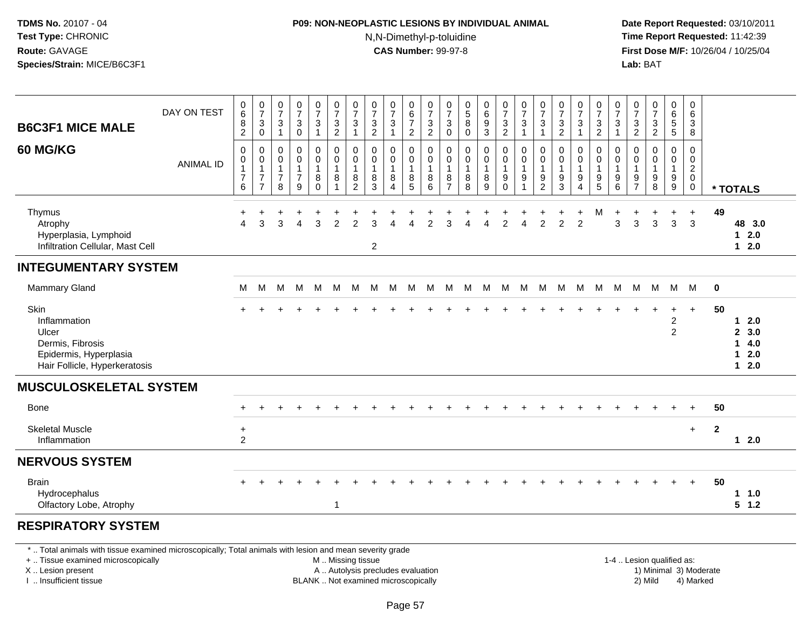### **P09: NON-NEOPLASTIC LESIONS BY INDIVIDUAL ANIMAL**N,N-Dimethyl-p-toluidine

 **Date Report Requested:** 03/10/2011 **Time Report Requested:** 11:42:39 **First Dose M/F:** 10/26/04 / 10/25/04 Lab: BAT **Lab:** BAT

| <b>B6C3F1 MICE MALE</b>                                                                                      | DAY ON TEST      | 0<br>$\overline{6}$<br>8<br>$\overline{c}$              | $\frac{0}{7}$<br>3<br>$\mathbf 0$                                    | $\begin{array}{c} 0 \\ 7 \end{array}$<br>$\mathbf{3}$<br>$\overline{1}$ | $\frac{0}{7}$<br>$\ensuremath{\mathsf{3}}$<br>$\pmb{0}$                      | $\frac{0}{7}$<br>$\mathbf{3}$<br>$\overline{1}$          | $\begin{array}{c} 0 \\ 7 \end{array}$<br>$\sqrt{3}$<br>$\overline{2}$ | 0<br>$\overline{7}$<br>3           | $\frac{0}{7}$<br>$\mathbf{3}$<br>$\overline{c}$                 | $\begin{array}{c} 0 \\ 7 \end{array}$<br>$\sqrt{3}$<br>$\mathbf{1}$ | 0<br>$6\phantom{a}$<br>$\overline{7}$<br>$\overline{2}$ | $\begin{array}{c} 0 \\ 7 \\ 3 \end{array}$<br>$\overline{2}$         | 0<br>$\overline{7}$<br>$\mathbf{3}$<br>$\mathbf 0$ | $\mathbf 0$<br>$\overline{5}$<br>$\bf 8$<br>$\mathbf 0$ | $\begin{matrix} 0 \\ 6 \\ 9 \end{matrix}$<br>3  | $\begin{array}{c} 0 \\ 7 \end{array}$<br>$\overline{3}$<br>$\overline{2}$ | $\frac{0}{7}$<br>$\sqrt{3}$<br>$\mathbf{1}$                   | $\frac{0}{7}$<br>3<br>$\overline{1}$            | $\frac{0}{7}$<br>$\mathbf{3}$<br>$\overline{c}$                      | 0<br>$\overline{7}$<br>$\mathbf{3}$<br>1      | $\begin{array}{c} 0 \\ 7 \end{array}$<br>$\frac{3}{2}$            | $\frac{0}{7}$<br>$\mathbf{3}$<br>$\mathbf{1}$ | 0<br>$\overline{7}$<br>3<br>$\overline{2}$    | $\begin{smallmatrix} 0\\7 \end{smallmatrix}$<br>$\ensuremath{\mathsf{3}}$<br>$\overline{2}$ | 0<br>$\overline{6}$<br>5<br>$\overline{5}$    | 0<br>6<br>3<br>8                                          |              |                                            |
|--------------------------------------------------------------------------------------------------------------|------------------|---------------------------------------------------------|----------------------------------------------------------------------|-------------------------------------------------------------------------|------------------------------------------------------------------------------|----------------------------------------------------------|-----------------------------------------------------------------------|------------------------------------|-----------------------------------------------------------------|---------------------------------------------------------------------|---------------------------------------------------------|----------------------------------------------------------------------|----------------------------------------------------|---------------------------------------------------------|-------------------------------------------------|---------------------------------------------------------------------------|---------------------------------------------------------------|-------------------------------------------------|----------------------------------------------------------------------|-----------------------------------------------|-------------------------------------------------------------------|-----------------------------------------------|-----------------------------------------------|---------------------------------------------------------------------------------------------|-----------------------------------------------|-----------------------------------------------------------|--------------|--------------------------------------------|
| 60 MG/KG                                                                                                     | <b>ANIMAL ID</b> | $\mathbf 0$<br>0<br>$\mathbf{1}$<br>$\overline{7}$<br>6 | $\mathbf 0$<br>0<br>$\mathbf{1}$<br>$\overline{7}$<br>$\overline{7}$ | 0<br>0<br>$\overline{1}$<br>$\boldsymbol{7}$<br>8                       | $\pmb{0}$<br>$\pmb{0}$<br>$\mathbf{1}$<br>$\overline{7}$<br>$\boldsymbol{9}$ | $\pmb{0}$<br>0<br>$\mathbf{1}$<br>$\bf 8$<br>$\mathbf 0$ | $\pmb{0}$<br>$\pmb{0}$<br>$\overline{1}$<br>$\,8\,$<br>$\overline{1}$ | 0<br>0<br>1<br>8<br>$\overline{c}$ | $\mathbf 0$<br>$\mathbf 0$<br>$\mathbf{1}$<br>8<br>$\mathbf{3}$ | 0<br>0<br>$\mathbf{1}$<br>8<br>$\overline{4}$                       | 0<br>0<br>$\mathbf{1}$<br>$^8$ 5                        | $\mathbf 0$<br>$\mathbf 0$<br>$\overline{1}$<br>8<br>$6\phantom{1}6$ | 0<br>0<br>$\overline{1}$<br>8<br>$\overline{7}$    | $\mathbf 0$<br>0<br>$\mathbf{1}$<br>8<br>8              | 0<br>0<br>$\mathbf{1}$<br>8<br>$\boldsymbol{9}$ | 0<br>$\mathsf 0$<br>$\mathbf{1}$<br>$_{\rm 0}^{\rm 9}$                    | $\pmb{0}$<br>$\pmb{0}$<br>$\overline{1}$<br>9<br>$\mathbf{1}$ | 0<br>0<br>$\overline{1}$<br>9<br>$\overline{2}$ | $\mathbf 0$<br>0<br>$\mathbf{1}$<br>$\boldsymbol{9}$<br>$\mathbf{3}$ | 0<br>0<br>$\mathbf{1}$<br>9<br>$\overline{4}$ | 0<br>0<br>$\overline{1}$<br>$\begin{array}{c} 9 \\ 5 \end{array}$ | 0<br>0<br>$\mathbf{1}$<br>9<br>$\,6$          | 0<br>0<br>$\mathbf{1}$<br>9<br>$\overline{7}$ | 0<br>0<br>$\mathbf{1}$<br>$9\,$<br>$\,8\,$                                                  | 0<br>0<br>$\mathbf{1}$<br>9<br>9              | 0<br>0<br>$\overline{a}$<br>$\overline{0}$<br>$\mathbf 0$ |              | * TOTALS                                   |
| Thymus<br>Atrophy<br>Hyperplasia, Lymphoid<br>Infiltration Cellular, Mast Cell                               |                  | +<br>$\overline{4}$                                     | 3                                                                    | 3                                                                       | $\overline{4}$                                                               | 3                                                        | 2                                                                     | 2                                  | 3<br>$\overline{2}$                                             | $\boldsymbol{\Lambda}$                                              | 4                                                       | 2                                                                    | 3                                                  | $\Delta$                                                | $\overline{4}$                                  | $\overline{2}$                                                            | $\boldsymbol{\Lambda}$                                        | $\overline{2}$                                  | $\mathfrak{p}$                                                       | $\overline{2}$                                | M                                                                 | 3                                             | 3                                             | $\mathbf{3}$                                                                                | $\ddot{}$<br>3                                | $\ddot{}$<br>3                                            | 49           | 48 3.0<br>$12.0$<br>$12.0$                 |
| <b>INTEGUMENTARY SYSTEM</b>                                                                                  |                  |                                                         |                                                                      |                                                                         |                                                                              |                                                          |                                                                       |                                    |                                                                 |                                                                     |                                                         |                                                                      |                                                    |                                                         |                                                 |                                                                           |                                                               |                                                 |                                                                      |                                               |                                                                   |                                               |                                               |                                                                                             |                                               |                                                           |              |                                            |
| Mammary Gland                                                                                                |                  | M                                                       | M                                                                    | M                                                                       | M                                                                            | M                                                        | M                                                                     | M                                  | M                                                               | M                                                                   | M                                                       | M                                                                    | M                                                  |                                                         | M M                                             | M                                                                         | M                                                             | M                                               | M                                                                    | M                                             | M                                                                 | M                                             |                                               | M M                                                                                         | M M                                           |                                                           | $\mathbf 0$  |                                            |
| Skin<br>Inflammation<br>Ulcer<br>Dermis, Fibrosis<br>Epidermis, Hyperplasia<br>Hair Follicle, Hyperkeratosis |                  |                                                         |                                                                      |                                                                         |                                                                              |                                                          |                                                                       |                                    |                                                                 |                                                                     |                                                         |                                                                      |                                                    |                                                         |                                                 |                                                                           |                                                               |                                                 |                                                                      |                                               |                                                                   |                                               |                                               |                                                                                             | $\ddot{}$<br>$\overline{c}$<br>$\overline{2}$ | $+$                                                       | 50           | 12.0<br>2, 3.0<br>14.0<br>$12.0$<br>$12.0$ |
| <b>MUSCULOSKELETAL SYSTEM</b>                                                                                |                  |                                                         |                                                                      |                                                                         |                                                                              |                                                          |                                                                       |                                    |                                                                 |                                                                     |                                                         |                                                                      |                                                    |                                                         |                                                 |                                                                           |                                                               |                                                 |                                                                      |                                               |                                                                   |                                               |                                               |                                                                                             |                                               |                                                           |              |                                            |
| Bone                                                                                                         |                  |                                                         |                                                                      |                                                                         |                                                                              |                                                          |                                                                       |                                    |                                                                 |                                                                     |                                                         |                                                                      |                                                    |                                                         |                                                 |                                                                           |                                                               |                                                 |                                                                      |                                               |                                                                   |                                               |                                               |                                                                                             |                                               | $\ddot{}$                                                 | 50           |                                            |
| <b>Skeletal Muscle</b><br>Inflammation                                                                       |                  | $\ddot{}$<br>$\overline{c}$                             |                                                                      |                                                                         |                                                                              |                                                          |                                                                       |                                    |                                                                 |                                                                     |                                                         |                                                                      |                                                    |                                                         |                                                 |                                                                           |                                                               |                                                 |                                                                      |                                               |                                                                   |                                               |                                               |                                                                                             |                                               | $+$                                                       | $\mathbf{2}$ | $12.0$                                     |
| <b>NERVOUS SYSTEM</b>                                                                                        |                  |                                                         |                                                                      |                                                                         |                                                                              |                                                          |                                                                       |                                    |                                                                 |                                                                     |                                                         |                                                                      |                                                    |                                                         |                                                 |                                                                           |                                                               |                                                 |                                                                      |                                               |                                                                   |                                               |                                               |                                                                                             |                                               |                                                           |              |                                            |
| <b>Brain</b><br>Hydrocephalus<br>Olfactory Lobe, Atrophy                                                     |                  |                                                         |                                                                      |                                                                         |                                                                              |                                                          | $\mathbf{1}$                                                          |                                    |                                                                 |                                                                     |                                                         |                                                                      |                                                    |                                                         |                                                 |                                                                           |                                                               |                                                 |                                                                      |                                               |                                                                   |                                               |                                               |                                                                                             |                                               | $+$                                                       | 50           | 1 1.0<br>$5 \t1.2$                         |
| <b>RESPIRATORY SYSTEM</b>                                                                                    |                  |                                                         |                                                                      |                                                                         |                                                                              |                                                          |                                                                       |                                    |                                                                 |                                                                     |                                                         |                                                                      |                                                    |                                                         |                                                 |                                                                           |                                                               |                                                 |                                                                      |                                               |                                                                   |                                               |                                               |                                                                                             |                                               |                                                           |              |                                            |

#### **RESPIRATORY SYSTEM**

\* .. Total animals with tissue examined microscopically; Total animals with lesion and mean severity grade

+ .. Tissue examined microscopically

X .. Lesion present

I .. Insufficient tissue

M .. Missing tissue

A .. Autolysis precludes evaluation

BLANK .. Not examined microscopically 2) Mild 4) Marked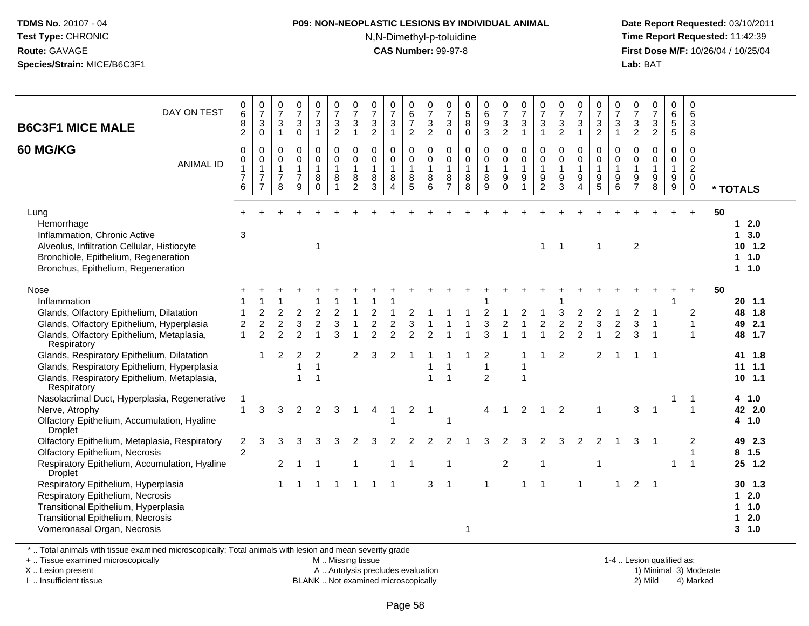#### **P09: NON-NEOPLASTIC LESIONS BY INDIVIDUAL ANIMAL**

N,N-Dimethyl-p-toluidine

 **Date Report Requested:** 03/10/2011 **Time Report Requested:** 11:42:39 **First Dose M/F:** 10/26/04 / 10/25/04 Lab: BAT **Lab:** BAT

| DAY ON TEST<br><b>B6C3F1 MICE MALE</b>                                                                                                                                              | 0<br>$6\phantom{1}$<br>8<br>$\sqrt{2}$                                  | 0<br>$\overline{7}$<br>$\mathbf{3}$<br>$\pmb{0}$                               | 0<br>$\overline{7}$<br>$\mathbf{3}$<br>$\mathbf{1}$     | $\frac{0}{7}$<br>$\mathbf{3}$<br>$\overline{0}$                   | 0<br>$\overline{7}$<br>$\mathbf{3}$<br>$\mathbf{1}$    | 0<br>$\overline{7}$<br>$\sqrt{3}$<br>$\overline{2}$             | 0<br>$\overline{7}$<br>3<br>$\mathbf{1}$                          | $\frac{0}{7}$<br>3<br>$\overline{2}$                        | $\frac{0}{7}$<br>3<br>$\mathbf{1}$                   | 0<br>$\,6\,$<br>$\overline{7}$<br>$\overline{2}$        | 0<br>$\overline{7}$<br>$\sqrt{3}$<br>$\overline{2}$          | 0<br>$\overline{7}$<br>$\sqrt{3}$<br>$\pmb{0}$ | $\pmb{0}$<br>$\overline{5}$<br>$\,8\,$<br>$\pmb{0}$  | $\begin{matrix} 0 \\ 6 \end{matrix}$<br>$\boldsymbol{9}$<br>$\overline{3}$ | 0<br>$\overline{7}$<br>3<br>$\overline{2}$           | $\frac{0}{7}$<br>$\sqrt{3}$<br>$\mathbf{1}$                                 | 0<br>$\overline{7}$<br>$\sqrt{3}$<br>$\mathbf{1}$                                | $\frac{0}{7}$<br>$\sqrt{3}$<br>$\overline{2}$                       | $\frac{0}{7}$<br>$\sqrt{3}$<br>$\mathbf{1}$             | 0<br>$\overline{7}$<br>$\ensuremath{\mathsf{3}}$<br>$\overline{2}$ | 0<br>$\overline{7}$<br>3<br>$\mathbf{1}$             | 0<br>$\boldsymbol{7}$<br>$\ensuremath{\mathsf{3}}$<br>$\overline{2}$ | $\frac{0}{7}$<br>$\frac{3}{2}$                                                 | 0<br>$\,6\,$<br>$\sqrt{5}$<br>$\overline{5}$                | 0<br>6<br>$\mathbf{3}$<br>$\bf8$                                        |                                                      |
|-------------------------------------------------------------------------------------------------------------------------------------------------------------------------------------|-------------------------------------------------------------------------|--------------------------------------------------------------------------------|---------------------------------------------------------|-------------------------------------------------------------------|--------------------------------------------------------|-----------------------------------------------------------------|-------------------------------------------------------------------|-------------------------------------------------------------|------------------------------------------------------|---------------------------------------------------------|--------------------------------------------------------------|------------------------------------------------|------------------------------------------------------|----------------------------------------------------------------------------|------------------------------------------------------|-----------------------------------------------------------------------------|----------------------------------------------------------------------------------|---------------------------------------------------------------------|---------------------------------------------------------|--------------------------------------------------------------------|------------------------------------------------------|----------------------------------------------------------------------|--------------------------------------------------------------------------------|-------------------------------------------------------------|-------------------------------------------------------------------------|------------------------------------------------------|
| <b>60 MG/KG</b><br><b>ANIMAL ID</b>                                                                                                                                                 | $\mathbf 0$<br>$\mathbf 0$<br>$\mathbf{1}$<br>$\overline{7}$<br>$\,6\,$ | $\mathbf 0$<br>$\mathbf 0$<br>$\mathbf{1}$<br>$\overline{7}$<br>$\overline{7}$ | 0<br>$\mathbf 0$<br>$\mathbf{1}$<br>$\overline{7}$<br>8 | $\mathsf 0$<br>$\mathbf 0$<br>$\mathbf{1}$<br>$\overline{7}$<br>9 | 0<br>$\mathbf 0$<br>$\overline{1}$<br>8<br>$\mathbf 0$ | $\mathbf 0$<br>$\mathbf 0$<br>$\mathbf{1}$<br>8<br>$\mathbf{1}$ | $\mathbf 0$<br>$\mathbf 0$<br>$\mathbf{1}$<br>8<br>$\overline{c}$ | $\pmb{0}$<br>$\pmb{0}$<br>$\mathbf{1}$<br>8<br>$\mathbf{3}$ | $\mathbf 0$<br>$\mathbf 0$<br>$\mathbf{1}$<br>8<br>4 | 0<br>$\mathbf 0$<br>$\mathbf{1}$<br>8<br>$\overline{5}$ | $\mathbf 0$<br>$\mathbf 0$<br>$\overline{1}$<br>8<br>$\,6\,$ | 0<br>0<br>$\mathbf{1}$<br>8<br>$\overline{7}$  | $\mathbf 0$<br>$\mathbf 0$<br>$\mathbf{1}$<br>8<br>8 | 0<br>$\mathbf 0$<br>$\mathbf{1}$<br>8<br>9                                 | 0<br>$\mathbf 0$<br>$\mathbf{1}$<br>9<br>$\mathbf 0$ | $\mathbf 0$<br>$\pmb{0}$<br>$\mathbf{1}$<br>$\boldsymbol{9}$<br>$\mathbf 1$ | $\mathbf 0$<br>$\mathbf 0$<br>$\mathbf{1}$<br>$\boldsymbol{9}$<br>$\overline{2}$ | $\mathbf 0$<br>$\mathbf 0$<br>$\mathbf{1}$<br>$\boldsymbol{9}$<br>3 | 0<br>$\mathbf 0$<br>$\mathbf{1}$<br>9<br>$\overline{4}$ | $\mathbf 0$<br>$\mathbf 0$<br>$\mathbf{1}$<br>9<br>5               | $\mathbf 0$<br>$\mathbf 0$<br>$\mathbf{1}$<br>9<br>6 | 0<br>0<br>$\mathbf{1}$<br>$\frac{9}{7}$                              | $\mathbf 0$<br>$\pmb{0}$<br>$\mathbf{1}$<br>$\boldsymbol{9}$<br>$\overline{8}$ | 0<br>$\mathbf 0$<br>$\overline{1}$<br>9<br>$\boldsymbol{9}$ | $\mathbf 0$<br>$\Omega$<br>$\overline{2}$<br>$\mathbf 0$<br>$\mathbf 0$ | * TOTALS                                             |
| Lung<br>Hemorrhage<br>Inflammation, Chronic Active<br>Alveolus, Infiltration Cellular, Histiocyte<br>Bronchiole, Epithelium, Regeneration<br>Bronchus, Epithelium, Regeneration     | $\sqrt{3}$                                                              |                                                                                |                                                         |                                                                   | $\overline{1}$                                         |                                                                 |                                                                   |                                                             |                                                      |                                                         |                                                              |                                                |                                                      |                                                                            |                                                      |                                                                             | $\mathbf{1}$                                                                     | $\overline{1}$                                                      |                                                         | -1                                                                 |                                                      | $\overline{c}$                                                       |                                                                                |                                                             | $+$                                                                     | 50<br>12.0<br>13.0<br>$10$ 1.2<br>$1 \t1.0$<br>1 1.0 |
| Nose<br>Inflammation<br>Glands, Olfactory Epithelium, Dilatation<br>Glands, Olfactory Epithelium, Hyperplasia<br>Glands, Olfactory Epithelium, Metaplasia,<br>Respiratory           | 2<br>$\mathbf{1}$                                                       | $\overline{2}$<br>$\overline{2}$<br>$\overline{2}$                             | $\overline{2}$<br>$\mathfrak{p}$                        | $\overline{2}$<br>3<br>$\mathcal{P}$                              | 2<br>$\overline{2}$                                    | 3                                                               |                                                                   | 2                                                           | $\overline{2}$<br>$\mathfrak{p}$                     | 2                                                       | $\mathcal{P}$                                                |                                                |                                                      | 3<br>3                                                                     | $\overline{2}$                                       |                                                                             | $\overline{2}$                                                                   | $\mathfrak{p}$<br>$\mathfrak{p}$                                    | $\overline{c}$<br>$\overline{c}$<br>$\overline{2}$      | 3                                                                  | $\overline{2}$<br>$\mathfrak{p}$                     | 2<br>3<br>3                                                          |                                                                                |                                                             | $\overline{c}$<br>$\overline{1}$<br>$\mathbf 1$                         | 50<br>20, 1.1<br>48 1.8<br>2.1<br>49<br>48 1.7       |
| Glands, Respiratory Epithelium, Dilatation<br>Glands, Respiratory Epithelium, Hyperplasia<br>Glands, Respiratory Epithelium, Metaplasia,<br>Respiratory                             |                                                                         |                                                                                | $\overline{2}$                                          | $\overline{2}$<br>$\mathbf{1}$<br>$\overline{1}$                  | 2<br>$\overline{1}$<br>1                               |                                                                 | 2                                                                 | 3                                                           | $\overline{2}$                                       |                                                         | $\overline{1}$                                               | $\overline{1}$                                 |                                                      | 2<br>$\overline{2}$                                                        |                                                      | $\mathbf 1$<br>$\mathbf{1}$                                                 |                                                                                  | 2                                                                   |                                                         | 2                                                                  |                                                      |                                                                      |                                                                                |                                                             |                                                                         | 41 1.8<br>$11$ 1.1<br>10, 1.1                        |
| Nasolacrimal Duct, Hyperplasia, Regenerative<br>Nerve, Atrophy<br>Olfactory Epithelium, Accumulation, Hyaline<br><b>Droplet</b>                                                     | 1<br>1                                                                  | 3                                                                              | 3                                                       | 2                                                                 | 2                                                      | 3                                                               | 1                                                                 | 4                                                           |                                                      | $\overline{2}$                                          | -1                                                           | 1                                              |                                                      | 4                                                                          |                                                      | 2                                                                           |                                                                                  | 2                                                                   |                                                         | -1                                                                 |                                                      | 3                                                                    | -1                                                                             |                                                             | -1<br>$\overline{1}$                                                    | 4 1.0<br>42 2.0<br>4, 1.0                            |
| Olfactory Epithelium, Metaplasia, Respiratory<br>Olfactory Epithelium, Necrosis<br>Respiratory Epithelium, Accumulation, Hyaline<br><b>Droplet</b>                                  | $\overline{2}$<br>$\overline{c}$                                        | 3                                                                              | 3<br>$\overline{2}$                                     | З                                                                 | 3                                                      |                                                                 | 1                                                                 |                                                             | 2                                                    |                                                         |                                                              | 2<br>-1                                        |                                                      | З                                                                          | 2<br>$\overline{2}$                                  | 3                                                                           | 2<br>-1                                                                          | з                                                                   | 2                                                       | 2                                                                  |                                                      | 3                                                                    |                                                                                |                                                             | 2<br>-1<br>$\mathbf{1}$                                                 | 49 2.3<br>8, 1.5<br>25 1.2                           |
| Respiratory Epithelium, Hyperplasia<br>Respiratory Epithelium, Necrosis<br>Transitional Epithelium, Hyperplasia<br>Transitional Epithelium, Necrosis<br>Vomeronasal Organ, Necrosis |                                                                         |                                                                                |                                                         |                                                                   |                                                        |                                                                 |                                                                   |                                                             |                                                      |                                                         | 3                                                            | -1                                             | 1                                                    |                                                                            |                                                      |                                                                             |                                                                                  |                                                                     |                                                         |                                                                    |                                                      | $\overline{2}$                                                       |                                                                                |                                                             |                                                                         | $30$ 1.3<br>$12.0$<br>1.0<br>12.0<br>$3 - 1.0$       |

\* .. Total animals with tissue examined microscopically; Total animals with lesion and mean severity grade

+ .. Tissue examined microscopically

X .. Lesion present

I .. Insufficient tissue

M .. Missing tissue

A .. Autolysis precludes evaluation

BLANK .. Not examined microscopically 2) Mild 4) Marked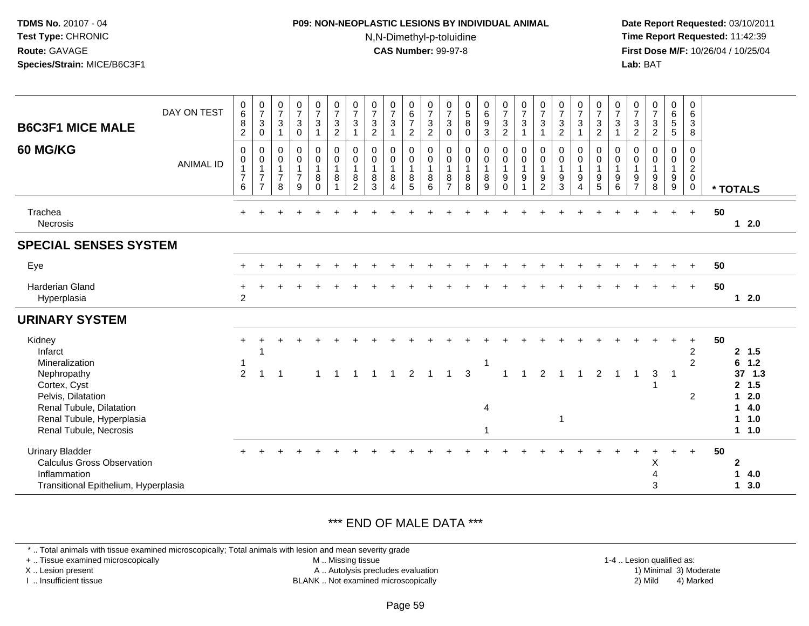# **P09: NON-NEOPLASTIC LESIONS BY INDIVIDUAL ANIMAL**N,N-Dimethyl-p-toluidine

 **Date Report Requested:** 03/10/2011 **Time Report Requested:** 11:42:39 **First Dose M/F:** 10/26/04 / 10/25/04 Lab: BAT **Lab:** BAT

| <b>B6C3F1 MICE MALE</b>                                                                                              | DAY ON TEST      | $\begin{array}{c} 0 \\ 6 \end{array}$<br>$\bf 8$<br>$\overline{2}$ | $\frac{0}{7}$<br>$\sqrt{3}$<br>0                           | $\frac{0}{7}$<br>3<br>1                                           | $\frac{0}{7}$<br>3<br>$\mathbf 0$                       | $\begin{smallmatrix}0\\7\end{smallmatrix}$<br>$\mathbf{3}$<br>$\mathbf{1}$ | $\frac{0}{7}$<br>$\ensuremath{\mathsf{3}}$<br>$\sqrt{2}$ | $\frac{0}{7}$<br>$\sqrt{3}$        | $\frac{0}{7}$<br>$\mathbf{3}$<br>$\sqrt{2}$            | $\frac{0}{7}$<br>3               | $\begin{array}{c} 0 \\ 6 \\ 7 \end{array}$<br>$\overline{c}$ | $\frac{0}{7}$<br>$\ensuremath{\mathsf{3}}$<br>$\overline{2}$ | $\frac{0}{7}$<br>$\sqrt{3}$<br>$\boldsymbol{0}$                   | $\begin{array}{c} 0 \\ 5 \\ 8 \end{array}$<br>$\Omega$ | $\begin{matrix} 0 \\ 6 \\ 9 \end{matrix}$<br>$\ensuremath{\mathsf{3}}$ | $\begin{matrix} 0 \\ 7 \\ 3 \end{matrix}$<br>$\overline{c}$                             | $\frac{0}{7}$<br>$\mathbf{3}$<br>1                            | $\frac{0}{7}$<br>$\mathfrak{S}$         | $\frac{0}{7}$<br>$\mathbf{3}$<br>$\overline{2}$                          | $\begin{smallmatrix}0\\7\end{smallmatrix}$<br>$\sqrt{3}$<br>1 | 0<br>$\overline{7}$<br>3<br>$\overline{c}$ | $\frac{0}{7}$<br>3               | $\frac{0}{7}$<br>$\ensuremath{\mathsf{3}}$<br>$\overline{c}$ | $\begin{smallmatrix}0\\7\end{smallmatrix}$<br>$\sqrt{3}$<br>$\sqrt{2}$ | $\begin{array}{c} 0 \\ 6 \\ 5 \end{array}$<br>5 | $\mathbf 0$<br>$\,6\,$<br>$\sqrt{3}$<br>8                                  |                                                                      |  |
|----------------------------------------------------------------------------------------------------------------------|------------------|--------------------------------------------------------------------|------------------------------------------------------------|-------------------------------------------------------------------|---------------------------------------------------------|----------------------------------------------------------------------------|----------------------------------------------------------|------------------------------------|--------------------------------------------------------|----------------------------------|--------------------------------------------------------------|--------------------------------------------------------------|-------------------------------------------------------------------|--------------------------------------------------------|------------------------------------------------------------------------|-----------------------------------------------------------------------------------------|---------------------------------------------------------------|-----------------------------------------|--------------------------------------------------------------------------|---------------------------------------------------------------|--------------------------------------------|----------------------------------|--------------------------------------------------------------|------------------------------------------------------------------------|-------------------------------------------------|----------------------------------------------------------------------------|----------------------------------------------------------------------|--|
| 60 MG/KG                                                                                                             | <b>ANIMAL ID</b> | $\mathbf 0$<br>$\pmb{0}$<br>$\mathbf{1}$<br>$\overline{7}$<br>6    | 0<br>0<br>$\mathbf{1}$<br>$\overline{7}$<br>$\overline{7}$ | $\mathbf 0$<br>$\mathbf 0$<br>$\mathbf{1}$<br>$\overline{7}$<br>8 | 0<br>$\mathbf 0$<br>$\mathbf{1}$<br>$\overline{7}$<br>9 | $\pmb{0}$<br>$\pmb{0}$<br>$\mathbf{1}$<br>8<br>$\Omega$                    | $\mathbf 0$<br>$\pmb{0}$<br>$\mathbf{1}$<br>8            | 0<br>0<br>$\overline{1}$<br>8<br>2 | $\mathbf 0$<br>$\mathbf 0$<br>$\overline{1}$<br>8<br>3 | 0<br>0<br>$\mathbf{1}$<br>8<br>4 | 0<br>$\pmb{0}$<br>$\mathbf{1}$<br>8<br>5                     | $\mathbf 0$<br>$\pmb{0}$<br>$\mathbf{1}$<br>$\bf 8$<br>6     | $\mathbf 0$<br>$\pmb{0}$<br>$\overline{1}$<br>8<br>$\overline{7}$ | 0<br>$\pmb{0}$<br>$\mathbf{1}$<br>$\bf 8$<br>8         | 0<br>$\pmb{0}$<br>$\mathbf{1}$<br>8<br>9                               | $\pmb{0}$<br>$\begin{smallmatrix}0\\1\end{smallmatrix}$<br>$\boldsymbol{9}$<br>$\Omega$ | $\pmb{0}$<br>$\pmb{0}$<br>$\mathbf{1}$<br>9<br>$\overline{1}$ | 0<br>0<br>$\mathbf{1}$<br>$\frac{9}{2}$ | $\mathbf 0$<br>$\boldsymbol{0}$<br>$\mathbf{1}$<br>$\boldsymbol{9}$<br>3 | 0<br>$\pmb{0}$<br>$\mathbf{1}$<br>9<br>$\overline{4}$         | 0<br>$\pmb{0}$<br>$\mathbf{1}$<br>9<br>5   | 0<br>0<br>$\mathbf{1}$<br>9<br>6 | $\mathbf 0$<br>0<br>$\mathbf{1}$<br>$\frac{9}{7}$            | $\mathbf 0$<br>$\pmb{0}$<br>$\mathbf{1}$<br>$\boldsymbol{9}$<br>8      | 0<br>0<br>$\mathbf{1}$<br>9<br>9                | $\mathbf 0$<br>$\mathbf 0$<br>$\overline{2}$<br>$\mathbf 0$<br>$\mathbf 0$ | * TOTALS                                                             |  |
| Trachea<br><b>Necrosis</b>                                                                                           |                  | $\ddot{}$                                                          |                                                            |                                                                   |                                                         |                                                                            |                                                          |                                    |                                                        |                                  |                                                              |                                                              |                                                                   |                                                        |                                                                        |                                                                                         |                                                               |                                         |                                                                          |                                                               |                                            |                                  |                                                              |                                                                        | $\ddot{}$                                       | $+$                                                                        | 50<br>$12.0$                                                         |  |
| <b>SPECIAL SENSES SYSTEM</b>                                                                                         |                  |                                                                    |                                                            |                                                                   |                                                         |                                                                            |                                                          |                                    |                                                        |                                  |                                                              |                                                              |                                                                   |                                                        |                                                                        |                                                                                         |                                                               |                                         |                                                                          |                                                               |                                            |                                  |                                                              |                                                                        |                                                 |                                                                            |                                                                      |  |
| Eye                                                                                                                  |                  |                                                                    |                                                            |                                                                   |                                                         |                                                                            |                                                          |                                    |                                                        |                                  |                                                              |                                                              |                                                                   |                                                        |                                                                        |                                                                                         |                                                               |                                         |                                                                          |                                                               |                                            |                                  |                                                              |                                                                        |                                                 | $\ddot{}$                                                                  | 50                                                                   |  |
| Harderian Gland<br>Hyperplasia                                                                                       |                  | $\overline{2}$                                                     |                                                            |                                                                   |                                                         |                                                                            |                                                          |                                    |                                                        |                                  |                                                              |                                                              |                                                                   |                                                        |                                                                        |                                                                                         |                                                               |                                         |                                                                          |                                                               |                                            |                                  |                                                              |                                                                        | $+$                                             | $+$                                                                        | 50<br>12.0                                                           |  |
| <b>URINARY SYSTEM</b>                                                                                                |                  |                                                                    |                                                            |                                                                   |                                                         |                                                                            |                                                          |                                    |                                                        |                                  |                                                              |                                                              |                                                                   |                                                        |                                                                        |                                                                                         |                                                               |                                         |                                                                          |                                                               |                                            |                                  |                                                              |                                                                        |                                                 |                                                                            |                                                                      |  |
| Kidney<br>Infarct<br>Mineralization<br>Nephropathy<br>Cortex, Cyst<br>Pelvis, Dilatation<br>Renal Tubule, Dilatation |                  | -1<br>2                                                            | -1<br>$\overline{1}$                                       | -1                                                                |                                                         |                                                                            |                                                          |                                    |                                                        |                                  |                                                              |                                                              |                                                                   | 3                                                      | 1<br>4                                                                 |                                                                                         |                                                               |                                         |                                                                          |                                                               | 2                                          |                                  |                                                              | 3                                                                      | -1                                              | $\ddot{}$<br>$\overline{2}$<br>2<br>$\overline{2}$                         | 50<br>2, 1.5<br>$6$ 1.2<br>37, 1.3<br>2, 1.5<br>2.0<br>1<br>4.0<br>1 |  |
| Renal Tubule, Hyperplasia<br>Renal Tubule, Necrosis                                                                  |                  |                                                                    |                                                            |                                                                   |                                                         |                                                                            |                                                          |                                    |                                                        |                                  |                                                              |                                                              |                                                                   |                                                        | 1                                                                      |                                                                                         |                                                               |                                         | 1                                                                        |                                                               |                                            |                                  |                                                              |                                                                        |                                                 |                                                                            | 1.0<br>$\mathbf 1$<br>1 1.0                                          |  |
| <b>Urinary Bladder</b><br><b>Calculus Gross Observation</b><br>Inflammation<br>Transitional Epithelium, Hyperplasia  |                  |                                                                    |                                                            |                                                                   |                                                         |                                                                            |                                                          |                                    |                                                        |                                  |                                                              |                                                              |                                                                   |                                                        |                                                                        |                                                                                         |                                                               |                                         |                                                                          |                                                               |                                            |                                  |                                                              | Χ<br>$\overline{4}$<br>3                                               |                                                 | $+$                                                                        | 50<br>$\mathbf{2}$<br>1<br>4.0<br>3.0<br>1                           |  |

#### \*\*\* END OF MALE DATA \*\*\*

|  |  | * Total animals with tissue examined microscopically; Total animals with lesion and mean severity grade |  |
|--|--|---------------------------------------------------------------------------------------------------------|--|
|  |  |                                                                                                         |  |

+ .. Tissue examined microscopically

X .. Lesion present

I .. Insufficient tissue

M .. Missing tissue

A .. Autolysis precludes evaluation

BLANK .. Not examined microscopically 2) Mild 4) Marked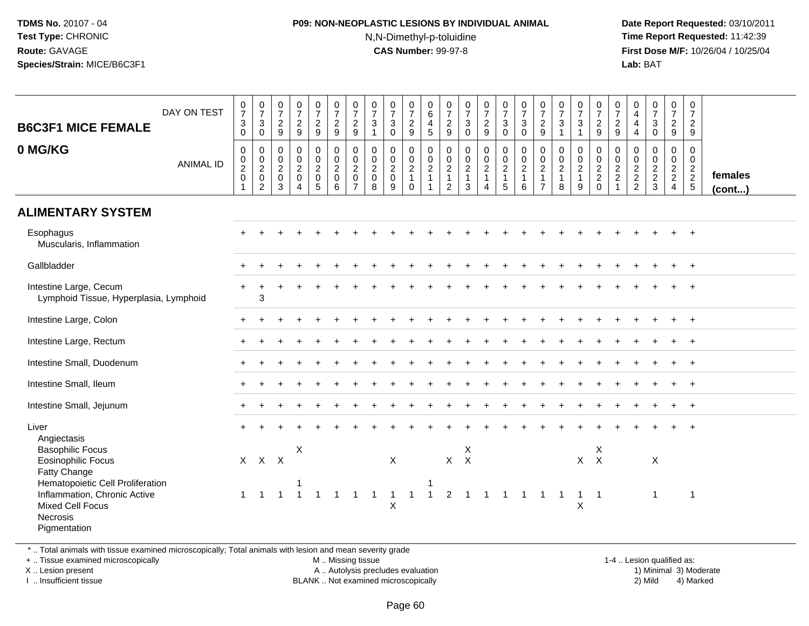### **P09: NON-NEOPLASTIC LESIONS BY INDIVIDUAL ANIMAL**N,N-Dimethyl-p-toluidine

 **Date Report Requested:** 03/10/2011 **Time Report Requested:** 11:42:39 **First Dose M/F:** 10/26/04 / 10/25/04 Lab: BAT **Lab:** BAT

| <b>B6C3F1 MICE FEMALE</b><br>0 MG/KG                                                                                                                                                                                    | DAY ON TEST<br><b>ANIMAL ID</b> | $\frac{0}{7}$<br>$\mathbf{3}$<br>$\mathbf 0$<br>$\pmb{0}$<br>$\begin{matrix} 0 \\ 2 \\ 0 \end{matrix}$<br>1 | $\frac{0}{7}$<br>$\sqrt{3}$<br>$\mathbf 0$<br>$\pmb{0}$<br>$\begin{smallmatrix} 0\\2\\0 \end{smallmatrix}$<br>$\overline{c}$ | $\frac{0}{7}$<br>$\frac{2}{9}$<br>$\pmb{0}$<br>$\mathsf{O}\xspace$<br>$\overline{2}$<br>$\mathbf 0$<br>3 | $\frac{0}{7}$<br>$\frac{2}{9}$<br>$\pmb{0}$<br>$\frac{0}{2}$<br>$\boldsymbol{\Lambda}$ | $\frac{0}{7}$<br>$\frac{2}{9}$<br>$\pmb{0}$<br>$\frac{0}{2}$<br>$\sqrt{5}$ | $\frac{0}{7}$<br>$\frac{2}{9}$<br>$\mathsf{O}\xspace$<br>$\frac{0}{2}$<br>$\,6\,$ | $\frac{0}{7}$<br>$\overline{2}$<br>$\overline{9}$<br>0<br>$\mathbf 0$<br>$\overline{2}$<br>$\mathbf 0$<br>$\overline{7}$ | $\frac{0}{7}$<br>$\sqrt{3}$<br>$\overline{1}$<br>$\pmb{0}$<br>$\frac{0}{2}$<br>8 | $\frac{0}{7}$<br>$\sqrt{3}$<br>$\mathbf{0}$<br>$\pmb{0}$<br>$\frac{0}{2}$<br>9 | $\mathbf 0$<br>$\boldsymbol{7}$<br>$\overline{c}$<br>9<br>$\mathbf 0$<br>$\frac{0}{2}$<br>$\mathbf 0$ | $\mathbf 0$<br>6<br>$\overline{4}$<br>5<br>$\mathsf{O}$<br>$\frac{0}{2}$<br>$\overline{1}$ | $\frac{0}{7}$<br>$\frac{2}{9}$<br>$\pmb{0}$<br>$\begin{smallmatrix} 0\\2 \end{smallmatrix}$<br>$\overline{1}$<br>$\overline{2}$ | $\begin{smallmatrix}0\\7\end{smallmatrix}$<br>$\frac{3}{0}$<br>$\mathsf{O}\xspace$<br>$\frac{0}{2}$<br>$\sqrt{3}$ | $\frac{0}{7}$<br>$\overline{2}$<br>9<br>$\pmb{0}$<br>$\frac{0}{2}$<br>1<br>$\overline{4}$ | $\frac{0}{7}$<br>$\mathbf{3}$<br>$\mathbf 0$<br>$\mathbf 0$<br>$\frac{0}{2}$<br>1<br>5 | $\frac{0}{7}$<br>$\ensuremath{\mathsf{3}}$<br>$\Omega$<br>$\pmb{0}$<br>$\frac{0}{2}$<br>$\,6\,$ | $\frac{0}{7}$<br>$\sqrt{2}$<br>$9\,$<br>$\mathbf 0$<br>$\boldsymbol{0}$<br>$\overline{2}$<br>$\overline{1}$<br>$\overline{7}$ | $\frac{0}{7}$<br>$\mathbf{3}$<br>$\overline{1}$<br>$\mathbf 0$<br>$\mathbf 0$<br>$\overline{2}$<br>$\mathbf{1}$<br>8 | $\frac{0}{7}$<br>$\mathbf{3}$<br>$\mathbf{1}$<br>0<br>$\mathbf 0$<br>$\frac{2}{1}$<br>9 | $\begin{array}{c} 0 \\ 7 \end{array}$<br>$\frac{2}{9}$<br>$\pmb{0}$<br>$\frac{0}{2}$<br>$\mathbf 0$ | $\frac{0}{7}$<br>$\frac{2}{9}$<br>$\mathsf 0$<br>$\frac{0}{2}$<br>$\mathbf{1}$ | 0<br>$\overline{4}$<br>$\overline{4}$<br>$\overline{4}$<br>$\mathbf 0$<br>$\frac{0}{2}$<br>2 | $\frac{0}{7}$<br>$\sqrt{3}$<br>$\mathbf 0$<br>$\mathbf 0$<br>$\begin{array}{c} 0 \\ 2 \\ 2 \\ 3 \end{array}$ | $\frac{0}{7}$<br>$\overline{2}$<br>9<br>0<br>$\mathbf 0$<br>$\frac{2}{2}$<br>$\overline{4}$ | 0<br>$\overline{7}$<br>$\overline{2}$<br>9<br>0<br>$\mathbf 0$<br>$\frac{2}{2}$<br>5 | females<br>$($ cont $)$ |
|-------------------------------------------------------------------------------------------------------------------------------------------------------------------------------------------------------------------------|---------------------------------|-------------------------------------------------------------------------------------------------------------|------------------------------------------------------------------------------------------------------------------------------|----------------------------------------------------------------------------------------------------------|----------------------------------------------------------------------------------------|----------------------------------------------------------------------------|-----------------------------------------------------------------------------------|--------------------------------------------------------------------------------------------------------------------------|----------------------------------------------------------------------------------|--------------------------------------------------------------------------------|-------------------------------------------------------------------------------------------------------|--------------------------------------------------------------------------------------------|---------------------------------------------------------------------------------------------------------------------------------|-------------------------------------------------------------------------------------------------------------------|-------------------------------------------------------------------------------------------|----------------------------------------------------------------------------------------|-------------------------------------------------------------------------------------------------|-------------------------------------------------------------------------------------------------------------------------------|----------------------------------------------------------------------------------------------------------------------|-----------------------------------------------------------------------------------------|-----------------------------------------------------------------------------------------------------|--------------------------------------------------------------------------------|----------------------------------------------------------------------------------------------|--------------------------------------------------------------------------------------------------------------|---------------------------------------------------------------------------------------------|--------------------------------------------------------------------------------------|-------------------------|
| <b>ALIMENTARY SYSTEM</b>                                                                                                                                                                                                |                                 |                                                                                                             |                                                                                                                              |                                                                                                          |                                                                                        |                                                                            |                                                                                   |                                                                                                                          |                                                                                  |                                                                                |                                                                                                       |                                                                                            |                                                                                                                                 |                                                                                                                   |                                                                                           |                                                                                        |                                                                                                 |                                                                                                                               |                                                                                                                      |                                                                                         |                                                                                                     |                                                                                |                                                                                              |                                                                                                              |                                                                                             |                                                                                      |                         |
| Esophagus<br>Muscularis, Inflammation                                                                                                                                                                                   |                                 |                                                                                                             |                                                                                                                              |                                                                                                          |                                                                                        |                                                                            |                                                                                   |                                                                                                                          |                                                                                  |                                                                                |                                                                                                       |                                                                                            |                                                                                                                                 |                                                                                                                   |                                                                                           |                                                                                        |                                                                                                 |                                                                                                                               |                                                                                                                      |                                                                                         |                                                                                                     |                                                                                |                                                                                              |                                                                                                              |                                                                                             |                                                                                      |                         |
| Gallbladder                                                                                                                                                                                                             |                                 |                                                                                                             |                                                                                                                              |                                                                                                          |                                                                                        |                                                                            |                                                                                   |                                                                                                                          |                                                                                  |                                                                                |                                                                                                       |                                                                                            |                                                                                                                                 |                                                                                                                   |                                                                                           |                                                                                        |                                                                                                 |                                                                                                                               |                                                                                                                      |                                                                                         |                                                                                                     |                                                                                |                                                                                              |                                                                                                              |                                                                                             |                                                                                      |                         |
| Intestine Large, Cecum<br>Lymphoid Tissue, Hyperplasia, Lymphoid                                                                                                                                                        |                                 |                                                                                                             | 3                                                                                                                            |                                                                                                          |                                                                                        |                                                                            |                                                                                   |                                                                                                                          |                                                                                  |                                                                                |                                                                                                       |                                                                                            |                                                                                                                                 |                                                                                                                   |                                                                                           |                                                                                        |                                                                                                 |                                                                                                                               |                                                                                                                      |                                                                                         |                                                                                                     |                                                                                |                                                                                              |                                                                                                              |                                                                                             |                                                                                      |                         |
| Intestine Large, Colon                                                                                                                                                                                                  |                                 |                                                                                                             |                                                                                                                              |                                                                                                          |                                                                                        |                                                                            |                                                                                   |                                                                                                                          |                                                                                  |                                                                                |                                                                                                       |                                                                                            |                                                                                                                                 |                                                                                                                   |                                                                                           |                                                                                        |                                                                                                 |                                                                                                                               |                                                                                                                      |                                                                                         |                                                                                                     |                                                                                |                                                                                              |                                                                                                              |                                                                                             | $\ddot{}$                                                                            |                         |
| Intestine Large, Rectum                                                                                                                                                                                                 |                                 |                                                                                                             |                                                                                                                              |                                                                                                          |                                                                                        |                                                                            |                                                                                   |                                                                                                                          |                                                                                  |                                                                                |                                                                                                       |                                                                                            |                                                                                                                                 |                                                                                                                   |                                                                                           |                                                                                        |                                                                                                 |                                                                                                                               |                                                                                                                      |                                                                                         |                                                                                                     |                                                                                |                                                                                              |                                                                                                              |                                                                                             |                                                                                      |                         |
| Intestine Small, Duodenum                                                                                                                                                                                               |                                 |                                                                                                             |                                                                                                                              |                                                                                                          |                                                                                        |                                                                            |                                                                                   |                                                                                                                          |                                                                                  |                                                                                |                                                                                                       |                                                                                            |                                                                                                                                 |                                                                                                                   |                                                                                           |                                                                                        |                                                                                                 |                                                                                                                               |                                                                                                                      |                                                                                         |                                                                                                     |                                                                                |                                                                                              |                                                                                                              |                                                                                             |                                                                                      |                         |
| Intestine Small, Ileum                                                                                                                                                                                                  |                                 |                                                                                                             |                                                                                                                              |                                                                                                          |                                                                                        |                                                                            |                                                                                   |                                                                                                                          |                                                                                  |                                                                                |                                                                                                       |                                                                                            |                                                                                                                                 |                                                                                                                   |                                                                                           |                                                                                        |                                                                                                 |                                                                                                                               |                                                                                                                      |                                                                                         |                                                                                                     |                                                                                |                                                                                              |                                                                                                              |                                                                                             |                                                                                      |                         |
| Intestine Small, Jejunum                                                                                                                                                                                                |                                 |                                                                                                             |                                                                                                                              |                                                                                                          |                                                                                        |                                                                            |                                                                                   |                                                                                                                          |                                                                                  |                                                                                |                                                                                                       |                                                                                            |                                                                                                                                 |                                                                                                                   |                                                                                           |                                                                                        |                                                                                                 |                                                                                                                               |                                                                                                                      |                                                                                         |                                                                                                     |                                                                                |                                                                                              |                                                                                                              |                                                                                             | $+$                                                                                  |                         |
| Liver<br>Angiectasis<br><b>Basophilic Focus</b><br><b>Eosinophilic Focus</b><br>Fatty Change<br>Hematopoietic Cell Proliferation<br>Inflammation, Chronic Active<br>Mixed Cell Focus<br><b>Necrosis</b><br>Pigmentation |                                 | $\mathbf{1}$                                                                                                | $X$ $X$ $X$<br>$\overline{1}$                                                                                                | $\mathbf{1}$                                                                                             | X<br>$\overline{1}$                                                                    | $\overline{1}$                                                             | $\overline{1}$                                                                    | $1 \quad 1$                                                                                                              |                                                                                  | X<br>$\mathbf{1}$<br>$\pmb{\times}$                                            | $\mathbf{1}$                                                                                          | $\sim$ 1                                                                                   | $X$ $X$<br>$\overline{2}$                                                                                                       | X                                                                                                                 |                                                                                           |                                                                                        | 1 1 1 1 1 1                                                                                     |                                                                                                                               |                                                                                                                      | $X$ $X$<br>$\mathbf{1}$<br>X                                                            | X<br>$\overline{1}$                                                                                 |                                                                                |                                                                                              | $\boldsymbol{\mathsf{X}}$<br>$\mathbf{1}$                                                                    |                                                                                             | $\overline{1}$                                                                       |                         |

\* .. Total animals with tissue examined microscopically; Total animals with lesion and mean severity grade

+ .. Tissue examined microscopically

X .. Lesion present

I .. Insufficient tissue

 M .. Missing tissueA .. Autolysis precludes evaluation

1-4 .. Lesion qualified as:<br>1) Minimal 3) Moderate BLANK .. Not examined microscopically 2) Mild 4) Marked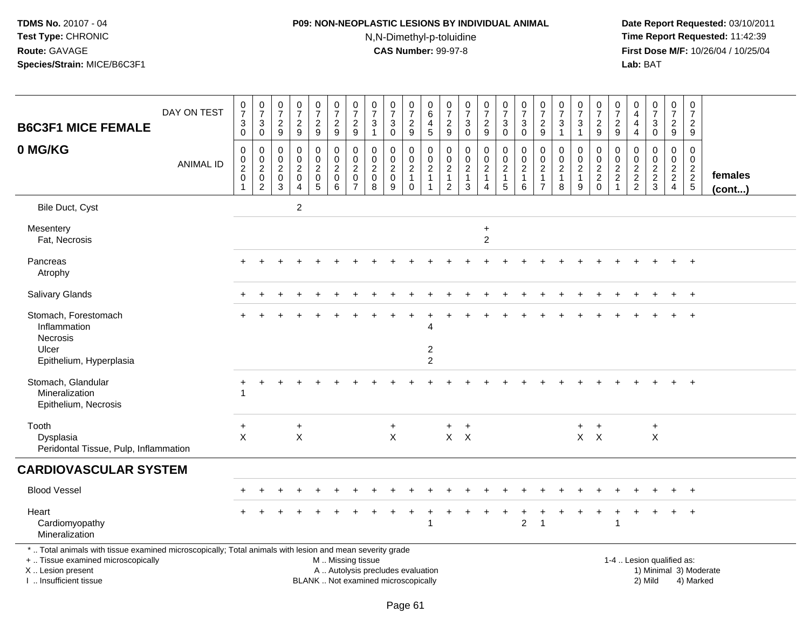# **P09: NON-NEOPLASTIC LESIONS BY INDIVIDUAL ANIMAL**N,N-Dimethyl-p-toluidine

| <b>B6C3F1 MICE FEMALE</b>                                                                                                                                                                     | DAY ON TEST      | $\frac{0}{7}$<br>$\mathbf{3}$<br>$\pmb{0}$           | $\frac{0}{7}$<br>$\mathbf{3}$<br>$\mathbf 0$                      | $\boldsymbol{0}$<br>$\overline{7}$<br>$\frac{2}{9}$               | $\pmb{0}$<br>$\overline{7}$<br>$\overline{2}$<br>$\overline{9}$           | 0<br>$\overline{7}$<br>$\overline{a}$<br>$\boldsymbol{9}$ | 0<br>$\overline{7}$<br>$\overline{2}$<br>$9\,$                 | $\begin{array}{c} 0 \\ 7 \end{array}$<br>$\overline{c}$<br>9        | 0<br>$\overline{7}$<br>3<br>$\mathbf{1}$                         | $\pmb{0}$<br>$\overline{7}$<br>3<br>$\mathbf 0$                          | 0<br>$\overline{7}$<br>$\overline{2}$<br>9              | 0<br>$\,6$<br>4<br>$\sqrt{5}$                                                | 0<br>$\overline{7}$<br>$\overline{2}$<br>$\overline{9}$                        | 0<br>$\overline{7}$<br>3<br>$\mathbf 0$             | $\begin{array}{c} 0 \\ 7 \end{array}$<br>$\overline{2}$<br>$\boldsymbol{9}$ | $\frac{0}{7}$<br>3<br>$\mathbf 0$                                | 0<br>$\overline{7}$<br>3<br>$\mathbf 0$                           | 0<br>$\overline{7}$<br>$\overline{2}$<br>9                | 0<br>$\overline{7}$<br>3<br>$\mathbf{1}$      | $\frac{0}{7}$<br>3<br>$\mathbf{1}$            | 0<br>$\overline{7}$<br>$\overline{2}$<br>9          | 0<br>$\overline{7}$<br>$\sqrt{2}$<br>$\mathsf g$ | 0<br>4<br>4<br>$\overline{4}$                                 | 0<br>$\overline{7}$<br>3<br>0                              | $\pmb{0}$<br>$\overline{7}$<br>$\overline{a}$<br>9 | $\pmb{0}$<br>$\overline{7}$<br>$\overline{2}$<br>9 |                   |
|-----------------------------------------------------------------------------------------------------------------------------------------------------------------------------------------------|------------------|------------------------------------------------------|-------------------------------------------------------------------|-------------------------------------------------------------------|---------------------------------------------------------------------------|-----------------------------------------------------------|----------------------------------------------------------------|---------------------------------------------------------------------|------------------------------------------------------------------|--------------------------------------------------------------------------|---------------------------------------------------------|------------------------------------------------------------------------------|--------------------------------------------------------------------------------|-----------------------------------------------------|-----------------------------------------------------------------------------|------------------------------------------------------------------|-------------------------------------------------------------------|-----------------------------------------------------------|-----------------------------------------------|-----------------------------------------------|-----------------------------------------------------|--------------------------------------------------|---------------------------------------------------------------|------------------------------------------------------------|----------------------------------------------------|----------------------------------------------------|-------------------|
| 0 MG/KG                                                                                                                                                                                       | <b>ANIMAL ID</b> | 0<br>$^{\rm 0}_{\rm 2}$<br>$\pmb{0}$<br>$\mathbf{1}$ | 0<br>$\mathbf 0$<br>$\overline{2}$<br>$\pmb{0}$<br>$\overline{2}$ | $\mathbf 0$<br>0<br>$\overline{2}$<br>$\mathbf 0$<br>$\mathbf{3}$ | $\pmb{0}$<br>$\mathbf 0$<br>$\overline{c}$<br>$\pmb{0}$<br>$\overline{4}$ | 0<br>0<br>$\overline{c}$<br>$\pmb{0}$<br>5                | 0<br>$\mathbf 0$<br>$\overline{2}$<br>$\pmb{0}$<br>$6^{\circ}$ | 0<br>$\mathbf 0$<br>$\overline{2}$<br>$\mathbf 0$<br>$\overline{7}$ | $\mathbf 0$<br>$\mathbf 0$<br>$\overline{a}$<br>$\mathbf 0$<br>8 | $\mathbf 0$<br>$\mathbf 0$<br>$\overline{2}$<br>$\mathbf 0$<br>9         | 0<br>0<br>$\overline{2}$<br>$\mathbf{1}$<br>$\mathbf 0$ | $\mathbf 0$<br>$\mathbf 0$<br>$\overline{2}$<br>$\mathbf{1}$<br>$\mathbf{1}$ | $\mathbf 0$<br>$\mathbf 0$<br>$\overline{c}$<br>$\mathbf{1}$<br>$\overline{2}$ | $\mathbf 0$<br>0<br>$\sqrt{2}$<br>$\mathbf{1}$<br>3 | 0<br>$\mathbf 0$<br>$\overline{2}$<br>$\mathbf{1}$<br>$\overline{4}$        | 0<br>$\mathbf 0$<br>$\overline{2}$<br>$\mathbf{1}$<br>$\sqrt{5}$ | $\mathbf 0$<br>$\mathbf 0$<br>$\overline{2}$<br>$\mathbf{1}$<br>6 | 0<br>$\mathbf 0$<br>$\overline{c}$<br>1<br>$\overline{7}$ | 0<br>0<br>$\overline{2}$<br>$\mathbf{1}$<br>8 | 0<br>0<br>$\overline{2}$<br>$\mathbf{1}$<br>9 | 0<br>$\mathsf{O}$<br>$\overline{2}$<br>$^2_{\rm 0}$ | $\mathbf 0$<br>$\pmb{0}$<br>$\frac{2}{2}$<br>1   | $\mathbf 0$<br>$\mathbf 0$<br>$\overline{2}$<br>$\frac{2}{2}$ | $\mathbf 0$<br>$\Omega$<br>$\overline{c}$<br>$\frac{2}{3}$ | 0<br>0<br>$\frac{2}{2}$                            | $\mathsf 0$<br>$\mathbf 0$<br>$\frac{2}{2}$ 5      | females<br>(cont) |
| Bile Duct, Cyst                                                                                                                                                                               |                  |                                                      |                                                                   |                                                                   | $\overline{c}$                                                            |                                                           |                                                                |                                                                     |                                                                  |                                                                          |                                                         |                                                                              |                                                                                |                                                     |                                                                             |                                                                  |                                                                   |                                                           |                                               |                                               |                                                     |                                                  |                                                               |                                                            |                                                    |                                                    |                   |
| Mesentery<br>Fat, Necrosis                                                                                                                                                                    |                  |                                                      |                                                                   |                                                                   |                                                                           |                                                           |                                                                |                                                                     |                                                                  |                                                                          |                                                         |                                                                              |                                                                                |                                                     | $\ddot{}$<br>$\overline{c}$                                                 |                                                                  |                                                                   |                                                           |                                               |                                               |                                                     |                                                  |                                                               |                                                            |                                                    |                                                    |                   |
| Pancreas<br>Atrophy                                                                                                                                                                           |                  |                                                      |                                                                   |                                                                   |                                                                           |                                                           |                                                                |                                                                     |                                                                  |                                                                          |                                                         |                                                                              |                                                                                |                                                     |                                                                             |                                                                  |                                                                   |                                                           |                                               |                                               |                                                     |                                                  |                                                               |                                                            |                                                    | $\ddot{}$                                          |                   |
| <b>Salivary Glands</b>                                                                                                                                                                        |                  |                                                      |                                                                   |                                                                   |                                                                           |                                                           |                                                                |                                                                     |                                                                  |                                                                          |                                                         |                                                                              |                                                                                |                                                     |                                                                             |                                                                  |                                                                   |                                                           |                                               |                                               |                                                     |                                                  |                                                               |                                                            |                                                    | $\ddot{}$                                          |                   |
| Stomach, Forestomach<br>Inflammation<br>Necrosis                                                                                                                                              |                  |                                                      |                                                                   |                                                                   |                                                                           |                                                           |                                                                |                                                                     |                                                                  |                                                                          |                                                         |                                                                              |                                                                                |                                                     |                                                                             |                                                                  |                                                                   |                                                           |                                               |                                               |                                                     |                                                  |                                                               |                                                            |                                                    |                                                    |                   |
| Ulcer<br>Epithelium, Hyperplasia                                                                                                                                                              |                  |                                                      |                                                                   |                                                                   |                                                                           |                                                           |                                                                |                                                                     |                                                                  |                                                                          |                                                         | $\boldsymbol{2}$<br>$\overline{2}$                                           |                                                                                |                                                     |                                                                             |                                                                  |                                                                   |                                                           |                                               |                                               |                                                     |                                                  |                                                               |                                                            |                                                    |                                                    |                   |
| Stomach, Glandular<br>Mineralization<br>Epithelium, Necrosis                                                                                                                                  |                  |                                                      |                                                                   |                                                                   |                                                                           |                                                           |                                                                |                                                                     |                                                                  |                                                                          |                                                         |                                                                              |                                                                                |                                                     |                                                                             |                                                                  |                                                                   |                                                           |                                               |                                               |                                                     |                                                  |                                                               |                                                            |                                                    | $+$                                                |                   |
| Tooth<br>Dysplasia<br>Peridontal Tissue, Pulp, Inflammation                                                                                                                                   |                  | $\ddot{}$<br>$\mathsf{X}$                            |                                                                   |                                                                   | $\ddot{}$<br>$\mathsf{X}$                                                 |                                                           |                                                                |                                                                     |                                                                  | $\ddot{}$<br>$\mathsf{X}$                                                |                                                         |                                                                              | $\ddot{}$                                                                      | $\ddot{}$<br>$X$ $X$                                |                                                                             |                                                                  |                                                                   |                                                           |                                               | $+$                                           | $+$<br>$X$ $X$                                      |                                                  |                                                               | $\ddot{}$<br>$\pmb{\times}$                                |                                                    |                                                    |                   |
| <b>CARDIOVASCULAR SYSTEM</b>                                                                                                                                                                  |                  |                                                      |                                                                   |                                                                   |                                                                           |                                                           |                                                                |                                                                     |                                                                  |                                                                          |                                                         |                                                                              |                                                                                |                                                     |                                                                             |                                                                  |                                                                   |                                                           |                                               |                                               |                                                     |                                                  |                                                               |                                                            |                                                    |                                                    |                   |
| <b>Blood Vessel</b>                                                                                                                                                                           |                  |                                                      |                                                                   |                                                                   |                                                                           |                                                           |                                                                |                                                                     |                                                                  |                                                                          |                                                         |                                                                              |                                                                                |                                                     |                                                                             |                                                                  |                                                                   |                                                           |                                               |                                               |                                                     |                                                  |                                                               |                                                            |                                                    | $\ddot{}$                                          |                   |
| Heart<br>Cardiomyopathy<br>Mineralization                                                                                                                                                     |                  |                                                      |                                                                   |                                                                   |                                                                           |                                                           |                                                                |                                                                     |                                                                  |                                                                          |                                                         |                                                                              |                                                                                |                                                     |                                                                             |                                                                  | $\overline{c}$                                                    |                                                           |                                               |                                               | $\ddot{}$                                           | -1                                               | $\ddot{}$                                                     |                                                            | $\ddot{}$                                          | $\overline{+}$                                     |                   |
| *  Total animals with tissue examined microscopically; Total animals with lesion and mean severity grade<br>+  Tissue examined microscopically<br>X  Lesion present<br>I. Insufficient tissue |                  |                                                      |                                                                   |                                                                   |                                                                           |                                                           | M  Missing tissue                                              |                                                                     |                                                                  | A  Autolysis precludes evaluation<br>BLANK  Not examined microscopically |                                                         |                                                                              |                                                                                |                                                     |                                                                             |                                                                  |                                                                   |                                                           |                                               |                                               |                                                     |                                                  |                                                               | 1-4  Lesion qualified as:<br>2) Mild                       |                                                    | 1) Minimal 3) Moderate<br>4) Marked                |                   |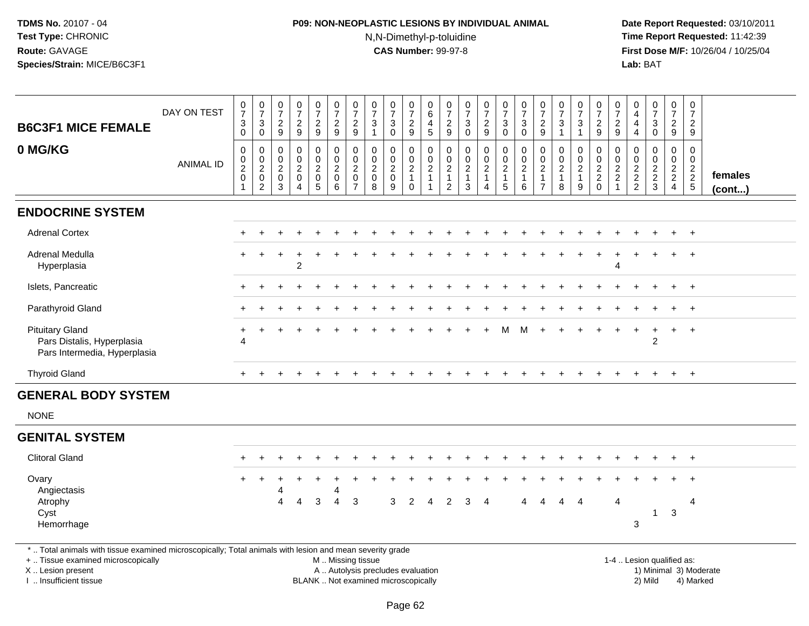# **P09: NON-NEOPLASTIC LESIONS BY INDIVIDUAL ANIMAL**N,N-Dimethyl-p-toluidine

| <b>B6C3F1 MICE FEMALE</b><br>0 MG/KG                                                                                                                                                          | DAY ON TEST<br><b>ANIMAL ID</b> | $\frac{0}{7}$<br>$\ensuremath{\mathsf{3}}$<br>0<br>$\pmb{0}$<br>$_2^0$<br>$\pmb{0}$ | $\begin{array}{c} 0 \\ 7 \end{array}$<br>$\mathbf{3}$<br>$\mathbf 0$<br>0<br>$_{2}^{\rm 0}$<br>$\pmb{0}$ | 0<br>$\overline{7}$<br>$\sqrt{2}$<br>9<br>$\mathbf 0$<br>$\pmb{0}$<br>$\sqrt{2}$<br>$\mathbf 0$ | $\begin{smallmatrix}0\\7\end{smallmatrix}$<br>$\frac{2}{9}$<br>$\mathbf 0$<br>$\mathbf 0$<br>$\overline{2}$<br>$\mathsf{O}\xspace$ | $\begin{array}{c} 0 \\ 7 \end{array}$<br>$\overline{\mathbf{c}}$<br>$\boldsymbol{9}$<br>0<br>$\mathbf 0$<br>$\boldsymbol{2}$<br>$\mathbf 0$ | $\begin{array}{c} 0 \\ 7 \end{array}$<br>$\sqrt{2}$<br>9<br>$\pmb{0}$<br>$\mathbf 0$<br>$\overline{2}$<br>$\pmb{0}$ | 0<br>$\overline{7}$<br>$\overline{\mathbf{c}}$<br>9<br>0<br>$\mathbf 0$<br>$\overline{c}$<br>$\mathbf 0$ | $\frac{0}{7}$<br>$\mathbf{3}$<br>$\mathbf{1}$<br>$\mathbf 0$<br>$\mathbf 0$<br>$\overline{2}$<br>$\mathsf{O}\xspace$ | $\frac{0}{7}$<br>3<br>$\mathbf 0$<br>$\mathbf 0$<br>$\pmb{0}$<br>$\overline{2}$<br>$\mathbf 0$ | $\frac{0}{7}$<br>$\frac{2}{9}$<br>0<br>$_2^0$<br>$\mathbf{1}$ | 0<br>$6\overline{6}$<br>$\overline{4}$<br>$\overline{5}$<br>$\mathbf 0$<br>$\mathbf 0$<br>$\overline{2}$<br>$\mathbf{1}$ | 0<br>$\overline{7}$<br>$\frac{2}{9}$<br>0<br>$\mathbf 0$<br>$\boldsymbol{2}$<br>$\overline{1}$ | $\frac{0}{7}$<br>$\sqrt{3}$<br>$\mathbf 0$<br>$\mathbf 0$<br>$\mathbf 0$<br>$\overline{2}$<br>$\overline{1}$ | $\frac{0}{7}$<br>$\frac{2}{9}$<br>0<br>$\mathbf 0$<br>$\overline{2}$<br>$\mathbf{1}$ | $\begin{array}{c} 0 \\ 7 \end{array}$<br>$\ensuremath{\mathsf{3}}$<br>$\mathbf 0$<br>$\begin{smallmatrix} 0\\0\\2 \end{smallmatrix}$ | $\frac{0}{7}$<br>$\mathbf{3}$<br>$\mathbf 0$<br>0<br>$\mathsf 0$<br>$\overline{2}$<br>$\mathbf{1}$ | $\frac{0}{7}$<br>$\overline{\mathbf{c}}$<br>9<br>$\mathbf 0$<br>0<br>$\boldsymbol{2}$<br>$\mathbf{1}$ | $\frac{0}{7}$<br>$\frac{3}{1}$<br>0<br>$\mathbf 0$<br>$\overline{2}$<br>$\mathbf{1}$ | $\frac{0}{7}$<br>$\ensuremath{\mathsf{3}}$<br>$\mathbf{1}$<br>0<br>$\mathbf 0$<br>$\overline{2}$<br>$\mathbf{1}$ | $\begin{array}{c} 0 \\ 7 \end{array}$<br>$\frac{2}{9}$<br>$\mathbf 0$<br>$\begin{array}{c} 0 \\ 2 \\ 2 \\ 0 \end{array}$ | 0<br>$\overline{7}$<br>$\overline{\mathbf{c}}$<br>$\boldsymbol{9}$<br>0<br>$\mathbf 0$<br>$\sqrt{2}$ | 0<br>$\overline{4}$<br>$\overline{4}$<br>$\overline{4}$<br>$\mathbf 0$<br>$\mathbf 0$<br>$\frac{2}{2}$ | $\frac{0}{7}$<br>$\mathbf{3}$<br>0<br>$\mathbf 0$<br>$\mathbf 0$<br>$\overline{2}$ | $\begin{array}{c} 0 \\ 7 \end{array}$<br>$\frac{2}{9}$<br>0<br>$\mathbf 0$<br>$\overline{2}$ | $\begin{array}{c} 0 \\ 7 \end{array}$<br>$\overline{c}$<br>9<br>$\mathbf 0$<br>$\mathbf 0$<br>$\frac{2}{2}$ 5 | females                |
|-----------------------------------------------------------------------------------------------------------------------------------------------------------------------------------------------|---------------------------------|-------------------------------------------------------------------------------------|----------------------------------------------------------------------------------------------------------|-------------------------------------------------------------------------------------------------|------------------------------------------------------------------------------------------------------------------------------------|---------------------------------------------------------------------------------------------------------------------------------------------|---------------------------------------------------------------------------------------------------------------------|----------------------------------------------------------------------------------------------------------|----------------------------------------------------------------------------------------------------------------------|------------------------------------------------------------------------------------------------|---------------------------------------------------------------|--------------------------------------------------------------------------------------------------------------------------|------------------------------------------------------------------------------------------------|--------------------------------------------------------------------------------------------------------------|--------------------------------------------------------------------------------------|--------------------------------------------------------------------------------------------------------------------------------------|----------------------------------------------------------------------------------------------------|-------------------------------------------------------------------------------------------------------|--------------------------------------------------------------------------------------|------------------------------------------------------------------------------------------------------------------|--------------------------------------------------------------------------------------------------------------------------|------------------------------------------------------------------------------------------------------|--------------------------------------------------------------------------------------------------------|------------------------------------------------------------------------------------|----------------------------------------------------------------------------------------------|---------------------------------------------------------------------------------------------------------------|------------------------|
|                                                                                                                                                                                               |                                 | $\overline{1}$                                                                      | $\overline{2}$                                                                                           | 3                                                                                               | $\overline{4}$                                                                                                                     | $\overline{5}$                                                                                                                              | 6                                                                                                                   | $\overline{7}$                                                                                           | 8                                                                                                                    | $\overline{9}$                                                                                 | $\mathsf{O}\xspace$                                           |                                                                                                                          | $\overline{2}$                                                                                 | $\overline{3}$                                                                                               | $\overline{4}$                                                                       | $\begin{array}{c} 1 \\ 5 \end{array}$                                                                                                | 6                                                                                                  | $\overline{7}$                                                                                        | 8                                                                                    | 9                                                                                                                |                                                                                                                          | $\overline{a}$                                                                                       |                                                                                                        | $\frac{2}{3}$                                                                      | $\overline{2}$<br>4                                                                          |                                                                                                               | (cont)                 |
| <b>ENDOCRINE SYSTEM</b>                                                                                                                                                                       |                                 |                                                                                     |                                                                                                          |                                                                                                 |                                                                                                                                    |                                                                                                                                             |                                                                                                                     |                                                                                                          |                                                                                                                      |                                                                                                |                                                               |                                                                                                                          |                                                                                                |                                                                                                              |                                                                                      |                                                                                                                                      |                                                                                                    |                                                                                                       |                                                                                      |                                                                                                                  |                                                                                                                          |                                                                                                      |                                                                                                        |                                                                                    |                                                                                              |                                                                                                               |                        |
| <b>Adrenal Cortex</b>                                                                                                                                                                         |                                 |                                                                                     |                                                                                                          |                                                                                                 |                                                                                                                                    |                                                                                                                                             |                                                                                                                     |                                                                                                          |                                                                                                                      |                                                                                                |                                                               |                                                                                                                          |                                                                                                |                                                                                                              |                                                                                      |                                                                                                                                      |                                                                                                    |                                                                                                       |                                                                                      |                                                                                                                  |                                                                                                                          |                                                                                                      |                                                                                                        |                                                                                    |                                                                                              | $\overline{+}$                                                                                                |                        |
| Adrenal Medulla<br>Hyperplasia                                                                                                                                                                |                                 |                                                                                     |                                                                                                          |                                                                                                 | $\overline{2}$                                                                                                                     |                                                                                                                                             |                                                                                                                     |                                                                                                          |                                                                                                                      |                                                                                                |                                                               |                                                                                                                          |                                                                                                |                                                                                                              |                                                                                      |                                                                                                                                      |                                                                                                    |                                                                                                       |                                                                                      |                                                                                                                  |                                                                                                                          | 4                                                                                                    |                                                                                                        |                                                                                    |                                                                                              | $\overline{1}$                                                                                                |                        |
| Islets, Pancreatic                                                                                                                                                                            |                                 |                                                                                     |                                                                                                          |                                                                                                 |                                                                                                                                    |                                                                                                                                             |                                                                                                                     |                                                                                                          |                                                                                                                      |                                                                                                |                                                               |                                                                                                                          |                                                                                                |                                                                                                              |                                                                                      |                                                                                                                                      |                                                                                                    |                                                                                                       |                                                                                      |                                                                                                                  |                                                                                                                          |                                                                                                      |                                                                                                        |                                                                                    |                                                                                              | $+$                                                                                                           |                        |
| Parathyroid Gland                                                                                                                                                                             |                                 |                                                                                     |                                                                                                          |                                                                                                 |                                                                                                                                    |                                                                                                                                             |                                                                                                                     |                                                                                                          |                                                                                                                      |                                                                                                |                                                               |                                                                                                                          |                                                                                                |                                                                                                              |                                                                                      |                                                                                                                                      |                                                                                                    |                                                                                                       |                                                                                      |                                                                                                                  |                                                                                                                          |                                                                                                      |                                                                                                        |                                                                                    | $+$                                                                                          | $+$                                                                                                           |                        |
| <b>Pituitary Gland</b><br>Pars Distalis, Hyperplasia<br>Pars Intermedia, Hyperplasia                                                                                                          |                                 | 4                                                                                   |                                                                                                          |                                                                                                 |                                                                                                                                    |                                                                                                                                             |                                                                                                                     |                                                                                                          |                                                                                                                      |                                                                                                |                                                               |                                                                                                                          |                                                                                                |                                                                                                              |                                                                                      |                                                                                                                                      | м                                                                                                  |                                                                                                       |                                                                                      |                                                                                                                  |                                                                                                                          |                                                                                                      |                                                                                                        | $\overline{2}$                                                                     | $+$                                                                                          | $+$                                                                                                           |                        |
| <b>Thyroid Gland</b>                                                                                                                                                                          |                                 |                                                                                     |                                                                                                          |                                                                                                 |                                                                                                                                    |                                                                                                                                             |                                                                                                                     |                                                                                                          |                                                                                                                      | $\div$                                                                                         | ÷                                                             |                                                                                                                          |                                                                                                |                                                                                                              | $\ddot{}$                                                                            |                                                                                                                                      | $\ddot{}$                                                                                          |                                                                                                       |                                                                                      | $\pm$                                                                                                            |                                                                                                                          |                                                                                                      |                                                                                                        | $\ddot{}$                                                                          | $+$                                                                                          | $+$                                                                                                           |                        |
| <b>GENERAL BODY SYSTEM</b>                                                                                                                                                                    |                                 |                                                                                     |                                                                                                          |                                                                                                 |                                                                                                                                    |                                                                                                                                             |                                                                                                                     |                                                                                                          |                                                                                                                      |                                                                                                |                                                               |                                                                                                                          |                                                                                                |                                                                                                              |                                                                                      |                                                                                                                                      |                                                                                                    |                                                                                                       |                                                                                      |                                                                                                                  |                                                                                                                          |                                                                                                      |                                                                                                        |                                                                                    |                                                                                              |                                                                                                               |                        |
| <b>NONE</b>                                                                                                                                                                                   |                                 |                                                                                     |                                                                                                          |                                                                                                 |                                                                                                                                    |                                                                                                                                             |                                                                                                                     |                                                                                                          |                                                                                                                      |                                                                                                |                                                               |                                                                                                                          |                                                                                                |                                                                                                              |                                                                                      |                                                                                                                                      |                                                                                                    |                                                                                                       |                                                                                      |                                                                                                                  |                                                                                                                          |                                                                                                      |                                                                                                        |                                                                                    |                                                                                              |                                                                                                               |                        |
| <b>GENITAL SYSTEM</b>                                                                                                                                                                         |                                 |                                                                                     |                                                                                                          |                                                                                                 |                                                                                                                                    |                                                                                                                                             |                                                                                                                     |                                                                                                          |                                                                                                                      |                                                                                                |                                                               |                                                                                                                          |                                                                                                |                                                                                                              |                                                                                      |                                                                                                                                      |                                                                                                    |                                                                                                       |                                                                                      |                                                                                                                  |                                                                                                                          |                                                                                                      |                                                                                                        |                                                                                    |                                                                                              |                                                                                                               |                        |
| <b>Clitoral Gland</b>                                                                                                                                                                         |                                 |                                                                                     |                                                                                                          |                                                                                                 |                                                                                                                                    |                                                                                                                                             |                                                                                                                     |                                                                                                          |                                                                                                                      |                                                                                                |                                                               |                                                                                                                          |                                                                                                |                                                                                                              |                                                                                      |                                                                                                                                      |                                                                                                    |                                                                                                       |                                                                                      |                                                                                                                  |                                                                                                                          |                                                                                                      |                                                                                                        |                                                                                    |                                                                                              | $\overline{ }$                                                                                                |                        |
| Ovary<br>Angiectasis<br>Atrophy<br>Cyst<br>Hemorrhage                                                                                                                                         |                                 |                                                                                     | $\pm$                                                                                                    | 4<br>4                                                                                          | $\overline{4}$                                                                                                                     | 3                                                                                                                                           | 4<br>$\overline{\mathbf{4}}$                                                                                        | 3                                                                                                        |                                                                                                                      | 3                                                                                              | 2                                                             | Δ                                                                                                                        | $\mathcal{P}$                                                                                  | 3                                                                                                            |                                                                                      |                                                                                                                                      |                                                                                                    |                                                                                                       | Δ                                                                                    | 4                                                                                                                |                                                                                                                          | 4                                                                                                    | 3                                                                                                      | -1                                                                                 | $\mathbf{3}$                                                                                 | $\overline{+}$<br>4                                                                                           |                        |
| *  Total animals with tissue examined microscopically; Total animals with lesion and mean severity grade<br>+  Tissue examined microscopically<br>X  Lesion present<br>I  Insufficient tissue |                                 |                                                                                     |                                                                                                          |                                                                                                 |                                                                                                                                    |                                                                                                                                             | M  Missing tissue                                                                                                   |                                                                                                          |                                                                                                                      | A  Autolysis precludes evaluation<br>BLANK  Not examined microscopically                       |                                                               |                                                                                                                          |                                                                                                |                                                                                                              |                                                                                      |                                                                                                                                      |                                                                                                    |                                                                                                       |                                                                                      |                                                                                                                  |                                                                                                                          |                                                                                                      |                                                                                                        | 1-4  Lesion qualified as:<br>2) Mild                                               |                                                                                              | 4) Marked                                                                                                     | 1) Minimal 3) Moderate |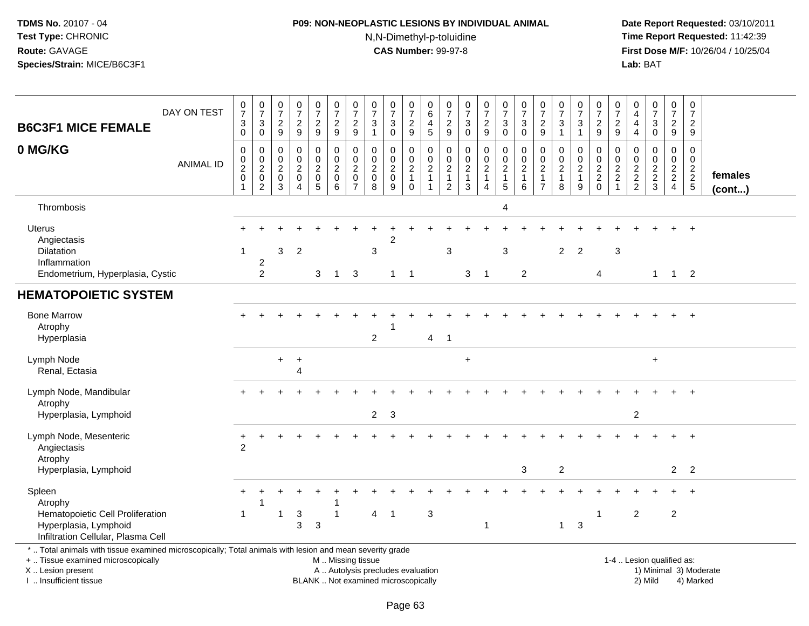# **P09: NON-NEOPLASTIC LESIONS BY INDIVIDUAL ANIMAL**N,N-Dimethyl-p-toluidine

 **Date Report Requested:** 03/10/2011 **Time Report Requested:** 11:42:39 **First Dose M/F:** 10/26/04 / 10/25/04<br>**Lab:** BAT **Lab:** BAT

| <b>B6C3F1 MICE FEMALE</b>                                                                                                                                                                     | DAY ON TEST      | $\frac{0}{7}$<br>$\mathbf{3}$<br>$\mathbf 0$ | $\begin{array}{c} 0 \\ 7 \end{array}$<br>$\mathbf{3}$<br>$\mathbf 0$                        | 0<br>$\overline{7}$<br>$\overline{c}$<br>9   | $\frac{0}{7}$<br>$\sqrt{2}$<br>9                                                | $\frac{0}{7}$<br>$\boldsymbol{2}$<br>9                 | $\frac{0}{7}$<br>$\overline{c}$<br>9         | $\frac{0}{7}$<br>$\overline{c}$<br>9                              | $\pmb{0}$<br>$\overline{7}$<br>3<br>$\overline{1}$          | $\frac{0}{7}$<br>3<br>$\mathbf 0$                                        | 0<br>$\overline{7}$<br>$\overline{c}$<br>9       | 0<br>$\,6\,$<br>$\overline{4}$<br>$\overline{5}$                      | $\pmb{0}$<br>$\overline{7}$<br>$\boldsymbol{2}$<br>9    | 0<br>$\overline{7}$<br>$\sqrt{3}$<br>$\mathbf 0$     | $\frac{0}{7}$<br>$\overline{c}$<br>$\boldsymbol{9}$            | $\begin{smallmatrix}0\\7\end{smallmatrix}$<br>$\mathsf 3$<br>$\mathbf 0$ | $\frac{0}{7}$<br>$\sqrt{3}$<br>$\Omega$                            | $\pmb{0}$<br>$\overline{7}$<br>$\overline{c}$<br>$\boldsymbol{9}$    | $\frac{0}{7}$<br>$\sqrt{3}$<br>$\mathbf{1}$               | 0<br>$\overline{7}$<br>3<br>$\mathbf 1$       | $\frac{0}{7}$<br>$\overline{c}$<br>9                     | $\pmb{0}$<br>$\overline{7}$<br>$\boldsymbol{2}$<br>9 | 0<br>$\overline{4}$<br>$\overline{4}$ | $\begin{array}{c} 0 \\ 7 \end{array}$<br>$\sqrt{3}$<br>$\mathbf 0$ | $\frac{0}{7}$<br>$\overline{c}$<br>9                | $\begin{smallmatrix}0\\7\end{smallmatrix}$<br>$\overline{a}$<br>9 |                         |
|-----------------------------------------------------------------------------------------------------------------------------------------------------------------------------------------------|------------------|----------------------------------------------|---------------------------------------------------------------------------------------------|----------------------------------------------|---------------------------------------------------------------------------------|--------------------------------------------------------|----------------------------------------------|-------------------------------------------------------------------|-------------------------------------------------------------|--------------------------------------------------------------------------|--------------------------------------------------|-----------------------------------------------------------------------|---------------------------------------------------------|------------------------------------------------------|----------------------------------------------------------------|--------------------------------------------------------------------------|--------------------------------------------------------------------|----------------------------------------------------------------------|-----------------------------------------------------------|-----------------------------------------------|----------------------------------------------------------|------------------------------------------------------|---------------------------------------|--------------------------------------------------------------------|-----------------------------------------------------|-------------------------------------------------------------------|-------------------------|
| 0 MG/KG                                                                                                                                                                                       | <b>ANIMAL ID</b> | $\mathbf 0$<br>0<br>$^2_{\rm 0}$             | $\mathbf 0$<br>$\begin{smallmatrix} 0\\ 2 \end{smallmatrix}$<br>$\pmb{0}$<br>$\overline{2}$ | 0<br>$\mathbf 0$<br>$\overline{c}$<br>0<br>3 | $\Omega$<br>$\Omega$<br>$\overline{c}$<br>$\mathbf 0$<br>$\boldsymbol{\Lambda}$ | 0<br>$\mathbf 0$<br>$\boldsymbol{2}$<br>$\pmb{0}$<br>5 | 0<br>$\mathbf 0$<br>$\overline{c}$<br>0<br>6 | 0<br>$\pmb{0}$<br>$\boldsymbol{2}$<br>$\pmb{0}$<br>$\overline{7}$ | $\Omega$<br>$\mathbf 0$<br>$\overline{2}$<br>$\pmb{0}$<br>8 | $\mathbf 0$<br>$\mathbf 0$<br>$\sqrt{2}$<br>$\pmb{0}$<br>9               | 0<br>0<br>$\sqrt{2}$<br>$\mathbf{1}$<br>$\Omega$ | $\Omega$<br>$\pmb{0}$<br>$\sqrt{2}$<br>$\mathbf{1}$<br>$\overline{1}$ | 0<br>$\mathbf 0$<br>$\overline{c}$<br>$\mathbf{1}$<br>2 | 0<br>$\Omega$<br>$\overline{c}$<br>$\mathbf{1}$<br>3 | 0<br>$\pmb{0}$<br>$\sqrt{2}$<br>$\mathbf{1}$<br>$\overline{4}$ | 0<br>$\mathbf 0$<br>$\sqrt{2}$<br>$\mathbf{1}$<br>$\sqrt{5}$             | 0<br>$\mathbf 0$<br>$\overline{\mathbf{c}}$<br>$\overline{1}$<br>6 | 0<br>$\mathbf 0$<br>$\overline{c}$<br>$\mathbf{1}$<br>$\overline{7}$ | 0<br>$\mathbf 0$<br>$\boldsymbol{2}$<br>$\mathbf{1}$<br>8 | 0<br>0<br>$\overline{a}$<br>$\mathbf{1}$<br>9 | $\mathbf 0$<br>$\mathbf 0$<br>$\frac{2}{2}$ <sub>0</sub> | 0<br>$\mathbf 0$<br>$\frac{2}{2}$                    | $\mathbf 0$<br>0<br>$\frac{2}{2}$     | $\Omega$<br>$\Omega$<br>$\frac{2}{2}$<br>3                         | 0<br>$\mathbf 0$<br>$\frac{2}{2}$<br>$\overline{4}$ | 0<br>$\mathbf 0$<br>$\frac{2}{2}$                                 | females<br>$($ cont $)$ |
| Thrombosis                                                                                                                                                                                    |                  |                                              |                                                                                             |                                              |                                                                                 |                                                        |                                              |                                                                   |                                                             |                                                                          |                                                  |                                                                       |                                                         |                                                      |                                                                | 4                                                                        |                                                                    |                                                                      |                                                           |                                               |                                                          |                                                      |                                       |                                                                    |                                                     |                                                                   |                         |
| <b>Uterus</b><br>Angiectasis<br>Dilatation<br>Inflammation<br>Endometrium, Hyperplasia, Cystic                                                                                                |                  | 1                                            | $\overline{2}$<br>2                                                                         | 3                                            | $\overline{2}$                                                                  | 3                                                      | $\mathbf{1}$                                 | 3                                                                 | $\mathbf{3}$                                                | 2<br>$1 \quad 1$                                                         |                                                  |                                                                       | 3                                                       | 3                                                    | $\overline{1}$                                                 | 3                                                                        | $\overline{2}$                                                     |                                                                      | $\overline{2}$                                            | $\overline{2}$                                | 4                                                        | 3                                                    |                                       |                                                                    | $1 \quad 1 \quad 2$                                 |                                                                   |                         |
| <b>HEMATOPOIETIC SYSTEM</b>                                                                                                                                                                   |                  |                                              |                                                                                             |                                              |                                                                                 |                                                        |                                              |                                                                   |                                                             |                                                                          |                                                  |                                                                       |                                                         |                                                      |                                                                |                                                                          |                                                                    |                                                                      |                                                           |                                               |                                                          |                                                      |                                       |                                                                    |                                                     |                                                                   |                         |
| <b>Bone Marrow</b><br>Atrophy<br>Hyperplasia                                                                                                                                                  |                  |                                              |                                                                                             |                                              |                                                                                 |                                                        |                                              |                                                                   | $\overline{2}$                                              |                                                                          |                                                  | 4                                                                     | $\overline{1}$                                          |                                                      |                                                                |                                                                          |                                                                    |                                                                      |                                                           |                                               |                                                          |                                                      |                                       |                                                                    |                                                     |                                                                   |                         |
| Lymph Node<br>Renal, Ectasia                                                                                                                                                                  |                  |                                              |                                                                                             | $\ddot{}$                                    | $\ddot{}$<br>Δ                                                                  |                                                        |                                              |                                                                   |                                                             |                                                                          |                                                  |                                                                       |                                                         | $\ddot{}$                                            |                                                                |                                                                          |                                                                    |                                                                      |                                                           |                                               |                                                          |                                                      |                                       | $\ddot{}$                                                          |                                                     |                                                                   |                         |
| Lymph Node, Mandibular<br>Atrophy<br>Hyperplasia, Lymphoid                                                                                                                                    |                  |                                              |                                                                                             |                                              |                                                                                 |                                                        |                                              |                                                                   | $\overline{2}$                                              | $\mathbf{3}$                                                             |                                                  |                                                                       |                                                         |                                                      |                                                                |                                                                          |                                                                    |                                                                      |                                                           |                                               |                                                          |                                                      | $\sqrt{2}$                            |                                                                    |                                                     |                                                                   |                         |
| Lymph Node, Mesenteric<br>Angiectasis<br>Atrophy                                                                                                                                              |                  | +<br>$\overline{2}$                          |                                                                                             |                                              |                                                                                 |                                                        |                                              |                                                                   |                                                             |                                                                          |                                                  |                                                                       |                                                         |                                                      |                                                                |                                                                          |                                                                    |                                                                      |                                                           |                                               |                                                          |                                                      |                                       |                                                                    |                                                     | $\ddot{}$                                                         |                         |
| Hyperplasia, Lymphoid                                                                                                                                                                         |                  |                                              |                                                                                             |                                              |                                                                                 |                                                        |                                              |                                                                   |                                                             |                                                                          |                                                  |                                                                       |                                                         |                                                      |                                                                |                                                                          | 3                                                                  |                                                                      | $\overline{c}$                                            |                                               |                                                          |                                                      |                                       |                                                                    | $\overline{2}$                                      | $\overline{2}$                                                    |                         |
| Spleen<br>Atrophy<br>Hematopoietic Cell Proliferation<br>Hyperplasia, Lymphoid<br>Infiltration Cellular, Plasma Cell                                                                          |                  | $\pm$<br>-1                                  | 1                                                                                           | -1                                           | 3<br>3                                                                          | 3                                                      | -1                                           |                                                                   | $\overline{4}$                                              | -1                                                                       |                                                  | $\sqrt{3}$                                                            |                                                         |                                                      | $\overline{1}$                                                 |                                                                          |                                                                    |                                                                      | $\mathbf{1}$                                              | 3                                             | $\mathbf{1}$                                             |                                                      | $\sqrt{2}$                            |                                                                    | $\div$<br>$\boldsymbol{2}$                          | $+$                                                               |                         |
| *  Total animals with tissue examined microscopically; Total animals with lesion and mean severity grade<br>+  Tissue examined microscopically<br>X  Lesion present<br>I  Insufficient tissue |                  |                                              |                                                                                             |                                              |                                                                                 |                                                        | M  Missing tissue                            |                                                                   |                                                             | A  Autolysis precludes evaluation<br>BLANK  Not examined microscopically |                                                  |                                                                       |                                                         |                                                      |                                                                |                                                                          |                                                                    |                                                                      |                                                           |                                               |                                                          |                                                      |                                       | 1-4  Lesion qualified as:<br>2) Mild                               |                                                     | 1) Minimal 3) Moderate<br>4) Marked                               |                         |

I .. Insufficient tissue

Page 63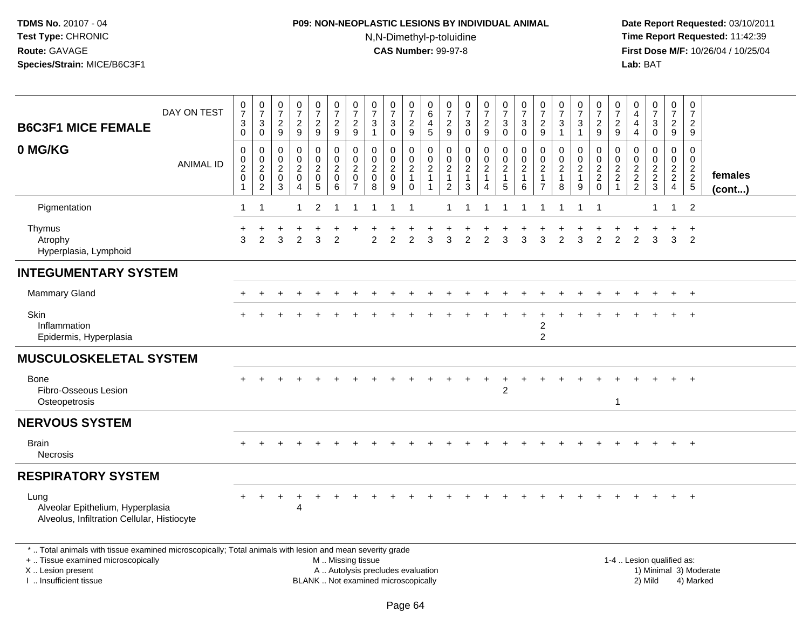# **P09: NON-NEOPLASTIC LESIONS BY INDIVIDUAL ANIMAL**N,N-Dimethyl-p-toluidine

| <b>B6C3F1 MICE FEMALE</b>                                                                                                                                                                     | DAY ON TEST      | $\begin{smallmatrix}0\\7\end{smallmatrix}$<br>3<br>$\Omega$                 | $\begin{array}{c} 0 \\ 7 \end{array}$<br>3<br>$\boldsymbol{0}$                | $\begin{array}{c} 0 \\ 7 \end{array}$<br>$\frac{2}{9}$                   | $\frac{0}{7}$<br>$\overline{c}$<br>$\boldsymbol{9}$       | $\begin{array}{c} 0 \\ 7 \end{array}$<br>$\frac{2}{9}$                                      | $\frac{0}{7}$<br>$\frac{2}{9}$                                   | $\begin{array}{c} 0 \\ 7 \end{array}$<br>$\sqrt{2}$<br>9                    | $\begin{array}{c} 0 \\ 7 \end{array}$<br>$\ensuremath{\mathsf{3}}$<br>$\overline{1}$ | $\begin{array}{c} 0 \\ 7 \end{array}$<br>$\ensuremath{\mathsf{3}}$<br>$\pmb{0}$ | $\frac{0}{7}$<br>$\frac{2}{9}$                             | $_{6}^{\rm 0}$<br>4<br>$\sqrt{5}$                                          | 0<br>$\overline{7}$<br>$\frac{2}{9}$                             | $\frac{0}{7}$<br>$_{0}^{3}$                                                  | $\frac{0}{7}$<br>$\sqrt{2}$<br>$\boldsymbol{9}$                 | $\frac{0}{7}$<br>$\ensuremath{\mathsf{3}}$<br>$\mathbf 0$                    | $\frac{0}{7}$<br>3<br>$\pmb{0}$              | $\frac{0}{7}$<br>$\sqrt{2}$<br>$9\,$                                         | $\frac{0}{7}$<br>$\ensuremath{\mathsf{3}}$<br>$\mathbf{1}$ | $\frac{0}{7}$<br>$\ensuremath{\mathsf{3}}$<br>$\mathbf{1}$               | $\begin{array}{c} 0 \\ 7 \end{array}$<br>$\frac{2}{9}$                      | 0<br>$\overline{7}$<br>$\sqrt{2}$<br>9                                      | $\mathbf 0$<br>$\overline{4}$<br>$\overline{4}$<br>$\overline{4}$ | $\frac{0}{7}$<br>$\mathbf 3$<br>$\mathsf 0$         | $\frac{0}{7}$<br>$\overline{2}$<br>$9\,$                              | $\begin{array}{c} 0 \\ 7 \end{array}$<br>$\overline{c}$<br>9                   |                         |
|-----------------------------------------------------------------------------------------------------------------------------------------------------------------------------------------------|------------------|-----------------------------------------------------------------------------|-------------------------------------------------------------------------------|--------------------------------------------------------------------------|-----------------------------------------------------------|---------------------------------------------------------------------------------------------|------------------------------------------------------------------|-----------------------------------------------------------------------------|--------------------------------------------------------------------------------------|---------------------------------------------------------------------------------|------------------------------------------------------------|----------------------------------------------------------------------------|------------------------------------------------------------------|------------------------------------------------------------------------------|-----------------------------------------------------------------|------------------------------------------------------------------------------|----------------------------------------------|------------------------------------------------------------------------------|------------------------------------------------------------|--------------------------------------------------------------------------|-----------------------------------------------------------------------------|-----------------------------------------------------------------------------|-------------------------------------------------------------------|-----------------------------------------------------|-----------------------------------------------------------------------|--------------------------------------------------------------------------------|-------------------------|
| 0 MG/KG                                                                                                                                                                                       | <b>ANIMAL ID</b> | $\mathsf 0$<br>$\mathbf 0$<br>$\boldsymbol{2}$<br>$\pmb{0}$<br>$\mathbf{1}$ | $\mathbf 0$<br>$\pmb{0}$<br>$\overline{2}$<br>$\mathsf 0$<br>$\boldsymbol{2}$ | 0<br>$\boldsymbol{0}$<br>$\overline{2}$<br>$\mathsf 0$<br>$\overline{3}$ | 0<br>$\mathbf 0$<br>$\overline{a}$<br>0<br>$\overline{4}$ | $\pmb{0}$<br>$\mathsf{O}\xspace$<br>$\overline{2}$<br>$\mathsf{O}\xspace$<br>$\overline{5}$ | $\pmb{0}$<br>$\pmb{0}$<br>$\overline{2}$<br>$\pmb{0}$<br>$\,6\,$ | 0<br>$\mathbf 0$<br>$\overline{c}$<br>$\mathsf{O}\xspace$<br>$\overline{7}$ | $\mathbf 0$<br>$\mathbf 0$<br>$\sqrt{2}$<br>$\pmb{0}$<br>8                           | 0<br>$\mathbf 0$<br>$\boldsymbol{2}$<br>$\mathbf 0$<br>9                        | $\,0\,$<br>$^{\rm 0}_{\rm 2}$<br>$\mathbf{1}$<br>$\pmb{0}$ | $\pmb{0}$<br>$\mathbf 0$<br>$\overline{c}$<br>$\mathbf{1}$<br>$\mathbf{1}$ | 0<br>$\pmb{0}$<br>$\boldsymbol{2}$<br>$\mathbf{1}$<br>$\sqrt{2}$ | $\pmb{0}$<br>$\mathbf 0$<br>$\overline{2}$<br>$\overline{1}$<br>$\mathbf{3}$ | 0<br>$\mathsf{O}\xspace$<br>$\overline{c}$<br>$\mathbf{1}$<br>4 | $\pmb{0}$<br>$\mathbf 0$<br>$\overline{2}$<br>$\mathbf{1}$<br>$\overline{5}$ | 0<br>$\pmb{0}$<br>$\boldsymbol{2}$<br>1<br>6 | $\mathbf 0$<br>$\pmb{0}$<br>$\overline{2}$<br>$\mathbf{1}$<br>$\overline{7}$ | $\mathbf 0$<br>0<br>$\overline{2}$<br>$\mathbf{1}$<br>8    | 0<br>$\mathbf 0$<br>$\overline{2}$<br>$\overline{1}$<br>$\boldsymbol{9}$ | $\mathbf 0$<br>$\begin{smallmatrix} 0\\2 \end{smallmatrix}$<br>$^2_{\rm 0}$ | 0<br>$\mathbf{0}$<br>$\boldsymbol{2}$<br>$\sqrt{2}$<br>$\blacktriangleleft$ | $\mathbf 0$<br>$\mathbf 0$<br>$\overline{c}$<br>$\frac{2}{2}$     | 0<br>$\mathbf 0$<br>$\overline{c}$<br>$\frac{2}{3}$ | $\mathbf 0$<br>$\mathsf{O}\xspace$<br>$\frac{2}{2}$<br>$\overline{4}$ | $\mathbf 0$<br>$\mathbf 0$<br>$\boldsymbol{2}$<br>$\sqrt{2}$<br>$\overline{5}$ | females<br>$($ cont $)$ |
| Pigmentation                                                                                                                                                                                  |                  | $\mathbf{1}$                                                                | $\overline{1}$                                                                |                                                                          | 1                                                         | $\overline{2}$                                                                              |                                                                  |                                                                             | 1                                                                                    | 1                                                                               | -1                                                         |                                                                            |                                                                  |                                                                              |                                                                 | 1                                                                            | 1                                            |                                                                              |                                                            |                                                                          | $\overline{1}$                                                              |                                                                             |                                                                   | 1                                                   | $\mathbf{1}$                                                          | 2                                                                              |                         |
| Thymus<br>Atrophy<br>Hyperplasia, Lymphoid                                                                                                                                                    |                  | 3                                                                           | 2                                                                             | 3                                                                        | $\overline{2}$                                            | 3                                                                                           | $\overline{2}$                                                   |                                                                             | 2                                                                                    | $\overline{2}$                                                                  | 2                                                          | 3                                                                          | 3                                                                | 2                                                                            | $\overline{2}$                                                  | 3                                                                            | 3                                            | 3                                                                            | $\overline{2}$                                             | 3                                                                        | 2                                                                           | $\overline{2}$                                                              | 2                                                                 | 3                                                   | 3                                                                     | $\ddot{}$<br>2                                                                 |                         |
| <b>INTEGUMENTARY SYSTEM</b>                                                                                                                                                                   |                  |                                                                             |                                                                               |                                                                          |                                                           |                                                                                             |                                                                  |                                                                             |                                                                                      |                                                                                 |                                                            |                                                                            |                                                                  |                                                                              |                                                                 |                                                                              |                                              |                                                                              |                                                            |                                                                          |                                                                             |                                                                             |                                                                   |                                                     |                                                                       |                                                                                |                         |
| Mammary Gland                                                                                                                                                                                 |                  |                                                                             |                                                                               |                                                                          |                                                           |                                                                                             |                                                                  |                                                                             |                                                                                      |                                                                                 |                                                            |                                                                            |                                                                  |                                                                              |                                                                 |                                                                              |                                              |                                                                              |                                                            |                                                                          |                                                                             |                                                                             |                                                                   |                                                     |                                                                       | $\ddot{}$                                                                      |                         |
| Skin<br>Inflammation<br>Epidermis, Hyperplasia                                                                                                                                                |                  |                                                                             |                                                                               |                                                                          |                                                           |                                                                                             |                                                                  |                                                                             |                                                                                      |                                                                                 |                                                            |                                                                            |                                                                  |                                                                              |                                                                 |                                                                              |                                              | 2<br>$\overline{c}$                                                          |                                                            |                                                                          |                                                                             |                                                                             |                                                                   |                                                     |                                                                       |                                                                                |                         |
| <b>MUSCULOSKELETAL SYSTEM</b>                                                                                                                                                                 |                  |                                                                             |                                                                               |                                                                          |                                                           |                                                                                             |                                                                  |                                                                             |                                                                                      |                                                                                 |                                                            |                                                                            |                                                                  |                                                                              |                                                                 |                                                                              |                                              |                                                                              |                                                            |                                                                          |                                                                             |                                                                             |                                                                   |                                                     |                                                                       |                                                                                |                         |
| Bone<br>Fibro-Osseous Lesion<br>Osteopetrosis                                                                                                                                                 |                  |                                                                             |                                                                               |                                                                          |                                                           |                                                                                             |                                                                  |                                                                             |                                                                                      |                                                                                 |                                                            |                                                                            |                                                                  |                                                                              |                                                                 | $\overline{2}$                                                               |                                              |                                                                              |                                                            |                                                                          |                                                                             | $\overline{1}$                                                              |                                                                   |                                                     |                                                                       |                                                                                |                         |
| <b>NERVOUS SYSTEM</b>                                                                                                                                                                         |                  |                                                                             |                                                                               |                                                                          |                                                           |                                                                                             |                                                                  |                                                                             |                                                                                      |                                                                                 |                                                            |                                                                            |                                                                  |                                                                              |                                                                 |                                                                              |                                              |                                                                              |                                                            |                                                                          |                                                                             |                                                                             |                                                                   |                                                     |                                                                       |                                                                                |                         |
| <b>Brain</b><br>Necrosis                                                                                                                                                                      |                  |                                                                             |                                                                               |                                                                          |                                                           |                                                                                             |                                                                  |                                                                             |                                                                                      |                                                                                 |                                                            |                                                                            |                                                                  |                                                                              |                                                                 |                                                                              |                                              |                                                                              |                                                            |                                                                          |                                                                             |                                                                             |                                                                   |                                                     |                                                                       | $\ddot{+}$                                                                     |                         |
| <b>RESPIRATORY SYSTEM</b>                                                                                                                                                                     |                  |                                                                             |                                                                               |                                                                          |                                                           |                                                                                             |                                                                  |                                                                             |                                                                                      |                                                                                 |                                                            |                                                                            |                                                                  |                                                                              |                                                                 |                                                                              |                                              |                                                                              |                                                            |                                                                          |                                                                             |                                                                             |                                                                   |                                                     |                                                                       |                                                                                |                         |
| Lung<br>Alveolar Epithelium, Hyperplasia<br>Alveolus, Infiltration Cellular, Histiocyte                                                                                                       |                  |                                                                             |                                                                               |                                                                          | Δ                                                         |                                                                                             |                                                                  |                                                                             |                                                                                      |                                                                                 |                                                            |                                                                            |                                                                  |                                                                              |                                                                 |                                                                              |                                              |                                                                              |                                                            |                                                                          |                                                                             |                                                                             |                                                                   |                                                     |                                                                       |                                                                                |                         |
| *  Total animals with tissue examined microscopically; Total animals with lesion and mean severity grade<br>+  Tissue examined microscopically<br>X  Lesion present<br>I  Insufficient tissue |                  |                                                                             |                                                                               |                                                                          |                                                           |                                                                                             |                                                                  | M  Missing tissue                                                           | A  Autolysis precludes evaluation<br>BLANK  Not examined microscopically             |                                                                                 |                                                            |                                                                            |                                                                  |                                                                              |                                                                 |                                                                              |                                              |                                                                              |                                                            |                                                                          |                                                                             |                                                                             |                                                                   | 1-4  Lesion qualified as:<br>2) Mild                |                                                                       | 4) Marked                                                                      | 1) Minimal 3) Moderate  |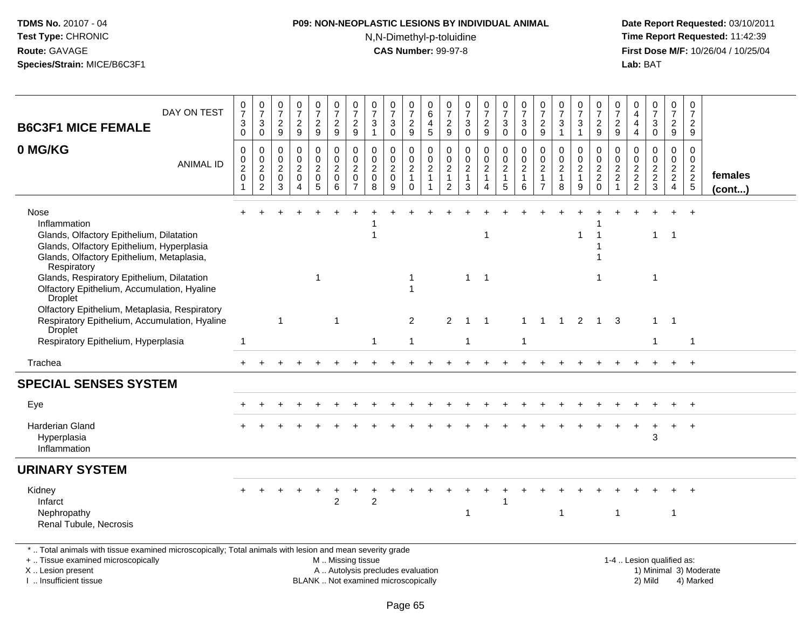# **P09: NON-NEOPLASTIC LESIONS BY INDIVIDUAL ANIMAL**N,N-Dimethyl-p-toluidine

 **Date Report Requested:** 03/10/2011 **Time Report Requested:** 11:42:39 **First Dose M/F:** 10/26/04 / 10/25/04<br>**Lab:** BAT **Lab:** BAT

| DAY ON TEST<br><b>B6C3F1 MICE FEMALE</b>                                                                                                                                  | 0<br>$\overline{7}$<br>3<br>$\Omega$                      | $\mathbf 0$<br>$\overline{7}$<br>$\mathbf{3}$<br>$\overline{0}$     | 0<br>$\overline{7}$<br>$\overline{c}$<br>9                    | $\frac{0}{7}$<br>$\overline{a}$<br>9                          | $\pmb{0}$<br>$\overline{7}$<br>$\overline{c}$<br>9                | $\boldsymbol{0}$<br>$\overline{7}$<br>$\sqrt{2}$<br>$\overline{9}$ | 0<br>$\overline{7}$<br>$\overline{2}$<br>9                                 | 0<br>$\overline{7}$<br>$\sqrt{3}$<br>$\mathbf{1}$              | 0<br>$\overline{7}$<br>3<br>$\Omega$                    | 0<br>$\overline{7}$<br>$\boldsymbol{2}$<br>$9\,$                       | 0<br>$\,6$<br>4<br>$5\phantom{.0}$                         | 0<br>$\overline{7}$<br>$\frac{2}{9}$                                 | $\frac{0}{7}$<br>$\frac{3}{0}$                              | 0<br>$\overline{7}$<br>$\sqrt{2}$<br>9                           | 0<br>$\overline{7}$<br>$\sqrt{3}$<br>$\mathbf 0$                  | 0<br>$\overline{7}$<br>3<br>$\mathbf 0$          | 0<br>$\overline{7}$<br>$\overline{c}$<br>9                               | $\boldsymbol{0}$<br>$\overline{7}$<br>$\sqrt{3}$               | 0<br>$\overline{7}$<br>$\sqrt{3}$<br>$\mathbf{1}$    | 0<br>$\overline{7}$<br>$\sqrt{2}$<br>9                  | 0<br>$\overline{7}$<br>$\overline{c}$<br>9                              | 0<br>4<br>4<br>$\overline{4}$                                              | $\frac{0}{7}$<br>3<br>$\mathbf 0$                                     | 0<br>$\overline{7}$<br>$\overline{2}$<br>9                               | 0<br>$\overline{7}$<br>$\overline{a}$<br>9                            |                         |
|---------------------------------------------------------------------------------------------------------------------------------------------------------------------------|-----------------------------------------------------------|---------------------------------------------------------------------|---------------------------------------------------------------|---------------------------------------------------------------|-------------------------------------------------------------------|--------------------------------------------------------------------|----------------------------------------------------------------------------|----------------------------------------------------------------|---------------------------------------------------------|------------------------------------------------------------------------|------------------------------------------------------------|----------------------------------------------------------------------|-------------------------------------------------------------|------------------------------------------------------------------|-------------------------------------------------------------------|--------------------------------------------------|--------------------------------------------------------------------------|----------------------------------------------------------------|------------------------------------------------------|---------------------------------------------------------|-------------------------------------------------------------------------|----------------------------------------------------------------------------|-----------------------------------------------------------------------|--------------------------------------------------------------------------|-----------------------------------------------------------------------|-------------------------|
| 0 MG/KG<br><b>ANIMAL ID</b>                                                                                                                                               | $\mathbf 0$<br>$\Omega$<br>$\overline{c}$<br>$\mathbf{0}$ | $\mathbf 0$<br>$\overline{0}$<br>$\overline{c}$<br>$\mathbf 0$<br>2 | $\mathbf 0$<br>$\Omega$<br>$\overline{c}$<br>$\mathbf 0$<br>3 | $\mathbf 0$<br>$\Omega$<br>$\overline{2}$<br>$\mathbf 0$<br>4 | 0<br>$\mathbf 0$<br>$\overline{c}$<br>$\pmb{0}$<br>$\overline{5}$ | $\mathbf 0$<br>$\Omega$<br>$\overline{2}$<br>$\mathbf 0$<br>6      | $\mathbf 0$<br>$\Omega$<br>$\overline{c}$<br>$\mathbf 0$<br>$\overline{7}$ | $\Omega$<br>$\mathbf{0}$<br>$\overline{c}$<br>$\mathbf 0$<br>8 | 0<br>$\mathbf{0}$<br>$\overline{c}$<br>$\mathbf 0$<br>9 | $\mathbf 0$<br>$\pmb{0}$<br>$\overline{c}$<br>$\mathbf{1}$<br>$\Omega$ | $\mathbf 0$<br>$\mathbf 0$<br>$\mathbf{2}$<br>$\mathbf{1}$ | $\mathbf 0$<br>0<br>$\overline{c}$<br>$\mathbf{1}$<br>$\overline{2}$ | $\mathbf 0$<br>$\pmb{0}$<br>$\sqrt{2}$<br>$\mathbf{1}$<br>3 | 0<br>$\mathbf 0$<br>$\boldsymbol{2}$<br>$\mathbf{1}$<br>$\Delta$ | $\mathbf 0$<br>$\mathbf 0$<br>$\overline{c}$<br>$\mathbf{1}$<br>5 | $\Omega$<br>$\Omega$<br>$\overline{2}$<br>1<br>6 | $\Omega$<br>$\Omega$<br>$\overline{c}$<br>$\mathbf{1}$<br>$\overline{7}$ | $\Omega$<br>$\mathbf 0$<br>$\overline{2}$<br>$\mathbf{1}$<br>8 | 0<br>$\Omega$<br>$\overline{2}$<br>$\mathbf{1}$<br>9 | $\mathbf 0$<br>$\Omega$<br>$\frac{2}{2}$<br>$\mathbf 0$ | $\mathbf 0$<br>$\Omega$<br>$\overline{c}$<br>$\sqrt{2}$<br>$\mathbf{1}$ | $\Omega$<br>$\Omega$<br>$\overline{c}$<br>$\overline{a}$<br>$\overline{2}$ | $\mathbf 0$<br>$\Omega$<br>$\begin{array}{c} 2 \\ 2 \\ 3 \end{array}$ | $\mathbf 0$<br>$\mathbf 0$<br>$\begin{array}{c} 2 \\ 2 \\ 4 \end{array}$ | $\Omega$<br>$\mathbf 0$<br>$\begin{array}{c} 2 \\ 2 \\ 5 \end{array}$ | females<br>$($ cont $)$ |
| Nose<br>Inflammation<br>Glands, Olfactory Epithelium, Dilatation<br>Glands, Olfactory Epithelium, Hyperplasia<br>Glands, Olfactory Epithelium, Metaplasia,<br>Respiratory |                                                           |                                                                     |                                                               |                                                               |                                                                   |                                                                    |                                                                            |                                                                |                                                         |                                                                        |                                                            |                                                                      |                                                             | -1                                                               |                                                                   |                                                  |                                                                          |                                                                | 1                                                    |                                                         |                                                                         |                                                                            | $\mathbf{1}$                                                          | $\overline{1}$                                                           | $\ddot{}$                                                             |                         |
| Glands, Respiratory Epithelium, Dilatation<br>Olfactory Epithelium, Accumulation, Hyaline<br><b>Droplet</b>                                                               |                                                           |                                                                     |                                                               |                                                               | -1                                                                |                                                                    |                                                                            |                                                                |                                                         | 1                                                                      |                                                            |                                                                      | $\mathbf{1}$                                                | $\overline{\mathbf{1}}$                                          |                                                                   |                                                  |                                                                          |                                                                |                                                      | $\overline{1}$                                          |                                                                         |                                                                            | $\mathbf{1}$                                                          |                                                                          |                                                                       |                         |
| Olfactory Epithelium, Metaplasia, Respiratory<br>Respiratory Epithelium, Accumulation, Hyaline<br>Droplet                                                                 |                                                           |                                                                     | $\mathbf{1}$                                                  |                                                               |                                                                   | $\overline{\mathbf{1}}$                                            |                                                                            |                                                                |                                                         | $\overline{2}$                                                         |                                                            | 2                                                                    | $\overline{1}$                                              | $\overline{1}$                                                   |                                                                   | 1                                                |                                                                          | $\overline{1}$                                                 | 2                                                    | $\overline{1}$                                          | 3                                                                       |                                                                            |                                                                       | $1 \quad 1$                                                              |                                                                       |                         |
| Respiratory Epithelium, Hyperplasia                                                                                                                                       | $\overline{1}$                                            |                                                                     |                                                               |                                                               |                                                                   |                                                                    |                                                                            | 1                                                              |                                                         | -1                                                                     |                                                            |                                                                      | $\overline{1}$                                              |                                                                  |                                                                   | $\mathbf{1}$                                     |                                                                          |                                                                |                                                      |                                                         |                                                                         |                                                                            | $\mathbf{1}$                                                          |                                                                          | $\overline{1}$                                                        |                         |
| Trachea                                                                                                                                                                   |                                                           |                                                                     |                                                               |                                                               |                                                                   |                                                                    |                                                                            |                                                                |                                                         |                                                                        |                                                            |                                                                      |                                                             |                                                                  |                                                                   |                                                  |                                                                          |                                                                |                                                      |                                                         |                                                                         |                                                                            |                                                                       |                                                                          | $+$                                                                   |                         |
| <b>SPECIAL SENSES SYSTEM</b>                                                                                                                                              |                                                           |                                                                     |                                                               |                                                               |                                                                   |                                                                    |                                                                            |                                                                |                                                         |                                                                        |                                                            |                                                                      |                                                             |                                                                  |                                                                   |                                                  |                                                                          |                                                                |                                                      |                                                         |                                                                         |                                                                            |                                                                       |                                                                          |                                                                       |                         |
| Eye                                                                                                                                                                       |                                                           |                                                                     |                                                               |                                                               |                                                                   |                                                                    |                                                                            |                                                                |                                                         |                                                                        |                                                            |                                                                      |                                                             |                                                                  |                                                                   |                                                  |                                                                          |                                                                |                                                      |                                                         |                                                                         |                                                                            |                                                                       | $+$                                                                      | $+$                                                                   |                         |
| <b>Harderian Gland</b><br>Hyperplasia<br>Inflammation                                                                                                                     |                                                           |                                                                     |                                                               |                                                               |                                                                   |                                                                    |                                                                            |                                                                |                                                         |                                                                        |                                                            |                                                                      |                                                             |                                                                  |                                                                   |                                                  |                                                                          |                                                                |                                                      |                                                         |                                                                         |                                                                            | 3                                                                     | $+$                                                                      | $+$                                                                   |                         |
| <b>URINARY SYSTEM</b>                                                                                                                                                     |                                                           |                                                                     |                                                               |                                                               |                                                                   |                                                                    |                                                                            |                                                                |                                                         |                                                                        |                                                            |                                                                      |                                                             |                                                                  |                                                                   |                                                  |                                                                          |                                                                |                                                      |                                                         |                                                                         |                                                                            |                                                                       |                                                                          |                                                                       |                         |
| Kidney<br>Infarct<br>Nephropathy<br>Renal Tubule, Necrosis                                                                                                                |                                                           |                                                                     |                                                               |                                                               |                                                                   | $\overline{c}$                                                     |                                                                            | 2                                                              |                                                         |                                                                        |                                                            |                                                                      | -1                                                          |                                                                  |                                                                   |                                                  |                                                                          | $\mathbf 1$                                                    |                                                      |                                                         | 1                                                                       |                                                                            |                                                                       | $\mathbf{1}$                                                             |                                                                       |                         |
| *  Total animals with tissue examined microscopically; Total animals with lesion and mean severity grade<br>+  Tissue examined microscopically<br>X  Lesion present       |                                                           |                                                                     |                                                               |                                                               |                                                                   | M  Missing tissue                                                  |                                                                            | A  Autolysis precludes evaluation                              |                                                         |                                                                        |                                                            |                                                                      |                                                             |                                                                  |                                                                   |                                                  |                                                                          |                                                                |                                                      |                                                         |                                                                         | 1-4  Lesion qualified as:                                                  |                                                                       |                                                                          |                                                                       | 1) Minimal 3) Moderate  |

I .. Insufficient tissue

BLANK .. Not examined microscopically 2) Mild 4) Marked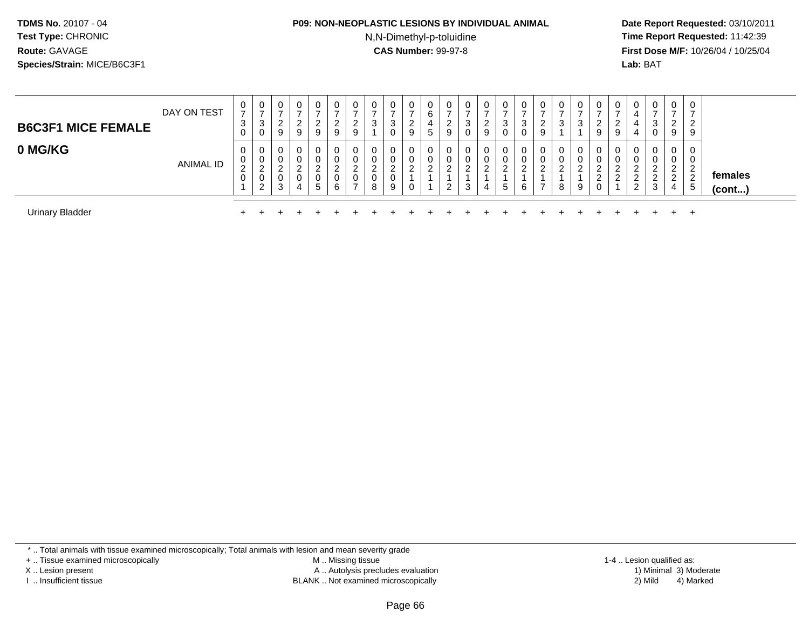#### **P09: NON-NEOPLASTIC LESIONS BY INDIVIDUAL ANIMAL**

N,N-Dimethyl-p-toluidine

 **Date Report Requested:** 03/10/2011 **Time Report Requested:** 11:42:39 **First Dose M/F:** 10/26/04 / 10/25/04 Lab: BAT **Lab:** BAT

| <b>B6C3F1 MICE FEMALE</b> | DAY ON TEST      | U<br>⇁<br>3                | U<br>J.<br>ν | 0<br>ົ<br>∠<br>9                | 0<br>റ<br><u>_</u><br>9       | 0<br>$\rightarrow$<br>ົ<br>∠<br>9 | 0<br>2<br>9           | - U<br><u>_</u><br>9 | $\mathbf 0$<br>3                  | 0<br>3<br>0                     | 0<br>ົ<br><u>_</u><br>9      | 0<br>6<br>4<br>$\mathbf{p}$ | 0<br><sup>o</sup><br>∼<br>9 | $\overline{0}$<br>చ<br>0 | 0<br>-<br>ົ<br>$\epsilon$<br>9 | 0<br>っ<br>J<br>0 | 0<br>-<br>3<br>0      | 0<br>ົ<br>∠<br>9                             | $\sim$<br>◡ | -<br>◠<br>J. | 0<br>ົ<br>∠<br>9                     | 0<br>◠<br><u>_</u><br>9 | 0<br>4<br>4<br>4                         | 0<br>-<br>3<br>0      | 0<br>$\sim$<br>$\epsilon$<br>9                | 0<br>2<br>9                    |                   |
|---------------------------|------------------|----------------------------|--------------|---------------------------------|-------------------------------|-----------------------------------|-----------------------|----------------------|-----------------------------------|---------------------------------|------------------------------|-----------------------------|-----------------------------|--------------------------|--------------------------------|------------------|-----------------------|----------------------------------------------|-------------|--------------|--------------------------------------|-------------------------|------------------------------------------|-----------------------|-----------------------------------------------|--------------------------------|-------------------|
| 0 MG/KG                   | <b>ANIMAL ID</b> | U<br>υ<br>$\sim$<br>∼<br>U | $\sim$       | U<br>0<br>$\sim$<br>ے<br>◡<br>3 | 0<br>$\overline{0}$<br>റ<br>4 | 0<br>ົ<br>∠<br>0<br>5             | 0<br>0<br>າ<br>0<br>6 |                      | 0<br>0<br>າ<br>∠<br>$\Omega$<br>8 | 0<br>0<br>$\sim$<br>ے<br>0<br>9 | 0<br>0<br>$\Omega$<br>∼<br>0 | 0<br>0<br>C                 | 0<br>0<br>$\sim$<br>$\sim$  |                          | 0<br>0<br>C                    | 0<br>0<br>ົ<br>5 | 0<br>0<br>ົ<br>∼<br>6 | 0<br>0<br>$\sim$<br>$\overline{\phantom{a}}$ | റ<br>8      | $\sim$<br>9  | 0<br>0<br>$\sim$<br>ے<br>ົ<br>∠<br>U | 0<br>0<br>c<br>ົ        | 0<br>ົ<br><u>_</u><br>ົ<br><u>_</u><br>2 | 0<br>0<br>ົ<br>ຳ<br>3 | 0<br>0<br>$\sim$<br>$\sim$<br>$\epsilon$<br>4 | 0<br>∠<br>$\overline{2}$<br>.5 | females<br>(cont) |
| <b>Urinary Bladder</b>    |                  |                            |              |                                 |                               |                                   |                       |                      |                                   |                                 |                              |                             |                             |                          |                                |                  |                       |                                              |             |              |                                      |                         |                                          |                       |                                               | <b>+</b>                       |                   |

\* .. Total animals with tissue examined microscopically; Total animals with lesion and mean severity grade

+ .. Tissue examined microscopically

X .. Lesion present

I .. Insufficient tissue

 M .. Missing tissueA .. Autolysis precludes evaluation

BLANK .. Not examined microscopically 2) Mild 4) Marked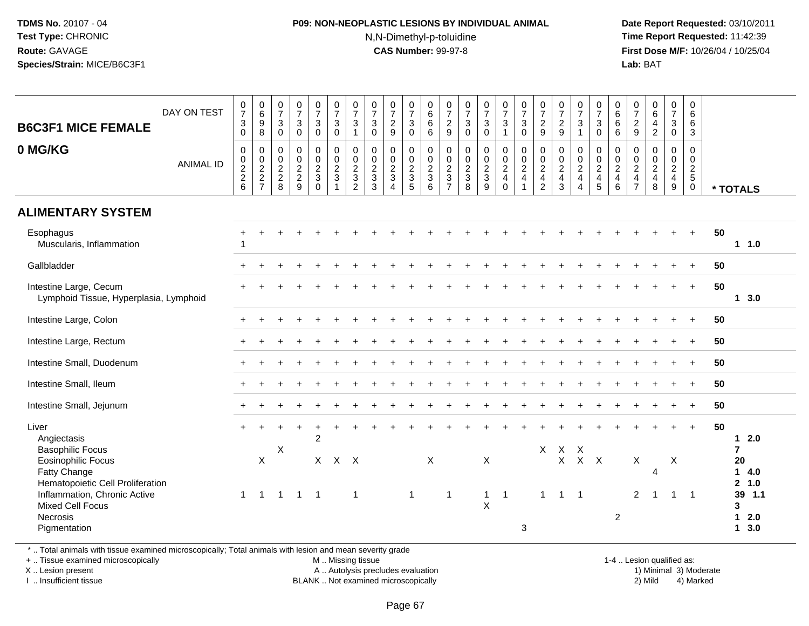### **P09: NON-NEOPLASTIC LESIONS BY INDIVIDUAL ANIMAL**N,N-Dimethyl-p-toluidine

 **Date Report Requested:** 03/10/2011 **Time Report Requested:** 11:42:39 **First Dose M/F:** 10/26/04 / 10/25/04 Lab: BAT **Lab:** BAT

| <b>B6C3F1 MICE FEMALE</b><br>0 MG/KG                                                                                           | DAY ON TEST      | $\frac{0}{7}$<br>$\sqrt{3}$<br>$\mathbf 0$<br>$\mathsf{O}$ | $\begin{array}{c} 0 \\ 6 \end{array}$<br>$\overline{9}$<br>8<br>$\boldsymbol{0}$ | $\frac{0}{7}$<br>$\mathbf{3}$<br>0<br>$\mathbf 0$         | $\frac{0}{7}$<br>$\mathbf{3}$<br>$\mathbf 0$<br>$\boldsymbol{0}$ | $\frac{0}{7}$<br>$\overline{3}$<br>$\mathsf{O}$<br>$\pmb{0}$ | $\frac{0}{7}$<br>$\mathbf{3}$<br>$\mathbf 0$<br>$\pmb{0}$     | $\begin{array}{c} 0 \\ 7 \end{array}$<br>$\mathsf 3$<br>$\overline{1}$<br>$\pmb{0}$ | $\frac{0}{7}$<br>$\mathbf{3}$<br>$\mathbf 0$<br>$\pmb{0}$ | $\frac{0}{7}$<br>$\frac{2}{9}$<br>0                                 | $\begin{array}{c} 0 \\ 7 \\ 3 \end{array}$<br>$\mathbf 0$<br>$\pmb{0}$ | $\begin{matrix}0\6\6\end{matrix}$<br>$\overline{6}$<br>$\mathbf 0$ | $\frac{0}{7}$<br>$\frac{2}{9}$<br>$\pmb{0}$ | $\frac{0}{7}$<br>$\frac{3}{0}$<br>$\pmb{0}$     | $\frac{0}{7}$<br>$\ensuremath{\mathsf{3}}$<br>$\mathbf 0$         | $\frac{0}{7}$<br>$\overline{3}$<br>$\overline{1}$                                        | $\frac{0}{7}$<br>3<br>$\mathbf 0$<br>$\pmb{0}$          | $\frac{0}{7}$<br>$\frac{2}{9}$<br>$\pmb{0}$ | $\frac{0}{7}$<br>$\frac{2}{9}$<br>$\mathsf{O}\xspace$ | $\frac{0}{7}$<br>$\mathbf{3}$<br>$\overline{1}$<br>0 | $\frac{0}{7}$<br>$\frac{3}{0}$<br>$\pmb{0}$   | $\begin{matrix} 0 \\ 6 \end{matrix}$<br>$6\phantom{1}6$<br>6<br>0 | $\frac{0}{7}$<br>$\frac{2}{9}$<br>$\pmb{0}$               | $_{6}^{\rm 0}$<br>$\overline{4}$<br>$\overline{2}$<br>$\pmb{0}$ | $\frac{0}{7}$<br>$\overline{3}$<br>$\mathsf{O}\xspace$<br>$\mathbf 0$ | 0<br>6<br>6<br>$\mathbf{3}$<br>$\mathsf 0$        |                                                  |
|--------------------------------------------------------------------------------------------------------------------------------|------------------|------------------------------------------------------------|----------------------------------------------------------------------------------|-----------------------------------------------------------|------------------------------------------------------------------|--------------------------------------------------------------|---------------------------------------------------------------|-------------------------------------------------------------------------------------|-----------------------------------------------------------|---------------------------------------------------------------------|------------------------------------------------------------------------|--------------------------------------------------------------------|---------------------------------------------|-------------------------------------------------|-------------------------------------------------------------------|------------------------------------------------------------------------------------------|---------------------------------------------------------|---------------------------------------------|-------------------------------------------------------|------------------------------------------------------|-----------------------------------------------|-------------------------------------------------------------------|-----------------------------------------------------------|-----------------------------------------------------------------|-----------------------------------------------------------------------|---------------------------------------------------|--------------------------------------------------|
|                                                                                                                                | <b>ANIMAL ID</b> | $\pmb{0}$<br>$\frac{2}{2}$ 6                               | $\pmb{0}$<br>$\frac{2}{7}$                                                       | $\boldsymbol{0}$<br>$\overline{2}$<br>$\overline{c}$<br>8 | $\pmb{0}$<br>$\frac{2}{9}$                                       | $\frac{0}{2}$<br>$\mathsf 3$<br>$\mathsf{O}\xspace$          | $\pmb{0}$<br>$\overline{2}$<br>$\mathbf{3}$<br>$\overline{1}$ | $\frac{0}{2}$<br>$\overline{2}$                                                     | $\mathsf{O}\xspace$<br>$\frac{2}{3}$<br>$\overline{3}$    | $\mathbf 0$<br>$\boldsymbol{2}$<br>$\mathfrak{Z}$<br>$\overline{4}$ | $\mathbf 0$<br>$\frac{2}{3}$<br>$\overline{5}$                         | $\pmb{0}$<br>$\overline{c}$<br>3<br>6                              | $\pmb{0}$<br>$rac{2}{3}$                    | $\begin{array}{c} 0 \\ 2 \\ 3 \\ 8 \end{array}$ | $\begin{array}{c} 0 \\ 0 \\ 2 \\ 3 \end{array}$<br>$\overline{9}$ | $\begin{smallmatrix} 0\\0\\2 \end{smallmatrix}$<br>$\overline{4}$<br>$\mathsf{O}\xspace$ | $\mathsf{O}\xspace$<br>$\overline{c}$<br>$\overline{4}$ | $\frac{0}{2}$<br>$\overline{2}$             | $\frac{0}{2}$<br>$\overline{4}$<br>3                  | $\frac{0}{2}$<br>$\overline{4}$                      | $\frac{0}{2}$<br>$\overline{4}$<br>$\sqrt{5}$ | $\mathbf 0$<br>$\sqrt{2}$<br>4<br>$\,6\,$                         | $\,0\,$<br>$\sqrt{2}$<br>$\overline{4}$<br>$\overline{7}$ | $\mathsf{O}\xspace$<br>$\frac{2}{4}$<br>8                       | $\frac{0}{2}$<br>$\boldsymbol{9}$                                     | $\mathbf 0$<br>$\overline{2}$<br>5<br>$\mathbf 0$ | * TOTALS                                         |
| <b>ALIMENTARY SYSTEM</b>                                                                                                       |                  |                                                            |                                                                                  |                                                           |                                                                  |                                                              |                                                               |                                                                                     |                                                           |                                                                     |                                                                        |                                                                    |                                             |                                                 |                                                                   |                                                                                          |                                                         |                                             |                                                       |                                                      |                                               |                                                                   |                                                           |                                                                 |                                                                       |                                                   |                                                  |
| Esophagus<br>Muscularis, Inflammation                                                                                          |                  |                                                            |                                                                                  |                                                           |                                                                  |                                                              |                                                               |                                                                                     |                                                           |                                                                     |                                                                        |                                                                    |                                             |                                                 |                                                                   |                                                                                          |                                                         |                                             |                                                       |                                                      |                                               |                                                                   |                                                           |                                                                 |                                                                       | $\ddot{}$                                         | 50<br>1 1.0                                      |
| Gallbladder                                                                                                                    |                  |                                                            |                                                                                  |                                                           |                                                                  |                                                              |                                                               |                                                                                     |                                                           |                                                                     |                                                                        |                                                                    |                                             |                                                 |                                                                   |                                                                                          |                                                         |                                             |                                                       |                                                      |                                               |                                                                   |                                                           |                                                                 |                                                                       | $\ddot{}$                                         | 50                                               |
| Intestine Large, Cecum<br>Lymphoid Tissue, Hyperplasia, Lymphoid                                                               |                  |                                                            |                                                                                  |                                                           |                                                                  |                                                              |                                                               |                                                                                     |                                                           |                                                                     |                                                                        |                                                                    |                                             |                                                 |                                                                   |                                                                                          |                                                         |                                             |                                                       |                                                      |                                               |                                                                   |                                                           |                                                                 |                                                                       | $\ddot{}$                                         | 50<br>13.0                                       |
| Intestine Large, Colon                                                                                                         |                  |                                                            |                                                                                  |                                                           |                                                                  |                                                              |                                                               |                                                                                     |                                                           |                                                                     |                                                                        |                                                                    |                                             |                                                 |                                                                   |                                                                                          |                                                         |                                             |                                                       |                                                      |                                               |                                                                   |                                                           |                                                                 |                                                                       | $\ddot{}$                                         | 50                                               |
| Intestine Large, Rectum                                                                                                        |                  |                                                            |                                                                                  |                                                           |                                                                  |                                                              |                                                               |                                                                                     |                                                           |                                                                     |                                                                        |                                                                    |                                             |                                                 |                                                                   |                                                                                          |                                                         |                                             |                                                       |                                                      |                                               |                                                                   |                                                           |                                                                 |                                                                       |                                                   | 50                                               |
| Intestine Small, Duodenum                                                                                                      |                  |                                                            |                                                                                  |                                                           |                                                                  |                                                              |                                                               |                                                                                     |                                                           |                                                                     |                                                                        |                                                                    |                                             |                                                 |                                                                   |                                                                                          |                                                         |                                             |                                                       |                                                      |                                               |                                                                   |                                                           |                                                                 |                                                                       | $\ddot{}$                                         | 50                                               |
| Intestine Small, Ileum                                                                                                         |                  |                                                            |                                                                                  |                                                           |                                                                  |                                                              |                                                               |                                                                                     |                                                           |                                                                     |                                                                        |                                                                    |                                             |                                                 |                                                                   |                                                                                          |                                                         |                                             |                                                       |                                                      |                                               |                                                                   |                                                           |                                                                 |                                                                       | $\overline{+}$                                    | 50                                               |
| Intestine Small, Jejunum                                                                                                       |                  |                                                            |                                                                                  |                                                           |                                                                  |                                                              |                                                               |                                                                                     |                                                           |                                                                     |                                                                        |                                                                    |                                             |                                                 |                                                                   |                                                                                          |                                                         |                                             |                                                       |                                                      |                                               |                                                                   |                                                           |                                                                 |                                                                       | $\ddot{}$                                         | 50                                               |
| Liver<br>Angiectasis<br><b>Basophilic Focus</b><br><b>Eosinophilic Focus</b><br>Fatty Change                                   |                  |                                                            | X                                                                                | X                                                         |                                                                  | +<br>$\overline{2}$                                          | $X$ $X$ $X$                                                   |                                                                                     |                                                           |                                                                     |                                                                        | X                                                                  |                                             |                                                 | X                                                                 |                                                                                          |                                                         | $\mathsf{X}$                                | $\mathsf{X}$<br>$\mathsf{X}$                          | $\mathsf{X}$<br>$X$ $X$                              |                                               |                                                                   | $\mathsf X$                                               | 4                                                               | $\boldsymbol{X}$                                                      | $\ddot{}$                                         | 50<br>$12.0$<br>$\overline{7}$<br>20<br>14.0     |
| Hematopoietic Cell Proliferation<br>Inflammation, Chronic Active<br><b>Mixed Cell Focus</b><br><b>Necrosis</b><br>Pigmentation |                  | $\mathbf{1}$                                               | $\mathbf{1}$                                                                     | $\overline{1}$                                            | $\overline{1}$                                                   | $\overline{1}$                                               |                                                               | $\overline{1}$                                                                      |                                                           |                                                                     | $\mathbf{1}$                                                           |                                                                    | $\mathbf 1$                                 |                                                 | $\mathbf{1}$<br>X                                                 | $\overline{1}$                                                                           | 3                                                       | $\mathbf{1}$                                | $\overline{1}$                                        | $\overline{\phantom{0}}$ 1                           |                                               | 2                                                                 | $\overline{2}$                                            | $\overline{1}$                                                  | $\overline{1}$                                                        | $\overline{1}$                                    | 2, 1.0<br>39 1.1<br>3<br>$12.0$<br>$1 \quad 3.0$ |

\* .. Total animals with tissue examined microscopically; Total animals with lesion and mean severity grade

+ .. Tissue examined microscopically

X .. Lesion present

I .. Insufficient tissue

 M .. Missing tissueA .. Autolysis precludes evaluation

BLANK .. Not examined microscopically 2) Mild 4) Marked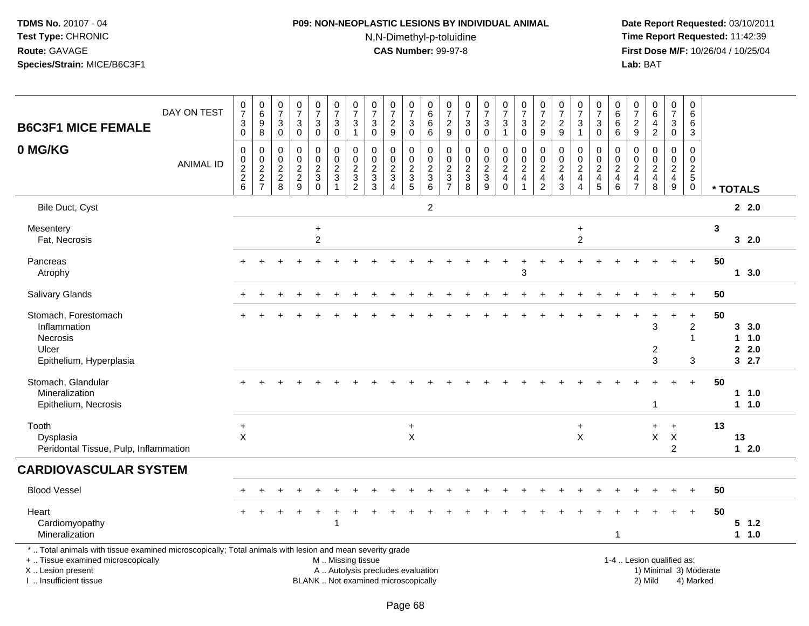# **P09: NON-NEOPLASTIC LESIONS BY INDIVIDUAL ANIMAL**N,N-Dimethyl-p-toluidine

 **Date Report Requested:** 03/10/2011 **Time Report Requested:** 11:42:39 **First Dose M/F:** 10/26/04 / 10/25/04<br>**Lab:** BAT **Lab:** BAT

| <b>B6C3F1 MICE FEMALE</b>                                                                                                                                                                     | DAY ON TEST      | 0<br>$\overline{7}$<br>3<br>$\pmb{0}$  | $\begin{array}{c} 0 \\ 6 \end{array}$<br>9<br>$\,8\,$ | 0<br>$\overline{7}$<br>$\ensuremath{\mathsf{3}}$<br>$\mathbf 0$                  | $\frac{0}{7}$<br>$\ensuremath{\mathsf{3}}$<br>$\mathsf{O}\xspace$ | $\frac{0}{7}$<br>$\ensuremath{\mathsf{3}}$<br>$\mathbf 0$    | $\frac{0}{7}$<br>$\sqrt{3}$<br>$\mathbf 0$        | $\begin{array}{c} 0 \\ 7 \end{array}$<br>3<br>$\mathbf{1}$      | 0<br>$\overline{7}$<br>$\ensuremath{\mathsf{3}}$<br>$\mathbf 0$                 | $\frac{0}{7}$<br>$\overline{c}$<br>9                                     | 0<br>$\overline{7}$<br>$\mathbf{3}$<br>$\mathbf 0$ | 0<br>$\,6\,$<br>6<br>6                                                    | 0<br>$\overline{7}$<br>$\overline{c}$<br>$9\,$                                 | 0<br>$\overline{7}$<br>3<br>$\mathbf 0$                         | $\frac{0}{7}$<br>3<br>$\mathbf 0$                   | $\pmb{0}$<br>$\overline{7}$<br>$\ensuremath{\mathsf{3}}$<br>$\mathbf{1}$ | $\frac{0}{7}$<br>$\ensuremath{\mathsf{3}}$<br>$\mathsf 0$              | 0<br>$\overline{7}$<br>$\frac{2}{9}$                                   | $\pmb{0}$<br>$\overline{7}$<br>$\sqrt{2}$<br>9                           | 0<br>$\overline{7}$<br>$\ensuremath{\mathsf{3}}$<br>$\mathbf{1}$ | 0<br>$\overline{7}$<br>$\ensuremath{\mathsf{3}}$<br>$\mathsf{O}\xspace$ | 0<br>$\,6\,$<br>$\,6$<br>$6\phantom{1}$                         | 0<br>7<br>$\overline{a}$<br>$9\,$                                   | $\begin{array}{c} 0 \\ 6 \end{array}$<br>4<br>$\overline{2}$    | $\pmb{0}$<br>$\overline{7}$<br>$\mathbf{3}$<br>$\mathsf{O}\xspace$ | 0<br>6<br>6<br>$\mathbf{3}$                    |                        |                                    |
|-----------------------------------------------------------------------------------------------------------------------------------------------------------------------------------------------|------------------|----------------------------------------|-------------------------------------------------------|----------------------------------------------------------------------------------|-------------------------------------------------------------------|--------------------------------------------------------------|---------------------------------------------------|-----------------------------------------------------------------|---------------------------------------------------------------------------------|--------------------------------------------------------------------------|----------------------------------------------------|---------------------------------------------------------------------------|--------------------------------------------------------------------------------|-----------------------------------------------------------------|-----------------------------------------------------|--------------------------------------------------------------------------|------------------------------------------------------------------------|------------------------------------------------------------------------|--------------------------------------------------------------------------|------------------------------------------------------------------|-------------------------------------------------------------------------|-----------------------------------------------------------------|---------------------------------------------------------------------|-----------------------------------------------------------------|--------------------------------------------------------------------|------------------------------------------------|------------------------|------------------------------------|
| 0 MG/KG                                                                                                                                                                                       | <b>ANIMAL ID</b> | 0<br>$\mathbf 0$<br>$\frac{2}{2}$<br>6 | 0<br>$\mathbf 0$<br>$\boldsymbol{2}$<br>$\frac{2}{7}$ | 0<br>$\boldsymbol{0}$<br>$\overline{c}$<br>$\begin{array}{c} 2 \\ 8 \end{array}$ | $\mathbf 0$<br>$\mathbf 0$<br>$\frac{2}{9}$                       | 0<br>$\mathbf 0$<br>$\sqrt{2}$<br>$\mathbf 3$<br>$\mathbf 0$ | 0<br>$\mathbf 0$<br>$\frac{2}{3}$<br>$\mathbf{1}$ | 0<br>$\Omega$<br>$\overline{c}$<br>$\sqrt{3}$<br>$\overline{2}$ | 0<br>$\mathbf 0$<br>$\overline{c}$<br>$\ensuremath{\mathsf{3}}$<br>$\mathbf{3}$ | 0<br>$\mathbf 0$<br>$\frac{2}{3}$<br>$\overline{4}$                      | 0<br>$\mathbf 0$<br>$\frac{2}{3}$                  | $\mathbf 0$<br>$\mathbf 0$<br>$\sqrt{2}$<br>$\sqrt{3}$<br>$6\phantom{1}6$ | $\mathbf 0$<br>$\mathbf 0$<br>$\boldsymbol{2}$<br>$\sqrt{3}$<br>$\overline{7}$ | $\mathbf 0$<br>$\mathbf 0$<br>$\overline{c}$<br>$\sqrt{3}$<br>8 | 0<br>$\mathbf 0$<br>$\frac{2}{3}$<br>$\overline{9}$ | 0<br>$\bar{0}$<br>$\overline{c}$<br>$\overline{4}$<br>$\mathbf 0$        | 0<br>$\mathsf 0$<br>$\boldsymbol{2}$<br>$\overline{4}$<br>$\mathbf{1}$ | 0<br>$\mathbf 0$<br>$\overline{c}$<br>$\overline{4}$<br>$\overline{2}$ | $\mathbf 0$<br>$\mathbf 0$<br>$\sqrt{2}$<br>$\overline{\mathbf{4}}$<br>3 | 0<br>$\Omega$<br>$\overline{\mathbf{c}}$<br>$\overline{4}$<br>4  | 0<br>$\mathbf 0$<br>$\overline{c}$<br>$\overline{\mathbf{4}}$<br>5      | 0<br>$\mathbf 0$<br>$\overline{c}$<br>$\overline{4}$<br>$\,6\,$ | 0<br>$\Omega$<br>$\overline{c}$<br>$\overline{4}$<br>$\overline{7}$ | $\mathbf 0$<br>$\mathbf 0$<br>$\sqrt{2}$<br>$\overline{4}$<br>8 | 0<br>$\mathbf 0$<br>$\overline{c}$<br>$\overline{4}$<br>9          | $\mathbf 0$<br>$\mathbf 0$<br>$rac{2}{5}$<br>0 |                        | * TOTALS                           |
| Bile Duct, Cyst                                                                                                                                                                               |                  |                                        |                                                       |                                                                                  |                                                                   |                                                              |                                                   |                                                                 |                                                                                 |                                                                          |                                                    | $\overline{c}$                                                            |                                                                                |                                                                 |                                                     |                                                                          |                                                                        |                                                                        |                                                                          |                                                                  |                                                                         |                                                                 |                                                                     |                                                                 |                                                                    |                                                |                        | 2.0                                |
| Mesentery<br>Fat, Necrosis                                                                                                                                                                    |                  |                                        |                                                       |                                                                                  |                                                                   | $\ddot{}$<br>$\overline{c}$                                  |                                                   |                                                                 |                                                                                 |                                                                          |                                                    |                                                                           |                                                                                |                                                                 |                                                     |                                                                          |                                                                        |                                                                        |                                                                          | $\ddot{}$<br>$\overline{c}$                                      |                                                                         |                                                                 |                                                                     |                                                                 |                                                                    |                                                | 3                      | 32.0                               |
| Pancreas<br>Atrophy                                                                                                                                                                           |                  |                                        |                                                       |                                                                                  |                                                                   |                                                              |                                                   |                                                                 |                                                                                 |                                                                          |                                                    |                                                                           |                                                                                |                                                                 |                                                     |                                                                          | 3                                                                      |                                                                        |                                                                          |                                                                  |                                                                         |                                                                 |                                                                     |                                                                 |                                                                    | $\ddot{}$                                      | 50                     | 13.0                               |
| Salivary Glands                                                                                                                                                                               |                  |                                        |                                                       |                                                                                  |                                                                   |                                                              |                                                   |                                                                 |                                                                                 |                                                                          |                                                    |                                                                           |                                                                                |                                                                 |                                                     |                                                                          |                                                                        |                                                                        |                                                                          |                                                                  |                                                                         |                                                                 |                                                                     |                                                                 |                                                                    | $\ddot{}$                                      | 50                     |                                    |
| Stomach, Forestomach<br>Inflammation<br>Necrosis<br>Ulcer<br>Epithelium, Hyperplasia                                                                                                          |                  |                                        |                                                       |                                                                                  |                                                                   |                                                              |                                                   |                                                                 |                                                                                 |                                                                          |                                                    |                                                                           |                                                                                |                                                                 |                                                     |                                                                          |                                                                        |                                                                        |                                                                          |                                                                  |                                                                         |                                                                 |                                                                     | 3<br>$\overline{2}$<br>$\mathbf{3}$                             | ÷                                                                  | $\ddot{}$<br>$\overline{2}$<br>1<br>3          | 50                     | 3, 3.0<br>$1 \t1.0$<br>2.0<br>32.7 |
| Stomach, Glandular<br>Mineralization<br>Epithelium, Necrosis                                                                                                                                  |                  |                                        |                                                       |                                                                                  |                                                                   |                                                              |                                                   |                                                                 |                                                                                 |                                                                          |                                                    |                                                                           |                                                                                |                                                                 |                                                     |                                                                          |                                                                        |                                                                        |                                                                          |                                                                  |                                                                         |                                                                 |                                                                     | $\overline{1}$                                                  |                                                                    | $+$                                            | 50                     | 11.0<br>1 1.0                      |
| Tooth<br>Dysplasia<br>Peridontal Tissue, Pulp, Inflammation                                                                                                                                   |                  | $\ddot{}$<br>X                         |                                                       |                                                                                  |                                                                   |                                                              |                                                   |                                                                 |                                                                                 |                                                                          | $\ddot{}$<br>X                                     |                                                                           |                                                                                |                                                                 |                                                     |                                                                          |                                                                        |                                                                        |                                                                          | $\ddot{}$<br>X                                                   |                                                                         |                                                                 |                                                                     | $+$<br>X                                                        | $+$<br>X<br>2                                                      |                                                | 13                     | 13<br>$12.0$                       |
| <b>CARDIOVASCULAR SYSTEM</b>                                                                                                                                                                  |                  |                                        |                                                       |                                                                                  |                                                                   |                                                              |                                                   |                                                                 |                                                                                 |                                                                          |                                                    |                                                                           |                                                                                |                                                                 |                                                     |                                                                          |                                                                        |                                                                        |                                                                          |                                                                  |                                                                         |                                                                 |                                                                     |                                                                 |                                                                    |                                                |                        |                                    |
| <b>Blood Vessel</b>                                                                                                                                                                           |                  |                                        |                                                       |                                                                                  |                                                                   |                                                              |                                                   |                                                                 |                                                                                 |                                                                          |                                                    |                                                                           |                                                                                |                                                                 |                                                     |                                                                          |                                                                        |                                                                        |                                                                          |                                                                  |                                                                         |                                                                 |                                                                     |                                                                 |                                                                    | $\ddot{}$                                      | 50                     |                                    |
| Heart<br>Cardiomyopathy<br>Mineralization                                                                                                                                                     |                  |                                        |                                                       |                                                                                  |                                                                   |                                                              | -1                                                |                                                                 |                                                                                 |                                                                          |                                                    |                                                                           |                                                                                |                                                                 |                                                     |                                                                          |                                                                        |                                                                        |                                                                          |                                                                  |                                                                         | $\mathbf{1}$                                                    |                                                                     |                                                                 |                                                                    | $\ddot{}$                                      | 50                     | $5$ 1.2<br>1 1.0                   |
| *  Total animals with tissue examined microscopically; Total animals with lesion and mean severity grade<br>+  Tissue examined microscopically<br>X  Lesion present<br>I  Insufficient tissue |                  |                                        |                                                       |                                                                                  |                                                                   |                                                              | M  Missing tissue                                 |                                                                 |                                                                                 | A  Autolysis precludes evaluation<br>BLANK  Not examined microscopically |                                                    |                                                                           |                                                                                |                                                                 |                                                     |                                                                          |                                                                        |                                                                        |                                                                          |                                                                  |                                                                         |                                                                 |                                                                     | 1-4  Lesion qualified as:<br>2) Mild                            |                                                                    | 4) Marked                                      | 1) Minimal 3) Moderate |                                    |

I .. Insufficient tissue

Page 68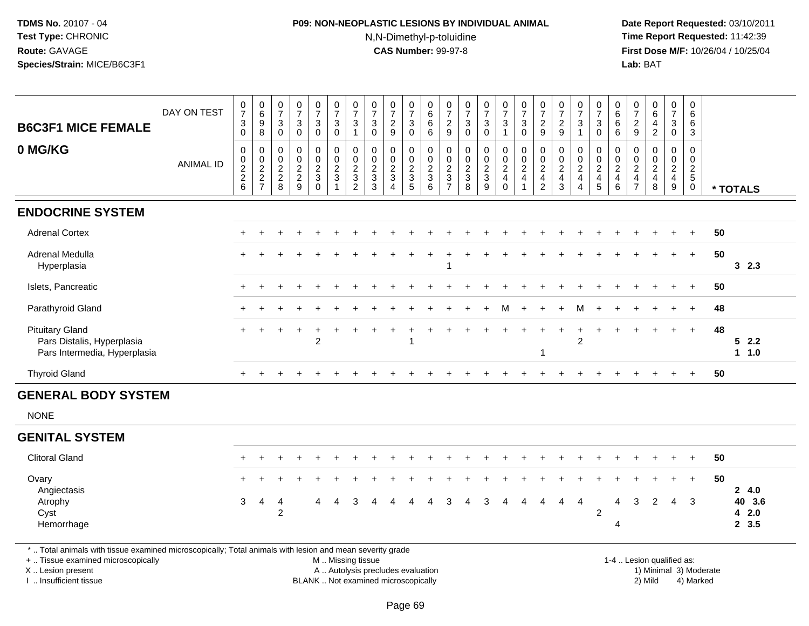# **P09: NON-NEOPLASTIC LESIONS BY INDIVIDUAL ANIMAL**N,N-Dimethyl-p-toluidine

 **Date Report Requested:** 03/10/2011 **Time Report Requested:** 11:42:39 **First Dose M/F:** 10/26/04 / 10/25/04<br>**Lab:** BAT **Lab:** BAT

|                                                                                                          | DAY ON TEST      | $\frac{0}{7}$       | $\begin{array}{c} 0 \\ 6 \end{array}$                               | $\begin{array}{c} 0 \\ 7 \end{array}$  | $\begin{array}{c} 0 \\ 7 \end{array}$          | $\frac{0}{7}$                                                     | $\frac{0}{7}$                                                       | $\frac{0}{7}$                                                        | $\pmb{0}$<br>$\overline{7}$                                       | $\frac{0}{7}$                                           | $\frac{0}{7}$                                                             | 0<br>$\,6\,$                                                                  | $\frac{0}{7}$                                                                        | $\frac{0}{7}$                                         | $\frac{0}{7}$                                         | $\begin{smallmatrix}0\\7\end{smallmatrix}$                 | $\frac{0}{7}$                                                                             | $\frac{0}{7}$                                                          | $\frac{0}{7}$                                               | $\frac{0}{7}$                                                                             | $\frac{0}{7}$                                  | $\begin{array}{c} 0 \\ 6 \end{array}$                                     | 0<br>$\overline{7}$                                                   | $\begin{array}{c} 0 \\ 6 \end{array}$                                    | $\frac{0}{7}$                                                            | $\pmb{0}$<br>$\,6\,$                                             |    |                   |
|----------------------------------------------------------------------------------------------------------|------------------|---------------------|---------------------------------------------------------------------|----------------------------------------|------------------------------------------------|-------------------------------------------------------------------|---------------------------------------------------------------------|----------------------------------------------------------------------|-------------------------------------------------------------------|---------------------------------------------------------|---------------------------------------------------------------------------|-------------------------------------------------------------------------------|--------------------------------------------------------------------------------------|-------------------------------------------------------|-------------------------------------------------------|------------------------------------------------------------|-------------------------------------------------------------------------------------------|------------------------------------------------------------------------|-------------------------------------------------------------|-------------------------------------------------------------------------------------------|------------------------------------------------|---------------------------------------------------------------------------|-----------------------------------------------------------------------|--------------------------------------------------------------------------|--------------------------------------------------------------------------|------------------------------------------------------------------|----|-------------------|
| <b>B6C3F1 MICE FEMALE</b>                                                                                |                  | $\frac{3}{0}$       | $_{8}^{\rm 9}$                                                      | $_{\rm 0}^3$                           | $\sqrt{3}$<br>$\overline{0}$                   | $\mathbf{3}$<br>$\mathsf{O}\xspace$                               | $_0^3$                                                              | $\ensuremath{\mathsf{3}}$<br>$\mathbf{1}$                            | 3<br>$\mathbf 0$                                                  | $\frac{2}{9}$                                           | 3<br>$\mathbf 0$                                                          | $\,6$<br>$\,6\,$                                                              | $\frac{2}{9}$                                                                        | $\ensuremath{\mathsf{3}}$<br>$\ddot{\mathbf{0}}$      | $_{0}^{3}$                                            | $\frac{3}{1}$                                              | $\overline{3}$<br>$\ddot{\mathbf{0}}$                                                     | $\frac{2}{9}$                                                          | $\frac{2}{9}$                                               | $\mathbf{3}$<br>$\mathbf{1}$                                                              | $\frac{3}{0}$                                  | $\,6$<br>$6\overline{6}$                                                  | $\frac{2}{9}$                                                         | $\overline{\mathbf{4}}$<br>$\overline{2}$                                | $\mathbf{3}$<br>$\mathbf 0$                                              | 6<br>$\mathbf{3}$                                                |    |                   |
| 0 MG/KG                                                                                                  | <b>ANIMAL ID</b> | $\pmb{0}$<br>0,22,6 | $\pmb{0}$<br>$\mathsf{O}\xspace$<br>$\frac{2}{2}$<br>$\overline{7}$ | 0<br>$\mathbf 0$<br>$\frac{2}{2}$<br>8 | $\pmb{0}$<br>$\mathbf 0$<br>$\frac{2}{2}$<br>9 | 0<br>$\mathbf 0$<br>$\overline{c}$<br>$\mathbf{3}$<br>$\mathbf 0$ | 0<br>$\mathbf 0$<br>$\overline{2}$<br>$\mathbf 3$<br>$\overline{ }$ | 0<br>$\mathbf 0$<br>$\overline{2}$<br>$\mathbf{3}$<br>$\overline{2}$ | $\mathbf 0$<br>$\mathbf 0$<br>$\overline{2}$<br>$\mathbf{3}$<br>3 | $\mathbf 0$<br>$\mathbf 0$<br>$\frac{2}{3}$<br>$\Delta$ | 0<br>$\mathbf 0$<br>$\sqrt{2}$<br>$\ensuremath{\mathsf{3}}$<br>$\sqrt{5}$ | $\mathbf 0$<br>$\mathsf{O}\xspace$<br>$\overline{2}$<br>$\sqrt{3}$<br>$\,6\,$ | $\mathbf 0$<br>$\mathsf{O}\xspace$<br>$\overline{c}$<br>$\sqrt{3}$<br>$\overline{7}$ | $\mathbf 0$<br>0<br>$\overline{c}$<br>$\sqrt{3}$<br>8 | 0<br>$\mathbf 0$<br>$\overline{2}$<br>$\sqrt{3}$<br>9 | $\mathbf 0$<br>$\mathbf 0$<br>$\frac{2}{4}$<br>$\mathbf 0$ | $\mathbf 0$<br>$\mathbf 0$<br>$\overline{2}$<br>$\overline{\mathbf{4}}$<br>$\overline{1}$ | 0<br>$\mathbf 0$<br>$\overline{2}$<br>$\overline{4}$<br>$\overline{2}$ | $\mathbf 0$<br>$\mathsf 0$<br>$\frac{2}{4}$<br>$\mathbf{3}$ | $\mathbf 0$<br>$\mathsf{O}$<br>$\overline{2}$<br>$\overline{4}$<br>$\boldsymbol{\Lambda}$ | 0<br>$\mathsf{O}\xspace$<br>$\frac{2}{4}$<br>5 | $\mathbf 0$<br>$\mathbf 0$<br>$\overline{2}$<br>$\overline{4}$<br>$\,6\,$ | 0<br>$\Omega$<br>$\boldsymbol{2}$<br>$\overline{4}$<br>$\overline{7}$ | $\mathbf 0$<br>$\mathbf 0$<br>$\overline{2}$<br>$\overline{4}$<br>$\bf8$ | 0<br>$\mathbf 0$<br>$\overline{2}$<br>$\overline{4}$<br>$\boldsymbol{9}$ | $\mathbf 0$<br>$\mathbf 0$<br>$rac{2}{5}$<br>$\mathsf{O}\xspace$ |    | * TOTALS          |
| <b>ENDOCRINE SYSTEM</b>                                                                                  |                  |                     |                                                                     |                                        |                                                |                                                                   |                                                                     |                                                                      |                                                                   |                                                         |                                                                           |                                                                               |                                                                                      |                                                       |                                                       |                                                            |                                                                                           |                                                                        |                                                             |                                                                                           |                                                |                                                                           |                                                                       |                                                                          |                                                                          |                                                                  |    |                   |
| <b>Adrenal Cortex</b>                                                                                    |                  |                     |                                                                     |                                        |                                                |                                                                   |                                                                     |                                                                      |                                                                   |                                                         |                                                                           |                                                                               |                                                                                      |                                                       |                                                       |                                                            |                                                                                           |                                                                        |                                                             |                                                                                           |                                                |                                                                           |                                                                       |                                                                          |                                                                          | $\ddot{}$                                                        | 50 |                   |
| Adrenal Medulla<br>Hyperplasia                                                                           |                  |                     |                                                                     |                                        |                                                |                                                                   |                                                                     |                                                                      |                                                                   |                                                         |                                                                           |                                                                               | 1                                                                                    |                                                       |                                                       |                                                            |                                                                                           |                                                                        |                                                             |                                                                                           |                                                |                                                                           |                                                                       |                                                                          |                                                                          | $+$                                                              | 50 | 32.3              |
| Islets, Pancreatic                                                                                       |                  |                     |                                                                     |                                        |                                                |                                                                   |                                                                     |                                                                      |                                                                   |                                                         |                                                                           |                                                                               |                                                                                      |                                                       |                                                       |                                                            |                                                                                           |                                                                        |                                                             |                                                                                           |                                                |                                                                           |                                                                       |                                                                          |                                                                          |                                                                  | 50 |                   |
| Parathyroid Gland                                                                                        |                  |                     |                                                                     |                                        |                                                |                                                                   |                                                                     |                                                                      |                                                                   |                                                         |                                                                           |                                                                               |                                                                                      |                                                       |                                                       |                                                            |                                                                                           |                                                                        |                                                             |                                                                                           |                                                |                                                                           |                                                                       |                                                                          |                                                                          |                                                                  | 48 |                   |
| <b>Pituitary Gland</b><br>Pars Distalis, Hyperplasia<br>Pars Intermedia, Hyperplasia                     |                  | $+$                 |                                                                     |                                        |                                                | $\overline{2}$                                                    |                                                                     |                                                                      |                                                                   |                                                         |                                                                           |                                                                               |                                                                                      |                                                       |                                                       |                                                            |                                                                                           | 1                                                                      |                                                             | $\overline{2}$                                                                            |                                                |                                                                           |                                                                       |                                                                          |                                                                          | $+$                                                              | 48 | 52.2<br>1 1.0     |
| <b>Thyroid Gland</b>                                                                                     |                  | $+$                 |                                                                     |                                        |                                                |                                                                   |                                                                     |                                                                      |                                                                   |                                                         |                                                                           |                                                                               |                                                                                      |                                                       |                                                       |                                                            |                                                                                           |                                                                        |                                                             |                                                                                           |                                                |                                                                           |                                                                       |                                                                          |                                                                          | $\ddot{}$                                                        | 50 |                   |
| <b>GENERAL BODY SYSTEM</b>                                                                               |                  |                     |                                                                     |                                        |                                                |                                                                   |                                                                     |                                                                      |                                                                   |                                                         |                                                                           |                                                                               |                                                                                      |                                                       |                                                       |                                                            |                                                                                           |                                                                        |                                                             |                                                                                           |                                                |                                                                           |                                                                       |                                                                          |                                                                          |                                                                  |    |                   |
| <b>NONE</b>                                                                                              |                  |                     |                                                                     |                                        |                                                |                                                                   |                                                                     |                                                                      |                                                                   |                                                         |                                                                           |                                                                               |                                                                                      |                                                       |                                                       |                                                            |                                                                                           |                                                                        |                                                             |                                                                                           |                                                |                                                                           |                                                                       |                                                                          |                                                                          |                                                                  |    |                   |
| <b>GENITAL SYSTEM</b>                                                                                    |                  |                     |                                                                     |                                        |                                                |                                                                   |                                                                     |                                                                      |                                                                   |                                                         |                                                                           |                                                                               |                                                                                      |                                                       |                                                       |                                                            |                                                                                           |                                                                        |                                                             |                                                                                           |                                                |                                                                           |                                                                       |                                                                          |                                                                          |                                                                  |    |                   |
| <b>Clitoral Gland</b>                                                                                    |                  |                     |                                                                     |                                        |                                                |                                                                   |                                                                     |                                                                      |                                                                   |                                                         |                                                                           |                                                                               |                                                                                      |                                                       |                                                       |                                                            |                                                                                           |                                                                        |                                                             |                                                                                           |                                                |                                                                           |                                                                       |                                                                          |                                                                          | $+$                                                              | 50 |                   |
| Ovary<br>Angiectasis<br>Atrophy                                                                          |                  | 3                   | 4                                                                   | 4                                      |                                                | 4                                                                 | 4                                                                   | З                                                                    |                                                                   |                                                         |                                                                           |                                                                               |                                                                                      |                                                       | 3                                                     | Δ                                                          | Δ                                                                                         | 4                                                                      | 4                                                           | $\overline{4}$                                                                            |                                                | Λ                                                                         | 3                                                                     | $\overline{2}$                                                           | $\overline{4}$                                                           | $+$<br>$\overline{\mathbf{3}}$                                   | 50 | 2, 4.0<br>40 3.6  |
| Cyst<br>Hemorrhage                                                                                       |                  |                     |                                                                     | $\overline{2}$                         |                                                |                                                                   |                                                                     |                                                                      |                                                                   |                                                         |                                                                           |                                                                               |                                                                                      |                                                       |                                                       |                                                            |                                                                                           |                                                                        |                                                             |                                                                                           | $\overline{2}$                                 | Δ                                                                         |                                                                       |                                                                          |                                                                          |                                                                  |    | $4 2.0$<br>2, 3.5 |
| *  Total animals with tissue examined microscopically; Total animals with lesion and mean severity grade |                  |                     |                                                                     |                                        |                                                |                                                                   |                                                                     |                                                                      |                                                                   |                                                         |                                                                           |                                                                               |                                                                                      |                                                       |                                                       |                                                            |                                                                                           |                                                                        |                                                             |                                                                                           |                                                |                                                                           |                                                                       |                                                                          |                                                                          |                                                                  |    |                   |
| +  Tissue examined microscopically<br>X  Lesion present                                                  |                  |                     |                                                                     |                                        |                                                |                                                                   | M  Missing tissue                                                   |                                                                      | A  Autolysis precludes evaluation                                 |                                                         |                                                                           |                                                                               |                                                                                      |                                                       |                                                       |                                                            |                                                                                           |                                                                        |                                                             |                                                                                           |                                                |                                                                           |                                                                       | 1-4  Lesion qualified as:                                                |                                                                          | 1) Minimal 3) Moderate                                           |    |                   |

I .. Insufficient tissue

BLANK .. Not examined microscopically 2) Mild 4) Marked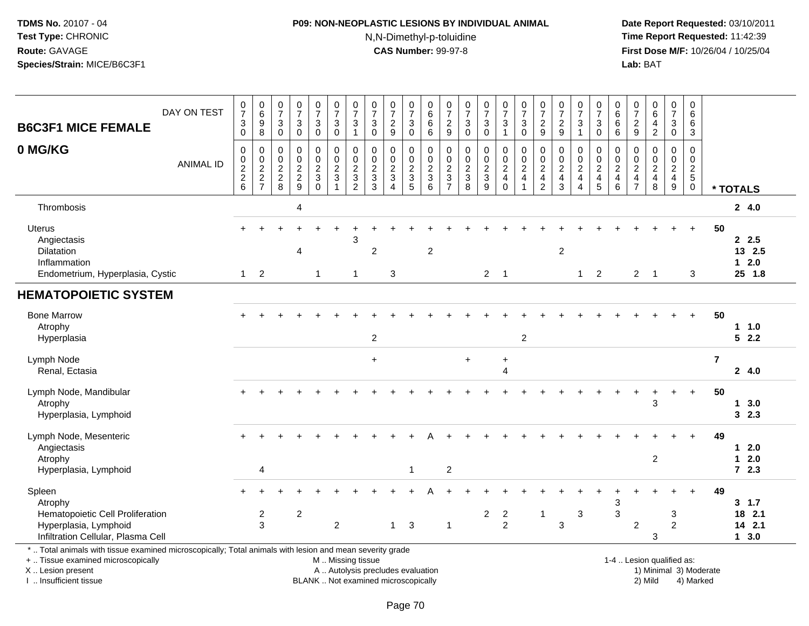# **P09: NON-NEOPLASTIC LESIONS BY INDIVIDUAL ANIMAL**N,N-Dimethyl-p-toluidine

 **Date Report Requested:** 03/10/2011 **Time Report Requested:** 11:42:39 **First Dose M/F:** 10/26/04 / 10/25/04<br>**Lab:** BAT **Lab:** BAT

| <b>B6C3F1 MICE FEMALE</b>                                                                                                                                                                     | DAY ON TEST      | $\frac{0}{7}$<br>$_{0}^{3}$ | $\begin{array}{c} 0 \\ 6 \end{array}$<br>$\overline{9}$<br>8 | 0<br>$\overline{7}$<br>$\sqrt{3}$<br>$\mathsf{O}\xspace$ | $\frac{0}{7}$<br>$\ensuremath{\mathsf{3}}$<br>$\mathbf 0$ | $\frac{0}{7}$<br>$\ensuremath{\mathsf{3}}$<br>$\pmb{0}$ | 0<br>$\overline{7}$<br>$\ensuremath{\mathsf{3}}$<br>$\mathsf{O}\xspace$ | $\frac{0}{7}$<br>3<br>$\mathbf{1}$                  | 0<br>$\overline{7}$<br>$\ensuremath{\mathsf{3}}$<br>$\mathbf 0$ | $\frac{0}{7}$<br>$\frac{2}{9}$                                           | $\frac{0}{7}$<br>$_{\rm 0}^3$             | $\pmb{0}$<br>$\,6\,$<br>6<br>$6\phantom{1}$         | $\frac{0}{7}$<br>$\frac{2}{9}$                      | $\frac{0}{7}$<br>$_{0}^{3}$               | $\frac{0}{7}$<br>$\frac{3}{0}$                    | 0<br>$\overline{7}$<br>3<br>$\mathbf{1}$                 | $\frac{0}{7}$<br>$\sqrt{3}$<br>$\mathbf 0$                      | $\frac{0}{7}$<br>$\sqrt{2}$<br>9                                                | 0<br>$\overline{7}$<br>$\overline{\mathbf{c}}$<br>9         | $\frac{0}{7}$<br>3<br>$\mathbf{1}$                  | 0<br>$\overline{7}$<br>3<br>$\mathbf 0$         | $\boldsymbol{0}$<br>$6\phantom{a}$<br>$\,6$<br>$\,6$ | 0<br>$\overline{7}$<br>$\frac{2}{9}$                                         | $\pmb{0}$<br>$6\overline{6}$<br>4<br>$\overline{2}$ | $\frac{0}{7}$<br>3<br>$\pmb{0}$                     | $\pmb{0}$<br>6<br>6<br>$\mathbf{3}$                    |                         |                                    |
|-----------------------------------------------------------------------------------------------------------------------------------------------------------------------------------------------|------------------|-----------------------------|--------------------------------------------------------------|----------------------------------------------------------|-----------------------------------------------------------|---------------------------------------------------------|-------------------------------------------------------------------------|-----------------------------------------------------|-----------------------------------------------------------------|--------------------------------------------------------------------------|-------------------------------------------|-----------------------------------------------------|-----------------------------------------------------|-------------------------------------------|---------------------------------------------------|----------------------------------------------------------|-----------------------------------------------------------------|---------------------------------------------------------------------------------|-------------------------------------------------------------|-----------------------------------------------------|-------------------------------------------------|------------------------------------------------------|------------------------------------------------------------------------------|-----------------------------------------------------|-----------------------------------------------------|--------------------------------------------------------|-------------------------|------------------------------------|
| 0 MG/KG                                                                                                                                                                                       | <b>ANIMAL ID</b> | 0<br>0, 2, 2, 6             | $\pmb{0}$<br>$\frac{0}{2}$<br>7                              | 0<br>$\mathbf 0$<br>$\frac{2}{8}$                        | $\mathbf 0$<br>$\mathbf 0$<br>$\frac{2}{9}$               | 0<br>$\mathbf 0$<br>$\frac{2}{3}$<br>$\mathbf 0$        | 0<br>$\pmb{0}$<br>$\frac{2}{3}$<br>$\mathbf{1}$                         | 0<br>$\mathbf 0$<br>$\frac{2}{3}$<br>$\overline{2}$ | 0<br>$\mathbf 0$<br>$\frac{2}{3}$                               | $\mathbf 0$<br>$\mathbf 0$<br>$\frac{2}{3}$<br>$\overline{A}$            | 0<br>$\mathsf{O}\xspace$<br>$\frac{2}{3}$ | 0<br>$\mathbf 0$<br>$\frac{2}{3}$<br>$6\phantom{1}$ | 0<br>$\mathbf 0$<br>$\frac{2}{3}$<br>$\overline{7}$ | $\mathbf 0$<br>$\pmb{0}$<br>$\frac{2}{3}$ | $\pmb{0}$<br>$\ddot{\mathbf{0}}$<br>$\frac{2}{3}$ | 0<br>$\mathsf{O}\xspace$<br>$\frac{2}{4}$<br>$\mathbf 0$ | 0<br>$\begin{array}{c} 0 \\ 2 \\ 4 \end{array}$<br>$\mathbf{1}$ | 0<br>$\mathbf 0$<br>$\overline{\mathbf{c}}$<br>$\overline{4}$<br>$\overline{c}$ | 0<br>$\mathbf 0$<br>$\boldsymbol{2}$<br>$\overline{4}$<br>3 | 0<br>$\mathbf 0$<br>$\frac{2}{4}$<br>$\overline{4}$ | 0<br>$\mathbf 0$<br>$\frac{2}{4}$<br>$\sqrt{5}$ | 0<br>$\mathbf 0$<br>$\frac{2}{4}$<br>$\,6\,$         | 0<br>$\Omega$<br>$\overline{\mathbf{c}}$<br>$\overline{4}$<br>$\overline{7}$ | $\mathbf 0$<br>$\Omega$<br>$\frac{2}{4}$<br>8       | 0<br>$\pmb{0}$<br>$\frac{2}{4}$<br>$\boldsymbol{9}$ | 0<br>$\mathsf{O}\xspace$<br>$rac{2}{5}$<br>$\mathbf 0$ |                         | * TOTALS                           |
| Thrombosis                                                                                                                                                                                    |                  |                             |                                                              |                                                          | 4                                                         |                                                         |                                                                         |                                                     |                                                                 |                                                                          |                                           |                                                     |                                                     |                                           |                                                   |                                                          |                                                                 |                                                                                 |                                                             |                                                     |                                                 |                                                      |                                                                              |                                                     |                                                     |                                                        |                         | 24.0                               |
| Uterus<br>Angiectasis<br><b>Dilatation</b><br>Inflammation<br>Endometrium, Hyperplasia, Cystic                                                                                                |                  | $+$<br>$\mathbf{1}$         | $\ddot{}$<br>$\overline{2}$                                  |                                                          | 4                                                         | 1                                                       |                                                                         | 3<br>$\mathbf{1}$                                   | $\overline{c}$                                                  | $\mathbf{3}$                                                             |                                           | $\overline{2}$                                      |                                                     |                                           |                                                   | $2 \quad 1$                                              |                                                                 |                                                                                 | $\boldsymbol{2}$                                            | $\mathbf{1}$                                        | $\overline{2}$                                  |                                                      | $\overline{2}$                                                               | $\overline{\phantom{0}}$ 1                          | $\div$                                              | $\ddot{}$<br>3                                         | 50                      | 2.5<br>13 2.5<br>$12.0$<br>25 1.8  |
| <b>HEMATOPOIETIC SYSTEM</b>                                                                                                                                                                   |                  |                             |                                                              |                                                          |                                                           |                                                         |                                                                         |                                                     |                                                                 |                                                                          |                                           |                                                     |                                                     |                                           |                                                   |                                                          |                                                                 |                                                                                 |                                                             |                                                     |                                                 |                                                      |                                                                              |                                                     |                                                     |                                                        |                         |                                    |
| <b>Bone Marrow</b><br>Atrophy<br>Hyperplasia                                                                                                                                                  |                  |                             |                                                              |                                                          |                                                           |                                                         |                                                                         |                                                     | $\overline{c}$                                                  |                                                                          |                                           |                                                     |                                                     |                                           |                                                   |                                                          | $\overline{2}$                                                  |                                                                                 |                                                             |                                                     |                                                 |                                                      |                                                                              |                                                     |                                                     |                                                        | 50                      | 11.0<br>52.2                       |
| Lymph Node<br>Renal, Ectasia                                                                                                                                                                  |                  |                             |                                                              |                                                          |                                                           |                                                         |                                                                         |                                                     | $\ddot{}$                                                       |                                                                          |                                           |                                                     |                                                     | $\ddot{}$                                 |                                                   | $\ddot{}$<br>$\overline{4}$                              |                                                                 |                                                                                 |                                                             |                                                     |                                                 |                                                      |                                                                              |                                                     |                                                     |                                                        | $\overline{\mathbf{r}}$ | 24.0                               |
| Lymph Node, Mandibular<br>Atrophy<br>Hyperplasia, Lymphoid                                                                                                                                    |                  |                             |                                                              |                                                          |                                                           |                                                         |                                                                         |                                                     |                                                                 |                                                                          |                                           |                                                     |                                                     |                                           |                                                   |                                                          |                                                                 |                                                                                 |                                                             |                                                     |                                                 |                                                      |                                                                              | 3                                                   |                                                     | $\ddot{}$                                              | 50                      | 13.0<br>32.3                       |
| Lymph Node, Mesenteric<br>Angiectasis<br>Atrophy                                                                                                                                              |                  |                             |                                                              |                                                          |                                                           |                                                         |                                                                         |                                                     |                                                                 |                                                                          |                                           |                                                     |                                                     |                                           |                                                   |                                                          |                                                                 |                                                                                 |                                                             |                                                     |                                                 |                                                      |                                                                              | $\overline{c}$                                      |                                                     |                                                        | 49                      | $1 2.0$<br>$12.0$                  |
| Hyperplasia, Lymphoid                                                                                                                                                                         |                  |                             | $\overline{4}$                                               |                                                          |                                                           |                                                         |                                                                         |                                                     |                                                                 |                                                                          | 1                                         |                                                     | $\boldsymbol{2}$                                    |                                           |                                                   |                                                          |                                                                 |                                                                                 |                                                             |                                                     |                                                 |                                                      |                                                                              |                                                     |                                                     |                                                        |                         | 72.3                               |
| Spleen<br>Atrophy<br>Hematopoietic Cell Proliferation<br>Hyperplasia, Lymphoid<br>Infiltration Cellular, Plasma Cell                                                                          |                  | $+$                         | $\overline{c}$<br>3                                          |                                                          | $\overline{c}$                                            |                                                         | $\overline{2}$                                                          |                                                     |                                                                 | $\mathbf{1}$                                                             | 3                                         |                                                     | 1                                                   |                                           | $\overline{c}$                                    | $\overline{a}$<br>$\overline{c}$                         |                                                                 | $\overline{1}$                                                                  | 3                                                           | 3                                                   |                                                 | 3<br>3                                               | $\overline{2}$                                                               | 3                                                   | 3<br>$\overline{c}$                                 |                                                        | 49                      | 3, 1.7<br>18 2.1<br>14 2.1<br>13.0 |
| *  Total animals with tissue examined microscopically; Total animals with lesion and mean severity grade<br>+  Tissue examined microscopically<br>X  Lesion present<br>I  Insufficient tissue |                  |                             |                                                              |                                                          |                                                           |                                                         |                                                                         | M  Missing tissue                                   |                                                                 | A  Autolysis precludes evaluation<br>BLANK  Not examined microscopically |                                           |                                                     |                                                     |                                           |                                                   |                                                          |                                                                 |                                                                                 |                                                             |                                                     |                                                 |                                                      |                                                                              | 1-4  Lesion qualified as:<br>2) Mild                |                                                     | 4) Marked                                              | 1) Minimal 3) Moderate  |                                    |

I .. Insufficient tissue

Page 70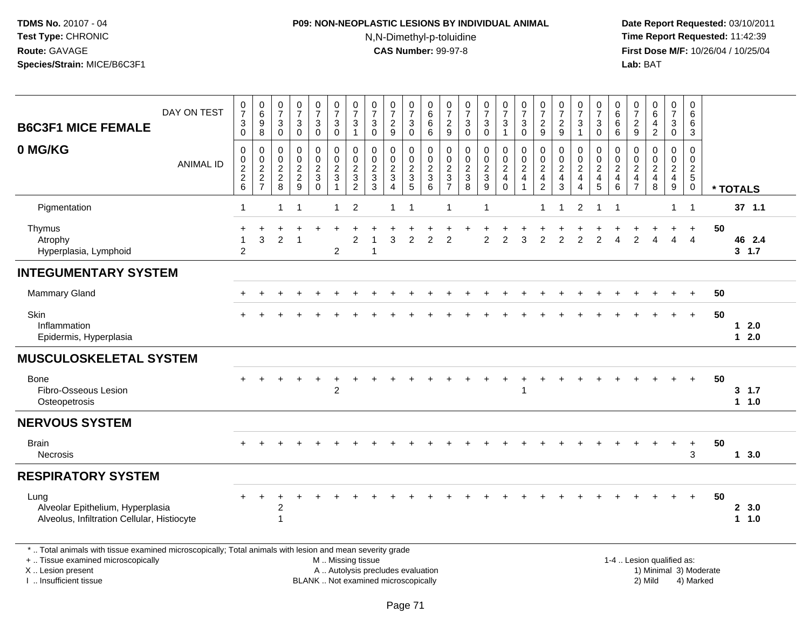# **P09: NON-NEOPLASTIC LESIONS BY INDIVIDUAL ANIMAL**N,N-Dimethyl-p-toluidine

| <b>B6C3F1 MICE FEMALE</b>                                                                                                                                                                    | DAY ON TEST      | $\pmb{0}$<br>$\overline{7}$<br>$\ensuremath{\mathsf{3}}$<br>$\mathbf 0$ | $\begin{array}{c} 0 \\ 6 \end{array}$<br>9<br>$\overline{8}$ | $\frac{0}{7}$<br>$\ensuremath{\mathsf{3}}$<br>$\overline{0}$   | $\frac{0}{7}$<br>$\mathbf{3}$<br>$\overline{0}$ | 0<br>$\overline{7}$<br>3<br>$\ddot{\mathbf{0}}$                     | $\frac{0}{7}$<br>$\sqrt{3}$<br>$\overline{0}$                                 | $\frac{0}{7}$<br>$\mathbf{3}$<br>$\mathbf{1}$                            | $\begin{array}{c} 0 \\ 7 \end{array}$<br>3<br>$\mathbf 0$                        | $\frac{0}{7}$<br>$\overline{c}$<br>$\boldsymbol{9}$ | $\frac{0}{7}$<br>3<br>$\overline{0}$    | $\boldsymbol{0}$<br>$\,6\,$<br>$\,6$<br>$6\overline{6}$ | $\frac{0}{7}$<br>$\frac{2}{9}$                                 | $\frac{0}{7}$<br>$\sqrt{3}$<br>$\mathbf 0$ | $\frac{0}{7}$<br>3<br>$\ddot{\mathbf{0}}$ | $\frac{0}{7}$<br>$\frac{3}{1}$                                 | $\frac{0}{7}$<br>$\ensuremath{\mathsf{3}}$<br>$\overline{0}$              | $\frac{0}{7}$<br>$\overline{c}$<br>$\boldsymbol{9}$          | $\frac{0}{7}$<br>$\frac{2}{9}$                                | $\begin{array}{c} 0 \\ 7 \end{array}$<br>3<br>$\mathbf{1}$ | $\pmb{0}$<br>$\overline{7}$<br>$\ensuremath{\mathsf{3}}$<br>$\mathbf 0$ | 0<br>$6\phantom{1}$<br>6<br>$\,6$                         | $\begin{array}{c} 0 \\ 7 \end{array}$<br>$\overline{2}$<br>$9\,$       | $\begin{array}{c} 0 \\ 6 \end{array}$<br>$\overline{\mathbf{4}}$<br>$\overline{2}$ | $\mathbf 0$<br>$\overline{7}$<br>3<br>$\mathsf{O}\xspace$ | 0<br>6<br>6<br>$\mathbf{3}$                                      |                        |                       |     |
|----------------------------------------------------------------------------------------------------------------------------------------------------------------------------------------------|------------------|-------------------------------------------------------------------------|--------------------------------------------------------------|----------------------------------------------------------------|-------------------------------------------------|---------------------------------------------------------------------|-------------------------------------------------------------------------------|--------------------------------------------------------------------------|----------------------------------------------------------------------------------|-----------------------------------------------------|-----------------------------------------|---------------------------------------------------------|----------------------------------------------------------------|--------------------------------------------|-------------------------------------------|----------------------------------------------------------------|---------------------------------------------------------------------------|--------------------------------------------------------------|---------------------------------------------------------------|------------------------------------------------------------|-------------------------------------------------------------------------|-----------------------------------------------------------|------------------------------------------------------------------------|------------------------------------------------------------------------------------|-----------------------------------------------------------|------------------------------------------------------------------|------------------------|-----------------------|-----|
| 0 MG/KG                                                                                                                                                                                      | <b>ANIMAL ID</b> | $\mathbf 0$<br>$\pmb{0}$<br>$\frac{2}{2}$<br>$\,6\,$                    | 0<br>$\mathbf 0$<br>$\boldsymbol{2}$<br>$\frac{2}{7}$        | $\mathbf 0$<br>$\begin{array}{c} 0 \\ 2 \\ 2 \\ 8 \end{array}$ | 0<br>$\pmb{0}$<br>$\frac{2}{9}$                 | 0<br>$\mathbf 0$<br>$\overline{a}$<br>$\mathfrak{Z}$<br>$\mathbf 0$ | $\pmb{0}$<br>$\overline{0}$<br>$\overline{2}$<br>$\sqrt{3}$<br>$\overline{1}$ | $\mathbf 0$<br>$\mathbf 0$<br>$\sqrt{2}$<br>$\sqrt{3}$<br>$\overline{c}$ | $\mathbf 0$<br>$\mathbf 0$<br>$\boldsymbol{2}$<br>$\ensuremath{\mathsf{3}}$<br>3 | 0<br>$\mathbf 0$<br>$\frac{2}{3}$<br>$\overline{4}$ | 0<br>$\mathsf{O}\xspace$<br>$rac{2}{3}$ | 0<br>$\mathbf 0$<br>$\frac{2}{3}$<br>$\,6\,$            | $\mathbf 0$<br>$\begin{array}{c} 0 \\ 2 \\ 3 \\ 7 \end{array}$ | 0<br>$\mathbf 0$<br>$\frac{2}{3}$<br>8     | 0<br>$\mathbf 0$<br>$\frac{2}{3}$<br>9    | 0<br>$\begin{array}{c} 0 \\ 2 \\ 4 \end{array}$<br>$\mathbf 0$ | $\pmb{0}$<br>$\ddot{\mathbf{0}}$<br>$\overline{c}$<br>$\overline{4}$<br>1 | 0<br>0<br>$\overline{c}$<br>$\overline{4}$<br>$\overline{2}$ | $\mathbf 0$<br>$\pmb{0}$<br>$\sqrt{2}$<br>$\overline{4}$<br>3 | 0<br>$\mathbf 0$<br>$\sqrt{2}$<br>$\overline{4}$<br>4      | $\mathbf 0$<br>$\,0\,$<br>$\frac{2}{4}$<br>$\overline{5}$               | 0<br>$\mathbf 0$<br>$\overline{c}$<br>$\overline{4}$<br>6 | 0<br>$\mathbf 0$<br>$\overline{c}$<br>$\overline{4}$<br>$\overline{7}$ | 0<br>$\pmb{0}$<br>$\frac{2}{4}$<br>8                                               | 0<br>$\mathsf{O}\xspace$<br>$\frac{2}{4}$<br>9            | $\Omega$<br>$\mathbf 0$<br>$\overline{c}$<br>$\overline{5}$<br>0 |                        | * TOTALS              |     |
| Pigmentation                                                                                                                                                                                 |                  | $\mathbf 1$                                                             |                                                              | $\mathbf{1}$                                                   | $\overline{\mathbf{1}}$                         |                                                                     | $\overline{1}$                                                                | $\overline{c}$                                                           |                                                                                  | 1                                                   | $\overline{1}$                          |                                                         | -1                                                             |                                            | 1                                         |                                                                |                                                                           | $\mathbf 1$                                                  | $\overline{1}$                                                | $\overline{c}$                                             | $\mathbf{1}$                                                            | $\mathbf{1}$                                              |                                                                        |                                                                                    | $\mathbf{1}$                                              | $\overline{1}$                                                   |                        | $37$ 1.1              |     |
| Thymus<br>Atrophy<br>Hyperplasia, Lymphoid                                                                                                                                                   |                  | $\ddot{}$<br>1<br>$\overline{2}$                                        | 3                                                            | 2                                                              | -1                                              |                                                                     | $\overline{2}$                                                                | $\overline{2}$                                                           | 1                                                                                | 3                                                   | $\overline{2}$                          | 2                                                       | 2                                                              |                                            | $\overline{2}$                            | 2                                                              | 3                                                                         | $\overline{2}$                                               | 2                                                             | $\overline{2}$                                             | 2                                                                       | Δ                                                         | 2                                                                      | Δ                                                                                  | 4                                                         | $\ddot{}$<br>$\overline{4}$                                      | 50                     | 46 2.4<br>3, 1.7      |     |
| <b>INTEGUMENTARY SYSTEM</b>                                                                                                                                                                  |                  |                                                                         |                                                              |                                                                |                                                 |                                                                     |                                                                               |                                                                          |                                                                                  |                                                     |                                         |                                                         |                                                                |                                            |                                           |                                                                |                                                                           |                                                              |                                                               |                                                            |                                                                         |                                                           |                                                                        |                                                                                    |                                                           |                                                                  |                        |                       |     |
| <b>Mammary Gland</b>                                                                                                                                                                         |                  |                                                                         |                                                              |                                                                |                                                 |                                                                     |                                                                               |                                                                          |                                                                                  |                                                     |                                         |                                                         |                                                                |                                            |                                           |                                                                |                                                                           |                                                              |                                                               |                                                            |                                                                         |                                                           |                                                                        |                                                                                    |                                                           |                                                                  | 50                     |                       |     |
| <b>Skin</b><br>Inflammation<br>Epidermis, Hyperplasia                                                                                                                                        |                  |                                                                         |                                                              |                                                                |                                                 |                                                                     |                                                                               |                                                                          |                                                                                  |                                                     |                                         |                                                         |                                                                |                                            |                                           |                                                                |                                                                           |                                                              |                                                               |                                                            |                                                                         |                                                           |                                                                        |                                                                                    |                                                           | $+$                                                              | 50                     | $\mathbf 1$<br>$12.0$ | 2.0 |
| <b>MUSCULOSKELETAL SYSTEM</b>                                                                                                                                                                |                  |                                                                         |                                                              |                                                                |                                                 |                                                                     |                                                                               |                                                                          |                                                                                  |                                                     |                                         |                                                         |                                                                |                                            |                                           |                                                                |                                                                           |                                                              |                                                               |                                                            |                                                                         |                                                           |                                                                        |                                                                                    |                                                           |                                                                  |                        |                       |     |
| Bone<br>Fibro-Osseous Lesion<br>Osteopetrosis                                                                                                                                                |                  |                                                                         |                                                              |                                                                |                                                 | $\ddot{}$                                                           | $\overline{2}$                                                                |                                                                          |                                                                                  |                                                     |                                         |                                                         |                                                                |                                            |                                           |                                                                | $\ddot{}$<br>$\mathbf{1}$                                                 |                                                              |                                                               |                                                            |                                                                         |                                                           |                                                                        |                                                                                    |                                                           | $+$                                                              | 50                     | 3, 1.7<br>1 1.0       |     |
| <b>NERVOUS SYSTEM</b>                                                                                                                                                                        |                  |                                                                         |                                                              |                                                                |                                                 |                                                                     |                                                                               |                                                                          |                                                                                  |                                                     |                                         |                                                         |                                                                |                                            |                                           |                                                                |                                                                           |                                                              |                                                               |                                                            |                                                                         |                                                           |                                                                        |                                                                                    |                                                           |                                                                  |                        |                       |     |
| <b>Brain</b><br><b>Necrosis</b>                                                                                                                                                              |                  |                                                                         |                                                              |                                                                |                                                 |                                                                     |                                                                               |                                                                          |                                                                                  |                                                     |                                         |                                                         |                                                                |                                            |                                           |                                                                |                                                                           |                                                              |                                                               |                                                            |                                                                         |                                                           |                                                                        |                                                                                    |                                                           | $\ddot{}$<br>3                                                   | 50                     | 13.0                  |     |
| <b>RESPIRATORY SYSTEM</b>                                                                                                                                                                    |                  |                                                                         |                                                              |                                                                |                                                 |                                                                     |                                                                               |                                                                          |                                                                                  |                                                     |                                         |                                                         |                                                                |                                            |                                           |                                                                |                                                                           |                                                              |                                                               |                                                            |                                                                         |                                                           |                                                                        |                                                                                    |                                                           |                                                                  |                        |                       |     |
| Lung<br>Alveolar Epithelium, Hyperplasia<br>Alveolus, Infiltration Cellular, Histiocyte                                                                                                      |                  |                                                                         |                                                              | 2                                                              |                                                 |                                                                     |                                                                               |                                                                          |                                                                                  |                                                     |                                         |                                                         |                                                                |                                            |                                           |                                                                |                                                                           |                                                              |                                                               |                                                            |                                                                         |                                                           |                                                                        |                                                                                    |                                                           | $+$                                                              | 50                     | 2, 3.0<br>1 1.0       |     |
| *  Total animals with tissue examined microscopically; Total animals with lesion and mean severity grade<br>+  Tissue examined microscopically<br>X Lesion present<br>I  Insufficient tissue |                  |                                                                         |                                                              |                                                                |                                                 |                                                                     | M  Missing tissue                                                             |                                                                          | A  Autolysis precludes evaluation<br>BLANK  Not examined microscopically         |                                                     |                                         |                                                         |                                                                |                                            |                                           |                                                                |                                                                           |                                                              |                                                               |                                                            |                                                                         |                                                           |                                                                        | 1-4  Lesion qualified as:<br>2) Mild                                               |                                                           | 4) Marked                                                        | 1) Minimal 3) Moderate |                       |     |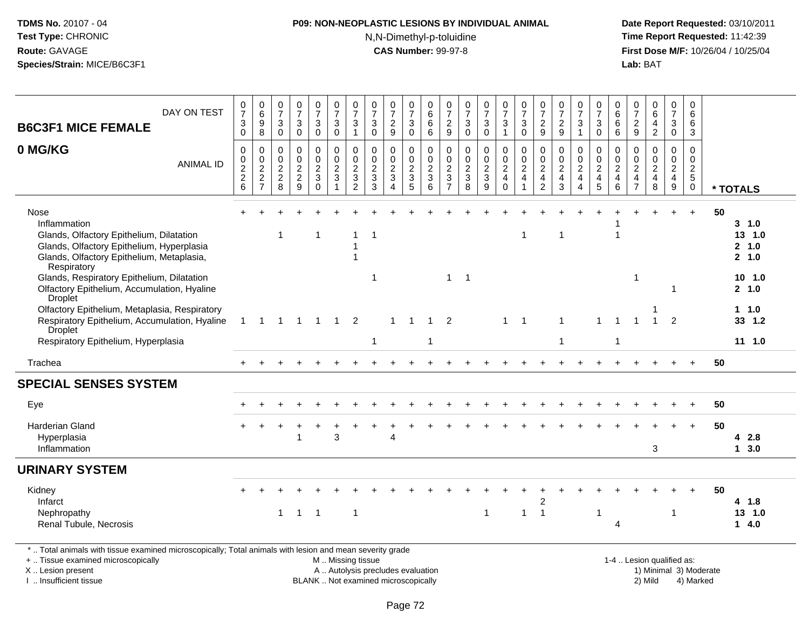# **P09: NON-NEOPLASTIC LESIONS BY INDIVIDUAL ANIMAL**N,N-Dimethyl-p-toluidine

 **Date Report Requested:** 03/10/2011 **Time Report Requested:** 11:42:39 **First Dose M/F:** 10/26/04 / 10/25/04 Lab: BAT **Lab:** BAT

| DAY ON TEST<br><b>B6C3F1 MICE FEMALE</b>                                                                                                                                  | $\frac{0}{7}$<br>$\ensuremath{\mathsf{3}}$                          | $\begin{array}{c} 0 \\ 6 \end{array}$<br>$\boldsymbol{9}$                             | $\begin{array}{c} 0 \\ 7 \end{array}$<br>3                                | $\frac{0}{7}$<br>$\ensuremath{\mathsf{3}}$                      | $\begin{smallmatrix}0\\7\end{smallmatrix}$<br>$\mathsf 3$                           | $\frac{0}{7}$<br>$\ensuremath{\mathsf{3}}$                  | $\frac{0}{7}$<br>3                                        | $\frac{0}{7}$<br>$\ensuremath{\mathsf{3}}$                   | $\frac{0}{7}$<br>$\frac{2}{9}$                             | $\frac{0}{7}$<br>$\sqrt{3}$                                        | $\begin{array}{c} 0 \\ 6 \end{array}$<br>$\,6\,$ | 0<br>$\overline{7}$<br>$\sqrt{2}$                                    | $\frac{0}{7}$<br>$\sqrt{3}$                                 | $\frac{0}{7}$<br>$\mathbf{3}$                           | $\frac{0}{7}$<br>$\mathbf{3}$                                                    | $\frac{0}{7}$<br>$\sqrt{3}$                                  | $\begin{smallmatrix}0\\7\end{smallmatrix}$<br>$\frac{2}{9}$                    | $\frac{0}{7}$<br>$\frac{2}{9}$                                      | $\frac{0}{7}$<br>3                                                 | $\frac{0}{7}$<br>$\mathbf{3}$                   | $_{6}^{\rm 0}$<br>$\,6$                                           | 0<br>$\overline{7}$<br>$\frac{2}{9}$                                   | $\begin{array}{c} 0 \\ 6 \end{array}$<br>$\overline{\mathbf{4}}$ | $\begin{smallmatrix}0\\7\end{smallmatrix}$<br>$\ensuremath{\mathsf{3}}$ | $\mathbf 0$<br>6<br>6                                                             |    |                                     |
|---------------------------------------------------------------------------------------------------------------------------------------------------------------------------|---------------------------------------------------------------------|---------------------------------------------------------------------------------------|---------------------------------------------------------------------------|-----------------------------------------------------------------|-------------------------------------------------------------------------------------|-------------------------------------------------------------|-----------------------------------------------------------|--------------------------------------------------------------|------------------------------------------------------------|--------------------------------------------------------------------|--------------------------------------------------|----------------------------------------------------------------------|-------------------------------------------------------------|---------------------------------------------------------|----------------------------------------------------------------------------------|--------------------------------------------------------------|--------------------------------------------------------------------------------|---------------------------------------------------------------------|--------------------------------------------------------------------|-------------------------------------------------|-------------------------------------------------------------------|------------------------------------------------------------------------|------------------------------------------------------------------|-------------------------------------------------------------------------|-----------------------------------------------------------------------------------|----|-------------------------------------|
|                                                                                                                                                                           | $\mathbf 0$                                                         | 8                                                                                     | $\mathbf 0$                                                               | $\pmb{0}$                                                       | $\mathbf 0$                                                                         | $\mathbf 0$                                                 | $\mathbf{1}$                                              | $\pmb{0}$                                                    |                                                            | $\mathbf 0$                                                        | $\,6\,$                                          | $\boldsymbol{9}$                                                     | $\pmb{0}$                                                   | $\mathbf 0$                                             | $\mathbf{1}$                                                                     | $\mathbf 0$                                                  |                                                                                |                                                                     | $\mathbf{1}$                                                       | $\mathbf 0$                                     | 6                                                                 |                                                                        | $\sqrt{2}$                                                       | $\mathbf 0$                                                             | 3                                                                                 |    |                                     |
| 0 MG/KG<br><b>ANIMAL ID</b>                                                                                                                                               | $\pmb{0}$<br>$\,0\,$<br>$\boldsymbol{2}$<br>$\overline{c}$<br>$\,6$ | $\mathbf 0$<br>$\boldsymbol{0}$<br>$\overline{c}$<br>$\overline{2}$<br>$\overline{7}$ | $\pmb{0}$<br>$\mathsf{O}\xspace$<br>$\overline{c}$<br>$\overline{c}$<br>8 | $\pmb{0}$<br>$\pmb{0}$<br>$\overline{c}$<br>$\overline{c}$<br>9 | $\mathbf 0$<br>$\pmb{0}$<br>$\overline{c}$<br>$\ensuremath{\mathsf{3}}$<br>$\Omega$ | $\pmb{0}$<br>$\pmb{0}$<br>$\overline{c}$<br>$\sqrt{3}$<br>1 | 0<br>$\mathbf 0$<br>$\overline{2}$<br>3<br>$\overline{2}$ | $\pmb{0}$<br>$\frac{0}{2}$<br>$\ensuremath{\mathsf{3}}$<br>3 | $\mathbf 0$<br>$\pmb{0}$<br>$\overline{c}$<br>$\mathbf{3}$ | 0<br>$\pmb{0}$<br>$\overline{c}$<br>$\ensuremath{\mathsf{3}}$<br>5 | $\pmb{0}$<br>$\frac{0}{2}$<br>$\mathbf{3}$<br>6  | 0<br>$\mathsf 0$<br>$\boldsymbol{2}$<br>$\sqrt{3}$<br>$\overline{7}$ | $\pmb{0}$<br>$\pmb{0}$<br>$\overline{2}$<br>$\sqrt{3}$<br>8 | 0<br>$\mathbf 0$<br>$\overline{c}$<br>$\mathbf{3}$<br>9 | $\pmb{0}$<br>$\mathsf{O}\xspace$<br>$\overline{2}$<br>$\overline{4}$<br>$\Omega$ | $\pmb{0}$<br>$\pmb{0}$<br>$\boldsymbol{2}$<br>$\overline{4}$ | $\mathbf 0$<br>$\pmb{0}$<br>$\overline{2}$<br>$\overline{4}$<br>$\overline{2}$ | $\mathbf 0$<br>$\mathbf 0$<br>$\overline{c}$<br>$\overline{4}$<br>3 | 0<br>$\mathbf 0$<br>$\overline{c}$<br>$\overline{\mathbf{4}}$<br>4 | $\,0\,$<br>$\frac{0}{2}$<br>$\overline{4}$<br>5 | 0<br>$\mathsf{O}\xspace$<br>$\overline{c}$<br>$\overline{4}$<br>6 | 0<br>$\mathbf 0$<br>$\overline{c}$<br>$\overline{4}$<br>$\overline{7}$ | $\pmb{0}$<br>$\frac{0}{2}$<br>$\overline{4}$<br>8                | 0<br>$\mathbf 0$<br>$\overline{c}$<br>$\overline{4}$<br>9               | $\mathbf 0$<br>$\mathbf 0$<br>$\overline{2}$<br>$5\phantom{.0}$<br>$\overline{0}$ |    | * TOTALS                            |
| Nose<br>Inflammation<br>Glands, Olfactory Epithelium, Dilatation<br>Glands, Olfactory Epithelium, Hyperplasia<br>Glands, Olfactory Epithelium, Metaplasia,<br>Respiratory |                                                                     |                                                                                       | 1                                                                         |                                                                 | 1                                                                                   |                                                             | 1<br>1<br>1                                               | $\overline{\mathbf{1}}$                                      |                                                            |                                                                    |                                                  |                                                                      |                                                             |                                                         |                                                                                  | $\overline{1}$                                               |                                                                                | 1                                                                   |                                                                    |                                                 | $\overline{1}$                                                    |                                                                        |                                                                  |                                                                         | $+$                                                                               | 50 | 3 1.0<br>13 1.0<br>2, 1.0<br>2, 1.0 |
| Glands, Respiratory Epithelium, Dilatation<br>Olfactory Epithelium, Accumulation, Hyaline<br><b>Droplet</b>                                                               |                                                                     |                                                                                       |                                                                           |                                                                 |                                                                                     |                                                             |                                                           | 1                                                            |                                                            |                                                                    |                                                  | $\mathbf{1}$                                                         | $\overline{\mathbf{1}}$                                     |                                                         |                                                                                  |                                                              |                                                                                |                                                                     |                                                                    |                                                 |                                                                   | -1                                                                     |                                                                  | 1                                                                       |                                                                                   |    | 10, 1.0<br>2, 1.0                   |
| Olfactory Epithelium, Metaplasia, Respiratory<br>Respiratory Epithelium, Accumulation, Hyaline<br><b>Droplet</b>                                                          | $\mathbf{1}$                                                        | $\mathbf{1}$                                                                          | 1                                                                         | -1                                                              | -1                                                                                  | $\mathbf{1}$                                                | $\overline{2}$                                            |                                                              | 1                                                          |                                                                    | -1                                               | 2                                                                    |                                                             |                                                         | $\mathbf{1}$                                                                     | $\overline{1}$                                               |                                                                                | $\mathbf{1}$                                                        |                                                                    | 1                                               | $\overline{1}$                                                    |                                                                        | -1                                                               | $\overline{2}$                                                          |                                                                                   |    | $1 \t1.0$<br>33, 1.2                |
| Respiratory Epithelium, Hyperplasia                                                                                                                                       |                                                                     |                                                                                       |                                                                           |                                                                 |                                                                                     |                                                             |                                                           | $\overline{1}$                                               |                                                            |                                                                    | $\overline{1}$                                   |                                                                      |                                                             |                                                         |                                                                                  |                                                              |                                                                                | $\mathbf{1}$                                                        |                                                                    |                                                 | $\overline{1}$                                                    |                                                                        |                                                                  |                                                                         |                                                                                   |    | $11 \t1.0$                          |
| Trachea                                                                                                                                                                   |                                                                     |                                                                                       |                                                                           |                                                                 |                                                                                     |                                                             |                                                           |                                                              |                                                            |                                                                    |                                                  |                                                                      |                                                             |                                                         |                                                                                  |                                                              |                                                                                |                                                                     |                                                                    |                                                 |                                                                   |                                                                        |                                                                  |                                                                         | $\ddot{}$                                                                         | 50 |                                     |
| <b>SPECIAL SENSES SYSTEM</b>                                                                                                                                              |                                                                     |                                                                                       |                                                                           |                                                                 |                                                                                     |                                                             |                                                           |                                                              |                                                            |                                                                    |                                                  |                                                                      |                                                             |                                                         |                                                                                  |                                                              |                                                                                |                                                                     |                                                                    |                                                 |                                                                   |                                                                        |                                                                  |                                                                         |                                                                                   |    |                                     |
| Eye                                                                                                                                                                       |                                                                     |                                                                                       |                                                                           |                                                                 |                                                                                     |                                                             |                                                           |                                                              |                                                            |                                                                    |                                                  |                                                                      |                                                             |                                                         |                                                                                  |                                                              |                                                                                |                                                                     |                                                                    |                                                 |                                                                   |                                                                        |                                                                  |                                                                         |                                                                                   | 50 |                                     |
| Harderian Gland<br>Hyperplasia<br>Inflammation                                                                                                                            |                                                                     |                                                                                       |                                                                           | -1                                                              |                                                                                     | 3                                                           |                                                           |                                                              | $\overline{4}$                                             |                                                                    |                                                  |                                                                      |                                                             |                                                         |                                                                                  |                                                              |                                                                                |                                                                     |                                                                    |                                                 |                                                                   |                                                                        | 3                                                                |                                                                         | $\ddot{}$                                                                         | 50 | 4 2.8<br>13.0                       |
| <b>URINARY SYSTEM</b>                                                                                                                                                     |                                                                     |                                                                                       |                                                                           |                                                                 |                                                                                     |                                                             |                                                           |                                                              |                                                            |                                                                    |                                                  |                                                                      |                                                             |                                                         |                                                                                  |                                                              |                                                                                |                                                                     |                                                                    |                                                 |                                                                   |                                                                        |                                                                  |                                                                         |                                                                                   |    |                                     |
| Kidney<br>Infarct<br>Nephropathy<br>Renal Tubule, Necrosis                                                                                                                |                                                                     |                                                                                       | $\mathbf{1}$                                                              | $1 \quad 1$                                                     |                                                                                     |                                                             | $\mathbf{1}$                                              |                                                              |                                                            |                                                                    |                                                  |                                                                      |                                                             | $\mathbf{1}$                                            |                                                                                  | $\mathbf{1}$                                                 | 2<br>$\overline{1}$                                                            |                                                                     |                                                                    | $\overline{1}$                                  | $\overline{4}$                                                    |                                                                        |                                                                  | 1                                                                       |                                                                                   | 50 | 4 1.8<br>13 1.0<br>14.0             |

\* .. Total animals with tissue examined microscopically; Total animals with lesion and mean severity grade

+ .. Tissue examined microscopically

X .. Lesion present

I .. Insufficient tissue

 M .. Missing tissueA .. Autolysis precludes evaluation

BLANK .. Not examined microscopically 2) Mild 4) Marked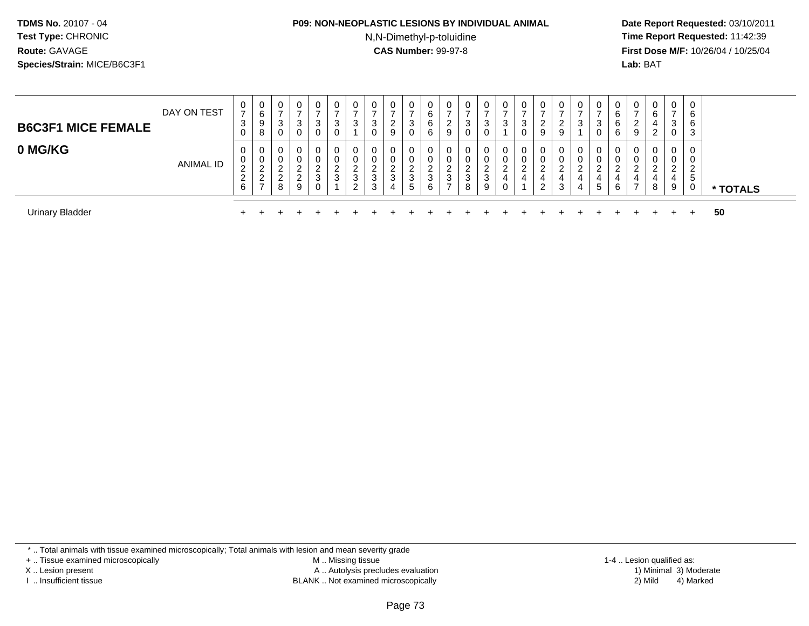#### **P09: NON-NEOPLASTIC LESIONS BY INDIVIDUAL ANIMAL**

N,N-Dimethyl-p-toluidine

 **Date Report Requested:** 03/10/2011 **Time Report Requested:** 11:42:39 **First Dose M/F:** 10/26/04 / 10/25/04 Lab: BAT **Lab:** BAT

| <b>B6C3F1 MICE FEMALE</b> | DAY ON TEST      | U<br>$\rightarrow$<br>3<br>U                     | U<br>6<br>ö | 0<br>3<br>0                                | 0<br>3<br>0                                 | $\mathbf{0}$<br>$\overline{ }$<br>3<br>0 | 0<br>$\rightarrow$<br>3<br>0 | 0<br>ີ<br>ر                                                  | <b>U</b><br>3 | 0<br>ົ<br>∠<br>9 | 0<br>3<br>0                      | 0<br>6<br>6<br>6 | U<br>∼<br>9                        | 0<br>3<br>0           |             | $\mathbf{0}$ | U<br>3<br>U | $\mathbf 0$<br><u>.</u><br>9           | 0<br>-<br>9           | 0<br>ົ<br>ت           | 3      | 0<br>⌒<br>b<br>6<br>6 | ν<br>∠<br>9 | 0<br>6<br>4<br>റ<br>∼              | 0<br>$\overline{ }$<br>3<br>0 | 0<br>6<br>6<br>3             |          |  |
|---------------------------|------------------|--------------------------------------------------|-------------|--------------------------------------------|---------------------------------------------|------------------------------------------|------------------------------|--------------------------------------------------------------|---------------|------------------|----------------------------------|------------------|------------------------------------|-----------------------|-------------|--------------|-------------|----------------------------------------|-----------------------|-----------------------|--------|-----------------------|-------------|------------------------------------|-------------------------------|------------------------------|----------|--|
| 0 MG/KG                   | <b>ANIMAL ID</b> | <b>U</b><br>U<br>$\sim$<br>∼<br>$\sim$<br>∠<br>6 | -           | 0<br><b>U</b><br>$\sqrt{2}$<br>$\sim$<br>8 | 0<br>0<br>ີ<br><u>.</u><br>$\sim$<br>∼<br>9 | 0<br>0<br>ົ<br>$\epsilon$<br>3<br>0      | 0<br>0<br>2<br>∠<br>3        | 0<br>0<br>◠<br><u>_</u><br><sup>o</sup><br>ر<br><sup>o</sup> | ∠<br>đ        | 0<br>0<br>ົ<br>3 | 0<br>U<br>ົ<br>3<br>$\mathbf{p}$ | 0<br>0<br>3<br>6 | U<br>U<br>ີ<br>J.<br>$\rightarrow$ | 0<br>0<br>ົ<br>3<br>8 | $\sim$<br>9 |              | 0<br>U<br>4 | $\mathbf 0$<br>0<br><u>.</u><br>4<br>2 | 0<br>0<br>ົ<br>4<br>3 | 0<br>0<br>ົ<br>4<br>4 | 4<br>G | 4<br>6                |             | 0<br>0<br>ົ<br>$\overline{4}$<br>8 | 0<br>U<br>ົ<br>∠<br>4<br>9    | 0<br>0<br>່າ<br>∼<br>-5<br>0 | * TOTALS |  |
| <b>Urinary Bladder</b>    |                  |                                                  |             |                                            |                                             |                                          |                              |                                                              |               |                  |                                  |                  |                                    |                       |             |              |             |                                        |                       |                       |        |                       |             |                                    |                               | $+$                          | 50       |  |

\* .. Total animals with tissue examined microscopically; Total animals with lesion and mean severity grade

+ .. Tissue examined microscopically

X .. Lesion present

I .. Insufficient tissue

 M .. Missing tissueA .. Autolysis precludes evaluation

BLANK .. Not examined microscopically 2) Mild 4) Marked

1-4 .. Lesion qualified as:<br>1) Minimal 3) Moderate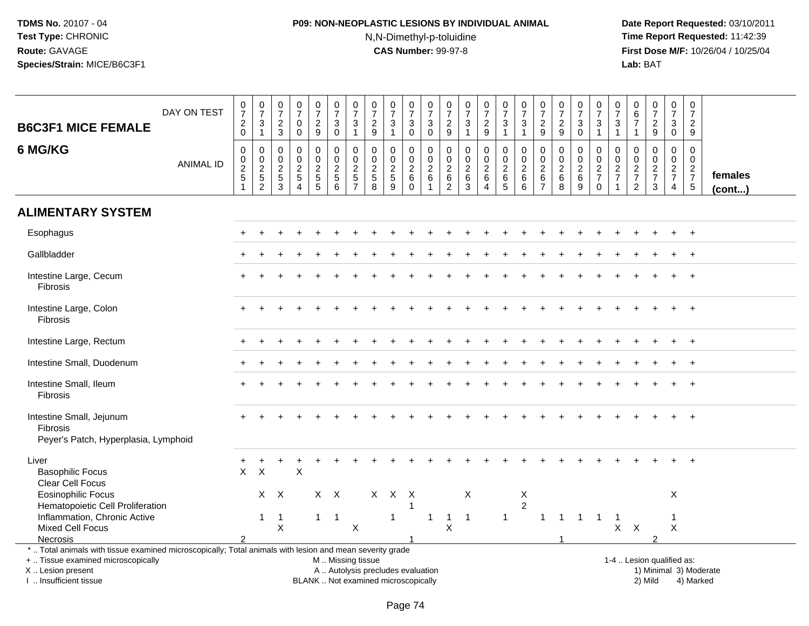# **P09: NON-NEOPLASTIC LESIONS BY INDIVIDUAL ANIMAL**N,N-Dimethyl-p-toluidine

| <b>B6C3F1 MICE FEMALE</b>                                                                                                                                                                     | DAY ON TEST      | $\frac{0}{7}$<br>$\sqrt{2}$<br>$\mathbf 0$                                        | $\frac{0}{7}$<br>$\mathbf{3}$<br>$\overline{1}$ | $\begin{array}{c} 0 \\ 7 \end{array}$<br>$\sqrt{2}$<br>$\mathbf{3}$                 | $\frac{0}{7}$<br>$\Omega$<br>$\mathbf 0$                     | $\begin{array}{c} 0 \\ 7 \end{array}$<br>$\overline{2}$<br>9 | $\frac{0}{7}$<br>$\sqrt{3}$<br>$\mathbf 0$                                                    | $\frac{0}{7}$<br>$\mathbf{3}$<br>$\mathbf{1}$                                     | $\frac{0}{7}$<br>$\overline{2}$<br>9                             | $\frac{0}{7}$<br>3<br>$\mathbf{1}$                    | $\frac{0}{7}$<br>$\sqrt{3}$<br>$\mathbf 0$                           | $\begin{array}{c} 0 \\ 7 \end{array}$<br>$\mathbf{3}$<br>$\mathsf{O}\xspace$ | $\frac{0}{7}$<br>$\frac{2}{9}$                                      | $\frac{0}{7}$<br>$\mathbf{3}$<br>$\overline{1}$              | $\begin{array}{c} 0 \\ 7 \end{array}$<br>$\sqrt{2}$<br>$\boldsymbol{9}$ | $\frac{0}{7}$<br>$\mathfrak{S}$<br>$\mathbf{1}$               | $\begin{array}{c} 0 \\ 7 \end{array}$<br>3<br>$\mathbf{1}$ | $\begin{array}{c} 0 \\ 7 \end{array}$<br>$\sqrt{2}$<br>9        | $\begin{array}{c} 0 \\ 7 \end{array}$<br>$\sqrt{2}$<br>9   | $\frac{0}{7}$<br>$\ensuremath{\mathsf{3}}$<br>$\pmb{0}$         | $\begin{array}{c} 0 \\ 7 \end{array}$<br>$\mathbf{3}$<br>$\mathbf{1}$ | $\frac{0}{7}$<br>$\mathbf{3}$<br>$\mathbf{1}$                           | 0<br>6<br>$\overline{7}$<br>$\mathbf{1}$            | $\frac{0}{7}$<br>$\overline{2}$<br>9                   | $\begin{smallmatrix}0\\7\end{smallmatrix}$<br>3<br>$\mathbf 0$   | $\mathbf 0$<br>$\overline{7}$<br>$\overline{2}$<br>9    |                         |
|-----------------------------------------------------------------------------------------------------------------------------------------------------------------------------------------------|------------------|-----------------------------------------------------------------------------------|-------------------------------------------------|-------------------------------------------------------------------------------------|--------------------------------------------------------------|--------------------------------------------------------------|-----------------------------------------------------------------------------------------------|-----------------------------------------------------------------------------------|------------------------------------------------------------------|-------------------------------------------------------|----------------------------------------------------------------------|------------------------------------------------------------------------------|---------------------------------------------------------------------|--------------------------------------------------------------|-------------------------------------------------------------------------|---------------------------------------------------------------|------------------------------------------------------------|-----------------------------------------------------------------|------------------------------------------------------------|-----------------------------------------------------------------|-----------------------------------------------------------------------|-------------------------------------------------------------------------|-----------------------------------------------------|--------------------------------------------------------|------------------------------------------------------------------|---------------------------------------------------------|-------------------------|
| 6 MG/KG                                                                                                                                                                                       | <b>ANIMAL ID</b> | $\mathbf 0$<br>$\mathsf{O}$<br>$\overline{2}$<br>$\overline{5}$<br>$\overline{1}$ | $\mathbf 0$<br>$\frac{0}{2}$<br>$\overline{2}$  | $\mathbf 0$<br>$\mathsf{O}\xspace$<br>$\overline{2}$<br>$\,$ 5 $\,$<br>$\mathbf{3}$ | 0<br>$\overline{0}$<br>$\overline{a}$<br>5<br>$\overline{4}$ | 0<br>$\overline{0}$<br>$\frac{2}{5}$                         | $\mathbf 0$<br>$\mathbf 0$<br>$\frac{2}{5}$<br>$\,6\,$                                        | $\Omega$<br>$\mathsf{O}\xspace$<br>$\overline{2}$<br>$\sqrt{5}$<br>$\overline{7}$ | $\Omega$<br>$\mathbf 0$<br>$\overline{2}$<br>$\overline{5}$<br>8 | 0<br>$\mathbf 0$<br>$\overline{2}$<br>$\sqrt{5}$<br>9 | $\mathbf 0$<br>$\mathbf 0$<br>$\overline{2}$<br>$\,6$<br>$\mathbf 0$ | $\mathbf 0$<br>$\pmb{0}$<br>$\overline{2}$<br>$\,6$<br>$\overline{1}$        | $\mathbf 0$<br>$\mathbf 0$<br>$\sqrt{2}$<br>$\,6$<br>$\overline{2}$ | $\mathbf 0$<br>$\mathbf 0$<br>$\overline{2}$<br>$\,6\,$<br>3 | 0<br>$\pmb{0}$<br>$\frac{2}{6}$<br>$\overline{4}$                       | 0<br>$\mathbf 0$<br>$\overline{2}$<br>$\,6$<br>5 <sup>5</sup> | 0<br>$\mathbf 0$<br>$\overline{c}$<br>6<br>6               | $\mathbf 0$<br>0<br>$\overline{2}$<br>$\,6\,$<br>$\overline{7}$ | $\mathbf 0$<br>$\mathbf 0$<br>$\overline{2}$<br>$\,6$<br>8 | 0<br>$\mathbf 0$<br>$\overline{2}$<br>$\,6$<br>$\boldsymbol{9}$ | $\mathbf 0$<br>$\mathbf 0$<br>$\frac{2}{7}$<br>$\boldsymbol{0}$       | $\Omega$<br>$\mathbf 0$<br>$\sqrt{2}$<br>$\overline{7}$<br>$\mathbf{1}$ | 0<br>$\mathbf 0$<br>$\frac{2}{7}$<br>$\overline{2}$ | 0<br>$\boldsymbol{0}$<br>$\frac{2}{7}$<br>$\mathbf{3}$ | $\mathbf 0$<br>$\overline{0}$<br>$\frac{2}{7}$<br>$\overline{4}$ | $\Omega$<br>$\mathbf 0$<br>$\frac{2}{7}$<br>$\,$ 5 $\,$ | females<br>$($ cont $)$ |
| <b>ALIMENTARY SYSTEM</b>                                                                                                                                                                      |                  |                                                                                   |                                                 |                                                                                     |                                                              |                                                              |                                                                                               |                                                                                   |                                                                  |                                                       |                                                                      |                                                                              |                                                                     |                                                              |                                                                         |                                                               |                                                            |                                                                 |                                                            |                                                                 |                                                                       |                                                                         |                                                     |                                                        |                                                                  |                                                         |                         |
| Esophagus                                                                                                                                                                                     |                  |                                                                                   |                                                 |                                                                                     |                                                              |                                                              |                                                                                               |                                                                                   |                                                                  |                                                       |                                                                      |                                                                              |                                                                     |                                                              |                                                                         |                                                               |                                                            |                                                                 |                                                            |                                                                 |                                                                       |                                                                         |                                                     |                                                        |                                                                  |                                                         |                         |
| Gallbladder                                                                                                                                                                                   |                  |                                                                                   |                                                 |                                                                                     |                                                              |                                                              |                                                                                               |                                                                                   |                                                                  |                                                       |                                                                      |                                                                              |                                                                     |                                                              |                                                                         |                                                               |                                                            |                                                                 |                                                            |                                                                 |                                                                       |                                                                         |                                                     |                                                        |                                                                  |                                                         |                         |
| Intestine Large, Cecum<br>Fibrosis                                                                                                                                                            |                  |                                                                                   |                                                 |                                                                                     |                                                              |                                                              |                                                                                               |                                                                                   |                                                                  |                                                       |                                                                      |                                                                              |                                                                     |                                                              |                                                                         |                                                               |                                                            |                                                                 |                                                            |                                                                 |                                                                       |                                                                         |                                                     |                                                        |                                                                  |                                                         |                         |
| Intestine Large, Colon<br><b>Fibrosis</b>                                                                                                                                                     |                  |                                                                                   |                                                 |                                                                                     |                                                              |                                                              |                                                                                               |                                                                                   |                                                                  |                                                       |                                                                      |                                                                              |                                                                     |                                                              |                                                                         |                                                               |                                                            |                                                                 |                                                            |                                                                 |                                                                       |                                                                         |                                                     |                                                        |                                                                  |                                                         |                         |
| Intestine Large, Rectum                                                                                                                                                                       |                  |                                                                                   |                                                 |                                                                                     |                                                              |                                                              |                                                                                               |                                                                                   |                                                                  |                                                       |                                                                      |                                                                              |                                                                     |                                                              |                                                                         |                                                               |                                                            |                                                                 |                                                            |                                                                 |                                                                       |                                                                         |                                                     |                                                        |                                                                  |                                                         |                         |
| Intestine Small, Duodenum                                                                                                                                                                     |                  |                                                                                   |                                                 |                                                                                     |                                                              |                                                              |                                                                                               |                                                                                   |                                                                  |                                                       |                                                                      |                                                                              |                                                                     |                                                              |                                                                         |                                                               |                                                            |                                                                 |                                                            |                                                                 |                                                                       |                                                                         |                                                     |                                                        |                                                                  | $\ddot{}$                                               |                         |
| Intestine Small, Ileum<br>Fibrosis                                                                                                                                                            |                  |                                                                                   |                                                 |                                                                                     |                                                              |                                                              |                                                                                               |                                                                                   |                                                                  |                                                       |                                                                      |                                                                              |                                                                     |                                                              |                                                                         |                                                               |                                                            |                                                                 |                                                            |                                                                 |                                                                       |                                                                         |                                                     |                                                        |                                                                  |                                                         |                         |
| Intestine Small, Jejunum<br><b>Fibrosis</b><br>Peyer's Patch, Hyperplasia, Lymphoid                                                                                                           |                  |                                                                                   |                                                 |                                                                                     |                                                              |                                                              |                                                                                               |                                                                                   |                                                                  |                                                       |                                                                      |                                                                              |                                                                     |                                                              |                                                                         |                                                               |                                                            |                                                                 |                                                            |                                                                 |                                                                       |                                                                         |                                                     |                                                        |                                                                  | $+$                                                     |                         |
| Liver<br><b>Basophilic Focus</b><br>Clear Cell Focus                                                                                                                                          |                  | $\sf X$                                                                           | $\boldsymbol{\mathsf{X}}$                       |                                                                                     | $\sf X$                                                      |                                                              |                                                                                               |                                                                                   |                                                                  |                                                       |                                                                      |                                                                              |                                                                     |                                                              |                                                                         |                                                               |                                                            |                                                                 |                                                            |                                                                 |                                                                       |                                                                         |                                                     |                                                        |                                                                  |                                                         |                         |
| <b>Eosinophilic Focus</b><br>Hematopoietic Cell Proliferation                                                                                                                                 |                  |                                                                                   | $\mathsf{X}$                                    | $\mathsf{X}$                                                                        |                                                              | $X$ $X$                                                      |                                                                                               |                                                                                   | $X$ $X$                                                          |                                                       | $\mathsf{X}$                                                         |                                                                              |                                                                     | X                                                            |                                                                         |                                                               | X<br>$\overline{a}$                                        |                                                                 |                                                            |                                                                 |                                                                       |                                                                         |                                                     |                                                        | X                                                                |                                                         |                         |
| Inflammation, Chronic Active<br><b>Mixed Cell Focus</b>                                                                                                                                       |                  |                                                                                   | $\mathbf{1}$                                    | $\overline{1}$<br>$\pmb{\times}$                                                    |                                                              | $\mathbf{1}$                                                 | $\overline{1}$                                                                                | $\mathsf X$                                                                       |                                                                  | $\mathbf{1}$                                          |                                                                      | -1                                                                           | $\pmb{\times}$                                                      | $\overline{1}$                                               |                                                                         | $\mathbf{1}$                                                  |                                                            | $\mathbf{1}$                                                    | $\overline{1}$                                             | $\overline{1}$                                                  | $\overline{1}$                                                        | $\mathbf{1}$<br>$\mathsf{X}$                                            | $\mathsf{X}$                                        |                                                        | -1<br>$\mathsf X$                                                |                                                         |                         |
| <b>Necrosis</b>                                                                                                                                                                               |                  | $\mathcal{P}$                                                                     |                                                 |                                                                                     |                                                              |                                                              |                                                                                               |                                                                                   |                                                                  |                                                       |                                                                      |                                                                              |                                                                     |                                                              |                                                                         |                                                               |                                                            |                                                                 |                                                            |                                                                 |                                                                       |                                                                         |                                                     | $\mathcal{P}$                                          |                                                                  |                                                         |                         |
| *  Total animals with tissue examined microscopically; Total animals with lesion and mean severity grade<br>+  Tissue examined microscopically<br>X  Lesion present<br>I  Insufficient tissue |                  |                                                                                   |                                                 |                                                                                     |                                                              |                                                              | M  Missing tissue<br>A  Autolysis precludes evaluation<br>BLANK  Not examined microscopically |                                                                                   |                                                                  |                                                       |                                                                      |                                                                              |                                                                     |                                                              |                                                                         |                                                               |                                                            |                                                                 |                                                            |                                                                 |                                                                       |                                                                         |                                                     | 1-4  Lesion qualified as:<br>2) Mild                   |                                                                  | 1) Minimal 3) Moderate<br>4) Marked                     |                         |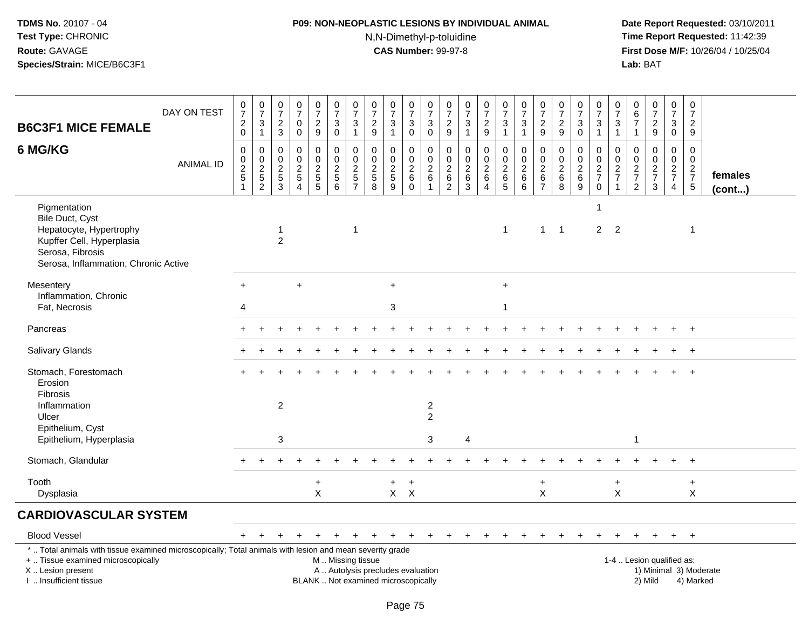# **P09: NON-NEOPLASTIC LESIONS BY INDIVIDUAL ANIMAL**N,N-Dimethyl-p-toluidine

| <b>B6C3F1 MICE FEMALE</b>                                                                                                                                                                     | DAY ON TEST      | $\frac{0}{7}$<br>$^2_{\rm 0}$                              | $\frac{0}{7}$<br>$\sqrt{3}$<br>$\mathbf{1}$ | $\begin{array}{c} 0 \\ 7 \end{array}$<br>$\frac{2}{3}$             | $\frac{0}{7}$<br>$\mathbf 0$<br>$\mathbf 0$                                   | $\begin{smallmatrix}0\\7\end{smallmatrix}$<br>$\overline{\mathbf{c}}$<br>9  | $\frac{0}{7}$<br>$\mathbf{3}$<br>$\mathbf 0$        | $\frac{0}{7}$<br>3<br>$\mathbf{1}$                     | $\begin{array}{c} 0 \\ 7 \end{array}$<br>$\sqrt{2}$<br>$9\,$ | $\frac{0}{7}$<br>$\mathbf{3}$<br>$\mathbf{1}$                              | $\begin{smallmatrix}0\\7\end{smallmatrix}$<br>$\mathsf 3$<br>$\mathbf 0$ | $\frac{0}{7}$<br>$\sqrt{3}$<br>$\mathbf 0$                    | $\frac{0}{7}$<br>$\boldsymbol{2}$<br>9                              | $\frac{0}{7}$<br>$\mathbf{3}$<br>$\mathbf{1}$                             | $\frac{0}{7}$<br>$\overline{a}$<br>9                      | $\begin{array}{c} 0 \\ 7 \end{array}$<br>$\sqrt{3}$<br>$\mathbf{1}$ | $\frac{0}{7}$<br>$\sqrt{3}$<br>$\mathbf{1}$                        | $\begin{array}{c} 0 \\ 7 \end{array}$<br>$\sqrt{2}$<br>9    | $\begin{array}{c} 0 \\ 7 \end{array}$<br>$\sqrt{2}$<br>9 | $\frac{0}{7}$<br>3<br>$\mathbf 0$                   | $\frac{0}{7}$<br>$\mathbf{3}$<br>$\mathbf{1}$              | $\frac{0}{7}$<br>3<br>$\mathbf{1}$                                | 0<br>6<br>$\overline{7}$<br>$\mathbf{1}$                           | $\frac{0}{7}$<br>$\frac{2}{9}$                                                 | $\begin{array}{c} 0 \\ 7 \end{array}$<br>$\ensuremath{\mathsf{3}}$<br>$\mathbf 0$ | $\mathbf 0$<br>$\overline{7}$<br>$\sqrt{2}$<br>9                                  |                   |
|-----------------------------------------------------------------------------------------------------------------------------------------------------------------------------------------------|------------------|------------------------------------------------------------|---------------------------------------------|--------------------------------------------------------------------|-------------------------------------------------------------------------------|-----------------------------------------------------------------------------|-----------------------------------------------------|--------------------------------------------------------|--------------------------------------------------------------|----------------------------------------------------------------------------|--------------------------------------------------------------------------|---------------------------------------------------------------|---------------------------------------------------------------------|---------------------------------------------------------------------------|-----------------------------------------------------------|---------------------------------------------------------------------|--------------------------------------------------------------------|-------------------------------------------------------------|----------------------------------------------------------|-----------------------------------------------------|------------------------------------------------------------|-------------------------------------------------------------------|--------------------------------------------------------------------|--------------------------------------------------------------------------------|-----------------------------------------------------------------------------------|-----------------------------------------------------------------------------------|-------------------|
| 6 MG/KG                                                                                                                                                                                       | <b>ANIMAL ID</b> | $\mathbf 0$<br>$^{\rm 0}_{\rm 2}$<br>$5\,$<br>$\mathbf{1}$ | $\mathbf 0$<br>$\mathbf 0$<br>$\frac{2}{2}$ | $\mathbf 0$<br>0<br>$\overline{2}$<br>$\sqrt{5}$<br>$\overline{3}$ | $\mathbf 0$<br>$\mathbf 0$<br>$\overline{2}$<br>$\,$ 5 $\,$<br>$\overline{4}$ | $\mathbf 0$<br>0<br>$\overline{2}$<br>$\begin{array}{c} 5 \\ 5 \end{array}$ | 0<br>$\mathbf 0$<br>$\frac{2}{5}$<br>$\overline{6}$ | $\Omega$<br>0<br>$\overline{c}$<br>5<br>$\overline{7}$ | $\mathbf 0$<br>0<br>$\sqrt{2}$<br>$\sqrt{5}$<br>8            | $\mathbf 0$<br>$\pmb{0}$<br>$\overline{2}$<br>$\sqrt{5}$<br>$\overline{9}$ | 0<br>$\boldsymbol{0}$<br>$\overline{2}$<br>6<br>$\overline{0}$           | $\mathbf 0$<br>0<br>$\overline{2}$<br>$\,6\,$<br>$\mathbf{1}$ | $\mathbf 0$<br>$\mathbf 0$<br>$\overline{c}$<br>6<br>$\overline{2}$ | $\mathbf 0$<br>$\mathbf 0$<br>$\overline{2}$<br>$\,6\,$<br>$\overline{3}$ | $\mathbf 0$<br>0<br>$\overline{2}$<br>6<br>$\overline{4}$ | $\mathbf 0$<br>$\mathbf 0$<br>$\overline{2}$<br>$6\over 5$          | $\mathbf 0$<br>$\mathbf 0$<br>$\overline{2}$<br>$\,6\,$<br>$\,6\,$ | $\mathbf 0$<br>0<br>$\sqrt{2}$<br>$\,6\,$<br>$\overline{7}$ | $\mathbf 0$<br>$\pmb{0}$<br>$\overline{2}$<br>$\,6$<br>8 | 0<br>0<br>$\overline{2}$<br>$\,6$<br>$\overline{9}$ | $\mathbf 0$<br>$\mathbf 0$<br>$\frac{2}{7}$<br>$\mathbf 0$ | $\Omega$<br>0<br>$\overline{a}$<br>$\overline{7}$<br>$\mathbf{1}$ | $\mathbf 0$<br>0<br>$\sqrt{2}$<br>$\overline{7}$<br>$\overline{2}$ | $\mathbf 0$<br>$\mathbf 0$<br>$\overline{2}$<br>$\overline{7}$<br>$\mathbf{3}$ | $\mathbf 0$<br>$\mathbf 0$<br>$\overline{2}$<br>$\overline{7}$<br>$\overline{4}$  | $\mathbf 0$<br>$\mathbf 0$<br>$\overline{2}$<br>$\overline{7}$<br>$5\phantom{.0}$ | females<br>(cont) |
| Pigmentation<br>Bile Duct, Cyst<br>Hepatocyte, Hypertrophy<br>Kupffer Cell, Hyperplasia<br>Serosa, Fibrosis<br>Serosa, Inflammation, Chronic Active                                           |                  |                                                            |                                             | -1<br>$\overline{2}$                                               |                                                                               |                                                                             |                                                     | $\overline{1}$                                         |                                                              |                                                                            |                                                                          |                                                               |                                                                     |                                                                           |                                                           | $\overline{1}$                                                      |                                                                    | 1                                                           | $\overline{1}$                                           |                                                     | 1<br>$\overline{2}$                                        | 2                                                                 |                                                                    |                                                                                |                                                                                   | 1                                                                                 |                   |
| Mesentery<br>Inflammation, Chronic<br>Fat, Necrosis                                                                                                                                           |                  | $+$<br>4                                                   |                                             |                                                                    | $\ddot{}$                                                                     |                                                                             |                                                     |                                                        |                                                              | $+$<br>$\mathbf{3}$                                                        |                                                                          |                                                               |                                                                     |                                                                           |                                                           | $+$<br>1                                                            |                                                                    |                                                             |                                                          |                                                     |                                                            |                                                                   |                                                                    |                                                                                |                                                                                   |                                                                                   |                   |
| Pancreas                                                                                                                                                                                      |                  |                                                            |                                             |                                                                    |                                                                               |                                                                             |                                                     |                                                        |                                                              |                                                                            |                                                                          |                                                               |                                                                     |                                                                           |                                                           |                                                                     |                                                                    |                                                             |                                                          |                                                     |                                                            |                                                                   |                                                                    |                                                                                |                                                                                   | $+$                                                                               |                   |
| Salivary Glands                                                                                                                                                                               |                  |                                                            |                                             |                                                                    |                                                                               |                                                                             |                                                     |                                                        |                                                              |                                                                            |                                                                          |                                                               |                                                                     |                                                                           |                                                           |                                                                     |                                                                    |                                                             |                                                          |                                                     |                                                            |                                                                   |                                                                    |                                                                                | $\ddot{}$                                                                         | $+$                                                                               |                   |
| Stomach, Forestomach<br>Erosion<br>Fibrosis<br>Inflammation<br>Ulcer                                                                                                                          |                  |                                                            |                                             | $\overline{c}$                                                     |                                                                               |                                                                             |                                                     |                                                        |                                                              |                                                                            |                                                                          | $\sqrt{2}$<br>2                                               |                                                                     |                                                                           |                                                           |                                                                     |                                                                    |                                                             |                                                          |                                                     |                                                            |                                                                   |                                                                    |                                                                                |                                                                                   |                                                                                   |                   |
| Epithelium, Cyst<br>Epithelium, Hyperplasia                                                                                                                                                   |                  |                                                            |                                             | $\mathbf{3}$                                                       |                                                                               |                                                                             |                                                     |                                                        |                                                              |                                                                            |                                                                          | 3                                                             |                                                                     | 4                                                                         |                                                           |                                                                     |                                                                    |                                                             |                                                          |                                                     |                                                            |                                                                   | $\mathbf 1$                                                        |                                                                                |                                                                                   |                                                                                   |                   |
| Stomach, Glandular                                                                                                                                                                            |                  |                                                            |                                             |                                                                    |                                                                               |                                                                             |                                                     |                                                        |                                                              |                                                                            |                                                                          |                                                               |                                                                     |                                                                           |                                                           |                                                                     |                                                                    |                                                             |                                                          |                                                     |                                                            |                                                                   |                                                                    |                                                                                |                                                                                   |                                                                                   |                   |
| Tooth<br>Dysplasia                                                                                                                                                                            |                  |                                                            |                                             |                                                                    |                                                                               | $\ddot{}$<br>$\mathsf{X}$                                                   |                                                     |                                                        |                                                              | $\ddot{}$                                                                  | $\ddot{}$<br>$X$ $X$                                                     |                                                               |                                                                     |                                                                           |                                                           |                                                                     |                                                                    | $\ddot{}$<br>$\times$                                       |                                                          |                                                     |                                                            | $+$<br>$\mathsf{X}$                                               |                                                                    |                                                                                |                                                                                   | $\ddot{}$<br>X                                                                    |                   |
| <b>CARDIOVASCULAR SYSTEM</b>                                                                                                                                                                  |                  |                                                            |                                             |                                                                    |                                                                               |                                                                             |                                                     |                                                        |                                                              |                                                                            |                                                                          |                                                               |                                                                     |                                                                           |                                                           |                                                                     |                                                                    |                                                             |                                                          |                                                     |                                                            |                                                                   |                                                                    |                                                                                |                                                                                   |                                                                                   |                   |
| <b>Blood Vessel</b>                                                                                                                                                                           |                  | $+$                                                        |                                             |                                                                    |                                                                               |                                                                             |                                                     |                                                        |                                                              |                                                                            |                                                                          |                                                               |                                                                     |                                                                           | $\ddot{}$                                                 |                                                                     |                                                                    |                                                             | ÷.                                                       | $\ddot{}$                                           | $\div$                                                     | $+$                                                               | $+$                                                                | $+$                                                                            | $+$                                                                               | $+$                                                                               |                   |
| *  Total animals with tissue examined microscopically; Total animals with lesion and mean severity grade<br>+  Tissue examined microscopically<br>X  Lesion present<br>I. Insufficient tissue |                  |                                                            |                                             |                                                                    |                                                                               |                                                                             |                                                     | M  Missing tissue                                      |                                                              | A  Autolysis precludes evaluation<br>BLANK  Not examined microscopically   |                                                                          |                                                               |                                                                     |                                                                           |                                                           |                                                                     |                                                                    |                                                             |                                                          |                                                     |                                                            |                                                                   | 1-4  Lesion qualified as:                                          | 2) Mild                                                                        |                                                                                   | 1) Minimal 3) Moderate<br>4) Marked                                               |                   |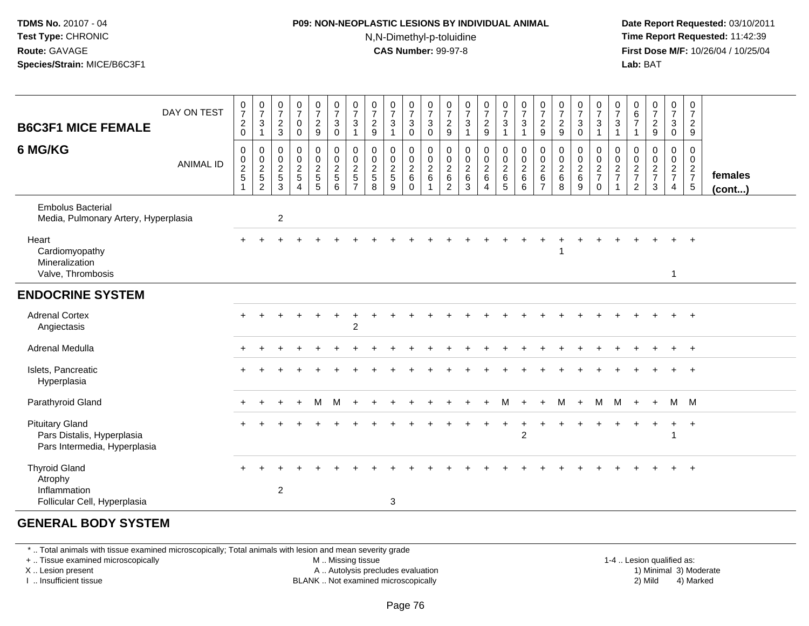#### **P09: NON-NEOPLASTIC LESIONS BY INDIVIDUAL ANIMAL**N,N-Dimethyl-p-toluidine

 **Date Report Requested:** 03/10/2011 **Time Report Requested:** 11:42:39 **First Dose M/F:** 10/26/04 / 10/25/04 Lab: BAT **Lab:** BAT

| <b>B6C3F1 MICE FEMALE</b>                                                            | DAY ON TEST      | $\frac{0}{7}$<br>$^2_{\rm 0}$ | $\frac{0}{7}$<br>$\frac{3}{1}$              | $\frac{0}{7}$<br>$\boldsymbol{2}$<br>$\mathbf{3}$          | $\frac{0}{7}$<br>$\mathbf 0$<br>$\mathbf 0$               | $\frac{0}{7}$<br>$\frac{2}{9}$               | $\begin{smallmatrix}0\\7\end{smallmatrix}$<br>$\mathbf{3}$<br>$\ddot{\mathbf{0}}$ | $\begin{array}{c} 0 \\ 7 \end{array}$<br>$\sqrt{3}$<br>1   | $\frac{0}{7}$<br>$\frac{2}{9}$        | $\frac{0}{7}$<br>$\sqrt{3}$<br>$\overline{1}$               | $\frac{0}{7}$<br>$\mathsf 3$<br>$\mathbf 0$          | $\begin{matrix}0\\7\end{matrix}$<br>3<br>$\mathbf 0$ | $\frac{0}{7}$<br>$\frac{2}{9}$                                | $\frac{0}{7}$<br>$\mathbf{3}$<br>$\overline{1}$ | $\begin{smallmatrix}0\\7\end{smallmatrix}$<br>$\frac{2}{9}$ | $\frac{0}{7}$<br>$\frac{3}{1}$                      | $\begin{array}{c} 0 \\ 7 \\ 3 \end{array}$<br>$\overline{1}$ | $\frac{0}{7}$<br>$\overline{2}$<br>$\boldsymbol{9}$                   | $\frac{0}{7}$<br>$\frac{2}{9}$               | $\frac{0}{7}$<br>3<br>$\mathbf 0$          | $\frac{0}{7}$<br>$\frac{3}{1}$                                      | $\frac{0}{7}$<br>$\frac{3}{1}$               | $\begin{array}{c} 0 \\ 6 \\ 7 \end{array}$<br>$\overline{1}$ | $\frac{0}{7}$<br>$\frac{2}{9}$                                          | $\frac{0}{7}$<br>3<br>$\mathbf 0$                   | $\frac{0}{7}$<br>$\frac{2}{9}$                                                 |                         |
|--------------------------------------------------------------------------------------|------------------|-------------------------------|---------------------------------------------|------------------------------------------------------------|-----------------------------------------------------------|----------------------------------------------|-----------------------------------------------------------------------------------|------------------------------------------------------------|---------------------------------------|-------------------------------------------------------------|------------------------------------------------------|------------------------------------------------------|---------------------------------------------------------------|-------------------------------------------------|-------------------------------------------------------------|-----------------------------------------------------|--------------------------------------------------------------|-----------------------------------------------------------------------|----------------------------------------------|--------------------------------------------|---------------------------------------------------------------------|----------------------------------------------|--------------------------------------------------------------|-------------------------------------------------------------------------|-----------------------------------------------------|--------------------------------------------------------------------------------|-------------------------|
| 6 MG/KG                                                                              | <b>ANIMAL ID</b> | $\pmb{0}$<br>$\frac{0}{2}$    | $\pmb{0}$<br>$\frac{0}{2}$<br>$\frac{5}{2}$ | 0<br>$\boldsymbol{0}$<br>$\overline{2}$<br>$\sqrt{5}$<br>3 | $\pmb{0}$<br>$\pmb{0}$<br>$\overline{2}$<br>5<br>$\Delta$ | 0<br>$\mathbf 0$<br>$\overline{2}$<br>5<br>5 | $\mathsf{O}\xspace$<br>$\frac{0}{2}$<br>$\sqrt{5}$<br>6                           | $\pmb{0}$<br>$\frac{0}{2}$<br>$\sqrt{5}$<br>$\overline{ }$ | 0<br>$\frac{0}{2}$<br>$\sqrt{5}$<br>8 | $\pmb{0}$<br>$\pmb{0}$<br>$\overline{2}$<br>$\sqrt{5}$<br>9 | 0<br>$\pmb{0}$<br>$\overline{2}$<br>6<br>$\mathbf 0$ | $\pmb{0}$<br>$\mathbf 0$<br>$\overline{2}$<br>6<br>1 | 0<br>$\mathsf 0$<br>$\overline{2}$<br>$\,6$<br>$\overline{2}$ | $\mathbf 0$<br>$\frac{0}{2}$<br>6<br>3          | $\pmb{0}$<br>$\frac{0}{2}$<br>$\,6\,$<br>$\overline{4}$     | $\mathbf 0$<br>$\frac{0}{2}$<br>6<br>$\overline{5}$ | $\pmb{0}$<br>$\frac{0}{2}$<br>6<br>6                         | 0<br>$\pmb{0}$<br>$\overline{2}$<br>$6\phantom{1}6$<br>$\overline{7}$ | $\mathbf 0$<br>$\frac{0}{2}$<br>$\,6\,$<br>8 | 0<br>$\pmb{0}$<br>$\overline{2}$<br>6<br>9 | $\pmb{0}$<br>$\frac{0}{2}$<br>$\overline{7}$<br>$\mathsf{O}\xspace$ | $\pmb{0}$<br>$\frac{0}{2}$<br>$\overline{7}$ | 0<br>$\frac{0}{2}$<br>2                                      | $\pmb{0}$<br>$\begin{array}{c} 0 \\ 2 \\ 7 \end{array}$<br>$\mathbf{3}$ | 0<br>$\mathbf 0$<br>$\frac{2}{7}$<br>$\overline{4}$ | $\pmb{0}$<br>$\mathbf 0$<br>$\overline{2}$<br>$\overline{7}$<br>$\overline{5}$ | females<br>$($ cont $)$ |
| <b>Embolus Bacterial</b><br>Media, Pulmonary Artery, Hyperplasia                     |                  |                               |                                             | $\overline{\mathbf{c}}$                                    |                                                           |                                              |                                                                                   |                                                            |                                       |                                                             |                                                      |                                                      |                                                               |                                                 |                                                             |                                                     |                                                              |                                                                       |                                              |                                            |                                                                     |                                              |                                                              |                                                                         |                                                     |                                                                                |                         |
| Heart<br>Cardiomyopathy<br>Mineralization<br>Valve, Thrombosis                       |                  |                               |                                             |                                                            |                                                           |                                              |                                                                                   |                                                            |                                       |                                                             |                                                      |                                                      |                                                               |                                                 |                                                             |                                                     |                                                              |                                                                       |                                              |                                            |                                                                     |                                              |                                                              |                                                                         | 1                                                   |                                                                                |                         |
| <b>ENDOCRINE SYSTEM</b>                                                              |                  |                               |                                             |                                                            |                                                           |                                              |                                                                                   |                                                            |                                       |                                                             |                                                      |                                                      |                                                               |                                                 |                                                             |                                                     |                                                              |                                                                       |                                              |                                            |                                                                     |                                              |                                                              |                                                                         |                                                     |                                                                                |                         |
| <b>Adrenal Cortex</b><br>Angiectasis                                                 |                  |                               |                                             |                                                            |                                                           |                                              |                                                                                   | $\overline{2}$                                             |                                       |                                                             |                                                      |                                                      |                                                               |                                                 |                                                             |                                                     |                                                              |                                                                       |                                              |                                            |                                                                     |                                              |                                                              |                                                                         |                                                     |                                                                                |                         |
| Adrenal Medulla                                                                      |                  |                               |                                             |                                                            |                                                           |                                              |                                                                                   |                                                            |                                       |                                                             |                                                      |                                                      |                                                               |                                                 |                                                             |                                                     |                                                              |                                                                       |                                              |                                            |                                                                     |                                              |                                                              |                                                                         |                                                     |                                                                                |                         |
| Islets, Pancreatic<br>Hyperplasia                                                    |                  |                               |                                             |                                                            |                                                           |                                              |                                                                                   |                                                            |                                       |                                                             |                                                      |                                                      |                                                               |                                                 |                                                             |                                                     |                                                              |                                                                       |                                              |                                            |                                                                     |                                              |                                                              |                                                                         |                                                     |                                                                                |                         |
| Parathyroid Gland                                                                    |                  |                               |                                             |                                                            |                                                           | M                                            | M                                                                                 |                                                            |                                       |                                                             |                                                      |                                                      |                                                               |                                                 |                                                             | м                                                   |                                                              |                                                                       | м                                            | $+$                                        | M                                                                   | M                                            | $+$                                                          | $+$                                                                     |                                                     | M M                                                                            |                         |
| <b>Pituitary Gland</b><br>Pars Distalis, Hyperplasia<br>Pars Intermedia, Hyperplasia |                  |                               |                                             |                                                            |                                                           |                                              |                                                                                   |                                                            |                                       |                                                             |                                                      |                                                      |                                                               |                                                 |                                                             |                                                     | $\overline{2}$                                               |                                                                       |                                              |                                            |                                                                     |                                              |                                                              |                                                                         | -1                                                  | $\overline{ }$                                                                 |                         |
| <b>Thyroid Gland</b><br>Atrophy<br>Inflammation<br>Follicular Cell, Hyperplasia      |                  |                               |                                             | $\overline{c}$                                             |                                                           |                                              |                                                                                   |                                                            |                                       | $\mathbf{3}$                                                |                                                      |                                                      |                                                               |                                                 |                                                             |                                                     |                                                              |                                                                       |                                              |                                            |                                                                     |                                              |                                                              |                                                                         |                                                     |                                                                                |                         |

#### **GENERAL BODY SYSTEM**

\* .. Total animals with tissue examined microscopically; Total animals with lesion and mean severity grade

+ .. Tissue examined microscopically

X .. Lesion present

I .. Insufficient tissue

M .. Missing tissue

A .. Autolysis precludes evaluation

BLANK .. Not examined microscopically 2) Mild 4) Marked

1-4 .. Lesion qualified as:<br>1) Minimal 3) Moderate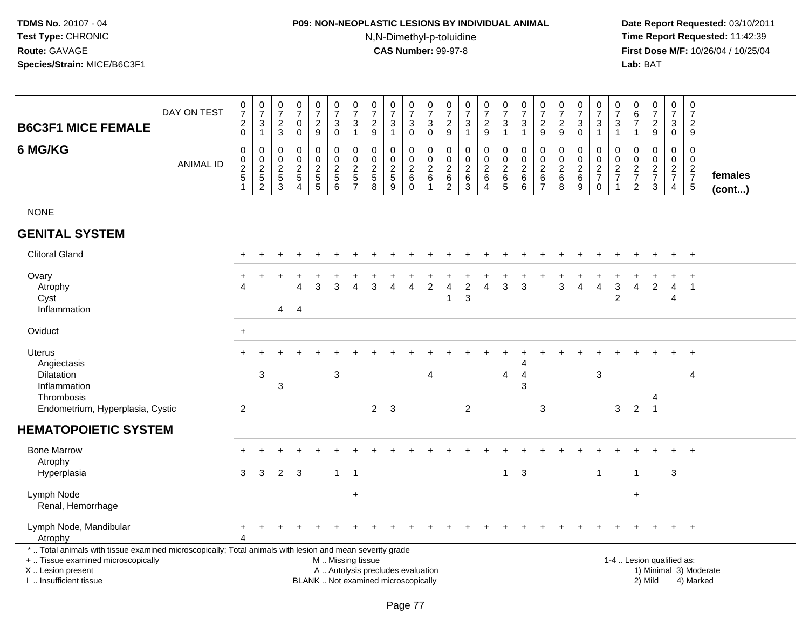# **P09: NON-NEOPLASTIC LESIONS BY INDIVIDUAL ANIMAL**N,N-Dimethyl-p-toluidine

| <b>B6C3F1 MICE FEMALE</b>                                                                                                                                                                     | DAY ON TEST      | $\,0\,$<br>$\overline{7}$<br>$\overline{c}$<br>$\mathsf 0$ | $\begin{array}{c} 0 \\ 7 \end{array}$<br>3<br>$\mathbf{1}$ | $\begin{array}{c} 0 \\ 7 \end{array}$<br>$\overline{c}$<br>$\sqrt{3}$ | $\frac{0}{7}$<br>0<br>$\mathbf 0$                           | $\begin{smallmatrix}0\\7\end{smallmatrix}$<br>$\overline{c}$<br>$\boldsymbol{9}$ | $\frac{0}{7}$<br>$\sqrt{3}$<br>$\boldsymbol{0}$      | $\pmb{0}$<br>$\overline{7}$<br>3<br>$\mathbf{1}$    | 0<br>$\overline{7}$<br>$\overline{2}$<br>$\boldsymbol{9}$ | $\begin{array}{c} 0 \\ 7 \end{array}$<br>3<br>$\mathbf{1}$               | 0<br>$\overline{7}$<br>3<br>$\mathbf 0$          | $\pmb{0}$<br>$\overline{7}$<br>$\mathbf{3}$<br>$\mathbf 0$                | $\,0\,$<br>$\overline{7}$<br>$\overline{c}$<br>$\boldsymbol{9}$ | 0<br>$\overline{7}$<br>3<br>$\mathbf{1}$         | $\frac{0}{7}$<br>$\overline{c}$<br>$\boldsymbol{9}$   | $\begin{smallmatrix}0\\7\end{smallmatrix}$<br>3<br>$\overline{1}$ | $\frac{0}{7}$<br>$\sqrt{3}$<br>$\mathbf{1}$            | $\begin{array}{c} 0 \\ 7 \end{array}$<br>$\overline{c}$<br>$\boldsymbol{9}$ | $\begin{array}{c} 0 \\ 7 \end{array}$<br>$\sqrt{2}$<br>9 | $\begin{array}{c} 0 \\ 7 \end{array}$<br>3<br>$\mathbf 0$ | $\frac{0}{7}$<br>$\mathbf{3}$<br>$\overline{1}$ | $\frac{0}{7}$<br>3<br>$\mathbf{1}$              | 0<br>6<br>7<br>$\mathbf{1}$               | $\frac{0}{7}$<br>$\frac{2}{9}$                                            | $\pmb{0}$<br>$\overline{7}$<br>3<br>$\mathbf 0$               | $\pmb{0}$<br>$\overline{7}$<br>$\overline{2}$<br>$\boldsymbol{9}$ |                         |
|-----------------------------------------------------------------------------------------------------------------------------------------------------------------------------------------------|------------------|------------------------------------------------------------|------------------------------------------------------------|-----------------------------------------------------------------------|-------------------------------------------------------------|----------------------------------------------------------------------------------|------------------------------------------------------|-----------------------------------------------------|-----------------------------------------------------------|--------------------------------------------------------------------------|--------------------------------------------------|---------------------------------------------------------------------------|-----------------------------------------------------------------|--------------------------------------------------|-------------------------------------------------------|-------------------------------------------------------------------|--------------------------------------------------------|-----------------------------------------------------------------------------|----------------------------------------------------------|-----------------------------------------------------------|-------------------------------------------------|-------------------------------------------------|-------------------------------------------|---------------------------------------------------------------------------|---------------------------------------------------------------|-------------------------------------------------------------------|-------------------------|
| 6 MG/KG                                                                                                                                                                                       | <b>ANIMAL ID</b> | $\mathbf 0$<br>0<br>$\frac{2}{5}$<br>$\mathbf{1}$          | 0<br>$\mathbf 0$<br>$\frac{2}{5}$                          | 0<br>$\pmb{0}$<br>$\frac{2}{5}$<br>$\overline{3}$                     | $\mathbf 0$<br>$\pmb{0}$<br>$\frac{2}{5}$<br>$\overline{4}$ | $\pmb{0}$<br>$\mathbf 0$<br>$rac{2}{5}$                                          | $\pmb{0}$<br>$\mathbf 0$<br>$\frac{2}{5}$<br>$\,6\,$ | 0<br>$\mathbf 0$<br>$\frac{2}{5}$<br>$\overline{7}$ | $\mathbf 0$<br>0<br>$\frac{2}{5}$<br>8                    | $\mathbf 0$<br>$\pmb{0}$<br>$\frac{2}{5}$<br>$\overline{9}$              | $\mathbf 0$<br>0<br>$\frac{2}{6}$<br>$\mathbf 0$ | $\mathbf 0$<br>$\begin{array}{c} 0 \\ 2 \\ 6 \end{array}$<br>$\mathbf{1}$ | $\mathbf 0$<br>$\mathbf 0$<br>$\frac{2}{6}$<br>$\overline{2}$   | $\mathbf 0$<br>$\mathbf 0$<br>$\frac{2}{6}$<br>3 | $\mathbf 0$<br>$\boldsymbol{0}$<br>$\frac{2}{6}$<br>4 | $\pmb{0}$<br>$\pmb{0}$<br>$\frac{2}{6}$<br>$\overline{5}$         | $\mathbf 0$<br>$\mathbf 0$<br>$\frac{2}{6}$<br>$\,6\,$ | 0<br>0<br>$\sqrt{2}$<br>6<br>$\overline{7}$                                 | $\mathbf 0$<br>$\pmb{0}$<br>$\frac{2}{6}$<br>8           | 0<br>0<br>$\frac{2}{6}$<br>$\overline{9}$                 | 0<br>$\frac{0}{2}$<br>$\pmb{0}$                 | 0<br>$\pmb{0}$<br>$\frac{2}{7}$<br>$\mathbf{1}$ | 0<br>0<br>$\frac{2}{7}$<br>$\overline{c}$ | $\mathbf 0$<br>$\begin{array}{c} 0 \\ 2 \\ 7 \end{array}$<br>$\mathbf{3}$ | $\mathbf 0$<br>$\mathbf 0$<br>$\frac{2}{7}$<br>$\overline{4}$ | $\mathbf 0$<br>$\mathbf 0$<br>$\frac{2}{7}$<br>5                  | females<br>$($ cont $)$ |
| <b>NONE</b>                                                                                                                                                                                   |                  |                                                            |                                                            |                                                                       |                                                             |                                                                                  |                                                      |                                                     |                                                           |                                                                          |                                                  |                                                                           |                                                                 |                                                  |                                                       |                                                                   |                                                        |                                                                             |                                                          |                                                           |                                                 |                                                 |                                           |                                                                           |                                                               |                                                                   |                         |
| <b>GENITAL SYSTEM</b>                                                                                                                                                                         |                  |                                                            |                                                            |                                                                       |                                                             |                                                                                  |                                                      |                                                     |                                                           |                                                                          |                                                  |                                                                           |                                                                 |                                                  |                                                       |                                                                   |                                                        |                                                                             |                                                          |                                                           |                                                 |                                                 |                                           |                                                                           |                                                               |                                                                   |                         |
| <b>Clitoral Gland</b>                                                                                                                                                                         |                  |                                                            |                                                            |                                                                       |                                                             |                                                                                  |                                                      |                                                     |                                                           |                                                                          |                                                  |                                                                           |                                                                 |                                                  |                                                       |                                                                   |                                                        |                                                                             |                                                          |                                                           |                                                 |                                                 |                                           |                                                                           |                                                               |                                                                   |                         |
| Ovary<br>Atrophy<br>Cyst<br>Inflammation                                                                                                                                                      |                  |                                                            |                                                            | $\overline{4}$                                                        | $\Delta$<br>$\overline{4}$                                  | 3                                                                                | 3                                                    |                                                     | 3                                                         | Δ                                                                        | Δ                                                | $\overline{2}$                                                            | 4<br>1                                                          | $\overline{2}$<br>3                              | $\overline{4}$                                        | 3                                                                 | 3                                                      |                                                                             | 3                                                        | $\overline{4}$                                            | $\overline{4}$                                  | $\mathbf{3}$<br>$\overline{2}$                  | 4                                         | $\overline{2}$                                                            | 4<br>4                                                        | $\overline{1}$                                                    |                         |
| Oviduct                                                                                                                                                                                       |                  | $\ddot{}$                                                  |                                                            |                                                                       |                                                             |                                                                                  |                                                      |                                                     |                                                           |                                                                          |                                                  |                                                                           |                                                                 |                                                  |                                                       |                                                                   |                                                        |                                                                             |                                                          |                                                           |                                                 |                                                 |                                           |                                                                           |                                                               |                                                                   |                         |
| <b>Uterus</b><br>Angiectasis<br>Dilatation<br>Inflammation<br>Thrombosis<br>Endometrium, Hyperplasia, Cystic                                                                                  |                  | $\overline{2}$                                             | 3                                                          | 3                                                                     |                                                             |                                                                                  | 3                                                    |                                                     | $2^{\circ}$                                               | 3                                                                        |                                                  | 4                                                                         |                                                                 | $\overline{c}$                                   |                                                       | $\overline{4}$                                                    | 4<br>3                                                 | 3                                                                           |                                                          |                                                           | 3                                               | 3                                               | $\overline{2}$                            | 4<br>$\overline{1}$                                                       |                                                               | 4                                                                 |                         |
| <b>HEMATOPOIETIC SYSTEM</b>                                                                                                                                                                   |                  |                                                            |                                                            |                                                                       |                                                             |                                                                                  |                                                      |                                                     |                                                           |                                                                          |                                                  |                                                                           |                                                                 |                                                  |                                                       |                                                                   |                                                        |                                                                             |                                                          |                                                           |                                                 |                                                 |                                           |                                                                           |                                                               |                                                                   |                         |
| <b>Bone Marrow</b><br>Atrophy<br>Hyperplasia                                                                                                                                                  |                  | 3                                                          | 3                                                          | $\overline{2}$                                                        | 3                                                           |                                                                                  | $\mathbf{1}$                                         | $\overline{1}$                                      |                                                           |                                                                          |                                                  |                                                                           |                                                                 |                                                  |                                                       | $\mathbf{1}$                                                      | 3                                                      |                                                                             |                                                          |                                                           | $\mathbf 1$                                     |                                                 | -1                                        |                                                                           | 3                                                             |                                                                   |                         |
| Lymph Node<br>Renal, Hemorrhage                                                                                                                                                               |                  |                                                            |                                                            |                                                                       |                                                             |                                                                                  |                                                      | $\ddot{}$                                           |                                                           |                                                                          |                                                  |                                                                           |                                                                 |                                                  |                                                       |                                                                   |                                                        |                                                                             |                                                          |                                                           |                                                 |                                                 | $\ddot{}$                                 |                                                                           |                                                               |                                                                   |                         |
| Lymph Node, Mandibular<br>Atrophy                                                                                                                                                             |                  | +                                                          | $\div$                                                     |                                                                       |                                                             |                                                                                  |                                                      |                                                     |                                                           |                                                                          |                                                  |                                                                           |                                                                 |                                                  |                                                       |                                                                   |                                                        |                                                                             |                                                          |                                                           |                                                 |                                                 |                                           |                                                                           | $+$                                                           | $+$                                                               |                         |
| *  Total animals with tissue examined microscopically; Total animals with lesion and mean severity grade<br>+  Tissue examined microscopically<br>X  Lesion present<br>I. Insufficient tissue |                  |                                                            |                                                            |                                                                       |                                                             |                                                                                  | M  Missing tissue                                    |                                                     |                                                           | A  Autolysis precludes evaluation<br>BLANK  Not examined microscopically |                                                  |                                                                           |                                                                 |                                                  |                                                       |                                                                   |                                                        |                                                                             |                                                          |                                                           |                                                 |                                                 |                                           | 1-4  Lesion qualified as:<br>2) Mild                                      |                                                               | 1) Minimal 3) Moderate<br>4) Marked                               |                         |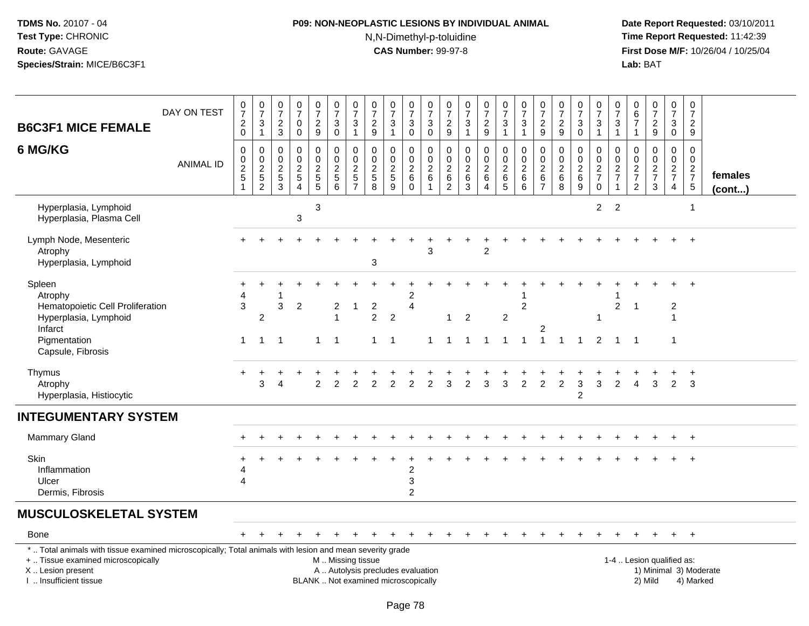# **P09: NON-NEOPLASTIC LESIONS BY INDIVIDUAL ANIMAL**N,N-Dimethyl-p-toluidine

| <b>B6C3F1 MICE FEMALE</b>                                                                                                                                                                     | DAY ON TEST      | $\frac{0}{7}$<br>$^2_{\rm 0}$                     | $\frac{0}{7}$<br>$\frac{3}{1}$          | 0<br>$\overline{7}$<br>$\sqrt{2}$<br>$\mathbf{3}$           | $\frac{0}{7}$<br>$\mathbf 0$<br>$\mathbf 0$                                  | $\frac{0}{7}$<br>$\overline{c}$<br>9 | $\frac{0}{7}$<br>3<br>$\mathbf 0$      | $\frac{0}{7}$<br>$\ensuremath{\mathsf{3}}$<br>$\mathbf{1}$ | $\begin{array}{c} 0 \\ 7 \end{array}$<br>$\overline{c}$<br>9 | $\begin{array}{c} 0 \\ 7 \end{array}$<br>$\sqrt{3}$<br>$\mathbf{1}$      | $\frac{0}{7}$<br>$\sqrt{3}$<br>$\mathsf 0$ | $\begin{array}{c} 0 \\ 7 \end{array}$<br>$\sqrt{3}$<br>$\overline{0}$ | $\begin{smallmatrix}0\\7\end{smallmatrix}$<br>$\boldsymbol{2}$<br>9    | $\frac{0}{7}$<br>$\sqrt{3}$<br>$\mathbf{1}$     | $\frac{0}{7}$<br>$\frac{2}{9}$                                | $\begin{array}{c} 0 \\ 7 \\ 3 \end{array}$<br>$\mathbf{1}$             | $\frac{0}{7}$<br>$\ensuremath{\mathsf{3}}$<br>$\mathbf{1}$ | 0729                                    | $\begin{array}{c} 0 \\ 7 \end{array}$<br>$\sqrt{2}$<br>$\boldsymbol{9}$ | $\frac{0}{7}$<br>$\sqrt{3}$<br>$\pmb{0}$ | $\frac{0}{7}$<br>$\ensuremath{\mathsf{3}}$<br>$\mathbf{1}$ | 0<br>$\overline{7}$<br>3<br>$\mathbf{1}$ | 0<br>$6\phantom{a}$<br>$\overline{7}$<br>$\mathbf{1}$ | $\frac{0}{7}$<br>$\frac{2}{9}$                   | $\begin{array}{c} 0 \\ 7 \end{array}$<br>$\mathbf{3}$<br>$\mathbf 0$ | $\mathbf 0$<br>$\overline{7}$<br>$\overline{2}$<br>9       |                         |
|-----------------------------------------------------------------------------------------------------------------------------------------------------------------------------------------------|------------------|---------------------------------------------------|-----------------------------------------|-------------------------------------------------------------|------------------------------------------------------------------------------|--------------------------------------|----------------------------------------|------------------------------------------------------------|--------------------------------------------------------------|--------------------------------------------------------------------------|--------------------------------------------|-----------------------------------------------------------------------|------------------------------------------------------------------------|-------------------------------------------------|---------------------------------------------------------------|------------------------------------------------------------------------|------------------------------------------------------------|-----------------------------------------|-------------------------------------------------------------------------|------------------------------------------|------------------------------------------------------------|------------------------------------------|-------------------------------------------------------|--------------------------------------------------|----------------------------------------------------------------------|------------------------------------------------------------|-------------------------|
| 6 MG/KG                                                                                                                                                                                       | <b>ANIMAL ID</b> | 0<br>$\pmb{0}$<br>$\frac{2}{5}$<br>$\overline{1}$ | $\mathbf 0$<br>$0$<br>$2$<br>$5$<br>$2$ | $\mathbf 0$<br>$\mathbf 0$<br>$\frac{2}{5}$<br>$\mathbf{3}$ | 0<br>$\mathbf 0$<br>$\boldsymbol{2}$<br>$\sqrt{5}$<br>$\boldsymbol{\Lambda}$ | 0<br>$\mathsf 0$<br>$\frac{2}{5}$    | 0<br>$\mathbf 0$<br>$\frac{2}{5}$<br>6 | $\pmb{0}$<br>$\mathsf 0$<br>$\frac{2}{5}$                  | 0<br>0<br>$\frac{2}{5}$<br>8                                 | $\mathbf 0$<br>$\pmb{0}$<br>$rac{2}{9}$                                  | 0<br>0<br>$^2\phantom{1}6$<br>$\Omega$     | $\mathbf 0$<br>$\mathsf 0$<br>$\frac{2}{6}$<br>$\overline{1}$         | 0<br>$\mathbf 0$<br>$\overline{c}$<br>$\overline{6}$<br>$\overline{2}$ | $\pmb{0}$<br>$\pmb{0}$<br>$^2\phantom{1}6$<br>3 | 0<br>$\overline{0}$<br>$\frac{2}{6}$<br>$\boldsymbol{\Delta}$ | $\pmb{0}$<br>$\mathbf 0$<br>$\begin{array}{c} 2 \\ 6 \\ 5 \end{array}$ | 0<br>$\mathbf 0$<br>$^2\phantom{1}6$<br>6                  | $\pmb{0}$<br>$\mathbf 0$<br>$rac{2}{6}$ | 0<br>$\mathbf 0$<br>$^{\,2}_{\,6}$<br>8                                 | 0<br>$\pmb{0}$<br>$\frac{2}{6}$<br>9     | $\mathbf 0$<br>0<br>$\frac{2}{7}$<br>$\mathbf 0$           | 0<br>$\mathbf 0$<br>$\frac{2}{7}$        | 0<br>$\mathbf 0$<br>$\frac{2}{7}$<br>2                | $\mathbf 0$<br>$\mathsf 0$<br>$\frac{2}{7}$<br>3 | $\mathbf 0$<br>$\overline{0}$<br>$\frac{2}{7}$<br>$\overline{4}$     | $\mathbf 0$<br>$\mathbf 0$<br>$\frac{2}{7}$<br>$\,$ 5 $\,$ | females<br>$($ cont $)$ |
| Hyperplasia, Lymphoid<br>Hyperplasia, Plasma Cell                                                                                                                                             |                  |                                                   |                                         |                                                             | 3                                                                            | 3                                    |                                        |                                                            |                                                              |                                                                          |                                            |                                                                       |                                                                        |                                                 |                                                               |                                                                        |                                                            |                                         |                                                                         |                                          | 2                                                          | $\overline{2}$                           |                                                       |                                                  |                                                                      | $\overline{\mathbf{1}}$                                    |                         |
| Lymph Node, Mesenteric<br>Atrophy<br>Hyperplasia, Lymphoid                                                                                                                                    |                  |                                                   |                                         |                                                             |                                                                              |                                      |                                        |                                                            | 3                                                            |                                                                          |                                            |                                                                       |                                                                        |                                                 | $\mathfrak{p}$                                                |                                                                        |                                                            |                                         |                                                                         |                                          |                                                            |                                          |                                                       |                                                  |                                                                      |                                                            |                         |
| Spleen<br>Atrophy<br>Hematopoietic Cell Proliferation<br>Hyperplasia, Lymphoid<br>Infarct<br>Pigmentation                                                                                     |                  | 4<br>$\mathfrak{S}$<br>$\mathbf{1}$               | $\overline{2}$<br>$\mathbf{1}$          | 3<br>$\overline{1}$                                         | $\overline{2}$                                                               | $\mathbf{1}$                         | 2<br>$\mathbf 1$                       | 1                                                          | $\overline{c}$<br>$\overline{2}$<br>$\mathbf{1}$             | $\overline{2}$<br>$\overline{\phantom{0}}$ 1                             | 2<br>$\overline{\mathbf{4}}$               | 1                                                                     | $\mathbf{1}$                                                           | 2<br>1 1                                        | $\overline{1}$                                                | $\overline{2}$<br>$\mathbf{1}$                                         | $\overline{2}$<br>$\mathbf{1}$                             | 2<br>$\overline{1}$                     | $\overline{1}$                                                          | $\overline{1}$                           | 2                                                          | $\overline{c}$<br>$\mathbf{1}$           | -1<br>$\mathbf 1$                                     |                                                  | $\overline{c}$<br>$\mathbf{1}$                                       | $\overline{+}$                                             |                         |
| Capsule, Fibrosis<br>Thymus<br>Atrophy<br>Hyperplasia, Histiocytic                                                                                                                            |                  |                                                   | 3                                       | 4                                                           |                                                                              | $\overline{2}$                       | $\overline{c}$                         | $\overline{2}$                                             | $\overline{2}$                                               | 2                                                                        | $\overline{c}$                             | 2                                                                     | 3                                                                      | $\overline{2}$                                  | 3                                                             | 3                                                                      | 2                                                          | 2                                       | $\overline{c}$                                                          | 3<br>$\overline{c}$                      | 3                                                          | $\overline{2}$                           | 4                                                     | 3                                                | $\overline{2}$                                                       | 3                                                          |                         |
| <b>INTEGUMENTARY SYSTEM</b>                                                                                                                                                                   |                  |                                                   |                                         |                                                             |                                                                              |                                      |                                        |                                                            |                                                              |                                                                          |                                            |                                                                       |                                                                        |                                                 |                                                               |                                                                        |                                                            |                                         |                                                                         |                                          |                                                            |                                          |                                                       |                                                  |                                                                      |                                                            |                         |
| <b>Mammary Gland</b>                                                                                                                                                                          |                  |                                                   |                                         |                                                             |                                                                              |                                      |                                        |                                                            |                                                              |                                                                          |                                            |                                                                       |                                                                        |                                                 |                                                               |                                                                        |                                                            |                                         |                                                                         |                                          |                                                            |                                          |                                                       |                                                  |                                                                      |                                                            |                         |
| Skin<br>Inflammation<br>Ulcer<br>Dermis, Fibrosis                                                                                                                                             |                  | 4<br>4                                            |                                         |                                                             |                                                                              |                                      |                                        |                                                            |                                                              |                                                                          | 2<br>3<br>2                                |                                                                       |                                                                        |                                                 |                                                               |                                                                        |                                                            |                                         |                                                                         |                                          |                                                            |                                          |                                                       |                                                  |                                                                      |                                                            |                         |
| <b>MUSCULOSKELETAL SYSTEM</b>                                                                                                                                                                 |                  |                                                   |                                         |                                                             |                                                                              |                                      |                                        |                                                            |                                                              |                                                                          |                                            |                                                                       |                                                                        |                                                 |                                                               |                                                                        |                                                            |                                         |                                                                         |                                          |                                                            |                                          |                                                       |                                                  |                                                                      |                                                            |                         |
| <b>Bone</b>                                                                                                                                                                                   |                  |                                                   |                                         |                                                             |                                                                              |                                      |                                        |                                                            |                                                              |                                                                          |                                            |                                                                       |                                                                        |                                                 |                                                               |                                                                        |                                                            |                                         |                                                                         |                                          |                                                            |                                          |                                                       | $\div$                                           | $+$                                                                  | $+$                                                        |                         |
| *  Total animals with tissue examined microscopically; Total animals with lesion and mean severity grade<br>+  Tissue examined microscopically<br>X  Lesion present<br>I  Insufficient tissue |                  |                                                   |                                         |                                                             |                                                                              |                                      | M  Missing tissue                      |                                                            |                                                              | A  Autolysis precludes evaluation<br>BLANK  Not examined microscopically |                                            |                                                                       |                                                                        |                                                 |                                                               |                                                                        |                                                            |                                         |                                                                         |                                          |                                                            |                                          |                                                       | 1-4  Lesion qualified as:<br>2) Mild             |                                                                      | 4) Marked                                                  | 1) Minimal 3) Moderate  |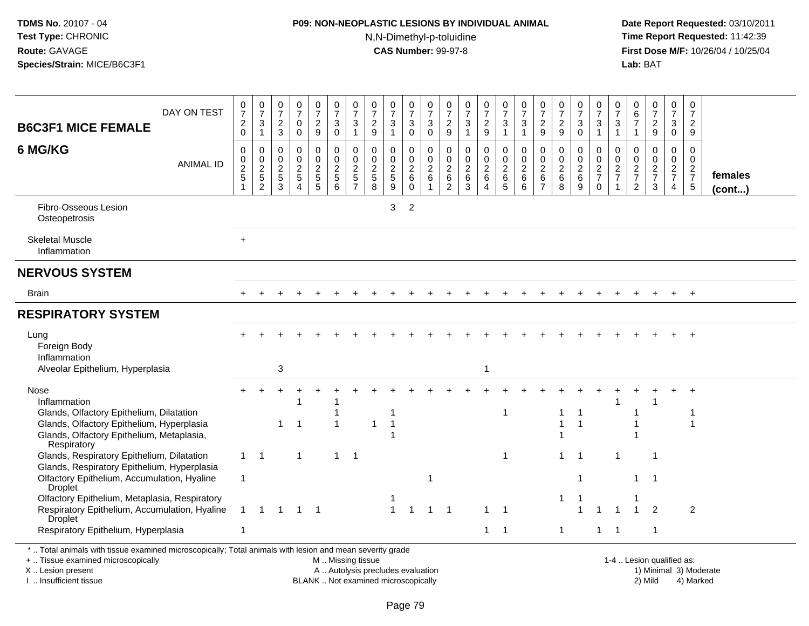# **P09: NON-NEOPLASTIC LESIONS BY INDIVIDUAL ANIMAL**

N,N-Dimethyl-p-toluidine

 **Date Report Requested:** 03/10/2011 **Time Report Requested:** 11:42:39 **First Dose M/F:** 10/26/04 / 10/25/04 Lab: BAT **Lab:** BAT

| <b>B6C3F1 MICE FEMALE</b>                                                                                 | DAY ON TEST      | $\frac{0}{7}$<br>$^2_{\rm 0}$             | $\frac{0}{7}$<br>$\ensuremath{\mathsf{3}}$<br>$\mathbf{1}$ | $\frac{0}{7}$<br>$\overline{c}$<br>3                        | $\frac{0}{7}$<br>0<br>$\Omega$                                                         | $\frac{0}{7}$<br>$\overline{c}$<br>9                   | $\frac{0}{7}$<br>3<br>$\mathbf 0$                                      | $\frac{0}{7}$<br>3<br>$\mathbf{1}$                     | $\frac{0}{7}$<br>$\overline{c}$<br>9                      | $\frac{0}{7}$<br>3<br>$\overline{\mathbf{1}}$                       | $\frac{0}{7}$<br>3<br>$\mathbf 0$           | 0<br>$\overline{7}$<br>$\sqrt{3}$<br>$\mathbf 0$                           | $\frac{0}{7}$<br>$\overline{\mathbf{c}}$<br>9        | 0<br>$\overline{7}$<br>$\sqrt{3}$<br>$\overline{1}$            | $\frac{0}{7}$<br>$\overline{c}$<br>9                                  | $\frac{0}{7}$<br>3<br>$\overline{1}$               | $\frac{0}{7}$<br>$\sqrt{3}$<br>$\mathbf{1}$            | $\frac{0}{7}$<br>$\overline{c}$<br>9                                           | $\frac{0}{7}$<br>$\frac{2}{9}$                                              | $\frac{0}{7}$<br>3<br>$\Omega$             | $\frac{0}{7}$<br>$\ensuremath{\mathsf{3}}$<br>$\mathbf{1}$ | 0<br>$\overline{7}$<br>$\sqrt{3}$<br>$\mathbf{1}$        | 0<br>$\,6$<br>$\overline{7}$<br>-1                             | 0<br>$\overline{7}$<br>$\overline{c}$<br>9               | $\frac{0}{7}$<br>3<br>$\mathbf 0$                   | 0<br>$\overline{7}$<br>$\overline{a}$<br>9                     |                   |
|-----------------------------------------------------------------------------------------------------------|------------------|-------------------------------------------|------------------------------------------------------------|-------------------------------------------------------------|----------------------------------------------------------------------------------------|--------------------------------------------------------|------------------------------------------------------------------------|--------------------------------------------------------|-----------------------------------------------------------|---------------------------------------------------------------------|---------------------------------------------|----------------------------------------------------------------------------|------------------------------------------------------|----------------------------------------------------------------|-----------------------------------------------------------------------|----------------------------------------------------|--------------------------------------------------------|--------------------------------------------------------------------------------|-----------------------------------------------------------------------------|--------------------------------------------|------------------------------------------------------------|----------------------------------------------------------|----------------------------------------------------------------|----------------------------------------------------------|-----------------------------------------------------|----------------------------------------------------------------|-------------------|
| 6 MG/KG                                                                                                   | <b>ANIMAL ID</b> | $\mathbf 0$<br>$\pmb{0}$<br>$\frac{2}{5}$ | 0<br>$\pmb{0}$<br>$\frac{2}{5}$<br>$\overline{2}$          | 0<br>$\mathbf 0$<br>$\boldsymbol{2}$<br>$\overline{5}$<br>3 | $\mathbf 0$<br>$\pmb{0}$<br>$\overline{2}$<br>$\overline{5}$<br>$\boldsymbol{\Lambda}$ | 0<br>$\mathsf{O}\xspace$<br>$\boldsymbol{2}$<br>5<br>5 | $\mathbf 0$<br>$\mathbf 0$<br>$\boldsymbol{2}$<br>$5\phantom{.0}$<br>6 | 0<br>$\frac{0}{2}$<br>$\overline{5}$<br>$\overline{7}$ | $\mathbf 0$<br>$\pmb{0}$<br>$\sqrt{2}$<br>$\sqrt{5}$<br>8 | $\mathbf 0$<br>$\mathbf 0$<br>$\overline{2}$<br>$\overline{5}$<br>9 | 0<br>0<br>$\sqrt{2}$<br>$\,6\,$<br>$\Omega$ | $\Omega$<br>$\mathbf 0$<br>$\sqrt{2}$<br>$6\phantom{1}6$<br>$\overline{1}$ | $\mathbf 0$<br>$\pmb{0}$<br>$\overline{2}$<br>6<br>2 | $\mathbf 0$<br>$\mathbf 0$<br>$\boldsymbol{2}$<br>$\,6\,$<br>3 | 0<br>$\pmb{0}$<br>$\overline{2}$<br>$\,6\,$<br>$\boldsymbol{\Lambda}$ | 0<br>$\mathsf 0$<br>$\overline{c}$<br>$\,6\,$<br>5 | $\mathbf 0$<br>$\pmb{0}$<br>$\sqrt{2}$<br>$\,6\,$<br>6 | $\mathbf 0$<br>$\boldsymbol{0}$<br>$\overline{2}$<br>$\,6\,$<br>$\overline{7}$ | $\mathbf 0$<br>$\begin{smallmatrix} 0\\2 \end{smallmatrix}$<br>$\,6\,$<br>8 | 0<br>$\pmb{0}$<br>$\overline{2}$<br>6<br>9 | 0<br>$\pmb{0}$<br>$\frac{2}{7}$<br>$\mathbf 0$             | $\Omega$<br>$\mathsf 0$<br>$\frac{2}{7}$<br>$\mathbf{1}$ | 0<br>0<br>$\boldsymbol{2}$<br>$\overline{7}$<br>$\overline{2}$ | $\Omega$<br>$\mathbf 0$<br>$\frac{2}{7}$<br>$\mathbf{3}$ | 0<br>$\mathbf 0$<br>$\frac{2}{7}$<br>$\overline{4}$ | $\mathbf 0$<br>$\mathbf 0$<br>$\frac{2}{7}$<br>$5\phantom{.0}$ | females<br>(cont) |
| Fibro-Osseous Lesion<br>Osteopetrosis                                                                     |                  |                                           |                                                            |                                                             |                                                                                        |                                                        |                                                                        |                                                        |                                                           | 3                                                                   | $\overline{2}$                              |                                                                            |                                                      |                                                                |                                                                       |                                                    |                                                        |                                                                                |                                                                             |                                            |                                                            |                                                          |                                                                |                                                          |                                                     |                                                                |                   |
| <b>Skeletal Muscle</b><br>Inflammation                                                                    |                  | $\ddot{}$                                 |                                                            |                                                             |                                                                                        |                                                        |                                                                        |                                                        |                                                           |                                                                     |                                             |                                                                            |                                                      |                                                                |                                                                       |                                                    |                                                        |                                                                                |                                                                             |                                            |                                                            |                                                          |                                                                |                                                          |                                                     |                                                                |                   |
| <b>NERVOUS SYSTEM</b>                                                                                     |                  |                                           |                                                            |                                                             |                                                                                        |                                                        |                                                                        |                                                        |                                                           |                                                                     |                                             |                                                                            |                                                      |                                                                |                                                                       |                                                    |                                                        |                                                                                |                                                                             |                                            |                                                            |                                                          |                                                                |                                                          |                                                     |                                                                |                   |
| <b>Brain</b>                                                                                              |                  |                                           |                                                            |                                                             |                                                                                        |                                                        |                                                                        |                                                        |                                                           |                                                                     |                                             |                                                                            |                                                      |                                                                |                                                                       |                                                    |                                                        |                                                                                |                                                                             |                                            |                                                            |                                                          |                                                                |                                                          | $\ddot{}$                                           | $+$                                                            |                   |
| <b>RESPIRATORY SYSTEM</b>                                                                                 |                  |                                           |                                                            |                                                             |                                                                                        |                                                        |                                                                        |                                                        |                                                           |                                                                     |                                             |                                                                            |                                                      |                                                                |                                                                       |                                                    |                                                        |                                                                                |                                                                             |                                            |                                                            |                                                          |                                                                |                                                          |                                                     |                                                                |                   |
| Lung<br>Foreign Body<br>Inflammation                                                                      |                  |                                           |                                                            |                                                             |                                                                                        |                                                        |                                                                        |                                                        |                                                           |                                                                     |                                             |                                                                            |                                                      |                                                                |                                                                       |                                                    |                                                        |                                                                                |                                                                             |                                            |                                                            |                                                          |                                                                |                                                          |                                                     |                                                                |                   |
| Alveolar Epithelium, Hyperplasia                                                                          |                  |                                           |                                                            | 3                                                           |                                                                                        |                                                        |                                                                        |                                                        |                                                           |                                                                     |                                             |                                                                            |                                                      |                                                                |                                                                       |                                                    |                                                        |                                                                                |                                                                             |                                            |                                                            |                                                          |                                                                |                                                          |                                                     |                                                                |                   |
| Nose<br>Inflammation<br>Glands, Olfactory Epithelium, Dilatation                                          |                  |                                           |                                                            |                                                             |                                                                                        |                                                        |                                                                        |                                                        |                                                           |                                                                     |                                             |                                                                            |                                                      |                                                                |                                                                       | -1                                                 |                                                        |                                                                                | 1                                                                           | -1                                         |                                                            |                                                          |                                                                |                                                          |                                                     |                                                                |                   |
| Glands, Olfactory Epithelium, Hyperplasia<br>Glands, Olfactory Epithelium, Metaplasia,<br>Respiratory     |                  |                                           |                                                            | -1                                                          | $\overline{1}$                                                                         |                                                        |                                                                        |                                                        | 1                                                         | -1                                                                  |                                             |                                                                            |                                                      |                                                                |                                                                       |                                                    |                                                        |                                                                                |                                                                             |                                            |                                                            |                                                          |                                                                |                                                          |                                                     |                                                                |                   |
| Glands, Respiratory Epithelium, Dilatation<br>Glands, Respiratory Epithelium, Hyperplasia                 |                  | $\mathbf{1}$                              | $\overline{\phantom{1}}$                                   |                                                             | $\mathbf 1$                                                                            |                                                        | 1                                                                      | $\overline{1}$                                         |                                                           |                                                                     |                                             |                                                                            |                                                      |                                                                |                                                                       | $\mathbf 1$                                        |                                                        |                                                                                | 1                                                                           | $\overline{1}$                             |                                                            |                                                          |                                                                | -1                                                       |                                                     |                                                                |                   |
| Olfactory Epithelium, Accumulation, Hyaline<br>Droplet                                                    |                  | $\mathbf{1}$                              |                                                            |                                                             |                                                                                        |                                                        |                                                                        |                                                        |                                                           |                                                                     |                                             | -1                                                                         |                                                      |                                                                |                                                                       |                                                    |                                                        |                                                                                |                                                                             |                                            |                                                            |                                                          | -1                                                             | $\overline{1}$                                           |                                                     |                                                                |                   |
| Olfactory Epithelium, Metaplasia, Respiratory<br>Respiratory Epithelium, Accumulation, Hyaline<br>Droplet |                  | $\mathbf{1}$                              | $\overline{1}$                                             | -1                                                          |                                                                                        | $1 \quad 1$                                            |                                                                        |                                                        |                                                           | -1                                                                  |                                             | -1                                                                         | $\overline{1}$                                       |                                                                | 1                                                                     | -1                                                 |                                                        |                                                                                | 1                                                                           |                                            |                                                            |                                                          | 1                                                              | $\mathcal{P}$                                            |                                                     | 2                                                              |                   |
| Respiratory Epithelium, Hyperplasia                                                                       |                  | 1                                         |                                                            |                                                             |                                                                                        |                                                        |                                                                        |                                                        |                                                           |                                                                     |                                             |                                                                            |                                                      |                                                                | $\mathbf{1}$                                                          | $\overline{1}$                                     |                                                        |                                                                                | $\mathbf{1}$                                                                |                                            | 1                                                          | -1                                                       |                                                                | $\mathbf{1}$                                             |                                                     |                                                                |                   |

\* .. Total animals with tissue examined microscopically; Total animals with lesion and mean severity grade

+ .. Tissue examined microscopically

X .. Lesion present

I .. Insufficient tissue

M .. Missing tissue

A .. Autolysis precludes evaluation

BLANK .. Not examined microscopically 2) Mild 4) Marked

1-4 .. Lesion qualified as:<br>1) Minimal 3) Moderate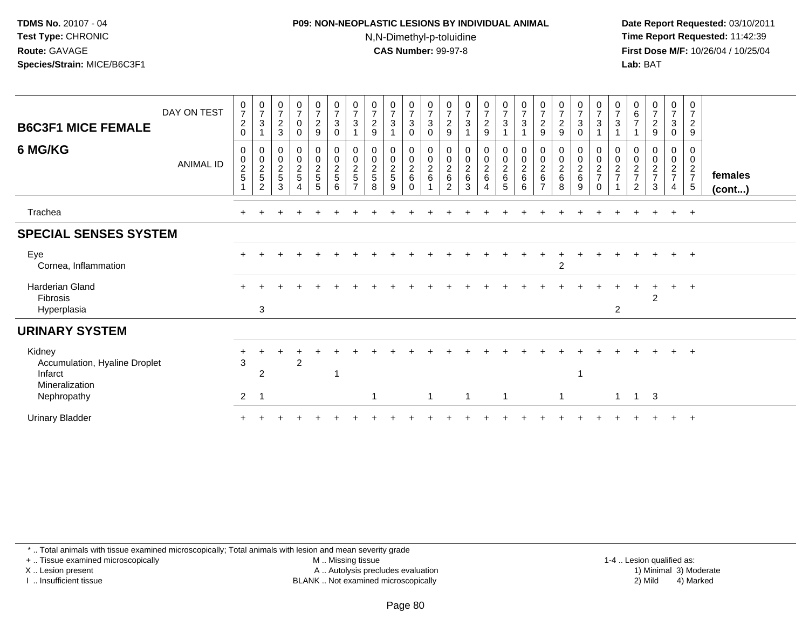#### **P09: NON-NEOPLASTIC LESIONS BY INDIVIDUAL ANIMAL**N,N-Dimethyl-p-toluidine

 **Date Report Requested:** 03/10/2011 **Time Report Requested:** 11:42:39 **First Dose M/F:** 10/26/04 / 10/25/04 Lab: BAT **Lab:** BAT

| <b>B6C3F1 MICE FEMALE</b><br>6 MG/KG                                                | DAY ON TEST<br><b>ANIMAL ID</b> | $\frac{0}{7}$<br>$\overline{\mathbf{c}}$<br>$\mathbf 0$<br>0<br>$\pmb{0}$<br>$\frac{2}{5}$ | $\frac{0}{7}$<br>$\mathbf{3}$<br>$\overline{\mathbf{A}}$<br>0<br>$\pmb{0}$<br>$\frac{2}{5}$<br>$\overline{c}$ | $\frac{0}{7}$<br>$\sqrt{2}$<br>3<br>0<br>$\pmb{0}$<br>$\boldsymbol{2}$<br>$\mathbf 5$<br>3 | $\frac{0}{7}$<br>0<br>$\mathbf 0$<br>0<br>$\mathbf 0$<br>$\frac{2}{5}$<br>4 | $\frac{0}{7}$<br>$\frac{2}{9}$<br>0<br>$\pmb{0}$<br>$\frac{2}{5}$<br>5 | $\frac{0}{7}$<br>$\sqrt{3}$<br>$\mathbf 0$<br>$_{\rm 0}^{\rm 0}$<br>$\boldsymbol{2}$<br>$\sqrt{5}$<br>6 | $\frac{0}{7}$<br>$\sqrt{3}$<br>$\overline{1}$<br>00025<br>$\overline{7}$ | $\frac{0}{7}$<br>$\sqrt{2}$<br>9<br>0<br>$\frac{0}{2}$<br>8 | $\frac{0}{7}$<br>$\mathfrak{S}$<br>0<br>$\mathbf 0$<br>$rac{2}{5}$<br>9 | $\frac{0}{7}$<br>$\mathsf 3$<br>$\pmb{0}$<br>0<br>$\frac{0}{2}$<br>$\Omega$ | $\frac{0}{7}$<br>$\mathbf{3}$<br>0<br>0<br>$\pmb{0}$<br>$\overline{c}$<br>$\,6$<br>$\overline{A}$ | $\frac{0}{7}$<br>$\overline{\mathbf{c}}$<br>$\boldsymbol{9}$<br>0<br>0<br>$^2\phantom{1}6$<br>$\overline{c}$ | $\frac{0}{7}$<br>$\sqrt{3}$<br>00026<br>3 | $\frac{0}{7}$<br>$\boldsymbol{2}$<br>9<br>0<br>$\frac{0}{2}$<br>4 | $\frac{0}{7}$<br>$\mathbf{3}$<br>$\mathbf{1}$<br>0<br>$\mathsf 0$<br>$\frac{2}{6}$<br>$5\phantom{.0}$ | $\frac{0}{7}$<br>$\mathbf{3}$<br>0<br>$\pmb{0}$<br>$\overline{c}$<br>6<br>6 | $\frac{0}{7}$<br>$\sqrt{2}$<br>9<br>0<br>$\pmb{0}$<br>$\overline{c}$<br>6 | $\frac{0}{7}$<br>$\sqrt{2}$<br>$\boldsymbol{9}$<br>$\begin{matrix} 0 \\ 0 \\ 2 \\ 6 \end{matrix}$<br>8 | $\frac{0}{7}$<br>$\ensuremath{\mathsf{3}}$<br>0<br>0<br>$\frac{0}{2}$<br>9 | $\frac{0}{7}$<br>$\mathbf{3}$<br>$\overline{1}$<br>0<br>$\begin{array}{c} 0 \\ 2 \\ 7 \end{array}$<br>$\Omega$ | 0<br>$\overline{7}$<br>3<br>0<br>$\mathbf 0$<br>$\frac{2}{7}$ | $\begin{array}{c} 0 \\ 6 \\ 7 \end{array}$<br>0<br>0<br>$\frac{2}{7}$<br>$\overline{c}$ | $\frac{0}{7}$<br>$\overline{a}$<br>$\boldsymbol{9}$<br>0<br>$\pmb{0}$<br>$\frac{2}{7}$<br>3 | $\frac{0}{7}$<br>$\sqrt{3}$<br>$\mathbf 0$<br>0<br>$\mathsf 0$<br>$\frac{2}{7}$<br>$\overline{4}$ | $\mathbf 0$<br>$\overline{7}$<br>$\overline{2}$<br>9<br>0<br>$\mathbf 0$<br>$\overline{2}$<br>$\overline{7}$<br>$5\phantom{.0}$ | females<br>$($ cont $)$ |
|-------------------------------------------------------------------------------------|---------------------------------|--------------------------------------------------------------------------------------------|---------------------------------------------------------------------------------------------------------------|--------------------------------------------------------------------------------------------|-----------------------------------------------------------------------------|------------------------------------------------------------------------|---------------------------------------------------------------------------------------------------------|--------------------------------------------------------------------------|-------------------------------------------------------------|-------------------------------------------------------------------------|-----------------------------------------------------------------------------|---------------------------------------------------------------------------------------------------|--------------------------------------------------------------------------------------------------------------|-------------------------------------------|-------------------------------------------------------------------|-------------------------------------------------------------------------------------------------------|-----------------------------------------------------------------------------|---------------------------------------------------------------------------|--------------------------------------------------------------------------------------------------------|----------------------------------------------------------------------------|----------------------------------------------------------------------------------------------------------------|---------------------------------------------------------------|-----------------------------------------------------------------------------------------|---------------------------------------------------------------------------------------------|---------------------------------------------------------------------------------------------------|---------------------------------------------------------------------------------------------------------------------------------|-------------------------|
| Trachea                                                                             |                                 |                                                                                            |                                                                                                               |                                                                                            |                                                                             |                                                                        |                                                                                                         |                                                                          |                                                             |                                                                         |                                                                             |                                                                                                   |                                                                                                              |                                           |                                                                   |                                                                                                       |                                                                             |                                                                           |                                                                                                        |                                                                            |                                                                                                                |                                                               |                                                                                         |                                                                                             | $\pm$                                                                                             | $+$                                                                                                                             |                         |
| <b>SPECIAL SENSES SYSTEM</b>                                                        |                                 |                                                                                            |                                                                                                               |                                                                                            |                                                                             |                                                                        |                                                                                                         |                                                                          |                                                             |                                                                         |                                                                             |                                                                                                   |                                                                                                              |                                           |                                                                   |                                                                                                       |                                                                             |                                                                           |                                                                                                        |                                                                            |                                                                                                                |                                                               |                                                                                         |                                                                                             |                                                                                                   |                                                                                                                                 |                         |
| Eye<br>Cornea, Inflammation                                                         |                                 |                                                                                            |                                                                                                               |                                                                                            |                                                                             |                                                                        |                                                                                                         |                                                                          |                                                             |                                                                         |                                                                             |                                                                                                   |                                                                                                              |                                           |                                                                   |                                                                                                       |                                                                             |                                                                           | $\overline{2}$                                                                                         |                                                                            |                                                                                                                |                                                               |                                                                                         |                                                                                             | $+$                                                                                               | $+$                                                                                                                             |                         |
| <b>Harderian Gland</b><br>Fibrosis<br>Hyperplasia                                   |                                 |                                                                                            | 3                                                                                                             |                                                                                            |                                                                             |                                                                        |                                                                                                         |                                                                          |                                                             |                                                                         |                                                                             |                                                                                                   |                                                                                                              |                                           |                                                                   |                                                                                                       |                                                                             |                                                                           |                                                                                                        |                                                                            |                                                                                                                | 2                                                             |                                                                                         | $\overline{c}$                                                                              | $\ddot{}$                                                                                         | $+$                                                                                                                             |                         |
| <b>URINARY SYSTEM</b>                                                               |                                 |                                                                                            |                                                                                                               |                                                                                            |                                                                             |                                                                        |                                                                                                         |                                                                          |                                                             |                                                                         |                                                                             |                                                                                                   |                                                                                                              |                                           |                                                                   |                                                                                                       |                                                                             |                                                                           |                                                                                                        |                                                                            |                                                                                                                |                                                               |                                                                                         |                                                                                             |                                                                                                   |                                                                                                                                 |                         |
| Kidney<br>Accumulation, Hyaline Droplet<br>Infarct<br>Mineralization<br>Nephropathy |                                 | 3<br>2                                                                                     | $\overline{2}$<br>-1                                                                                          |                                                                                            | $\overline{c}$                                                              |                                                                        |                                                                                                         |                                                                          | 1                                                           |                                                                         |                                                                             | $\mathbf{1}$                                                                                      |                                                                                                              | $\overline{1}$                            |                                                                   | $\mathbf 1$                                                                                           |                                                                             |                                                                           | $\mathbf{1}$                                                                                           |                                                                            |                                                                                                                | $\mathbf{1}$                                                  | $\mathbf{1}$                                                                            | 3                                                                                           |                                                                                                   | $+$                                                                                                                             |                         |
| <b>Urinary Bladder</b>                                                              |                                 |                                                                                            |                                                                                                               |                                                                                            |                                                                             |                                                                        |                                                                                                         |                                                                          |                                                             |                                                                         |                                                                             |                                                                                                   |                                                                                                              |                                           |                                                                   |                                                                                                       |                                                                             |                                                                           |                                                                                                        |                                                                            |                                                                                                                |                                                               |                                                                                         |                                                                                             |                                                                                                   | $\overline{ }$                                                                                                                  |                         |

\* .. Total animals with tissue examined microscopically; Total animals with lesion and mean severity grade

+ .. Tissue examined microscopically

X .. Lesion present

I .. Insufficient tissue

 M .. Missing tissueA .. Autolysis precludes evaluation

1-4 .. Lesion qualified as:<br>1) Minimal 3) Moderate BLANK .. Not examined microscopically 2) Mild 4) Marked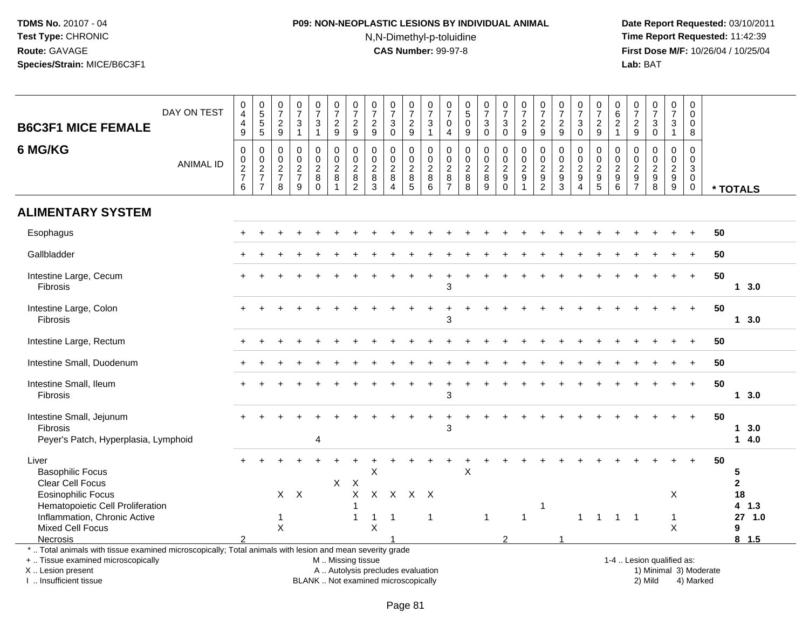# **P09: NON-NEOPLASTIC LESIONS BY INDIVIDUAL ANIMAL**N,N-Dimethyl-p-toluidine

| <b>B6C3F1 MICE FEMALE</b>                                                                                                                                                                     | DAY ON TEST      | $\begin{smallmatrix}0\0\4\end{smallmatrix}$<br>$\overline{\mathbf{4}}$<br>$\mathsf g$ | 0<br>5<br>5<br>5                                  | $\frac{0}{7}$<br>$\overline{2}$<br>$\boldsymbol{9}$ | $\begin{array}{c} 0 \\ 7 \end{array}$<br>$\sqrt{3}$<br>$\overline{1}$ | $\frac{0}{7}$<br>$\mathbf{3}$<br>$\mathbf{1}$              | $\begin{smallmatrix}0\\7\end{smallmatrix}$<br>$\boldsymbol{2}$<br>$9\,$ | $\frac{0}{7}$<br>$\overline{2}$<br>$\boldsymbol{9}$ | $\frac{0}{7}$<br>$\sqrt{2}$<br>$\boldsymbol{9}$               | $\begin{array}{c} 0 \\ 7 \end{array}$<br>3<br>$\mathbf 0$                | $\frac{0}{7}$<br>$\sqrt{2}$<br>$\boldsymbol{9}$     | 0<br>$\overline{7}$<br>$\ensuremath{\mathsf{3}}$<br>$\mathbf{1}$ | 0<br>$\overline{7}$<br>0<br>4                   | 0<br>$\overline{5}$<br>$\pmb{0}$<br>9          | $\begin{array}{c} 0 \\ 7 \end{array}$<br>$\sqrt{3}$<br>$\pmb{0}$ | $\frac{0}{7}$<br>3<br>$\pmb{0}$                                  | $\begin{array}{c} 0 \\ 7 \\ 2 \end{array}$<br>$\boldsymbol{9}$ | $\frac{0}{7}$<br>$\boldsymbol{2}$<br>9                   | $\frac{0}{7}$<br>$\sqrt{2}$<br>$\mathsf g$      | $\frac{0}{7}$<br>$\mathbf{3}$<br>$\pmb{0}$              | $\frac{0}{7}$<br>$\boldsymbol{2}$<br>$\boldsymbol{9}$ | 0<br>$\frac{6}{2}$<br>$\overline{1}$                           | $\pmb{0}$<br>$\overline{7}$<br>$\sqrt{2}$<br>$\boldsymbol{9}$                   | $\begin{matrix} 0 \\ 7 \\ 3 \end{matrix}$<br>$\overline{0}$    | $\frac{0}{7}$<br>$\mathbf{3}$<br>$\mathbf{1}$ | $\mathbf 0$<br>$\mathbf 0$<br>$\mathbf 0$<br>8                  |    |                               |
|-----------------------------------------------------------------------------------------------------------------------------------------------------------------------------------------------|------------------|---------------------------------------------------------------------------------------|---------------------------------------------------|-----------------------------------------------------|-----------------------------------------------------------------------|------------------------------------------------------------|-------------------------------------------------------------------------|-----------------------------------------------------|---------------------------------------------------------------|--------------------------------------------------------------------------|-----------------------------------------------------|------------------------------------------------------------------|-------------------------------------------------|------------------------------------------------|------------------------------------------------------------------|------------------------------------------------------------------|----------------------------------------------------------------|----------------------------------------------------------|-------------------------------------------------|---------------------------------------------------------|-------------------------------------------------------|----------------------------------------------------------------|---------------------------------------------------------------------------------|----------------------------------------------------------------|-----------------------------------------------|-----------------------------------------------------------------|----|-------------------------------|
| 6 MG/KG                                                                                                                                                                                       | <b>ANIMAL ID</b> | $\pmb{0}$<br>$\pmb{0}$<br>$\frac{2}{7}$<br>$\,6\,$                                    | 0<br>$\pmb{0}$<br>$\frac{2}{7}$<br>$\overline{7}$ | 0<br>0<br>$\frac{2}{7}$<br>8                        | $\Omega$<br>$\mathbf 0$<br>$\frac{2}{7}$<br>9                         | $\mathbf 0$<br>$\mathbf 0$<br>$\frac{2}{8}$<br>$\mathbf 0$ | 0<br>$\mathbf 0$<br>$\overline{c}$<br>8<br>$\overline{ }$               | $\mathbf 0$<br>$\pmb{0}$<br>$\frac{2}{8}$           | $\mathbf 0$<br>$\mathbf 0$<br>$\frac{2}{8}$<br>$\overline{3}$ | $\Omega$<br>$\mathbf 0$<br>$\sqrt{2}$<br>$\,8\,$<br>$\Delta$             | 0<br>$\mathbf 0$<br>$\frac{2}{8}$<br>$\overline{5}$ | $\Omega$<br>$\mathbf 0$<br>$\frac{2}{8}$<br>$6\overline{6}$      | 0<br>0<br>$\overline{c}$<br>8<br>$\overline{7}$ | $\mathbf 0$<br>0<br>$\overline{c}$<br>$_{8}^8$ | $\mathbf 0$<br>$\mathbf 0$<br>$\frac{2}{8}$<br>$\overline{9}$    | 0<br>$\mathsf{O}\xspace$<br>$\frac{2}{9}$<br>$\ddot{\mathbf{0}}$ | $\Omega$<br>$\pmb{0}$<br>$\frac{2}{9}$<br>$\overline{1}$       | $\Omega$<br>$\pmb{0}$<br>$\frac{2}{9}$<br>$\overline{2}$ | 0<br>$\mathbf 0$<br>$\sqrt{2}$<br>$\frac{9}{3}$ | $\Omega$<br>0<br>$\frac{2}{9}$<br>$\boldsymbol{\Delta}$ | $\Omega$<br>0<br>$\frac{2}{9}$                        | $\Omega$<br>$\mathbf 0$<br>$\sqrt{2}$<br>$\boldsymbol{9}$<br>6 | $\Omega$<br>$\mathbf 0$<br>$\overline{c}$<br>$\boldsymbol{9}$<br>$\overline{7}$ | $\mathbf 0$<br>$\mathbf 0$<br>$\frac{2}{9}$                    | 0<br>$\mathsf{O}$<br>$\frac{2}{9}$            | $\Omega$<br>$\Omega$<br>3<br>$\mathbf 0$<br>$\mathsf{O}\xspace$ |    | * TOTALS                      |
| <b>ALIMENTARY SYSTEM</b>                                                                                                                                                                      |                  |                                                                                       |                                                   |                                                     |                                                                       |                                                            |                                                                         |                                                     |                                                               |                                                                          |                                                     |                                                                  |                                                 |                                                |                                                                  |                                                                  |                                                                |                                                          |                                                 |                                                         |                                                       |                                                                |                                                                                 |                                                                |                                               |                                                                 |    |                               |
| Esophagus                                                                                                                                                                                     |                  |                                                                                       |                                                   |                                                     |                                                                       |                                                            |                                                                         |                                                     |                                                               |                                                                          |                                                     |                                                                  |                                                 |                                                |                                                                  |                                                                  |                                                                |                                                          |                                                 |                                                         |                                                       |                                                                |                                                                                 |                                                                |                                               |                                                                 | 50 |                               |
| Gallbladder                                                                                                                                                                                   |                  |                                                                                       |                                                   |                                                     |                                                                       |                                                            |                                                                         |                                                     |                                                               |                                                                          |                                                     |                                                                  |                                                 |                                                |                                                                  |                                                                  |                                                                |                                                          |                                                 |                                                         |                                                       |                                                                |                                                                                 |                                                                |                                               |                                                                 | 50 |                               |
| Intestine Large, Cecum<br>Fibrosis                                                                                                                                                            |                  |                                                                                       |                                                   |                                                     |                                                                       |                                                            |                                                                         |                                                     |                                                               |                                                                          |                                                     |                                                                  | $\ddot{}$<br>3                                  |                                                |                                                                  |                                                                  |                                                                |                                                          |                                                 |                                                         |                                                       |                                                                |                                                                                 |                                                                |                                               | $\ddot{}$                                                       | 50 | 13.0                          |
| Intestine Large, Colon<br><b>Fibrosis</b>                                                                                                                                                     |                  |                                                                                       |                                                   |                                                     |                                                                       |                                                            |                                                                         |                                                     |                                                               |                                                                          |                                                     |                                                                  | 3                                               |                                                |                                                                  |                                                                  |                                                                |                                                          |                                                 |                                                         |                                                       |                                                                |                                                                                 |                                                                |                                               | $+$                                                             | 50 | 13.0                          |
| Intestine Large, Rectum                                                                                                                                                                       |                  |                                                                                       |                                                   |                                                     |                                                                       |                                                            |                                                                         |                                                     |                                                               |                                                                          |                                                     |                                                                  |                                                 |                                                |                                                                  |                                                                  |                                                                |                                                          |                                                 |                                                         |                                                       |                                                                |                                                                                 |                                                                |                                               | $\div$                                                          | 50 |                               |
| Intestine Small, Duodenum                                                                                                                                                                     |                  |                                                                                       |                                                   |                                                     |                                                                       |                                                            |                                                                         |                                                     |                                                               |                                                                          |                                                     |                                                                  |                                                 |                                                |                                                                  |                                                                  |                                                                |                                                          |                                                 |                                                         |                                                       |                                                                |                                                                                 |                                                                |                                               | $+$                                                             | 50 |                               |
| Intestine Small, Ileum<br><b>Fibrosis</b>                                                                                                                                                     |                  |                                                                                       |                                                   |                                                     |                                                                       |                                                            |                                                                         |                                                     |                                                               |                                                                          |                                                     |                                                                  | 3                                               |                                                |                                                                  |                                                                  |                                                                |                                                          |                                                 |                                                         |                                                       |                                                                |                                                                                 |                                                                |                                               | $\ddot{}$                                                       | 50 | 13.0                          |
| Intestine Small, Jejunum<br><b>Fibrosis</b><br>Peyer's Patch, Hyperplasia, Lymphoid                                                                                                           |                  |                                                                                       |                                                   |                                                     |                                                                       | $\overline{4}$                                             |                                                                         |                                                     |                                                               |                                                                          |                                                     |                                                                  | 3                                               |                                                |                                                                  |                                                                  |                                                                |                                                          |                                                 |                                                         |                                                       |                                                                |                                                                                 |                                                                |                                               | $\ddot{}$                                                       | 50 | 13.0<br>14.0                  |
| Liver<br><b>Basophilic Focus</b><br>Clear Cell Focus<br><b>Eosinophilic Focus</b>                                                                                                             |                  |                                                                                       |                                                   | $\mathsf{X}$                                        | $\boldsymbol{\mathsf{X}}$                                             |                                                            | X                                                                       | $\mathsf{X}$<br>$\sf X$                             | X<br>$\mathsf{X}$                                             | $\mathsf{X}$                                                             | $\mathsf{X}$                                        | $\mathsf{X}$                                                     |                                                 | X                                              |                                                                  |                                                                  |                                                                |                                                          |                                                 |                                                         |                                                       |                                                                |                                                                                 |                                                                | X                                             |                                                                 | 50 | 5<br>$\overline{2}$<br>18     |
| Hematopoietic Cell Proliferation<br>Inflammation, Chronic Active<br>Mixed Cell Focus<br>Necrosis                                                                                              |                  |                                                                                       |                                                   | 1<br>$\times$                                       |                                                                       |                                                            |                                                                         | $\overline{\mathbf{1}}$<br>$\overline{1}$           | $\mathbf{1}$<br>$\pmb{\times}$                                | $\overline{1}$                                                           |                                                     | -1                                                               |                                                 |                                                | $\overline{1}$                                                   | $\mathcal{P}$                                                    | $\mathbf{1}$                                                   | 1                                                        |                                                 | $\mathbf{1}$                                            | $\overline{1}$                                        |                                                                | $1 \quad 1$                                                                     |                                                                | $\mathbf{1}$<br>X                             |                                                                 |    | 4 1.3<br>27 1.0<br>9<br>8 1.5 |
| *  Total animals with tissue examined microscopically; Total animals with lesion and mean severity grade<br>+  Tissue examined microscopically<br>X  Lesion present<br>I. Insufficient tissue |                  |                                                                                       |                                                   |                                                     |                                                                       |                                                            | M  Missing tissue                                                       |                                                     |                                                               | A  Autolysis precludes evaluation<br>BLANK  Not examined microscopically |                                                     |                                                                  |                                                 |                                                |                                                                  |                                                                  |                                                                |                                                          |                                                 |                                                         |                                                       |                                                                |                                                                                 | 1-4  Lesion qualified as:<br>1) Minimal 3) Moderate<br>2) Mild |                                               | 4) Marked                                                       |    |                               |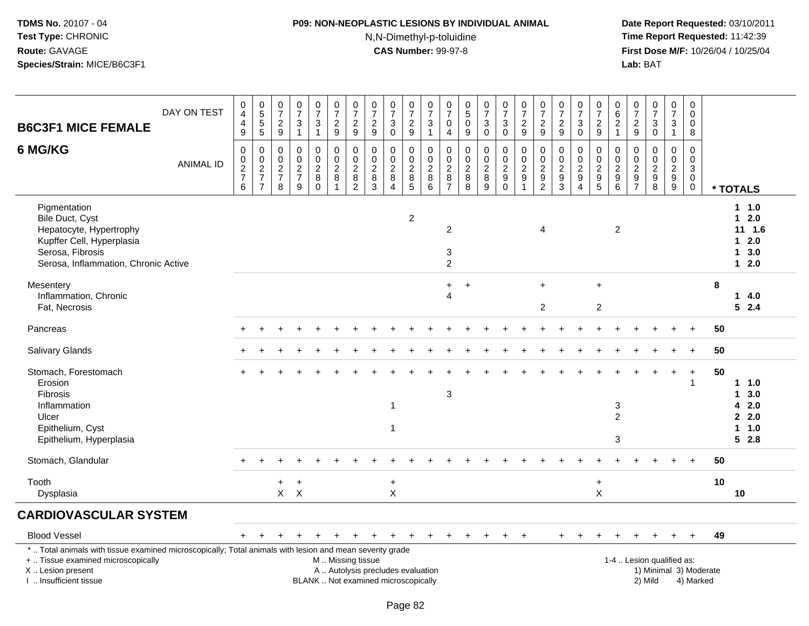# **P09: NON-NEOPLASTIC LESIONS BY INDIVIDUAL ANIMAL**N,N-Dimethyl-p-toluidine

| <b>B6C3F1 MICE FEMALE</b>                                                                                                                                                                     | DAY ON TEST      | 0<br>$\overline{4}$<br>$\overline{\mathbf{4}}$<br>9              | $\begin{array}{c} 0 \\ 5 \\ 5 \end{array}$<br>$\overline{5}$ | $\frac{0}{7}$<br>$\overline{c}$<br>9                                        | 0<br>$\overline{7}$<br>$\sqrt{3}$<br>$\mathbf{1}$                | $\begin{smallmatrix}0\\7\end{smallmatrix}$<br>$\sqrt{3}$<br>$\mathbf{1}$ | $\frac{0}{7}$<br>$\overline{c}$<br>$\boldsymbol{9}$               | $\frac{0}{7}$<br>$\overline{2}$<br>9                           | $\frac{0}{7}$<br>$\boldsymbol{2}$<br>9                                   | $\begin{array}{c} 0 \\ 7 \\ 3 \end{array}$<br>$\mathbf 0$               | $\frac{0}{7}$<br>$\overline{c}$<br>9            | $\frac{0}{7}$<br>$\mathbf{3}$<br>$\mathbf{1}$                       | $\frac{0}{7}$<br>$\mathbf 0$<br>$\overline{4}$             | $\begin{smallmatrix}0\5\0\end{smallmatrix}$<br>$9\,$       | $\frac{0}{7}$<br>$\sqrt{3}$<br>$\mathbf 0$   | $\begin{smallmatrix} 0\\7 \end{smallmatrix}$<br>$\ensuremath{\mathsf{3}}$<br>$\pmb{0}$ | $\frac{0}{7}$<br>$\overline{c}$<br>9                                             | $\begin{array}{c} 0 \\ 7 \\ 2 \end{array}$<br>9           | $\begin{array}{c} 0 \\ 7 \end{array}$<br>$\overline{2}$<br>9 | $\begin{array}{c} 0 \\ 7 \end{array}$<br>$\sqrt{3}$<br>$\mathbf 0$         | $\begin{array}{c} 0 \\ 7 \end{array}$<br>$\boldsymbol{2}$<br>9     | $\pmb{0}$<br>$\frac{6}{2}$<br>$\overline{1}$                                     | 0<br>$\overline{7}$<br>$\boldsymbol{2}$<br>$9\,$                                | $\frac{0}{7}$<br>$\sqrt{3}$<br>$\mathbf 0$                         | $\frac{0}{7}$<br>$\mathbf{3}$<br>$\mathbf{1}$                      | 0<br>$\mathbf 0$<br>$\mathbf 0$<br>8                                  |                        |                                                           |
|-----------------------------------------------------------------------------------------------------------------------------------------------------------------------------------------------|------------------|------------------------------------------------------------------|--------------------------------------------------------------|-----------------------------------------------------------------------------|------------------------------------------------------------------|--------------------------------------------------------------------------|-------------------------------------------------------------------|----------------------------------------------------------------|--------------------------------------------------------------------------|-------------------------------------------------------------------------|-------------------------------------------------|---------------------------------------------------------------------|------------------------------------------------------------|------------------------------------------------------------|----------------------------------------------|----------------------------------------------------------------------------------------|----------------------------------------------------------------------------------|-----------------------------------------------------------|--------------------------------------------------------------|----------------------------------------------------------------------------|--------------------------------------------------------------------|----------------------------------------------------------------------------------|---------------------------------------------------------------------------------|--------------------------------------------------------------------|--------------------------------------------------------------------|-----------------------------------------------------------------------|------------------------|-----------------------------------------------------------|
| 6 MG/KG                                                                                                                                                                                       | <b>ANIMAL ID</b> | $\Omega$<br>$\pmb{0}$<br>$\boldsymbol{2}$<br>$\overline{7}$<br>6 | 0<br>$_2^0$<br>$\overline{\mathbf{7}}$<br>$\overline{7}$     | $\mathbf 0$<br>$\mathsf{O}\xspace$<br>$\overline{c}$<br>$\overline{7}$<br>8 | $\Omega$<br>$\mathbf 0$<br>$\overline{2}$<br>$\overline{7}$<br>9 | $\pmb{0}$<br>$\pmb{0}$<br>$\overline{2}$<br>$\bf 8$<br>$\Omega$          | 0<br>$\mathbf 0$<br>$\boldsymbol{2}$<br>$\bf 8$<br>$\overline{1}$ | $\mathbf{0}$<br>$\mathbf 0$<br>$\overline{2}$<br>$\frac{8}{2}$ | $\Omega$<br>$\mathbf 0$<br>$\boldsymbol{2}$<br>8<br>3                    | $\mathbf 0$<br>$\pmb{0}$<br>$\overline{2}$<br>$\bf 8$<br>$\overline{4}$ | $\Omega$<br>0<br>$\overline{c}$<br>$\bf 8$<br>5 | $\mathbf 0$<br>$\mathbf 0$<br>$\overline{c}$<br>$\overline{8}$<br>6 | $\Omega$<br>$\mathbf 0$<br>$\overline{2}$<br>$\frac{8}{7}$ | $\mathbf 0$<br>$\pmb{0}$<br>$\overline{2}$<br>$\bf 8$<br>8 | 0<br>$\mathbf 0$<br>$\overline{2}$<br>8<br>9 | 0<br>$\pmb{0}$<br>$\sqrt{2}$<br>$\boldsymbol{9}$<br>$\mathbf 0$                        | $\mathbf 0$<br>$\mathsf 0$<br>$\overline{2}$<br>$\boldsymbol{9}$<br>$\mathbf{1}$ | 0<br>$\pmb{0}$<br>$\boldsymbol{2}$<br>9<br>$\overline{2}$ | 0<br>$\mathbf 0$<br>$\overline{2}$<br>$\boldsymbol{9}$<br>3  | 0<br>$\mathbf 0$<br>$\boldsymbol{2}$<br>$\boldsymbol{9}$<br>$\overline{4}$ | $\Omega$<br>$\mathbf 0$<br>$\overline{2}$<br>$\boldsymbol{9}$<br>5 | $\Omega$<br>$\mathbf 0$<br>$\overline{2}$<br>$\boldsymbol{9}$<br>$6\phantom{1}6$ | $\Omega$<br>$\mathbf 0$<br>$\overline{2}$<br>$\boldsymbol{9}$<br>$\overline{7}$ | $\Omega$<br>$\mathbf 0$<br>$\overline{2}$<br>$\boldsymbol{9}$<br>8 | $\Omega$<br>$\mathbf 0$<br>$\overline{c}$<br>$\boldsymbol{9}$<br>9 | $\Omega$<br>$\mathbf 0$<br>$\mathbf{3}$<br>$\mathbf 0$<br>$\mathbf 0$ |                        | * TOTALS                                                  |
| Pigmentation<br>Bile Duct, Cyst<br>Hepatocyte, Hypertrophy<br>Kupffer Cell, Hyperplasia<br>Serosa, Fibrosis<br>Serosa, Inflammation, Chronic Active                                           |                  |                                                                  |                                                              |                                                                             |                                                                  |                                                                          |                                                                   |                                                                |                                                                          |                                                                         | $\overline{2}$                                  |                                                                     | $\overline{2}$<br>3<br>$\overline{2}$                      |                                                            |                                              |                                                                                        |                                                                                  | $\overline{4}$                                            |                                                              |                                                                            |                                                                    | $\overline{2}$                                                                   |                                                                                 |                                                                    |                                                                    |                                                                       |                        | $1 \t1.0$<br>$12.0$<br>11 1.6<br>$12.0$<br>13.0<br>$12.0$ |
| Mesentery<br>Inflammation, Chronic<br>Fat, Necrosis                                                                                                                                           |                  |                                                                  |                                                              |                                                                             |                                                                  |                                                                          |                                                                   |                                                                |                                                                          |                                                                         |                                                 |                                                                     | $\ddot{}$<br>$\boldsymbol{\Lambda}$                        | $\ddot{}$                                                  |                                              |                                                                                        |                                                                                  | $\ddot{}$<br>$\overline{c}$                               |                                                              |                                                                            | $+$<br>$\overline{c}$                                              |                                                                                  |                                                                                 |                                                                    |                                                                    |                                                                       | 8                      | 14.0<br>52.4                                              |
| Pancreas                                                                                                                                                                                      |                  |                                                                  |                                                              |                                                                             |                                                                  |                                                                          |                                                                   |                                                                |                                                                          |                                                                         |                                                 |                                                                     |                                                            |                                                            |                                              |                                                                                        |                                                                                  |                                                           |                                                              |                                                                            |                                                                    |                                                                                  |                                                                                 |                                                                    |                                                                    | $\ddot{+}$                                                            | 50                     |                                                           |
| Salivary Glands                                                                                                                                                                               |                  |                                                                  |                                                              |                                                                             |                                                                  |                                                                          |                                                                   |                                                                |                                                                          |                                                                         |                                                 |                                                                     |                                                            |                                                            |                                              |                                                                                        |                                                                                  |                                                           |                                                              |                                                                            |                                                                    |                                                                                  |                                                                                 |                                                                    |                                                                    |                                                                       | 50                     |                                                           |
| Stomach, Forestomach<br>Erosion<br><b>Fibrosis</b><br>Inflammation<br>Ulcer<br>Epithelium, Cyst<br>Epithelium, Hyperplasia                                                                    |                  |                                                                  |                                                              |                                                                             |                                                                  |                                                                          |                                                                   |                                                                |                                                                          | $\mathbf{1}$<br>1                                                       |                                                 |                                                                     | $\mathbf{3}$                                               |                                                            |                                              |                                                                                        |                                                                                  |                                                           |                                                              |                                                                            |                                                                    | 3<br>$\overline{2}$<br>3                                                         |                                                                                 |                                                                    |                                                                    | $\ddot{}$                                                             | 50                     | 1 1.0<br>1, 3.0<br>42.0<br>2.0<br>11.0<br>52.8            |
| Stomach, Glandular                                                                                                                                                                            |                  |                                                                  |                                                              |                                                                             |                                                                  |                                                                          |                                                                   |                                                                |                                                                          |                                                                         |                                                 |                                                                     |                                                            |                                                            |                                              |                                                                                        |                                                                                  |                                                           |                                                              |                                                                            |                                                                    |                                                                                  |                                                                                 |                                                                    |                                                                    |                                                                       | 50                     |                                                           |
| Tooth<br>Dysplasia                                                                                                                                                                            |                  |                                                                  |                                                              | $\ddot{}$                                                                   | $+$<br>$X$ $X$                                                   |                                                                          |                                                                   |                                                                |                                                                          | $\ddot{}$<br>X                                                          |                                                 |                                                                     |                                                            |                                                            |                                              |                                                                                        |                                                                                  |                                                           |                                                              |                                                                            | $\ddot{}$<br>X                                                     |                                                                                  |                                                                                 |                                                                    |                                                                    |                                                                       | 10                     | 10                                                        |
| <b>CARDIOVASCULAR SYSTEM</b>                                                                                                                                                                  |                  |                                                                  |                                                              |                                                                             |                                                                  |                                                                          |                                                                   |                                                                |                                                                          |                                                                         |                                                 |                                                                     |                                                            |                                                            |                                              |                                                                                        |                                                                                  |                                                           |                                                              |                                                                            |                                                                    |                                                                                  |                                                                                 |                                                                    |                                                                    |                                                                       |                        |                                                           |
| <b>Blood Vessel</b>                                                                                                                                                                           |                  |                                                                  |                                                              |                                                                             |                                                                  |                                                                          |                                                                   |                                                                |                                                                          |                                                                         |                                                 |                                                                     |                                                            | $+$                                                        |                                              | $+$                                                                                    |                                                                                  |                                                           |                                                              |                                                                            | $\div$                                                             |                                                                                  |                                                                                 |                                                                    | $+$                                                                | $+$                                                                   | 49                     |                                                           |
| *  Total animals with tissue examined microscopically; Total animals with lesion and mean severity grade<br>+  Tissue examined microscopically<br>X  Lesion present<br>L. Insufficient tissue |                  |                                                                  |                                                              |                                                                             |                                                                  |                                                                          |                                                                   | M  Missing tissue                                              | A  Autolysis precludes evaluation<br>BLANK  Not examined microscopically |                                                                         |                                                 |                                                                     |                                                            |                                                            |                                              |                                                                                        |                                                                                  |                                                           |                                                              |                                                                            |                                                                    |                                                                                  |                                                                                 | 1-4  Lesion qualified as:<br>2) Mild                               |                                                                    | 4) Marked                                                             | 1) Minimal 3) Moderate |                                                           |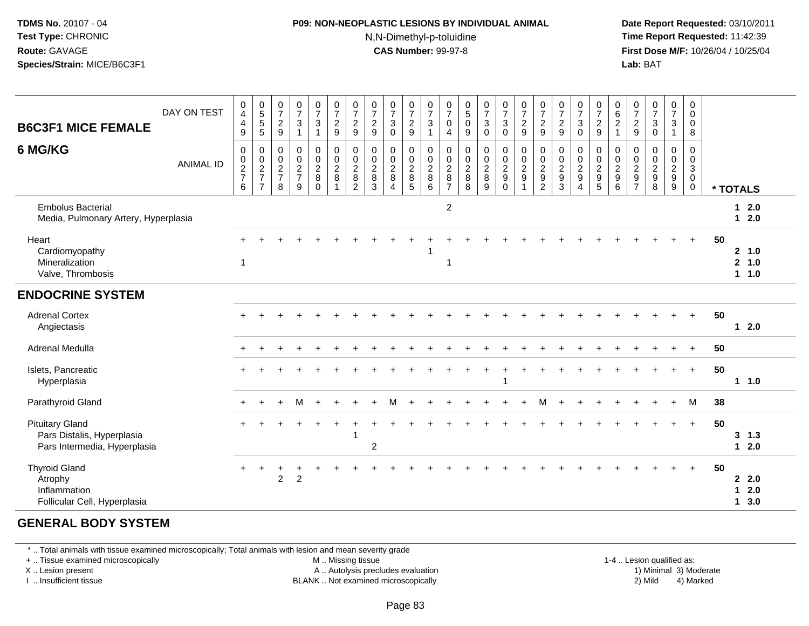#### **P09: NON-NEOPLASTIC LESIONS BY INDIVIDUAL ANIMAL**N,N-Dimethyl-p-toluidine

 **Date Report Requested:** 03/10/2011 **Time Report Requested:** 11:42:39 **First Dose M/F:** 10/26/04 / 10/25/04 Lab: BAT **Lab:** BAT

| <b>B6C3F1 MICE FEMALE</b>                                                            | DAY ON TEST      | 0<br>$\overline{4}$<br>$\overline{4}$<br>9           | 0<br>5<br>5<br>5                                                          | $\frac{0}{7}$<br>$\overline{2}$<br>$9\,$          | $\frac{0}{7}$<br>$\sqrt{3}$<br>$\mathbf{1}$                       | $\frac{0}{7}$<br>$\ensuremath{\mathsf{3}}$<br>$\mathbf{1}$ | $\begin{array}{c} 0 \\ 7 \end{array}$<br>$\frac{2}{9}$  | $\frac{0}{7}$<br>$\overline{c}$<br>$\mathsf g$          | $\frac{0}{7}$<br>$\frac{2}{9}$                                | $\frac{0}{7}$<br>$\ensuremath{\mathsf{3}}$<br>$\mathbf 0$                 | $\frac{0}{7}$<br>$\overline{c}$<br>$\boldsymbol{9}$             | $\frac{0}{7}$<br>$\ensuremath{\mathsf{3}}$<br>$\mathbf{1}$ | $\frac{0}{7}$<br>0<br>$\overline{4}$                | $\begin{smallmatrix}0\5\0\end{smallmatrix}$<br>$\boldsymbol{9}$   | $\frac{0}{7}$<br>$\ensuremath{\mathsf{3}}$<br>$\mathbf 0$    | $\frac{0}{7}$<br>$_{0}^{3}$       | $\begin{array}{c} 0 \\ 7 \end{array}$<br>$\frac{2}{9}$ | $\frac{0}{7}$<br>$\frac{2}{9}$                                 | $\frac{0}{7}$<br>$\frac{2}{9}$                                    | $\frac{0}{7}$<br>$\ensuremath{\mathsf{3}}$<br>$\mathbf 0$              | $\frac{0}{7}$<br>$\frac{2}{9}$                                           | $062$<br>$1$                            | $\frac{0}{7}$<br>$\overline{c}$<br>9                             | $\frac{0}{7}$<br>3<br>$\mathbf 0$                           | $\frac{0}{7}$<br>3<br>$\mathbf{1}$ | $\pmb{0}$<br>$\mathsf 0$<br>0<br>8                                    |          |                                |
|--------------------------------------------------------------------------------------|------------------|------------------------------------------------------|---------------------------------------------------------------------------|---------------------------------------------------|-------------------------------------------------------------------|------------------------------------------------------------|---------------------------------------------------------|---------------------------------------------------------|---------------------------------------------------------------|---------------------------------------------------------------------------|-----------------------------------------------------------------|------------------------------------------------------------|-----------------------------------------------------|-------------------------------------------------------------------|--------------------------------------------------------------|-----------------------------------|--------------------------------------------------------|----------------------------------------------------------------|-------------------------------------------------------------------|------------------------------------------------------------------------|--------------------------------------------------------------------------|-----------------------------------------|------------------------------------------------------------------|-------------------------------------------------------------|------------------------------------|-----------------------------------------------------------------------|----------|--------------------------------|
| 6 MG/KG                                                                              | <b>ANIMAL ID</b> | 0<br>$\begin{array}{c} 0 \\ 2 \\ 7 \end{array}$<br>6 | $\pmb{0}$<br>$\begin{array}{c} 0 \\ 2 \\ 7 \end{array}$<br>$\overline{7}$ | 0<br>0<br>$\boldsymbol{2}$<br>$\overline{7}$<br>8 | $\mathbf 0$<br>$\pmb{0}$<br>$\overline{2}$<br>$\overline{7}$<br>9 | 0<br>$\mathbf 0$<br>$\overline{c}$<br>8<br>$\Omega$        | $\pmb{0}$<br>$\mathsf{O}\xspace$<br>$\overline{2}$<br>8 | $\pmb{0}$<br>$_{2}^{\rm 0}$<br>$\, 8$<br>$\overline{2}$ | $\mathbf 0$<br>$\mathbf 0$<br>$\overline{2}$<br>$\bf{8}$<br>3 | $\mathbf 0$<br>$\boldsymbol{0}$<br>$\sqrt{2}$<br>$\bf8$<br>$\overline{4}$ | 0<br>$\mathbf 0$<br>$\overline{2}$<br>$\,8\,$<br>$\overline{5}$ | $\mathbf 0$<br>$\mathbf 0$<br>$\overline{2}$<br>8<br>6     | 0<br>$\mathbf 0$<br>$\overline{a}$<br>$\frac{8}{7}$ | $\pmb{0}$<br>$\begin{array}{c} 0 \\ 2 \\ 8 \end{array}$<br>$\bf8$ | $\mathbf 0$<br>$_{2}^{\rm 0}$<br>$\bf 8$<br>$\boldsymbol{9}$ | 0<br>$\frac{0}{2}$<br>$\mathbf 0$ | $\boldsymbol{0}$<br>$\frac{0}{2}$<br>9<br>$\mathbf{1}$ | 0<br>$\boldsymbol{0}$<br>$\overline{c}$<br>9<br>$\overline{c}$ | $\pmb{0}$<br>$\pmb{0}$<br>$\overline{2}$<br>$\boldsymbol{9}$<br>3 | 0<br>$\pmb{0}$<br>$\overline{2}$<br>$\boldsymbol{9}$<br>$\overline{4}$ | 0<br>$\mathbf 0$<br>$\overline{2}$<br>$\boldsymbol{9}$<br>$\overline{5}$ | $\mathbf 0$<br>$\frac{0}{2}$<br>$\,6\,$ | 0<br>0<br>$\boldsymbol{2}$<br>$\boldsymbol{9}$<br>$\overline{7}$ | $\mathbf 0$<br>0<br>$\overline{c}$<br>$\boldsymbol{9}$<br>8 | 0<br>$\mathbf 0$<br>$\frac{2}{9}$  | 0<br>$\mathbf 0$<br>$\mathsf 3$<br>$\mathsf{O}\xspace$<br>$\mathbf 0$ | * TOTALS |                                |
| <b>Embolus Bacterial</b><br>Media, Pulmonary Artery, Hyperplasia                     |                  |                                                      |                                                                           |                                                   |                                                                   |                                                            |                                                         |                                                         |                                                               |                                                                           |                                                                 |                                                            | $\overline{2}$                                      |                                                                   |                                                              |                                   |                                                        |                                                                |                                                                   |                                                                        |                                                                          |                                         |                                                                  |                                                             |                                    |                                                                       |          | 12.0<br>$12.0$                 |
| Heart<br>Cardiomyopathy<br>Mineralization<br>Valve, Thrombosis                       |                  |                                                      |                                                                           |                                                   |                                                                   |                                                            |                                                         |                                                         |                                                               |                                                                           |                                                                 |                                                            | $\overline{1}$                                      |                                                                   |                                                              |                                   |                                                        |                                                                |                                                                   |                                                                        |                                                                          |                                         |                                                                  |                                                             |                                    | $+$                                                                   | 50       | 2, 1.0<br>2, 1.0<br>$1 1.0$    |
| <b>ENDOCRINE SYSTEM</b>                                                              |                  |                                                      |                                                                           |                                                   |                                                                   |                                                            |                                                         |                                                         |                                                               |                                                                           |                                                                 |                                                            |                                                     |                                                                   |                                                              |                                   |                                                        |                                                                |                                                                   |                                                                        |                                                                          |                                         |                                                                  |                                                             |                                    |                                                                       |          |                                |
| <b>Adrenal Cortex</b><br>Angiectasis                                                 |                  |                                                      |                                                                           |                                                   |                                                                   |                                                            |                                                         |                                                         |                                                               |                                                                           |                                                                 |                                                            |                                                     |                                                                   |                                                              |                                   |                                                        |                                                                |                                                                   |                                                                        |                                                                          |                                         |                                                                  |                                                             |                                    | $+$                                                                   | 50       | $12.0$                         |
| Adrenal Medulla                                                                      |                  | $+$                                                  |                                                                           |                                                   |                                                                   |                                                            |                                                         |                                                         |                                                               |                                                                           |                                                                 |                                                            |                                                     |                                                                   |                                                              |                                   |                                                        |                                                                |                                                                   |                                                                        |                                                                          |                                         |                                                                  |                                                             |                                    | $\ddot{}$                                                             | 50       |                                |
| Islets, Pancreatic<br>Hyperplasia                                                    |                  |                                                      |                                                                           |                                                   |                                                                   |                                                            |                                                         |                                                         |                                                               |                                                                           |                                                                 |                                                            |                                                     |                                                                   |                                                              |                                   |                                                        |                                                                |                                                                   |                                                                        |                                                                          |                                         |                                                                  |                                                             |                                    | $+$                                                                   | 50       | 1 1.0                          |
| Parathyroid Gland                                                                    |                  | $+$                                                  |                                                                           | $\ddot{}$                                         | м                                                                 | $+$                                                        |                                                         |                                                         |                                                               | м                                                                         |                                                                 |                                                            |                                                     |                                                                   |                                                              |                                   |                                                        | М                                                              |                                                                   |                                                                        |                                                                          |                                         |                                                                  |                                                             |                                    | M                                                                     | 38       |                                |
| <b>Pituitary Gland</b><br>Pars Distalis, Hyperplasia<br>Pars Intermedia, Hyperplasia |                  |                                                      |                                                                           |                                                   |                                                                   |                                                            |                                                         |                                                         | $\overline{c}$                                                |                                                                           |                                                                 |                                                            |                                                     |                                                                   |                                                              |                                   |                                                        |                                                                |                                                                   |                                                                        |                                                                          |                                         |                                                                  |                                                             |                                    | $+$                                                                   | 50       | $3 \t1.3$<br>$12.0$            |
| <b>Thyroid Gland</b><br>Atrophy<br>Inflammation<br>Follicular Cell, Hyperplasia      |                  | $\ddot{}$                                            |                                                                           | $\overline{c}$                                    | $\overline{2}$                                                    |                                                            |                                                         |                                                         |                                                               |                                                                           |                                                                 |                                                            |                                                     |                                                                   |                                                              |                                   |                                                        |                                                                |                                                                   |                                                                        |                                                                          |                                         |                                                                  |                                                             |                                    | $+$                                                                   | 50       | 2.0<br>$12.0$<br>$1 \quad 3.0$ |

#### **GENERAL BODY SYSTEM**

\* .. Total animals with tissue examined microscopically; Total animals with lesion and mean severity grade

+ .. Tissue examined microscopically

X .. Lesion present

I .. Insufficient tissue

 M .. Missing tissueA .. Autolysis precludes evaluation

1-4 .. Lesion qualified as:<br>1) Minimal 3) Moderate BLANK .. Not examined microscopically 2) Mild 4) Marked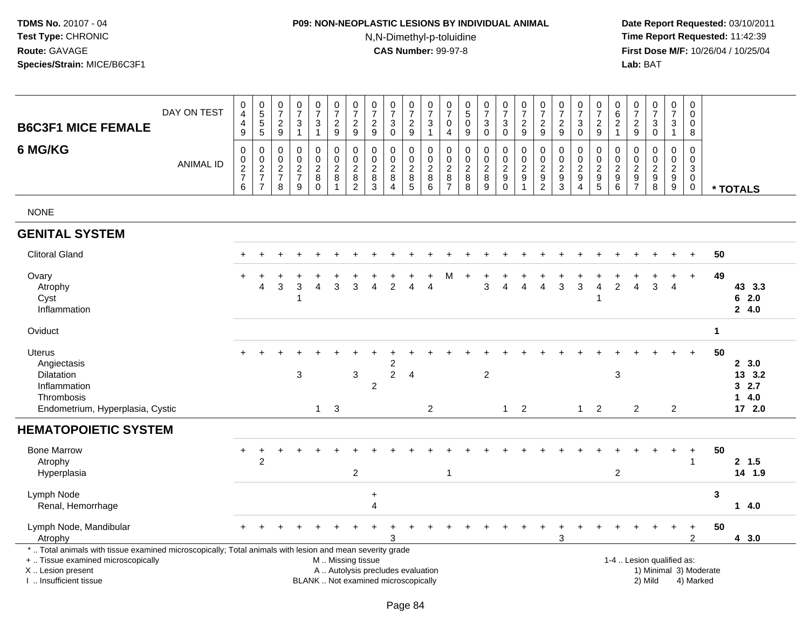# **P09: NON-NEOPLASTIC LESIONS BY INDIVIDUAL ANIMAL**N,N-Dimethyl-p-toluidine

| <b>B6C3F1 MICE FEMALE</b>                                                                                                                                                                     | DAY ON TEST      | $\pmb{0}$<br>$\overline{4}$<br>4<br>$\boldsymbol{9}$              | $\begin{array}{c} 0 \\ 5 \\ 5 \end{array}$<br>$\overline{5}$      | $\boldsymbol{0}$<br>$\overline{7}$<br>$\frac{2}{9}$                        | $\pmb{0}$<br>$\overline{7}$<br>$\mathbf{3}$<br>$\mathbf{1}$ | $\frac{0}{7}$<br>3<br>$\mathbf{1}$           | $\frac{0}{7}$<br>$\boldsymbol{2}$<br>$\boldsymbol{9}$                 | $\begin{array}{c} 0 \\ 7 \end{array}$<br>$\overline{c}$<br>9    | 0<br>$\overline{7}$<br>$\sqrt{2}$<br>9         | $\begin{array}{c} 0 \\ 7 \end{array}$<br>3<br>$\mathbf 0$                | 0<br>$\overline{7}$<br>$\overline{c}$<br>$\mathsf g$  | $\mathbf 0$<br>$\overline{7}$<br>3<br>$\overline{1}$              | 0<br>$\overline{7}$<br>$\mathbf 0$<br>$\overline{4}$  | 0<br>$\overline{5}$<br>0<br>9                                         | $\begin{array}{c} 0 \\ 7 \end{array}$<br>$\mathbf{3}$<br>$\mathbf 0$ | $\frac{0}{7}$<br>$\ensuremath{\mathsf{3}}$<br>$\mathbf 0$          | $\frac{0}{7}$<br>$\sqrt{2}$<br>$\overline{9}$                                    | 0<br>$\overline{7}$<br>$\overline{2}$<br>9                 | $\frac{0}{7}$<br>$\overline{2}$<br>$\boldsymbol{9}$                      | $\frac{0}{7}$<br>3<br>0                                        | $\frac{0}{7}$<br>$\sqrt{2}$<br>$\overline{9}$                     | 0<br>$\,6\,$<br>$\overline{2}$<br>$\overline{1}$                            | 0<br>$\boldsymbol{7}$<br>$\overline{2}$<br>9                             | 0<br>$\overline{7}$<br>3<br>$\mathbf 0$                            | $\pmb{0}$<br>$\overline{7}$<br>3<br>$\mathbf{1}$    | $\mathbf 0$<br>$\mathbf 0$<br>0<br>8                         |              |                                            |
|-----------------------------------------------------------------------------------------------------------------------------------------------------------------------------------------------|------------------|-------------------------------------------------------------------|-------------------------------------------------------------------|----------------------------------------------------------------------------|-------------------------------------------------------------|----------------------------------------------|-----------------------------------------------------------------------|-----------------------------------------------------------------|------------------------------------------------|--------------------------------------------------------------------------|-------------------------------------------------------|-------------------------------------------------------------------|-------------------------------------------------------|-----------------------------------------------------------------------|----------------------------------------------------------------------|--------------------------------------------------------------------|----------------------------------------------------------------------------------|------------------------------------------------------------|--------------------------------------------------------------------------|----------------------------------------------------------------|-------------------------------------------------------------------|-----------------------------------------------------------------------------|--------------------------------------------------------------------------|--------------------------------------------------------------------|-----------------------------------------------------|--------------------------------------------------------------|--------------|--------------------------------------------|
| 6 MG/KG                                                                                                                                                                                       | <b>ANIMAL ID</b> | 0<br>$\begin{array}{c} 0 \\ 2 \\ 7 \end{array}$<br>$6\phantom{a}$ | 0<br>$\begin{array}{c} 0 \\ 2 \\ 7 \end{array}$<br>$\overline{7}$ | $\mathbf 0$<br>$\boldsymbol{0}$<br>$\overline{2}$<br>$\boldsymbol{7}$<br>8 | $\pmb{0}$<br>$\mathbf 0$<br>$\frac{2}{7}$<br>$\overline{9}$ | 0<br>0<br>$\overline{2}$<br>8<br>$\mathbf 0$ | $\mathbf 0$<br>$\pmb{0}$<br>$\overline{2}$<br>$\bf 8$<br>$\mathbf{1}$ | 0<br>$\mathbf 0$<br>$\overline{2}$<br>$\,8\,$<br>$\overline{2}$ | 0<br>0<br>$\sqrt{2}$<br>$\bf 8$<br>$\mathsf 3$ | $\mathbf 0$<br>$\mathbf 0$<br>$\overline{2}$<br>$\, 8$<br>$\overline{4}$ | 0<br>0<br>$\overline{2}$<br>$\bf 8$<br>$\overline{5}$ | $\mathbf 0$<br>$\mathbf 0$<br>$\overline{2}$<br>$\, 8$<br>$\,6\,$ | 0<br>0<br>$\overline{c}$<br>$\bf 8$<br>$\overline{7}$ | $\mathbf 0$<br>$\mathbf 0$<br>$\sqrt{2}$<br>$\,8\,$<br>$\overline{8}$ | $\mathbf 0$<br>0<br>$\overline{2}$<br>$\bf 8$<br>$\overline{9}$      | $\mathbf 0$<br>$\mathbf 0$<br>$\overline{2}$<br>$_{\rm 0}^{\rm 9}$ | $\mathbf 0$<br>$\mathbf 0$<br>$\overline{2}$<br>$\boldsymbol{9}$<br>$\mathbf{1}$ | 0<br>0<br>$\sqrt{2}$<br>$\boldsymbol{9}$<br>$\overline{2}$ | $\mathbf 0$<br>0<br>$\overline{2}$<br>$\boldsymbol{9}$<br>$\overline{3}$ | 0<br>0<br>$\overline{2}$<br>$\boldsymbol{9}$<br>$\overline{4}$ | 0<br>0<br>$\overline{2}$<br>$\begin{array}{c} 9 \\ 5 \end{array}$ | $\mathbf 0$<br>$\mathbf 0$<br>$\overline{2}$<br>$\boldsymbol{9}$<br>$\,6\,$ | 0<br>$\mathbf 0$<br>$\overline{c}$<br>$\boldsymbol{9}$<br>$\overline{7}$ | $\mathbf 0$<br>$\Omega$<br>$\overline{c}$<br>$\boldsymbol{9}$<br>8 | $\mathbf 0$<br>0<br>$\overline{2}$<br>$\frac{9}{9}$ | $\mathsf 0$<br>$\mathbf 0$<br>$\sqrt{3}$<br>$\mathbf 0$<br>0 |              | * TOTALS                                   |
| <b>NONE</b>                                                                                                                                                                                   |                  |                                                                   |                                                                   |                                                                            |                                                             |                                              |                                                                       |                                                                 |                                                |                                                                          |                                                       |                                                                   |                                                       |                                                                       |                                                                      |                                                                    |                                                                                  |                                                            |                                                                          |                                                                |                                                                   |                                                                             |                                                                          |                                                                    |                                                     |                                                              |              |                                            |
| <b>GENITAL SYSTEM</b>                                                                                                                                                                         |                  |                                                                   |                                                                   |                                                                            |                                                             |                                              |                                                                       |                                                                 |                                                |                                                                          |                                                       |                                                                   |                                                       |                                                                       |                                                                      |                                                                    |                                                                                  |                                                            |                                                                          |                                                                |                                                                   |                                                                             |                                                                          |                                                                    |                                                     |                                                              |              |                                            |
| <b>Clitoral Gland</b>                                                                                                                                                                         |                  |                                                                   |                                                                   |                                                                            |                                                             |                                              |                                                                       |                                                                 |                                                |                                                                          |                                                       |                                                                   |                                                       |                                                                       |                                                                      |                                                                    |                                                                                  |                                                            |                                                                          |                                                                |                                                                   |                                                                             |                                                                          |                                                                    |                                                     |                                                              | 50           |                                            |
| Ovary<br>Atrophy<br>Cyst<br>Inflammation                                                                                                                                                      |                  |                                                                   | $\boldsymbol{\Lambda}$                                            | 3                                                                          | 3<br>1                                                      | 4                                            | 3                                                                     | 3                                                               | Δ                                              | $\overline{2}$                                                           | Δ                                                     | $\Delta$                                                          | м                                                     |                                                                       | 3                                                                    | 4                                                                  | 4                                                                                | $\overline{A}$                                             | 3                                                                        | 3                                                              | 4                                                                 | $\overline{2}$                                                              | 4                                                                        | 3                                                                  | $\overline{4}$                                      | $\ddot{}$                                                    | 49           | 43 3.3<br>62.0<br>24.0                     |
| Oviduct                                                                                                                                                                                       |                  |                                                                   |                                                                   |                                                                            |                                                             |                                              |                                                                       |                                                                 |                                                |                                                                          |                                                       |                                                                   |                                                       |                                                                       |                                                                      |                                                                    |                                                                                  |                                                            |                                                                          |                                                                |                                                                   |                                                                             |                                                                          |                                                                    |                                                     |                                                              | $\mathbf{1}$ |                                            |
| <b>Uterus</b><br>Angiectasis<br>Dilatation<br>Inflammation<br>Thrombosis<br>Endometrium, Hyperplasia, Cystic                                                                                  |                  |                                                                   |                                                                   |                                                                            | 3                                                           | $\mathbf{1}$                                 | 3                                                                     | $\mathbf{3}$                                                    | $\overline{c}$                                 | 2<br>$\overline{2}$                                                      | $\overline{4}$                                        | $\overline{c}$                                                    |                                                       |                                                                       | $\overline{2}$                                                       | $\mathbf{1}$                                                       | $\overline{2}$                                                                   |                                                            |                                                                          | $\mathbf{1}$                                                   | 2                                                                 | 3                                                                           | 2                                                                        |                                                                    | $\overline{2}$                                      | $+$                                                          | 50           | 2, 3.0<br>13 3.2<br>32.7<br>14.0<br>17 2.0 |
| <b>HEMATOPOIETIC SYSTEM</b>                                                                                                                                                                   |                  |                                                                   |                                                                   |                                                                            |                                                             |                                              |                                                                       |                                                                 |                                                |                                                                          |                                                       |                                                                   |                                                       |                                                                       |                                                                      |                                                                    |                                                                                  |                                                            |                                                                          |                                                                |                                                                   |                                                                             |                                                                          |                                                                    |                                                     |                                                              |              |                                            |
| <b>Bone Marrow</b><br>Atrophy<br>Hyperplasia                                                                                                                                                  |                  |                                                                   | 2                                                                 |                                                                            |                                                             |                                              |                                                                       | $\overline{2}$                                                  |                                                |                                                                          |                                                       |                                                                   | $\mathbf{1}$                                          |                                                                       |                                                                      |                                                                    |                                                                                  |                                                            |                                                                          |                                                                |                                                                   | $\overline{2}$                                                              |                                                                          |                                                                    |                                                     | $\ddot{}$<br>$\mathbf{1}$                                    | 50           | 2, 1.5<br>14 1.9                           |
| Lymph Node<br>Renal, Hemorrhage                                                                                                                                                               |                  |                                                                   |                                                                   |                                                                            |                                                             |                                              |                                                                       |                                                                 | $\ddot{}$<br>4                                 |                                                                          |                                                       |                                                                   |                                                       |                                                                       |                                                                      |                                                                    |                                                                                  |                                                            |                                                                          |                                                                |                                                                   |                                                                             |                                                                          |                                                                    |                                                     |                                                              | 3            | $14.0$                                     |
| Lymph Node, Mandibular<br>Atrophy                                                                                                                                                             |                  |                                                                   |                                                                   |                                                                            |                                                             |                                              |                                                                       |                                                                 |                                                | 3                                                                        |                                                       |                                                                   |                                                       |                                                                       |                                                                      |                                                                    |                                                                                  |                                                            | 3                                                                        | $\div$                                                         |                                                                   |                                                                             |                                                                          |                                                                    | $+$                                                 | $\ddot{}$<br>$\overline{2}$                                  | 50           | 43.0                                       |
| *  Total animals with tissue examined microscopically; Total animals with lesion and mean severity grade<br>+  Tissue examined microscopically<br>X  Lesion present<br>I. Insufficient tissue |                  |                                                                   |                                                                   |                                                                            |                                                             |                                              | M  Missing tissue                                                     |                                                                 |                                                | A  Autolysis precludes evaluation<br>BLANK  Not examined microscopically |                                                       |                                                                   |                                                       |                                                                       |                                                                      |                                                                    |                                                                                  |                                                            |                                                                          |                                                                |                                                                   |                                                                             |                                                                          | 1-4  Lesion qualified as:<br>2) Mild                               |                                                     | 1) Minimal 3) Moderate<br>4) Marked                          |              |                                            |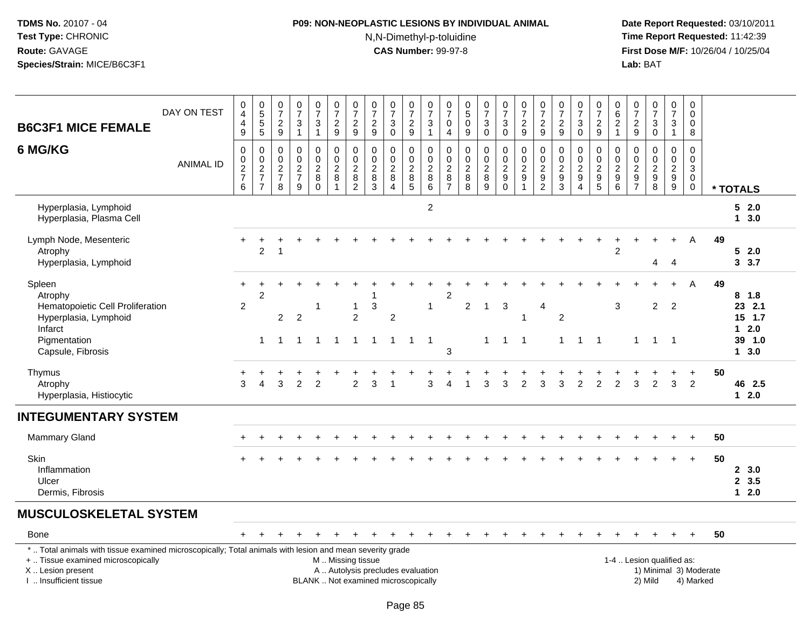# **P09: NON-NEOPLASTIC LESIONS BY INDIVIDUAL ANIMAL**N,N-Dimethyl-p-toluidine

| <b>B6C3F1 MICE FEMALE</b>                                                                                                                                                                     | DAY ON TEST      | 0<br>$\overline{4}$<br>4<br>$\mathsf g$              | 0<br>5<br>5<br>5                     | $\begin{array}{c} 0 \\ 7 \end{array}$<br>$\frac{2}{9}$ | $\pmb{0}$<br>$\overline{7}$<br>$\sqrt{3}$<br>$\overline{1}$ | $\frac{0}{7}$<br>$\ensuremath{\mathsf{3}}$<br>$\overline{1}$        | $\begin{smallmatrix}0\\7\end{smallmatrix}$<br>$\frac{2}{9}$ | $\frac{0}{7}$<br>$\frac{2}{9}$                                          | $\frac{0}{7}$<br>$\frac{2}{9}$                                                                | $\begin{array}{c} 0 \\ 7 \end{array}$<br>$\ensuremath{\mathsf{3}}$<br>$\overline{0}$ | $\frac{0}{7}$<br>$\frac{2}{9}$                    | 0<br>$\overline{7}$<br>3<br>$\mathbf{1}$           | $\frac{0}{7}$<br>$\mathbf 0$<br>$\overline{4}$                        | $\begin{array}{c} 0 \\ 5 \end{array}$<br>$\mathbf 0$<br>$9\,$ | $\frac{0}{7}$<br>$\sqrt{3}$<br>$\overline{0}$                   | $\frac{0}{7}$<br>3<br>$\bar{0}$                       | $\frac{0}{7}$<br>$\frac{2}{9}$ | $\begin{array}{c} 0 \\ 7 \end{array}$<br>$\boldsymbol{2}$<br>$\boldsymbol{9}$ | $\frac{0}{7}$<br>$\frac{2}{9}$                   | $\frac{0}{7}$<br>$\mathbf{3}$<br>$\overline{0}$                          | $\frac{0}{7}$<br>$\frac{2}{9}$                                       | 0<br>$\,6\,$<br>$\frac{2}{1}$                       | $\begin{array}{c} 0 \\ 7 \end{array}$<br>$\frac{2}{9}$                               | $\frac{0}{7}$<br>$_0^3$                                        |             | $\frac{0}{7}$<br>3<br>$\mathbf{1}$                          | 0<br>$\mathbf 0$<br>0<br>8                          |    |                                 |
|-----------------------------------------------------------------------------------------------------------------------------------------------------------------------------------------------|------------------|------------------------------------------------------|--------------------------------------|--------------------------------------------------------|-------------------------------------------------------------|---------------------------------------------------------------------|-------------------------------------------------------------|-------------------------------------------------------------------------|-----------------------------------------------------------------------------------------------|--------------------------------------------------------------------------------------|---------------------------------------------------|----------------------------------------------------|-----------------------------------------------------------------------|---------------------------------------------------------------|-----------------------------------------------------------------|-------------------------------------------------------|--------------------------------|-------------------------------------------------------------------------------|--------------------------------------------------|--------------------------------------------------------------------------|----------------------------------------------------------------------|-----------------------------------------------------|--------------------------------------------------------------------------------------|----------------------------------------------------------------|-------------|-------------------------------------------------------------|-----------------------------------------------------|----|---------------------------------|
| 6 MG/KG                                                                                                                                                                                       | <b>ANIMAL ID</b> | 0<br>$\begin{array}{c} 0 \\ 2 \\ 7 \end{array}$<br>6 | 0<br>$\frac{0}{2}$<br>$\overline{7}$ | $\mathbf 0$<br>$\pmb{0}$<br>$\frac{2}{7}$<br>8         | $\mathbf 0$<br>$\mathbf 0$<br>$\frac{2}{7}$<br>9            | $\pmb{0}$<br>$\overline{0}$<br>$\overline{c}$<br>$\, 8$<br>$\Omega$ | 0<br>$\ddot{\mathbf{0}}$<br>$\frac{2}{8}$<br>$\mathbf{1}$   | 0<br>$\ddot{\mathbf{0}}$<br>$\overline{c}$<br>$\bf 8$<br>$\overline{2}$ | 0<br>$\ddot{\mathbf{0}}$<br>$\frac{2}{8}$<br>3                                                | $\pmb{0}$<br>$\mathbf 0$<br>$\overline{c}$<br>$\,8\,$<br>$\overline{4}$              | 0<br>$\pmb{0}$<br>$\frac{2}{8}$<br>$\overline{5}$ | 0<br>$\mathbf 0$<br>$\overline{c}$<br>$\bf 8$<br>6 | $\mathbf 0$<br>$\ddot{\mathbf{0}}$<br>$\overline{2}$<br>$\frac{8}{7}$ | 0<br>$\mathbf 0$<br>$\boldsymbol{2}$<br>$\bf 8$<br>8          | $\mathbf 0$<br>$\overline{0}$<br>$\overline{c}$<br>$\bf 8$<br>9 | 0<br>$\ddot{\mathbf{0}}$<br>$\frac{2}{9}$<br>$\Omega$ | 0<br>$\frac{0}{2}$<br>1        | $\pmb{0}$<br>$\frac{0}{2}$<br>$\overline{2}$                                  | $\mathbf 0$<br>$\mathbf 0$<br>$\frac{2}{9}$<br>3 | $\mathbf 0$<br>$\overline{0}$<br>$\frac{2}{9}$<br>$\boldsymbol{\Lambda}$ | 0<br>$\mathbf 0$<br>$\sqrt{2}$<br>$\boldsymbol{9}$<br>$\overline{5}$ | $\mathbf 0$<br>$\overline{0}$<br>$\frac{2}{9}$<br>6 | $\mathbf 0$<br>$\mathbf 0$<br>$\boldsymbol{2}$<br>$\boldsymbol{9}$<br>$\overline{7}$ | $\mathbf 0$<br>$0$<br>$9$<br>$8$                               |             | 0<br>$\ddot{\mathbf{0}}$<br>$\frac{2}{9}$<br>$\overline{9}$ | $\mathbf 0$<br>$\mathbf 0$<br>3<br>$\mathbf 0$<br>0 |    | * TOTALS                        |
| Hyperplasia, Lymphoid<br>Hyperplasia, Plasma Cell                                                                                                                                             |                  |                                                      |                                      |                                                        |                                                             |                                                                     |                                                             |                                                                         |                                                                                               |                                                                                      |                                                   | $\overline{2}$                                     |                                                                       |                                                               |                                                                 |                                                       |                                |                                                                               |                                                  |                                                                          |                                                                      |                                                     |                                                                                      |                                                                |             |                                                             |                                                     |    | 52.0<br>13.0                    |
| Lymph Node, Mesenteric<br>Atrophy<br>Hyperplasia, Lymphoid                                                                                                                                    |                  | $\ddot{}$                                            | $\overline{2}$                       | $\overline{1}$                                         |                                                             |                                                                     |                                                             |                                                                         |                                                                                               |                                                                                      |                                                   |                                                    |                                                                       |                                                               |                                                                 |                                                       |                                |                                                                               |                                                  |                                                                          |                                                                      | $\overline{2}$                                      |                                                                                      | 4                                                              |             | $\overline{4}$                                              | A                                                   | 49 | 52.0<br>3.7                     |
| Spleen<br>Atrophy<br>Hematopoietic Cell Proliferation<br>Hyperplasia, Lymphoid                                                                                                                |                  | $\ddot{}$<br>$\overline{2}$                          | $\div$<br>$\overline{c}$             | $\overline{2}$                                         | $\overline{2}$                                              | -1                                                                  |                                                             | $\mathbf{1}$<br>$\overline{2}$                                          | 1<br>3                                                                                        | $\boldsymbol{2}$                                                                     |                                                   | $\mathbf{1}$                                       | $\sqrt{2}$                                                            | $\overline{c}$                                                | $\mathbf{1}$                                                    | 3                                                     |                                | $\overline{4}$                                                                | $\overline{c}$                                   |                                                                          |                                                                      | 3                                                   |                                                                                      | $\overline{2}$                                                 |             | $\ddot{}$<br>$\overline{2}$                                 | $\mathsf{A}$                                        | 49 | $8$ 1.8<br>23 2.1<br>$15$ 1.7   |
| Infarct<br>Pigmentation<br>Capsule, Fibrosis                                                                                                                                                  |                  |                                                      | $\mathbf{1}$                         | $\overline{1}$                                         | $\mathbf{1}$                                                | $\overline{1}$                                                      | $\overline{1}$                                              | $\mathbf{1}$                                                            | $\mathbf{1}$                                                                                  | $\mathbf{1}$                                                                         | $\overline{1}$                                    | $\overline{1}$                                     | 3                                                                     |                                                               | $\mathbf 1$                                                     | $\overline{1}$                                        | $\overline{1}$                 |                                                                               | $\mathbf{1}$                                     | $\overline{1}$                                                           | $\overline{1}$                                                       |                                                     | 1                                                                                    |                                                                | $1 \quad 1$ |                                                             |                                                     |    | $1 \quad 2.0$<br>39 1.0<br>13.0 |
| Thymus<br>Atrophy<br>Hyperplasia, Histiocytic                                                                                                                                                 |                  | 3                                                    | 4                                    | 3                                                      | $\overline{2}$                                              | $\overline{2}$                                                      |                                                             | 2                                                                       | 3                                                                                             |                                                                                      |                                                   | 3                                                  |                                                                       |                                                               | 3                                                               | 3                                                     | 2                              | 3                                                                             | 3                                                | 2                                                                        | 2                                                                    | $\overline{2}$                                      | 3                                                                                    | $\overline{2}$                                                 |             | 3                                                           | 2                                                   | 50 | 46 2.5<br>$12.0$                |
| <b>INTEGUMENTARY SYSTEM</b>                                                                                                                                                                   |                  |                                                      |                                      |                                                        |                                                             |                                                                     |                                                             |                                                                         |                                                                                               |                                                                                      |                                                   |                                                    |                                                                       |                                                               |                                                                 |                                                       |                                |                                                                               |                                                  |                                                                          |                                                                      |                                                     |                                                                                      |                                                                |             |                                                             |                                                     |    |                                 |
| <b>Mammary Gland</b>                                                                                                                                                                          |                  |                                                      |                                      |                                                        |                                                             |                                                                     |                                                             |                                                                         |                                                                                               |                                                                                      |                                                   |                                                    |                                                                       |                                                               |                                                                 |                                                       |                                |                                                                               |                                                  |                                                                          |                                                                      |                                                     |                                                                                      |                                                                |             |                                                             |                                                     | 50 |                                 |
| <b>Skin</b><br>Inflammation<br>Ulcer<br>Dermis, Fibrosis                                                                                                                                      |                  |                                                      |                                      |                                                        |                                                             |                                                                     |                                                             |                                                                         |                                                                                               |                                                                                      |                                                   |                                                    |                                                                       |                                                               |                                                                 |                                                       |                                |                                                                               |                                                  |                                                                          |                                                                      |                                                     |                                                                                      |                                                                |             |                                                             | $\ddot{}$                                           | 50 | 2, 3.0<br>2, 3.5<br>$12.0$      |
| <b>MUSCULOSKELETAL SYSTEM</b>                                                                                                                                                                 |                  |                                                      |                                      |                                                        |                                                             |                                                                     |                                                             |                                                                         |                                                                                               |                                                                                      |                                                   |                                                    |                                                                       |                                                               |                                                                 |                                                       |                                |                                                                               |                                                  |                                                                          |                                                                      |                                                     |                                                                                      |                                                                |             |                                                             |                                                     |    |                                 |
| <b>Bone</b>                                                                                                                                                                                   |                  |                                                      |                                      |                                                        |                                                             |                                                                     |                                                             |                                                                         |                                                                                               |                                                                                      |                                                   |                                                    |                                                                       |                                                               |                                                                 |                                                       |                                |                                                                               |                                                  |                                                                          |                                                                      |                                                     |                                                                                      |                                                                |             |                                                             |                                                     | 50 |                                 |
| *  Total animals with tissue examined microscopically; Total animals with lesion and mean severity grade<br>+  Tissue examined microscopically<br>X  Lesion present<br>I  Insufficient tissue |                  |                                                      |                                      |                                                        |                                                             |                                                                     |                                                             |                                                                         | M  Missing tissue<br>A  Autolysis precludes evaluation<br>BLANK  Not examined microscopically |                                                                                      |                                                   |                                                    |                                                                       |                                                               |                                                                 |                                                       |                                |                                                                               |                                                  |                                                                          |                                                                      |                                                     |                                                                                      | 1-4  Lesion qualified as:<br>1) Minimal 3) Moderate<br>2) Mild |             |                                                             | 4) Marked                                           |    |                                 |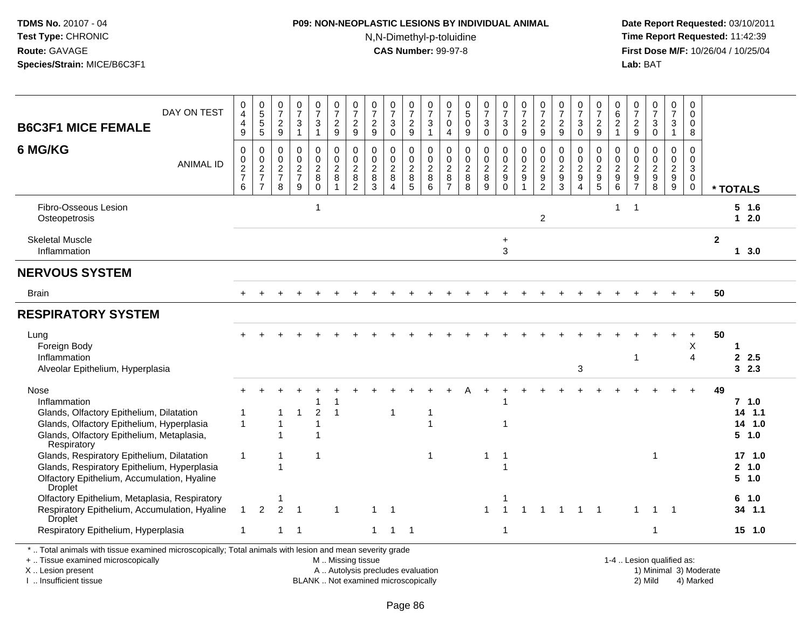# **P09: NON-NEOPLASTIC LESIONS BY INDIVIDUAL ANIMAL**N,N-Dimethyl-p-toluidine

 **Date Report Requested:** 03/10/2011 **Time Report Requested:** 11:42:39 **First Dose M/F:** 10/26/04 / 10/25/04 Lab: BAT **Lab:** BAT

| <b>B6C3F1 MICE FEMALE</b>                                                                                                                                                 | DAY ON TEST      | 0<br>4<br>4<br>9                       | $\begin{array}{c} 0 \\ 5 \\ 5 \end{array}$<br>$\overline{5}$ | 0<br>$\overline{7}$<br>$\mathbf{2}$<br>9                    | 0<br>$\overline{7}$<br>$\sqrt{3}$<br>$\overline{1}$                | $\frac{0}{7}$<br>$\mathbf{3}$<br>$\mathbf{1}$     | 0<br>$\overline{7}$<br>$\overline{2}$<br>9 | 0<br>$\overline{7}$<br>$\overline{2}$<br>9                                              | 0<br>$\overline{7}$<br>$\overline{2}$<br>$9\,$ | 0<br>$\overline{7}$<br>$\mathbf{3}$<br>$\mathbf 0$     | $\frac{0}{7}$<br>$\overline{c}$<br>9 | $\frac{0}{7}$<br>$\mathbf{3}$<br>$\mathbf{1}$        | 0<br>$\overline{7}$<br>0<br>$\overline{4}$               | $\begin{array}{c} 0 \\ 5 \end{array}$<br>$\mathbf 0$<br>9 | $\frac{0}{7}$<br>$\sqrt{3}$<br>$\mathbf 0$                   | 0<br>$\overline{7}$<br>3<br>$\mathbf 0$             | 0<br>$\overline{7}$<br>$\overline{2}$<br>9 | $\frac{0}{7}$<br>$\overline{c}$<br>9                                   | 0<br>$\overline{7}$<br>$\mathbf{2}$<br>9                        | $\frac{0}{7}$<br>$\mathbf 3$<br>$\mathbf 0$                         | 0<br>$\overline{7}$<br>$\overline{c}$<br>9 | 0<br>$\,6\,$<br>$\overline{2}$<br>$\overline{1}$                 | 0<br>$\overline{7}$<br>$\mathbf{2}$<br>9                       | 0<br>$\overline{7}$<br>$\mathbf{3}$<br>$\mathbf 0$                   | 0<br>$\overline{7}$<br>$\mathbf{3}$                                        | 0<br>$\mathbf 0$<br>0<br>8                                              |              |                                                  |
|---------------------------------------------------------------------------------------------------------------------------------------------------------------------------|------------------|----------------------------------------|--------------------------------------------------------------|-------------------------------------------------------------|--------------------------------------------------------------------|---------------------------------------------------|--------------------------------------------|-----------------------------------------------------------------------------------------|------------------------------------------------|--------------------------------------------------------|--------------------------------------|------------------------------------------------------|----------------------------------------------------------|-----------------------------------------------------------|--------------------------------------------------------------|-----------------------------------------------------|--------------------------------------------|------------------------------------------------------------------------|-----------------------------------------------------------------|---------------------------------------------------------------------|--------------------------------------------|------------------------------------------------------------------|----------------------------------------------------------------|----------------------------------------------------------------------|----------------------------------------------------------------------------|-------------------------------------------------------------------------|--------------|--------------------------------------------------|
| 6 MG/KG                                                                                                                                                                   | <b>ANIMAL ID</b> | $\mathbf 0$<br>0<br>$\frac{2}{7}$<br>6 | $\mathbf 0$<br>$\pmb{0}$<br>$\frac{2}{7}$<br>$\overline{7}$  | $\mathbf 0$<br>0<br>$\boldsymbol{2}$<br>$\overline{7}$<br>8 | $\Omega$<br>$\mathbf 0$<br>$\boldsymbol{2}$<br>$\overline{7}$<br>9 | 0<br>$\pmb{0}$<br>$\overline{2}$<br>8<br>$\Omega$ | 0<br>$\mathbf 0$<br>$\overline{2}$<br>8    | $\mathbf 0$<br>$\boldsymbol{0}$<br>$\overline{c}$<br>$\boldsymbol{8}$<br>$\overline{2}$ | $\mathbf 0$<br>0<br>$\sqrt{2}$<br>8<br>3       | $\mathbf 0$<br>$\mathbf 0$<br>$\overline{2}$<br>8<br>4 | 0<br>0<br>$\overline{c}$<br>8<br>5   | 0<br>$\mathsf{O}\xspace$<br>$\overline{2}$<br>8<br>6 | $\Omega$<br>0<br>$\sqrt{2}$<br>$\,8\,$<br>$\overline{7}$ | 0<br>0<br>$\frac{2}{8}$<br>$\overline{8}$                 | $\mathbf 0$<br>$\mathbf 0$<br>$\overline{2}$<br>$\,8\,$<br>9 | 0<br>$\mathbf 0$<br>$\overline{c}$<br>9<br>$\Omega$ | 0<br>$\mathbf 0$<br>$\frac{2}{9}$<br>1     | 0<br>$\pmb{0}$<br>$\overline{2}$<br>$\boldsymbol{9}$<br>$\overline{2}$ | $\Omega$<br>0<br>$\sqrt{2}$<br>$\boldsymbol{9}$<br>$\mathbf{3}$ | $\mathbf 0$<br>$\mathbf 0$<br>$\overline{2}$<br>$\overline{9}$<br>4 | 0<br>0<br>$\overline{c}$<br>$9\,$<br>5     | $\Omega$<br>$\mathbf 0$<br>$\overline{2}$<br>$\overline{9}$<br>6 | 0<br>0<br>$\overline{c}$<br>$\boldsymbol{9}$<br>$\overline{7}$ | $\Omega$<br>$\mathbf 0$<br>$\boldsymbol{2}$<br>$\boldsymbol{9}$<br>8 | 0<br>$\mathbf 0$<br>$\overline{2}$<br>$\boldsymbol{9}$<br>$\boldsymbol{9}$ | $\mathbf 0$<br>$\mathbf 0$<br>$\mathsf 3$<br>$\mathbf 0$<br>$\mathbf 0$ |              | * TOTALS                                         |
| Fibro-Osseous Lesion<br>Osteopetrosis                                                                                                                                     |                  |                                        |                                                              |                                                             |                                                                    | $\mathbf 1$                                       |                                            |                                                                                         |                                                |                                                        |                                      |                                                      |                                                          |                                                           |                                                              |                                                     |                                            | $\overline{c}$                                                         |                                                                 |                                                                     |                                            | 1                                                                | $\overline{1}$                                                 |                                                                      |                                                                            |                                                                         |              | $5$ 1.6<br>$12.0$                                |
| <b>Skeletal Muscle</b><br>Inflammation                                                                                                                                    |                  |                                        |                                                              |                                                             |                                                                    |                                                   |                                            |                                                                                         |                                                |                                                        |                                      |                                                      |                                                          |                                                           |                                                              | ÷<br>3                                              |                                            |                                                                        |                                                                 |                                                                     |                                            |                                                                  |                                                                |                                                                      |                                                                            |                                                                         | $\mathbf{2}$ | 13.0                                             |
| <b>NERVOUS SYSTEM</b>                                                                                                                                                     |                  |                                        |                                                              |                                                             |                                                                    |                                                   |                                            |                                                                                         |                                                |                                                        |                                      |                                                      |                                                          |                                                           |                                                              |                                                     |                                            |                                                                        |                                                                 |                                                                     |                                            |                                                                  |                                                                |                                                                      |                                                                            |                                                                         |              |                                                  |
| Brain                                                                                                                                                                     |                  |                                        |                                                              |                                                             |                                                                    |                                                   |                                            |                                                                                         |                                                |                                                        |                                      |                                                      |                                                          |                                                           |                                                              |                                                     |                                            |                                                                        |                                                                 |                                                                     |                                            |                                                                  |                                                                |                                                                      |                                                                            | $+$                                                                     | 50           |                                                  |
| <b>RESPIRATORY SYSTEM</b>                                                                                                                                                 |                  |                                        |                                                              |                                                             |                                                                    |                                                   |                                            |                                                                                         |                                                |                                                        |                                      |                                                      |                                                          |                                                           |                                                              |                                                     |                                            |                                                                        |                                                                 |                                                                     |                                            |                                                                  |                                                                |                                                                      |                                                                            |                                                                         |              |                                                  |
| Lung<br>Foreign Body<br>Inflammation<br>Alveolar Epithelium, Hyperplasia                                                                                                  |                  |                                        |                                                              |                                                             |                                                                    |                                                   |                                            |                                                                                         |                                                |                                                        |                                      |                                                      |                                                          |                                                           |                                                              |                                                     |                                            |                                                                        |                                                                 | 3                                                                   |                                            |                                                                  | 1                                                              |                                                                      |                                                                            | X<br>$\overline{4}$                                                     | 50           | 2.5<br>32.3                                      |
| Nose<br>Inflammation<br>Glands, Olfactory Epithelium, Dilatation<br>Glands, Olfactory Epithelium, Hyperplasia<br>Glands, Olfactory Epithelium, Metaplasia,                |                  | 1                                      |                                                              |                                                             |                                                                    | $\overline{2}$                                    |                                            |                                                                                         |                                                | $\overline{1}$                                         |                                      | 1                                                    |                                                          |                                                           |                                                              | 1                                                   |                                            |                                                                        |                                                                 |                                                                     |                                            |                                                                  |                                                                |                                                                      |                                                                            |                                                                         | 49           | 7 <sub>1.0</sub><br>14<br>1.1<br>14 1.0<br>5 1.0 |
| Respiratory<br>Glands, Respiratory Epithelium, Dilatation<br>Glands, Respiratory Epithelium, Hyperplasia<br>Olfactory Epithelium, Accumulation, Hyaline<br><b>Droplet</b> |                  | 1                                      |                                                              | 1<br>1                                                      |                                                                    | -1                                                |                                            |                                                                                         |                                                |                                                        |                                      | $\mathbf{1}$                                         |                                                          |                                                           | $\mathbf{1}$                                                 | -1<br>1                                             |                                            |                                                                        |                                                                 |                                                                     |                                            |                                                                  |                                                                | -1                                                                   |                                                                            |                                                                         |              | 17 1.0<br>2, 1.0<br>$5 \t1.0$                    |
| Olfactory Epithelium, Metaplasia, Respiratory<br>Respiratory Epithelium, Accumulation, Hyaline<br><b>Droplet</b>                                                          |                  | $\mathbf{1}$                           | $\overline{2}$                                               | $\overline{c}$                                              | -1                                                                 |                                                   |                                            |                                                                                         | $\mathbf 1$                                    | -1                                                     |                                      |                                                      |                                                          |                                                           | $\mathbf{1}$                                                 |                                                     |                                            |                                                                        |                                                                 | -1                                                                  | $\overline{1}$                             |                                                                  | 1                                                              | $\mathbf 1$                                                          |                                                                            |                                                                         |              | 6<br>1.0<br>34 1.1                               |
| Respiratory Epithelium, Hyperplasia                                                                                                                                       |                  | -1                                     |                                                              | 1                                                           | -1                                                                 |                                                   |                                            |                                                                                         | $\mathbf{1}$                                   | $\overline{1}$                                         | $\overline{\phantom{0}}$             |                                                      |                                                          |                                                           |                                                              | 1                                                   |                                            |                                                                        |                                                                 |                                                                     |                                            |                                                                  |                                                                | $\mathbf 1$                                                          |                                                                            |                                                                         |              | 15, 1.0                                          |

+ .. Tissue examined microscopically

X .. Lesion present

I .. Insufficient tissue

M .. Missing tissue

A .. Autolysis precludes evaluation 1999 (1999) 1999 (1999) 1999 (1999) 1999 (1999) Minimal 3) Minimal 3) Minimal 3) Minimal 3) Mild BLANK .. Not examined microscopically 2) Mild 4) Marked

1-4 .. Lesion qualified as:<br>1) Minimal 3) Moderate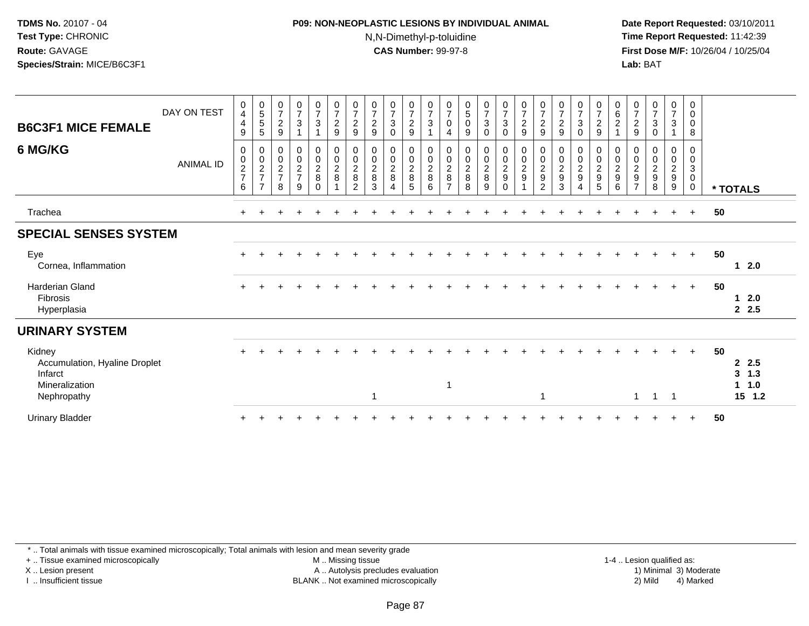#### **P09: NON-NEOPLASTIC LESIONS BY INDIVIDUAL ANIMAL**N,N-Dimethyl-p-toluidine

 **Date Report Requested:** 03/10/2011 **Time Report Requested:** 11:42:39 **First Dose M/F:** 10/26/04 / 10/25/04 Lab: BAT **Lab:** BAT

| <b>B6C3F1 MICE FEMALE</b>                                                           | DAY ON TEST      | 0<br>4<br>$\overline{4}$<br>$9\,$    | $\begin{array}{c} 0 \\ 5 \end{array}$<br>$\mathbf 5$<br>5 | $\begin{array}{c} 0 \\ 7 \end{array}$<br>$\boldsymbol{2}$<br>9 | $\frac{0}{7}$<br>$\mathbf 3$<br>$\overline{1}$ | $\frac{0}{7}$<br>3             | $\frac{0}{7}$<br>$\frac{2}{9}$                 | 0<br>$\overline{7}$<br>$\overline{2}$<br>$\boldsymbol{9}$ | $\frac{0}{7}$<br>$\boldsymbol{2}$<br>$\boldsymbol{9}$      | $\frac{0}{7}$<br>$\mathbf{3}$<br>$\mathbf 0$         | $\frac{0}{7}$<br>$\sqrt{2}$<br>$\boldsymbol{9}$ | $\frac{0}{7}$<br>$\sqrt{3}$          | $\pmb{0}$<br>$\overline{7}$<br>$\mathbf 0$<br>4         | $\begin{smallmatrix} 0\\5 \end{smallmatrix}$<br>$\pmb{0}$<br>9 | $\frac{0}{7}$<br>3<br>0      | $\frac{0}{7}$<br>$\ensuremath{\mathsf{3}}$<br>$\pmb{0}$ | $\frac{0}{7}$<br>$\frac{2}{9}$                         | $\frac{0}{7}$<br>$\overline{2}$<br>$\boldsymbol{9}$ | $\frac{0}{7}$<br>$\overline{c}$<br>$\boldsymbol{9}$                | $\frac{0}{7}$<br>3<br>0       | $\frac{0}{7}$<br>$\frac{2}{9}$                         | $\begin{matrix} 0 \\ 6 \end{matrix}$<br>$\overline{c}$      | $\frac{0}{7}$<br>$\overline{2}$<br>9      | $\frac{0}{7}$<br>$\sqrt{3}$<br>$\mathbf 0$                  | 0<br>$\overline{7}$<br>3     | 0<br>$\pmb{0}$<br>$\pmb{0}$<br>8                           |    |                                                     |
|-------------------------------------------------------------------------------------|------------------|--------------------------------------|-----------------------------------------------------------|----------------------------------------------------------------|------------------------------------------------|--------------------------------|------------------------------------------------|-----------------------------------------------------------|------------------------------------------------------------|------------------------------------------------------|-------------------------------------------------|--------------------------------------|---------------------------------------------------------|----------------------------------------------------------------|------------------------------|---------------------------------------------------------|--------------------------------------------------------|-----------------------------------------------------|--------------------------------------------------------------------|-------------------------------|--------------------------------------------------------|-------------------------------------------------------------|-------------------------------------------|-------------------------------------------------------------|------------------------------|------------------------------------------------------------|----|-----------------------------------------------------|
| 6 MG/KG                                                                             | <b>ANIMAL ID</b> | 0<br>$\pmb{0}$<br>$\frac{2}{7}$<br>6 | 0<br>$\mathbf 0$<br>$\overline{c}$<br>$\overline{7}$<br>7 | $\mathbf 0$<br>$\pmb{0}$<br>$\frac{2}{7}$<br>8                 | 0<br>$\frac{0}{2}$<br>9                        | 0<br>$\frac{0}{2}$<br>$\Omega$ | $\pmb{0}$<br>$\boldsymbol{0}$<br>$\frac{2}{8}$ | 0<br>$\boldsymbol{0}$<br>$\overline{c}$<br>$\,8\,$<br>2   | $\mathbf 0$<br>$\pmb{0}$<br>$\overline{2}$<br>$\,8\,$<br>3 | 0<br>$\mathsf{O}\xspace$<br>$\overline{c}$<br>8<br>4 | 0<br>$\frac{0}{2}$<br>5                         | 0<br>$\pmb{0}$<br>$\frac{2}{8}$<br>6 | 0<br>$\,0\,$<br>$\boldsymbol{2}$<br>8<br>$\overline{7}$ | 0<br>$\boldsymbol{0}$<br>$\frac{2}{8}$<br>8                    | 0<br>0<br>$\frac{2}{8}$<br>9 | 0<br>$\frac{0}{2}$<br>$\mathbf 0$                       | 0<br>$\pmb{0}$<br>$\boldsymbol{2}$<br>$\boldsymbol{9}$ | 0<br>0<br>$\sqrt{2}$<br>$\boldsymbol{9}$<br>2       | 0<br>$\boldsymbol{0}$<br>$\boldsymbol{2}$<br>$\boldsymbol{9}$<br>3 | 0<br>0<br>$\overline{a}$<br>9 | 0<br>$\begin{array}{c}\n0 \\ 2 \\ 9 \\ 5\n\end{array}$ | 0<br>$\pmb{0}$<br>$\boldsymbol{2}$<br>$\boldsymbol{9}$<br>6 | 0<br>0<br>$\frac{2}{9}$<br>$\overline{7}$ | 0<br>$\pmb{0}$<br>$\boldsymbol{2}$<br>$\boldsymbol{9}$<br>8 | 0<br>0<br>$\frac{2}{9}$<br>9 | 0<br>$\pmb{0}$<br>$\mathbf{3}$<br>$\pmb{0}$<br>$\mathbf 0$ |    | * TOTALS                                            |
| Trachea                                                                             |                  |                                      |                                                           |                                                                |                                                |                                |                                                |                                                           |                                                            |                                                      |                                                 |                                      |                                                         |                                                                |                              |                                                         |                                                        |                                                     |                                                                    |                               |                                                        |                                                             |                                           |                                                             |                              | $\ddot{}$                                                  | 50 |                                                     |
| <b>SPECIAL SENSES SYSTEM</b>                                                        |                  |                                      |                                                           |                                                                |                                                |                                |                                                |                                                           |                                                            |                                                      |                                                 |                                      |                                                         |                                                                |                              |                                                         |                                                        |                                                     |                                                                    |                               |                                                        |                                                             |                                           |                                                             |                              |                                                            |    |                                                     |
| Eye<br>Cornea, Inflammation                                                         |                  |                                      |                                                           |                                                                |                                                |                                |                                                |                                                           |                                                            |                                                      |                                                 |                                      |                                                         |                                                                |                              |                                                         |                                                        |                                                     |                                                                    |                               |                                                        |                                                             |                                           |                                                             | $\ddot{}$                    | $+$                                                        | 50 | 12.0                                                |
| <b>Harderian Gland</b><br>Fibrosis<br>Hyperplasia                                   |                  |                                      |                                                           |                                                                |                                                |                                |                                                |                                                           |                                                            |                                                      |                                                 |                                      |                                                         |                                                                |                              |                                                         |                                                        |                                                     |                                                                    |                               |                                                        |                                                             |                                           |                                                             |                              | $+$                                                        | 50 | $1 \quad 2.0$<br>2.5                                |
| <b>URINARY SYSTEM</b>                                                               |                  |                                      |                                                           |                                                                |                                                |                                |                                                |                                                           |                                                            |                                                      |                                                 |                                      |                                                         |                                                                |                              |                                                         |                                                        |                                                     |                                                                    |                               |                                                        |                                                             |                                           |                                                             |                              |                                                            |    |                                                     |
| Kidney<br>Accumulation, Hyaline Droplet<br>Infarct<br>Mineralization<br>Nephropathy |                  |                                      |                                                           |                                                                |                                                |                                |                                                |                                                           | -1                                                         |                                                      |                                                 |                                      | $\mathbf 1$                                             |                                                                |                              |                                                         |                                                        | 1                                                   |                                                                    |                               |                                                        |                                                             | 1                                         | -1                                                          | $\overline{1}$               | $+$                                                        | 50 | 2, 2.5<br>3, 1.3<br>1.0<br>$\mathbf 1$<br>15<br>1.2 |
| <b>Urinary Bladder</b>                                                              |                  |                                      |                                                           |                                                                |                                                |                                |                                                |                                                           |                                                            |                                                      |                                                 |                                      |                                                         |                                                                |                              |                                                         |                                                        |                                                     |                                                                    |                               |                                                        |                                                             |                                           |                                                             |                              |                                                            | 50 |                                                     |

\* .. Total animals with tissue examined microscopically; Total animals with lesion and mean severity grade

+ .. Tissue examined microscopically

X .. Lesion present

I .. Insufficient tissue

 M .. Missing tissueA .. Autolysis precludes evaluation

1-4 .. Lesion qualified as:<br>1) Minimal 3) Moderate BLANK .. Not examined microscopically 2) Mild 4) Marked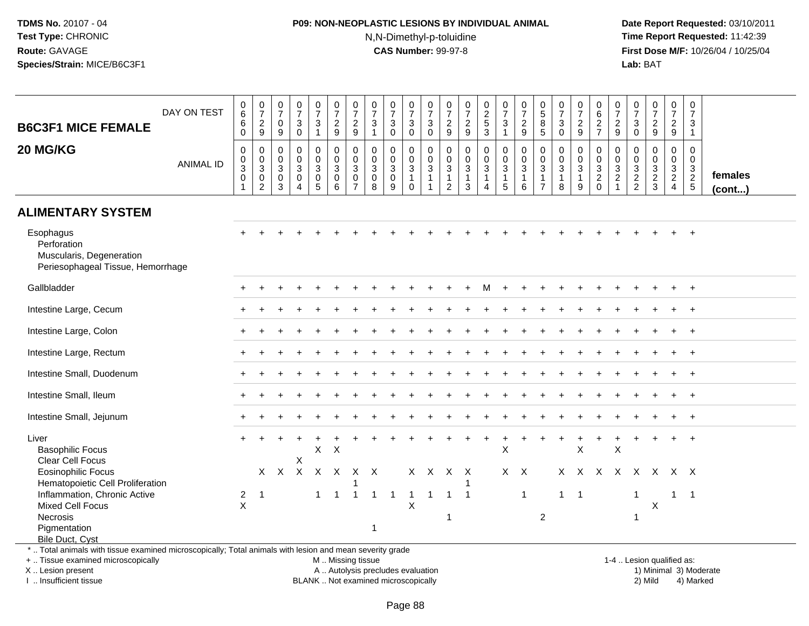# **P09: NON-NEOPLASTIC LESIONS BY INDIVIDUAL ANIMAL**N,N-Dimethyl-p-toluidine

 **Date Report Requested:** 03/10/2011 **Time Report Requested:** 11:42:39 **First Dose M/F:** 10/26/04 / 10/25/04<br>**Lab:** BAT **Lab:** BAT

| <b>B6C3F1 MICE FEMALE</b>                                                                                                                                                | DAY ON TEST      | $_6^0$<br>6<br>$\mathbf 0$                              | $\frac{0}{7}$<br>$\frac{2}{9}$                                 | $\pmb{0}$<br>$\overline{7}$<br>0<br>9                         | $\begin{smallmatrix}0\\7\end{smallmatrix}$<br>$\mathbf{3}$<br>$\mathbf 0$ | $\begin{array}{c} 0 \\ 7 \end{array}$<br>$\mathbf{3}$<br>$\mathbf{1}$ | $\frac{0}{7}$<br>$\frac{2}{9}$                                 | $\frac{0}{7}$<br>$\frac{2}{9}$                                 | 0<br>$\overline{7}$<br>$\mathbf{3}$<br>$\mathbf{1}$          | $\begin{array}{c} 0 \\ 7 \end{array}$<br>$\sqrt{3}$<br>$\mathbf 0$ | $\begin{smallmatrix} 0\\7 \end{smallmatrix}$<br>$\mathbf{3}$<br>$\overline{0}$ | $\frac{0}{7}$<br>$\sqrt{3}$<br>$\mathbf 0$                                     | $\begin{smallmatrix}0\\7\end{smallmatrix}$<br>$\overline{c}$<br>$9\,$          | $\frac{0}{7}$<br>$\frac{2}{9}$                                    | $\begin{array}{c} 0 \\ 2 \\ 5 \end{array}$<br>$\overline{3}$                   | $\frac{0}{7}$<br>$\mathbf{3}$<br>$\mathbf{1}$           | $\frac{0}{7}$<br>$\frac{2}{9}$                                                          | 0<br>$\frac{5}{8}$<br>$\overline{5}$                                         | $\frac{0}{7}$<br>$\mathbf{3}$<br>$\mathbf 0$                  | $\frac{0}{7}$<br>$\overline{c}$<br>9                    | $\pmb{0}$<br>$\,6\,$<br>$\frac{2}{7}$                                         | $\frac{0}{7}$<br>$\frac{2}{9}$               | $\,0\,$<br>$\overline{7}$<br>$\sqrt{3}$<br>$\mathsf{O}\xspace$ | $\begin{smallmatrix}0\\7\end{smallmatrix}$<br>$\boldsymbol{2}$<br>$\boldsymbol{9}$ | $\frac{0}{7}$<br>$\boldsymbol{2}$<br>$\boldsymbol{9}$                          | $\pmb{0}$<br>$\overline{7}$<br>$\mathbf{3}$<br>$\mathbf{1}$ |                         |
|--------------------------------------------------------------------------------------------------------------------------------------------------------------------------|------------------|---------------------------------------------------------|----------------------------------------------------------------|---------------------------------------------------------------|---------------------------------------------------------------------------|-----------------------------------------------------------------------|----------------------------------------------------------------|----------------------------------------------------------------|--------------------------------------------------------------|--------------------------------------------------------------------|--------------------------------------------------------------------------------|--------------------------------------------------------------------------------|--------------------------------------------------------------------------------|-------------------------------------------------------------------|--------------------------------------------------------------------------------|---------------------------------------------------------|-----------------------------------------------------------------------------------------|------------------------------------------------------------------------------|---------------------------------------------------------------|---------------------------------------------------------|-------------------------------------------------------------------------------|----------------------------------------------|----------------------------------------------------------------|------------------------------------------------------------------------------------|--------------------------------------------------------------------------------|-------------------------------------------------------------|-------------------------|
| 20 MG/KG                                                                                                                                                                 | <b>ANIMAL ID</b> | $\pmb{0}$<br>0<br>$\overline{3}$<br>0<br>$\overline{1}$ | $\mathbf 0$<br>$_{3}^{\rm 0}$<br>$\mathbf 0$<br>$\overline{2}$ | $\mathbf 0$<br>$\mathbf 0$<br>$\mathsf 3$<br>$\mathbf 0$<br>3 | $\mathbf 0$<br>$\mathbf 0$<br>3<br>$\mathbf 0$<br>$\overline{4}$          | $\mathbf 0$<br>$\mathbf 0$<br>$\mathbf{3}$<br>$\pmb{0}$<br>5          | $\mathbf 0$<br>$\mathbf 0$<br>$\mathbf{3}$<br>$\mathbf 0$<br>6 | 0<br>$\mathbf 0$<br>3<br>$\mathsf{O}\xspace$<br>$\overline{7}$ | $\mathbf 0$<br>$\mathbf 0$<br>$\mathbf{3}$<br>$\pmb{0}$<br>8 | $\mathbf 0$<br>$\pmb{0}$<br>$\overline{3}$<br>$\pmb{0}$<br>9       | 0<br>$\mathbf 0$<br>$\overline{3}$<br>$\mathbf{1}$<br>$\mathbf{0}$             | $\mathbf 0$<br>$\mathbf 0$<br>$\overline{3}$<br>$\mathbf{1}$<br>$\overline{1}$ | $\mathbf 0$<br>$\mathbf 0$<br>$\ensuremath{\mathsf{3}}$<br>1<br>$\overline{2}$ | $\mathsf 0$<br>$\mathbf 0$<br>$\overline{3}$<br>$\mathbf{1}$<br>3 | $\mathsf 0$<br>$\mathbf 0$<br>$\overline{3}$<br>$\mathbf{1}$<br>$\overline{4}$ | 0<br>$\mathbf 0$<br>$\overline{3}$<br>$\mathbf{1}$<br>5 | $\mathbf 0$<br>$\mathsf{O}\xspace$<br>$\overline{3}$<br>$\mathbf{1}$<br>$6\phantom{1}6$ | $\mathbf 0$<br>$\mathbf 0$<br>$\mathbf{3}$<br>$\mathbf{1}$<br>$\overline{7}$ | $\mathbf 0$<br>$\mathbf 0$<br>$\sqrt{3}$<br>$\mathbf{1}$<br>8 | 0<br>$\mathbf 0$<br>$\mathfrak{Z}$<br>$\mathbf{1}$<br>9 | $\mathbf 0$<br>$\mathbf 0$<br>$\overline{3}$<br>$\overline{c}$<br>$\mathbf 0$ | $\mathbf 0$<br>$\frac{0}{3}$<br>$\mathbf{1}$ | $\mathbf 0$<br>$\mathbf 0$<br>$\frac{3}{2}$                    | $\mathbf 0$<br>$\mathbf 0$<br>$\sqrt{3}$<br>$\frac{2}{3}$                          | $\mathbf 0$<br>$\mathbf 0$<br>$\mathbf{3}$<br>$\overline{2}$<br>$\overline{4}$ | $\mathbf 0$<br>$\mathbf 0$<br>$\mathsf 3$<br>$\frac{2}{5}$  | females<br>$($ cont $)$ |
| <b>ALIMENTARY SYSTEM</b>                                                                                                                                                 |                  |                                                         |                                                                |                                                               |                                                                           |                                                                       |                                                                |                                                                |                                                              |                                                                    |                                                                                |                                                                                |                                                                                |                                                                   |                                                                                |                                                         |                                                                                         |                                                                              |                                                               |                                                         |                                                                               |                                              |                                                                |                                                                                    |                                                                                |                                                             |                         |
| Esophagus<br>Perforation<br>Muscularis, Degeneration<br>Periesophageal Tissue, Hemorrhage                                                                                |                  |                                                         |                                                                |                                                               |                                                                           |                                                                       |                                                                |                                                                |                                                              |                                                                    |                                                                                |                                                                                |                                                                                |                                                                   |                                                                                |                                                         |                                                                                         |                                                                              |                                                               |                                                         |                                                                               |                                              |                                                                |                                                                                    |                                                                                |                                                             |                         |
| Gallbladder                                                                                                                                                              |                  |                                                         |                                                                |                                                               |                                                                           |                                                                       |                                                                |                                                                |                                                              |                                                                    |                                                                                |                                                                                |                                                                                |                                                                   |                                                                                |                                                         |                                                                                         |                                                                              |                                                               |                                                         |                                                                               |                                              |                                                                |                                                                                    |                                                                                |                                                             |                         |
| Intestine Large, Cecum                                                                                                                                                   |                  |                                                         |                                                                |                                                               |                                                                           |                                                                       |                                                                |                                                                |                                                              |                                                                    |                                                                                |                                                                                |                                                                                |                                                                   |                                                                                |                                                         |                                                                                         |                                                                              |                                                               |                                                         |                                                                               |                                              |                                                                |                                                                                    |                                                                                |                                                             |                         |
| Intestine Large, Colon                                                                                                                                                   |                  |                                                         |                                                                |                                                               |                                                                           |                                                                       |                                                                |                                                                |                                                              |                                                                    |                                                                                |                                                                                |                                                                                |                                                                   |                                                                                |                                                         |                                                                                         |                                                                              |                                                               |                                                         |                                                                               |                                              |                                                                |                                                                                    |                                                                                | $+$                                                         |                         |
| Intestine Large, Rectum                                                                                                                                                  |                  |                                                         |                                                                |                                                               |                                                                           |                                                                       |                                                                |                                                                |                                                              |                                                                    |                                                                                |                                                                                |                                                                                |                                                                   |                                                                                |                                                         |                                                                                         |                                                                              |                                                               |                                                         |                                                                               |                                              |                                                                |                                                                                    |                                                                                |                                                             |                         |
| Intestine Small, Duodenum                                                                                                                                                |                  |                                                         |                                                                |                                                               |                                                                           |                                                                       |                                                                |                                                                |                                                              |                                                                    |                                                                                |                                                                                |                                                                                |                                                                   |                                                                                |                                                         |                                                                                         |                                                                              |                                                               |                                                         |                                                                               |                                              |                                                                |                                                                                    |                                                                                |                                                             |                         |
| Intestine Small, Ileum                                                                                                                                                   |                  |                                                         |                                                                |                                                               |                                                                           |                                                                       |                                                                |                                                                |                                                              |                                                                    |                                                                                |                                                                                |                                                                                |                                                                   |                                                                                |                                                         |                                                                                         |                                                                              |                                                               |                                                         |                                                                               |                                              |                                                                |                                                                                    |                                                                                | $\overline{1}$                                              |                         |
| Intestine Small, Jejunum                                                                                                                                                 |                  |                                                         |                                                                |                                                               |                                                                           |                                                                       |                                                                |                                                                |                                                              |                                                                    |                                                                                |                                                                                |                                                                                |                                                                   |                                                                                |                                                         |                                                                                         |                                                                              |                                                               |                                                         |                                                                               |                                              |                                                                |                                                                                    |                                                                                |                                                             |                         |
| Liver<br><b>Basophilic Focus</b><br>Clear Cell Focus                                                                                                                     |                  |                                                         |                                                                |                                                               | X                                                                         | X                                                                     | $\boldsymbol{\mathsf{X}}$                                      |                                                                |                                                              |                                                                    |                                                                                |                                                                                |                                                                                |                                                                   | $\ddot{}$                                                                      | $\ddot{}$<br>$\sf X$                                    |                                                                                         |                                                                              |                                                               | X                                                       | $\ddot{}$                                                                     | $\ddot{}$<br>X                               |                                                                |                                                                                    |                                                                                |                                                             |                         |
| <b>Eosinophilic Focus</b><br>Hematopoietic Cell Proliferation                                                                                                            |                  |                                                         | X                                                              | $\mathsf{X}$                                                  | $\mathsf{X}$                                                              | $\mathsf{X}$                                                          | $\mathsf{X}$                                                   | $X$ $X$                                                        |                                                              |                                                                    | $\mathsf{X}$                                                                   | $\mathsf{X}$                                                                   | $X$ $X$                                                                        |                                                                   |                                                                                |                                                         | $X$ $X$                                                                                 |                                                                              |                                                               |                                                         |                                                                               |                                              |                                                                | X X X X X X X X                                                                    |                                                                                |                                                             |                         |
| Inflammation, Chronic Active<br>Mixed Cell Focus<br>Necrosis<br>Pigmentation                                                                                             |                  | $\overline{a}$<br>$\sf X$                               | $\overline{1}$                                                 |                                                               |                                                                           | $\mathbf{1}$                                                          | $\mathbf{1}$                                                   | $\mathbf{1}$                                                   | $\mathbf{1}$<br>1                                            | $\overline{1}$                                                     | $\overline{1}$<br>X                                                            | $\mathbf{1}$                                                                   | $\overline{1}$<br>1                                                            | $\overline{1}$                                                    |                                                                                |                                                         | $\overline{1}$                                                                          | $\overline{2}$                                                               | $1 \quad 1$                                                   |                                                         |                                                                               |                                              | $\mathbf{1}$<br>1                                              | X                                                                                  | $1 \quad 1$                                                                    |                                                             |                         |
| <b>Bile Duct, Cyst</b><br>*  Total animals with tissue examined microscopically; Total animals with lesion and mean severity grade<br>+  Tissue examined microscopically |                  |                                                         |                                                                |                                                               |                                                                           |                                                                       | M  Missing tissue                                              |                                                                |                                                              |                                                                    |                                                                                |                                                                                |                                                                                |                                                                   |                                                                                |                                                         |                                                                                         |                                                                              |                                                               |                                                         |                                                                               |                                              |                                                                | 1-4  Lesion qualified as:                                                          |                                                                                |                                                             |                         |
| X Lesion present                                                                                                                                                         |                  |                                                         |                                                                |                                                               |                                                                           |                                                                       |                                                                |                                                                |                                                              | A  Autolysis precludes evaluation                                  |                                                                                |                                                                                |                                                                                |                                                                   |                                                                                |                                                         |                                                                                         |                                                                              |                                                               |                                                         |                                                                               |                                              |                                                                |                                                                                    |                                                                                | 1) Minimal 3) Moderate                                      |                         |

I .. Insufficient tissue

BLANK .. Not examined microscopically example of the state of the 2) Mild 4) Marked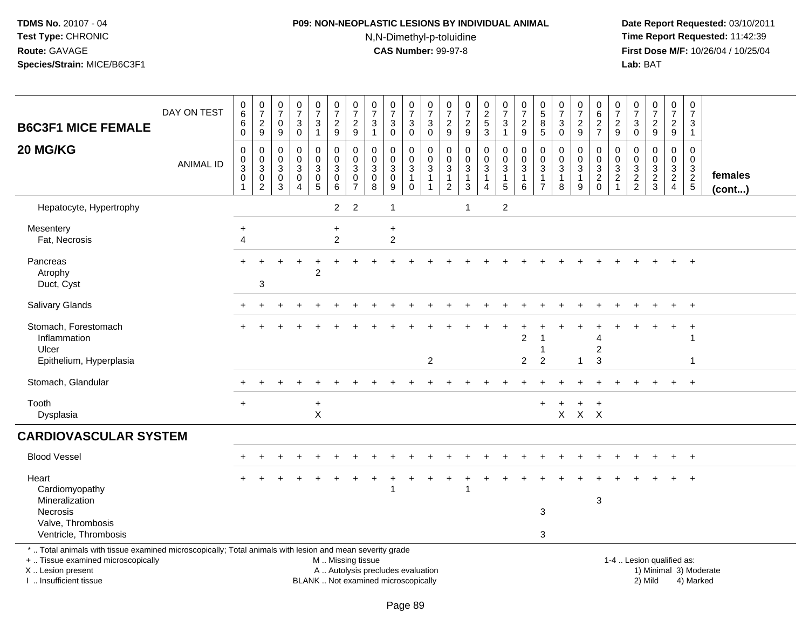# **P09: NON-NEOPLASTIC LESIONS BY INDIVIDUAL ANIMAL**N,N-Dimethyl-p-toluidine

| <b>B6C3F1 MICE FEMALE</b>                                                                                                                                                                    | DAY ON TEST      | $\begin{array}{c} 0 \\ 6 \end{array}$<br>$\,6\,$<br>$\mathbf 0$              | $\begin{array}{c} 0 \\ 7 \end{array}$<br>$\frac{2}{9}$ | $\frac{0}{7}$<br>$\pmb{0}$<br>$\boldsymbol{9}$     | $\frac{0}{7}$<br>$\mathbf{3}$<br>$\mathbf 0$  | $\begin{smallmatrix}0\\7\end{smallmatrix}$<br>3<br>$\mathbf{1}$ | $\frac{0}{7}$<br>$\frac{2}{9}$                                     | $\frac{0}{7}$<br>$\frac{2}{9}$                                              | $\frac{0}{7}$<br>$\ensuremath{\mathsf{3}}$<br>$\mathbf{1}$               | $\frac{0}{7}$<br>3<br>$\mathbf 0$         | $\begin{array}{c} 0 \\ 7 \end{array}$<br>3<br>$\mathbf 0$       | $\frac{0}{7}$<br>$\sqrt{3}$<br>$\pmb{0}$         | $\frac{0}{7}$<br>$\frac{2}{9}$                      | $\begin{array}{c} 0 \\ 7 \end{array}$<br>$\frac{2}{9}$                                  | $\begin{array}{c} 0 \\ 2 \\ 5 \end{array}$<br>$\overline{3}$                         | $\frac{0}{7}$<br>$\sqrt{3}$<br>$\mathbf{1}$                                                 | $\frac{0}{7}$<br>$\frac{2}{9}$             | $\begin{smallmatrix}0\0\5\end{smallmatrix}$<br>$\bf 8$<br>5        | $\begin{array}{c} 0 \\ 7 \end{array}$<br>$\sqrt{3}$<br>$\mathbf 0$ | $\frac{0}{7}$<br>$\frac{2}{9}$   | $\pmb{0}$<br>$6\phantom{1}6$<br>$\frac{2}{7}$          | 0<br>$\overline{7}$<br>$\frac{2}{9}$                     | $\begin{smallmatrix}0\\7\end{smallmatrix}$<br>$\ensuremath{\mathsf{3}}$<br>$\mathbf 0$ | $\frac{0}{7}$<br>$\frac{2}{9}$                                 | $\begin{array}{c} 0 \\ 7 \end{array}$<br>$\frac{2}{9}$                                      | $\mathbf 0$<br>$\overline{7}$<br>$\mathbf{3}$<br>$\overline{1}$ |                         |
|----------------------------------------------------------------------------------------------------------------------------------------------------------------------------------------------|------------------|------------------------------------------------------------------------------|--------------------------------------------------------|----------------------------------------------------|-----------------------------------------------|-----------------------------------------------------------------|--------------------------------------------------------------------|-----------------------------------------------------------------------------|--------------------------------------------------------------------------|-------------------------------------------|-----------------------------------------------------------------|--------------------------------------------------|-----------------------------------------------------|-----------------------------------------------------------------------------------------|--------------------------------------------------------------------------------------|---------------------------------------------------------------------------------------------|--------------------------------------------|--------------------------------------------------------------------|--------------------------------------------------------------------|----------------------------------|--------------------------------------------------------|----------------------------------------------------------|----------------------------------------------------------------------------------------|----------------------------------------------------------------|---------------------------------------------------------------------------------------------|-----------------------------------------------------------------|-------------------------|
| 20 MG/KG                                                                                                                                                                                     | <b>ANIMAL ID</b> | $\mathbf 0$<br>0<br>$\ensuremath{\mathsf{3}}$<br>$\mathbf 0$<br>$\mathbf{1}$ | $\mathbf 0$<br>0<br>3<br>0<br>$\overline{c}$           | $\mathbf 0$<br>$\mathbf 0$<br>$\sqrt{3}$<br>0<br>3 | 0<br>0<br>$\mathbf{3}$<br>0<br>$\overline{4}$ | 0<br>$\mathbf 0$<br>3<br>$\begin{array}{c} 0 \\ 5 \end{array}$  | $\mathbf 0$<br>$\pmb{0}$<br>$\overline{3}$<br>$\pmb{0}$<br>$\,6\,$ | $\mathbf 0$<br>$\mathbf 0$<br>$\mathbf{3}$<br>$\mathbf 0$<br>$\overline{7}$ | $\mathbf 0$<br>$\mathbf 0$<br>$\mathfrak{Z}$<br>0<br>8                   | $\mathbf 0$<br>$\mathbf 0$<br>3<br>0<br>9 | 0<br>$\mathbf 0$<br>$\mathbf{3}$<br>$\mathbf{1}$<br>$\mathbf 0$ | $\mathbf 0$<br>0<br>$\sqrt{3}$<br>$\overline{1}$ | $\mathbf 0$<br>0<br>$\overline{3}$<br>$\frac{1}{2}$ | $\mathbf 0$<br>$\mathbf 0$<br>$\ensuremath{\mathsf{3}}$<br>$\mathbf{1}$<br>$\mathbf{3}$ | $\mathbf 0$<br>$\mathsf{O}\xspace$<br>$\mathbf{3}$<br>$\mathbf{1}$<br>$\overline{4}$ | $\mathbf 0$<br>$\mathsf{O}\xspace$<br>$\mathbf{3}$<br>$\begin{array}{c} 1 \\ 5 \end{array}$ | 0<br>$\mathbf 0$<br>3<br>$\mathbf{1}$<br>6 | 0<br>$\mathbf 0$<br>$\mathbf{3}$<br>$\mathbf{1}$<br>$\overline{7}$ | $\mathbf 0$<br>0<br>$\sqrt{3}$<br>$\overline{1}$<br>8              | 0<br>0<br>3<br>$\mathbf{1}$<br>9 | $\mathbf 0$<br>$\mathbf 0$<br>$\mathbf{3}$<br>$^2_{0}$ | 0<br>0<br>$\mathbf{3}$<br>$\overline{c}$<br>$\mathbf{1}$ | 0<br>$\mathbf 0$<br>$\sqrt{3}$<br>$\frac{2}{2}$                                        | $\mathbf 0$<br>0<br>$\frac{3}{2}$                              | $\mathbf 0$<br>$\mathbf 0$<br>$\ensuremath{\mathsf{3}}$<br>$\overline{2}$<br>$\overline{4}$ | $\mathbf 0$<br>$\mathbf 0$<br>$\mathbf{3}$<br>$rac{2}{5}$       | females<br>$($ cont $)$ |
| Hepatocyte, Hypertrophy                                                                                                                                                                      |                  |                                                                              |                                                        |                                                    |                                               |                                                                 | $\overline{2}$                                                     | $\overline{2}$                                                              |                                                                          | $\mathbf{1}$                              |                                                                 |                                                  |                                                     | $\overline{1}$                                                                          |                                                                                      | $\overline{2}$                                                                              |                                            |                                                                    |                                                                    |                                  |                                                        |                                                          |                                                                                        |                                                                |                                                                                             |                                                                 |                         |
| Mesentery<br>Fat, Necrosis                                                                                                                                                                   |                  | $\ddot{}$<br>4                                                               |                                                        |                                                    |                                               |                                                                 | $\ddot{}$<br>$\overline{c}$                                        |                                                                             |                                                                          | $\ddot{}$<br>$\sqrt{2}$                   |                                                                 |                                                  |                                                     |                                                                                         |                                                                                      |                                                                                             |                                            |                                                                    |                                                                    |                                  |                                                        |                                                          |                                                                                        |                                                                |                                                                                             |                                                                 |                         |
| Pancreas<br>Atrophy<br>Duct, Cyst                                                                                                                                                            |                  | ÷                                                                            | 3                                                      |                                                    |                                               | $\overline{2}$                                                  |                                                                    |                                                                             |                                                                          |                                           |                                                                 |                                                  |                                                     |                                                                                         |                                                                                      |                                                                                             |                                            |                                                                    |                                                                    |                                  |                                                        |                                                          |                                                                                        |                                                                |                                                                                             | $+$                                                             |                         |
| <b>Salivary Glands</b>                                                                                                                                                                       |                  |                                                                              |                                                        |                                                    |                                               |                                                                 |                                                                    |                                                                             |                                                                          |                                           |                                                                 |                                                  |                                                     |                                                                                         |                                                                                      |                                                                                             |                                            |                                                                    |                                                                    |                                  |                                                        |                                                          |                                                                                        |                                                                |                                                                                             | $\ddot{}$                                                       |                         |
| Stomach, Forestomach<br>Inflammation<br>Ulcer                                                                                                                                                |                  |                                                                              |                                                        |                                                    |                                               |                                                                 |                                                                    |                                                                             |                                                                          |                                           |                                                                 |                                                  |                                                     |                                                                                         |                                                                                      |                                                                                             | $\overline{2}$                             |                                                                    |                                                                    |                                  | $\overline{c}$                                         |                                                          |                                                                                        |                                                                |                                                                                             | -1                                                              |                         |
| Epithelium, Hyperplasia                                                                                                                                                                      |                  |                                                                              |                                                        |                                                    |                                               |                                                                 |                                                                    |                                                                             |                                                                          |                                           |                                                                 | $\overline{2}$                                   |                                                     |                                                                                         |                                                                                      |                                                                                             | $\overline{2}$                             | $\overline{c}$                                                     |                                                                    | 1                                | 3                                                      |                                                          |                                                                                        |                                                                |                                                                                             | $\overline{\mathbf{1}}$                                         |                         |
| Stomach, Glandular                                                                                                                                                                           |                  |                                                                              |                                                        |                                                    |                                               |                                                                 |                                                                    |                                                                             |                                                                          |                                           |                                                                 |                                                  |                                                     |                                                                                         |                                                                                      |                                                                                             |                                            |                                                                    |                                                                    |                                  |                                                        |                                                          |                                                                                        |                                                                | $\ddot{}$                                                                                   | $+$                                                             |                         |
| Tooth<br>Dysplasia                                                                                                                                                                           |                  | $+$                                                                          |                                                        |                                                    |                                               | $\ddot{}$<br>X                                                  |                                                                    |                                                                             |                                                                          |                                           |                                                                 |                                                  |                                                     |                                                                                         |                                                                                      |                                                                                             |                                            | $+$                                                                | $\overline{+}$                                                     | $+$<br>$X$ $X$ $X$               | $+$                                                    |                                                          |                                                                                        |                                                                |                                                                                             |                                                                 |                         |
| <b>CARDIOVASCULAR SYSTEM</b>                                                                                                                                                                 |                  |                                                                              |                                                        |                                                    |                                               |                                                                 |                                                                    |                                                                             |                                                                          |                                           |                                                                 |                                                  |                                                     |                                                                                         |                                                                                      |                                                                                             |                                            |                                                                    |                                                                    |                                  |                                                        |                                                          |                                                                                        |                                                                |                                                                                             |                                                                 |                         |
| <b>Blood Vessel</b>                                                                                                                                                                          |                  |                                                                              |                                                        |                                                    |                                               |                                                                 |                                                                    |                                                                             |                                                                          |                                           |                                                                 |                                                  |                                                     |                                                                                         |                                                                                      |                                                                                             |                                            |                                                                    |                                                                    |                                  |                                                        |                                                          |                                                                                        |                                                                |                                                                                             |                                                                 |                         |
| Heart<br>Cardiomyopathy<br>Mineralization<br>Necrosis                                                                                                                                        |                  |                                                                              |                                                        |                                                    |                                               |                                                                 |                                                                    |                                                                             |                                                                          | 1                                         |                                                                 |                                                  |                                                     | -1                                                                                      |                                                                                      |                                                                                             |                                            | 3                                                                  |                                                                    |                                  | 3                                                      |                                                          |                                                                                        |                                                                |                                                                                             |                                                                 |                         |
| Valve, Thrombosis<br>Ventricle, Thrombosis                                                                                                                                                   |                  |                                                                              |                                                        |                                                    |                                               |                                                                 |                                                                    |                                                                             |                                                                          |                                           |                                                                 |                                                  |                                                     |                                                                                         |                                                                                      |                                                                                             |                                            | 3                                                                  |                                                                    |                                  |                                                        |                                                          |                                                                                        |                                                                |                                                                                             |                                                                 |                         |
| *  Total animals with tissue examined microscopically; Total animals with lesion and mean severity grade<br>+  Tissue examined microscopically<br>X Lesion present<br>I. Insufficient tissue |                  |                                                                              |                                                        |                                                    |                                               |                                                                 | M  Missing tissue                                                  |                                                                             | A  Autolysis precludes evaluation<br>BLANK  Not examined microscopically |                                           |                                                                 |                                                  |                                                     |                                                                                         |                                                                                      |                                                                                             |                                            |                                                                    |                                                                    |                                  |                                                        |                                                          |                                                                                        | 1-4  Lesion qualified as:<br>1) Minimal 3) Moderate<br>2) Mild |                                                                                             | 4) Marked                                                       |                         |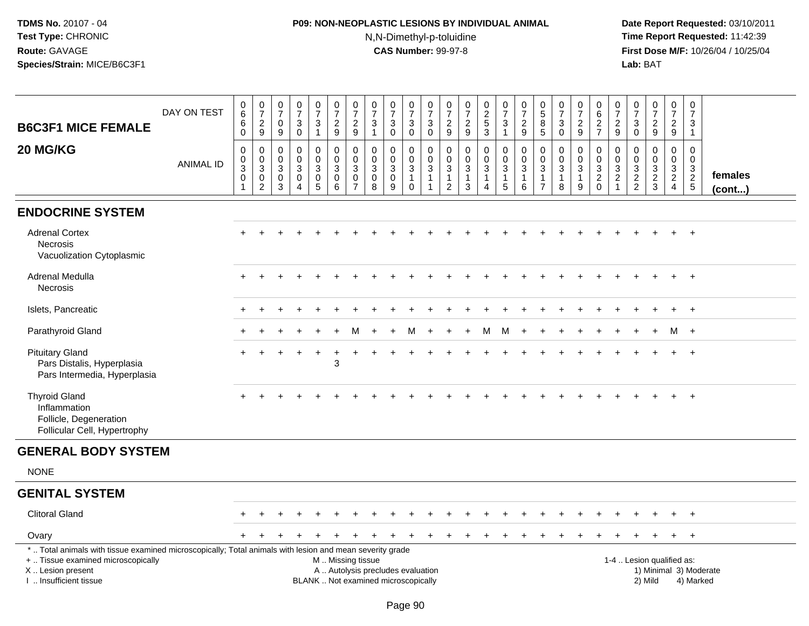# **P09: NON-NEOPLASTIC LESIONS BY INDIVIDUAL ANIMAL**N,N-Dimethyl-p-toluidine

|                                                                                                                                                                                              |                  |                                                                                     |                                                                               | 0                                                   | 0                                                                |                                            | $\mathbf 0$                                                                                   |                                                                         | 0                                         |                                                                         |                                                                   |                                                                                       |                                                                   |                                                                   |                                                                    |                                                         |                                                                                    |                                                                          |                                                               |                                                     | 0                                                                                |                                                                                   | 0                                                                        |                                                           | 0                                                                              | 0                                                   |                         |
|----------------------------------------------------------------------------------------------------------------------------------------------------------------------------------------------|------------------|-------------------------------------------------------------------------------------|-------------------------------------------------------------------------------|-----------------------------------------------------|------------------------------------------------------------------|--------------------------------------------|-----------------------------------------------------------------------------------------------|-------------------------------------------------------------------------|-------------------------------------------|-------------------------------------------------------------------------|-------------------------------------------------------------------|---------------------------------------------------------------------------------------|-------------------------------------------------------------------|-------------------------------------------------------------------|--------------------------------------------------------------------|---------------------------------------------------------|------------------------------------------------------------------------------------|--------------------------------------------------------------------------|---------------------------------------------------------------|-----------------------------------------------------|----------------------------------------------------------------------------------|-----------------------------------------------------------------------------------|--------------------------------------------------------------------------|-----------------------------------------------------------|--------------------------------------------------------------------------------|-----------------------------------------------------|-------------------------|
|                                                                                                                                                                                              | DAY ON TEST      | $\mathbf 0$<br>6                                                                    | $\frac{0}{7}$                                                                 | $\overline{7}$                                      | $\overline{7}$                                                   | $\frac{0}{7}$                              | $\overline{7}$                                                                                | $\frac{0}{7}$                                                           | $\overline{7}$                            | $\frac{0}{7}$                                                           | $\pmb{0}$<br>$\overline{7}$                                       | $\pmb{0}$<br>$\overline{7}$                                                           | $\frac{0}{7}$                                                     | $\begin{array}{c} 0 \\ 7 \end{array}$                             | $\begin{array}{c} 0 \\ 2 \\ 5 \end{array}$                         | 0<br>$\overline{7}$                                     | $\frac{0}{7}$                                                                      | $\begin{array}{c} 0 \\ 5 \end{array}$                                    | $\pmb{0}$<br>$\overline{7}$                                   | $\frac{0}{7}$                                       | $\,6\,$                                                                          | 0<br>$\overline{7}$                                                               | $\overline{7}$                                                           | $\frac{0}{7}$                                             | $\overline{7}$                                                                 | $\overline{7}$                                      |                         |
| <b>B6C3F1 MICE FEMALE</b>                                                                                                                                                                    |                  | 6<br>$\mathbf 0$                                                                    | $\frac{2}{9}$                                                                 | $\mathbf 0$<br>9                                    | $\sqrt{3}$<br>$\mathbf 0$                                        | $\sqrt{3}$<br>$\mathbf{1}$                 | $\overline{a}$<br>9                                                                           | $\overline{c}$<br>9                                                     | 3<br>$\mathbf{1}$                         | $\ensuremath{\mathsf{3}}$<br>$\mathbf 0$                                | $\sqrt{3}$<br>$\mathbf 0$                                         | $\mathbf{3}$<br>$\mathbf 0$                                                           | $\overline{c}$<br>$9\,$                                           | $\frac{2}{9}$                                                     | $\overline{3}$                                                     | $\mathbf{3}$<br>$\mathbf{1}$                            | $\overline{c}$<br>$9\,$                                                            | $\overline{8}$<br>$\overline{5}$                                         | $\mathbf{3}$<br>$\mathbf 0$                                   | $\overline{c}$<br>9                                 | $\frac{2}{7}$                                                                    | $\overline{c}$<br>9                                                               | $\mathbf{3}$<br>$\mathbf 0$                                              | $\overline{c}$<br>9                                       | $\overline{2}$<br>9                                                            | 3<br>$\overline{1}$                                 |                         |
| 20 MG/KG                                                                                                                                                                                     | <b>ANIMAL ID</b> | $\mathsf 0$<br>$\mathsf 0$<br>$\overline{3}$<br>$\mathsf{O}\xspace$<br>$\mathbf{1}$ | $\mathsf{O}\xspace$<br>$\frac{0}{3}$<br>$\mathsf{O}\xspace$<br>$\overline{2}$ | $\mathbf 0$<br>$\mathbf 0$<br>3<br>$\mathbf 0$<br>3 | $\mathbf 0$<br>$\mathbf 0$<br>3<br>$\mathbf 0$<br>$\overline{4}$ | 0<br>$\mathsf{O}$<br>3<br>$\mathsf 0$<br>5 | 0<br>$\mathbf 0$<br>$\mathbf{3}$<br>$\mathbf 0$<br>$\,6\,$                                    | $\mathbf 0$<br>$\mathbf 0$<br>$\sqrt{3}$<br>$\pmb{0}$<br>$\overline{7}$ | $\mathbf 0$<br>$\mathbf 0$<br>3<br>0<br>8 | $\mathbf 0$<br>$\pmb{0}$<br>$\ensuremath{\mathsf{3}}$<br>$\pmb{0}$<br>9 | 0<br>$\mathbf 0$<br>$\mathbf{3}$<br>$\overline{1}$<br>$\mathbf 0$ | $\boldsymbol{0}$<br>$\mathbf 0$<br>$\overline{3}$<br>$\overline{1}$<br>$\overline{1}$ | $\mathbf 0$<br>$\mathbf 0$<br>3<br>$\mathbf{1}$<br>$\overline{2}$ | $\mathbf 0$<br>$\mathsf 0$<br>$\overline{3}$<br>$\mathbf{1}$<br>3 | $\mathsf{O}$<br>$\mathbf 0$<br>3<br>$\mathbf{1}$<br>$\overline{4}$ | 0<br>$\mathbf 0$<br>$\overline{3}$<br>$\mathbf{1}$<br>5 | $\pmb{0}$<br>$\mathsf{O}\xspace$<br>$\ensuremath{\mathsf{3}}$<br>$\mathbf{1}$<br>6 | $\mathbf 0$<br>$\mathbf 0$<br>$\ensuremath{\mathsf{3}}$<br>$\frac{1}{7}$ | $\mathbf 0$<br>$\mathbf 0$<br>$\sqrt{3}$<br>$\mathbf{1}$<br>8 | 0<br>$\pmb{0}$<br>$\mathbf{3}$<br>$\mathbf{1}$<br>9 | 0<br>$\mathbf 0$<br>$\ensuremath{\mathsf{3}}$<br>$\boldsymbol{2}$<br>$\mathbf 0$ | $\mathbf 0$<br>0<br>$\ensuremath{\mathsf{3}}$<br>$\boldsymbol{2}$<br>$\mathbf{1}$ | $\mathbf 0$<br>$\mathbf 0$<br>$\ensuremath{\mathsf{3}}$<br>$\frac{2}{2}$ | $\mathsf 0$<br>$\mathsf 0$<br>$\sqrt{3}$<br>$\frac{2}{3}$ | $\mathbf 0$<br>$\mathbf 0$<br>$\mathbf{3}$<br>$\overline{2}$<br>$\overline{4}$ | $\mathbf 0$<br>$\mathsf{O}\xspace$<br>$\frac{3}{2}$ | females<br>$($ cont $)$ |
| <b>ENDOCRINE SYSTEM</b>                                                                                                                                                                      |                  |                                                                                     |                                                                               |                                                     |                                                                  |                                            |                                                                                               |                                                                         |                                           |                                                                         |                                                                   |                                                                                       |                                                                   |                                                                   |                                                                    |                                                         |                                                                                    |                                                                          |                                                               |                                                     |                                                                                  |                                                                                   |                                                                          |                                                           |                                                                                |                                                     |                         |
| <b>Adrenal Cortex</b><br><b>Necrosis</b><br>Vacuolization Cytoplasmic                                                                                                                        |                  |                                                                                     |                                                                               |                                                     |                                                                  |                                            |                                                                                               |                                                                         |                                           |                                                                         |                                                                   |                                                                                       |                                                                   |                                                                   |                                                                    |                                                         |                                                                                    |                                                                          |                                                               |                                                     |                                                                                  |                                                                                   |                                                                          |                                                           |                                                                                |                                                     |                         |
| <b>Adrenal Medulla</b><br><b>Necrosis</b>                                                                                                                                                    |                  |                                                                                     |                                                                               |                                                     |                                                                  |                                            |                                                                                               |                                                                         |                                           |                                                                         |                                                                   |                                                                                       |                                                                   |                                                                   |                                                                    |                                                         |                                                                                    |                                                                          |                                                               |                                                     |                                                                                  |                                                                                   |                                                                          |                                                           |                                                                                | $\overline{+}$                                      |                         |
| Islets, Pancreatic                                                                                                                                                                           |                  |                                                                                     |                                                                               |                                                     |                                                                  |                                            |                                                                                               |                                                                         |                                           |                                                                         |                                                                   |                                                                                       |                                                                   |                                                                   |                                                                    |                                                         |                                                                                    |                                                                          |                                                               |                                                     |                                                                                  |                                                                                   |                                                                          |                                                           | $\ddot{}$                                                                      | $+$                                                 |                         |
| Parathyroid Gland                                                                                                                                                                            |                  |                                                                                     |                                                                               |                                                     |                                                                  |                                            |                                                                                               |                                                                         |                                           |                                                                         |                                                                   |                                                                                       |                                                                   |                                                                   | M                                                                  | M                                                       |                                                                                    |                                                                          |                                                               |                                                     |                                                                                  |                                                                                   |                                                                          |                                                           | M                                                                              | $+$                                                 |                         |
| <b>Pituitary Gland</b><br>Pars Distalis, Hyperplasia<br>Pars Intermedia, Hyperplasia                                                                                                         |                  |                                                                                     |                                                                               |                                                     |                                                                  |                                            | 3                                                                                             |                                                                         |                                           |                                                                         |                                                                   |                                                                                       |                                                                   |                                                                   |                                                                    |                                                         |                                                                                    |                                                                          |                                                               |                                                     |                                                                                  |                                                                                   |                                                                          |                                                           |                                                                                |                                                     |                         |
| <b>Thyroid Gland</b><br>Inflammation<br>Follicle, Degeneration<br>Follicular Cell, Hypertrophy                                                                                               |                  |                                                                                     |                                                                               |                                                     |                                                                  |                                            |                                                                                               |                                                                         |                                           |                                                                         |                                                                   |                                                                                       |                                                                   |                                                                   |                                                                    |                                                         |                                                                                    |                                                                          |                                                               |                                                     |                                                                                  |                                                                                   |                                                                          |                                                           |                                                                                |                                                     |                         |
| <b>GENERAL BODY SYSTEM</b>                                                                                                                                                                   |                  |                                                                                     |                                                                               |                                                     |                                                                  |                                            |                                                                                               |                                                                         |                                           |                                                                         |                                                                   |                                                                                       |                                                                   |                                                                   |                                                                    |                                                         |                                                                                    |                                                                          |                                                               |                                                     |                                                                                  |                                                                                   |                                                                          |                                                           |                                                                                |                                                     |                         |
| <b>NONE</b>                                                                                                                                                                                  |                  |                                                                                     |                                                                               |                                                     |                                                                  |                                            |                                                                                               |                                                                         |                                           |                                                                         |                                                                   |                                                                                       |                                                                   |                                                                   |                                                                    |                                                         |                                                                                    |                                                                          |                                                               |                                                     |                                                                                  |                                                                                   |                                                                          |                                                           |                                                                                |                                                     |                         |
| <b>GENITAL SYSTEM</b>                                                                                                                                                                        |                  |                                                                                     |                                                                               |                                                     |                                                                  |                                            |                                                                                               |                                                                         |                                           |                                                                         |                                                                   |                                                                                       |                                                                   |                                                                   |                                                                    |                                                         |                                                                                    |                                                                          |                                                               |                                                     |                                                                                  |                                                                                   |                                                                          |                                                           |                                                                                |                                                     |                         |
| <b>Clitoral Gland</b>                                                                                                                                                                        |                  |                                                                                     |                                                                               |                                                     |                                                                  |                                            |                                                                                               |                                                                         |                                           |                                                                         |                                                                   |                                                                                       |                                                                   |                                                                   |                                                                    |                                                         |                                                                                    |                                                                          |                                                               |                                                     |                                                                                  |                                                                                   |                                                                          |                                                           |                                                                                | $\overline{+}$                                      |                         |
| Ovary                                                                                                                                                                                        |                  |                                                                                     |                                                                               |                                                     |                                                                  |                                            |                                                                                               |                                                                         |                                           |                                                                         |                                                                   |                                                                                       |                                                                   |                                                                   |                                                                    |                                                         |                                                                                    |                                                                          |                                                               |                                                     |                                                                                  |                                                                                   |                                                                          |                                                           | $\ddot{}$                                                                      | $+$                                                 |                         |
| *  Total animals with tissue examined microscopically; Total animals with lesion and mean severity grade<br>+  Tissue examined microscopically<br>X Lesion present<br>I  Insufficient tissue |                  |                                                                                     |                                                                               |                                                     |                                                                  |                                            | M  Missing tissue<br>A  Autolysis precludes evaluation<br>BLANK  Not examined microscopically |                                                                         |                                           |                                                                         |                                                                   |                                                                                       |                                                                   |                                                                   |                                                                    |                                                         |                                                                                    |                                                                          |                                                               |                                                     |                                                                                  |                                                                                   |                                                                          | 1-4  Lesion qualified as:<br>2) Mild                      |                                                                                | 4) Marked                                           | 1) Minimal 3) Moderate  |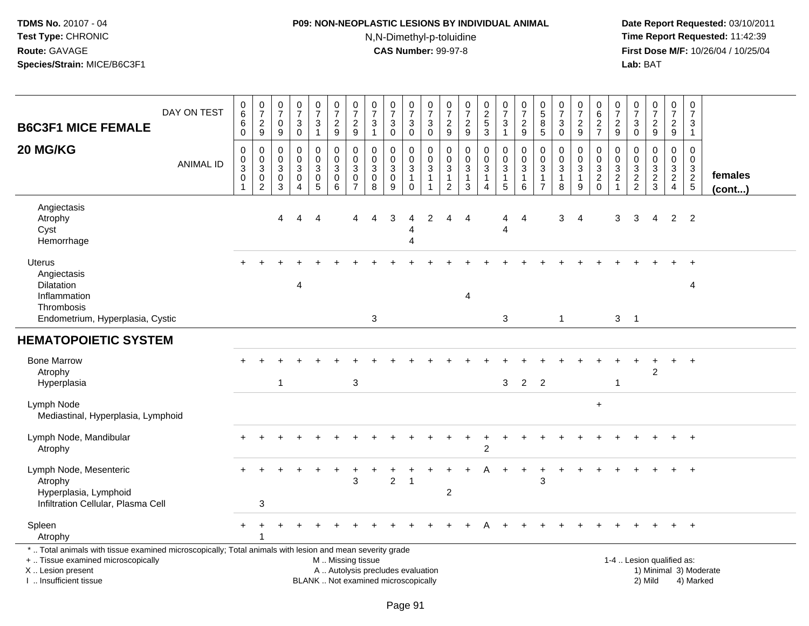# **P09: NON-NEOPLASTIC LESIONS BY INDIVIDUAL ANIMAL**N,N-Dimethyl-p-toluidine

| DAY ON TEST<br><b>B6C3F1 MICE FEMALE</b>                                                                                                                                                     | 0<br>$\,6$<br>6<br>$\mathbf 0$                                             | $\frac{0}{7}$<br>$\boldsymbol{2}$<br>$\boldsymbol{9}$                | $\frac{0}{7}$<br>$\mathbf 0$<br>$\boldsymbol{9}$                  | $\frac{0}{7}$<br>$\ensuremath{\mathsf{3}}$<br>$\mathsf 0$ | $\frac{0}{7}$<br>3<br>$\mathbf{1}$                              | $\frac{0}{7}$<br>$\frac{2}{9}$                                           | 0<br>$\overline{7}$<br>$\boldsymbol{2}$<br>9 | $\frac{0}{7}$<br>3<br>$\mathbf{1}$                                       | $\frac{0}{7}$<br>3<br>$\mathbf 0$               | $\begin{smallmatrix}0\\7\end{smallmatrix}$<br>3<br>$\mathbf 0$ | $\frac{0}{7}$<br>$\ensuremath{\mathsf{3}}$<br>$\mathbf 0$ | $\frac{0}{7}$<br>$\frac{2}{9}$                                                   | $\frac{0}{7}$<br>$\boldsymbol{2}$<br>$9\,$                               | 0<br>$\frac{2}{5}$<br>3                    | $\begin{smallmatrix}0\\7\end{smallmatrix}$<br>$\ensuremath{\mathsf{3}}$<br>$\mathbf{1}$ | $\begin{array}{c} 0 \\ 7 \end{array}$<br>$\boldsymbol{2}$<br>9 | 0<br>$\sqrt{5}$<br>8<br>$\sqrt{5}$ | $\begin{array}{c} 0 \\ 7 \end{array}$<br>$\mathbf{3}$<br>$\pmb{0}$ | 0<br>$\overline{7}$<br>$\overline{c}$<br>9 | 0<br>$\,6\,$<br>$\frac{2}{7}$                                               | 0<br>$\overline{7}$<br>$\overline{c}$<br>9 | $\frac{0}{7}$<br>$\ensuremath{\mathsf{3}}$<br>$\mathbf 0$ | $\frac{0}{7}$<br>$\frac{2}{9}$                          | $\mathbf 0$<br>$\overline{7}$<br>$\sqrt{2}$<br>9                    | $\pmb{0}$<br>$\overline{7}$<br>$\mathbf{3}$<br>$\overline{1}$ |                         |
|----------------------------------------------------------------------------------------------------------------------------------------------------------------------------------------------|----------------------------------------------------------------------------|----------------------------------------------------------------------|-------------------------------------------------------------------|-----------------------------------------------------------|-----------------------------------------------------------------|--------------------------------------------------------------------------|----------------------------------------------|--------------------------------------------------------------------------|-------------------------------------------------|----------------------------------------------------------------|-----------------------------------------------------------|----------------------------------------------------------------------------------|--------------------------------------------------------------------------|--------------------------------------------|-----------------------------------------------------------------------------------------|----------------------------------------------------------------|------------------------------------|--------------------------------------------------------------------|--------------------------------------------|-----------------------------------------------------------------------------|--------------------------------------------|-----------------------------------------------------------|---------------------------------------------------------|---------------------------------------------------------------------|---------------------------------------------------------------|-------------------------|
| 20 MG/KG<br><b>ANIMAL ID</b>                                                                                                                                                                 | $\mathbf 0$<br>$\pmb{0}$<br>$\ensuremath{\mathsf{3}}$<br>0<br>$\mathbf{1}$ | 0<br>$\mathbf 0$<br>$\ensuremath{\mathsf{3}}$<br>0<br>$\overline{c}$ | $\mathbf 0$<br>$\mathbf 0$<br>$\ensuremath{\mathsf{3}}$<br>0<br>3 | 0<br>$\mathbf 0$<br>$\mathbf{3}$<br>0<br>$\overline{A}$   | 0<br>$\mathbf 0$<br>$\mathbf{3}$<br>$\pmb{0}$<br>$\overline{5}$ | $\mathbf 0$<br>$\mathbf 0$<br>$\sqrt{3}$<br>$\pmb{0}$<br>$6\phantom{1}6$ | 0<br>$\mathbf 0$<br>3<br>0<br>$\overline{7}$ | $\Omega$<br>$\mathbf 0$<br>$\sqrt{3}$<br>0<br>8                          | 0<br>$\mathsf{O}\xspace$<br>3<br>$\pmb{0}$<br>9 | 0<br>$\mathsf{O}$<br>$\mathsf 3$<br>$\mathbf{1}$<br>0          | $\mathbf 0$<br>$\mathsf 0$<br>$\sqrt{3}$<br>-1            | $\mathbf 0$<br>$\boldsymbol{0}$<br>$\mathsf 3$<br>$\mathbf{1}$<br>$\overline{2}$ | $\mathbf 0$<br>$\mathbf 0$<br>$\sqrt{3}$<br>$\mathbf{1}$<br>$\mathbf{3}$ | 0<br>$\mathbf 0$<br>3<br>$\mathbf{1}$<br>4 | 0<br>$\pmb{0}$<br>$\ensuremath{\mathsf{3}}$<br>$\mathbf{1}$<br>5                        | $\mathbf 0$<br>$\mathbf 0$<br>3<br>$\mathbf{1}$<br>6           | 0<br>0<br>3<br>1<br>$\overline{7}$ | $\mathbf 0$<br>0<br>$\sqrt{3}$<br>$\mathbf 1$<br>8                 | 0<br>0<br>3<br>$\mathbf{1}$<br>9           | $\Omega$<br>$\boldsymbol{0}$<br>$\sqrt{3}$<br>$\overline{c}$<br>$\mathbf 0$ | 0<br>0<br>$\sqrt{3}$<br>$\boldsymbol{2}$   | 0<br>0<br>$\ensuremath{\mathsf{3}}$<br>$\frac{2}{2}$      | $\mathbf 0$<br>$\pmb{0}$<br>$\sqrt{3}$<br>$\frac{2}{3}$ | 0<br>$\mathbf 0$<br>$\mathsf 3$<br>$\overline{2}$<br>$\overline{4}$ | $\Omega$<br>$\mathbf 0$<br>$\mathbf{3}$<br>$\frac{2}{5}$      | females<br>$($ cont $)$ |
| Angiectasis<br>Atrophy<br>Cyst<br>Hemorrhage                                                                                                                                                 |                                                                            |                                                                      | 4                                                                 | 4                                                         | 4                                                               |                                                                          | 4                                            | 4                                                                        | 3                                               | 4                                                              | 2                                                         | 4                                                                                | 4                                                                        |                                            | 4                                                                                       | $\overline{4}$                                                 |                                    | 3                                                                  | $\overline{4}$                             |                                                                             | 3                                          | 3                                                         | $\overline{4}$                                          | $\overline{2}$                                                      | $\overline{2}$                                                |                         |
| <b>Uterus</b><br>Angiectasis<br>Dilatation<br>Inflammation<br>Thrombosis                                                                                                                     |                                                                            |                                                                      |                                                                   | 4                                                         |                                                                 |                                                                          |                                              |                                                                          |                                                 |                                                                |                                                           |                                                                                  | $\overline{4}$                                                           |                                            |                                                                                         |                                                                |                                    |                                                                    |                                            |                                                                             |                                            |                                                           |                                                         |                                                                     | 4                                                             |                         |
| Endometrium, Hyperplasia, Cystic<br><b>HEMATOPOIETIC SYSTEM</b>                                                                                                                              |                                                                            |                                                                      |                                                                   |                                                           |                                                                 |                                                                          |                                              | $\ensuremath{\mathsf{3}}$                                                |                                                 |                                                                |                                                           |                                                                                  |                                                                          |                                            | 3                                                                                       |                                                                |                                    | $\mathbf{1}$                                                       |                                            |                                                                             | 3                                          | $\overline{1}$                                            |                                                         |                                                                     |                                                               |                         |
| <b>Bone Marrow</b>                                                                                                                                                                           |                                                                            |                                                                      |                                                                   |                                                           |                                                                 |                                                                          |                                              |                                                                          |                                                 |                                                                |                                                           |                                                                                  |                                                                          |                                            |                                                                                         |                                                                |                                    |                                                                    |                                            |                                                                             |                                            |                                                           |                                                         |                                                                     |                                                               |                         |
| Atrophy<br>Hyperplasia                                                                                                                                                                       |                                                                            |                                                                      | $\mathbf 1$                                                       |                                                           |                                                                 |                                                                          | $\ensuremath{\mathsf{3}}$                    |                                                                          |                                                 |                                                                |                                                           |                                                                                  |                                                                          |                                            | 3                                                                                       | $\overline{2}$                                                 | 2                                  |                                                                    |                                            |                                                                             | 1                                          |                                                           | 2                                                       |                                                                     |                                                               |                         |
| Lymph Node<br>Mediastinal, Hyperplasia, Lymphoid                                                                                                                                             |                                                                            |                                                                      |                                                                   |                                                           |                                                                 |                                                                          |                                              |                                                                          |                                                 |                                                                |                                                           |                                                                                  |                                                                          |                                            |                                                                                         |                                                                |                                    |                                                                    |                                            | $\ddot{}$                                                                   |                                            |                                                           |                                                         |                                                                     |                                                               |                         |
| Lymph Node, Mandibular<br>Atrophy                                                                                                                                                            |                                                                            |                                                                      |                                                                   |                                                           |                                                                 |                                                                          |                                              |                                                                          |                                                 |                                                                |                                                           |                                                                                  |                                                                          | $\overline{c}$                             |                                                                                         |                                                                |                                    |                                                                    |                                            |                                                                             |                                            |                                                           |                                                         |                                                                     |                                                               |                         |
| Lymph Node, Mesenteric<br>Atrophy<br>Hyperplasia, Lymphoid<br>Infiltration Cellular, Plasma Cell                                                                                             |                                                                            | 3                                                                    |                                                                   |                                                           |                                                                 |                                                                          | 3                                            |                                                                          | $\overline{2}$                                  | -1                                                             |                                                           | 2                                                                                |                                                                          |                                            |                                                                                         |                                                                | 3                                  |                                                                    |                                            |                                                                             |                                            |                                                           |                                                         |                                                                     | $\ddot{}$                                                     |                         |
| Spleen<br>Atrophy                                                                                                                                                                            | +                                                                          | ٠                                                                    |                                                                   |                                                           |                                                                 |                                                                          |                                              |                                                                          |                                                 |                                                                |                                                           |                                                                                  |                                                                          |                                            |                                                                                         |                                                                |                                    |                                                                    |                                            |                                                                             |                                            |                                                           |                                                         | $\ddot{}$                                                           | $+$                                                           |                         |
| *  Total animals with tissue examined microscopically; Total animals with lesion and mean severity grade<br>+  Tissue examined microscopically<br>X Lesion present<br>I. Insufficient tissue |                                                                            |                                                                      |                                                                   |                                                           |                                                                 | M  Missing tissue                                                        |                                              | A  Autolysis precludes evaluation<br>BLANK  Not examined microscopically |                                                 |                                                                |                                                           |                                                                                  |                                                                          |                                            |                                                                                         |                                                                |                                    |                                                                    |                                            |                                                                             |                                            |                                                           | 1-4  Lesion qualified as:<br>2) Mild                    |                                                                     | 1) Minimal 3) Moderate<br>4) Marked                           |                         |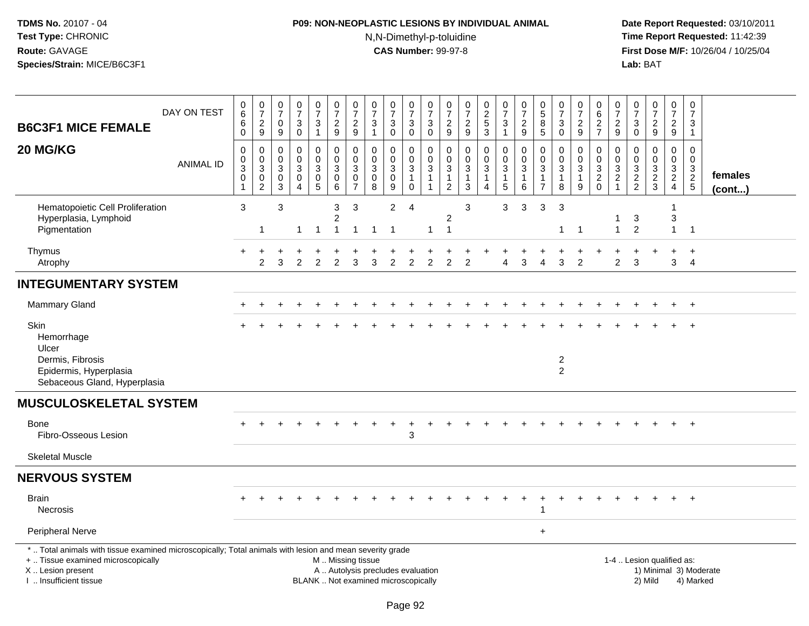# **P09: NON-NEOPLASTIC LESIONS BY INDIVIDUAL ANIMAL**N,N-Dimethyl-p-toluidine

| <b>B6C3F1 MICE FEMALE</b>                                                                                                                                                                     | DAY ON TEST      | $_{6}^{\rm 0}$<br>6<br>$\pmb{0}$                                        | $\begin{array}{c} 0 \\ 7 \end{array}$<br>$\frac{2}{9}$            | $\begin{array}{c} 0 \\ 7 \end{array}$<br>0<br>9    | $\begin{smallmatrix}0\\7\end{smallmatrix}$<br>$\sqrt{3}$<br>$\pmb{0}$ | $\frac{0}{7}$<br>3<br>$\mathbf{1}$     | $\begin{array}{c} 0 \\ 7 \end{array}$<br>$\frac{2}{9}$               | $\frac{0}{7}$<br>$\frac{2}{9}$                          | $\begin{array}{c} 0 \\ 7 \end{array}$<br>$\sqrt{3}$<br>$\overline{1}$ | $\frac{0}{7}$<br>$\ensuremath{\mathsf{3}}$<br>$\mathbf 0$                | $\frac{0}{7}$<br>$\mathbf{3}$<br>$\mathsf{O}\xspace$          | $\frac{0}{7}$<br>$\ensuremath{\mathsf{3}}$<br>$\ddot{\mathbf{0}}$            | $\frac{0}{7}$<br>$\frac{2}{9}$                           | $\frac{0}{7}$<br>$\sqrt{2}$<br>$9\,$                                     | $\begin{array}{c} 0 \\ 2 \\ 5 \end{array}$<br>$\mathbf{3}$ | $\frac{0}{7}$<br>$\sqrt{3}$<br>$\mathbf{1}$                                   | $\frac{0}{7}$<br>$\overline{c}$<br>9                 | $\begin{smallmatrix} 0\\5 \end{smallmatrix}$<br>$\bf 8$<br>5 | $\begin{array}{c} 0 \\ 7 \end{array}$<br>$\sqrt{3}$<br>$\pmb{0}$ | $\frac{0}{7}$<br>$\boldsymbol{2}$<br>$\boldsymbol{9}$   | $\pmb{0}$<br>$6\phantom{1}6$<br>$\frac{2}{7}$                 | 0<br>$\overline{7}$<br>$\frac{2}{9}$   | $\begin{smallmatrix}0\\7\end{smallmatrix}$<br>$\sqrt{3}$<br>$\mathbf 0$ | $\frac{0}{7}$<br>$\frac{2}{9}$                              | $\begin{array}{c} 0 \\ 7 \end{array}$<br>$\frac{2}{9}$               | $\begin{smallmatrix}0\\7\end{smallmatrix}$<br>$\mathsf 3$<br>$\mathbf{1}$ |                        |
|-----------------------------------------------------------------------------------------------------------------------------------------------------------------------------------------------|------------------|-------------------------------------------------------------------------|-------------------------------------------------------------------|----------------------------------------------------|-----------------------------------------------------------------------|----------------------------------------|----------------------------------------------------------------------|---------------------------------------------------------|-----------------------------------------------------------------------|--------------------------------------------------------------------------|---------------------------------------------------------------|------------------------------------------------------------------------------|----------------------------------------------------------|--------------------------------------------------------------------------|------------------------------------------------------------|-------------------------------------------------------------------------------|------------------------------------------------------|--------------------------------------------------------------|------------------------------------------------------------------|---------------------------------------------------------|---------------------------------------------------------------|----------------------------------------|-------------------------------------------------------------------------|-------------------------------------------------------------|----------------------------------------------------------------------|---------------------------------------------------------------------------|------------------------|
| 20 MG/KG                                                                                                                                                                                      | <b>ANIMAL ID</b> | $\mathbf 0$<br>$\pmb{0}$<br>$\mathbf{3}$<br>$\mathbf 0$<br>$\mathbf{1}$ | 0<br>$\mathbf 0$<br>$\mathfrak{S}$<br>$\pmb{0}$<br>$\overline{c}$ | $\Omega$<br>0<br>$\mathbf{3}$<br>0<br>$\mathbf{3}$ | $\mathbf 0$<br>$\pmb{0}$<br>$\sqrt{3}$<br>$\pmb{0}$<br>$\overline{A}$ | 0<br>0<br>3<br>$\pmb{0}$<br>$\sqrt{5}$ | $\mathbf 0$<br>$\mathbf 0$<br>$\mathbf{3}$<br>$\mathbf 0$<br>$\,6\,$ | 0<br>$\mathbf 0$<br>$\mathbf{3}$<br>0<br>$\overline{7}$ | $\mathbf 0$<br>$\mathbf 0$<br>$\mathbf{3}$<br>0<br>8                  | 0<br>$\mathbf 0$<br>$\mathbf{3}$<br>0<br>9                               | 0<br>0<br>$\mathbf{3}$<br>$\mathbf{1}$<br>$\mathsf{O}\xspace$ | $\mathbf 0$<br>$\mathbf 0$<br>$\mathbf{3}$<br>$\mathbf{1}$<br>$\overline{1}$ | 0<br>0<br>$\sqrt{3}$<br>$\overline{1}$<br>$\overline{2}$ | $\mathbf 0$<br>$\mathbf 0$<br>$\sqrt{3}$<br>$\mathbf{1}$<br>$\mathbf{3}$ | $\mathbf 0$<br>0<br>$\mathbf{3}$<br>1<br>4                 | $\mathbf 0$<br>$\mathbf 0$<br>$\mathbf{3}$<br>$\mathbf{1}$<br>$5\phantom{.0}$ | $\mathbf 0$<br>$\mathsf 0$<br>3<br>$\mathbf{1}$<br>6 | $\Omega$<br>0<br>3<br>$\mathbf{1}$<br>$\overline{7}$         | $\mathbf 0$<br>$\mathbf 0$<br>$\sqrt{3}$<br>$\mathbf{1}$<br>8    | 0<br>$\mathbf 0$<br>$\mathfrak{S}$<br>$\mathbf{1}$<br>9 | $\mathbf 0$<br>$\mathbf 0$<br>$\overline{3}$<br>$\frac{2}{0}$ | $\Omega$<br>$\mathbf 0$<br>3<br>2<br>1 | $\mathbf 0$<br>$\mathbf 0$<br>$\sqrt{3}$<br>$\frac{2}{2}$               | $\mathbf 0$<br>$\mathbf 0$<br>$\mathbf{3}$<br>$\frac{2}{3}$ | $\mathbf 0$<br>0<br>$\mathbf{3}$<br>$\overline{c}$<br>$\overline{4}$ | $\mathbf 0$<br>0<br>$\frac{3}{2}$                                         | females<br>(cont)      |
| Hematopoietic Cell Proliferation<br>Hyperplasia, Lymphoid<br>Pigmentation                                                                                                                     |                  | 3                                                                       | $\mathbf 1$                                                       | $\mathbf{3}$                                       | -1                                                                    | $\overline{1}$                         | 3<br>$\overline{c}$<br>$\mathbf{1}$                                  | $\mathbf{3}$<br>$\mathbf{1}$                            | -1                                                                    | $\overline{c}$<br>1                                                      | $\overline{4}$                                                | $\mathbf 1$                                                                  | 2<br>$\overline{1}$                                      | 3                                                                        |                                                            | 3                                                                             | 3                                                    | 3                                                            | 3<br>$\mathbf{1}$                                                | -1                                                      |                                                               | $\mathbf{1}$                           | 3<br>$\overline{2}$                                                     |                                                             | 3<br>$\mathbf{1}$                                                    | $\overline{1}$                                                            |                        |
| Thymus<br>Atrophy                                                                                                                                                                             |                  |                                                                         | 2                                                                 | 3                                                  | 2                                                                     | $\overline{2}$                         | 2                                                                    | 3                                                       | 3                                                                     | $\overline{2}$                                                           | $\overline{2}$                                                | $\overline{2}$                                                               | $\overline{2}$                                           | 2                                                                        |                                                            | Δ                                                                             | 3                                                    | Δ                                                            | 3                                                                | $\overline{c}$                                          |                                                               | $\overline{2}$                         | 3                                                                       |                                                             | $\ddot{}$<br>3                                                       | $\overline{+}$<br>$\overline{4}$                                          |                        |
| <b>INTEGUMENTARY SYSTEM</b>                                                                                                                                                                   |                  |                                                                         |                                                                   |                                                    |                                                                       |                                        |                                                                      |                                                         |                                                                       |                                                                          |                                                               |                                                                              |                                                          |                                                                          |                                                            |                                                                               |                                                      |                                                              |                                                                  |                                                         |                                                               |                                        |                                                                         |                                                             |                                                                      |                                                                           |                        |
| <b>Mammary Gland</b>                                                                                                                                                                          |                  |                                                                         |                                                                   |                                                    |                                                                       |                                        |                                                                      |                                                         |                                                                       |                                                                          |                                                               |                                                                              |                                                          |                                                                          |                                                            |                                                                               |                                                      |                                                              |                                                                  |                                                         |                                                               |                                        |                                                                         |                                                             | $\pm$                                                                | $+$                                                                       |                        |
| Skin<br>Hemorrhage<br>Ulcer<br>Dermis, Fibrosis<br>Epidermis, Hyperplasia<br>Sebaceous Gland, Hyperplasia                                                                                     |                  |                                                                         |                                                                   |                                                    |                                                                       |                                        |                                                                      |                                                         |                                                                       |                                                                          |                                                               |                                                                              |                                                          |                                                                          |                                                            |                                                                               |                                                      |                                                              | $\overline{c}$<br>$\overline{2}$                                 |                                                         |                                                               |                                        |                                                                         |                                                             |                                                                      | $\overline{1}$                                                            |                        |
| <b>MUSCULOSKELETAL SYSTEM</b>                                                                                                                                                                 |                  |                                                                         |                                                                   |                                                    |                                                                       |                                        |                                                                      |                                                         |                                                                       |                                                                          |                                                               |                                                                              |                                                          |                                                                          |                                                            |                                                                               |                                                      |                                                              |                                                                  |                                                         |                                                               |                                        |                                                                         |                                                             |                                                                      |                                                                           |                        |
| Bone<br>Fibro-Osseous Lesion                                                                                                                                                                  |                  |                                                                         |                                                                   |                                                    |                                                                       |                                        |                                                                      |                                                         |                                                                       |                                                                          | 3                                                             |                                                                              |                                                          |                                                                          |                                                            |                                                                               |                                                      |                                                              |                                                                  |                                                         |                                                               |                                        |                                                                         |                                                             |                                                                      | $+$                                                                       |                        |
| <b>Skeletal Muscle</b>                                                                                                                                                                        |                  |                                                                         |                                                                   |                                                    |                                                                       |                                        |                                                                      |                                                         |                                                                       |                                                                          |                                                               |                                                                              |                                                          |                                                                          |                                                            |                                                                               |                                                      |                                                              |                                                                  |                                                         |                                                               |                                        |                                                                         |                                                             |                                                                      |                                                                           |                        |
| <b>NERVOUS SYSTEM</b>                                                                                                                                                                         |                  |                                                                         |                                                                   |                                                    |                                                                       |                                        |                                                                      |                                                         |                                                                       |                                                                          |                                                               |                                                                              |                                                          |                                                                          |                                                            |                                                                               |                                                      |                                                              |                                                                  |                                                         |                                                               |                                        |                                                                         |                                                             |                                                                      |                                                                           |                        |
| Brain<br><b>Necrosis</b>                                                                                                                                                                      |                  |                                                                         |                                                                   |                                                    |                                                                       |                                        |                                                                      |                                                         |                                                                       |                                                                          |                                                               |                                                                              |                                                          |                                                                          |                                                            |                                                                               |                                                      |                                                              |                                                                  |                                                         |                                                               |                                        |                                                                         |                                                             |                                                                      |                                                                           |                        |
| Peripheral Nerve                                                                                                                                                                              |                  |                                                                         |                                                                   |                                                    |                                                                       |                                        |                                                                      |                                                         |                                                                       |                                                                          |                                                               |                                                                              |                                                          |                                                                          |                                                            |                                                                               |                                                      | $\ddot{}$                                                    |                                                                  |                                                         |                                                               |                                        |                                                                         |                                                             |                                                                      |                                                                           |                        |
| *  Total animals with tissue examined microscopically; Total animals with lesion and mean severity grade<br>+  Tissue examined microscopically<br>X  Lesion present<br>I  Insufficient tissue |                  |                                                                         |                                                                   |                                                    |                                                                       |                                        | M  Missing tissue                                                    |                                                         |                                                                       | A  Autolysis precludes evaluation<br>BLANK  Not examined microscopically |                                                               |                                                                              |                                                          |                                                                          |                                                            |                                                                               |                                                      |                                                              |                                                                  |                                                         |                                                               |                                        |                                                                         | 1-4  Lesion qualified as:<br>2) Mild                        |                                                                      | 4) Marked                                                                 | 1) Minimal 3) Moderate |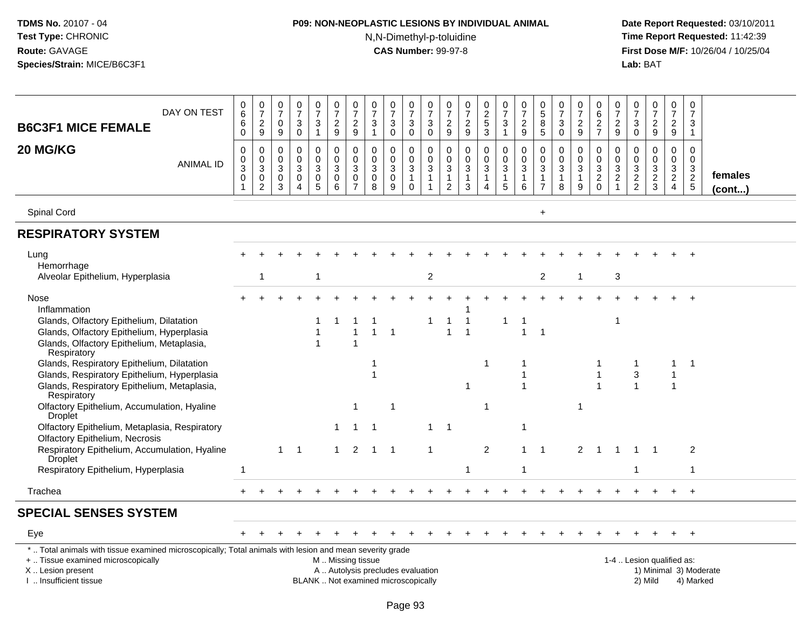# **P09: NON-NEOPLASTIC LESIONS BY INDIVIDUAL ANIMAL**N,N-Dimethyl-p-toluidine

| DAY ON TEST<br><b>B6C3F1 MICE FEMALE</b>                                                                                                                                                      | 0<br>$\,6\,$<br>6<br>$\mathbf 0$                              | $\frac{0}{7}$<br>$\frac{2}{9}$                                      | 0<br>$\overline{7}$<br>$\mathbf 0$<br>$9\,$           | 0<br>$\overline{7}$<br>3<br>$\mathbf 0$                         | $\frac{0}{7}$<br>3<br>$\mathbf{1}$                 | $\begin{array}{c} 0 \\ 7 \end{array}$<br>$\overline{c}$<br>$\boldsymbol{9}$ | $\frac{0}{7}$<br>$\overline{c}$<br>9                                         | 0<br>$\overline{7}$<br>3<br>$\mathbf{1}$   | $\frac{0}{7}$<br>$\sqrt{3}$<br>$\mathbf 0$                               | 0<br>$\overline{7}$<br>$\mathbf{3}$<br>$\pmb{0}$                | $\begin{array}{c} 0 \\ 7 \end{array}$<br>$\ensuremath{\mathsf{3}}$<br>$\mathbf 0$ | 0<br>$\overline{7}$<br>$\frac{2}{9}$                                              | $\begin{smallmatrix}0\\7\end{smallmatrix}$<br>$\frac{2}{9}$    | $\begin{array}{c} 0 \\ 2 \\ 5 \end{array}$<br>$\overline{3}$ | $\begin{smallmatrix}0\\7\end{smallmatrix}$<br>$\mathbf{3}$<br>$\mathbf{1}$ | $\begin{array}{c} 0 \\ 7 \end{array}$<br>$\frac{2}{9}$            | $\begin{array}{c} 0 \\ 5 \end{array}$<br>$\,8\,$<br>$\overline{5}$ | 0<br>$\overline{7}$<br>$\sqrt{3}$<br>$\boldsymbol{0}$ | 0<br>$\overline{7}$<br>$\frac{2}{9}$                             | 0<br>$\,6$<br>$\frac{2}{7}$                                     | 0<br>$\overline{7}$<br>$\frac{2}{9}$                             | 0<br>$\overline{7}$<br>3<br>$\mathbf 0$                        | $\frac{0}{7}$<br>$\frac{2}{9}$                                                  | $\mathbf 0$<br>$\overline{7}$<br>$\frac{2}{9}$                      | $\pmb{0}$<br>$\overline{7}$<br>$\mathbf{3}$<br>$\mathbf{1}$ |                                     |
|-----------------------------------------------------------------------------------------------------------------------------------------------------------------------------------------------|---------------------------------------------------------------|---------------------------------------------------------------------|-------------------------------------------------------|-----------------------------------------------------------------|----------------------------------------------------|-----------------------------------------------------------------------------|------------------------------------------------------------------------------|--------------------------------------------|--------------------------------------------------------------------------|-----------------------------------------------------------------|-----------------------------------------------------------------------------------|-----------------------------------------------------------------------------------|----------------------------------------------------------------|--------------------------------------------------------------|----------------------------------------------------------------------------|-------------------------------------------------------------------|--------------------------------------------------------------------|-------------------------------------------------------|------------------------------------------------------------------|-----------------------------------------------------------------|------------------------------------------------------------------|----------------------------------------------------------------|---------------------------------------------------------------------------------|---------------------------------------------------------------------|-------------------------------------------------------------|-------------------------------------|
| 20 MG/KG<br><b>ANIMAL ID</b>                                                                                                                                                                  | 0<br>$\mathbf 0$<br>$\sqrt{3}$<br>$\mathbf 0$<br>$\mathbf{1}$ | $\mathbf 0$<br>$\pmb{0}$<br>$\sqrt{3}$<br>$\,0\,$<br>$\overline{2}$ | 0<br>0<br>$\mathbf{3}$<br>$\mathbf 0$<br>$\mathbf{3}$ | 0<br>$\mathbf 0$<br>$\sqrt{3}$<br>$\mathbf 0$<br>$\overline{4}$ | 0<br>$\mathbf 0$<br>$\mathbf{3}$<br>$\pmb{0}$<br>5 | 0<br>$\mathbf 0$<br>$\sqrt{3}$<br>0<br>$\,6\,$                              | 0<br>$\mathsf 0$<br>$\ensuremath{\mathsf{3}}$<br>$\pmb{0}$<br>$\overline{7}$ | $\mathbf 0$<br>0<br>$\mathbf{3}$<br>0<br>8 | 0<br>$\pmb{0}$<br>$\overline{3}$<br>$\pmb{0}$<br>9                       | 0<br>$\mathsf 0$<br>$\sqrt{3}$<br>$\overline{1}$<br>$\mathsf 0$ | $\mathbf 0$<br>$\mathbf 0$<br>$\mathbf{3}$<br>$\mathbf{1}$<br>$\mathbf{1}$        | 0<br>$\mathbf 0$<br>$\ensuremath{\mathsf{3}}$<br>$\mathbf{1}$<br>$\boldsymbol{2}$ | 0<br>$\pmb{0}$<br>$\mathbf{3}$<br>$\mathbf{1}$<br>$\mathbf{3}$ | 0<br>$\overline{0}$<br>3<br>$\mathbf{1}$<br>4                | 0<br>$\boldsymbol{0}$<br>$\mathbf{3}$<br>$\mathbf{1}$<br>$5\phantom{.0}$   | $\mathbf 0$<br>$\pmb{0}$<br>$\sqrt{3}$<br>$\mathbf{1}$<br>$\,6\,$ | 0<br>$\pmb{0}$<br>$\mathbf 3$<br>$\mathbf{1}$<br>$\overline{7}$    | 0<br>$\mathbf 0$<br>$\sqrt{3}$<br>$\mathbf{1}$<br>8   | 0<br>$\pmb{0}$<br>$\sqrt{3}$<br>$\mathbf{1}$<br>$\boldsymbol{9}$ | 0<br>$\mathbf 0$<br>$\sqrt{3}$<br>$\overline{c}$<br>$\mathbf 0$ | 0<br>$\mathbf 0$<br>$\sqrt{3}$<br>$\overline{c}$<br>$\mathbf{1}$ | 0<br>$\mathbf 0$<br>$\sqrt{3}$<br>$\sqrt{2}$<br>$\overline{2}$ | 0<br>$\pmb{0}$<br>$\ensuremath{\mathsf{3}}$<br>$\overline{2}$<br>$\mathfrak{S}$ | $\mathbf 0$<br>$\mathbf 0$<br>3<br>$\overline{2}$<br>$\overline{4}$ | $\mathbf 0$<br>$\mathbf 0$<br>$\frac{3}{2}$<br>$\sqrt{5}$   | females<br>$($ cont $)$             |
| Spinal Cord                                                                                                                                                                                   |                                                               |                                                                     |                                                       |                                                                 |                                                    |                                                                             |                                                                              |                                            |                                                                          |                                                                 |                                                                                   |                                                                                   |                                                                |                                                              |                                                                            |                                                                   | $+$                                                                |                                                       |                                                                  |                                                                 |                                                                  |                                                                |                                                                                 |                                                                     |                                                             |                                     |
| <b>RESPIRATORY SYSTEM</b>                                                                                                                                                                     |                                                               |                                                                     |                                                       |                                                                 |                                                    |                                                                             |                                                                              |                                            |                                                                          |                                                                 |                                                                                   |                                                                                   |                                                                |                                                              |                                                                            |                                                                   |                                                                    |                                                       |                                                                  |                                                                 |                                                                  |                                                                |                                                                                 |                                                                     |                                                             |                                     |
| Lung<br>Hemorrhage                                                                                                                                                                            |                                                               |                                                                     |                                                       |                                                                 |                                                    |                                                                             |                                                                              |                                            |                                                                          |                                                                 |                                                                                   |                                                                                   |                                                                |                                                              |                                                                            |                                                                   |                                                                    |                                                       |                                                                  |                                                                 |                                                                  |                                                                |                                                                                 |                                                                     |                                                             |                                     |
| Alveolar Epithelium, Hyperplasia                                                                                                                                                              |                                                               | 1                                                                   |                                                       |                                                                 | 1                                                  |                                                                             |                                                                              |                                            |                                                                          |                                                                 | $\overline{2}$                                                                    |                                                                                   |                                                                |                                                              |                                                                            |                                                                   | 2                                                                  |                                                       | 1                                                                |                                                                 | 3                                                                |                                                                |                                                                                 |                                                                     |                                                             |                                     |
| Nose<br>Inflammation<br>Glands, Olfactory Epithelium, Dilatation<br>Glands, Olfactory Epithelium, Hyperplasia<br>Glands, Olfactory Epithelium, Metaplasia,<br>Respiratory                     |                                                               |                                                                     |                                                       |                                                                 | 1<br>1                                             |                                                                             | -1<br>1<br>1                                                                 | $\mathbf 1$                                | $\overline{1}$                                                           |                                                                 | 1                                                                                 | 1                                                                                 | $\mathbf{1}$                                                   |                                                              | 1                                                                          | $\overline{1}$                                                    | $\mathbf{1}$                                                       |                                                       |                                                                  |                                                                 | $\mathbf{1}$                                                     |                                                                |                                                                                 |                                                                     | $\ddot{}$                                                   |                                     |
| Glands, Respiratory Epithelium, Dilatation<br>Glands, Respiratory Epithelium, Hyperplasia<br>Glands, Respiratory Epithelium, Metaplasia,<br>Respiratory                                       |                                                               |                                                                     |                                                       |                                                                 |                                                    |                                                                             |                                                                              |                                            |                                                                          |                                                                 |                                                                                   |                                                                                   | 1                                                              | -1                                                           |                                                                            |                                                                   |                                                                    |                                                       |                                                                  |                                                                 |                                                                  | 1<br>3                                                         |                                                                                 | 1<br>$\mathbf{1}$                                                   | $\overline{\mathbf{1}}$                                     |                                     |
| Olfactory Epithelium, Accumulation, Hyaline<br><b>Droplet</b>                                                                                                                                 |                                                               |                                                                     |                                                       |                                                                 |                                                    |                                                                             | $\mathbf 1$                                                                  |                                            | $\overline{\mathbf{1}}$                                                  |                                                                 |                                                                                   |                                                                                   |                                                                | -1                                                           |                                                                            |                                                                   |                                                                    |                                                       | 1                                                                |                                                                 |                                                                  |                                                                |                                                                                 |                                                                     |                                                             |                                     |
| Olfactory Epithelium, Metaplasia, Respiratory<br><b>Olfactory Epithelium, Necrosis</b>                                                                                                        |                                                               |                                                                     |                                                       |                                                                 |                                                    | 1                                                                           | 1                                                                            |                                            |                                                                          |                                                                 | 1                                                                                 | $\overline{1}$                                                                    |                                                                |                                                              |                                                                            | -1                                                                |                                                                    |                                                       |                                                                  |                                                                 |                                                                  |                                                                |                                                                                 |                                                                     |                                                             |                                     |
| Respiratory Epithelium, Accumulation, Hyaline<br>Droplet                                                                                                                                      |                                                               |                                                                     | 1                                                     | $\overline{1}$                                                  |                                                    | $\mathbf{1}$                                                                | 2                                                                            |                                            | $1 \quad 1$                                                              |                                                                 | 1                                                                                 |                                                                                   |                                                                | 2                                                            |                                                                            | $\mathbf{1}$                                                      | $\overline{1}$                                                     |                                                       | $\overline{2}$                                                   | -1                                                              | -1                                                               | 1                                                              | $\overline{\mathbf{1}}$                                                         |                                                                     | 2                                                           |                                     |
| Respiratory Epithelium, Hyperplasia                                                                                                                                                           | $\mathbf{1}$                                                  |                                                                     |                                                       |                                                                 |                                                    |                                                                             |                                                                              |                                            |                                                                          |                                                                 |                                                                                   |                                                                                   | 1                                                              |                                                              |                                                                            | $\mathbf 1$                                                       |                                                                    |                                                       |                                                                  |                                                                 |                                                                  |                                                                |                                                                                 |                                                                     | $\overline{1}$                                              |                                     |
| Trachea                                                                                                                                                                                       | $+$                                                           |                                                                     |                                                       |                                                                 |                                                    |                                                                             |                                                                              |                                            |                                                                          |                                                                 |                                                                                   |                                                                                   |                                                                |                                                              |                                                                            |                                                                   |                                                                    |                                                       |                                                                  |                                                                 |                                                                  |                                                                |                                                                                 |                                                                     | $+$                                                         |                                     |
| <b>SPECIAL SENSES SYSTEM</b>                                                                                                                                                                  |                                                               |                                                                     |                                                       |                                                                 |                                                    |                                                                             |                                                                              |                                            |                                                                          |                                                                 |                                                                                   |                                                                                   |                                                                |                                                              |                                                                            |                                                                   |                                                                    |                                                       |                                                                  |                                                                 |                                                                  |                                                                |                                                                                 |                                                                     |                                                             |                                     |
| Eye                                                                                                                                                                                           |                                                               |                                                                     |                                                       |                                                                 |                                                    |                                                                             |                                                                              |                                            |                                                                          |                                                                 |                                                                                   |                                                                                   |                                                                |                                                              |                                                                            |                                                                   |                                                                    |                                                       |                                                                  |                                                                 |                                                                  |                                                                |                                                                                 |                                                                     | $\ddot{}$                                                   |                                     |
| *  Total animals with tissue examined microscopically; Total animals with lesion and mean severity grade<br>+  Tissue examined microscopically<br>X  Lesion present<br>I  Insufficient tissue |                                                               |                                                                     |                                                       |                                                                 |                                                    | M. Missing tissue                                                           |                                                                              |                                            | A  Autolysis precludes evaluation<br>BLANK  Not examined microscopically |                                                                 |                                                                                   |                                                                                   |                                                                |                                                              |                                                                            |                                                                   |                                                                    |                                                       |                                                                  |                                                                 |                                                                  |                                                                | 1-4  Lesion qualified as:<br>2) Mild                                            |                                                                     |                                                             | 1) Minimal 3) Moderate<br>4) Marked |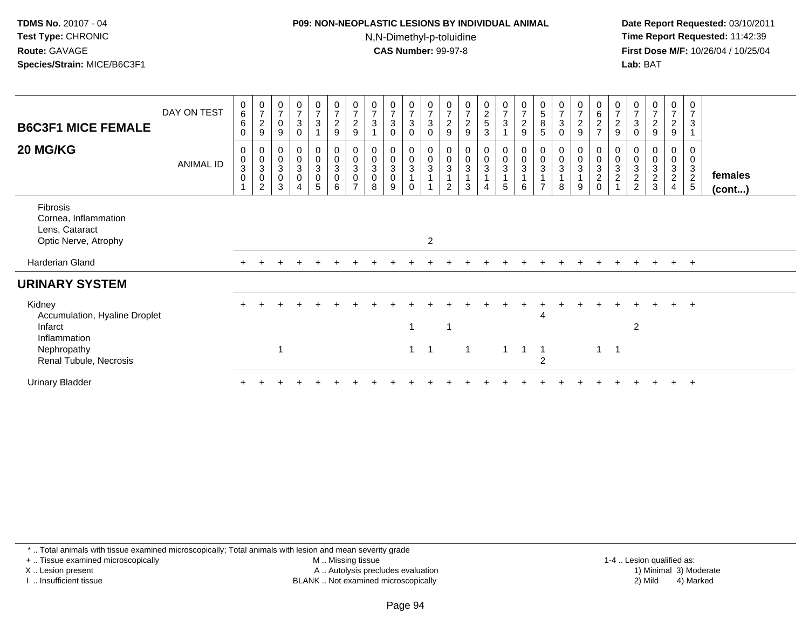#### **P09: NON-NEOPLASTIC LESIONS BY INDIVIDUAL ANIMAL**N,N-Dimethyl-p-toluidine

 **Date Report Requested:** 03/10/2011 **Time Report Requested:** 11:42:39 **First Dose M/F:** 10/26/04 / 10/25/04 Lab: BAT **Lab:** BAT

| <b>B6C3F1 MICE FEMALE</b><br>20 MG/KG                                             | DAY ON TEST<br>ANIMAL ID | $\begin{matrix} 0 \\ 6 \end{matrix}$<br>6<br>0<br>0<br>0<br>3<br>$\pmb{0}$ | $\frac{0}{7}$<br>$\sqrt{2}$<br>$\boldsymbol{9}$<br>0<br>$\begin{bmatrix} 0 \\ 3 \\ 0 \end{bmatrix}$<br>$\overline{2}$ | $\frac{0}{7}$<br>$\pmb{0}$<br>9<br>0<br>$\pmb{0}$<br>$\sqrt{3}$<br>0<br>3 | $\frac{0}{7}$<br>$\ensuremath{\mathsf{3}}$<br>$\Omega$<br>$\boldsymbol{0}$<br>$\pmb{0}$<br>$\sqrt{3}$<br>$\pmb{0}$<br>$\overline{\mathbf{4}}$ | $\frac{0}{7}$<br>$\mathbf{3}$<br>$\mathbf 0$<br>$\mathsf{O}\xspace$<br>$\mathbf{3}$<br>$\mathbf 0$<br>5 | $\frac{0}{7}$<br>$\frac{2}{9}$<br>0<br>$\pmb{0}$<br>$\sqrt{3}$<br>0<br>6 | $\frac{0}{7}$<br>$\overline{c}$<br>9<br>0<br>$\mathbf 0$<br>$\ensuremath{\mathsf{3}}$<br>$\pmb{0}$<br>$\overline{ }$ | $\mathbf 0$<br>$\overline{7}$<br>$\mathbf{3}$<br>0<br>$\pmb{0}$<br>$\sqrt{3}$<br>$\pmb{0}$<br>8 | $\frac{0}{7}$<br>$\mathbf{3}$<br>$\mathbf 0$<br>0<br>$\pmb{0}$<br>$\overline{3}$<br>$\pmb{0}$<br>9 | $\frac{0}{7}$<br>3<br>0<br>0<br>$\mathsf 0$<br>$\overline{3}$<br>$\mathbf{1}$<br>$\Omega$ | $\frac{0}{7}$<br>$\sqrt{3}$<br>$\mathbf 0$<br>$\mathbf 0$<br>$\pmb{0}$<br>$\mathbf{3}$ | $\boldsymbol{0}$<br>$\overline{7}$<br>$\sqrt{2}$<br>9<br>0<br>$\mathbf 0$<br>$\mathbf{3}$<br>$\mathcal{P}$ | $\begin{array}{c} 0 \\ 7 \end{array}$<br>$\boldsymbol{2}$<br>9<br>0<br>$\pmb{0}$<br>$\sqrt{3}$<br>3 | $\begin{array}{c} 0 \\ 2 \\ 5 \end{array}$<br>3<br>$_{\rm 0}^{\rm 0}$<br>$\sqrt{3}$<br>$\overline{\mathbf{4}}$ | $\frac{0}{7}$<br>$\mathbf{3}$<br>$\mathbf 0$<br>$\pmb{0}$<br>$\mathsf 3$<br>5 | $\begin{array}{c} 0 \\ 7 \end{array}$<br>$\overline{c}$<br>$\boldsymbol{9}$<br>0<br>$\pmb{0}$<br>$\sqrt{3}$<br>$\overline{1}$<br>6 | $\frac{0}{5}$<br>$\,8\,$<br>$\sqrt{5}$<br>0<br>$\pmb{0}$<br>$\mathbf{3}$<br>$\mathbf 1$<br>$\overline{ }$ | $\mathbf 0$<br>$\overline{7}$<br>$\ensuremath{\mathsf{3}}$<br>$\Omega$<br>0<br>$\pmb{0}$<br>$\sqrt{3}$<br>8 | $\frac{0}{7}$<br>$\overline{c}$<br>9<br>0<br>$\mathsf{O}\xspace$<br>3<br>9 | 0627<br>$0003$<br>$20$ | $\frac{0}{7}$<br>$\sqrt{2}$<br>$\boldsymbol{9}$<br>0<br>$\pmb{0}$<br>$\frac{3}{2}$ | $\frac{0}{7}$<br>$\mathbf{3}$<br>$\boldsymbol{0}$<br>0<br>$\begin{array}{c} 0 \\ 3 \\ 2 \\ 2 \end{array}$ | $\frac{0}{7}$<br>$\sqrt{2}$<br>9<br>0<br>$\pmb{0}$<br>$\frac{3}{2}$ | $\frac{0}{7}$<br>$\overline{c}$<br>9<br>0<br>0<br>$\mathfrak{S}$<br>$\overline{2}$<br>$\overline{4}$ | $\boldsymbol{0}$<br>$\overline{7}$<br>$\mathbf{3}$<br>0<br>$\pmb{0}$<br>$\frac{3}{2}$ | females<br>$($ cont $)$ |
|-----------------------------------------------------------------------------------|--------------------------|----------------------------------------------------------------------------|-----------------------------------------------------------------------------------------------------------------------|---------------------------------------------------------------------------|-----------------------------------------------------------------------------------------------------------------------------------------------|---------------------------------------------------------------------------------------------------------|--------------------------------------------------------------------------|----------------------------------------------------------------------------------------------------------------------|-------------------------------------------------------------------------------------------------|----------------------------------------------------------------------------------------------------|-------------------------------------------------------------------------------------------|----------------------------------------------------------------------------------------|------------------------------------------------------------------------------------------------------------|-----------------------------------------------------------------------------------------------------|----------------------------------------------------------------------------------------------------------------|-------------------------------------------------------------------------------|------------------------------------------------------------------------------------------------------------------------------------|-----------------------------------------------------------------------------------------------------------|-------------------------------------------------------------------------------------------------------------|----------------------------------------------------------------------------|------------------------|------------------------------------------------------------------------------------|-----------------------------------------------------------------------------------------------------------|---------------------------------------------------------------------|------------------------------------------------------------------------------------------------------|---------------------------------------------------------------------------------------|-------------------------|
| Fibrosis<br>Cornea, Inflammation<br>Lens, Cataract<br>Optic Nerve, Atrophy        |                          |                                                                            |                                                                                                                       |                                                                           |                                                                                                                                               |                                                                                                         |                                                                          |                                                                                                                      |                                                                                                 |                                                                                                    |                                                                                           | $\overline{c}$                                                                         |                                                                                                            |                                                                                                     |                                                                                                                |                                                                               |                                                                                                                                    |                                                                                                           |                                                                                                             |                                                                            |                        |                                                                                    |                                                                                                           |                                                                     |                                                                                                      |                                                                                       |                         |
| Harderian Gland                                                                   |                          |                                                                            |                                                                                                                       |                                                                           |                                                                                                                                               |                                                                                                         |                                                                          |                                                                                                                      |                                                                                                 |                                                                                                    |                                                                                           |                                                                                        |                                                                                                            |                                                                                                     |                                                                                                                |                                                                               |                                                                                                                                    |                                                                                                           |                                                                                                             |                                                                            |                        |                                                                                    |                                                                                                           |                                                                     | $\pm$                                                                                                | $+$                                                                                   |                         |
| <b>URINARY SYSTEM</b>                                                             |                          |                                                                            |                                                                                                                       |                                                                           |                                                                                                                                               |                                                                                                         |                                                                          |                                                                                                                      |                                                                                                 |                                                                                                    |                                                                                           |                                                                                        |                                                                                                            |                                                                                                     |                                                                                                                |                                                                               |                                                                                                                                    |                                                                                                           |                                                                                                             |                                                                            |                        |                                                                                    |                                                                                                           |                                                                     |                                                                                                      |                                                                                       |                         |
| Kidney<br>Accumulation, Hyaline Droplet<br>Infarct<br>Inflammation<br>Nephropathy |                          |                                                                            |                                                                                                                       |                                                                           |                                                                                                                                               |                                                                                                         |                                                                          |                                                                                                                      |                                                                                                 |                                                                                                    | $\mathbf{1}$                                                                              | $\overline{1}$                                                                         | 1                                                                                                          | -1                                                                                                  |                                                                                                                | $\mathbf{1}$                                                                  | $\overline{1}$                                                                                                                     | 4<br>$\mathbf{1}$                                                                                         |                                                                                                             |                                                                            | $\mathbf{1}$           | $\overline{\phantom{0}}$                                                           | 2                                                                                                         |                                                                     | $\div$                                                                                               | $\overline{+}$                                                                        |                         |
| Renal Tubule, Necrosis<br><b>Urinary Bladder</b>                                  |                          |                                                                            |                                                                                                                       |                                                                           |                                                                                                                                               |                                                                                                         |                                                                          |                                                                                                                      |                                                                                                 |                                                                                                    |                                                                                           |                                                                                        |                                                                                                            |                                                                                                     |                                                                                                                |                                                                               |                                                                                                                                    | $\overline{2}$                                                                                            |                                                                                                             |                                                                            |                        |                                                                                    |                                                                                                           |                                                                     |                                                                                                      |                                                                                       |                         |

\* .. Total animals with tissue examined microscopically; Total animals with lesion and mean severity grade

+ .. Tissue examined microscopically

X .. Lesion present

I .. Insufficient tissue

 M .. Missing tissueA .. Autolysis precludes evaluation

1-4 .. Lesion qualified as:<br>1) Minimal 3) Moderate BLANK .. Not examined microscopically 2) Mild 4) Marked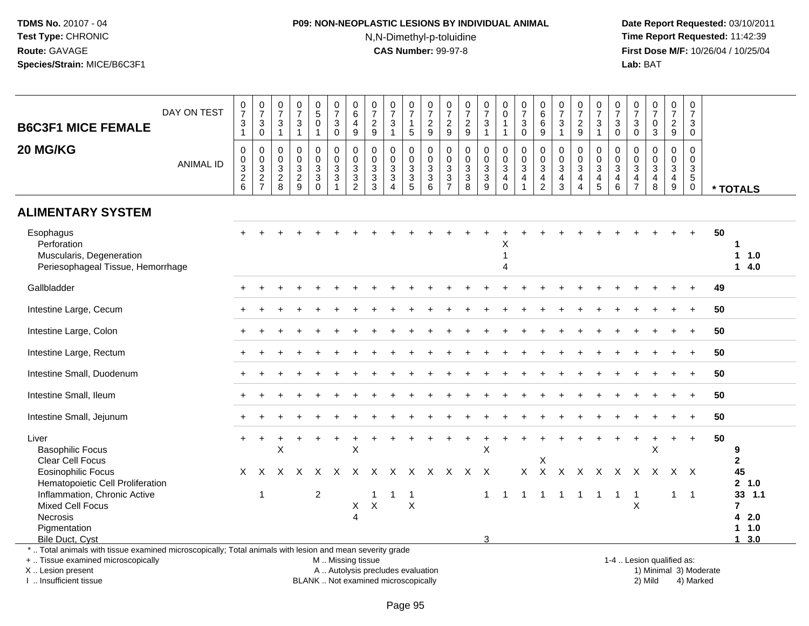# **P09: NON-NEOPLASTIC LESIONS BY INDIVIDUAL ANIMAL**N,N-Dimethyl-p-toluidine

 **Date Report Requested:** 03/10/2011 **Time Report Requested:** 11:42:39 **First Dose M/F:** 10/26/04 / 10/25/04<br>**Lab:** BAT **Lab:** BAT

| <b>B6C3F1 MICE FEMALE</b>                                                                                                   | DAY ON TEST      | $\frac{0}{7}$<br>$\ensuremath{\mathsf{3}}$<br>$\mathbf{1}$ | $\frac{0}{7}$<br>$_{0}^{3}$               | $\frac{0}{7}$<br>$\mathsf 3$<br>$\overline{1}$   | $\frac{0}{7}$<br>$\mathbf{3}$<br>$\mathbf{1}$                                    | 0<br>$\overline{5}$<br>$\mathbf 0$<br>$\mathbf{1}$                            | $\frac{0}{7}$<br>3<br>$\mathbf 0$                                   | 0<br>$\,6\,$<br>$\overline{4}$<br>9                                                      | $\frac{0}{7}$<br>$\overline{2}$<br>$\overline{9}$         | $\frac{0}{7}$<br>$\mathbf{3}$<br>$\mathbf{1}$                | $\frac{0}{7}$<br>$\mathbf{1}$<br>5                            | $\frac{0}{7}$<br>$\frac{2}{9}$  | $\frac{0}{7}$<br>$\frac{2}{9}$                                     | $\frac{0}{7}$<br>$\frac{2}{9}$                            | $\frac{0}{7}$<br>$\mathbf{3}$<br>$\mathbf{1}$                 | 0<br>$\mathsf 0$<br>1<br>$\mathbf{1}$                | $\frac{0}{7}$<br>$\sqrt{3}$<br>$\Omega$                      | $_6^0$<br>6<br>9                                                                | $\begin{array}{c} 0 \\ 7 \\ 3 \end{array}$<br>$\mathbf{1}$ | $\frac{0}{7}$<br>$\frac{2}{9}$                                                       | $\frac{0}{7}$<br>3<br>$\overline{1}$                                         | $\frac{0}{7}$<br>$\mathbf{3}$<br>$\mathbf{0}$                   | $\frac{0}{7}$<br>$\mathbf{3}$<br>$\mathbf{0}$                        | $\frac{0}{7}$<br>$\mathbf 0$<br>$\mathbf{3}$                            | 0<br>$\overline{7}$<br>$\overline{2}$<br>9   | $\pmb{0}$<br>$\overline{7}$<br>3<br>$\Omega$                            |    |                                           |
|-----------------------------------------------------------------------------------------------------------------------------|------------------|------------------------------------------------------------|-------------------------------------------|--------------------------------------------------|----------------------------------------------------------------------------------|-------------------------------------------------------------------------------|---------------------------------------------------------------------|------------------------------------------------------------------------------------------|-----------------------------------------------------------|--------------------------------------------------------------|---------------------------------------------------------------|---------------------------------|--------------------------------------------------------------------|-----------------------------------------------------------|---------------------------------------------------------------|------------------------------------------------------|--------------------------------------------------------------|---------------------------------------------------------------------------------|------------------------------------------------------------|--------------------------------------------------------------------------------------|------------------------------------------------------------------------------|-----------------------------------------------------------------|----------------------------------------------------------------------|-------------------------------------------------------------------------|----------------------------------------------|-------------------------------------------------------------------------|----|-------------------------------------------|
| 20 MG/KG                                                                                                                    | <b>ANIMAL ID</b> | $\pmb{0}$<br>$\mathsf{O}\xspace$<br>$\frac{3}{2}$<br>6     | $\mathbf 0$<br>$\pmb{0}$<br>$\frac{3}{2}$ | $\mathbf 0$<br>$\mathbf 0$<br>$\frac{3}{2}$<br>8 | 0<br>$\mathsf{O}\xspace$<br>$\overline{3}$<br>$\overline{2}$<br>$\boldsymbol{9}$ | $\mathbf 0$<br>$\mathbf 0$<br>$\mathfrak{S}$<br>$\overline{3}$<br>$\mathbf 0$ | $\mathbf 0$<br>$\mathbf 0$<br>$\overline{3}$<br>$\overline{3}$<br>1 | $\Omega$<br>$\mathbf 0$<br>$\ensuremath{\mathsf{3}}$<br>$\overline{3}$<br>$\overline{2}$ | $\mathbf 0$<br>0<br>$\overline{3}$<br>$\overline{3}$<br>3 | 0<br>0<br>$\overline{3}$<br>$\overline{3}$<br>$\overline{4}$ | $\mathbf 0$<br>$\mathbf 0$<br>$\frac{3}{3}$<br>$\overline{5}$ | 0<br>$\mathbf 0$<br>$_3^3$<br>6 | $\mathbf 0$<br>0<br>$\overline{3}$<br>$\sqrt{3}$<br>$\overline{7}$ | 0<br>$\mathbf 0$<br>$\overline{3}$<br>$\overline{3}$<br>8 | $\pmb{0}$<br>$\mathbf 0$<br>$\sqrt{3}$<br>$\overline{3}$<br>9 | $\mathbf 0$<br>0<br>$\mathbf{3}$<br>4<br>$\mathbf 0$ | $\Omega$<br>$\mathbf 0$<br>$\sqrt{3}$<br>$\overline{4}$<br>1 | $\mathbf 0$<br>0<br>$\overline{3}$<br>$\overline{\mathbf{4}}$<br>$\overline{2}$ | 0<br>$_3^0$<br>$\overline{4}$<br>$\mathbf{3}$              | $\mathbf 0$<br>$\mathbf 0$<br>$\sqrt{3}$<br>$\overline{a}$<br>$\boldsymbol{\Lambda}$ | $\mathbf 0$<br>$\mathbf 0$<br>$\sqrt{3}$<br>$\overline{4}$<br>$\overline{5}$ | $\mathbf 0$<br>$\mathbf 0$<br>$\sqrt{3}$<br>$\overline{4}$<br>6 | 0<br>$\mathbf 0$<br>$\mathbf{3}$<br>$\overline{4}$<br>$\overline{7}$ | $\mathbf 0$<br>$\mathbf 0$<br>$\mathbf{3}$<br>$\overline{4}$<br>$\,8\,$ | 0<br>$\mathbf 0$<br>3<br>$\overline{4}$<br>9 | $\Omega$<br>$\mathbf 0$<br>$\sqrt{3}$<br>$5\phantom{.0}$<br>$\mathbf 0$ |    | * TOTALS                                  |
| <b>ALIMENTARY SYSTEM</b>                                                                                                    |                  |                                                            |                                           |                                                  |                                                                                  |                                                                               |                                                                     |                                                                                          |                                                           |                                                              |                                                               |                                 |                                                                    |                                                           |                                                               |                                                      |                                                              |                                                                                 |                                                            |                                                                                      |                                                                              |                                                                 |                                                                      |                                                                         |                                              |                                                                         |    |                                           |
| Esophagus<br>Perforation<br>Muscularis, Degeneration<br>Periesophageal Tissue, Hemorrhage                                   |                  |                                                            |                                           |                                                  |                                                                                  |                                                                               |                                                                     |                                                                                          |                                                           |                                                              |                                                               |                                 |                                                                    |                                                           |                                                               | х<br>1<br>$\Delta$                                   |                                                              |                                                                                 |                                                            |                                                                                      |                                                                              |                                                                 |                                                                      |                                                                         |                                              |                                                                         | 50 | $\mathbf 1$<br>1 1.0<br>14.0              |
| Gallbladder                                                                                                                 |                  |                                                            |                                           |                                                  |                                                                                  |                                                                               |                                                                     |                                                                                          |                                                           |                                                              |                                                               |                                 |                                                                    |                                                           |                                                               |                                                      |                                                              |                                                                                 |                                                            |                                                                                      |                                                                              |                                                                 |                                                                      |                                                                         |                                              |                                                                         | 49 |                                           |
| Intestine Large, Cecum                                                                                                      |                  |                                                            |                                           |                                                  |                                                                                  |                                                                               |                                                                     |                                                                                          |                                                           |                                                              |                                                               |                                 |                                                                    |                                                           |                                                               |                                                      |                                                              |                                                                                 |                                                            |                                                                                      |                                                                              |                                                                 |                                                                      |                                                                         |                                              |                                                                         | 50 |                                           |
| Intestine Large, Colon                                                                                                      |                  |                                                            |                                           |                                                  |                                                                                  |                                                                               |                                                                     |                                                                                          |                                                           |                                                              |                                                               |                                 |                                                                    |                                                           |                                                               |                                                      |                                                              |                                                                                 |                                                            |                                                                                      |                                                                              |                                                                 |                                                                      |                                                                         |                                              |                                                                         | 50 |                                           |
| Intestine Large, Rectum                                                                                                     |                  |                                                            |                                           |                                                  |                                                                                  |                                                                               |                                                                     |                                                                                          |                                                           |                                                              |                                                               |                                 |                                                                    |                                                           |                                                               |                                                      |                                                              |                                                                                 |                                                            |                                                                                      |                                                                              |                                                                 |                                                                      |                                                                         |                                              |                                                                         | 50 |                                           |
| Intestine Small, Duodenum                                                                                                   |                  |                                                            |                                           |                                                  |                                                                                  |                                                                               |                                                                     |                                                                                          |                                                           |                                                              |                                                               |                                 |                                                                    |                                                           |                                                               |                                                      |                                                              |                                                                                 |                                                            |                                                                                      |                                                                              |                                                                 |                                                                      |                                                                         |                                              |                                                                         | 50 |                                           |
| Intestine Small, Ileum                                                                                                      |                  |                                                            |                                           |                                                  |                                                                                  |                                                                               |                                                                     |                                                                                          |                                                           |                                                              |                                                               |                                 |                                                                    |                                                           |                                                               |                                                      |                                                              |                                                                                 |                                                            |                                                                                      |                                                                              |                                                                 |                                                                      |                                                                         |                                              |                                                                         | 50 |                                           |
| Intestine Small, Jejunum                                                                                                    |                  |                                                            |                                           |                                                  |                                                                                  |                                                                               |                                                                     |                                                                                          |                                                           |                                                              |                                                               |                                 |                                                                    |                                                           |                                                               |                                                      |                                                              |                                                                                 |                                                            |                                                                                      |                                                                              |                                                                 |                                                                      |                                                                         |                                              |                                                                         | 50 |                                           |
| Liver<br><b>Basophilic Focus</b><br>Clear Cell Focus                                                                        |                  | $+$                                                        | $\ddot{}$                                 | X                                                |                                                                                  |                                                                               |                                                                     | Χ                                                                                        |                                                           |                                                              |                                                               |                                 |                                                                    | $\ddot{}$                                                 | X                                                             |                                                      |                                                              | Х                                                                               |                                                            |                                                                                      |                                                                              |                                                                 | $\ddot{}$                                                            | X                                                                       |                                              | $\ddot{}$                                                               | 50 | 9<br>$\mathbf{2}$                         |
| <b>Eosinophilic Focus</b><br>Hematopoietic Cell Proliferation                                                               |                  | X                                                          | $\times$                                  | $\mathsf{X}$                                     | $\mathsf{X}$                                                                     | $\mathsf{X}$                                                                  | $\mathsf{X}$                                                        | $\times$                                                                                 | $\mathsf{X}$                                              | $\mathsf{X}$                                                 | $\times$                                                      |                                 |                                                                    | X X X X                                                   |                                                               |                                                      | $\mathsf{X}$                                                 | $\mathsf{X}$                                                                    | $\mathsf{X}$                                               |                                                                                      |                                                                              |                                                                 | X X X X X                                                            |                                                                         |                                              | $X \times$                                                              |    | 45<br>2, 1.0                              |
| Inflammation, Chronic Active<br>Mixed Cell Focus<br>Necrosis<br>Pigmentation                                                |                  |                                                            | 1                                         |                                                  |                                                                                  | 2                                                                             |                                                                     | X<br>$\overline{4}$                                                                      | 1<br>$\mathsf X$                                          |                                                              | $\overline{1}$<br>X                                           |                                 |                                                                    |                                                           | $\mathbf{1}$                                                  | $\overline{1}$                                       | $\mathbf{1}$                                                 | $\overline{1}$                                                                  | $\overline{1}$                                             | $\mathbf{1}$                                                                         | $\overline{1}$                                                               | $\overline{1}$                                                  | $\overline{1}$<br>X                                                  |                                                                         | $\mathbf{1}$                                 | $\overline{1}$                                                          |    | 33 1.1<br>$\overline{7}$<br>42.0<br>1 1.0 |
| Bile Duct, Cyst<br>*  Total animals with tissue examined microscopically; Total animals with lesion and mean severity grade |                  |                                                            |                                           |                                                  |                                                                                  |                                                                               |                                                                     |                                                                                          |                                                           |                                                              |                                                               |                                 |                                                                    |                                                           | 3                                                             |                                                      |                                                              |                                                                                 |                                                            |                                                                                      |                                                                              |                                                                 |                                                                      |                                                                         |                                              |                                                                         |    | $1 \quad 3.0$                             |
| +  Tissue examined microscopically<br>X  Lesion present                                                                     |                  |                                                            |                                           |                                                  |                                                                                  |                                                                               | M  Missing tissue                                                   |                                                                                          | A  Autolysis precludes evaluation                         |                                                              |                                                               |                                 |                                                                    |                                                           |                                                               |                                                      |                                                              |                                                                                 |                                                            |                                                                                      |                                                                              |                                                                 | 1-4  Lesion qualified as:                                            |                                                                         |                                              | 1) Minimal 3) Moderate                                                  |    |                                           |

X .. Lesion present

I .. Insufficient tissue

BLANK .. Not examined microscopically 2) Mild 4) Marked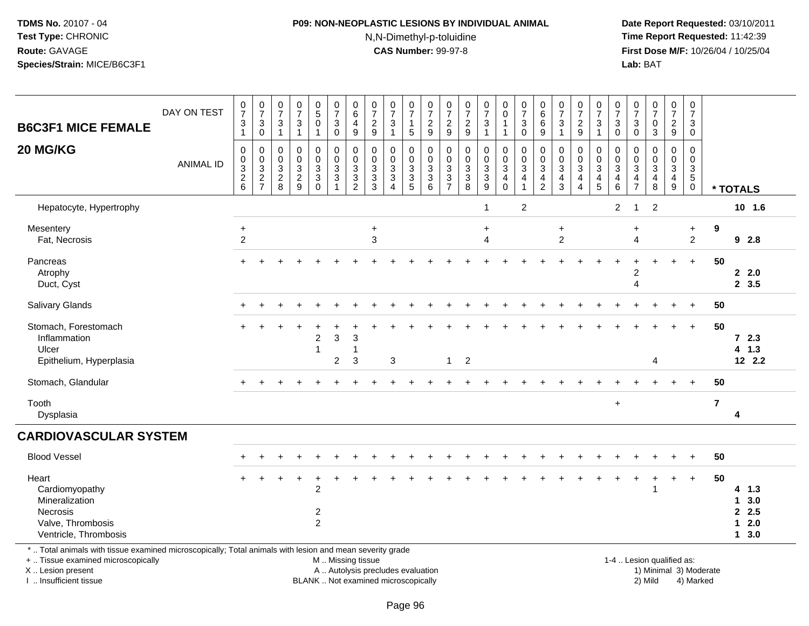# **P09: NON-NEOPLASTIC LESIONS BY INDIVIDUAL ANIMAL**

N,N-Dimethyl-p-toluidine

| <b>B6C3F1 MICE FEMALE</b><br>20 MG/KG                                                                                                                                                        | DAY ON TEST<br><b>ANIMAL ID</b> | $\frac{0}{7}$<br>$\mathsf 3$<br>$\mathbf{1}$<br>$\mathbf 0$<br>$_{3}^{\rm 0}$<br>$\overline{2}$ | $\begin{array}{c} 0 \\ 7 \end{array}$<br>$\mathbf{3}$<br>$\mathsf{O}\xspace$<br>0<br>$\pmb{0}$<br>$\mathbf{3}$<br>$\boldsymbol{2}$ | $\frac{0}{7}$<br>$\mathbf{3}$<br>$\mathbf{1}$<br>0<br>$\mathbf 0$<br>$\sqrt{3}$<br>$\overline{c}$ | $\frac{0}{7}$<br>$\sqrt{3}$<br>$\mathbf{1}$<br>0<br>$\pmb{0}$<br>$\sqrt{3}$<br>$\overline{2}$ | $\begin{array}{c} 0 \\ 5 \\ 0 \end{array}$<br>$\overline{1}$<br>0<br>$\mathbf 0$<br>$\mathbf{3}$<br>$\overline{3}$ | $\frac{0}{7}$<br>$\sqrt{3}$<br>$\mathbf 0$<br>0<br>$\mathbf 0$<br>$\sqrt{3}$<br>$\overline{3}$ | $\begin{array}{c} 0 \\ 6 \end{array}$<br>4<br>$9\,$<br>0<br>0<br>3<br>3 | $\begin{array}{c} 0 \\ 7 \end{array}$<br>$\sqrt{2}$<br>9<br>0<br>$\pmb{0}$<br>$\sqrt{3}$<br>$\frac{3}{3}$ | $\frac{0}{7}$<br>3<br>$\mathbf{1}$<br>0<br>$\mathbf 0$<br>$\mathbf{3}$<br>$\overline{3}$ | $\frac{0}{7}$<br>$\mathbf{1}$<br>$\sqrt{5}$<br>0<br>$\mathbf 0$<br>$\ensuremath{\mathsf{3}}$<br>$\frac{3}{5}$ | $\frac{0}{7}$<br>$\sqrt{2}$<br>9<br>$\mathbf 0$<br>$\boldsymbol{0}$<br>$\frac{3}{6}$ | $\frac{0}{7}$<br>$\sqrt{2}$<br>9<br>0<br>0<br>3<br>3 | $\frac{0}{7}$<br>$\overline{c}$<br>$9\,$<br>$\mathbf 0$<br>$\pmb{0}$<br>$\ensuremath{\mathsf{3}}$<br>$\overline{3}$ | $\frac{0}{7}$<br>$\mathbf{3}$<br>$\mathbf{1}$<br>0<br>$\mathsf 0$<br>$\mathbf{3}$<br>$\overline{3}$ | $\begin{smallmatrix}0\0\0\end{smallmatrix}$<br>$\mathbf{1}$<br>$\mathbf{1}$<br>0<br>$\mathsf{O}$<br>$\mathsf 3$<br>$\overline{\mathbf{4}}$ | $\begin{array}{c} 0 \\ 7 \end{array}$<br>$\mathsf 3$<br>$\mathbf 0$<br>$\mathbf 0$<br>$\pmb{0}$<br>$\overline{3}$<br>4 | $\begin{array}{c} 0 \\ 6 \\ 6 \end{array}$<br>9<br>0<br>$\mathbf 0$<br>$\sqrt{3}$<br>$\frac{4}{2}$ | $\begin{array}{c} 0 \\ 7 \end{array}$<br>$\sqrt{3}$<br>$\mathbf{1}$<br>0<br>$\pmb{0}$<br>$\overline{3}$<br>$\overline{4}$ | $\frac{0}{7}$<br>$\mathbf 2$<br>9<br>0<br>$\mathbf 0$<br>3<br>$\overline{4}$ | $\frac{0}{7}$<br>$\mathbf{3}$<br>$\mathbf{1}$<br>0<br>$\frac{0}{3}$<br>$\frac{4}{5}$ | $\frac{0}{7}$<br>$\mathbf{3}$<br>$\mathsf{O}\xspace$<br>$\mathbf 0$<br>$\mathsf{O}\xspace$<br>$\mathbf{3}$<br>4 | $\frac{0}{7}$<br>3<br>0<br>0<br>0<br>3<br>4 | $\frac{0}{7}$<br>$\mathbf 0$<br>3<br>$\mathbf 0$<br>$\mathsf{O}\xspace$<br>$\sqrt{3}$<br>$\overline{\mathbf{4}}$ | $\frac{0}{7}$<br>$\sqrt{2}$<br>9<br>0<br>$\mathsf 0$<br>$\mathbf{3}$<br>4 | $\pmb{0}$<br>$\overline{7}$<br>3<br>0<br>$\Omega$<br>$\mathbf 0$<br>$\mathbf{3}$<br>5 |                |                                        |
|----------------------------------------------------------------------------------------------------------------------------------------------------------------------------------------------|---------------------------------|-------------------------------------------------------------------------------------------------|------------------------------------------------------------------------------------------------------------------------------------|---------------------------------------------------------------------------------------------------|-----------------------------------------------------------------------------------------------|--------------------------------------------------------------------------------------------------------------------|------------------------------------------------------------------------------------------------|-------------------------------------------------------------------------|-----------------------------------------------------------------------------------------------------------|------------------------------------------------------------------------------------------|---------------------------------------------------------------------------------------------------------------|--------------------------------------------------------------------------------------|------------------------------------------------------|---------------------------------------------------------------------------------------------------------------------|-----------------------------------------------------------------------------------------------------|--------------------------------------------------------------------------------------------------------------------------------------------|------------------------------------------------------------------------------------------------------------------------|----------------------------------------------------------------------------------------------------|---------------------------------------------------------------------------------------------------------------------------|------------------------------------------------------------------------------|--------------------------------------------------------------------------------------|-----------------------------------------------------------------------------------------------------------------|---------------------------------------------|------------------------------------------------------------------------------------------------------------------|---------------------------------------------------------------------------|---------------------------------------------------------------------------------------|----------------|----------------------------------------|
|                                                                                                                                                                                              |                                 | $\,6\,$                                                                                         | $\overline{7}$                                                                                                                     | 8                                                                                                 | $\boldsymbol{9}$                                                                              | $\pmb{0}$                                                                                                          | $\mathbf{1}$                                                                                   | $\overline{c}$                                                          |                                                                                                           | $\overline{4}$                                                                           |                                                                                                               |                                                                                      | $\overline{7}$                                       | 8                                                                                                                   | 9                                                                                                   | $\mathsf 0$                                                                                                                                | $\mathbf{1}$                                                                                                           |                                                                                                    | $\mathbf{3}$                                                                                                              | $\overline{\mathbf{4}}$                                                      |                                                                                      | $\,6$                                                                                                           | $\overline{7}$                              | $\,8\,$                                                                                                          | 9                                                                         | $\mathbf 0$                                                                           |                | * TOTALS                               |
| Hepatocyte, Hypertrophy                                                                                                                                                                      |                                 |                                                                                                 |                                                                                                                                    |                                                                                                   |                                                                                               |                                                                                                                    |                                                                                                |                                                                         |                                                                                                           |                                                                                          |                                                                                                               |                                                                                      |                                                      |                                                                                                                     | $\mathbf{1}$                                                                                        |                                                                                                                                            | $\overline{2}$                                                                                                         |                                                                                                    |                                                                                                                           |                                                                              |                                                                                      | $\overline{c}$                                                                                                  | -1                                          | $\overline{2}$                                                                                                   |                                                                           |                                                                                       |                | 10 1.6                                 |
| Mesentery<br>Fat, Necrosis                                                                                                                                                                   |                                 | $\ddot{}$<br>$\sqrt{2}$                                                                         |                                                                                                                                    |                                                                                                   |                                                                                               |                                                                                                                    |                                                                                                |                                                                         | $\ddot{}$<br>3                                                                                            |                                                                                          |                                                                                                               |                                                                                      |                                                      |                                                                                                                     | $\ddot{}$<br>$\overline{4}$                                                                         |                                                                                                                                            |                                                                                                                        |                                                                                                    | $\ddot{}$<br>$\overline{c}$                                                                                               |                                                                              |                                                                                      |                                                                                                                 | $\ddot{}$<br>4                              |                                                                                                                  |                                                                           | $\ddot{}$<br>$\overline{2}$                                                           | 9              | 92.8                                   |
| Pancreas<br>Atrophy<br>Duct, Cyst                                                                                                                                                            |                                 |                                                                                                 |                                                                                                                                    |                                                                                                   |                                                                                               |                                                                                                                    |                                                                                                |                                                                         |                                                                                                           |                                                                                          |                                                                                                               |                                                                                      |                                                      |                                                                                                                     |                                                                                                     |                                                                                                                                            |                                                                                                                        |                                                                                                    |                                                                                                                           |                                                                              |                                                                                      |                                                                                                                 | 2<br>4                                      |                                                                                                                  |                                                                           | $\ddot{}$                                                                             | 50             | 2.0<br>2, 3.5                          |
| Salivary Glands                                                                                                                                                                              |                                 |                                                                                                 |                                                                                                                                    |                                                                                                   |                                                                                               |                                                                                                                    |                                                                                                |                                                                         |                                                                                                           |                                                                                          |                                                                                                               |                                                                                      |                                                      |                                                                                                                     |                                                                                                     |                                                                                                                                            |                                                                                                                        |                                                                                                    |                                                                                                                           |                                                                              |                                                                                      |                                                                                                                 |                                             |                                                                                                                  |                                                                           |                                                                                       | 50             |                                        |
| Stomach, Forestomach<br>Inflammation<br>Ulcer<br>Epithelium, Hyperplasia                                                                                                                     |                                 |                                                                                                 |                                                                                                                                    |                                                                                                   |                                                                                               | $\overline{c}$<br>-1                                                                                               | 3<br>$\overline{c}$                                                                            | 3<br>$\mathbf{1}$<br>3                                                  |                                                                                                           | 3                                                                                        |                                                                                                               |                                                                                      | $\mathbf{1}$                                         | $\overline{2}$                                                                                                      |                                                                                                     |                                                                                                                                            |                                                                                                                        |                                                                                                    |                                                                                                                           |                                                                              |                                                                                      |                                                                                                                 |                                             | 4                                                                                                                |                                                                           |                                                                                       | 50             | 72.3<br>4 1.3<br>12 2.2                |
| Stomach, Glandular                                                                                                                                                                           |                                 |                                                                                                 |                                                                                                                                    |                                                                                                   |                                                                                               |                                                                                                                    |                                                                                                |                                                                         |                                                                                                           |                                                                                          |                                                                                                               |                                                                                      |                                                      |                                                                                                                     |                                                                                                     |                                                                                                                                            |                                                                                                                        |                                                                                                    |                                                                                                                           |                                                                              |                                                                                      |                                                                                                                 |                                             |                                                                                                                  |                                                                           | $\ddot{}$                                                                             | 50             |                                        |
| Tooth<br>Dysplasia                                                                                                                                                                           |                                 |                                                                                                 |                                                                                                                                    |                                                                                                   |                                                                                               |                                                                                                                    |                                                                                                |                                                                         |                                                                                                           |                                                                                          |                                                                                                               |                                                                                      |                                                      |                                                                                                                     |                                                                                                     |                                                                                                                                            |                                                                                                                        |                                                                                                    |                                                                                                                           |                                                                              |                                                                                      | $\ddot{}$                                                                                                       |                                             |                                                                                                                  |                                                                           |                                                                                       | $\overline{7}$ | 4                                      |
| <b>CARDIOVASCULAR SYSTEM</b>                                                                                                                                                                 |                                 |                                                                                                 |                                                                                                                                    |                                                                                                   |                                                                                               |                                                                                                                    |                                                                                                |                                                                         |                                                                                                           |                                                                                          |                                                                                                               |                                                                                      |                                                      |                                                                                                                     |                                                                                                     |                                                                                                                                            |                                                                                                                        |                                                                                                    |                                                                                                                           |                                                                              |                                                                                      |                                                                                                                 |                                             |                                                                                                                  |                                                                           |                                                                                       |                |                                        |
| <b>Blood Vessel</b>                                                                                                                                                                          |                                 |                                                                                                 |                                                                                                                                    |                                                                                                   |                                                                                               |                                                                                                                    |                                                                                                |                                                                         |                                                                                                           |                                                                                          |                                                                                                               |                                                                                      |                                                      |                                                                                                                     |                                                                                                     |                                                                                                                                            |                                                                                                                        |                                                                                                    |                                                                                                                           |                                                                              |                                                                                      |                                                                                                                 |                                             |                                                                                                                  |                                                                           |                                                                                       | 50             |                                        |
| Heart<br>Cardiomyopathy<br>Mineralization<br>Necrosis<br>Valve, Thrombosis<br>Ventricle, Thrombosis                                                                                          |                                 |                                                                                                 |                                                                                                                                    |                                                                                                   |                                                                                               | $\overline{c}$<br>2<br>$\overline{2}$                                                                              |                                                                                                |                                                                         |                                                                                                           |                                                                                          |                                                                                                               |                                                                                      |                                                      |                                                                                                                     |                                                                                                     |                                                                                                                                            |                                                                                                                        |                                                                                                    |                                                                                                                           |                                                                              |                                                                                      |                                                                                                                 |                                             |                                                                                                                  | $\ddot{}$                                                                 | $\ddot{}$                                                                             | 50             | 4 1.3<br>13.0<br>2.5<br>$12.0$<br>13.0 |
| *  Total animals with tissue examined microscopically; Total animals with lesion and mean severity grade<br>+  Tissue examined microscopically<br>X Lesion present<br>I. Insufficient tissue |                                 |                                                                                                 |                                                                                                                                    |                                                                                                   |                                                                                               |                                                                                                                    | M  Missing tissue                                                                              |                                                                         |                                                                                                           | A  Autolysis precludes evaluation<br>BLANK  Not examined microscopically                 |                                                                                                               |                                                                                      |                                                      |                                                                                                                     |                                                                                                     |                                                                                                                                            |                                                                                                                        |                                                                                                    |                                                                                                                           |                                                                              |                                                                                      |                                                                                                                 |                                             | 1-4  Lesion qualified as:<br>1) Minimal 3) Moderate<br>2) Mild                                                   |                                                                           | 4) Marked                                                                             |                |                                        |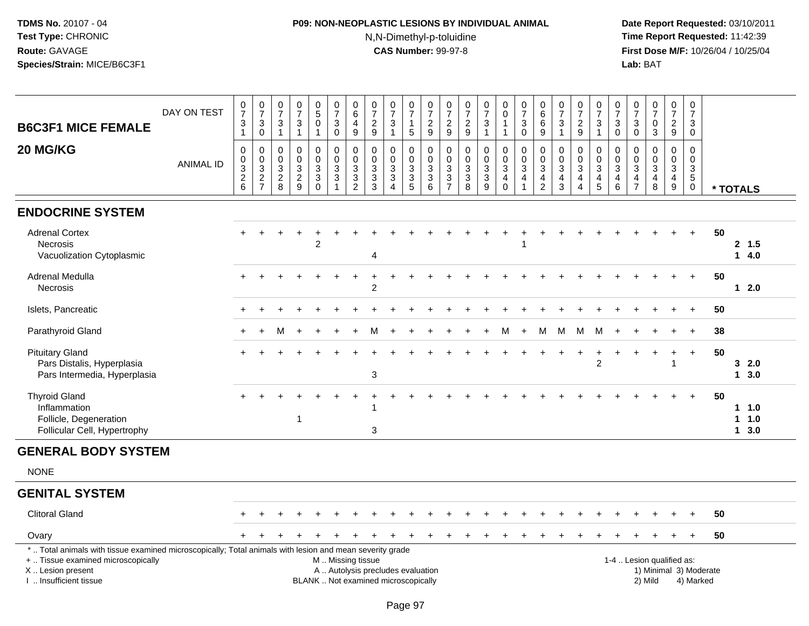# **P09: NON-NEOPLASTIC LESIONS BY INDIVIDUAL ANIMAL**N,N-Dimethyl-p-toluidine

| <b>B6C3F1 MICE FEMALE</b>                                                                                                                                                                     | DAY ON TEST      | $\frac{0}{7}$<br>$\ensuremath{\mathsf{3}}$<br>$\mathbf{1}$             | $\begin{array}{c} 0 \\ 7 \end{array}$<br>$\mathbf{3}$<br>$\mathbf 0$ | $\frac{0}{7}$<br>3<br>$\mathbf{1}$             | $\frac{0}{7}$<br>$\ensuremath{\mathsf{3}}$<br>$\mathbf{1}$ | $0$<br>$5$<br>$0$<br>$\mathbf{1}$                            | $\frac{0}{7}$<br>$\mathbf{3}$<br>$\mathbf 0$                                                  | $\begin{array}{c} 0 \\ 6 \end{array}$<br>$\overline{4}$<br>$9\,$ | $\frac{0}{7}$<br>$\overline{2}$<br>$9\,$                     | $\frac{0}{7}$<br>$\mathbf{3}$<br>$\overline{1}$                                   | $\frac{0}{7}$<br>1<br>5         | $\frac{0}{7}$<br>$\frac{2}{9}$                                                                    | $\frac{0}{7}$<br>$\frac{2}{9}$                                                | $\begin{array}{c} 0 \\ 7 \end{array}$<br>$\frac{2}{9}$                     | $\frac{0}{7}$<br>$\sqrt{3}$<br>$\overline{1}$                         | $_{\rm 0}^{\rm 0}$<br>$\mathbf{1}$<br>-1                                    | $\frac{0}{7}$<br>$\sqrt{3}$<br>$\mathbf 0$                                  | $\begin{matrix} 0 \\ 6 \end{matrix}$<br>6<br>9         | $\frac{0}{7}$<br>$\sqrt{3}$<br>$\overline{1}$                | $\frac{0}{7}$<br>$\overline{c}$<br>9                                                      | $\begin{smallmatrix}0\\7\end{smallmatrix}$<br>$\sqrt{3}$<br>1 | $\frac{0}{7}$<br>$\mathsf 3$<br>$\mathbf 0$                         | 0<br>$\overline{7}$<br>$\mathbf{3}$<br>$\mathbf 0$          | $\frac{0}{7}$<br>$\mathbf 0$<br>$\mathfrak{Z}$                 | $\frac{0}{7}$<br>$\frac{2}{9}$                                    | $\pmb{0}$<br>$\overline{7}$<br>$\mathbf{3}$<br>$\mathbf 0$                             |                        |                        |
|-----------------------------------------------------------------------------------------------------------------------------------------------------------------------------------------------|------------------|------------------------------------------------------------------------|----------------------------------------------------------------------|------------------------------------------------|------------------------------------------------------------|--------------------------------------------------------------|-----------------------------------------------------------------------------------------------|------------------------------------------------------------------|--------------------------------------------------------------|-----------------------------------------------------------------------------------|---------------------------------|---------------------------------------------------------------------------------------------------|-------------------------------------------------------------------------------|----------------------------------------------------------------------------|-----------------------------------------------------------------------|-----------------------------------------------------------------------------|-----------------------------------------------------------------------------|--------------------------------------------------------|--------------------------------------------------------------|-------------------------------------------------------------------------------------------|---------------------------------------------------------------|---------------------------------------------------------------------|-------------------------------------------------------------|----------------------------------------------------------------|-------------------------------------------------------------------|----------------------------------------------------------------------------------------|------------------------|------------------------|
| 20 MG/KG                                                                                                                                                                                      | <b>ANIMAL ID</b> | 0<br>$\mathsf{O}\xspace$<br>$\ensuremath{\mathsf{3}}$<br>$\frac{2}{6}$ | $\mathbf 0$<br>$\mathsf 0$<br>$\frac{3}{2}$                          | 0<br>$\mathbf 0$<br>3<br>$\boldsymbol{2}$<br>8 | $\mathbf 0$<br>$\mathbf 0$<br>$\sqrt{3}$<br>$\frac{2}{9}$  | 0<br>$\pmb{0}$<br>$\ensuremath{\mathsf{3}}$<br>3<br>$\Omega$ | 0<br>$\mathbf 0$<br>3<br>$\mathfrak{Z}$                                                       | $\mathbf 0$<br>$\mathbf 0$<br>$\frac{3}{2}$                      | $\mathbf 0$<br>$\Omega$<br>$\mathbf{3}$<br>$\mathbf{3}$<br>3 | $\Omega$<br>$\mathbf 0$<br>$\mathbf{3}$<br>$\mathbf{3}$<br>$\boldsymbol{\Lambda}$ | 0<br>$\mathbf 0$<br>3<br>3<br>5 | $\mathbf 0$<br>$\mathsf{O}\xspace$<br>$\ensuremath{\mathsf{3}}$<br>$\ensuremath{\mathsf{3}}$<br>6 | 0<br>$\pmb{0}$<br>$\ensuremath{\mathsf{3}}$<br>$\mathbf{3}$<br>$\overline{7}$ | $\mathbf 0$<br>$\mathbf 0$<br>$\sqrt{3}$<br>$\ensuremath{\mathsf{3}}$<br>8 | $\mathbf 0$<br>$\mathsf{O}\xspace$<br>$\frac{3}{3}$<br>$\overline{9}$ | $\mathbf 0$<br>$\mathbf 0$<br>$\mathbf{3}$<br>$\overline{4}$<br>$\mathbf 0$ | $\mathbf 0$<br>$\mathbf 0$<br>$\mathbf 3$<br>$\overline{4}$<br>$\mathbf{1}$ | $\mathbf 0$<br>$\mathbf 0$<br>3<br>4<br>$\overline{c}$ | $\Omega$<br>$\mathbf 0$<br>$\sqrt{3}$<br>$\overline{4}$<br>3 | $\mathbf 0$<br>$\pmb{0}$<br>$\ensuremath{\mathsf{3}}$<br>$\overline{4}$<br>$\overline{4}$ | 0<br>$\mathbf 0$<br>3<br>$\overline{4}$<br>5                  | $\mathbf 0$<br>$\mathbf 0$<br>$\overline{3}$<br>$\overline{4}$<br>6 | $\Omega$<br>$\Omega$<br>$\mathbf{3}$<br>4<br>$\overline{7}$ | $\Omega$<br>$\mathbf 0$<br>$\mathbf{3}$<br>$\overline{4}$<br>8 | $\mathbf 0$<br>$\mathbf 0$<br>$\mathbf{3}$<br>$\overline{4}$<br>9 | $\Omega$<br>$\mathbf 0$<br>$\ensuremath{\mathsf{3}}$<br>$5\phantom{.0}$<br>$\mathbf 0$ |                        | * TOTALS               |
| <b>ENDOCRINE SYSTEM</b>                                                                                                                                                                       |                  |                                                                        |                                                                      |                                                |                                                            |                                                              |                                                                                               |                                                                  |                                                              |                                                                                   |                                 |                                                                                                   |                                                                               |                                                                            |                                                                       |                                                                             |                                                                             |                                                        |                                                              |                                                                                           |                                                               |                                                                     |                                                             |                                                                |                                                                   |                                                                                        |                        |                        |
| <b>Adrenal Cortex</b><br><b>Necrosis</b><br>Vacuolization Cytoplasmic                                                                                                                         |                  |                                                                        |                                                                      |                                                |                                                            | $\overline{2}$                                               |                                                                                               |                                                                  | $\overline{4}$                                               |                                                                                   |                                 |                                                                                                   |                                                                               |                                                                            |                                                                       |                                                                             |                                                                             |                                                        |                                                              |                                                                                           |                                                               |                                                                     |                                                             |                                                                |                                                                   | $+$                                                                                    | 50                     | 2, 1.5<br>14.0         |
| <b>Adrenal Medulla</b><br>Necrosis                                                                                                                                                            |                  |                                                                        |                                                                      |                                                |                                                            |                                                              |                                                                                               |                                                                  | $\overline{c}$                                               |                                                                                   |                                 |                                                                                                   |                                                                               |                                                                            |                                                                       |                                                                             |                                                                             |                                                        |                                                              |                                                                                           |                                                               |                                                                     |                                                             |                                                                |                                                                   | $\ddot{}$                                                                              | 50                     | $12.0$                 |
| Islets, Pancreatic                                                                                                                                                                            |                  |                                                                        |                                                                      |                                                |                                                            |                                                              |                                                                                               |                                                                  |                                                              |                                                                                   |                                 |                                                                                                   |                                                                               |                                                                            |                                                                       |                                                                             |                                                                             |                                                        |                                                              |                                                                                           |                                                               |                                                                     |                                                             |                                                                |                                                                   |                                                                                        | 50                     |                        |
| Parathyroid Gland                                                                                                                                                                             |                  |                                                                        |                                                                      | М                                              |                                                            |                                                              |                                                                                               |                                                                  | м                                                            |                                                                                   |                                 |                                                                                                   |                                                                               |                                                                            |                                                                       | м                                                                           | $\ddot{}$                                                                   | M                                                      | M                                                            | M                                                                                         | M                                                             |                                                                     |                                                             |                                                                |                                                                   | $\ddot{}$                                                                              | 38                     |                        |
| <b>Pituitary Gland</b><br>Pars Distalis, Hyperplasia<br>Pars Intermedia, Hyperplasia                                                                                                          |                  |                                                                        |                                                                      |                                                |                                                            |                                                              |                                                                                               |                                                                  | 3                                                            |                                                                                   |                                 |                                                                                                   |                                                                               |                                                                            |                                                                       |                                                                             |                                                                             |                                                        |                                                              |                                                                                           | ÷<br>$\overline{2}$                                           |                                                                     |                                                             |                                                                | $\ddot{}$<br>-1                                                   | $+$                                                                                    | 50                     | 32.0<br>$1 \quad 3.0$  |
| <b>Thyroid Gland</b><br>Inflammation<br>Follicle, Degeneration<br>Follicular Cell, Hypertrophy                                                                                                |                  |                                                                        |                                                                      |                                                | $\mathbf{1}$                                               |                                                              |                                                                                               |                                                                  | 1<br>3                                                       |                                                                                   |                                 |                                                                                                   |                                                                               |                                                                            |                                                                       |                                                                             |                                                                             |                                                        |                                                              |                                                                                           |                                                               |                                                                     |                                                             |                                                                |                                                                   |                                                                                        | 50                     | 1.0<br>$1 1.0$<br>13.0 |
| <b>GENERAL BODY SYSTEM</b>                                                                                                                                                                    |                  |                                                                        |                                                                      |                                                |                                                            |                                                              |                                                                                               |                                                                  |                                                              |                                                                                   |                                 |                                                                                                   |                                                                               |                                                                            |                                                                       |                                                                             |                                                                             |                                                        |                                                              |                                                                                           |                                                               |                                                                     |                                                             |                                                                |                                                                   |                                                                                        |                        |                        |
| <b>NONE</b>                                                                                                                                                                                   |                  |                                                                        |                                                                      |                                                |                                                            |                                                              |                                                                                               |                                                                  |                                                              |                                                                                   |                                 |                                                                                                   |                                                                               |                                                                            |                                                                       |                                                                             |                                                                             |                                                        |                                                              |                                                                                           |                                                               |                                                                     |                                                             |                                                                |                                                                   |                                                                                        |                        |                        |
| <b>GENITAL SYSTEM</b>                                                                                                                                                                         |                  |                                                                        |                                                                      |                                                |                                                            |                                                              |                                                                                               |                                                                  |                                                              |                                                                                   |                                 |                                                                                                   |                                                                               |                                                                            |                                                                       |                                                                             |                                                                             |                                                        |                                                              |                                                                                           |                                                               |                                                                     |                                                             |                                                                |                                                                   |                                                                                        |                        |                        |
| <b>Clitoral Gland</b>                                                                                                                                                                         |                  |                                                                        |                                                                      |                                                |                                                            |                                                              |                                                                                               |                                                                  |                                                              |                                                                                   |                                 |                                                                                                   |                                                                               |                                                                            |                                                                       |                                                                             |                                                                             |                                                        |                                                              |                                                                                           |                                                               |                                                                     |                                                             |                                                                |                                                                   |                                                                                        | 50                     |                        |
| Ovary                                                                                                                                                                                         |                  |                                                                        |                                                                      |                                                |                                                            |                                                              |                                                                                               |                                                                  |                                                              |                                                                                   |                                 |                                                                                                   |                                                                               |                                                                            |                                                                       |                                                                             |                                                                             |                                                        |                                                              |                                                                                           |                                                               |                                                                     |                                                             |                                                                |                                                                   |                                                                                        | 50                     |                        |
| *  Total animals with tissue examined microscopically; Total animals with lesion and mean severity grade<br>+  Tissue examined microscopically<br>X  Lesion present<br>I. Insufficient tissue |                  |                                                                        |                                                                      |                                                |                                                            |                                                              | M  Missing tissue<br>A  Autolysis precludes evaluation<br>BLANK  Not examined microscopically |                                                                  |                                                              |                                                                                   |                                 |                                                                                                   |                                                                               |                                                                            |                                                                       |                                                                             |                                                                             |                                                        |                                                              |                                                                                           |                                                               |                                                                     |                                                             | 1-4  Lesion qualified as:<br>2) Mild                           |                                                                   | 4) Marked                                                                              | 1) Minimal 3) Moderate |                        |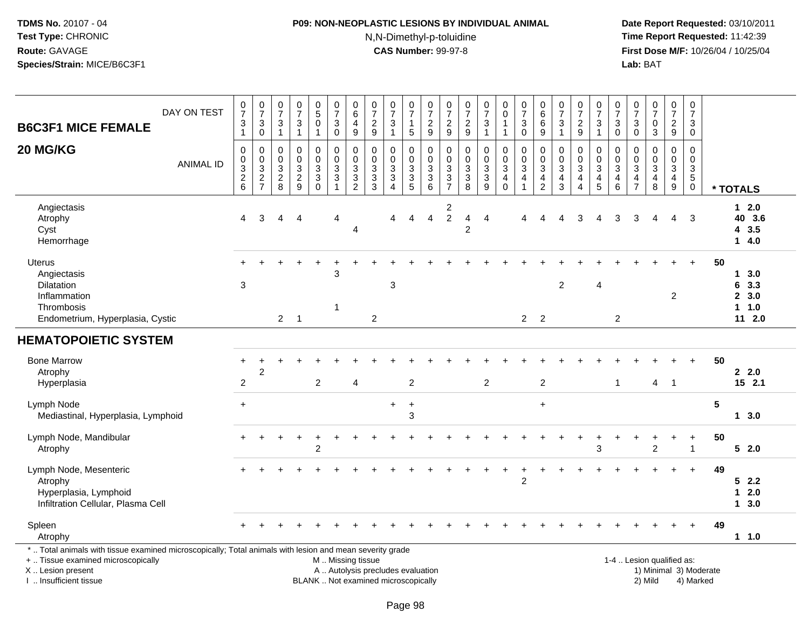# **P09: NON-NEOPLASTIC LESIONS BY INDIVIDUAL ANIMAL**N,N-Dimethyl-p-toluidine

| DAY ON TEST<br><b>B6C3F1 MICE FEMALE</b>                                                                                                                                                      | $\frac{0}{7}$<br>3<br>$\mathbf{1}$             | $\frac{0}{7}$<br>$\ensuremath{\mathsf{3}}$<br>$\mathsf 0$ | $\begin{array}{c} 0 \\ 7 \end{array}$<br>$\ensuremath{\mathsf{3}}$<br>$\overline{1}$ |                        | $\frac{0}{7}$<br>$\ensuremath{\mathsf{3}}$<br>$\mathbf{1}$ | $\begin{array}{c} 0 \\ 5 \end{array}$<br>$\pmb{0}$<br>$\mathbf{1}$ | $\begin{array}{c} 0 \\ 7 \end{array}$<br>$\sqrt{3}$<br>$\mathbf 0$           | $\begin{array}{c} 0 \\ 6 \end{array}$<br>$\overline{4}$<br>9       | $\frac{0}{7}$<br>$\sqrt{2}$<br>$\boldsymbol{9}$                                        | $\begin{array}{c} 0 \\ 7 \end{array}$<br>$\ensuremath{\mathsf{3}}$<br>$\mathbf{1}$ | $\begin{array}{c} 0 \\ 7 \end{array}$<br>$\mathbf{1}$<br>$\sqrt{5}$  | $\frac{0}{7}$<br>$\frac{2}{9}$                   | $\frac{0}{7}$<br>$\sqrt{2}$<br>9                      | $\frac{0}{7}$<br>$\overline{\mathbf{c}}$<br>9                     | $\frac{0}{7}$<br>3<br>$\mathbf{1}$            | $\pmb{0}$<br>$\pmb{0}$<br>$\mathbf{1}$<br>$\mathbf{1}$ | $\frac{0}{7}$<br>$\ensuremath{\mathsf{3}}$<br>$\mathbf 0$      | $\begin{array}{c} 0 \\ 6 \end{array}$<br>$\,6$<br>9                           | $\begin{array}{c} 0 \\ 7 \end{array}$<br>$\ensuremath{\mathsf{3}}$<br>$\mathbf{1}$ | $\frac{0}{7}$<br>$\boldsymbol{2}$<br>9                                        | $\frac{0}{7}$<br>$\ensuremath{\mathsf{3}}$<br>$\mathbf{1}$ | $\frac{0}{7}$<br>$\ensuremath{\mathsf{3}}$<br>$\mathbf 0$                           | 0<br>$\overline{7}$<br>3<br>$\mathbf 0$                   | $\begin{smallmatrix} 0\\7 \end{smallmatrix}$<br>$\pmb{0}$<br>3 | $\begin{smallmatrix}0\\7\end{smallmatrix}$<br>$\sqrt{2}$<br>9         | $\frac{0}{7}$<br>$\ensuremath{\mathsf{3}}$<br>0                         |                        |                                            |
|-----------------------------------------------------------------------------------------------------------------------------------------------------------------------------------------------|------------------------------------------------|-----------------------------------------------------------|--------------------------------------------------------------------------------------|------------------------|------------------------------------------------------------|--------------------------------------------------------------------|------------------------------------------------------------------------------|--------------------------------------------------------------------|----------------------------------------------------------------------------------------|------------------------------------------------------------------------------------|----------------------------------------------------------------------|--------------------------------------------------|-------------------------------------------------------|-------------------------------------------------------------------|-----------------------------------------------|--------------------------------------------------------|----------------------------------------------------------------|-------------------------------------------------------------------------------|------------------------------------------------------------------------------------|-------------------------------------------------------------------------------|------------------------------------------------------------|-------------------------------------------------------------------------------------|-----------------------------------------------------------|----------------------------------------------------------------|-----------------------------------------------------------------------|-------------------------------------------------------------------------|------------------------|--------------------------------------------|
| 20 MG/KG<br><b>ANIMAL ID</b>                                                                                                                                                                  | $\mathbf 0$<br>$\pmb{0}$<br>3<br>$\frac{2}{6}$ | 0<br>$_{3}^{\rm 0}$<br>$\frac{2}{7}$                      | $\mathbf 0$<br>$\pmb{0}$<br>$\sqrt{3}$<br>$\frac{2}{8}$                              |                        | $\pmb{0}$<br>$\pmb{0}$<br>$\sqrt{3}$<br>$\frac{2}{9}$      | 0<br>$\pmb{0}$<br>$\mathbf{3}$<br>$\overline{3}$<br>$\Omega$       | $\mathbf 0$<br>$\mathbf 0$<br>$\sqrt{3}$<br>$\overline{3}$<br>$\overline{1}$ | 0<br>$\pmb{0}$<br>3<br>$\ensuremath{\mathsf{3}}$<br>$\overline{2}$ | $\mathbf 0$<br>$\mathsf{O}\xspace$<br>$\mathfrak{Z}$<br>$\ensuremath{\mathsf{3}}$<br>3 | 0<br>$\mathsf{O}\xspace$<br>$\sqrt{3}$<br>$\overline{3}$<br>$\overline{4}$         | 0<br>$\mathbf 0$<br>$\ensuremath{\mathsf{3}}$<br>$\overline{3}$<br>5 | 0<br>$\pmb{0}$<br>$\sqrt{3}$<br>$\overline{3}$ 6 | $\mathbf 0$<br>$\boldsymbol{0}$<br>3<br>$\frac{3}{7}$ | $\mathbf 0$<br>$\mathbf 0$<br>3<br>$\ensuremath{\mathsf{3}}$<br>8 | 0<br>$\mathsf{O}$<br>3<br>$\overline{3}$<br>9 | 0<br>$\frac{0}{3}$<br>$\overline{4}$<br>$\mathbf 0$    | $\mathbf 0$<br>$\mathsf 0$<br>$\overline{3}$<br>$\overline{4}$ | 0<br>$\mathbf 0$<br>$\mathbf{3}$<br>$\overline{\mathbf{4}}$<br>$\overline{2}$ | $\mathbf 0$<br>$\pmb{0}$<br>$\sqrt{3}$<br>$\overline{4}$<br>3                      | 0<br>$\mathbf 0$<br>$\mathbf{3}$<br>$\overline{4}$<br>$\overline{\mathbf{4}}$ | 0<br>$\mathbf 0$<br>$\overline{3}$<br>$\frac{4}{5}$        | 0<br>$\mathbf 0$<br>$\ensuremath{\mathsf{3}}$<br>$\overline{\mathbf{4}}$<br>$\,6\,$ | 0<br>$\mathbf 0$<br>3<br>$\overline{4}$<br>$\overline{7}$ | $\mathbf 0$<br>$\pmb{0}$<br>$\sqrt{3}$<br>$\overline{4}$<br>8  | 0<br>$\mathbf 0$<br>$\mathsf 3$<br>$\overline{4}$<br>$\boldsymbol{9}$ | $\mathbf 0$<br>$\pmb{0}$<br>$\sqrt{3}$<br>$\overline{5}$<br>$\mathbf 0$ |                        | * TOTALS                                   |
| Angiectasis<br>Atrophy<br>Cyst<br>Hemorrhage                                                                                                                                                  | 4                                              | 3                                                         | Δ                                                                                    | $\boldsymbol{\Lambda}$ |                                                            |                                                                    | 4                                                                            | 4                                                                  |                                                                                        | $\boldsymbol{\Lambda}$                                                             | 4                                                                    | $\overline{4}$                                   | $\overline{\mathbf{c}}$<br>$\overline{c}$             | 4<br>$\overline{2}$                                               | $\overline{4}$                                |                                                        |                                                                |                                                                               |                                                                                    | 3                                                                             |                                                            | 3                                                                                   | 3                                                         | Δ                                                              | 4                                                                     | 3                                                                       |                        | $12.0$<br>40 3.6<br>43.5<br>14.0           |
| <b>Uterus</b><br>Angiectasis<br>Dilatation<br>Inflammation<br>Thrombosis<br>Endometrium, Hyperplasia, Cystic                                                                                  | 3                                              |                                                           | $2^{\circ}$                                                                          | $\overline{1}$         |                                                            |                                                                    | 3<br>1                                                                       |                                                                    | $\overline{2}$                                                                         | 3                                                                                  |                                                                      |                                                  |                                                       |                                                                   |                                               |                                                        |                                                                | 2 <sub>2</sub>                                                                | $\overline{c}$                                                                     |                                                                               | 4                                                          | 2                                                                                   |                                                           |                                                                | $\overline{c}$                                                        |                                                                         | 50                     | 13.0<br>6 3.3<br>2, 3.0<br>1 1.0<br>11 2.0 |
| <b>HEMATOPOIETIC SYSTEM</b>                                                                                                                                                                   |                                                |                                                           |                                                                                      |                        |                                                            |                                                                    |                                                                              |                                                                    |                                                                                        |                                                                                    |                                                                      |                                                  |                                                       |                                                                   |                                               |                                                        |                                                                |                                                                               |                                                                                    |                                                                               |                                                            |                                                                                     |                                                           |                                                                |                                                                       |                                                                         |                        |                                            |
| <b>Bone Marrow</b><br>Atrophy<br>Hyperplasia                                                                                                                                                  | $\overline{c}$                                 | 2                                                         |                                                                                      |                        |                                                            | $\overline{c}$                                                     |                                                                              | 4                                                                  |                                                                                        |                                                                                    | $\overline{c}$                                                       |                                                  |                                                       |                                                                   | $\boldsymbol{2}$                              |                                                        |                                                                | $\overline{2}$                                                                |                                                                                    |                                                                               |                                                            | $\mathbf 1$                                                                         |                                                           | 4                                                              | $\overline{1}$                                                        | $\ddot{}$                                                               | 50                     | 2.0<br>15 2.1                              |
| Lymph Node<br>Mediastinal, Hyperplasia, Lymphoid                                                                                                                                              | $+$                                            |                                                           |                                                                                      |                        |                                                            |                                                                    |                                                                              |                                                                    |                                                                                        | $\ddot{}$                                                                          | $\ddot{}$<br>3                                                       |                                                  |                                                       |                                                                   |                                               |                                                        |                                                                | $+$                                                                           |                                                                                    |                                                                               |                                                            |                                                                                     |                                                           |                                                                |                                                                       |                                                                         | 5                      | 13.0                                       |
| Lymph Node, Mandibular<br>Atrophy                                                                                                                                                             |                                                |                                                           |                                                                                      |                        |                                                            | $\overline{c}$                                                     |                                                                              |                                                                    |                                                                                        |                                                                                    |                                                                      |                                                  |                                                       |                                                                   |                                               |                                                        |                                                                |                                                                               |                                                                                    |                                                                               | 3                                                          |                                                                                     |                                                           | $\overline{2}$                                                 |                                                                       |                                                                         | 50                     | 52.0                                       |
| Lymph Node, Mesenteric<br>Atrophy<br>Hyperplasia, Lymphoid<br>Infiltration Cellular, Plasma Cell                                                                                              |                                                |                                                           |                                                                                      |                        |                                                            |                                                                    |                                                                              |                                                                    |                                                                                        |                                                                                    |                                                                      |                                                  |                                                       |                                                                   |                                               |                                                        | 2                                                              |                                                                               |                                                                                    |                                                                               |                                                            |                                                                                     |                                                           |                                                                |                                                                       |                                                                         | 49                     | 52.2<br>$1 \quad 2.0$<br>13.0              |
| Spleen<br>Atrophy                                                                                                                                                                             |                                                |                                                           |                                                                                      |                        |                                                            |                                                                    |                                                                              |                                                                    |                                                                                        |                                                                                    |                                                                      |                                                  |                                                       |                                                                   |                                               |                                                        |                                                                |                                                                               |                                                                                    |                                                                               |                                                            |                                                                                     |                                                           |                                                                |                                                                       |                                                                         | 49                     | 1 1.0                                      |
| *  Total animals with tissue examined microscopically; Total animals with lesion and mean severity grade<br>+  Tissue examined microscopically<br>X  Lesion present<br>I  Insufficient tissue |                                                |                                                           |                                                                                      |                        |                                                            |                                                                    |                                                                              | M  Missing tissue                                                  |                                                                                        | A  Autolysis precludes evaluation<br>BLANK  Not examined microscopically           |                                                                      |                                                  |                                                       |                                                                   |                                               |                                                        |                                                                |                                                                               |                                                                                    |                                                                               |                                                            |                                                                                     |                                                           | 1-4  Lesion qualified as:<br>2) Mild                           |                                                                       | 4) Marked                                                               | 1) Minimal 3) Moderate |                                            |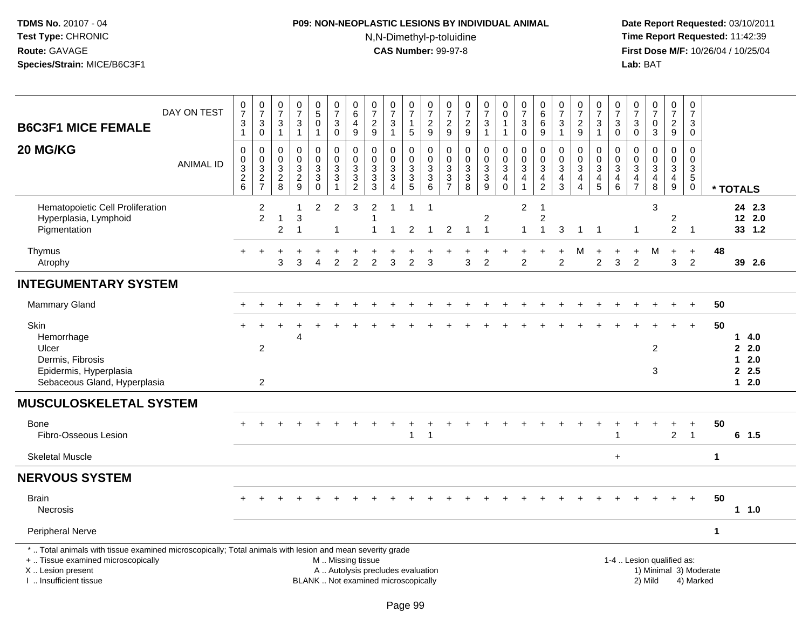# **P09: NON-NEOPLASTIC LESIONS BY INDIVIDUAL ANIMAL**N,N-Dimethyl-p-toluidine

| <b>B6C3F1 MICE FEMALE</b>                                                                                                                                                                     | DAY ON TEST      | 0<br>$\overline{7}$<br>$\frac{3}{1}$          | $\begin{array}{c} 0 \\ 7 \end{array}$<br>$\ensuremath{\mathsf{3}}$<br>$\pmb{0}$ | $\frac{0}{7}$<br>$\sqrt{3}$<br>$\mathbf{1}$                 | $\frac{0}{7}$<br>$\ensuremath{\mathsf{3}}$<br>$\mathbf{1}$ | $\begin{array}{c} 0 \\ 5 \end{array}$<br>$\overline{0}$<br>$\mathbf{1}$                   | $\pmb{0}$<br>$\overline{7}$<br>$\ensuremath{\mathsf{3}}$<br>$\mathsf{O}\xspace$     | $_6^0$<br>4<br>$\boldsymbol{9}$                              | 0<br>$\overline{7}$<br>$\overline{c}$<br>9                                              | $\frac{0}{7}$<br>$\mathbf{3}$<br>$\mathbf{1}$                                                        | $\pmb{0}$<br>$\overline{7}$<br>$\mathbf{1}$<br>$5\phantom{.0}$ | $\begin{array}{c} 0 \\ 7 \end{array}$<br>$\boldsymbol{2}$<br>$9\,$            | $\pmb{0}$<br>$\overline{7}$<br>$\overline{c}$<br>9             | $\pmb{0}$<br>$\overline{7}$<br>$\overline{c}$<br>$9\,$ | $\frac{0}{7}$<br>3<br>$\mathbf{1}$      | $\pmb{0}$<br>$\mathsf 0$<br>$\mathbf{1}$<br>$\mathbf{1}$                            | $\begin{array}{c} 0 \\ 7 \end{array}$<br>$\sqrt{3}$<br>$\pmb{0}$ | $\begin{array}{c} 0 \\ 6 \end{array}$<br>$\,6$<br>9          | $\frac{0}{7}$<br>$\sqrt{3}$<br>$\overline{1}$                                  | $\frac{0}{7}$<br>$\overline{c}$<br>$\boldsymbol{9}$                                       | 0<br>$\overline{7}$<br>3<br>$\mathbf{1}$                                      | 0<br>$\overline{7}$<br>3<br>$\mathsf{O}\xspace$                      | 0<br>$\overline{7}$<br>$\ensuremath{\mathsf{3}}$<br>$\mathsf{O}\xspace$  | $\begin{array}{c} 0 \\ 7 \end{array}$<br>$\pmb{0}$<br>$\overline{3}$ | $\mathbf 0$<br>$\overline{7}$<br>$\overline{2}$<br>9      | $\pmb{0}$<br>$\overline{7}$<br>3<br>$\mathbf 0$                        |             |                                                     |                            |
|-----------------------------------------------------------------------------------------------------------------------------------------------------------------------------------------------|------------------|-----------------------------------------------|---------------------------------------------------------------------------------|-------------------------------------------------------------|------------------------------------------------------------|-------------------------------------------------------------------------------------------|-------------------------------------------------------------------------------------|--------------------------------------------------------------|-----------------------------------------------------------------------------------------|------------------------------------------------------------------------------------------------------|----------------------------------------------------------------|-------------------------------------------------------------------------------|----------------------------------------------------------------|--------------------------------------------------------|-----------------------------------------|-------------------------------------------------------------------------------------|------------------------------------------------------------------|--------------------------------------------------------------|--------------------------------------------------------------------------------|-------------------------------------------------------------------------------------------|-------------------------------------------------------------------------------|----------------------------------------------------------------------|--------------------------------------------------------------------------|----------------------------------------------------------------------|-----------------------------------------------------------|------------------------------------------------------------------------|-------------|-----------------------------------------------------|----------------------------|
| 20 MG/KG                                                                                                                                                                                      | <b>ANIMAL ID</b> | $\mathbf 0$<br>$\frac{0}{3}$<br>$\frac{2}{6}$ | 0<br>$\frac{0}{2}$<br>$\frac{3}{7}$                                             | $\mathbf 0$<br>$\pmb{0}$<br>$\overline{3}$<br>$\frac{2}{8}$ | 0<br>$\mathbf 0$<br>3<br>$\sqrt{2}$<br>9                   | 0<br>$\mathbf 0$<br>$\ensuremath{\mathsf{3}}$<br>$\ensuremath{\mathsf{3}}$<br>$\mathbf 0$ | $\pmb{0}$<br>$\pmb{0}$<br>$\mathbf{3}$<br>$\ensuremath{\mathsf{3}}$<br>$\mathbf{1}$ | $\mathsf{O}\xspace$<br>$\pmb{0}$<br>3<br>3<br>$\overline{2}$ | $\mathbf 0$<br>$\pmb{0}$<br>$\mathbf{3}$<br>$\ensuremath{\mathsf{3}}$<br>$\mathfrak{S}$ | 0<br>$\mathsf{O}\xspace$<br>$\ensuremath{\mathsf{3}}$<br>$\ensuremath{\mathsf{3}}$<br>$\overline{4}$ | 0<br>$\mathbf 0$<br>$\ensuremath{\mathsf{3}}$<br>$\frac{3}{5}$ | 0<br>$\mathbf 0$<br>$\sqrt{3}$<br>$\ensuremath{\mathsf{3}}$<br>$6\phantom{1}$ | 0<br>$\mathbf 0$<br>$\ensuremath{\mathsf{3}}$<br>$\frac{3}{7}$ | $\pmb{0}$<br>$\mathbf 0$<br>3<br>3<br>8                | 0<br>$\mathsf{O}$<br>3<br>$\frac{3}{9}$ | $\pmb{0}$<br>$\mathbf 0$<br>$\overline{3}$<br>$\overline{4}$<br>$\mathsf{O}\xspace$ | $\mathbf 0$<br>$\pmb{0}$<br>$\ensuremath{\mathsf{3}}$<br>4       | 0<br>$\pmb{0}$<br>$\ensuremath{\mathsf{3}}$<br>$\frac{4}{2}$ | $\mathbf 0$<br>$\mathbf 0$<br>$\ensuremath{\mathsf{3}}$<br>$\overline{4}$<br>3 | 0<br>$\mathsf{O}\xspace$<br>$\ensuremath{\mathsf{3}}$<br>$\overline{4}$<br>$\overline{4}$ | 0<br>$\mathsf 0$<br>$\ensuremath{\mathsf{3}}$<br>$\overline{\mathbf{4}}$<br>5 | $\mathbf 0$<br>0<br>$\ensuremath{\mathsf{3}}$<br>$\overline{4}$<br>6 | $\mathbf 0$<br>$\mathbf 0$<br>$\ensuremath{\mathsf{3}}$<br>$\frac{4}{7}$ | $\pmb{0}$<br>$\pmb{0}$<br>$\overline{3}$<br>$\frac{4}{8}$            | 0<br>$\mathbf 0$<br>$\overline{3}$<br>$\overline{4}$<br>9 | $\Omega$<br>$\mathbf 0$<br>$\sqrt{3}$<br>$\overline{5}$<br>$\mathbf 0$ |             | * TOTALS                                            |                            |
| Hematopoietic Cell Proliferation<br>Hyperplasia, Lymphoid<br>Pigmentation                                                                                                                     |                  |                                               | $\sqrt{2}$<br>$\overline{2}$                                                    | -1<br>$\overline{c}$                                        | 1<br>$\ensuremath{\mathsf{3}}$<br>$\overline{\mathbf{1}}$  | $\overline{a}$                                                                            | $\overline{c}$<br>1                                                                 | 3                                                            | $\overline{c}$<br>1                                                                     | -1<br>1                                                                                              | $\mathbf{1}$<br>$\overline{c}$                                 | $\overline{1}$<br>$\overline{1}$                                              | $\overline{c}$                                                 | 1                                                      | $\overline{2}$<br>$\mathbf{1}$          |                                                                                     | $\overline{c}$<br>$\mathbf{1}$                                   | $\overline{1}$<br>$\overline{c}$<br>1                        | 3                                                                              | $\overline{1}$                                                                            | $\overline{1}$                                                                |                                                                      | $\mathbf 1$                                                              | 3                                                                    | $\overline{\mathbf{c}}$<br>$\overline{a}$                 | $\overline{\mathbf{1}}$                                                |             |                                                     | 24 2.3<br>12 2.0<br>33 1.2 |
| Thymus<br>Atrophy                                                                                                                                                                             |                  | $+$                                           | $\overline{1}$                                                                  | 3                                                           | 3                                                          | 4                                                                                         | $\overline{c}$                                                                      | $\overline{c}$                                               | 2                                                                                       | 3                                                                                                    | $\overline{c}$                                                 | 3                                                                             |                                                                | 3                                                      | $\overline{c}$                          |                                                                                     | $\overline{c}$                                                   |                                                              | $\overline{c}$                                                                 | M                                                                                         | $\ddot{}$<br>$\overline{c}$                                                   | 3                                                                    | $\ddot{}$<br>$\overline{2}$                                              | M                                                                    | $\ddot{}$<br>3                                            | $+$<br>$\overline{2}$                                                  | 48          |                                                     | 39 2.6                     |
| <b>INTEGUMENTARY SYSTEM</b>                                                                                                                                                                   |                  |                                               |                                                                                 |                                                             |                                                            |                                                                                           |                                                                                     |                                                              |                                                                                         |                                                                                                      |                                                                |                                                                               |                                                                |                                                        |                                         |                                                                                     |                                                                  |                                                              |                                                                                |                                                                                           |                                                                               |                                                                      |                                                                          |                                                                      |                                                           |                                                                        |             |                                                     |                            |
| Mammary Gland                                                                                                                                                                                 |                  |                                               |                                                                                 |                                                             |                                                            |                                                                                           |                                                                                     |                                                              |                                                                                         |                                                                                                      |                                                                |                                                                               |                                                                |                                                        |                                         |                                                                                     |                                                                  |                                                              |                                                                                |                                                                                           |                                                                               |                                                                      |                                                                          |                                                                      |                                                           |                                                                        | 50          |                                                     |                            |
| Skin<br>Hemorrhage<br>Ulcer<br>Dermis, Fibrosis<br>Epidermis, Hyperplasia<br>Sebaceous Gland, Hyperplasia                                                                                     |                  |                                               | 2<br>$\overline{2}$                                                             |                                                             | Δ                                                          |                                                                                           |                                                                                     |                                                              |                                                                                         |                                                                                                      |                                                                |                                                                               |                                                                |                                                        |                                         |                                                                                     |                                                                  |                                                              |                                                                                |                                                                                           |                                                                               |                                                                      |                                                                          | $\overline{2}$<br>3                                                  |                                                           | $\ddot{}$                                                              | 50          | $\mathbf 1$<br>2.0<br>$\mathbf 1$<br>2.5<br>$1 2.0$ | 4.0<br>2.0                 |
| <b>MUSCULOSKELETAL SYSTEM</b>                                                                                                                                                                 |                  |                                               |                                                                                 |                                                             |                                                            |                                                                                           |                                                                                     |                                                              |                                                                                         |                                                                                                      |                                                                |                                                                               |                                                                |                                                        |                                         |                                                                                     |                                                                  |                                                              |                                                                                |                                                                                           |                                                                               |                                                                      |                                                                          |                                                                      |                                                           |                                                                        |             |                                                     |                            |
| Bone<br>Fibro-Osseous Lesion                                                                                                                                                                  |                  |                                               |                                                                                 |                                                             |                                                            |                                                                                           |                                                                                     |                                                              |                                                                                         |                                                                                                      | $\mathbf{1}$                                                   | $\overline{1}$                                                                |                                                                |                                                        |                                         |                                                                                     |                                                                  |                                                              |                                                                                |                                                                                           |                                                                               | 1                                                                    |                                                                          |                                                                      | $\overline{2}$                                            | $\overline{1}$                                                         | 50          | $6$ 1.5                                             |                            |
| <b>Skeletal Muscle</b>                                                                                                                                                                        |                  |                                               |                                                                                 |                                                             |                                                            |                                                                                           |                                                                                     |                                                              |                                                                                         |                                                                                                      |                                                                |                                                                               |                                                                |                                                        |                                         |                                                                                     |                                                                  |                                                              |                                                                                |                                                                                           |                                                                               | $+$                                                                  |                                                                          |                                                                      |                                                           |                                                                        | $\mathbf 1$ |                                                     |                            |
| <b>NERVOUS SYSTEM</b>                                                                                                                                                                         |                  |                                               |                                                                                 |                                                             |                                                            |                                                                                           |                                                                                     |                                                              |                                                                                         |                                                                                                      |                                                                |                                                                               |                                                                |                                                        |                                         |                                                                                     |                                                                  |                                                              |                                                                                |                                                                                           |                                                                               |                                                                      |                                                                          |                                                                      |                                                           |                                                                        |             |                                                     |                            |
| <b>Brain</b><br><b>Necrosis</b>                                                                                                                                                               |                  |                                               |                                                                                 |                                                             |                                                            |                                                                                           |                                                                                     |                                                              |                                                                                         |                                                                                                      |                                                                |                                                                               |                                                                |                                                        |                                         |                                                                                     |                                                                  |                                                              |                                                                                |                                                                                           |                                                                               |                                                                      |                                                                          |                                                                      |                                                           |                                                                        | 50          | 1 1.0                                               |                            |
| Peripheral Nerve                                                                                                                                                                              |                  |                                               |                                                                                 |                                                             |                                                            |                                                                                           |                                                                                     |                                                              |                                                                                         |                                                                                                      |                                                                |                                                                               |                                                                |                                                        |                                         |                                                                                     |                                                                  |                                                              |                                                                                |                                                                                           |                                                                               |                                                                      |                                                                          |                                                                      |                                                           |                                                                        | $\mathbf 1$ |                                                     |                            |
| *  Total animals with tissue examined microscopically; Total animals with lesion and mean severity grade<br>+  Tissue examined microscopically<br>X  Lesion present<br>I  Insufficient tissue |                  |                                               |                                                                                 |                                                             |                                                            |                                                                                           |                                                                                     |                                                              | M  Missing tissue                                                                       | A  Autolysis precludes evaluation<br>BLANK  Not examined microscopically                             |                                                                |                                                                               |                                                                |                                                        |                                         |                                                                                     |                                                                  |                                                              |                                                                                |                                                                                           |                                                                               |                                                                      |                                                                          | 1-4  Lesion qualified as:<br>1) Minimal 3) Moderate<br>2) Mild       |                                                           | 4) Marked                                                              |             |                                                     |                            |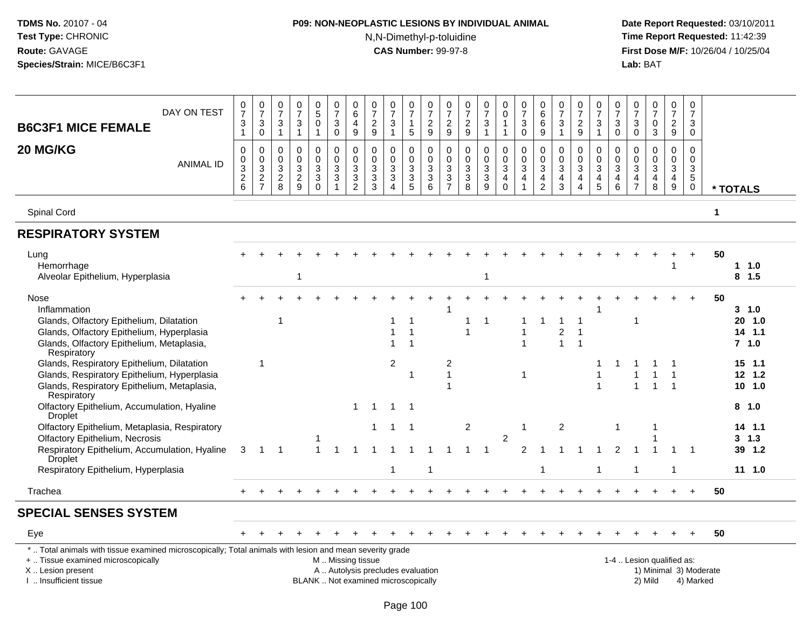# **P09: NON-NEOPLASTIC LESIONS BY INDIVIDUAL ANIMAL**

N,N-Dimethyl-p-toluidine

| DAY ON TEST<br><b>B6C3F1 MICE FEMALE</b>                                                                                                                                                      | $\frac{0}{7}$<br>3<br>$\mathbf{1}$           | $\frac{0}{7}$<br>3<br>$\mathsf{O}\xspace$                                    | $\frac{0}{7}$<br>$\sqrt{3}$<br>$\mathbf{1}$             | $\frac{0}{7}$<br>$\ensuremath{\mathsf{3}}$<br>$\mathbf{1}$               | $\begin{matrix} 0 \\ 5 \end{matrix}$<br>$\mathsf{O}\xspace$<br>$\overline{1}$ | $\frac{0}{7}$<br>$\sqrt{3}$<br>0                                 | 0<br>$6\phantom{a}$<br>$\overline{4}$<br>$\boldsymbol{9}$ | $\frac{0}{7}$<br>$\sqrt{2}$<br>$9\,$                                       | $\frac{0}{7}$<br>3<br>$\mathbf{1}$                                              | $\frac{0}{7}$<br>$\mathbf{1}$<br>$\overline{5}$   | $\frac{0}{7}$<br>$\frac{2}{9}$                                   | $\frac{0}{7}$<br>$\frac{2}{9}$                                                                | $\frac{0}{7}$<br>$\frac{2}{9}$                                | $\frac{0}{7}$<br>$\mathbf{3}$<br>$\mathbf{1}$                                | $\begin{smallmatrix} 0\\0 \end{smallmatrix}$<br>$\mathbf{1}$<br>$\overline{1}$   | $\frac{0}{7}$<br>$\ensuremath{\mathsf{3}}$<br>$\mathbf 0$         | $\begin{array}{c} 0 \\ 6 \end{array}$<br>$\,6\,$<br>$\boldsymbol{9}$                    | $\frac{0}{7}$<br>3<br>$\mathbf{1}$                      | $\frac{0}{7}$<br>$\frac{2}{9}$                                 | $\frac{0}{7}$<br>3<br>$\mathbf{1}$                    | $\frac{0}{7}$<br>$\mathbf{3}$<br>$\mathbf 0$                           | $\frac{0}{7}$<br>$\mathsf 3$<br>$\mathbf 0$                                   | $\frac{0}{7}$<br>$\mathbf 0$<br>3          | $\frac{0}{7}$<br>$\frac{2}{9}$                                                            | $\frac{0}{7}$<br>3<br>0                                                 |                        |                     |                                                |
|-----------------------------------------------------------------------------------------------------------------------------------------------------------------------------------------------|----------------------------------------------|------------------------------------------------------------------------------|---------------------------------------------------------|--------------------------------------------------------------------------|-------------------------------------------------------------------------------|------------------------------------------------------------------|-----------------------------------------------------------|----------------------------------------------------------------------------|---------------------------------------------------------------------------------|---------------------------------------------------|------------------------------------------------------------------|-----------------------------------------------------------------------------------------------|---------------------------------------------------------------|------------------------------------------------------------------------------|----------------------------------------------------------------------------------|-------------------------------------------------------------------|-----------------------------------------------------------------------------------------|---------------------------------------------------------|----------------------------------------------------------------|-------------------------------------------------------|------------------------------------------------------------------------|-------------------------------------------------------------------------------|--------------------------------------------|-------------------------------------------------------------------------------------------|-------------------------------------------------------------------------|------------------------|---------------------|------------------------------------------------|
| 20 MG/KG<br><b>ANIMAL ID</b>                                                                                                                                                                  | $\pmb{0}$<br>$\pmb{0}$<br>3<br>$\frac{2}{6}$ | 0<br>$\mathsf{O}\xspace$<br>$\mathbf{3}$<br>$\overline{2}$<br>$\overline{7}$ | $\pmb{0}$<br>$\pmb{0}$<br>$\sqrt{3}$<br>$\sqrt{2}$<br>8 | $\pmb{0}$<br>$\pmb{0}$<br>$\sqrt{3}$<br>$\overline{2}$<br>$\overline{9}$ | $\mathbf 0$<br>$\mathbf 0$<br>$\mathbf{3}$<br>$\overline{3}$<br>$\mathbf 0$   | 0<br>$\mathbf 0$<br>$\sqrt{3}$<br>$\mathbf{3}$<br>$\overline{1}$ | 0<br>$\mathbf 0$<br>3<br>$\sqrt{3}$<br>$\overline{2}$     | $\mathbf 0$<br>$\mathbf 0$<br>$\sqrt{3}$<br>$\ensuremath{\mathsf{3}}$<br>3 | 0<br>$\mathbf 0$<br>$\ensuremath{\mathsf{3}}$<br>$\mathbf{3}$<br>$\overline{4}$ | $\pmb{0}$<br>$\frac{0}{3}$<br>$\overline{3}$<br>5 | 0<br>$\mathbf 0$<br>$\ensuremath{\mathsf{3}}$<br>$\sqrt{3}$<br>6 | $\pmb{0}$<br>$\mathsf{O}\xspace$<br>$\sqrt{3}$<br>$\ensuremath{\mathsf{3}}$<br>$\overline{7}$ | $\mathbf 0$<br>$\pmb{0}$<br>$\sqrt{3}$<br>$\overline{3}$<br>8 | $\mathbf 0$<br>$\mathbf 0$<br>$\mathbf{3}$<br>$\ensuremath{\mathsf{3}}$<br>9 | $\pmb{0}$<br>$\pmb{0}$<br>$\mathbf{3}$<br>$\overline{\mathbf{4}}$<br>$\mathbf 0$ | $\mathbf 0$<br>$\mathbf 0$<br>3<br>$\overline{4}$<br>$\mathbf{1}$ | $\pmb{0}$<br>$\pmb{0}$<br>$\ensuremath{\mathsf{3}}$<br>$\overline{4}$<br>$\overline{2}$ | 0<br>$\mathbf 0$<br>$\mathbf{3}$<br>$\overline{4}$<br>3 | $\pmb{0}$<br>$\frac{0}{3}$<br>$\overline{4}$<br>$\overline{4}$ | 0<br>$\mathsf{O}\xspace$<br>3<br>4<br>$5\phantom{.0}$ | $\pmb{0}$<br>0<br>$\ensuremath{\mathsf{3}}$<br>$\overline{4}$<br>$\,6$ | $\mathbf 0$<br>$\mathbf 0$<br>$\mathsf 3$<br>$\overline{4}$<br>$\overline{7}$ | 0<br>$\mathbf 0$<br>$\mathbf{3}$<br>4<br>8 | $\pmb{0}$<br>$\pmb{0}$<br>$\ensuremath{\mathsf{3}}$<br>$\overline{4}$<br>$\boldsymbol{9}$ | $\mathbf 0$<br>$\mathbf 0$<br>$\mathbf{3}$<br>$\sqrt{5}$<br>$\mathbf 0$ |                        | * TOTALS            |                                                |
| Spinal Cord                                                                                                                                                                                   |                                              |                                                                              |                                                         |                                                                          |                                                                               |                                                                  |                                                           |                                                                            |                                                                                 |                                                   |                                                                  |                                                                                               |                                                               |                                                                              |                                                                                  |                                                                   |                                                                                         |                                                         |                                                                |                                                       |                                                                        |                                                                               |                                            |                                                                                           |                                                                         | $\mathbf{1}$           |                     |                                                |
| <b>RESPIRATORY SYSTEM</b>                                                                                                                                                                     |                                              |                                                                              |                                                         |                                                                          |                                                                               |                                                                  |                                                           |                                                                            |                                                                                 |                                                   |                                                                  |                                                                                               |                                                               |                                                                              |                                                                                  |                                                                   |                                                                                         |                                                         |                                                                |                                                       |                                                                        |                                                                               |                                            |                                                                                           |                                                                         |                        |                     |                                                |
| Lung<br>Hemorrhage<br>Alveolar Epithelium, Hyperplasia                                                                                                                                        |                                              |                                                                              |                                                         |                                                                          |                                                                               |                                                                  |                                                           |                                                                            |                                                                                 |                                                   |                                                                  |                                                                                               |                                                               |                                                                              |                                                                                  |                                                                   |                                                                                         |                                                         |                                                                |                                                       |                                                                        |                                                                               |                                            | 1                                                                                         |                                                                         | 50                     | 11.0<br>8 1.5       |                                                |
| Nose<br>Inflammation<br>Glands, Olfactory Epithelium, Dilatation<br>Glands, Olfactory Epithelium, Hyperplasia<br>Glands, Olfactory Epithelium, Metaplasia,<br>Respiratory                     |                                              |                                                                              | -1                                                      |                                                                          |                                                                               |                                                                  |                                                           |                                                                            |                                                                                 | 1                                                 |                                                                  |                                                                                               | 1<br>1                                                        |                                                                              |                                                                                  | 1<br>$\overline{ }$                                               |                                                                                         | $\overline{c}$<br>$\overline{1}$                        | $\overline{1}$<br>-1                                           | -1                                                    |                                                                        |                                                                               |                                            |                                                                                           |                                                                         | 50                     | $3 - 1.0$<br>7, 1.0 | 20 1.0<br>$14$ 1.1                             |
| Glands, Respiratory Epithelium, Dilatation<br>Glands, Respiratory Epithelium, Hyperplasia<br>Glands, Respiratory Epithelium, Metaplasia,<br>Respiratory                                       |                                              | $\mathbf 1$                                                                  |                                                         |                                                                          |                                                                               |                                                                  |                                                           |                                                                            | $\overline{2}$                                                                  | -1                                                |                                                                  | 2<br>$\mathbf{1}$                                                                             |                                                               |                                                                              |                                                                                  | $\mathbf{1}$                                                      |                                                                                         |                                                         |                                                                | -1<br>$\overline{1}$                                  |                                                                        |                                                                               |                                            | $\overline{1}$                                                                            |                                                                         |                        |                     | $15 \quad 1.1$<br>$12 \quad 1.2$<br>$10$ $1.0$ |
| Olfactory Epithelium, Accumulation, Hyaline<br>Droplet                                                                                                                                        |                                              |                                                                              |                                                         |                                                                          |                                                                               |                                                                  | $\mathbf 1$                                               | -1                                                                         | -1                                                                              | -1                                                |                                                                  |                                                                                               |                                                               |                                                                              |                                                                                  |                                                                   |                                                                                         |                                                         |                                                                |                                                       |                                                                        |                                                                               |                                            |                                                                                           |                                                                         |                        | $8 \t1.0$           |                                                |
| Olfactory Epithelium, Metaplasia, Respiratory<br><b>Olfactory Epithelium, Necrosis</b><br>Respiratory Epithelium, Accumulation, Hyaline<br><b>Droplet</b>                                     | 3                                            | $\mathbf{1}$                                                                 | $\overline{1}$                                          |                                                                          | $\mathbf{1}$                                                                  | $\overline{1}$                                                   |                                                           | 1                                                                          | $\mathbf{1}$<br>1                                                               | $\overline{1}$                                    |                                                                  |                                                                                               | $\boldsymbol{2}$<br>$\mathbf{1}$                              | $\overline{1}$                                                               | 2                                                                                | $\mathbf{1}$<br>2                                                 | -1                                                                                      | $\overline{c}$                                          |                                                                |                                                       | $\mathbf{1}$<br>$\overline{2}$                                         |                                                                               |                                            | -1                                                                                        |                                                                         |                        | $3 \t1.3$           | $14$ 1.1<br>39 1.2                             |
| Respiratory Epithelium, Hyperplasia                                                                                                                                                           |                                              |                                                                              |                                                         |                                                                          |                                                                               |                                                                  |                                                           |                                                                            | 1                                                                               |                                                   | -1                                                               |                                                                                               |                                                               |                                                                              |                                                                                  |                                                                   | 1                                                                                       |                                                         |                                                                | $\mathbf 1$                                           |                                                                        | $\overline{1}$                                                                |                                            | $\overline{1}$                                                                            |                                                                         |                        |                     | $11 \quad 1.0$                                 |
| Trachea                                                                                                                                                                                       |                                              |                                                                              |                                                         |                                                                          |                                                                               |                                                                  |                                                           |                                                                            |                                                                                 |                                                   |                                                                  |                                                                                               |                                                               |                                                                              |                                                                                  |                                                                   |                                                                                         |                                                         |                                                                |                                                       |                                                                        |                                                                               |                                            |                                                                                           | $+$                                                                     | 50                     |                     |                                                |
| <b>SPECIAL SENSES SYSTEM</b>                                                                                                                                                                  |                                              |                                                                              |                                                         |                                                                          |                                                                               |                                                                  |                                                           |                                                                            |                                                                                 |                                                   |                                                                  |                                                                                               |                                                               |                                                                              |                                                                                  |                                                                   |                                                                                         |                                                         |                                                                |                                                       |                                                                        |                                                                               |                                            |                                                                                           |                                                                         |                        |                     |                                                |
| Eye                                                                                                                                                                                           |                                              |                                                                              |                                                         |                                                                          |                                                                               |                                                                  |                                                           |                                                                            |                                                                                 |                                                   |                                                                  |                                                                                               |                                                               |                                                                              |                                                                                  |                                                                   |                                                                                         |                                                         |                                                                |                                                       |                                                                        |                                                                               |                                            |                                                                                           |                                                                         | 50                     |                     |                                                |
| *  Total animals with tissue examined microscopically; Total animals with lesion and mean severity grade<br>+  Tissue examined microscopically<br>X  Lesion present<br>I. Insufficient tissue |                                              |                                                                              |                                                         |                                                                          | BLANK  Not examined microscopically                                           | M  Missing tissue                                                |                                                           | A  Autolysis precludes evaluation                                          |                                                                                 |                                                   |                                                                  |                                                                                               |                                                               |                                                                              |                                                                                  |                                                                   |                                                                                         |                                                         |                                                                |                                                       |                                                                        |                                                                               | 1-4  Lesion qualified as:<br>2) Mild       |                                                                                           | 4) Marked                                                               | 1) Minimal 3) Moderate |                     |                                                |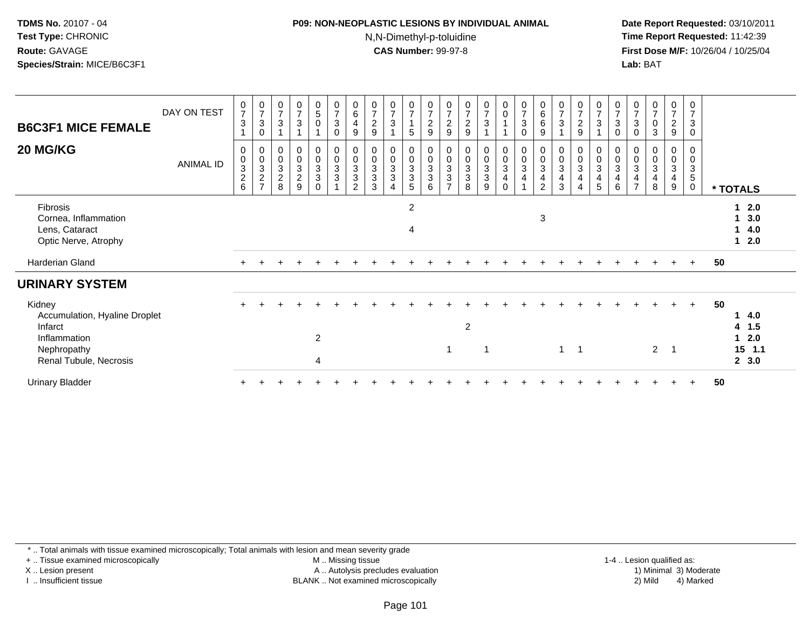#### **P09: NON-NEOPLASTIC LESIONS BY INDIVIDUAL ANIMAL**N,N-Dimethyl-p-toluidine

 **Date Report Requested:** 03/10/2011 **Time Report Requested:** 11:42:39 **First Dose M/F:** 10/26/04 / 10/25/04 Lab: BAT **Lab:** BAT

| <b>B6C3F1 MICE FEMALE</b>                                                                                   | DAY ON TEST      | $\mathbf 0$<br>$\overline{7}$<br>3                                        | $\frac{0}{7}$<br>$\ensuremath{\mathsf{3}}$<br>0               | 0<br>$\overline{7}$<br>$\ensuremath{\mathsf{3}}$                                | $\frac{0}{7}$<br>$\mathsf 3$                                     | $\begin{array}{c} 0 \\ 5 \end{array}$<br>0                                | $\frac{0}{7}$<br>$\mathbf{3}$<br>$\mathbf 0$                                  | 0<br>$\,6$<br>$\overline{\mathbf{4}}$<br>9                         | $\overline{7}$<br>$\boldsymbol{2}$<br>9                                     | $\frac{0}{7}$<br>3                                             | $\frac{0}{7}$<br>$\sqrt{5}$                           | 0<br>$\overline{7}$<br>$\overline{c}$<br>9 | 0<br>$\overline{7}$<br>$\overline{c}$<br>9                                                 | 0<br>$\frac{7}{2}$<br>9                                                         | $\frac{0}{7}$<br>$\mathbf{3}$                                        | $_0^0$                                 | $\begin{array}{c} 0 \\ 7 \\ 3 \end{array}$<br>$\mathbf 0$   | $\begin{array}{c} 0 \\ 6 \end{array}$<br>$\,6\,$<br>9   | 0<br>$\overline{7}$<br>$\sqrt{3}$                                                      | 0<br>$\overline{7}$<br>$\overline{c}$<br>9 | $\begin{array}{c} 0 \\ 7 \\ 3 \end{array}$<br>$\overline{A}$                                 | $\frac{0}{7}$<br>$\sqrt{3}$<br>$\mathbf 0$                   | $\frac{0}{7}$<br>$\mathbf{3}$<br>0                    | 0<br>$\overline{7}$<br>$\mathbf 0$<br>3 | $\mathbf 0$<br>$\overline{7}$<br>$\overline{a}$<br>9 | 0<br>$\overline{7}$<br>$\ensuremath{\mathsf{3}}$<br>$\mathbf 0$ |    |                                            |  |
|-------------------------------------------------------------------------------------------------------------|------------------|---------------------------------------------------------------------------|---------------------------------------------------------------|---------------------------------------------------------------------------------|------------------------------------------------------------------|---------------------------------------------------------------------------|-------------------------------------------------------------------------------|--------------------------------------------------------------------|-----------------------------------------------------------------------------|----------------------------------------------------------------|-------------------------------------------------------|--------------------------------------------|--------------------------------------------------------------------------------------------|---------------------------------------------------------------------------------|----------------------------------------------------------------------|----------------------------------------|-------------------------------------------------------------|---------------------------------------------------------|----------------------------------------------------------------------------------------|--------------------------------------------|----------------------------------------------------------------------------------------------|--------------------------------------------------------------|-------------------------------------------------------|-----------------------------------------|------------------------------------------------------|-----------------------------------------------------------------|----|--------------------------------------------|--|
| 20 MG/KG                                                                                                    | <b>ANIMAL ID</b> | $\overline{0}$<br>$\pmb{0}$<br>$\ensuremath{\mathsf{3}}$<br>$\frac{2}{6}$ | $\begin{smallmatrix} 0\\0 \end{smallmatrix}$<br>$\frac{3}{2}$ | $\begin{smallmatrix} 0\\0\\3 \end{smallmatrix}$<br>$^{\mathsf{2}}_{\mathsf{8}}$ | $\begin{smallmatrix} 0\\0\\3 \end{smallmatrix}$<br>$\frac{2}{9}$ | $\begin{smallmatrix} 0\\0\\3 \end{smallmatrix}$<br>$\sqrt{3}$<br>$\Omega$ | $\begin{smallmatrix}0\\0\\3\end{smallmatrix}$<br>$\sqrt{3}$<br>$\overline{A}$ | 0<br>$\pmb{0}$<br>3<br>$\ensuremath{\mathsf{3}}$<br>$\overline{2}$ | $\begin{smallmatrix}0\\0\end{smallmatrix}$<br>$\sqrt{3}$<br>$\sqrt{3}$<br>3 | 0<br>$\pmb{0}$<br>$\ensuremath{\mathsf{3}}$<br>$\sqrt{3}$<br>4 | $_{\rm 0}^{\rm 0}$<br>$\mathsf 3$<br>$\mathsf 3$<br>5 | 0<br>$_{3}^{\rm 0}$<br>$\sqrt{3}$<br>6     | 0<br>$\pmb{0}$<br>$\ensuremath{\mathsf{3}}$<br>$\ensuremath{\mathsf{3}}$<br>$\overline{ }$ | $\begin{smallmatrix}0\\0\\3\end{smallmatrix}$<br>$\ensuremath{\mathsf{3}}$<br>8 | $\begin{smallmatrix} 0\\0\\3 \end{smallmatrix}$<br>$\mathbf{3}$<br>9 | $_0^0$<br>3<br>$\overline{\mathbf{4}}$ | $\begin{matrix} 0 \\ 0 \\ 3 \end{matrix}$<br>$\overline{4}$ | $_{\rm 0}^{\rm 0}$<br>$\sqrt{3}$<br>4<br>$\overline{2}$ | $\boldsymbol{0}$<br>$\overline{0}$<br>$\ensuremath{\mathsf{3}}$<br>$\overline{4}$<br>3 | 0<br>$\pmb{0}$<br>$\mathbf{3}$<br>4        | $\begin{smallmatrix} 0\\0\\3 \end{smallmatrix}$<br>$\overline{\mathbf{4}}$<br>$\overline{5}$ | 0<br>$\pmb{0}$<br>$\sqrt{3}$<br>$\overline{\mathbf{4}}$<br>6 | 0<br>$\mathbf 0$<br>$\sqrt{3}$<br>4<br>$\overline{z}$ | 0<br>$\mathbf 0$<br>3<br>4<br>8         | 0<br>$\pmb{0}$<br>3<br>$\overline{\mathbf{4}}$<br>9  | 0<br>$\mathbf 0$<br>$\sqrt{3}$<br>5<br>$\mathbf 0$              |    | * TOTALS                                   |  |
| Fibrosis<br>Cornea, Inflammation<br>Lens, Cataract<br>Optic Nerve, Atrophy                                  |                  |                                                                           |                                                               |                                                                                 |                                                                  |                                                                           |                                                                               |                                                                    |                                                                             |                                                                | 2<br>4                                                |                                            |                                                                                            |                                                                                 |                                                                      |                                        |                                                             | $\mathbf{3}$                                            |                                                                                        |                                            |                                                                                              |                                                              |                                                       |                                         |                                                      |                                                                 |    | $1 2.0$<br>3.0<br>4.0<br>1<br>$12.0$       |  |
| Harderian Gland                                                                                             |                  |                                                                           |                                                               |                                                                                 |                                                                  |                                                                           |                                                                               |                                                                    |                                                                             |                                                                |                                                       |                                            |                                                                                            |                                                                                 |                                                                      |                                        |                                                             |                                                         |                                                                                        |                                            |                                                                                              |                                                              |                                                       |                                         |                                                      | $+$                                                             | 50 |                                            |  |
| <b>URINARY SYSTEM</b>                                                                                       |                  |                                                                           |                                                               |                                                                                 |                                                                  |                                                                           |                                                                               |                                                                    |                                                                             |                                                                |                                                       |                                            |                                                                                            |                                                                                 |                                                                      |                                        |                                                             |                                                         |                                                                                        |                                            |                                                                                              |                                                              |                                                       |                                         |                                                      |                                                                 |    |                                            |  |
| Kidney<br>Accumulation, Hyaline Droplet<br>Infarct<br>Inflammation<br>Nephropathy<br>Renal Tubule, Necrosis |                  |                                                                           |                                                               |                                                                                 |                                                                  | $\overline{c}$<br>4                                                       |                                                                               |                                                                    |                                                                             |                                                                |                                                       |                                            | 1                                                                                          | $\overline{2}$                                                                  | $\mathbf 1$                                                          |                                        |                                                             |                                                         | $\mathbf{1}$                                                                           | $\overline{\phantom{0}}$                   |                                                                                              |                                                              |                                                       | $\overline{2}$                          | $\overline{\mathbf{1}}$                              | $+$                                                             | 50 | 4.0<br>4 1.5<br>12.0<br>$15$ 1.1<br>2, 3.0 |  |
| <b>Urinary Bladder</b>                                                                                      |                  |                                                                           |                                                               |                                                                                 |                                                                  |                                                                           |                                                                               |                                                                    |                                                                             |                                                                |                                                       |                                            |                                                                                            |                                                                                 |                                                                      |                                        |                                                             |                                                         |                                                                                        |                                            |                                                                                              |                                                              |                                                       |                                         |                                                      |                                                                 | 50 |                                            |  |

\* .. Total animals with tissue examined microscopically; Total animals with lesion and mean severity grade

+ .. Tissue examined microscopically

X .. Lesion present

I .. Insufficient tissue

 M .. Missing tissueA .. Autolysis precludes evaluation

BLANK .. Not examined microscopically 2) Mild 4) Marked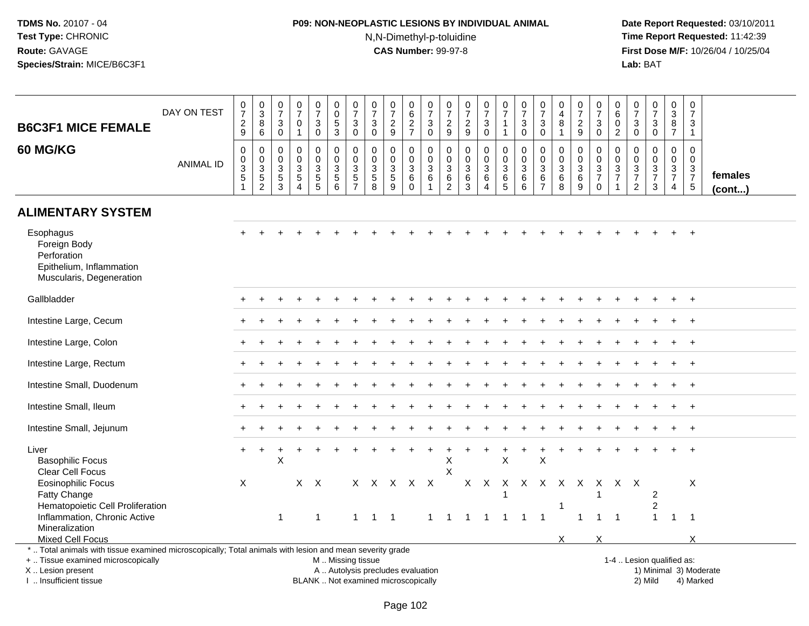# **P09: NON-NEOPLASTIC LESIONS BY INDIVIDUAL ANIMAL**N,N-Dimethyl-p-toluidine

| <b>B6C3F1 MICE FEMALE</b>                                                                                | DAY ON TEST      | 0<br>$\overline{7}$<br>$\sqrt{2}$<br>9                                 | 0<br>3<br>8<br>6                               | 0<br>$\overline{7}$<br>3<br>$\mathbf 0$                           | $\pmb{0}$<br>$\overline{7}$<br>$\mathbf 0$<br>$\mathbf{1}$        | 0<br>$\overline{7}$<br>3<br>$\mathbf 0$                                   | 0<br>$\pmb{0}$<br>$\sqrt{5}$<br>3                       | 0<br>$\overline{7}$<br>3<br>$\mathbf 0$ | 0<br>$\overline{7}$<br>$\sqrt{3}$<br>$\mathbf 0$            | 0<br>$\overline{7}$<br>$\overline{c}$<br>9           | 0<br>$\,6\,$<br>$\frac{2}{7}$                                                   | 0<br>$\overline{7}$<br>3<br>$\mathbf 0$                 | 0<br>$\overline{7}$<br>$\overline{c}$<br>9                     | $\frac{0}{7}$<br>$\boldsymbol{2}$<br>$\boldsymbol{9}$             | $\begin{smallmatrix}0\\7\end{smallmatrix}$<br>$\mathbf{3}$<br>$\mathbf 0$            | 0<br>$\overline{7}$<br>$\overline{1}$<br>$\overline{1}$          | 0<br>$\overline{7}$<br>$\mathbf{3}$<br>$\mathbf 0$       | 0<br>$\overline{7}$<br>3<br>$\mathbf 0$               | 0<br>4<br>8<br>$\mathbf{1}$        | 0<br>$\overline{7}$<br>$\overline{c}$<br>9     | 0<br>$\overline{7}$<br>$\mathbf{3}$<br>$\mathbf 0$                                     | 0<br>6<br>$\mathbf 0$<br>$\overline{2}$ | $\mathbf 0$<br>$\overline{7}$<br>3<br>$\mathbf 0$     | $\pmb{0}$<br>$\overline{7}$<br>$\mathbf{3}$<br>0        | $\mathbf 0$<br>$\sqrt{3}$<br>$\,8\,$<br>$\overline{7}$                         | 0<br>$\overline{7}$<br>3<br>$\mathbf{1}$     |                         |
|----------------------------------------------------------------------------------------------------------|------------------|------------------------------------------------------------------------|------------------------------------------------|-------------------------------------------------------------------|-------------------------------------------------------------------|---------------------------------------------------------------------------|---------------------------------------------------------|-----------------------------------------|-------------------------------------------------------------|------------------------------------------------------|---------------------------------------------------------------------------------|---------------------------------------------------------|----------------------------------------------------------------|-------------------------------------------------------------------|--------------------------------------------------------------------------------------|------------------------------------------------------------------|----------------------------------------------------------|-------------------------------------------------------|------------------------------------|------------------------------------------------|----------------------------------------------------------------------------------------|-----------------------------------------|-------------------------------------------------------|---------------------------------------------------------|--------------------------------------------------------------------------------|----------------------------------------------|-------------------------|
| 60 MG/KG                                                                                                 | <b>ANIMAL ID</b> | $\mathbf 0$<br>$\boldsymbol{0}$<br>$\overline{3}$<br>5<br>$\mathbf{1}$ | 0<br>$\pmb{0}$<br>$\mathbf 3$<br>$\frac{5}{2}$ | $\mathbf 0$<br>0<br>$\ensuremath{\mathsf{3}}$<br>$\,$ 5 $\,$<br>3 | $\mathbf 0$<br>$\mathsf 0$<br>$\mathbf{3}$<br>5<br>$\overline{4}$ | $\mathbf 0$<br>$\mathbf 0$<br>$\ensuremath{\mathsf{3}}$<br>$\overline{5}$ | $\mathbf 0$<br>$\pmb{0}$<br>$\sqrt{3}$<br>$\frac{5}{6}$ | 0<br>$\mathbf 0$<br>3<br>$\frac{5}{7}$  | $\mathbf 0$<br>$\mathbf 0$<br>$\sqrt{3}$<br>$\sqrt{5}$<br>8 | 0<br>$\mathbf 0$<br>$\mathbf{3}$<br>$\mathbf 5$<br>9 | $\mathbf 0$<br>$\mathbf 0$<br>$\ensuremath{\mathsf{3}}$<br>$\,6$<br>$\mathbf 0$ | 0<br>0<br>$\ensuremath{\mathsf{3}}$<br>6<br>$\mathbf 1$ | $\mathbf 0$<br>0<br>$\ensuremath{\mathsf{3}}$<br>$\frac{6}{2}$ | $\mathbf 0$<br>$\pmb{0}$<br>$\sqrt{3}$<br>$\,6$<br>$\overline{3}$ | $\mathbf 0$<br>$\mathbf 0$<br>$\ensuremath{\mathsf{3}}$<br>$\,6\,$<br>$\overline{4}$ | $\mathbf 0$<br>$\pmb{0}$<br>$\mathbf 3$<br>$\,6\,$<br>$\sqrt{5}$ | $\mathbf 0$<br>$\mathbf 0$<br>$\mathbf{3}$<br>$\,6$<br>6 | $\mathbf 0$<br>0<br>$\sqrt{3}$<br>6<br>$\overline{7}$ | 0<br>0<br>$\sqrt{3}$<br>$\,6$<br>8 | $\mathbf 0$<br>0<br>$\sqrt{3}$<br>$\,6\,$<br>9 | $\mathbf 0$<br>$\pmb{0}$<br>$\ensuremath{\mathsf{3}}$<br>$\overline{7}$<br>$\mathbf 0$ | $\mathbf 0$<br>0<br>3<br>$\overline{7}$ | $\mathbf 0$<br>$\boldsymbol{0}$<br>$\frac{3}{7}$<br>2 | 0<br>$\mathbf 0$<br>$\mathbf{3}$<br>$\overline{7}$<br>3 | $\mathbf 0$<br>$\mathbf 0$<br>$\sqrt{3}$<br>$\boldsymbol{7}$<br>$\overline{4}$ | 0<br>$\mathbf 0$<br>3<br>$\overline{7}$<br>5 | females<br>$($ cont $)$ |
| <b>ALIMENTARY SYSTEM</b>                                                                                 |                  |                                                                        |                                                |                                                                   |                                                                   |                                                                           |                                                         |                                         |                                                             |                                                      |                                                                                 |                                                         |                                                                |                                                                   |                                                                                      |                                                                  |                                                          |                                                       |                                    |                                                |                                                                                        |                                         |                                                       |                                                         |                                                                                |                                              |                         |
| Esophagus<br>Foreign Body<br>Perforation<br>Epithelium, Inflammation<br>Muscularis, Degeneration         |                  |                                                                        |                                                |                                                                   |                                                                   |                                                                           |                                                         |                                         |                                                             |                                                      |                                                                                 |                                                         |                                                                |                                                                   |                                                                                      |                                                                  |                                                          |                                                       |                                    |                                                |                                                                                        |                                         |                                                       |                                                         |                                                                                |                                              |                         |
| Gallbladder                                                                                              |                  |                                                                        |                                                |                                                                   |                                                                   |                                                                           |                                                         |                                         |                                                             |                                                      |                                                                                 |                                                         |                                                                |                                                                   |                                                                                      |                                                                  |                                                          |                                                       |                                    |                                                |                                                                                        |                                         |                                                       |                                                         |                                                                                |                                              |                         |
| Intestine Large, Cecum                                                                                   |                  |                                                                        |                                                |                                                                   |                                                                   |                                                                           |                                                         |                                         |                                                             |                                                      |                                                                                 |                                                         |                                                                |                                                                   |                                                                                      |                                                                  |                                                          |                                                       |                                    |                                                |                                                                                        |                                         |                                                       |                                                         |                                                                                | $\overline{ }$                               |                         |
| Intestine Large, Colon                                                                                   |                  |                                                                        |                                                |                                                                   |                                                                   |                                                                           |                                                         |                                         |                                                             |                                                      |                                                                                 |                                                         |                                                                |                                                                   |                                                                                      |                                                                  |                                                          |                                                       |                                    |                                                |                                                                                        |                                         |                                                       |                                                         |                                                                                | $\overline{+}$                               |                         |
| Intestine Large, Rectum                                                                                  |                  |                                                                        |                                                |                                                                   |                                                                   |                                                                           |                                                         |                                         |                                                             |                                                      |                                                                                 |                                                         |                                                                |                                                                   |                                                                                      |                                                                  |                                                          |                                                       |                                    |                                                |                                                                                        |                                         |                                                       |                                                         |                                                                                |                                              |                         |
| Intestine Small, Duodenum                                                                                |                  |                                                                        |                                                |                                                                   |                                                                   |                                                                           |                                                         |                                         |                                                             |                                                      |                                                                                 |                                                         |                                                                |                                                                   |                                                                                      |                                                                  |                                                          |                                                       |                                    |                                                |                                                                                        |                                         |                                                       |                                                         |                                                                                | $\ddot{}$                                    |                         |
| Intestine Small, Ileum                                                                                   |                  |                                                                        |                                                |                                                                   |                                                                   |                                                                           |                                                         |                                         |                                                             |                                                      |                                                                                 |                                                         |                                                                |                                                                   |                                                                                      |                                                                  |                                                          |                                                       |                                    |                                                |                                                                                        |                                         |                                                       |                                                         |                                                                                | $\overline{+}$                               |                         |
| Intestine Small, Jejunum                                                                                 |                  |                                                                        |                                                |                                                                   |                                                                   |                                                                           |                                                         |                                         |                                                             |                                                      |                                                                                 |                                                         |                                                                |                                                                   |                                                                                      |                                                                  |                                                          |                                                       |                                    |                                                |                                                                                        |                                         |                                                       |                                                         |                                                                                | $+$                                          |                         |
| Liver<br><b>Basophilic Focus</b><br>Clear Cell Focus                                                     |                  |                                                                        |                                                | X                                                                 |                                                                   |                                                                           |                                                         |                                         |                                                             |                                                      |                                                                                 |                                                         | Χ<br>X                                                         |                                                                   |                                                                                      | $\pmb{\times}$                                                   |                                                          | $\mathsf X$                                           |                                    |                                                |                                                                                        |                                         |                                                       |                                                         |                                                                                |                                              |                         |
| <b>Eosinophilic Focus</b><br>Fatty Change<br>Hematopoietic Cell Proliferation                            |                  | $\times$                                                               |                                                |                                                                   |                                                                   | $X$ $X$                                                                   |                                                         |                                         |                                                             | X X X X X                                            |                                                                                 |                                                         |                                                                |                                                                   | $X$ $X$                                                                              | -1                                                               | x x x x x                                                |                                                       |                                    |                                                | X<br>1                                                                                 |                                         | X X                                                   | $\overline{2}$<br>$\overline{2}$                        |                                                                                | X                                            |                         |
| Inflammation, Chronic Active<br>Mineralization                                                           |                  |                                                                        |                                                | $\mathbf 1$                                                       |                                                                   | $\mathbf{1}$                                                              |                                                         | $\mathbf{1}$                            | $1 \quad 1$                                                 |                                                      |                                                                                 | 1                                                       | -1                                                             | -1                                                                | $\overline{1}$                                                                       | $\overline{1}$                                                   | 1                                                        | $\overline{\mathbf{1}}$                               |                                    | 1                                              | $\mathbf{1}$                                                                           | $\overline{1}$                          |                                                       | $\mathbf{1}$                                            | $\mathbf{1}$                                                                   | $\overline{1}$                               |                         |
| Mixed Cell Focus                                                                                         |                  |                                                                        |                                                |                                                                   |                                                                   |                                                                           |                                                         |                                         |                                                             |                                                      |                                                                                 |                                                         |                                                                |                                                                   |                                                                                      |                                                                  |                                                          |                                                       | X                                  |                                                | X                                                                                      |                                         |                                                       |                                                         |                                                                                | $\times$                                     |                         |
| *  Total animals with tissue examined microscopically; Total animals with lesion and mean severity grade |                  |                                                                        |                                                |                                                                   |                                                                   |                                                                           |                                                         |                                         |                                                             |                                                      |                                                                                 |                                                         |                                                                |                                                                   |                                                                                      |                                                                  |                                                          |                                                       |                                    |                                                |                                                                                        |                                         |                                                       |                                                         |                                                                                |                                              |                         |
| +  Tissue examined microscopically                                                                       |                  |                                                                        |                                                |                                                                   |                                                                   |                                                                           | M  Missing tissue                                       |                                         |                                                             |                                                      |                                                                                 |                                                         |                                                                |                                                                   |                                                                                      |                                                                  |                                                          |                                                       |                                    |                                                |                                                                                        |                                         | 1-4  Lesion qualified as:                             |                                                         |                                                                                |                                              |                         |
| X  Lesion present                                                                                        |                  |                                                                        |                                                |                                                                   |                                                                   |                                                                           | A  Autolysis precludes evaluation                       |                                         |                                                             |                                                      |                                                                                 |                                                         |                                                                |                                                                   |                                                                                      |                                                                  |                                                          |                                                       |                                    |                                                |                                                                                        |                                         |                                                       |                                                         |                                                                                |                                              | 1) Minimal 3) Moderate  |
| I  Insufficient tissue                                                                                   |                  |                                                                        |                                                |                                                                   |                                                                   |                                                                           | BLANK  Not examined microscopically                     |                                         |                                                             |                                                      |                                                                                 |                                                         |                                                                |                                                                   |                                                                                      |                                                                  |                                                          |                                                       |                                    |                                                |                                                                                        |                                         |                                                       | 2) Mild                                                 |                                                                                | 4) Marked                                    |                         |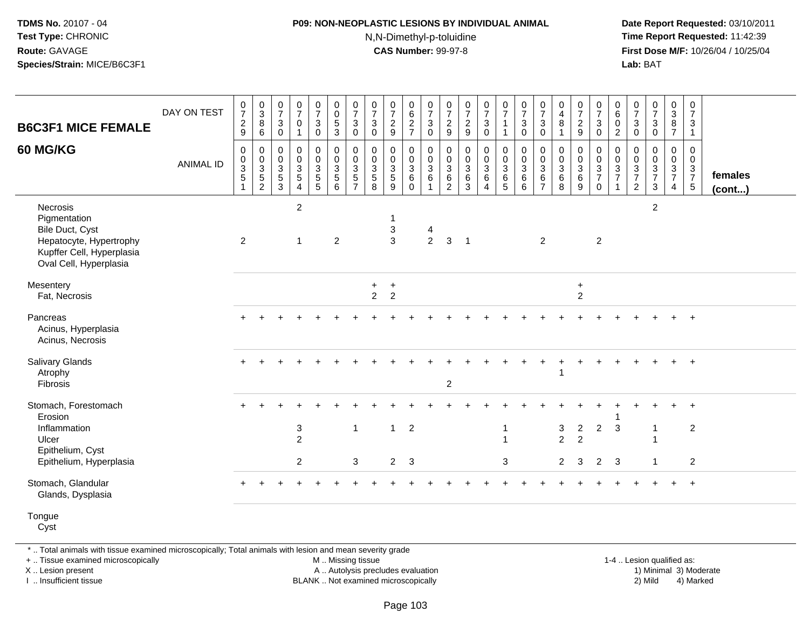#### **P09: NON-NEOPLASTIC LESIONS BY INDIVIDUAL ANIMAL**N,N-Dimethyl-p-toluidine

 **Date Report Requested:** 03/10/2011 **Time Report Requested:** 11:42:39 **First Dose M/F:** 10/26/04 / 10/25/04 Lab: BAT **Lab:** BAT

|                                                                                                                               |                  |                                                                              |                                      |                                                                 |                                                                  |                                     |                                                                                                  |                                                         |                                                       |                                                         |                                                 |                                                |                                                               |                                                                               |                                                    |                                                                        |                                                  |                                                                            | 0                                                        |                                                             |                                                                                               | 0                                                 |                                                          |                                                              |                                                     | $\pmb{0}$                                                      |                         |
|-------------------------------------------------------------------------------------------------------------------------------|------------------|------------------------------------------------------------------------------|--------------------------------------|-----------------------------------------------------------------|------------------------------------------------------------------|-------------------------------------|--------------------------------------------------------------------------------------------------|---------------------------------------------------------|-------------------------------------------------------|---------------------------------------------------------|-------------------------------------------------|------------------------------------------------|---------------------------------------------------------------|-------------------------------------------------------------------------------|----------------------------------------------------|------------------------------------------------------------------------|--------------------------------------------------|----------------------------------------------------------------------------|----------------------------------------------------------|-------------------------------------------------------------|-----------------------------------------------------------------------------------------------|---------------------------------------------------|----------------------------------------------------------|--------------------------------------------------------------|-----------------------------------------------------|----------------------------------------------------------------|-------------------------|
|                                                                                                                               | DAY ON TEST      | $\frac{0}{7}$                                                                | $\frac{0}{3}$                        | $\frac{0}{7}$                                                   | $\frac{0}{7}$                                                    | $\frac{0}{7}$                       | $\begin{smallmatrix} 0\\0 \end{smallmatrix}$                                                     | $\frac{0}{7}$                                           | $\begin{array}{c} 0 \\ 7 \end{array}$                 | $\frac{0}{7}$                                           | 0627                                            | $\frac{0}{7}$                                  | $\frac{0}{7}$                                                 | $\frac{0}{7}$                                                                 | $\frac{0}{7}$                                      | $\frac{0}{7}$                                                          | $\begin{array}{c} 0 \\ 7 \end{array}$            | $\frac{0}{7}$                                                              | $\begin{array}{c} 4 \\ 8 \end{array}$                    | $\frac{0}{7}$                                               | $\frac{0}{7}$                                                                                 | 6                                                 | $\frac{0}{7}$                                            | $\frac{0}{7}$                                                | $\begin{array}{c} 0 \\ 3 \\ 8 \end{array}$          | $\overline{7}$                                                 |                         |
| <b>B6C3F1 MICE FEMALE</b>                                                                                                     |                  | $\frac{2}{9}$                                                                | $\bf8$<br>$6\overline{6}$            | $\sqrt{3}$<br>$\mathbf 0$                                       | $\mathbf 0$                                                      | $\mathbf{3}$<br>$\mathbf 0$         | $\frac{5}{3}$                                                                                    | $\mathbf{3}$<br>$\mathbf 0$                             | $\mathbf{3}$<br>$\mathbf 0$                           | $\frac{2}{9}$                                           |                                                 | $\frac{3}{0}$                                  | $\frac{2}{9}$                                                 | $\frac{2}{9}$                                                                 | $\mathbf{3}$<br>$\mathbf 0$                        | $\mathbf{1}$<br>$\overline{1}$                                         | $\sqrt{3}$<br>$\mathbf 0$                        | $\mathbf{3}$<br>$\mathbf 0$                                                | $\overline{1}$                                           | $\frac{2}{9}$                                               | 3<br>$\mathbf 0$                                                                              | $\mathsf{O}\xspace$<br>$\overline{2}$             | $\mathsf 3$<br>$\mathsf{O}\xspace$                       | $_{0}^{3}$                                                   | $\overline{7}$                                      | $\mathbf{3}$<br>$\mathbf{1}$                                   |                         |
| 60 MG/KG                                                                                                                      | <b>ANIMAL ID</b> | $\mathbf 0$<br>$\mathbf 0$<br>$\ensuremath{\mathsf{3}}$<br>5<br>$\mathbf{1}$ | 0<br>$\frac{0}{3}$<br>$\overline{2}$ | $\mathbf 0$<br>$\mathbf 0$<br>$\sqrt{3}$<br>$\overline{5}$<br>3 | $\mathbf 0$<br>$\overline{0}$<br>$\frac{3}{5}$<br>$\overline{4}$ | $_{\rm 0}^{\rm 0}$<br>$\frac{3}{5}$ | $\begin{smallmatrix} 0\\0 \end{smallmatrix}$<br>$\mathbf 3$<br>$\overline{5}$<br>$6\phantom{1}6$ | 0<br>$\mathbf 0$<br>$\mathbf{3}$<br>5<br>$\overline{7}$ | $\pmb{0}$<br>$\overline{0}$<br>$\mathbf{3}$<br>5<br>8 | 0<br>$\tilde{0}$<br>$\mathbf{3}$<br>$\overline{5}$<br>9 | 0<br>$\pmb{0}$<br>$\mathbf{3}$<br>6<br>$\Omega$ | $\begin{matrix} 0 \\ 0 \\ 3 \\ 6 \end{matrix}$ | 0<br>$\mathbf 0$<br>$\mathbf{3}$<br>$\,6\,$<br>$\overline{2}$ | $\pmb{0}$<br>$\ddot{\mathbf{0}}$<br>$\ensuremath{\mathsf{3}}$<br>$\,6\,$<br>3 | 0<br>$\ddot{\mathbf{0}}$<br>$\mathbf{3}$<br>6<br>4 | $\mathbf 0$<br>$\overline{0}$<br>$\overline{3}$<br>$6\phantom{a}$<br>5 | $_{\rm 0}^{\rm 0}$<br>$\sqrt{3}$<br>$\,6\,$<br>6 | $\mathbf 0$<br>$\overline{0}$<br>$\mathbf{3}$<br>$\,6\,$<br>$\overline{7}$ | $\mathbf 0$<br>$\mathbf 0$<br>$\sqrt{3}$<br>$\,6\,$<br>8 | 0<br>$\pmb{0}$<br>$\mathbf{3}$<br>$\,6\,$<br>$\overline{9}$ | $\begin{smallmatrix} 0\\0 \end{smallmatrix}$<br>$\mathbf{3}$<br>$\overline{7}$<br>$\mathbf 0$ | 0<br>$\mathbf 0$<br>$\frac{3}{7}$<br>$\mathbf{1}$ | 0<br>$\boldsymbol{0}$<br>$\frac{3}{7}$<br>$\overline{c}$ | $\begin{matrix} 0 \\ 0 \\ 3 \\ 7 \end{matrix}$<br>$\sqrt{3}$ | 0<br>$\mathbf 0$<br>$\frac{3}{7}$<br>$\overline{4}$ | $\mathbf 0$<br>$\mathbf 0$<br>$\frac{3}{7}$<br>$5\phantom{.0}$ | females<br>$($ cont $)$ |
| Necrosis<br>Pigmentation<br>Bile Duct, Cyst<br>Hepatocyte, Hypertrophy<br>Kupffer Cell, Hyperplasia<br>Oval Cell, Hyperplasia |                  | $\overline{2}$                                                               |                                      |                                                                 | $\overline{2}$<br>$\mathbf{1}$                                   |                                     | $\overline{2}$                                                                                   |                                                         |                                                       | 1<br>3<br>$\overline{3}$                                |                                                 | 4<br>2                                         | 3                                                             | $\overline{1}$                                                                |                                                    |                                                                        |                                                  | $\overline{2}$                                                             |                                                          |                                                             | 2                                                                                             |                                                   |                                                          | $\overline{2}$                                               |                                                     |                                                                |                         |
| Mesentery<br>Fat, Necrosis                                                                                                    |                  |                                                                              |                                      |                                                                 |                                                                  |                                     |                                                                                                  |                                                         | $\ddot{}$<br>$\overline{2}$                           | $\ddot{}$<br>$\overline{2}$                             |                                                 |                                                |                                                               |                                                                               |                                                    |                                                                        |                                                  |                                                                            |                                                          | $\ddot{}$<br>$\overline{2}$                                 |                                                                                               |                                                   |                                                          |                                                              |                                                     |                                                                |                         |
| Pancreas<br>Acinus, Hyperplasia<br>Acinus, Necrosis                                                                           |                  |                                                                              |                                      |                                                                 |                                                                  |                                     |                                                                                                  |                                                         |                                                       |                                                         |                                                 |                                                |                                                               |                                                                               |                                                    |                                                                        |                                                  |                                                                            |                                                          |                                                             |                                                                                               |                                                   |                                                          |                                                              |                                                     | $\overline{+}$                                                 |                         |
| <b>Salivary Glands</b><br>Atrophy<br>Fibrosis                                                                                 |                  |                                                                              |                                      |                                                                 |                                                                  |                                     |                                                                                                  |                                                         |                                                       |                                                         |                                                 |                                                | $\overline{c}$                                                |                                                                               |                                                    |                                                                        |                                                  |                                                                            |                                                          |                                                             |                                                                                               |                                                   |                                                          |                                                              | $\ddot{}$                                           | $+$                                                            |                         |
| Stomach, Forestomach<br>Erosion<br>Inflammation<br>Ulcer<br>Epithelium, Cyst                                                  |                  |                                                                              |                                      |                                                                 | $\ensuremath{\mathsf{3}}$<br>$\overline{2}$                      |                                     |                                                                                                  | $\mathbf{1}$                                            |                                                       | $\mathbf{1}$                                            | $\overline{2}$                                  |                                                |                                                               |                                                                               |                                                    |                                                                        |                                                  |                                                                            | 3<br>$\overline{2}$                                      | $\overline{c}$<br>$\overline{2}$                            | $\overline{2}$                                                                                | $\mathbf{3}$                                      |                                                          |                                                              |                                                     | $\overline{+}$<br>$\sqrt{2}$                                   |                         |
| Epithelium, Hyperplasia                                                                                                       |                  |                                                                              |                                      |                                                                 | 2                                                                |                                     |                                                                                                  | 3                                                       |                                                       | $2^{\circ}$                                             | $\overline{\mathbf{3}}$                         |                                                |                                                               |                                                                               |                                                    | 3                                                                      |                                                  |                                                                            | $\overline{2}$                                           | 3                                                           | 2                                                                                             | $\mathbf{3}$                                      |                                                          | $\overline{1}$                                               |                                                     | $\overline{2}$                                                 |                         |
| Stomach, Glandular<br>Glands, Dysplasia                                                                                       |                  |                                                                              |                                      |                                                                 |                                                                  |                                     |                                                                                                  |                                                         |                                                       |                                                         |                                                 |                                                |                                                               |                                                                               |                                                    |                                                                        |                                                  |                                                                            |                                                          |                                                             |                                                                                               |                                                   |                                                          |                                                              |                                                     | $\overline{+}$                                                 |                         |
| Tongue<br>Cyst                                                                                                                |                  |                                                                              |                                      |                                                                 |                                                                  |                                     |                                                                                                  |                                                         |                                                       |                                                         |                                                 |                                                |                                                               |                                                                               |                                                    |                                                                        |                                                  |                                                                            |                                                          |                                                             |                                                                                               |                                                   |                                                          |                                                              |                                                     |                                                                |                         |

\* .. Total animals with tissue examined microscopically; Total animals with lesion and mean severity grade

+ .. Tissue examined microscopically

X .. Lesion present

I .. Insufficient tissue

M .. Missing tissue

A .. Autolysis precludes evaluation

BLANK .. Not examined microscopically 2) Mild 4) Marked

1-4 .. Lesion qualified as:<br>1) Minimal 3) Moderate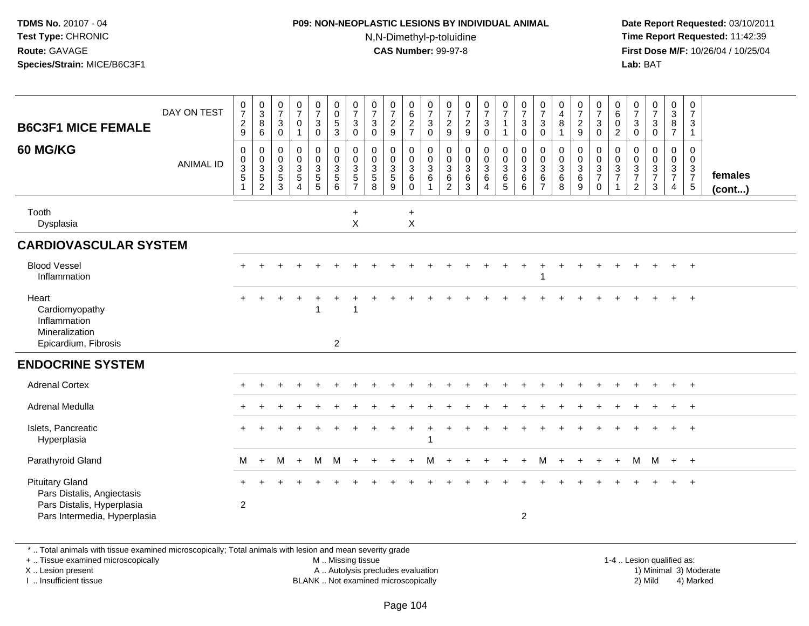#### **P09: NON-NEOPLASTIC LESIONS BY INDIVIDUAL ANIMAL**N,N-Dimethyl-p-toluidine

 **Date Report Requested:** 03/10/2011 **Time Report Requested:** 11:42:39 **First Dose M/F:** 10/26/04 / 10/25/04 Lab: BAT **Lab:** BAT

| <b>B6C3F1 MICE FEMALE</b><br><b>60 MG/KG</b>                                                                       | DAY ON TEST<br><b>ANIMAL ID</b> | $\frac{0}{7}$<br>$\sqrt{2}$<br>9<br>$\mathbf 0$<br>0<br>$\sqrt{3}$<br>$\overline{5}$<br>$\overline{1}$ | $_3^{\rm O}$<br>8<br>$\,6\,$<br>$\pmb{0}$<br>$\mathbf 0$<br>$\sqrt{3}$<br>$\sqrt{5}$<br>$\overline{c}$ | $\frac{0}{7}$<br>$\ensuremath{\mathsf{3}}$<br>0<br>0<br>$\mathsf{O}\xspace$<br>$\mathsf 3$<br>$5\,$<br>3 | $\frac{0}{7}$<br>0<br>1<br>0<br>$\overline{0}$<br>$\mathbf{3}$<br>5<br>4 | $\frac{0}{7}$<br>$\mathbf{3}$<br>$\mathbf 0$<br>$\pmb{0}$<br>$\pmb{0}$<br>3<br>$\sqrt{5}$<br>$\overline{5}$ | $_{\rm 0}^{\rm 0}$<br>$\frac{5}{3}$<br>$\begin{smallmatrix}0\\0\\3\end{smallmatrix}$<br>$\sqrt{5}$<br>6 | $\frac{0}{7}$<br>3<br>$\mathbf 0$<br>0<br>$\mathbf 0$<br>3<br>$\,$ 5 $\,$<br>$\overline{7}$ | $\begin{array}{c} 0 \\ 7 \end{array}$<br>$\mathbf{3}$<br>$\mathbf 0$<br>$\mathbf 0$<br>$\mathbf 0$<br>3<br>$\overline{5}$<br>8 | $\frac{0}{7}$<br>$\overline{c}$<br>9<br>0<br>$\mathbf 0$<br>$\mathbf{3}$<br>5<br>9 | 0627<br>$\pmb{0}$<br>$\ddot{\mathbf{0}}$<br>$\mathbf{3}$<br>$\,6\,$<br>$\mathbf 0$ | $\frac{0}{7}$<br>$\ensuremath{\mathsf{3}}$<br>$\mathbf 0$<br>$\pmb{0}$<br>$\pmb{0}$<br>$\mathbf{3}$<br>$\,6$<br>$\mathbf{1}$ | $\frac{0}{7}$<br>$\frac{2}{9}$<br>0<br>$\mathbf 0$<br>$\ensuremath{\mathsf{3}}$<br>$\,6\,$<br>$\overline{2}$ | $\frac{0}{7}$<br>$\frac{2}{9}$<br>$\mathbf 0$<br>$\mathbf 0$<br>$\mathbf{3}$<br>$6\phantom{1}6$<br>3 | $\frac{0}{7}$<br>$\mathbf{3}$<br>$\mathsf{O}\xspace$<br>$\pmb{0}$<br>$\mathbf 0$<br>$\mathbf{3}$<br>$\,6\,$<br>$\overline{4}$ | $\frac{0}{7}$<br>$\mathbf{1}$<br>$\mathbf{1}$<br>$\mathbf 0$<br>$\overline{0}$<br>$\mathbf{3}$<br>6<br>5 <sup>5</sup> | $\frac{0}{7}$<br>3<br>$\mathbf 0$<br>0<br>$\pmb{0}$<br>3<br>6<br>6 | $\frac{0}{7}$<br>$\ensuremath{\mathsf{3}}$<br>0<br>0<br>$\pmb{0}$<br>$\sqrt{3}$<br>$\,6\,$<br>$\overline{7}$ | $\begin{smallmatrix}0\0\4\end{smallmatrix}$<br>$\, 8$<br>$\mathbf 0$<br>$\mathsf{O}\xspace$<br>$\mathsf 3$<br>$\,6\,$<br>8 | $\frac{0}{7}$<br>$\frac{2}{9}$<br>0<br>$\mathbf 0$<br>$\mathbf{3}$<br>$\,6$<br>$\boldsymbol{9}$ | $\frac{0}{7}$<br>$\mathbf 3$<br>$\mathbf 0$<br>$\pmb{0}$<br>$\overline{0}$<br>$\frac{3}{7}$<br>$\boldsymbol{0}$ | 0<br>$\,6\,$<br>0<br>2<br>0<br>0<br>$\mathbf{3}$<br>$\overline{7}$ | $\frac{0}{7}$<br>3<br>0<br>0<br>$\mathbf 0$<br>$\ensuremath{\mathsf{3}}$<br>$\overline{7}$<br>$\overline{2}$ | $\frac{0}{7}$<br>$\ensuremath{\mathsf{3}}$<br>$\pmb{0}$<br>$\boldsymbol{0}$<br>$\pmb{0}$<br>$\frac{3}{7}$<br>$\mathbf{3}$ | $_{3}^{\rm 0}$<br>8<br>$\overline{7}$<br>0<br>$\mathbf 0$<br>$\mathbf{3}$<br>$\overline{7}$<br>$\overline{4}$ | $\mathbf 0$<br>$\overline{7}$<br>3<br>$\mathbf{1}$<br>0<br>$\mathbf 0$<br>$\mathbf 3$<br>$\overline{7}$<br>$\,$ 5 $\,$ | females<br>(cont) |
|--------------------------------------------------------------------------------------------------------------------|---------------------------------|--------------------------------------------------------------------------------------------------------|--------------------------------------------------------------------------------------------------------|----------------------------------------------------------------------------------------------------------|--------------------------------------------------------------------------|-------------------------------------------------------------------------------------------------------------|---------------------------------------------------------------------------------------------------------|---------------------------------------------------------------------------------------------|--------------------------------------------------------------------------------------------------------------------------------|------------------------------------------------------------------------------------|------------------------------------------------------------------------------------|------------------------------------------------------------------------------------------------------------------------------|--------------------------------------------------------------------------------------------------------------|------------------------------------------------------------------------------------------------------|-------------------------------------------------------------------------------------------------------------------------------|-----------------------------------------------------------------------------------------------------------------------|--------------------------------------------------------------------|--------------------------------------------------------------------------------------------------------------|----------------------------------------------------------------------------------------------------------------------------|-------------------------------------------------------------------------------------------------|-----------------------------------------------------------------------------------------------------------------|--------------------------------------------------------------------|--------------------------------------------------------------------------------------------------------------|---------------------------------------------------------------------------------------------------------------------------|---------------------------------------------------------------------------------------------------------------|------------------------------------------------------------------------------------------------------------------------|-------------------|
| Tooth<br>Dysplasia                                                                                                 |                                 |                                                                                                        |                                                                                                        |                                                                                                          |                                                                          |                                                                                                             |                                                                                                         | $+$<br>$\boldsymbol{\mathsf{X}}$                                                            |                                                                                                                                |                                                                                    | $\ddot{}$<br>$\pmb{\times}$                                                        |                                                                                                                              |                                                                                                              |                                                                                                      |                                                                                                                               |                                                                                                                       |                                                                    |                                                                                                              |                                                                                                                            |                                                                                                 |                                                                                                                 |                                                                    |                                                                                                              |                                                                                                                           |                                                                                                               |                                                                                                                        |                   |
| <b>CARDIOVASCULAR SYSTEM</b>                                                                                       |                                 |                                                                                                        |                                                                                                        |                                                                                                          |                                                                          |                                                                                                             |                                                                                                         |                                                                                             |                                                                                                                                |                                                                                    |                                                                                    |                                                                                                                              |                                                                                                              |                                                                                                      |                                                                                                                               |                                                                                                                       |                                                                    |                                                                                                              |                                                                                                                            |                                                                                                 |                                                                                                                 |                                                                    |                                                                                                              |                                                                                                                           |                                                                                                               |                                                                                                                        |                   |
| <b>Blood Vessel</b><br>Inflammation                                                                                |                                 |                                                                                                        |                                                                                                        |                                                                                                          |                                                                          |                                                                                                             |                                                                                                         |                                                                                             |                                                                                                                                |                                                                                    |                                                                                    |                                                                                                                              |                                                                                                              |                                                                                                      |                                                                                                                               |                                                                                                                       |                                                                    |                                                                                                              |                                                                                                                            |                                                                                                 |                                                                                                                 |                                                                    |                                                                                                              |                                                                                                                           |                                                                                                               | $^{+}$                                                                                                                 |                   |
| Heart<br>Cardiomyopathy<br>Inflammation<br>Mineralization<br>Epicardium, Fibrosis                                  |                                 | $\div$                                                                                                 |                                                                                                        |                                                                                                          |                                                                          |                                                                                                             | $\overline{2}$                                                                                          | $\overline{\phantom{a}}$                                                                    |                                                                                                                                |                                                                                    |                                                                                    |                                                                                                                              |                                                                                                              |                                                                                                      |                                                                                                                               |                                                                                                                       |                                                                    |                                                                                                              |                                                                                                                            |                                                                                                 |                                                                                                                 |                                                                    |                                                                                                              |                                                                                                                           |                                                                                                               | $^{+}$                                                                                                                 |                   |
| <b>ENDOCRINE SYSTEM</b>                                                                                            |                                 |                                                                                                        |                                                                                                        |                                                                                                          |                                                                          |                                                                                                             |                                                                                                         |                                                                                             |                                                                                                                                |                                                                                    |                                                                                    |                                                                                                                              |                                                                                                              |                                                                                                      |                                                                                                                               |                                                                                                                       |                                                                    |                                                                                                              |                                                                                                                            |                                                                                                 |                                                                                                                 |                                                                    |                                                                                                              |                                                                                                                           |                                                                                                               |                                                                                                                        |                   |
| <b>Adrenal Cortex</b>                                                                                              |                                 |                                                                                                        |                                                                                                        |                                                                                                          |                                                                          |                                                                                                             |                                                                                                         |                                                                                             |                                                                                                                                |                                                                                    |                                                                                    |                                                                                                                              |                                                                                                              |                                                                                                      |                                                                                                                               |                                                                                                                       |                                                                    |                                                                                                              |                                                                                                                            |                                                                                                 |                                                                                                                 |                                                                    |                                                                                                              |                                                                                                                           |                                                                                                               | $+$                                                                                                                    |                   |
| Adrenal Medulla                                                                                                    |                                 |                                                                                                        |                                                                                                        |                                                                                                          |                                                                          |                                                                                                             |                                                                                                         |                                                                                             |                                                                                                                                |                                                                                    |                                                                                    |                                                                                                                              |                                                                                                              |                                                                                                      |                                                                                                                               |                                                                                                                       |                                                                    |                                                                                                              |                                                                                                                            |                                                                                                 |                                                                                                                 |                                                                    |                                                                                                              |                                                                                                                           |                                                                                                               | $^{+}$                                                                                                                 |                   |
| Islets, Pancreatic<br>Hyperplasia                                                                                  |                                 |                                                                                                        |                                                                                                        |                                                                                                          |                                                                          |                                                                                                             |                                                                                                         |                                                                                             |                                                                                                                                |                                                                                    |                                                                                    |                                                                                                                              |                                                                                                              |                                                                                                      |                                                                                                                               |                                                                                                                       |                                                                    |                                                                                                              |                                                                                                                            |                                                                                                 |                                                                                                                 |                                                                    |                                                                                                              |                                                                                                                           |                                                                                                               | $^{+}$                                                                                                                 |                   |
| Parathyroid Gland                                                                                                  |                                 | M                                                                                                      | $\ddot{}$                                                                                              | м                                                                                                        | $\ddot{}$                                                                | M                                                                                                           | м                                                                                                       |                                                                                             |                                                                                                                                |                                                                                    |                                                                                    |                                                                                                                              |                                                                                                              |                                                                                                      |                                                                                                                               |                                                                                                                       |                                                                    |                                                                                                              |                                                                                                                            |                                                                                                 |                                                                                                                 |                                                                    | м                                                                                                            | M                                                                                                                         | $+$                                                                                                           | $+$                                                                                                                    |                   |
| <b>Pituitary Gland</b><br>Pars Distalis, Angiectasis<br>Pars Distalis, Hyperplasia<br>Pars Intermedia, Hyperplasia |                                 | $\overline{2}$                                                                                         |                                                                                                        |                                                                                                          |                                                                          |                                                                                                             |                                                                                                         |                                                                                             |                                                                                                                                |                                                                                    |                                                                                    |                                                                                                                              |                                                                                                              |                                                                                                      |                                                                                                                               |                                                                                                                       | $\overline{2}$                                                     |                                                                                                              |                                                                                                                            |                                                                                                 |                                                                                                                 |                                                                    |                                                                                                              |                                                                                                                           |                                                                                                               | $\overline{ }$                                                                                                         |                   |

\* .. Total animals with tissue examined microscopically; Total animals with lesion and mean severity grade

+ .. Tissue examined microscopically

X .. Lesion present

I .. Insufficient tissue

M .. Missing tissue

A .. Autolysis precludes evaluation

BLANK .. Not examined microscopically 2) Mild 4) Marked

1-4 .. Lesion qualified as:<br>1) Minimal 3) Moderate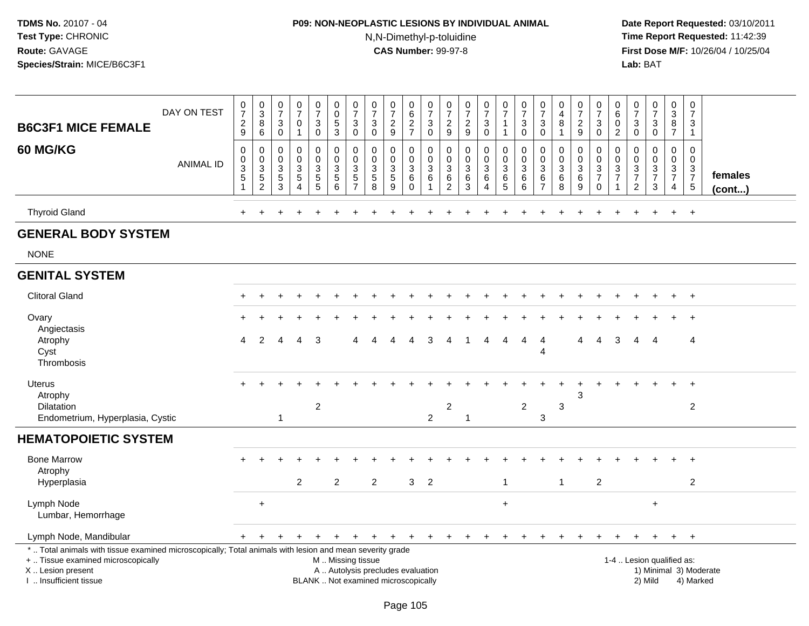# **P09: NON-NEOPLASTIC LESIONS BY INDIVIDUAL ANIMAL**N,N-Dimethyl-p-toluidine

| <b>B6C3F1 MICE FEMALE</b>                                                                                                                                                                     | DAY ON TEST      | $\frac{0}{7}$<br>$\sqrt{2}$<br>9                    | $_{3}^{\rm 0}$<br>8<br>6                               | $\begin{array}{c} 0 \\ 7 \end{array}$<br>$\mathbf{3}$<br>$\mathbf 0$ | $\frac{0}{7}$<br>$\Omega$<br>1                | $\frac{0}{7}$<br>$\mathbf{3}$<br>0                                         | $\pmb{0}$<br>$\pmb{0}$<br>$\overline{5}$<br>$\mathbf{3}$                                      | $\begin{smallmatrix}0\\7\end{smallmatrix}$<br>$\sqrt{3}$<br>$\mathbf 0$ | $\begin{array}{c} 0 \\ 7 \end{array}$<br>3<br>$\mathbf 0$ | $\frac{0}{7}$<br>$\sqrt{2}$<br>9                                              | $\mathbf 0$<br>$\,6$<br>$\boldsymbol{2}$<br>$\overline{7}$ | 0<br>$\overline{7}$<br>$\sqrt{3}$<br>$\mathbf 0$ | $\frac{0}{7}$<br>$\overline{2}$<br>9         | $\frac{0}{7}$<br>$\overline{2}$<br>9           | $\begin{smallmatrix}0\\7\end{smallmatrix}$<br>$\mathbf{3}$<br>0 | $\frac{0}{7}$<br>$\overline{1}$<br>$\overline{1}$               | $\pmb{0}$<br>$\overline{7}$<br>3<br>$\mathbf 0$ | $\frac{0}{7}$<br>3<br>$\mathbf 0$                   | 0<br>$\overline{4}$<br>8<br>$\mathbf 1$ | $\frac{0}{7}$<br>$\sqrt{2}$<br>9                   | $\pmb{0}$<br>$\overline{7}$<br>3<br>$\mathbf 0$                                   | 0<br>$\,6\,$<br>$\Omega$<br>$\overline{c}$     | $\begin{array}{c} 0 \\ 7 \end{array}$<br>$\sqrt{3}$<br>$\mathbf 0$                | $\frac{0}{7}$<br>3<br>0                       | $\pmb{0}$<br>$\sqrt{3}$<br>$\bf8$<br>$\overline{7}$              | 0<br>$\overline{7}$<br>3<br>1                       |                         |
|-----------------------------------------------------------------------------------------------------------------------------------------------------------------------------------------------|------------------|-----------------------------------------------------|--------------------------------------------------------|----------------------------------------------------------------------|-----------------------------------------------|----------------------------------------------------------------------------|-----------------------------------------------------------------------------------------------|-------------------------------------------------------------------------|-----------------------------------------------------------|-------------------------------------------------------------------------------|------------------------------------------------------------|--------------------------------------------------|----------------------------------------------|------------------------------------------------|-----------------------------------------------------------------|-----------------------------------------------------------------|-------------------------------------------------|-----------------------------------------------------|-----------------------------------------|----------------------------------------------------|-----------------------------------------------------------------------------------|------------------------------------------------|-----------------------------------------------------------------------------------|-----------------------------------------------|------------------------------------------------------------------|-----------------------------------------------------|-------------------------|
| 60 MG/KG                                                                                                                                                                                      | <b>ANIMAL ID</b> | $\mathbf 0$<br>0<br>3<br>$\sqrt{5}$<br>$\mathbf{1}$ | 0<br>$\mathbf 0$<br>3<br>$\mathbf 5$<br>$\overline{c}$ | $\mathbf 0$<br>0<br>3<br>$\,$ 5 $\,$<br>3                            | 0<br>$\mathsf{O}$<br>3<br>5<br>$\overline{4}$ | $\mathbf 0$<br>$\mathsf{O}$<br>$\ensuremath{\mathsf{3}}$<br>$\overline{5}$ | $\mathbf 0$<br>$\pmb{0}$<br>$\sqrt{3}$<br>$\overline{5}$<br>$\,6\,$                           | $\mathbf 0$<br>$\pmb{0}$<br>$\mathbf{3}$<br>$\frac{5}{7}$               | $\Omega$<br>$\mathbf 0$<br>3<br>$\overline{5}$<br>8       | 0<br>$\mathsf{O}\xspace$<br>$\ensuremath{\mathsf{3}}$<br>$\,$ 5 $\,$<br>$9\,$ | $\Omega$<br>0<br>3<br>6<br>$\mathbf 0$                     | 0<br>0<br>3<br>6                                 | 0<br>$\mathbf 0$<br>3<br>6<br>$\overline{c}$ | 0<br>$\mathsf 0$<br>$\mathbf{3}$<br>$\,6$<br>3 | $\mathbf 0$<br>$\mathbf 0$<br>3<br>6<br>$\overline{4}$          | $\mathbf 0$<br>$\pmb{0}$<br>$\sqrt{3}$<br>$\,6\,$<br>$\sqrt{5}$ | 0<br>$\mathbf 0$<br>3<br>6<br>6                 | $\Omega$<br>$\mathbf 0$<br>3<br>6<br>$\overline{7}$ | 0<br>$\mathbf 0$<br>3<br>6<br>8         | 0<br>$\mathbf 0$<br>$\sqrt{3}$<br>$\,6\,$<br>$9\,$ | $\mathbf 0$<br>$\mathsf{O}\xspace$<br>$\sqrt{3}$<br>$\overline{7}$<br>$\mathbf 0$ | $\Omega$<br>$\mathbf 0$<br>3<br>$\overline{7}$ | $\mathbf 0$<br>$\boldsymbol{0}$<br>$\sqrt{3}$<br>$\overline{7}$<br>$\overline{2}$ | 0<br>$\mathsf{O}$<br>3<br>$\overline{7}$<br>3 | $\Omega$<br>$\mathbf 0$<br>3<br>$\overline{7}$<br>$\overline{4}$ | $\Omega$<br>$\mathbf 0$<br>3<br>$\overline{7}$<br>5 | females<br>$($ cont $)$ |
| <b>Thyroid Gland</b>                                                                                                                                                                          |                  | $\ddot{}$                                           |                                                        |                                                                      |                                               |                                                                            |                                                                                               |                                                                         |                                                           |                                                                               |                                                            |                                                  |                                              |                                                |                                                                 |                                                                 |                                                 |                                                     |                                         |                                                    |                                                                                   |                                                |                                                                                   | $\ddot{}$                                     | $+$                                                              | $+$                                                 |                         |
| <b>GENERAL BODY SYSTEM</b>                                                                                                                                                                    |                  |                                                     |                                                        |                                                                      |                                               |                                                                            |                                                                                               |                                                                         |                                                           |                                                                               |                                                            |                                                  |                                              |                                                |                                                                 |                                                                 |                                                 |                                                     |                                         |                                                    |                                                                                   |                                                |                                                                                   |                                               |                                                                  |                                                     |                         |
| <b>NONE</b>                                                                                                                                                                                   |                  |                                                     |                                                        |                                                                      |                                               |                                                                            |                                                                                               |                                                                         |                                                           |                                                                               |                                                            |                                                  |                                              |                                                |                                                                 |                                                                 |                                                 |                                                     |                                         |                                                    |                                                                                   |                                                |                                                                                   |                                               |                                                                  |                                                     |                         |
| <b>GENITAL SYSTEM</b>                                                                                                                                                                         |                  |                                                     |                                                        |                                                                      |                                               |                                                                            |                                                                                               |                                                                         |                                                           |                                                                               |                                                            |                                                  |                                              |                                                |                                                                 |                                                                 |                                                 |                                                     |                                         |                                                    |                                                                                   |                                                |                                                                                   |                                               |                                                                  |                                                     |                         |
| <b>Clitoral Gland</b>                                                                                                                                                                         |                  |                                                     |                                                        |                                                                      |                                               |                                                                            |                                                                                               |                                                                         |                                                           |                                                                               |                                                            |                                                  |                                              |                                                |                                                                 |                                                                 |                                                 |                                                     |                                         |                                                    |                                                                                   |                                                |                                                                                   |                                               |                                                                  | $\ddot{}$                                           |                         |
| Ovary<br>Angiectasis                                                                                                                                                                          |                  |                                                     |                                                        |                                                                      |                                               |                                                                            |                                                                                               |                                                                         |                                                           |                                                                               |                                                            |                                                  |                                              |                                                |                                                                 |                                                                 |                                                 |                                                     |                                         |                                                    |                                                                                   |                                                |                                                                                   |                                               |                                                                  |                                                     |                         |
| Atrophy<br>Cyst<br>Thrombosis                                                                                                                                                                 |                  | 4                                                   | $\overline{2}$                                         |                                                                      | Δ                                             | 3                                                                          |                                                                                               |                                                                         |                                                           | 4                                                                             | 4                                                          | 3                                                | 4                                            | -1                                             | 4                                                               | 4                                                               | 4                                               | 4<br>Λ                                              |                                         | 4                                                  | 4                                                                                 | 3                                              | 4                                                                                 | -4                                            |                                                                  | 4                                                   |                         |
| Uterus<br>Atrophy                                                                                                                                                                             |                  |                                                     |                                                        |                                                                      |                                               |                                                                            |                                                                                               |                                                                         |                                                           |                                                                               |                                                            |                                                  |                                              |                                                |                                                                 |                                                                 |                                                 |                                                     |                                         | 3                                                  |                                                                                   |                                                |                                                                                   |                                               |                                                                  |                                                     |                         |
| <b>Dilatation</b><br>Endometrium, Hyperplasia, Cystic                                                                                                                                         |                  |                                                     |                                                        | $\mathbf{1}$                                                         |                                               | $\overline{2}$                                                             |                                                                                               |                                                                         |                                                           |                                                                               |                                                            | $\overline{c}$                                   | $\overline{2}$                               | $\mathbf{1}$                                   |                                                                 |                                                                 | $\overline{c}$                                  | 3                                                   | 3                                       |                                                    |                                                                                   |                                                |                                                                                   |                                               |                                                                  | $\overline{2}$                                      |                         |
| <b>HEMATOPOIETIC SYSTEM</b>                                                                                                                                                                   |                  |                                                     |                                                        |                                                                      |                                               |                                                                            |                                                                                               |                                                                         |                                                           |                                                                               |                                                            |                                                  |                                              |                                                |                                                                 |                                                                 |                                                 |                                                     |                                         |                                                    |                                                                                   |                                                |                                                                                   |                                               |                                                                  |                                                     |                         |
| <b>Bone Marrow</b><br>Atrophy                                                                                                                                                                 |                  |                                                     |                                                        |                                                                      |                                               |                                                                            |                                                                                               |                                                                         |                                                           |                                                                               |                                                            |                                                  |                                              |                                                |                                                                 |                                                                 |                                                 |                                                     |                                         |                                                    |                                                                                   |                                                |                                                                                   |                                               |                                                                  |                                                     |                         |
| Hyperplasia                                                                                                                                                                                   |                  |                                                     |                                                        |                                                                      | 2                                             |                                                                            | $\overline{2}$                                                                                |                                                                         | 2                                                         |                                                                               | 3                                                          | $\overline{2}$                                   |                                              |                                                |                                                                 | $\overline{\mathbf{1}}$                                         |                                                 |                                                     | $\mathbf{1}$                            |                                                    | 2                                                                                 |                                                |                                                                                   |                                               |                                                                  | $\overline{2}$                                      |                         |
| Lymph Node<br>Lumbar, Hemorrhage                                                                                                                                                              |                  |                                                     | $\ddot{}$                                              |                                                                      |                                               |                                                                            |                                                                                               |                                                                         |                                                           |                                                                               |                                                            |                                                  |                                              |                                                |                                                                 | $\ddot{}$                                                       |                                                 |                                                     |                                         |                                                    |                                                                                   |                                                |                                                                                   | $\ddot{}$                                     |                                                                  |                                                     |                         |
| Lymph Node, Mandibular                                                                                                                                                                        |                  |                                                     |                                                        |                                                                      |                                               |                                                                            |                                                                                               |                                                                         |                                                           |                                                                               |                                                            |                                                  |                                              |                                                |                                                                 |                                                                 |                                                 |                                                     |                                         |                                                    |                                                                                   |                                                |                                                                                   |                                               | $+$                                                              | $+$                                                 |                         |
| *  Total animals with tissue examined microscopically; Total animals with lesion and mean severity grade<br>+  Tissue examined microscopically<br>X  Lesion present<br>I. Insufficient tissue |                  |                                                     |                                                        |                                                                      |                                               |                                                                            | M  Missing tissue<br>A  Autolysis precludes evaluation<br>BLANK  Not examined microscopically |                                                                         |                                                           |                                                                               |                                                            |                                                  |                                              |                                                |                                                                 |                                                                 |                                                 |                                                     |                                         |                                                    |                                                                                   |                                                |                                                                                   | 1-4  Lesion qualified as:<br>2) Mild          |                                                                  | 4) Marked                                           | 1) Minimal 3) Moderate  |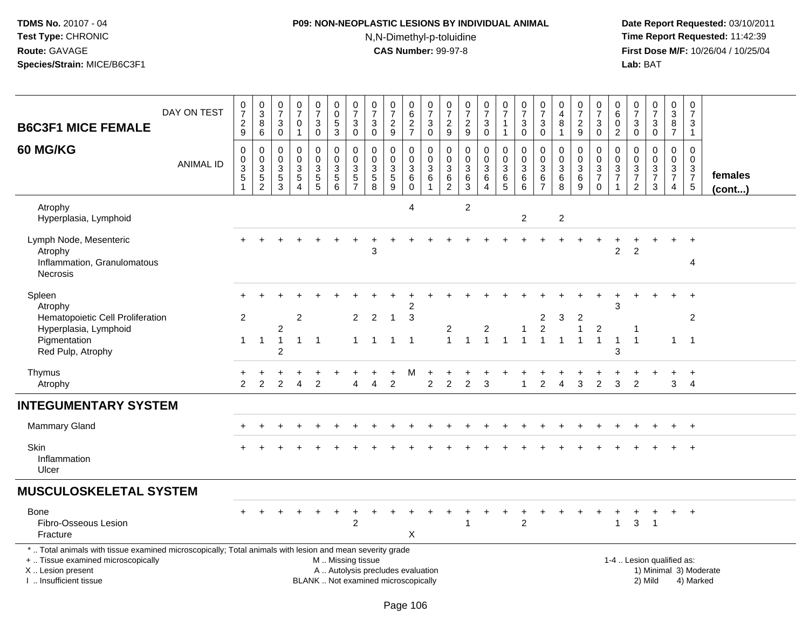# **P09: NON-NEOPLASTIC LESIONS BY INDIVIDUAL ANIMAL**N,N-Dimethyl-p-toluidine

|                                                                                                                                                                                              |                  | $\mathbf 0$                                     |                                                              | $\pmb{0}$                                           | 0                                                                   |                                          | $\boldsymbol{0}$                                                                      |                                                         | $\pmb{0}$                                                              |                                                                          | 0                                               | $\pmb{0}$                                                  |                                                                             | 0                                                                                |                                                               | 0                                                           |                                                                         | 0                                                  | 0                                                    |                                                                | 0                                              | 0                                                                           | 0                                         |                                                                     | 0                                      | $\pmb{0}$                                                                |                         |
|----------------------------------------------------------------------------------------------------------------------------------------------------------------------------------------------|------------------|-------------------------------------------------|--------------------------------------------------------------|-----------------------------------------------------|---------------------------------------------------------------------|------------------------------------------|---------------------------------------------------------------------------------------|---------------------------------------------------------|------------------------------------------------------------------------|--------------------------------------------------------------------------|-------------------------------------------------|------------------------------------------------------------|-----------------------------------------------------------------------------|----------------------------------------------------------------------------------|---------------------------------------------------------------|-------------------------------------------------------------|-------------------------------------------------------------------------|----------------------------------------------------|------------------------------------------------------|----------------------------------------------------------------|------------------------------------------------|-----------------------------------------------------------------------------|-------------------------------------------|---------------------------------------------------------------------|----------------------------------------|--------------------------------------------------------------------------|-------------------------|
| <b>B6C3F1 MICE FEMALE</b>                                                                                                                                                                    | DAY ON TEST      | $\overline{7}$<br>$\overline{c}$<br>$\mathsf g$ | $\begin{smallmatrix}0\3\8\end{smallmatrix}$<br>$\,6\,$       | $\overline{7}$<br>3<br>$\mathbf 0$                  | $\overline{7}$<br>0<br>$\mathbf{1}$                                 | $\frac{0}{7}$<br>$\sqrt{3}$<br>$\pmb{0}$ | $\mathbf 0$<br>$\overline{5}$<br>$\overline{3}$                                       | $\frac{0}{7}$<br>$\ensuremath{\mathsf{3}}$<br>$\pmb{0}$ | $\overline{7}$<br>$\mathbf{3}$<br>$\mathbf 0$                          | $\begin{array}{c} 0 \\ 7 \end{array}$<br>$\sqrt{2}$<br>9                 | $\,6\,$<br>$\overline{2}$<br>$\overline{7}$     | $\overline{7}$<br>$\ensuremath{\mathsf{3}}$<br>$\mathbf 0$ | $\begin{array}{c} 0 \\ 7 \end{array}$<br>$\overline{c}$<br>$\boldsymbol{9}$ | $\overline{7}$<br>$\overline{c}$<br>$9\,$                                        | $\frac{0}{7}$<br>$\ensuremath{\mathsf{3}}$<br>$\pmb{0}$       | $\overline{7}$<br>$\mathbf{1}$                              | $\frac{0}{7}$<br>$\frac{3}{0}$                                          | $\overline{7}$<br>3<br>$\mathbf 0$                 | $\overline{4}$<br>8<br>$\mathbf{1}$                  | $\frac{0}{7}$<br>$\overline{c}$<br>9                           | $\overline{7}$<br>$\sqrt{3}$<br>$\overline{0}$ | $\,6\,$<br>$\mathbf 0$<br>$\overline{2}$                                    | $\overline{7}$<br>$\sqrt{3}$<br>$\pmb{0}$ | $\begin{smallmatrix}0\\7\end{smallmatrix}$<br>$\frac{3}{0}$         | $\mathbf{3}$<br>8<br>$\overline{7}$    | $\overline{7}$<br>$\mathbf{3}$<br>$\mathbf{1}$                           |                         |
| 60 MG/KG                                                                                                                                                                                     | <b>ANIMAL ID</b> | $\mathsf{O}\xspace$<br>$\frac{0}{3}$            | $\pmb{0}$<br>$\begin{array}{c} 0 \\ 3 \\ 5 \\ 2 \end{array}$ | 0<br>$\mathbf 0$<br>3<br>$\sqrt{5}$<br>$\mathbf{3}$ | $\mathbf 0$<br>$\mathbf 0$<br>3<br>$\overline{5}$<br>$\overline{4}$ | 0<br>$\mathsf 0$<br>3<br>$\frac{5}{5}$   | $\pmb{0}$<br>$\mathbf 0$<br>$\ensuremath{\mathsf{3}}$<br>$\sqrt{5}$<br>$6\phantom{1}$ | 0<br>$\mathbf 0$<br>$rac{3}{5}$                         | $\mathbf 0$<br>$\pmb{0}$<br>$\begin{array}{c} 3 \\ 5 \\ 8 \end{array}$ | $\mathbf 0$<br>$\mathbf 0$<br>$\ensuremath{\mathsf{3}}$<br>$\frac{5}{9}$ | 0<br>$\mathbf 0$<br>3<br>$\,6\,$<br>$\mathbf 0$ | 0<br>$\mathbf 0$<br>$\mathbf{3}$<br>6<br>$\overline{1}$    | 0<br>$\pmb{0}$<br>$\ensuremath{\mathsf{3}}$<br>$\,6$<br>$\overline{2}$      | $\pmb{0}$<br>$\mathbf 0$<br>$\ensuremath{\mathsf{3}}$<br>$\,6$<br>$\mathfrak{Z}$ | 0<br>$\pmb{0}$<br>$\overline{3}$<br>$\,6\,$<br>$\overline{4}$ | 0<br>$\mathbf 0$<br>$\ensuremath{\mathsf{3}}$<br>$6\over 5$ | $\pmb{0}$<br>$\overline{0}$<br>$\sqrt{3}$<br>$\,6\,$<br>$6\phantom{1}6$ | 0<br>$\mathbf 0$<br>3<br>$\,6\,$<br>$\overline{7}$ | $\mathbf 0$<br>$\boldsymbol{0}$<br>3<br>$\,6\,$<br>8 | 0<br>$\mathbf 0$<br>$\ensuremath{\mathsf{3}}$<br>$\frac{6}{9}$ | 0<br>$\frac{0}{3}$<br>$\mathbf 0$              | $\mathsf{O}\xspace$<br>$\mathsf{O}\xspace$<br>$\frac{3}{7}$<br>$\mathbf{1}$ | 0<br>0<br>$\frac{3}{7}$<br>$\overline{2}$ | $\mathbf 0$<br>$\mathsf{O}\xspace$<br>$\frac{3}{7}$<br>$\mathbf{3}$ | 0<br>$\mathbf 0$<br>$\frac{3}{7}$<br>4 | $\mathbf 0$<br>$\mathbf 0$<br>$\begin{array}{c} 3 \\ 7 \\ 5 \end{array}$ | females<br>$($ cont $)$ |
| Atrophy<br>Hyperplasia, Lymphoid                                                                                                                                                             |                  |                                                 |                                                              |                                                     |                                                                     |                                          |                                                                                       |                                                         |                                                                        |                                                                          | 4                                               |                                                            |                                                                             | $\overline{c}$                                                                   |                                                               |                                                             | $\overline{2}$                                                          |                                                    | $\boldsymbol{2}$                                     |                                                                |                                                |                                                                             |                                           |                                                                     |                                        |                                                                          |                         |
| Lymph Node, Mesenteric<br>Atrophy<br>Inflammation, Granulomatous<br><b>Necrosis</b>                                                                                                          |                  |                                                 |                                                              |                                                     |                                                                     |                                          |                                                                                       |                                                         | 3                                                                      |                                                                          |                                                 |                                                            |                                                                             |                                                                                  |                                                               |                                                             |                                                                         |                                                    |                                                      |                                                                |                                                | $\overline{c}$                                                              | $\overline{c}$                            |                                                                     |                                        | 4                                                                        |                         |
| Spleen<br>Atrophy<br>Hematopoietic Cell Proliferation<br>Hyperplasia, Lymphoid<br>Pigmentation<br>Red Pulp, Atrophy                                                                          |                  | $\overline{2}$<br>$\mathbf{1}$                  | $\overline{1}$                                               | $\overline{c}$<br>$\mathbf{1}$<br>$\overline{2}$    | 2                                                                   | $1 \quad 1$                              |                                                                                       | 2<br>$\mathbf 1$                                        | $\overline{2}$<br>$\overline{1}$                                       | $\overline{1}$<br>$1 \quad 1$                                            | 2<br>3                                          |                                                            | 2<br>$\mathbf{1}$                                                           | $\overline{1}$                                                                   | $\overline{c}$<br>$\mathbf{1}$                                | $\overline{1}$                                              | $\overline{1}$<br>$\overline{1}$                                        | 2<br>$\overline{c}$<br>$\overline{1}$              | 3<br>$\overline{1}$                                  | $\overline{\mathbf{c}}$<br>$\mathbf{1}$<br>$\mathbf{1}$        | $\mathbf{2}$<br>$\overline{1}$                 | 3<br>$\mathbf{1}$<br>3                                                      | -1<br>$\overline{1}$                      |                                                                     | $\div$<br>$\mathbf{1}$                 | $\ddot{}$<br>$\overline{c}$<br>$\overline{1}$                            |                         |
| Thymus<br>Atrophy                                                                                                                                                                            |                  | $\overline{2}$                                  | 2                                                            | $\overline{2}$                                      |                                                                     | $\overline{2}$                           |                                                                                       | $\boldsymbol{\Lambda}$                                  | 4                                                                      | $\overline{2}$                                                           | м                                               | 2                                                          | $\overline{2}$                                                              | 2                                                                                | 3                                                             |                                                             | -1                                                                      | $\overline{c}$                                     |                                                      | 3                                                              | $\overline{c}$                                 | 3                                                                           | 2                                         |                                                                     | 3                                      | $\overline{+}$<br>$\overline{4}$                                         |                         |
| <b>INTEGUMENTARY SYSTEM</b>                                                                                                                                                                  |                  |                                                 |                                                              |                                                     |                                                                     |                                          |                                                                                       |                                                         |                                                                        |                                                                          |                                                 |                                                            |                                                                             |                                                                                  |                                                               |                                                             |                                                                         |                                                    |                                                      |                                                                |                                                |                                                                             |                                           |                                                                     |                                        |                                                                          |                         |
| <b>Mammary Gland</b>                                                                                                                                                                         |                  |                                                 |                                                              |                                                     |                                                                     |                                          |                                                                                       |                                                         |                                                                        |                                                                          |                                                 |                                                            |                                                                             |                                                                                  |                                                               |                                                             |                                                                         |                                                    |                                                      |                                                                |                                                |                                                                             |                                           |                                                                     | $\ddot{}$                              | $+$                                                                      |                         |
| <b>Skin</b><br>Inflammation<br>Ulcer                                                                                                                                                         |                  |                                                 |                                                              |                                                     |                                                                     |                                          |                                                                                       |                                                         |                                                                        |                                                                          |                                                 |                                                            |                                                                             |                                                                                  |                                                               |                                                             |                                                                         |                                                    |                                                      |                                                                |                                                |                                                                             |                                           |                                                                     | $\ddot{}$                              | $+$                                                                      |                         |
| <b>MUSCULOSKELETAL SYSTEM</b>                                                                                                                                                                |                  |                                                 |                                                              |                                                     |                                                                     |                                          |                                                                                       |                                                         |                                                                        |                                                                          |                                                 |                                                            |                                                                             |                                                                                  |                                                               |                                                             |                                                                         |                                                    |                                                      |                                                                |                                                |                                                                             |                                           |                                                                     |                                        |                                                                          |                         |
| Bone<br>Fibro-Osseous Lesion<br>Fracture                                                                                                                                                     |                  |                                                 |                                                              |                                                     |                                                                     |                                          | $\ddot{}$                                                                             | ÷<br>$\overline{c}$                                     |                                                                        |                                                                          | $\times$                                        |                                                            |                                                                             |                                                                                  |                                                               | ÷                                                           | $\overline{2}$                                                          |                                                    |                                                      |                                                                | $\ddot{}$                                      | +<br>$\mathbf{1}$                                                           | +<br>3                                    | $\overline{1}$                                                      | $\ddot{}$                              | $+$                                                                      |                         |
| *  Total animals with tissue examined microscopically; Total animals with lesion and mean severity grade<br>+  Tissue examined microscopically<br>X Lesion present<br>I  Insufficient tissue |                  |                                                 |                                                              |                                                     |                                                                     |                                          | M  Missing tissue                                                                     |                                                         |                                                                        | A  Autolysis precludes evaluation<br>BLANK  Not examined microscopically |                                                 |                                                            |                                                                             |                                                                                  |                                                               |                                                             |                                                                         |                                                    |                                                      |                                                                |                                                |                                                                             |                                           | 1-4  Lesion qualified as:<br>2) Mild                                |                                        | 4) Marked                                                                | 1) Minimal 3) Moderate  |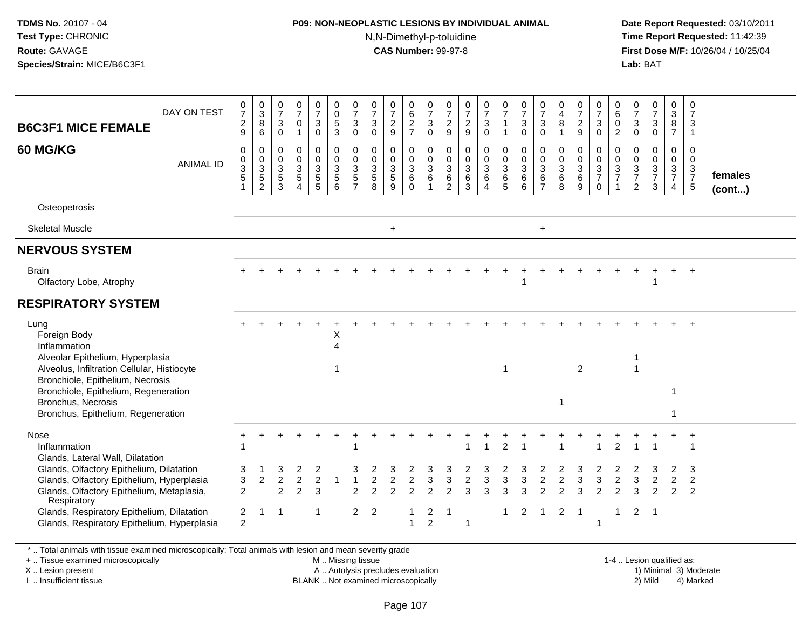# **P09: NON-NEOPLASTIC LESIONS BY INDIVIDUAL ANIMAL**

N,N-Dimethyl-p-toluidine

 **Date Report Requested:** 03/10/2011 **Time Report Requested:** 11:42:39 **First Dose M/F:** 10/26/04 / 10/25/04 Lab: BAT **Lab:** BAT

| <b>B6C3F1 MICE FEMALE</b>                                                                                                                         | DAY ON TEST      | $\frac{0}{7}$<br>$\frac{2}{9}$            | $_{3}^{\rm 0}$<br>8<br>$6\phantom{1}6$                                       | 0<br>$\overline{7}$<br>3<br>$\mathbf 0$       | 0<br>$\overline{7}$<br>0<br>$\overline{1}$                              | $\frac{0}{7}$<br>3<br>$\mathbf 0$                            | 0<br>$\pmb{0}$<br>$\,$ 5 $\,$<br>$\mathbf{3}$                  | $\frac{0}{7}$<br>$\mathbf{3}$<br>$\mathbf 0$                     | $\frac{0}{7}$<br>$\mathbf{3}$<br>$\mathbf 0$           | 0<br>$\overline{7}$<br>$\sqrt{2}$<br>9                        | 0<br>$6\phantom{a}$<br>$\overline{2}$<br>$\overline{7}$ | 0<br>$\overline{7}$<br>$\sqrt{3}$<br>$\mathbf 0$ | 0<br>$\overline{7}$<br>$\frac{2}{9}$       | 0<br>$\overline{7}$<br>$\overline{c}$<br>$9\,$ | $\frac{0}{7}$<br>3<br>$\mathbf 0$                   | $\frac{0}{7}$<br>$\overline{1}$<br>-1                  | 0<br>$\overline{7}$<br>$\mathbf{3}$<br>$\Omega$ | 0<br>$\overline{7}$<br>3<br>$\mathbf 0$                 | 0<br>$\overline{4}$<br>8                                                | $\frac{0}{7}$<br>$\overline{\mathbf{c}}$<br>9 | 0<br>$\overline{7}$<br>3<br>$\Omega$                                | 0<br>6<br>0<br>$\overline{2}$                                   | 0<br>$\mathbf{3}$<br>$\mathbf 0$                                 | $\frac{0}{7}$<br>$\sqrt{3}$<br>$\mathbf 0$                        | 0<br>$\ensuremath{\mathsf{3}}$<br>$\,8\,$<br>$\overline{7}$          | 0<br>$\overline{7}$<br>3<br>$\mathbf{1}$                       |                   |
|---------------------------------------------------------------------------------------------------------------------------------------------------|------------------|-------------------------------------------|------------------------------------------------------------------------------|-----------------------------------------------|-------------------------------------------------------------------------|--------------------------------------------------------------|----------------------------------------------------------------|------------------------------------------------------------------|--------------------------------------------------------|---------------------------------------------------------------|---------------------------------------------------------|--------------------------------------------------|--------------------------------------------|------------------------------------------------|-----------------------------------------------------|--------------------------------------------------------|-------------------------------------------------|---------------------------------------------------------|-------------------------------------------------------------------------|-----------------------------------------------|---------------------------------------------------------------------|-----------------------------------------------------------------|------------------------------------------------------------------|-------------------------------------------------------------------|----------------------------------------------------------------------|----------------------------------------------------------------|-------------------|
| <b>60 MG/KG</b>                                                                                                                                   | <b>ANIMAL ID</b> | $\mathbf 0$<br>0<br>$\frac{3}{5}$         | $\mathbf 0$<br>$\mathbf 0$<br>$\sqrt{3}$<br>$\overline{5}$<br>$\overline{2}$ | 0<br>0<br>$\mathbf{3}$<br>$\overline{5}$<br>3 | $\mathbf 0$<br>$\mathbf 0$<br>$\sqrt{3}$<br>$5\phantom{.0}$<br>$\Delta$ | 0<br>$\boldsymbol{0}$<br>$\mathbf{3}$<br>$\overline{5}$<br>5 | $\pmb{0}$<br>$\mathbf 0$<br>$\mathsf 3$<br>$\overline{5}$<br>6 | 0<br>$\pmb{0}$<br>$\sqrt{3}$<br>$\overline{5}$<br>$\overline{7}$ | 0<br>$\mathbf 0$<br>$\mathbf 3$<br>$\overline{5}$<br>8 | $\mathbf 0$<br>$\mathbf 0$<br>$\mathbf{3}$<br>$\sqrt{5}$<br>9 | 0<br>$\pmb{0}$<br>$\sqrt{3}$<br>$\,6\,$<br>$\Omega$     | 0<br>0<br>$\ensuremath{\mathsf{3}}$<br>6<br>1    | 0<br>$\mathbf 0$<br>$\mathbf{3}$<br>6<br>2 | 0<br>0<br>$\sqrt{3}$<br>$6\phantom{a}$<br>3    | 0<br>$\pmb{0}$<br>$\sqrt{3}$<br>$\,6\,$<br>$\Delta$ | 0<br>$\mathbf 0$<br>$\mathsf 3$<br>$6\phantom{1}$<br>5 | 0<br>$\pmb{0}$<br>$\mathbf{3}$<br>6<br>6        | $\mathbf 0$<br>0<br>$\mathbf{3}$<br>6<br>$\overline{7}$ | $\mathbf 0$<br>$\mathbf 0$<br>$\ensuremath{\mathsf{3}}$<br>$\,6\,$<br>8 | 0<br>0<br>3<br>6<br>9                         | 0<br>$\boldsymbol{0}$<br>$\mathbf{3}$<br>$\overline{7}$<br>$\Omega$ | 0<br>$\mathbf 0$<br>$\ensuremath{\mathsf{3}}$<br>$\overline{7}$ | $\mathbf 0$<br>$\mathbf 0$<br>$\mathsf 3$<br>$\overline{7}$<br>2 | $\mathbf 0$<br>$\mathbf 0$<br>$\mathbf{3}$<br>$\overline{7}$<br>3 | 0<br>$\mathbf 0$<br>$\mathbf{3}$<br>$\overline{7}$<br>$\overline{4}$ | $\mathbf 0$<br>$\mathbf 0$<br>$\frac{3}{7}$<br>$5\phantom{.0}$ | females<br>(cont) |
| Osteopetrosis                                                                                                                                     |                  |                                           |                                                                              |                                               |                                                                         |                                                              |                                                                |                                                                  |                                                        |                                                               |                                                         |                                                  |                                            |                                                |                                                     |                                                        |                                                 |                                                         |                                                                         |                                               |                                                                     |                                                                 |                                                                  |                                                                   |                                                                      |                                                                |                   |
| <b>Skeletal Muscle</b>                                                                                                                            |                  |                                           |                                                                              |                                               |                                                                         |                                                              |                                                                |                                                                  |                                                        | $\ddot{}$                                                     |                                                         |                                                  |                                            |                                                |                                                     |                                                        |                                                 | $\ddot{}$                                               |                                                                         |                                               |                                                                     |                                                                 |                                                                  |                                                                   |                                                                      |                                                                |                   |
| <b>NERVOUS SYSTEM</b>                                                                                                                             |                  |                                           |                                                                              |                                               |                                                                         |                                                              |                                                                |                                                                  |                                                        |                                                               |                                                         |                                                  |                                            |                                                |                                                     |                                                        |                                                 |                                                         |                                                                         |                                               |                                                                     |                                                                 |                                                                  |                                                                   |                                                                      |                                                                |                   |
| <b>Brain</b><br>Olfactory Lobe, Atrophy                                                                                                           |                  |                                           |                                                                              |                                               |                                                                         |                                                              |                                                                |                                                                  |                                                        |                                                               |                                                         |                                                  |                                            |                                                |                                                     |                                                        |                                                 |                                                         |                                                                         |                                               |                                                                     |                                                                 |                                                                  |                                                                   |                                                                      |                                                                |                   |
| <b>RESPIRATORY SYSTEM</b>                                                                                                                         |                  |                                           |                                                                              |                                               |                                                                         |                                                              |                                                                |                                                                  |                                                        |                                                               |                                                         |                                                  |                                            |                                                |                                                     |                                                        |                                                 |                                                         |                                                                         |                                               |                                                                     |                                                                 |                                                                  |                                                                   |                                                                      |                                                                |                   |
| Lung<br>Foreign Body<br>Inflammation<br>Alveolar Epithelium, Hyperplasia<br>Alveolus, Infiltration Cellular, Histiocyte                           |                  |                                           |                                                                              |                                               |                                                                         |                                                              | Х<br>4                                                         |                                                                  |                                                        |                                                               |                                                         |                                                  |                                            |                                                |                                                     | -1                                                     |                                                 |                                                         |                                                                         | $\overline{2}$                                |                                                                     |                                                                 |                                                                  |                                                                   |                                                                      |                                                                |                   |
| Bronchiole, Epithelium, Necrosis<br>Bronchiole, Epithelium, Regeneration<br>Bronchus, Necrosis<br>Bronchus, Epithelium, Regeneration              |                  |                                           |                                                                              |                                               |                                                                         |                                                              |                                                                |                                                                  |                                                        |                                                               |                                                         |                                                  |                                            |                                                |                                                     |                                                        |                                                 |                                                         | 1                                                                       |                                               |                                                                     |                                                                 |                                                                  |                                                                   | 1<br>1                                                               |                                                                |                   |
| Nose<br>Inflammation<br>Glands, Lateral Wall, Dilatation                                                                                          |                  |                                           |                                                                              |                                               |                                                                         |                                                              |                                                                |                                                                  |                                                        |                                                               |                                                         |                                                  |                                            |                                                |                                                     | $\overline{c}$                                         |                                                 |                                                         |                                                                         |                                               |                                                                     | 2                                                               |                                                                  |                                                                   |                                                                      |                                                                |                   |
| Glands, Olfactory Epithelium, Dilatation<br>Glands, Olfactory Epithelium, Hyperplasia<br>Glands, Olfactory Epithelium, Metaplasia,<br>Respiratory |                  | 3<br>3<br>$\overline{2}$                  | 2                                                                            | 3<br>2<br>2                                   | 2<br>2                                                                  | 2<br>$\overline{2}$<br>3                                     |                                                                | 3                                                                | 2                                                      | $\overline{c}$                                                | $\overline{c}$<br>っ                                     | 3                                                | 3<br>າ                                     | $\overline{c}$<br>٩                            | 3<br>3                                              | 3<br>3                                                 | 3                                               | $\overline{c}$                                          | 2                                                                       | 3<br>3                                        | 3<br>っ                                                              | $\overline{c}$                                                  | 3<br>З                                                           | 2                                                                 | $\overline{c}$<br>$\mathcal{P}$                                      | 3<br>$\overline{2}$<br>$\overline{2}$                          |                   |
| Glands, Respiratory Epithelium, Dilatation<br>Glands, Respiratory Epithelium, Hyperplasia                                                         |                  | $\overline{\mathbf{c}}$<br>$\overline{2}$ | -1                                                                           | -1                                            |                                                                         | -1                                                           |                                                                | 2                                                                | $\overline{2}$                                         |                                                               | 1                                                       | 2<br>$\overline{2}$                              | -1                                         |                                                |                                                     |                                                        | $\overline{2}$                                  | -1                                                      | 2                                                                       | -1                                            |                                                                     | 1                                                               | $\overline{2}$                                                   | $\overline{\mathbf{1}}$                                           |                                                                      |                                                                |                   |

\* .. Total animals with tissue examined microscopically; Total animals with lesion and mean severity grade

+ .. Tissue examined microscopically

X .. Lesion present

I .. Insufficient tissue

M .. Missing tissue

A .. Autolysis precludes evaluation

1-4 .. Lesion qualified as:<br>1) Minimal 3) Moderate BLANK .. Not examined microscopically 2) Mild 4) Marked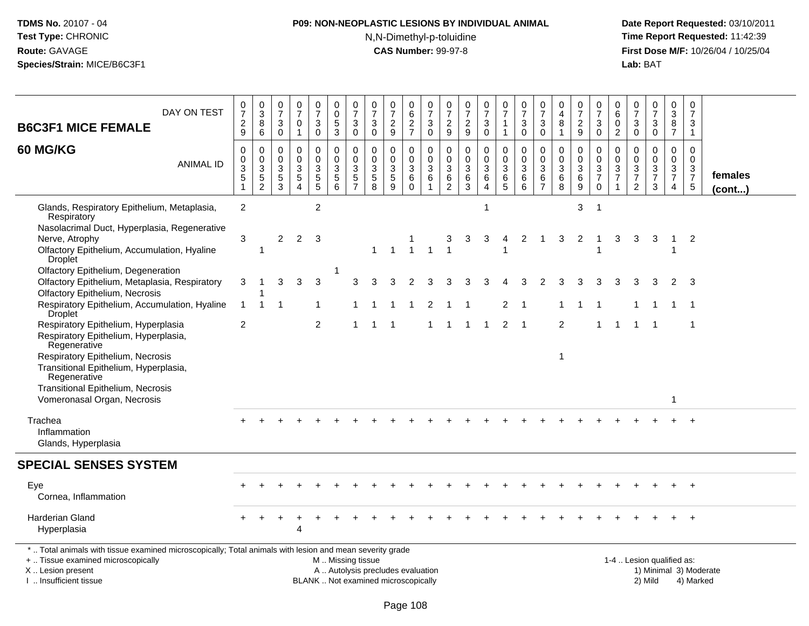# **P09: NON-NEOPLASTIC LESIONS BY INDIVIDUAL ANIMAL**N,N-Dimethyl-p-toluidine

 **Date Report Requested:** 03/10/2011 **Time Report Requested:** 11:42:39 **First Dose M/F:** 10/26/04 / 10/25/04<br>**Lab:** BAT **Lab:** BAT

| DAY ON TEST<br><b>B6C3F1 MICE FEMALE</b>                                                                                                                                                 | 0<br>$\overline{7}$<br>$\frac{2}{9}$                              | $\mathbf 0$<br>$\sqrt{3}$<br>8<br>6         | 0<br>$\overline{7}$<br>3<br>$\mathbf 0$   | 0<br>$\overline{7}$<br>$\mathbf 0$<br>$\mathbf{1}$ | $\frac{0}{7}$<br>3<br>$\mathbf 0$            | 0<br>0<br>5<br>$\mathbf{3}$                                       | $\frac{0}{7}$<br>3<br>0                                                        | 0<br>$\overline{7}$<br>3<br>$\mathbf 0$                 | 0<br>$\overline{7}$<br>$\frac{2}{9}$                            | 0<br>$\,6\,$<br>$\boldsymbol{2}$<br>$\overline{7}$ | 0<br>$\overline{7}$<br>3<br>$\mathbf 0$       | 0<br>$\overline{7}$<br>$\frac{2}{9}$      | 0<br>$\overline{7}$<br>$\overline{c}$<br>$\boldsymbol{9}$ | $\frac{0}{7}$<br>3<br>$\mathbf 0$                                 | 0<br>$\overline{7}$<br>$\mathbf{1}$<br>$\mathbf{1}$ | 0<br>$\overline{7}$<br>$\sqrt{3}$<br>$\mathbf 0$           | 0<br>$\overline{7}$<br>3<br>$\mathbf 0$              | 0<br>4<br>8<br>$\mathbf{1}$                       | 0<br>$\overline{7}$<br>$\overline{c}$<br>9 | 0<br>$\overline{7}$<br>3<br>0                    | 0<br>$\,6\,$<br>0<br>$\overline{2}$                            | 0<br>$\overline{7}$<br>$\mathbf{3}$<br>0               | $\frac{0}{7}$<br>$\sqrt{3}$<br>$\mathbf 0$       | 0<br>3<br>8<br>$\overline{7}$                | 0<br>$\overline{7}$<br>3<br>$\mathbf{1}$               |                         |
|------------------------------------------------------------------------------------------------------------------------------------------------------------------------------------------|-------------------------------------------------------------------|---------------------------------------------|-------------------------------------------|----------------------------------------------------|----------------------------------------------|-------------------------------------------------------------------|--------------------------------------------------------------------------------|---------------------------------------------------------|-----------------------------------------------------------------|----------------------------------------------------|-----------------------------------------------|-------------------------------------------|-----------------------------------------------------------|-------------------------------------------------------------------|-----------------------------------------------------|------------------------------------------------------------|------------------------------------------------------|---------------------------------------------------|--------------------------------------------|--------------------------------------------------|----------------------------------------------------------------|--------------------------------------------------------|--------------------------------------------------|----------------------------------------------|--------------------------------------------------------|-------------------------|
| <b>60 MG/KG</b><br><b>ANIMAL ID</b>                                                                                                                                                      | 0<br>$\mathbf 0$<br>$\mathbf{3}$<br>$\overline{5}$<br>$\mathbf 1$ | $\mathbf 0$<br>$\mathbf 0$<br>$\frac{3}{2}$ | 0<br>$\Omega$<br>3<br>$\overline{5}$<br>3 | $\Omega$<br>$\Omega$<br>3<br>$\sqrt{5}$<br>Δ       | 0<br>$\mathbf 0$<br>3<br>$\overline{5}$<br>5 | $\mathbf 0$<br>$\mathbf 0$<br>$\mathbf{3}$<br>$\overline{5}$<br>6 | $\mathbf 0$<br>$\mathbf 0$<br>$\mathbf{3}$<br>$\overline{5}$<br>$\overline{7}$ | $\mathbf 0$<br>$\mathbf{0}$<br>3<br>$\overline{5}$<br>8 | $\Omega$<br>$\mathbf{0}$<br>$\mathbf{3}$<br>$\overline{5}$<br>9 | 0<br>$\mathbf 0$<br>3<br>$\,6$<br>$\mathbf 0$      | $\Omega$<br>$\Omega$<br>$\sqrt{3}$<br>6<br>-1 | 0<br>$\Omega$<br>3<br>6<br>$\overline{2}$ | $\Omega$<br>$\Omega$<br>3<br>6<br>3                       | $\mathbf 0$<br>$\mathbf 0$<br>$\mathbf{3}$<br>6<br>$\overline{4}$ | 0<br>$\mathbf 0$<br>3<br>6<br>5                     | $\mathbf 0$<br>$\mathbf 0$<br>$\mathbf{3}$<br>$\,6\,$<br>6 | $\Omega$<br>$\mathbf{0}$<br>3<br>6<br>$\overline{7}$ | $\Omega$<br>$\Omega$<br>3<br>$6\phantom{1}6$<br>8 | 0<br>$\mathbf 0$<br>3<br>6<br>9            | 0<br>$\mathbf 0$<br>$\frac{3}{7}$<br>$\mathbf 0$ | $\mathbf 0$<br>$\Omega$<br>$\mathbf{3}$<br>$\overline{7}$<br>1 | 0<br>$\Omega$<br>3<br>$\overline{7}$<br>$\overline{2}$ | $\mathbf 0$<br>$\mathbf 0$<br>$\frac{3}{7}$<br>3 | 0<br>$\mathbf 0$<br>3<br>$\overline{7}$<br>4 | $\Omega$<br>$\mathbf 0$<br>$\frac{3}{7}$<br>$\sqrt{5}$ | females<br>$($ cont $)$ |
| Glands, Respiratory Epithelium, Metaplasia,<br>Respiratory                                                                                                                               | 2                                                                 |                                             |                                           |                                                    | $\overline{c}$                               |                                                                   |                                                                                |                                                         |                                                                 |                                                    |                                               |                                           |                                                           | 1                                                                 |                                                     |                                                            |                                                      |                                                   | 3                                          | $\overline{1}$                                   |                                                                |                                                        |                                                  |                                              |                                                        |                         |
| Nasolacrimal Duct, Hyperplasia, Regenerative<br>Nerve, Atrophy<br>Olfactory Epithelium, Accumulation, Hyaline<br>Droplet                                                                 | 3                                                                 | -1                                          | $\overline{2}$                            | $\overline{2}$                                     | -3                                           |                                                                   |                                                                                | 1                                                       | $\overline{1}$                                                  | $\mathbf{1}$                                       | $\overline{1}$                                | 3<br>$\mathbf{1}$                         | 3                                                         | 3                                                                 | 4                                                   | 2                                                          | $\overline{1}$                                       | 3                                                 | $\overline{2}$                             |                                                  | 3                                                              | 3                                                      | 3                                                | $\overline{1}$                               | $\overline{2}$                                         |                         |
| Olfactory Epithelium, Degeneration<br>Olfactory Epithelium, Metaplasia, Respiratory<br>Olfactory Epithelium, Necrosis                                                                    | 3                                                                 |                                             | 3                                         | 3                                                  | 3                                            |                                                                   | 3                                                                              |                                                         |                                                                 |                                                    |                                               |                                           |                                                           |                                                                   |                                                     |                                                            |                                                      |                                                   | З                                          |                                                  |                                                                | 3                                                      |                                                  | 2                                            | 3                                                      |                         |
| Respiratory Epithelium, Accumulation, Hyaline<br>Droplet                                                                                                                                 | $\mathbf{1}$                                                      | -1                                          | 1                                         |                                                    | 1                                            |                                                                   |                                                                                |                                                         |                                                                 |                                                    |                                               |                                           |                                                           |                                                                   | $\overline{2}$                                      | $\overline{\mathbf{1}}$                                    |                                                      |                                                   |                                            |                                                  |                                                                |                                                        |                                                  | -1                                           | -1                                                     |                         |
| Respiratory Epithelium, Hyperplasia<br>Respiratory Epithelium, Hyperplasia,<br>Regenerative<br>Respiratory Epithelium, Necrosis<br>Transitional Epithelium, Hyperplasia,<br>Regenerative | 2                                                                 |                                             |                                           |                                                    | 2                                            |                                                                   |                                                                                |                                                         | - 1                                                             |                                                    |                                               | 1                                         |                                                           | -1                                                                | $\overline{2}$                                      | $\overline{1}$                                             |                                                      | $\overline{2}$<br>$\mathbf{1}$                    |                                            |                                                  | -1                                                             |                                                        |                                                  |                                              | -1                                                     |                         |
| Transitional Epithelium, Necrosis<br>Vomeronasal Organ, Necrosis                                                                                                                         |                                                                   |                                             |                                           |                                                    |                                              |                                                                   |                                                                                |                                                         |                                                                 |                                                    |                                               |                                           |                                                           |                                                                   |                                                     |                                                            |                                                      |                                                   |                                            |                                                  |                                                                |                                                        |                                                  | 1                                            |                                                        |                         |
| Trachea<br>Inflammation<br>Glands, Hyperplasia                                                                                                                                           |                                                                   |                                             |                                           |                                                    |                                              |                                                                   |                                                                                |                                                         |                                                                 |                                                    |                                               |                                           |                                                           |                                                                   |                                                     |                                                            |                                                      |                                                   |                                            |                                                  |                                                                |                                                        |                                                  |                                              |                                                        |                         |
| <b>SPECIAL SENSES SYSTEM</b>                                                                                                                                                             |                                                                   |                                             |                                           |                                                    |                                              |                                                                   |                                                                                |                                                         |                                                                 |                                                    |                                               |                                           |                                                           |                                                                   |                                                     |                                                            |                                                      |                                                   |                                            |                                                  |                                                                |                                                        |                                                  |                                              |                                                        |                         |
| Eye<br>Cornea, Inflammation                                                                                                                                                              |                                                                   |                                             |                                           |                                                    |                                              |                                                                   |                                                                                |                                                         |                                                                 |                                                    |                                               |                                           |                                                           |                                                                   |                                                     |                                                            |                                                      |                                                   |                                            |                                                  |                                                                |                                                        |                                                  |                                              |                                                        |                         |
| <b>Harderian Gland</b><br>Hyperplasia                                                                                                                                                    |                                                                   |                                             |                                           | 4                                                  |                                              |                                                                   |                                                                                |                                                         |                                                                 |                                                    |                                               |                                           |                                                           |                                                                   |                                                     |                                                            |                                                      |                                                   |                                            |                                                  |                                                                |                                                        |                                                  |                                              |                                                        |                         |
| *  Total animals with tissue examined microscopically; Total animals with lesion and mean severity grade<br>+  Tissue examined microscopically<br>X  Lesion present                      |                                                                   |                                             |                                           |                                                    |                                              | M. Missing tissue<br>A  Autolysis precludes evaluation            |                                                                                |                                                         |                                                                 |                                                    |                                               |                                           |                                                           |                                                                   |                                                     |                                                            |                                                      |                                                   |                                            |                                                  |                                                                |                                                        | 1-4  Lesion qualified as:                        |                                              |                                                        | 1) Minimal 3) Moderate  |

I .. Insufficient tissue

BLANK .. Not examined microscopically 2) Mild 4) Marked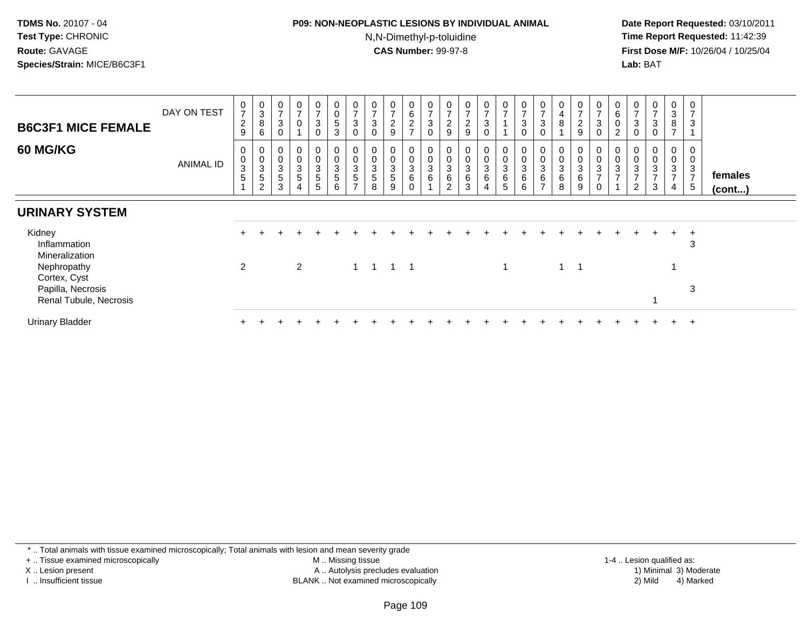#### **P09: NON-NEOPLASTIC LESIONS BY INDIVIDUAL ANIMAL**N,N-Dimethyl-p-toluidine

 **Date Report Requested:** 03/10/2011 **Time Report Requested:** 11:42:39 **First Dose M/F:** 10/26/04 / 10/25/04 Lab: BAT **Lab:** BAT

| <b>B6C3F1 MICE FEMALE</b>                   | DAY ON TEST      | $\begin{smallmatrix}0\\7\end{smallmatrix}$<br>$\frac{2}{9}$ | $\pmb{0}$<br>$\mathbf{3}$<br>8<br>$\,6\,$ | 0<br>$\overline{ }$<br>3                          | $\mathbf 0$<br>$\overline{ }$<br>$\mathbf 0$                                 | $\frac{0}{7}$<br>$\mathbf{3}$<br>$\Omega$      | $\mathbf 0$<br>$\pmb{0}$<br>$\overline{5}$<br>3       | $\mathbf 0$<br>$\overline{ }$<br>3<br>$\Omega$                   | $\begin{array}{c} 0 \\ 7 \end{array}$<br>$\sqrt{3}$ | 0<br>$\overline{ }$<br>$\overline{c}$<br>9       | 0<br>6<br>$\overline{c}$<br>$\rightarrow$ | $\begin{array}{c} 0 \\ 7 \end{array}$<br>$\sqrt{3}$<br>$\Omega$ | $\frac{0}{7}$<br>$\frac{2}{9}$                        | $\mathbf 0$<br>$\overline{7}$<br>$\boldsymbol{2}$<br>9 | 0<br>$\overline{ }$<br>3<br>0 | $\frac{0}{7}$                                    | $\mathbf 0$<br>$\overline{ }$<br>$\sqrt{3}$<br>0 | $\frac{0}{7}$<br>$\sqrt{3}$<br>$\mathbf 0$         | 0<br>$\overline{4}$<br>$\, 8$       | $\frac{0}{7}$<br>$\overline{c}$<br>$\boldsymbol{9}$ | $\mathbf 0$<br>$\overline{7}$<br>3                                     | $\boldsymbol{0}$<br>6<br>0<br>$\overline{c}$                    | $\pmb{0}$<br>$\overline{7}$<br>$\ensuremath{\mathsf{3}}$<br>0                | 0<br>$\overline{ }$<br>$\mathsf 3$<br>$\mathbf 0$ | $_{3}^{\rm 0}$<br>8<br>$\overline{ }$                              | 0<br>$\overline{7}$<br>3<br>1                                    |                         |
|---------------------------------------------|------------------|-------------------------------------------------------------|-------------------------------------------|---------------------------------------------------|------------------------------------------------------------------------------|------------------------------------------------|-------------------------------------------------------|------------------------------------------------------------------|-----------------------------------------------------|--------------------------------------------------|-------------------------------------------|-----------------------------------------------------------------|-------------------------------------------------------|--------------------------------------------------------|-------------------------------|--------------------------------------------------|--------------------------------------------------|----------------------------------------------------|-------------------------------------|-----------------------------------------------------|------------------------------------------------------------------------|-----------------------------------------------------------------|------------------------------------------------------------------------------|---------------------------------------------------|--------------------------------------------------------------------|------------------------------------------------------------------|-------------------------|
| <b>60 MG/KG</b>                             | <b>ANIMAL ID</b> | 0<br>$\pmb{0}$<br>$\sqrt{3}$<br>5                           | 0<br>$\frac{0}{3}$<br>$\,$ 5 $\,$<br>2    | U<br>$\pmb{0}$<br>$\mathbf{3}$<br>$\sqrt{5}$<br>3 | $\boldsymbol{0}$<br>$\pmb{0}$<br>$\mathsf 3$<br>$\sqrt{5}$<br>$\overline{4}$ | 0<br>0<br>$\mathbf{3}$<br>$5\phantom{.0}$<br>5 | $\boldsymbol{0}$<br>$\pmb{0}$<br>$\sqrt{3}$<br>5<br>6 | $\boldsymbol{0}$<br>$\mathbf{3}$<br>$\sqrt{5}$<br>$\overline{ }$ | 3<br>5<br>8                                         | $\mathsf 0$<br>$\sqrt{3}$<br>$\overline{5}$<br>9 | 0<br>3<br>6<br>0                          | $\,0\,$<br>$\mathbf{3}$<br>$\,6\,$                              | 0<br>$\pmb{0}$<br>$\ensuremath{\mathsf{3}}$<br>6<br>2 | $\pmb{0}$<br>$\ensuremath{\mathsf{3}}$<br>$\,6$<br>3   | 0<br>3<br>6                   | $\pmb{0}$<br>$\ensuremath{\mathsf{3}}$<br>6<br>5 | $\pmb{0}$<br>$\sqrt{3}$<br>$\,6$<br>6            | $\pmb{0}$<br>$\sqrt{3}$<br>$\,6$<br>$\overline{ }$ | $\ensuremath{\mathsf{3}}$<br>6<br>8 | 0<br>$\mathbf 0$<br>3<br>6<br>9                     | $\mathbf 0$<br>$\ensuremath{\mathsf{3}}$<br>$\overline{7}$<br>$\Omega$ | $\boldsymbol{0}$<br>$\ensuremath{\mathsf{3}}$<br>$\overline{ }$ | $\mathbf 0$<br>$\ensuremath{\mathsf{3}}$<br>$\overline{ }$<br>$\overline{c}$ | 0<br>0<br>$\sqrt{3}$<br>$\overline{ }$<br>3       | 0<br>$\pmb{0}$<br>$\ensuremath{\mathsf{3}}$<br>$\overline{ }$<br>4 | 0<br>$\mathbf 0$<br>$\mathbf{3}$<br>$\overline{7}$<br>$\sqrt{5}$ | females<br>$($ cont $)$ |
| <b>URINARY SYSTEM</b>                       |                  |                                                             |                                           |                                                   |                                                                              |                                                |                                                       |                                                                  |                                                     |                                                  |                                           |                                                                 |                                                       |                                                        |                               |                                                  |                                                  |                                                    |                                     |                                                     |                                                                        |                                                                 |                                                                              |                                                   |                                                                    |                                                                  |                         |
| Kidney<br>Inflammation<br>Mineralization    |                  |                                                             |                                           |                                                   |                                                                              |                                                |                                                       |                                                                  |                                                     |                                                  |                                           |                                                                 |                                                       |                                                        |                               |                                                  |                                                  |                                                    |                                     |                                                     |                                                                        |                                                                 |                                                                              |                                                   | $\pm$                                                              | $+$<br>3                                                         |                         |
| Nephropathy<br>Cortex, Cyst                 |                  | 2                                                           |                                           |                                                   | $\overline{2}$                                                               |                                                |                                                       |                                                                  | $1 \quad 1 \quad 1$                                 |                                                  | $\overline{\phantom{0}}$ 1                |                                                                 |                                                       |                                                        |                               |                                                  |                                                  |                                                    | $\overline{1}$                      | -1                                                  |                                                                        |                                                                 |                                                                              |                                                   |                                                                    |                                                                  |                         |
| Papilla, Necrosis<br>Renal Tubule, Necrosis |                  |                                                             |                                           |                                                   |                                                                              |                                                |                                                       |                                                                  |                                                     |                                                  |                                           |                                                                 |                                                       |                                                        |                               |                                                  |                                                  |                                                    |                                     |                                                     |                                                                        |                                                                 |                                                                              |                                                   |                                                                    | 3                                                                |                         |
| <b>Urinary Bladder</b>                      |                  |                                                             |                                           |                                                   |                                                                              |                                                |                                                       |                                                                  |                                                     |                                                  |                                           |                                                                 |                                                       |                                                        |                               |                                                  |                                                  |                                                    |                                     |                                                     |                                                                        |                                                                 |                                                                              |                                                   | +                                                                  | $+$                                                              |                         |

\* .. Total animals with tissue examined microscopically; Total animals with lesion and mean severity grade

+ .. Tissue examined microscopically

X .. Lesion present

I .. Insufficient tissue

 M .. Missing tissueA .. Autolysis precludes evaluation

1-4 .. Lesion qualified as:<br>1) Minimal 3) Moderate BLANK .. Not examined microscopically 2) Mild 4) Marked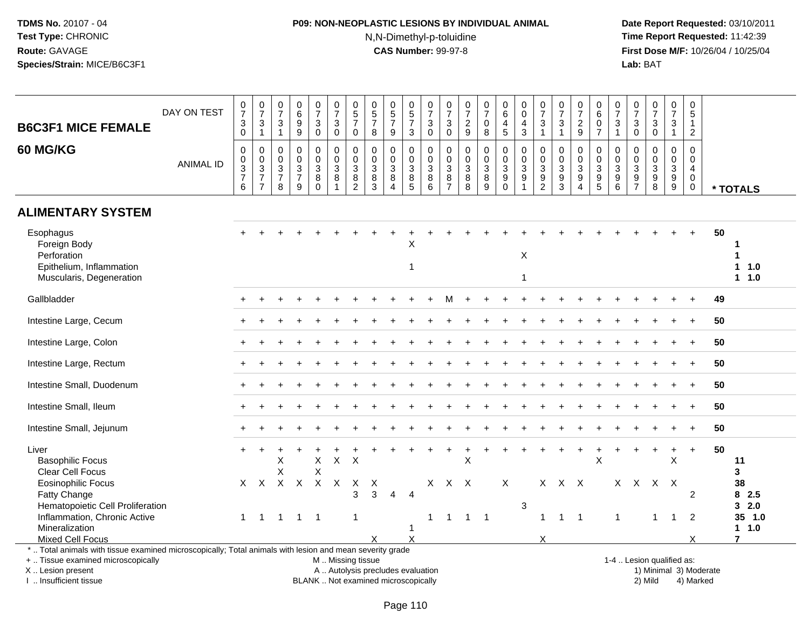# **P09: NON-NEOPLASTIC LESIONS BY INDIVIDUAL ANIMAL**N,N-Dimethyl-p-toluidine

 **Date Report Requested:** 03/10/2011 **Time Report Requested:** 11:42:39 **First Dose M/F:** 10/26/04 / 10/25/04<br>Lab: BAT **Lab:** BAT

| <b>B6C3F1 MICE FEMALE</b>                                                                                                                                                               | DAY ON TEST      | $\frac{0}{7}$<br>$\mathbf{3}$<br>$\Omega$        | $\frac{0}{7}$<br>3<br>$\overline{1}$                     | $\frac{0}{7}$<br>$\sqrt{3}$<br>$\overline{1}$                    | 0<br>$\,6\,$<br>$\boldsymbol{9}$<br>9                   | $\frac{0}{7}$<br>$\mathbf{3}$<br>$\mathbf 0$                 | $\frac{0}{7}$<br>3<br>$\Omega$ | $\begin{array}{c} 0 \\ 5 \end{array}$<br>$\overline{7}$<br>$\mathbf 0$ | $\begin{array}{c} 0 \\ 5 \\ 7 \end{array}$<br>8           | $\begin{array}{c} 0 \\ 5 \\ 7 \end{array}$<br>9                                 | $\begin{array}{c} 0 \\ 5 \\ 7 \end{array}$<br>$\mathbf{3}$     | 0<br>$\overline{7}$<br>3<br>$\mathbf{0}$                   | $\frac{0}{7}$<br>$\mathbf{3}$<br>$\mathbf{0}$                                         | $\frac{0}{7}$<br>$\frac{2}{9}$                                  | $\frac{0}{7}$<br>$\mathbf 0$<br>8                                   | 0<br>6<br>4<br>5                                     | 0<br>$\mathbf 0$<br>$\overline{4}$<br>$\mathbf{3}$                        | $\frac{0}{7}$<br>3<br>$\mathbf{1}$                                               | $\frac{0}{7}$<br>$\mathbf{3}$<br>$\mathbf{1}$   | 0<br>$\overline{7}$<br>$\frac{2}{9}$                                         | 0<br>$\,6\,$<br>$\frac{0}{7}$               | $\frac{0}{7}$<br>$\mathbf{3}$<br>$\overline{1}$           | $\frac{0}{7}$<br>$\mathbf{3}$<br>$\mathbf 0$                           | $\frac{0}{7}$<br>$\mathbf{3}$<br>$\mathbf 0$            | 0<br>$\overline{7}$<br>3<br>1                             | 0<br>5<br>$\mathbf{1}$<br>$\overline{2}$                                |                        |                                                  |
|-----------------------------------------------------------------------------------------------------------------------------------------------------------------------------------------|------------------|--------------------------------------------------|----------------------------------------------------------|------------------------------------------------------------------|---------------------------------------------------------|--------------------------------------------------------------|--------------------------------|------------------------------------------------------------------------|-----------------------------------------------------------|---------------------------------------------------------------------------------|----------------------------------------------------------------|------------------------------------------------------------|---------------------------------------------------------------------------------------|-----------------------------------------------------------------|---------------------------------------------------------------------|------------------------------------------------------|---------------------------------------------------------------------------|----------------------------------------------------------------------------------|-------------------------------------------------|------------------------------------------------------------------------------|---------------------------------------------|-----------------------------------------------------------|------------------------------------------------------------------------|---------------------------------------------------------|-----------------------------------------------------------|-------------------------------------------------------------------------|------------------------|--------------------------------------------------|
| 60 MG/KG                                                                                                                                                                                | <b>ANIMAL ID</b> | $\mathbf 0$<br>$\mathbf 0$<br>$\frac{3}{7}$<br>6 | 0<br>0<br>$\sqrt{3}$<br>$\overline{7}$<br>$\overline{7}$ | $\mathbf 0$<br>$\mathbf 0$<br>$\mathsf 3$<br>$\overline{7}$<br>8 | $\mathbf 0$<br>0<br>$\mathbf{3}$<br>$\overline{7}$<br>9 | $\pmb{0}$<br>$_{3}^{\rm 0}$<br>$\overline{8}$<br>$\mathbf 0$ | $\mathbf 0$<br>0<br>3<br>8     | $\mathbf 0$<br>0<br>$\mathbf{3}$<br>$\overline{8}$<br>$\overline{2}$   | $\mathbf 0$<br>0<br>$\overline{3}$<br>$\overline{8}$<br>3 | $\mathbf{0}$<br>$\mathbf 0$<br>$\mathbf{3}$<br>$\overline{8}$<br>$\overline{4}$ | $\mathbf 0$<br>$\mathbf 0$<br>$\overline{3}$<br>$\overline{5}$ | $\mathbf 0$<br>$\mathbf 0$<br>$\mathbf{3}$<br>$\,8\,$<br>6 | $\boldsymbol{0}$<br>$\mathbf 0$<br>$\overline{3}$<br>$\overline{8}$<br>$\overline{7}$ | 0<br>$\mathbf 0$<br>$\overline{3}$<br>$\overline{8}$<br>$\,8\,$ | $\mathbf 0$<br>$\mathbf 0$<br>$\overline{3}$<br>$\overline{8}$<br>9 | $\mathbf 0$<br>$_{3}^{\rm 0}$<br>$\overline{9}$<br>0 | $\Omega$<br>$\mathbf 0$<br>$\sqrt{3}$<br>$\overline{9}$<br>$\overline{1}$ | $\mathbf 0$<br>$\mathbf 0$<br>$\overline{3}$<br>$\overline{9}$<br>$\overline{2}$ | 0<br>0<br>$\overline{3}$<br>$\overline{9}$<br>3 | $\mathbf 0$<br>$\mathbf 0$<br>$\sqrt{3}$<br>$\overline{9}$<br>$\overline{4}$ | $\mathbf 0$<br>$\mathbf 0$<br>$\frac{3}{9}$ | $\mathbf 0$<br>0<br>$\mathbf{3}$<br>$\boldsymbol{9}$<br>6 | 0<br>$\mathbf 0$<br>$\overline{3}$<br>$\overline{9}$<br>$\overline{7}$ | $\mathbf 0$<br>$\mathbf 0$<br>$\mathbf 3$<br>$9\,$<br>8 | 0<br>$\mathbf 0$<br>$\mathbf{3}$<br>$\boldsymbol{9}$<br>9 | $\Omega$<br>$\Omega$<br>$\overline{4}$<br>$\mathbf 0$<br>$\overline{0}$ |                        | * TOTALS                                         |
| <b>ALIMENTARY SYSTEM</b>                                                                                                                                                                |                  |                                                  |                                                          |                                                                  |                                                         |                                                              |                                |                                                                        |                                                           |                                                                                 |                                                                |                                                            |                                                                                       |                                                                 |                                                                     |                                                      |                                                                           |                                                                                  |                                                 |                                                                              |                                             |                                                           |                                                                        |                                                         |                                                           |                                                                         |                        |                                                  |
| Esophagus<br>Foreign Body<br>Perforation<br>Epithelium, Inflammation<br>Muscularis, Degeneration                                                                                        |                  |                                                  |                                                          |                                                                  |                                                         |                                                              |                                |                                                                        |                                                           |                                                                                 | х<br>$\overline{1}$                                            |                                                            |                                                                                       |                                                                 |                                                                     |                                                      | $\boldsymbol{\mathsf{X}}$<br>$\mathbf{1}$                                 |                                                                                  |                                                 |                                                                              |                                             |                                                           |                                                                        |                                                         |                                                           |                                                                         | 50                     | $\mathbf 1$<br>1<br>11.0<br>1 1.0                |
| Gallbladder                                                                                                                                                                             |                  |                                                  |                                                          |                                                                  |                                                         |                                                              |                                |                                                                        |                                                           |                                                                                 |                                                                |                                                            | м                                                                                     |                                                                 |                                                                     |                                                      |                                                                           |                                                                                  |                                                 |                                                                              |                                             |                                                           |                                                                        |                                                         |                                                           |                                                                         | 49                     |                                                  |
| Intestine Large, Cecum                                                                                                                                                                  |                  |                                                  |                                                          |                                                                  |                                                         |                                                              |                                |                                                                        |                                                           |                                                                                 |                                                                |                                                            |                                                                                       |                                                                 |                                                                     |                                                      |                                                                           |                                                                                  |                                                 |                                                                              |                                             |                                                           |                                                                        |                                                         |                                                           |                                                                         | 50                     |                                                  |
| Intestine Large, Colon                                                                                                                                                                  |                  |                                                  |                                                          |                                                                  |                                                         |                                                              |                                |                                                                        |                                                           |                                                                                 |                                                                |                                                            |                                                                                       |                                                                 |                                                                     |                                                      |                                                                           |                                                                                  |                                                 |                                                                              |                                             |                                                           |                                                                        |                                                         |                                                           |                                                                         | 50                     |                                                  |
| Intestine Large, Rectum                                                                                                                                                                 |                  |                                                  |                                                          |                                                                  |                                                         |                                                              |                                |                                                                        |                                                           |                                                                                 |                                                                |                                                            |                                                                                       |                                                                 |                                                                     |                                                      |                                                                           |                                                                                  |                                                 |                                                                              |                                             |                                                           |                                                                        |                                                         |                                                           |                                                                         | 50                     |                                                  |
| Intestine Small, Duodenum                                                                                                                                                               |                  |                                                  |                                                          |                                                                  |                                                         |                                                              |                                |                                                                        |                                                           |                                                                                 |                                                                |                                                            |                                                                                       |                                                                 |                                                                     |                                                      |                                                                           |                                                                                  |                                                 |                                                                              |                                             |                                                           |                                                                        |                                                         |                                                           |                                                                         | 50                     |                                                  |
| Intestine Small, Ileum                                                                                                                                                                  |                  |                                                  |                                                          |                                                                  |                                                         |                                                              |                                |                                                                        |                                                           |                                                                                 |                                                                |                                                            |                                                                                       |                                                                 |                                                                     |                                                      |                                                                           |                                                                                  |                                                 |                                                                              |                                             |                                                           |                                                                        |                                                         |                                                           |                                                                         | 50                     |                                                  |
| Intestine Small, Jejunum                                                                                                                                                                |                  |                                                  |                                                          |                                                                  |                                                         |                                                              |                                |                                                                        |                                                           |                                                                                 |                                                                |                                                            |                                                                                       |                                                                 |                                                                     |                                                      |                                                                           |                                                                                  |                                                 |                                                                              |                                             |                                                           |                                                                        |                                                         |                                                           |                                                                         | 50                     |                                                  |
| Liver<br><b>Basophilic Focus</b><br>Clear Cell Focus<br><b>Eosinophilic Focus</b><br>Fatty Change<br>Hematopoietic Cell Proliferation<br>Inflammation, Chronic Active<br>Mineralization |                  | X.<br>$\mathbf{1}$                               | $\mathsf{X}$<br>$\overline{1}$                           | X<br>X<br>$\overline{1}$                                         | $X$ $X$<br>$1 \quad 1$                                  | $\mathsf X$<br>X<br>$\mathsf{X}$                             | $\mathsf X$<br>$\mathsf{X}$    | X<br>X<br>3<br>$\mathbf{1}$                                            | Χ<br>3                                                    | 4                                                                               | $\overline{4}$<br>1                                            | X<br>1                                                     | $\overline{1}$                                                                        | X<br>X X<br>$\overline{1}$                                      | $\overline{\phantom{0}}$                                            | X                                                    | 3                                                                         | $\mathbf{1}$                                                                     | X X X<br>$\overline{1}$                         | $\overline{1}$                                                               | X                                           | $\overline{1}$                                            | X X X                                                                  | 1                                                       | $\div$<br>X<br>$\mathsf{X}$<br>$\mathbf{1}$               | $\ddot{}$<br>$\overline{2}$<br>2                                        | 50                     | 11<br>3<br>38<br>82.5<br>32.0<br>35 1.0<br>1 1.0 |
| Mixed Cell Focus                                                                                                                                                                        |                  |                                                  |                                                          |                                                                  |                                                         |                                                              |                                |                                                                        | X                                                         |                                                                                 | $\boldsymbol{\mathsf{X}}$                                      |                                                            |                                                                                       |                                                                 |                                                                     |                                                      |                                                                           | X                                                                                |                                                 |                                                                              |                                             |                                                           |                                                                        |                                                         |                                                           | X                                                                       |                        | $\overline{7}$                                   |
| *  Total animals with tissue examined microscopically; Total animals with lesion and mean severity grade<br>+  Tissue examined microscopically<br>X  Lesion present                     |                  |                                                  |                                                          |                                                                  |                                                         |                                                              |                                |                                                                        | M  Missing tissue<br>A  Autolysis precludes evaluation    |                                                                                 |                                                                |                                                            |                                                                                       |                                                                 |                                                                     |                                                      |                                                                           |                                                                                  |                                                 |                                                                              |                                             |                                                           | 1-4  Lesion qualified as:                                              |                                                         |                                                           |                                                                         | 1) Minimal 3) Moderate |                                                  |

I .. Insufficient tissue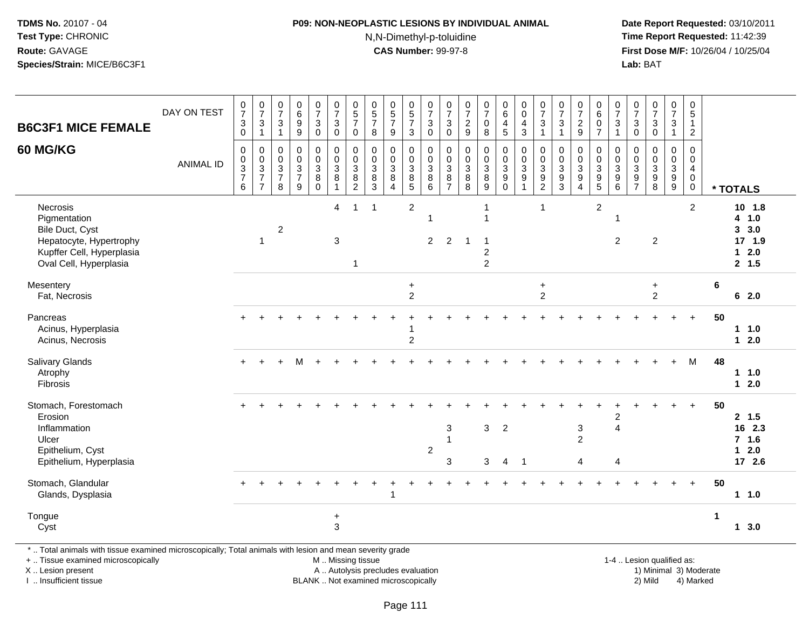# **P09: NON-NEOPLASTIC LESIONS BY INDIVIDUAL ANIMAL**

N,N-Dimethyl-p-toluidine

 **Date Report Requested:** 03/10/2011 **Time Report Requested:** 11:42:39 **First Dose M/F:** 10/26/04 / 10/25/04<br>**Lab:** BAT **Lab:** BAT

| <b>B6C3F1 MICE FEMALE</b>                                                                                                                      | DAY ON TEST      | $\frac{0}{7}$<br>$\frac{3}{0}$       | $\begin{array}{c} 0 \\ 7 \end{array}$<br>$\frac{3}{1}$    | $\begin{smallmatrix}0\\7\end{smallmatrix}$<br>$\sqrt{3}$<br>$\overline{1}$ | $\begin{array}{c} 0 \\ 6 \end{array}$<br>$\boldsymbol{9}$<br>9 | $\begin{array}{c} 0 \\ 7 \end{array}$<br>$\ensuremath{\mathsf{3}}$<br>$\mathsf 0$ | $\frac{0}{7}$<br>$\mathbf 3$<br>$\mathbf 0$                                | $\begin{array}{c} 0 \\ 5 \end{array}$<br>$\overline{7}$<br>0 | $\begin{array}{c} 0 \\ 5 \\ 7 \end{array}$<br>8         | $\begin{array}{c} 0 \\ 5 \\ 7 \end{array}$<br>9                | $\begin{array}{c} 0 \\ 5 \end{array}$<br>$\overline{7}$<br>3             | $\frac{0}{7}$<br>$\ensuremath{\mathsf{3}}$<br>$\mathbf 0$            | $\frac{0}{7}$<br>$\ensuremath{\mathsf{3}}$<br>$\boldsymbol{0}$ | $\begin{array}{c} 0 \\ 7 \end{array}$<br>$\overline{c}$<br>$9\,$ | $\frac{0}{7}$<br>0<br>8                                              | $\begin{array}{c} 0 \\ 6 \end{array}$<br>$\overline{\mathbf{4}}$<br>$5\phantom{.0}$ | $_{\rm 0}^{\rm 0}$<br>$\overline{4}$<br>$\sqrt{3}$                   | $\begin{array}{c} 0 \\ 7 \end{array}$<br>$\ensuremath{\mathsf{3}}$<br>$\mathbf{1}$ | $\begin{array}{c} 0 \\ 7 \end{array}$<br>$\sqrt{3}$<br>$\overline{1}$    | $\frac{0}{7}$<br>$\boldsymbol{2}$<br>$\boldsymbol{9}$                               | $\pmb{0}$<br>$\overline{6}$<br>$\pmb{0}$<br>$\overline{7}$             | $\frac{0}{7}$<br>$\ensuremath{\mathsf{3}}$<br>$\mathbf{1}$ | $\frac{0}{7}$<br>$\mathsf 3$<br>$\mathbf 0$ | $\frac{0}{7}$<br>$\mathbf 3$<br>$\pmb{0}$                    | $\begin{array}{c} 0 \\ 7 \end{array}$<br>$\mathbf{3}$<br>$\mathbf{1}$ | $\mathbf 0$<br>$\overline{5}$<br>$\mathbf{1}$<br>$\overline{2}$  |                                                         |
|------------------------------------------------------------------------------------------------------------------------------------------------|------------------|--------------------------------------|-----------------------------------------------------------|----------------------------------------------------------------------------|----------------------------------------------------------------|-----------------------------------------------------------------------------------|----------------------------------------------------------------------------|--------------------------------------------------------------|---------------------------------------------------------|----------------------------------------------------------------|--------------------------------------------------------------------------|----------------------------------------------------------------------|----------------------------------------------------------------|------------------------------------------------------------------|----------------------------------------------------------------------|-------------------------------------------------------------------------------------|----------------------------------------------------------------------|------------------------------------------------------------------------------------|--------------------------------------------------------------------------|-------------------------------------------------------------------------------------|------------------------------------------------------------------------|------------------------------------------------------------|---------------------------------------------|--------------------------------------------------------------|-----------------------------------------------------------------------|------------------------------------------------------------------|---------------------------------------------------------|
| <b>60 MG/KG</b>                                                                                                                                | <b>ANIMAL ID</b> | 0<br>$\pmb{0}$<br>$\frac{3}{7}$<br>6 | $\pmb{0}$<br>$\pmb{0}$<br>$\frac{3}{7}$<br>$\overline{7}$ | $\mathbf 0$<br>$\pmb{0}$<br>$\frac{3}{7}$<br>8                             | $\mathbf 0$<br>$\mathbf 0$<br>$\frac{3}{7}$<br>9               | 0<br>$\pmb{0}$<br>$\ensuremath{\mathsf{3}}$<br>$_{\rm 0}^{\rm 8}$                 | 0<br>$\mathsf{O}\xspace$<br>$\ensuremath{\mathsf{3}}$<br>8<br>$\mathbf{1}$ | $\mathbf 0$<br>$\pmb{0}$<br>3<br>8<br>$\overline{2}$         | 0<br>$\mathbf 0$<br>$\ensuremath{\mathsf{3}}$<br>$^8_3$ | $\mathbf 0$<br>$\mathsf{O}\xspace$<br>$_8^3$<br>$\overline{4}$ | $\mathbf 0$<br>$\mathbf 0$<br>$\begin{array}{c} 3 \\ 8 \\ 5 \end{array}$ | 0<br>$\mathbf 0$<br>$\ensuremath{\mathsf{3}}$<br>8<br>$6\phantom{a}$ | 0<br>$\boldsymbol{0}$<br>$\sqrt{3}$<br>8<br>$\overline{7}$     | $\mathbf 0$<br>$\mathbf 0$<br>3<br>8<br>8                        | 0<br>$\pmb{0}$<br>$\begin{array}{c} 3 \\ 8 \\ 9 \end{array}$         | $\mathbf 0$<br>$\mathbf 0$<br>$\ensuremath{\mathsf{3}}$<br>9<br>$\mathsf 0$         | 0<br>$\pmb{0}$<br>$\ensuremath{\mathsf{3}}$<br>$\boldsymbol{9}$<br>1 | $\mathbf 0$<br>$\mathbf 0$<br>$_9^3$<br>$\overline{2}$                             | $\mathbf 0$<br>$\mathbf 0$<br>$\ensuremath{\mathsf{3}}$<br>$\frac{9}{3}$ | 0<br>$\mathbf 0$<br>$\ensuremath{\mathsf{3}}$<br>$\boldsymbol{9}$<br>$\overline{4}$ | 0<br>$\boldsymbol{0}$<br>$\sqrt{3}$<br>$\boldsymbol{9}$<br>$\,$ 5 $\,$ | 0<br>$\mathbf 0$<br>3<br>$\boldsymbol{9}$<br>6             | $\Omega$<br>0<br>3<br>$\frac{9}{7}$         | 0<br>$\pmb{0}$<br>$\begin{array}{c} 3 \\ 9 \\ 8 \end{array}$ | 0<br>$\mathbf 0$<br>$\mathbf{3}$<br>$\frac{9}{9}$                     | $\mathbf 0$<br>$\mathbf 0$<br>$\overline{4}$<br>0<br>$\mathbf 0$ | * TOTALS                                                |
| Necrosis<br>Pigmentation<br>Bile Duct, Cyst<br>Hepatocyte, Hypertrophy<br>Kupffer Cell, Hyperplasia<br>Oval Cell, Hyperplasia                  |                  |                                      | $\overline{1}$                                            | $\boldsymbol{2}$                                                           |                                                                |                                                                                   | $\overline{4}$<br>3                                                        | $\mathbf{1}$<br>$\overline{1}$                               | $\mathbf{1}$                                            |                                                                | $\overline{2}$                                                           | $\overline{\phantom{a}}$<br>$\overline{2}$                           | 2                                                              | -1                                                               | -1<br>$\mathbf 1$<br>$\mathbf 1$<br>$\overline{c}$<br>$\overline{2}$ |                                                                                     |                                                                      | $\mathbf{1}$                                                                       |                                                                          |                                                                                     | $\overline{c}$                                                         | 1<br>2                                                     |                                             | $\overline{2}$                                               |                                                                       | $\overline{2}$                                                   | 10 1.8<br>4 1.0<br>3, 3.0<br>17 1.9<br>$12.0$<br>2, 1.5 |
| Mesentery<br>Fat, Necrosis                                                                                                                     |                  |                                      |                                                           |                                                                            |                                                                |                                                                                   |                                                                            |                                                              |                                                         |                                                                | $\ddot{}$<br>$\overline{c}$                                              |                                                                      |                                                                |                                                                  |                                                                      |                                                                                     |                                                                      | $\ddot{}$<br>$\overline{2}$                                                        |                                                                          |                                                                                     |                                                                        |                                                            |                                             | $+$<br>$\overline{2}$                                        |                                                                       |                                                                  | 6<br>62.0                                               |
| Pancreas<br>Acinus, Hyperplasia<br>Acinus, Necrosis                                                                                            |                  |                                      |                                                           |                                                                            |                                                                |                                                                                   |                                                                            |                                                              |                                                         |                                                                | $\overline{2}$                                                           |                                                                      |                                                                |                                                                  |                                                                      |                                                                                     |                                                                      |                                                                                    |                                                                          |                                                                                     |                                                                        |                                                            |                                             |                                                              |                                                                       |                                                                  | 50<br>1 1.0<br>$12.0$                                   |
| Salivary Glands<br>Atrophy<br>Fibrosis                                                                                                         |                  | $+$                                  |                                                           |                                                                            | м                                                              |                                                                                   |                                                                            |                                                              |                                                         |                                                                |                                                                          |                                                                      |                                                                |                                                                  |                                                                      |                                                                                     |                                                                      |                                                                                    |                                                                          |                                                                                     |                                                                        |                                                            |                                             |                                                              | $+$                                                                   | M                                                                | 48<br>11.0<br>$12.0$                                    |
| Stomach, Forestomach<br>Erosion<br>Inflammation<br>Ulcer<br>Epithelium, Cyst<br>Epithelium, Hyperplasia                                        |                  |                                      |                                                           |                                                                            |                                                                |                                                                                   |                                                                            |                                                              |                                                         |                                                                |                                                                          | $\overline{2}$                                                       | 3<br>1<br>3                                                    |                                                                  | 3<br>3                                                               | $\overline{2}$<br>$\overline{4}$                                                    | $\overline{\phantom{0}}$ 1                                           |                                                                                    |                                                                          | 3<br>$\overline{c}$<br>4                                                            |                                                                        | 2<br>$\overline{4}$<br>4                                   |                                             |                                                              |                                                                       |                                                                  | 50<br>2, 1.5<br>16 2.3<br>$7$ 1.6<br>$12.0$<br>17 2.6   |
| Stomach, Glandular<br>Glands, Dysplasia                                                                                                        |                  |                                      |                                                           |                                                                            |                                                                |                                                                                   |                                                                            |                                                              |                                                         |                                                                |                                                                          |                                                                      |                                                                |                                                                  |                                                                      |                                                                                     |                                                                      |                                                                                    |                                                                          |                                                                                     |                                                                        |                                                            |                                             |                                                              |                                                                       | $+$                                                              | 50<br>11.0                                              |
| Tongue<br>Cyst                                                                                                                                 |                  |                                      |                                                           |                                                                            |                                                                |                                                                                   | $\ddot{}$<br>3                                                             |                                                              |                                                         |                                                                |                                                                          |                                                                      |                                                                |                                                                  |                                                                      |                                                                                     |                                                                      |                                                                                    |                                                                          |                                                                                     |                                                                        |                                                            |                                             |                                                              |                                                                       |                                                                  | $\mathbf{1}$<br>13.0                                    |
| *  Total animals with tissue examined microscopically; Total animals with lesion and mean severity grade<br>+  Tissue examined microscopically |                  |                                      |                                                           |                                                                            |                                                                |                                                                                   | M  Missing tissue                                                          |                                                              |                                                         |                                                                |                                                                          |                                                                      |                                                                |                                                                  |                                                                      |                                                                                     |                                                                      |                                                                                    |                                                                          |                                                                                     |                                                                        |                                                            |                                             | 1-4  Lesion qualified as:                                    |                                                                       |                                                                  |                                                         |

X .. Lesion present

I .. Insufficient tissue

A .. Autolysis precludes evaluation

BLANK .. Not examined microscopically 2) Mild 4) Marked

1-4 .. Lesion qualified as:<br>1) Minimal 3) Moderate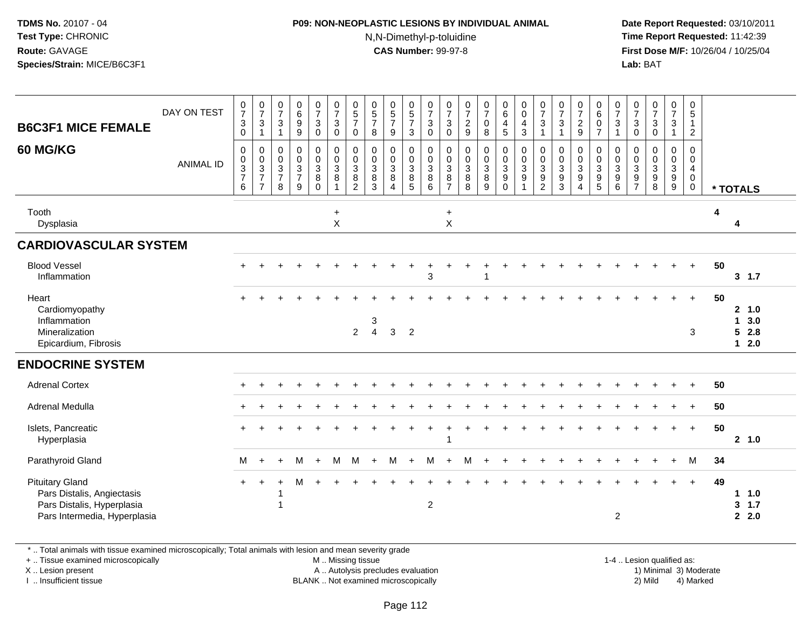#### **P09: NON-NEOPLASTIC LESIONS BY INDIVIDUAL ANIMAL**N,N-Dimethyl-p-toluidine

 **Date Report Requested:** 03/10/2011 **Time Report Requested:** 11:42:39 **First Dose M/F:** 10/26/04 / 10/25/04 Lab: BAT **Lab:** BAT

| <b>B6C3F1 MICE FEMALE</b>                                                                                          | DAY ON TEST      | $\frac{0}{7}$<br>$\mathbf 3$<br>$\mathbf 0$                       | $\frac{0}{7}$<br>$\sqrt{3}$<br>$\mathbf{1}$                                      | $\frac{0}{7}$<br>$\ensuremath{\mathsf{3}}$<br>$\mathbf{1}$ | $_6^0$<br>$\boldsymbol{9}$<br>$\boldsymbol{9}$  | $\frac{0}{7}$<br>$\mathbf{3}$<br>$\mathbf 0$           | $\frac{0}{7}$<br>$\sqrt{3}$<br>$\mathbf 0$                     | $\begin{array}{c} 0 \\ 5 \end{array}$<br>$\overline{7}$<br>$\mathbf 0$ | $\begin{smallmatrix}0\0\5\end{smallmatrix}$<br>$\overline{7}$<br>8 | $\begin{array}{c} 0 \\ 5 \\ 7 \end{array}$<br>$9\,$ | $\begin{array}{c} 0 \\ 5 \\ 7 \end{array}$<br>$\mathsf 3$ | $\frac{0}{7}$<br>$\sqrt{3}$<br>$\mathsf 0$                         | $\frac{0}{7}$<br>$\mathsf 3$<br>$\mathbf 0$                    | $\frac{0}{7}$<br>$\frac{2}{9}$                                       | $\frac{0}{7}$<br>$\pmb{0}$<br>8            | $\begin{array}{c} 0 \\ 6 \end{array}$<br>$\overline{\mathbf{4}}$<br>$5\phantom{.0}$ | $_{\rm 0}^{\rm 0}$<br>$\overline{\mathbf{4}}$<br>$\mathbf{3}$ | $\frac{0}{7}$<br>$\sqrt{3}$<br>$\mathbf{1}$                                  | $\frac{0}{7}$<br>$\mathbf 3$<br>$\overline{1}$                 | $\frac{0}{7}$<br>$\overline{c}$<br>$\boldsymbol{9}$                    | 0<br>$6\phantom{a}$<br>$\pmb{0}$<br>$\overline{7}$          | $\frac{0}{7}$<br>3<br>$\mathbf{1}$ | $\frac{0}{7}$<br>3<br>$\pmb{0}$                      | $\frac{0}{7}$<br>$\sqrt{3}$<br>$\pmb{0}$                    | $\frac{0}{7}$<br>$\ensuremath{\mathsf{3}}$<br>$\mathbf{1}$ | 0<br>$\sqrt{5}$<br>$\mathbf{1}$<br>$\overline{2}$                             |    |                                                 |
|--------------------------------------------------------------------------------------------------------------------|------------------|-------------------------------------------------------------------|----------------------------------------------------------------------------------|------------------------------------------------------------|-------------------------------------------------|--------------------------------------------------------|----------------------------------------------------------------|------------------------------------------------------------------------|--------------------------------------------------------------------|-----------------------------------------------------|-----------------------------------------------------------|--------------------------------------------------------------------|----------------------------------------------------------------|----------------------------------------------------------------------|--------------------------------------------|-------------------------------------------------------------------------------------|---------------------------------------------------------------|------------------------------------------------------------------------------|----------------------------------------------------------------|------------------------------------------------------------------------|-------------------------------------------------------------|------------------------------------|------------------------------------------------------|-------------------------------------------------------------|------------------------------------------------------------|-------------------------------------------------------------------------------|----|-------------------------------------------------|
| <b>60 MG/KG</b>                                                                                                    | <b>ANIMAL ID</b> | $\mathbf 0$<br>0<br>$\overline{3}$<br>$\boldsymbol{7}$<br>$\,6\,$ | $\mathbf 0$<br>$\mathbf 0$<br>$\overline{3}$<br>$\overline{7}$<br>$\overline{7}$ | 0<br>$\pmb{0}$<br>$\overline{3}$<br>$\overline{7}$<br>8    | 0<br>0<br>$\overline{3}$<br>$\overline{7}$<br>9 | 0<br>$\mathbf 0$<br>$\overline{3}$<br>8<br>$\mathbf 0$ | $\pmb{0}$<br>$\overline{0}$<br>$\overline{3}$<br>$\,8\,$<br>-1 | 0<br>$\mathbf 0$<br>$\mathbf{3}$<br>8<br>$\overline{2}$                | $\mathbf 0$<br>$\mathbf 0$<br>$\mathbf{3}$<br>8<br>$\mathbf{3}$    | 0<br>0<br>$\mathbf{3}$<br>8<br>$\overline{4}$       | 0<br>$\mathbf 0$<br>$\overline{3}$<br>$^8$ 5              | $\pmb{0}$<br>$\overline{0}$<br>$\overline{3}$<br>$\, 8$<br>$\,6\,$ | $\boldsymbol{0}$<br>$\mathbf 0$<br>$\sqrt{3}$<br>$\frac{8}{7}$ | $\mathbf 0$<br>$\mathsf{O}\xspace$<br>$\overline{3}$<br>$\bf 8$<br>8 | 0<br>$\pmb{0}$<br>$\overline{3}$<br>8<br>9 | 0<br>$\ddot{\mathbf{0}}$<br>$\overline{3}$<br>$\boldsymbol{9}$<br>$\mathbf 0$       | $\pmb{0}$<br>$\frac{0}{3}$<br>$\boldsymbol{9}$<br>1           | $\mathbf 0$<br>$\pmb{0}$<br>$\sqrt{3}$<br>$\boldsymbol{9}$<br>$\overline{c}$ | $\mathbf 0$<br>$\mathbf 0$<br>$\mathbf 3$<br>9<br>$\mathbf{3}$ | 0<br>$\pmb{0}$<br>$\overline{3}$<br>$\boldsymbol{9}$<br>$\overline{4}$ | 0<br>$\mathbf 0$<br>$\overline{3}$<br>$\boldsymbol{9}$<br>5 | 0<br>0<br>3<br>9<br>6              | 0<br>0<br>$\ensuremath{\mathsf{3}}$<br>$\frac{9}{7}$ | $\mathbf 0$<br>$\frac{0}{3}$<br>$\boldsymbol{9}$<br>$\,8\,$ | 0<br>$\pmb{0}$<br>$\overline{3}$<br>$\boldsymbol{9}$<br>9  | $\mathbf 0$<br>$\mathbf 0$<br>$\overline{4}$<br>$\mathbf 0$<br>$\overline{0}$ |    | * TOTALS                                        |
| Tooth<br>Dysplasia                                                                                                 |                  |                                                                   |                                                                                  |                                                            |                                                 |                                                        | $\ddot{}$<br>$\pmb{\times}$                                    |                                                                        |                                                                    |                                                     |                                                           |                                                                    | $\ddot{}$<br>$\boldsymbol{\mathsf{X}}$                         |                                                                      |                                            |                                                                                     |                                                               |                                                                              |                                                                |                                                                        |                                                             |                                    |                                                      |                                                             |                                                            |                                                                               | 4  | 4                                               |
| <b>CARDIOVASCULAR SYSTEM</b>                                                                                       |                  |                                                                   |                                                                                  |                                                            |                                                 |                                                        |                                                                |                                                                        |                                                                    |                                                     |                                                           |                                                                    |                                                                |                                                                      |                                            |                                                                                     |                                                               |                                                                              |                                                                |                                                                        |                                                             |                                    |                                                      |                                                             |                                                            |                                                                               |    |                                                 |
| <b>Blood Vessel</b><br>Inflammation                                                                                |                  |                                                                   |                                                                                  |                                                            |                                                 |                                                        |                                                                |                                                                        |                                                                    |                                                     |                                                           | 3                                                                  |                                                                |                                                                      |                                            |                                                                                     |                                                               |                                                                              |                                                                |                                                                        |                                                             |                                    |                                                      |                                                             |                                                            | $\ddot{}$                                                                     | 50 | 3, 1.7                                          |
| Heart<br>Cardiomyopathy<br>Inflammation<br>Mineralization<br>Epicardium, Fibrosis                                  |                  |                                                                   |                                                                                  |                                                            |                                                 |                                                        |                                                                | $\overline{2}$                                                         | 3<br>$\overline{4}$                                                | $\mathbf{3}$                                        | $\overline{2}$                                            |                                                                    |                                                                |                                                                      |                                            |                                                                                     |                                                               |                                                                              |                                                                |                                                                        |                                                             |                                    |                                                      |                                                             |                                                            | $\ddot{}$<br>3                                                                | 50 | 2, 1.0<br>3.0<br>$\mathbf{1}$<br>52.8<br>$12.0$ |
| <b>ENDOCRINE SYSTEM</b>                                                                                            |                  |                                                                   |                                                                                  |                                                            |                                                 |                                                        |                                                                |                                                                        |                                                                    |                                                     |                                                           |                                                                    |                                                                |                                                                      |                                            |                                                                                     |                                                               |                                                                              |                                                                |                                                                        |                                                             |                                    |                                                      |                                                             |                                                            |                                                                               |    |                                                 |
| <b>Adrenal Cortex</b>                                                                                              |                  |                                                                   |                                                                                  |                                                            |                                                 |                                                        |                                                                |                                                                        |                                                                    |                                                     |                                                           |                                                                    |                                                                |                                                                      |                                            |                                                                                     |                                                               |                                                                              |                                                                |                                                                        |                                                             |                                    |                                                      |                                                             |                                                            | $\ddot{}$                                                                     | 50 |                                                 |
| Adrenal Medulla                                                                                                    |                  |                                                                   |                                                                                  |                                                            |                                                 |                                                        |                                                                |                                                                        |                                                                    |                                                     |                                                           |                                                                    |                                                                |                                                                      |                                            |                                                                                     |                                                               |                                                                              |                                                                |                                                                        |                                                             |                                    |                                                      |                                                             |                                                            | $\ddot{}$                                                                     | 50 |                                                 |
| Islets, Pancreatic<br>Hyperplasia                                                                                  |                  |                                                                   |                                                                                  |                                                            |                                                 |                                                        |                                                                |                                                                        |                                                                    |                                                     |                                                           |                                                                    |                                                                |                                                                      |                                            |                                                                                     |                                                               |                                                                              |                                                                |                                                                        |                                                             |                                    |                                                      |                                                             |                                                            | $+$                                                                           | 50 | 2, 1.0                                          |
| Parathyroid Gland                                                                                                  |                  | M                                                                 | $\ddot{}$                                                                        |                                                            | М                                               | $+$                                                    | м                                                              | м                                                                      | ÷                                                                  | M                                                   | $+$                                                       | м                                                                  | $+$                                                            | м                                                                    |                                            |                                                                                     |                                                               |                                                                              |                                                                |                                                                        |                                                             |                                    |                                                      |                                                             |                                                            | м                                                                             | 34 |                                                 |
| <b>Pituitary Gland</b><br>Pars Distalis, Angiectasis<br>Pars Distalis, Hyperplasia<br>Pars Intermedia, Hyperplasia |                  |                                                                   |                                                                                  |                                                            |                                                 |                                                        |                                                                |                                                                        |                                                                    |                                                     |                                                           | $\overline{2}$                                                     |                                                                |                                                                      |                                            |                                                                                     |                                                               |                                                                              |                                                                |                                                                        |                                                             | 2                                  |                                                      |                                                             |                                                            | $+$                                                                           | 49 | $1 \t1.0$<br>3, 1.7<br>2.0                      |

\* .. Total animals with tissue examined microscopically; Total animals with lesion and mean severity grade

+ .. Tissue examined microscopically

X .. Lesion present

I .. Insufficient tissue

 M .. Missing tissueA .. Autolysis precludes evaluation

1-4 .. Lesion qualified as:<br>1) Minimal 3) Moderate BLANK .. Not examined microscopically 2) Mild 4) Marked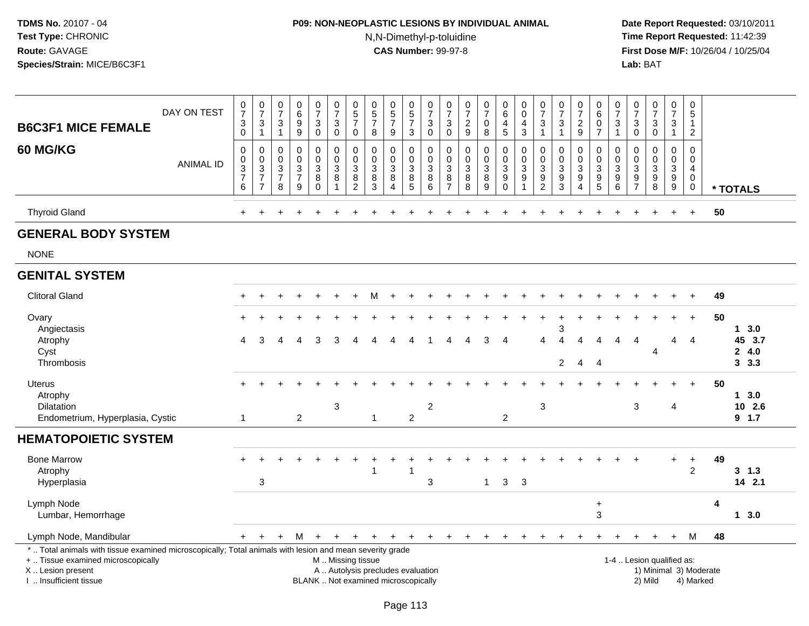# **P09: NON-NEOPLASTIC LESIONS BY INDIVIDUAL ANIMAL**N,N-Dimethyl-p-toluidine

 **Date Report Requested:** 03/10/2011 **Time Report Requested:** 11:42:39 **First Dose M/F:** 10/26/04 / 10/25/04<br>Lab: BAT **Lab:** BAT

|                                                                                                                                                                                               |                  | $\frac{0}{7}$                                                         | $\frac{0}{7}$                                                                | $\begin{smallmatrix}0\\7\end{smallmatrix}$                      | $\begin{array}{c} 0 \\ 6 \end{array}$                             | $\begin{smallmatrix}0\\7\end{smallmatrix}$                        | $\frac{0}{7}$                                      | $\begin{smallmatrix}0\0\5\end{smallmatrix}$         |                                                                          |                                                                |                                                         | $\begin{array}{c} 0 \\ 7 \end{array}$                | $\begin{array}{c} 0 \\ 7 \end{array}$                        | $\frac{0}{7}$                                                       | $\frac{0}{7}$                | $\begin{array}{c} 0 \\ 6 \end{array}$                        | $\begin{smallmatrix}0\\0\end{smallmatrix}$                          | $\begin{array}{c} 0 \\ 7 \end{array}$             | $\frac{0}{7}$                                   | $\frac{0}{7}$                                                                  | $\begin{array}{c} 0 \\ 6 \end{array}$             | $\frac{0}{7}$                                               | $\begin{smallmatrix}0\\7\end{smallmatrix}$                | $\begin{array}{c} 0 \\ 7 \end{array}$                                    | $\begin{smallmatrix}0\\7\end{smallmatrix}$        | $\begin{array}{c} 0 \\ 5 \end{array}$                                      |    |                |
|-----------------------------------------------------------------------------------------------------------------------------------------------------------------------------------------------|------------------|-----------------------------------------------------------------------|------------------------------------------------------------------------------|-----------------------------------------------------------------|-------------------------------------------------------------------|-------------------------------------------------------------------|----------------------------------------------------|-----------------------------------------------------|--------------------------------------------------------------------------|----------------------------------------------------------------|---------------------------------------------------------|------------------------------------------------------|--------------------------------------------------------------|---------------------------------------------------------------------|------------------------------|--------------------------------------------------------------|---------------------------------------------------------------------|---------------------------------------------------|-------------------------------------------------|--------------------------------------------------------------------------------|---------------------------------------------------|-------------------------------------------------------------|-----------------------------------------------------------|--------------------------------------------------------------------------|---------------------------------------------------|----------------------------------------------------------------------------|----|----------------|
| <b>B6C3F1 MICE FEMALE</b>                                                                                                                                                                     | DAY ON TEST      | $\ensuremath{\mathsf{3}}$                                             | $\ensuremath{\mathsf{3}}$                                                    | 3                                                               | $\overline{9}$                                                    | $\ensuremath{\mathsf{3}}$                                         | $\ensuremath{\mathsf{3}}$                          | $\overline{7}$                                      | $\begin{array}{c} 0 \\ 5 \\ 7 \end{array}$                               | $\begin{array}{c} 0 \\ 5 \\ 7 \end{array}$                     | $\begin{array}{c} 0 \\ 5 \\ 7 \end{array}$              | $\mathbf{3}$                                         | 3                                                            | $\frac{2}{9}$                                                       | $\boldsymbol{0}$             | $\overline{\mathbf{4}}$                                      | $\frac{4}{3}$                                                       | $\ensuremath{\mathsf{3}}$                         | $\ensuremath{\mathsf{3}}$                       | $\frac{2}{9}$                                                                  | $\frac{0}{7}$                                     | $\ensuremath{\mathsf{3}}$                                   | $\ensuremath{\mathsf{3}}$                                 | $\sqrt{3}$                                                               | $\ensuremath{\mathsf{3}}$                         | $\mathbf{1}$                                                               |    |                |
|                                                                                                                                                                                               |                  | $\mathsf{O}\xspace$                                                   | $\mathbf{1}$                                                                 | $\mathbf{1}$                                                    | $\boldsymbol{9}$                                                  | $\mathbf 0$                                                       | $\mathbf 0$                                        | 0                                                   | $\bf 8$                                                                  | $9\,$                                                          | 3                                                       | $\mathsf 0$                                          | $\boldsymbol{0}$                                             |                                                                     | 8                            | $5\phantom{.0}$                                              |                                                                     | $\overline{1}$                                    | $\overline{1}$                                  |                                                                                |                                                   | $\mathbf{1}$                                                | $\mathbf 0$                                               | $\mathsf{O}\xspace$                                                      | $\mathbf{1}$                                      | $\overline{2}$                                                             |    |                |
| 60 MG/KG                                                                                                                                                                                      | <b>ANIMAL ID</b> | $\pmb{0}$<br>$_{3}^{\rm 0}$<br>$\begin{bmatrix} 7 \\ 6 \end{bmatrix}$ | $\pmb{0}$<br>$\pmb{0}$<br>$\overline{3}$<br>$\overline{7}$<br>$\overline{7}$ | $\mathbf 0$<br>$\mathbf 0$<br>$\sqrt{3}$<br>$\overline{7}$<br>8 | $\mathbf 0$<br>$\pmb{0}$<br>$\overline{3}$<br>$\overline{7}$<br>9 | 0<br>$\mathbf 0$<br>$\ensuremath{\mathsf{3}}$<br>8<br>$\mathbf 0$ | $\pmb{0}$<br>$\mathbf 0$<br>$\mathbf{3}$<br>8<br>1 | 0<br>$\pmb{0}$<br>$\sqrt{3}$<br>8<br>$\overline{c}$ | $\mathbf 0$<br>$\mathbf 0$<br>$\mathbf{3}$<br>$\,8\,$<br>$\overline{3}$  | $\mathbf 0$<br>$\mathbf 0$<br>$\sqrt{3}$<br>$\, 8$<br>$\Delta$ | 0<br>$\mathsf{O}\xspace$<br>$\sqrt{3}$<br>$\frac{8}{5}$ | $\mathbf 0$<br>$\mathbf 0$<br>$\mathbf{3}$<br>$^8_6$ | $\mathbf 0$<br>$\mathbf 0$<br>3<br>$\bf 8$<br>$\overline{7}$ | $\pmb{0}$<br>$\mathbf 0$<br>$\sqrt{3}$<br>$\bf 8$<br>$\overline{8}$ | 0<br>0<br>3<br>$\frac{8}{9}$ | 0<br>$\mathsf{O}\xspace$<br>$\overline{3}$<br>$\overline{9}$ | $\mathbf 0$<br>$\pmb{0}$<br>$\overline{3}$<br>$\boldsymbol{9}$<br>1 | 0<br>$\mathbf 0$<br>$\mathbf{3}$<br>$\frac{9}{2}$ | 0<br>$\mathbf 0$<br>$\sqrt{3}$<br>$\frac{9}{3}$ | 0<br>$\mathbf 0$<br>$\mathbf{3}$<br>$\boldsymbol{9}$<br>$\boldsymbol{\Lambda}$ | 0<br>$\pmb{0}$<br>$\overline{3}$<br>$\frac{9}{5}$ | $\mathbf 0$<br>$\pmb{0}$<br>$\overline{3}$<br>$\frac{9}{6}$ | $\mathbf 0$<br>$\mathbf 0$<br>$\sqrt{3}$<br>$\frac{9}{7}$ | $\mathbf 0$<br>$\mathbf 0$<br>$\ensuremath{\mathsf{3}}$<br>$\frac{9}{8}$ | 0<br>$\mathbf 0$<br>$\mathbf{3}$<br>$\frac{9}{9}$ | $\mathbf 0$<br>$\mathbf 0$<br>$\overline{4}$<br>$\mathbf 0$<br>$\mathbf 0$ |    | * TOTALS       |
| <b>Thyroid Gland</b>                                                                                                                                                                          |                  |                                                                       |                                                                              |                                                                 |                                                                   |                                                                   |                                                    |                                                     |                                                                          |                                                                |                                                         |                                                      |                                                              |                                                                     |                              |                                                              |                                                                     |                                                   |                                                 |                                                                                |                                                   |                                                             |                                                           |                                                                          |                                                   | $\ddot{}$                                                                  | 50 |                |
| <b>GENERAL BODY SYSTEM</b>                                                                                                                                                                    |                  |                                                                       |                                                                              |                                                                 |                                                                   |                                                                   |                                                    |                                                     |                                                                          |                                                                |                                                         |                                                      |                                                              |                                                                     |                              |                                                              |                                                                     |                                                   |                                                 |                                                                                |                                                   |                                                             |                                                           |                                                                          |                                                   |                                                                            |    |                |
| <b>NONE</b>                                                                                                                                                                                   |                  |                                                                       |                                                                              |                                                                 |                                                                   |                                                                   |                                                    |                                                     |                                                                          |                                                                |                                                         |                                                      |                                                              |                                                                     |                              |                                                              |                                                                     |                                                   |                                                 |                                                                                |                                                   |                                                             |                                                           |                                                                          |                                                   |                                                                            |    |                |
| <b>GENITAL SYSTEM</b>                                                                                                                                                                         |                  |                                                                       |                                                                              |                                                                 |                                                                   |                                                                   |                                                    |                                                     |                                                                          |                                                                |                                                         |                                                      |                                                              |                                                                     |                              |                                                              |                                                                     |                                                   |                                                 |                                                                                |                                                   |                                                             |                                                           |                                                                          |                                                   |                                                                            |    |                |
| <b>Clitoral Gland</b>                                                                                                                                                                         |                  |                                                                       | $\div$                                                                       |                                                                 |                                                                   |                                                                   |                                                    |                                                     | м                                                                        |                                                                |                                                         |                                                      |                                                              |                                                                     |                              |                                                              |                                                                     |                                                   |                                                 |                                                                                |                                                   |                                                             |                                                           |                                                                          |                                                   |                                                                            | 49 |                |
| Ovary                                                                                                                                                                                         |                  |                                                                       |                                                                              |                                                                 |                                                                   |                                                                   |                                                    |                                                     |                                                                          |                                                                |                                                         |                                                      |                                                              |                                                                     |                              |                                                              |                                                                     |                                                   |                                                 |                                                                                |                                                   |                                                             |                                                           |                                                                          |                                                   |                                                                            | 50 |                |
| Angiectasis                                                                                                                                                                                   |                  |                                                                       |                                                                              |                                                                 |                                                                   |                                                                   |                                                    |                                                     |                                                                          |                                                                |                                                         |                                                      |                                                              |                                                                     |                              |                                                              |                                                                     |                                                   | 3                                               |                                                                                |                                                   |                                                             |                                                           |                                                                          |                                                   |                                                                            |    | 13.0           |
| Atrophy<br>Cyst                                                                                                                                                                               |                  | 4                                                                     | З                                                                            |                                                                 |                                                                   | 3                                                                 |                                                    |                                                     |                                                                          |                                                                |                                                         |                                                      | Δ                                                            |                                                                     | 3                            | $\overline{4}$                                               |                                                                     | 4                                                 | 4                                               | 4                                                                              | $\boldsymbol{\Lambda}$                            | 4                                                           | 4                                                         | 4                                                                        | 4                                                 | 4                                                                          |    | 45 3.7<br>24.0 |
| Thrombosis                                                                                                                                                                                    |                  |                                                                       |                                                                              |                                                                 |                                                                   |                                                                   |                                                    |                                                     |                                                                          |                                                                |                                                         |                                                      |                                                              |                                                                     |                              |                                                              |                                                                     |                                                   | $\overline{2}$                                  | $\overline{4}$                                                                 | - 4                                               |                                                             |                                                           |                                                                          |                                                   |                                                                            |    | 3.3            |
| Uterus                                                                                                                                                                                        |                  |                                                                       |                                                                              |                                                                 |                                                                   |                                                                   |                                                    |                                                     |                                                                          |                                                                |                                                         |                                                      |                                                              |                                                                     |                              |                                                              |                                                                     |                                                   |                                                 |                                                                                |                                                   |                                                             |                                                           |                                                                          |                                                   |                                                                            | 50 |                |
| Atrophy                                                                                                                                                                                       |                  |                                                                       |                                                                              |                                                                 |                                                                   |                                                                   |                                                    |                                                     |                                                                          |                                                                |                                                         |                                                      |                                                              |                                                                     |                              |                                                              |                                                                     |                                                   |                                                 |                                                                                |                                                   |                                                             |                                                           |                                                                          |                                                   |                                                                            |    | 13.0           |
| <b>Dilatation</b>                                                                                                                                                                             |                  |                                                                       |                                                                              |                                                                 |                                                                   |                                                                   | 3                                                  |                                                     |                                                                          |                                                                |                                                         | $\overline{c}$                                       |                                                              |                                                                     |                              |                                                              |                                                                     | 3                                                 |                                                 |                                                                                |                                                   |                                                             | 3                                                         |                                                                          | 4                                                 |                                                                            |    | 10 2.6         |
| Endometrium, Hyperplasia, Cystic                                                                                                                                                              |                  | $\mathbf{1}$                                                          |                                                                              |                                                                 | $\overline{2}$                                                    |                                                                   |                                                    |                                                     | $\mathbf{1}$                                                             |                                                                | $\mathbf{2}$                                            |                                                      |                                                              |                                                                     |                              | $\overline{2}$                                               |                                                                     |                                                   |                                                 |                                                                                |                                                   |                                                             |                                                           |                                                                          |                                                   |                                                                            |    | $9$ 1.7        |
| <b>HEMATOPOIETIC SYSTEM</b>                                                                                                                                                                   |                  |                                                                       |                                                                              |                                                                 |                                                                   |                                                                   |                                                    |                                                     |                                                                          |                                                                |                                                         |                                                      |                                                              |                                                                     |                              |                                                              |                                                                     |                                                   |                                                 |                                                                                |                                                   |                                                             |                                                           |                                                                          |                                                   |                                                                            |    |                |
| <b>Bone Marrow</b>                                                                                                                                                                            |                  |                                                                       |                                                                              |                                                                 |                                                                   |                                                                   |                                                    |                                                     |                                                                          |                                                                |                                                         |                                                      |                                                              |                                                                     |                              |                                                              |                                                                     |                                                   |                                                 |                                                                                |                                                   |                                                             |                                                           |                                                                          | $+$                                               | $\ddot{}$                                                                  | 49 |                |
| Atrophy                                                                                                                                                                                       |                  |                                                                       |                                                                              |                                                                 |                                                                   |                                                                   |                                                    |                                                     |                                                                          |                                                                |                                                         |                                                      |                                                              |                                                                     |                              |                                                              |                                                                     |                                                   |                                                 |                                                                                |                                                   |                                                             |                                                           |                                                                          |                                                   | 2                                                                          |    | $3 \t1.3$      |
| Hyperplasia                                                                                                                                                                                   |                  |                                                                       | 3                                                                            |                                                                 |                                                                   |                                                                   |                                                    |                                                     |                                                                          |                                                                |                                                         | 3                                                    |                                                              |                                                                     | $\mathbf{1}$                 | 3                                                            | 3                                                                   |                                                   |                                                 |                                                                                |                                                   |                                                             |                                                           |                                                                          |                                                   |                                                                            |    | 14 2.1         |
| Lymph Node                                                                                                                                                                                    |                  |                                                                       |                                                                              |                                                                 |                                                                   |                                                                   |                                                    |                                                     |                                                                          |                                                                |                                                         |                                                      |                                                              |                                                                     |                              |                                                              |                                                                     |                                                   |                                                 |                                                                                | $\ddot{}$                                         |                                                             |                                                           |                                                                          |                                                   |                                                                            | 4  |                |
| Lumbar, Hemorrhage                                                                                                                                                                            |                  |                                                                       |                                                                              |                                                                 |                                                                   |                                                                   |                                                    |                                                     |                                                                          |                                                                |                                                         |                                                      |                                                              |                                                                     |                              |                                                              |                                                                     |                                                   |                                                 |                                                                                | 3                                                 |                                                             |                                                           |                                                                          |                                                   |                                                                            |    | 13.0           |
| Lymph Node, Mandibular                                                                                                                                                                        |                  | $+$                                                                   | $\ddot{}$                                                                    | $\ddot{}$                                                       | М                                                                 | $+$                                                               |                                                    |                                                     |                                                                          |                                                                |                                                         |                                                      |                                                              |                                                                     |                              |                                                              |                                                                     |                                                   |                                                 |                                                                                |                                                   |                                                             |                                                           |                                                                          | $+$                                               | М                                                                          | 48 |                |
| *  Total animals with tissue examined microscopically; Total animals with lesion and mean severity grade<br>+  Tissue examined microscopically<br>X  Lesion present<br>I  Insufficient tissue |                  |                                                                       |                                                                              |                                                                 |                                                                   |                                                                   | M  Missing tissue                                  |                                                     | A  Autolysis precludes evaluation<br>BLANK  Not examined microscopically |                                                                |                                                         |                                                      |                                                              |                                                                     |                              |                                                              |                                                                     |                                                   |                                                 |                                                                                |                                                   |                                                             |                                                           | 1-4  Lesion qualified as:<br>2) Mild                                     |                                                   | 1) Minimal 3) Moderate<br>4) Marked                                        |    |                |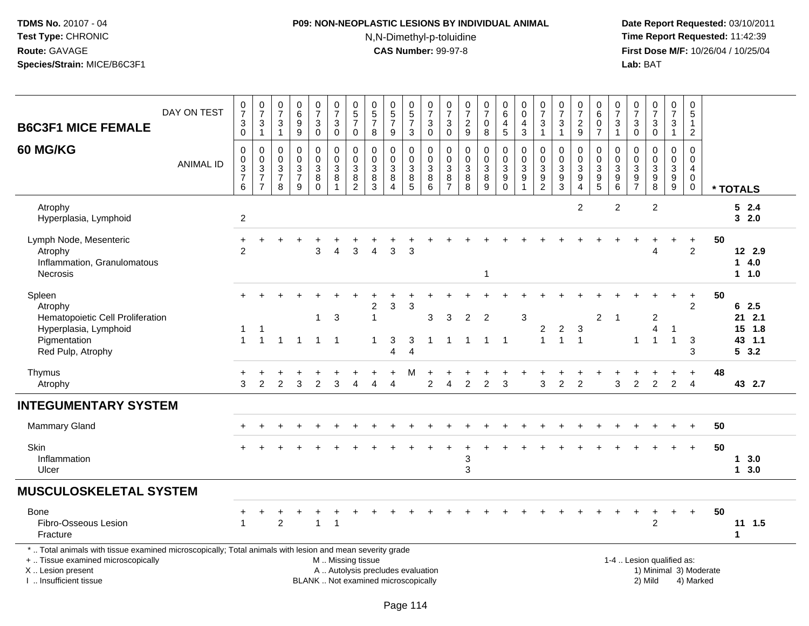# **P09: NON-NEOPLASTIC LESIONS BY INDIVIDUAL ANIMAL**N,N-Dimethyl-p-toluidine

 **Date Report Requested:** 03/10/2011 **Time Report Requested:** 11:42:39 **First Dose M/F:** 10/26/04 / 10/25/04<br>Lab: BAT **Lab:** BAT

| <b>B6C3F1 MICE FEMALE</b>                                                                                                                                                                     | DAY ON TEST      | $\frac{0}{7}$<br>$_0^3$              | $\frac{0}{7}$<br>$\ensuremath{\mathsf{3}}$<br>$\overline{1}$ | $\begin{array}{c} 0 \\ 7 \end{array}$<br>$\mathbf{3}$<br>$\mathbf{1}$        | $\begin{array}{c} 0 \\ 6 \end{array}$<br>$\boldsymbol{9}$<br>$\overline{9}$ | $\frac{0}{7}$<br>3<br>$\ddot{\mathbf{0}}$               | $\frac{0}{7}$<br>3<br>$\overline{0}$                             | 0<br>5<br>7<br>$\pmb{0}$                                                                    | $\begin{array}{c} 0 \\ 5 \\ 7 \end{array}$<br>$\,8\,$              | $\begin{array}{c} 0 \\ 5 \\ 7 \end{array}$<br>$\boldsymbol{9}$                          | $\begin{array}{c} 0 \\ 5 \end{array}$<br>$\overline{7}$<br>$\sqrt{3}$  | $\frac{0}{7}$<br>$\sqrt{3}$<br>$\mathbf 0$                           | $\begin{array}{c} 0 \\ 7 \end{array}$<br>3<br>$\pmb{0}$                              | $\frac{0}{7}$<br>$\frac{2}{9}$                        | $\frac{0}{7}$<br>0<br>$\overline{8}$                 | $_{6}^{\rm 0}$<br>$\frac{4}{5}$                              | $_{\rm 0}^{\rm 0}$<br>$\overline{\mathbf{4}}$<br>$\mathsf 3$   | $\frac{0}{7}$<br>$\frac{3}{1}$                                 | $\begin{array}{c} 0 \\ 7 \end{array}$<br>$\ensuremath{\mathsf{3}}$<br>$\overline{1}$ | $\frac{0}{7}$<br>$\frac{2}{9}$             | $\pmb{0}$<br>6<br>$\pmb{0}$<br>$\overline{7}$        | $\frac{0}{7}$<br>$\ensuremath{\mathsf{3}}$<br>$\mathbf{1}$ | $\frac{0}{7}$<br>$_0^3$                                                  | $\frac{0}{7}$<br>$\frac{3}{0}$                       | $\frac{0}{7}$<br>$\mathbf{3}$<br>$\overline{1}$         | $\pmb{0}$<br>$\overline{5}$<br>$\mathbf{1}$<br>$\overline{2}$                         |                                     |                                              |
|-----------------------------------------------------------------------------------------------------------------------------------------------------------------------------------------------|------------------|--------------------------------------|--------------------------------------------------------------|------------------------------------------------------------------------------|-----------------------------------------------------------------------------|---------------------------------------------------------|------------------------------------------------------------------|---------------------------------------------------------------------------------------------|--------------------------------------------------------------------|-----------------------------------------------------------------------------------------|------------------------------------------------------------------------|----------------------------------------------------------------------|--------------------------------------------------------------------------------------|-------------------------------------------------------|------------------------------------------------------|--------------------------------------------------------------|----------------------------------------------------------------|----------------------------------------------------------------|--------------------------------------------------------------------------------------|--------------------------------------------|------------------------------------------------------|------------------------------------------------------------|--------------------------------------------------------------------------|------------------------------------------------------|---------------------------------------------------------|---------------------------------------------------------------------------------------|-------------------------------------|----------------------------------------------|
| 60 MG/KG                                                                                                                                                                                      | <b>ANIMAL ID</b> | 0<br>$\pmb{0}$<br>$\frac{3}{7}$<br>6 | $\pmb{0}$<br>$\frac{0}{3}$<br>$\overline{7}$                 | 0<br>$\mathsf{O}\xspace$<br>$\ensuremath{\mathsf{3}}$<br>$\overline{7}$<br>8 | $\mathbf 0$<br>$\ddot{\mathbf{0}}$<br>$\sqrt{3}$<br>$\overline{7}$<br>9     | 0<br>$\pmb{0}$<br>$\mathbf{3}$<br>$\, 8$<br>$\mathbf 0$ | 0<br>$\pmb{0}$<br>$\ensuremath{\mathsf{3}}$<br>8<br>$\mathbf{1}$ | $\mathbf 0$<br>$\mathbf 0$<br>$\ensuremath{\mathsf{3}}$<br>$\overline{8}$<br>$\overline{2}$ | 0<br>$\mathbf 0$<br>$\sqrt{3}$<br>$\overline{8}$<br>$\overline{3}$ | 0<br>$\pmb{0}$<br>$\ensuremath{\mathsf{3}}$<br>$\overline{8}$<br>$\boldsymbol{\Lambda}$ | 0<br>$\mathsf{O}\xspace$<br>$\begin{array}{c} 3 \\ 8 \\ 5 \end{array}$ | 0<br>$\mathbf 0$<br>$\mathbf{3}$<br>$\overline{8}$<br>$\overline{6}$ | $\mathbf 0$<br>$\mathbf 0$<br>$\ensuremath{\mathsf{3}}$<br>$\bf 8$<br>$\overline{7}$ | 0<br>$\mathbf 0$<br>$\sqrt{3}$<br>$\overline{8}$<br>8 | 0<br>$\ddot{\mathbf{0}}$<br>3<br>$\overline{8}$<br>9 | $\pmb{0}$<br>$\begin{array}{c} 0 \\ 3 \\ 9 \\ 0 \end{array}$ | $\mathbf 0$<br>$\frac{0}{3}$<br>$\overline{9}$<br>$\mathbf{1}$ | $\mathbf 0$<br>$\begin{array}{c} 0 \\ 3 \\ 9 \\ 2 \end{array}$ | $\mathbf 0$<br>$\mathbf 0$<br>$\ensuremath{\mathsf{3}}$<br>$\frac{9}{3}$             | 0<br>$\pmb{0}$<br>3<br>9<br>$\overline{4}$ | 0<br>$\begin{array}{c} 0 \\ 3 \\ 9 \\ 5 \end{array}$ | 0<br>$\mathbf 0$<br>$\frac{3}{9}$                          | $\mathbf 0$<br>$\mathbf 0$<br>$\begin{array}{c} 3 \\ 9 \\ 7 \end{array}$ | 0<br>$\begin{array}{c} 0 \\ 3 \\ 9 \\ 8 \end{array}$ | $\pmb{0}$<br>$\begin{array}{c} 0 \\ 3 \\ 9 \end{array}$ | $\mathbf 0$<br>$\mathsf{O}\xspace$<br>$\overline{4}$<br>$\overline{0}$<br>$\mathbf 0$ |                                     | * TOTALS                                     |
| Atrophy<br>Hyperplasia, Lymphoid                                                                                                                                                              |                  | $\overline{2}$                       |                                                              |                                                                              |                                                                             |                                                         |                                                                  |                                                                                             |                                                                    |                                                                                         |                                                                        |                                                                      |                                                                                      |                                                       |                                                      |                                                              |                                                                |                                                                |                                                                                      | $\overline{2}$                             |                                                      | $\overline{2}$                                             |                                                                          | $\overline{2}$                                       |                                                         |                                                                                       |                                     | 52.4<br>32.0                                 |
| Lymph Node, Mesenteric<br>Atrophy<br>Inflammation, Granulomatous<br><b>Necrosis</b>                                                                                                           |                  | $\ddot{}$<br>$\overline{2}$          |                                                              |                                                                              |                                                                             | 3                                                       | 4                                                                | 3                                                                                           |                                                                    | 3                                                                                       | 3                                                                      |                                                                      |                                                                                      |                                                       | 1                                                    |                                                              |                                                                |                                                                |                                                                                      |                                            |                                                      |                                                            |                                                                          | Δ                                                    |                                                         | $\ddot{}$<br>$\overline{2}$                                                           | 50                                  | 12 2.9<br>14.0<br>1 1.0                      |
| Spleen<br>Atrophy<br>Hematopoietic Cell Proliferation<br>Hyperplasia, Lymphoid<br>Pigmentation<br>Red Pulp, Atrophy                                                                           |                  | $+$<br>1<br>$\mathbf{1}$             | -1<br>$\overline{1}$                                         | $\mathbf{1}$                                                                 | $\overline{1}$                                                              | 1                                                       | $\mathbf{3}$<br>$1 \quad 1$                                      |                                                                                             | 2<br>$\mathbf{1}$<br>$\mathbf{1}$                                  | $\sqrt{3}$<br>3<br>$\Delta$                                                             | $\sqrt{3}$<br>3<br>$\overline{\Delta}$                                 | 3<br>$\overline{1}$                                                  | 3<br>1                                                                               | $\overline{2}$<br>$\overline{1}$                      | $\overline{2}$<br>$1 \quad 1$                        |                                                              | $\mathbf{3}$                                                   | $\overline{\mathbf{c}}$<br>$\mathbf{1}$                        | $\boldsymbol{2}$<br>$\overline{1}$                                                   | $\sqrt{3}$<br>$\overline{1}$               | $\overline{c}$                                       | $\overline{1}$                                             | 1                                                                        | $\overline{c}$<br>$\overline{4}$<br>$\overline{1}$   | $\ddot{}$<br>$\overline{1}$<br>$\overline{1}$           | $\ddot{}$<br>$\overline{2}$<br>$\mathbf{3}$<br>3                                      | 50                                  | 62.5<br>$21$ 2.1<br>15 1.8<br>43 1.1<br>53.2 |
| Thymus<br>Atrophy                                                                                                                                                                             |                  | 3                                    | $\overline{2}$                                               | $\overline{2}$                                                               | 3                                                                           | $\overline{c}$                                          | 3                                                                | $\boldsymbol{\Lambda}$                                                                      |                                                                    | $\boldsymbol{\Lambda}$                                                                  |                                                                        | 2                                                                    | 4                                                                                    | $\overline{2}$                                        | $\overline{c}$                                       | 3                                                            |                                                                | 3                                                              | 2                                                                                    | $\overline{2}$                             |                                                      | 3                                                          | $\overline{c}$                                                           | $\overline{c}$                                       | $\overline{c}$                                          | $\ddot{}$<br>$\overline{4}$                                                           | 48                                  | 43 2.7                                       |
| <b>INTEGUMENTARY SYSTEM</b>                                                                                                                                                                   |                  |                                      |                                                              |                                                                              |                                                                             |                                                         |                                                                  |                                                                                             |                                                                    |                                                                                         |                                                                        |                                                                      |                                                                                      |                                                       |                                                      |                                                              |                                                                |                                                                |                                                                                      |                                            |                                                      |                                                            |                                                                          |                                                      |                                                         |                                                                                       |                                     |                                              |
| <b>Mammary Gland</b>                                                                                                                                                                          |                  |                                      |                                                              |                                                                              |                                                                             |                                                         |                                                                  |                                                                                             |                                                                    |                                                                                         |                                                                        |                                                                      |                                                                                      |                                                       |                                                      |                                                              |                                                                |                                                                |                                                                                      |                                            |                                                      |                                                            |                                                                          |                                                      |                                                         | $\ddot{}$                                                                             | 50                                  |                                              |
| <b>Skin</b><br>Inflammation<br>Ulcer                                                                                                                                                          |                  |                                      |                                                              |                                                                              |                                                                             |                                                         |                                                                  |                                                                                             |                                                                    |                                                                                         |                                                                        |                                                                      |                                                                                      | 3<br>3                                                |                                                      |                                                              |                                                                |                                                                |                                                                                      |                                            |                                                      |                                                            |                                                                          |                                                      |                                                         | $+$                                                                                   | 50                                  | 13.0<br>13.0                                 |
| <b>MUSCULOSKELETAL SYSTEM</b>                                                                                                                                                                 |                  |                                      |                                                              |                                                                              |                                                                             |                                                         |                                                                  |                                                                                             |                                                                    |                                                                                         |                                                                        |                                                                      |                                                                                      |                                                       |                                                      |                                                              |                                                                |                                                                |                                                                                      |                                            |                                                      |                                                            |                                                                          |                                                      |                                                         |                                                                                       |                                     |                                              |
| Bone<br>Fibro-Osseous Lesion<br>Fracture                                                                                                                                                      |                  | +                                    | $\ddot{}$                                                    | $\overline{2}$                                                               |                                                                             | ٠<br>$\mathbf{1}$                                       | $\overline{\mathbf{1}}$                                          |                                                                                             |                                                                    |                                                                                         |                                                                        |                                                                      |                                                                                      |                                                       |                                                      |                                                              |                                                                |                                                                |                                                                                      |                                            |                                                      |                                                            | $\ddot{}$                                                                | $\overline{1}$<br>$\overline{2}$                     | $\ddot{}$                                               | $+$                                                                                   | 50                                  | 11 1.5<br>1                                  |
| *  Total animals with tissue examined microscopically; Total animals with lesion and mean severity grade<br>+  Tissue examined microscopically<br>X  Lesion present<br>I  Insufficient tissue |                  |                                      |                                                              |                                                                              |                                                                             |                                                         | M. Missing tissue                                                |                                                                                             |                                                                    | A  Autolysis precludes evaluation<br>BLANK  Not examined microscopically                |                                                                        |                                                                      |                                                                                      |                                                       |                                                      |                                                              |                                                                |                                                                |                                                                                      |                                            |                                                      |                                                            |                                                                          | 1-4  Lesion qualified as:<br>2) Mild                 |                                                         |                                                                                       | 1) Minimal 3) Moderate<br>4) Marked |                                              |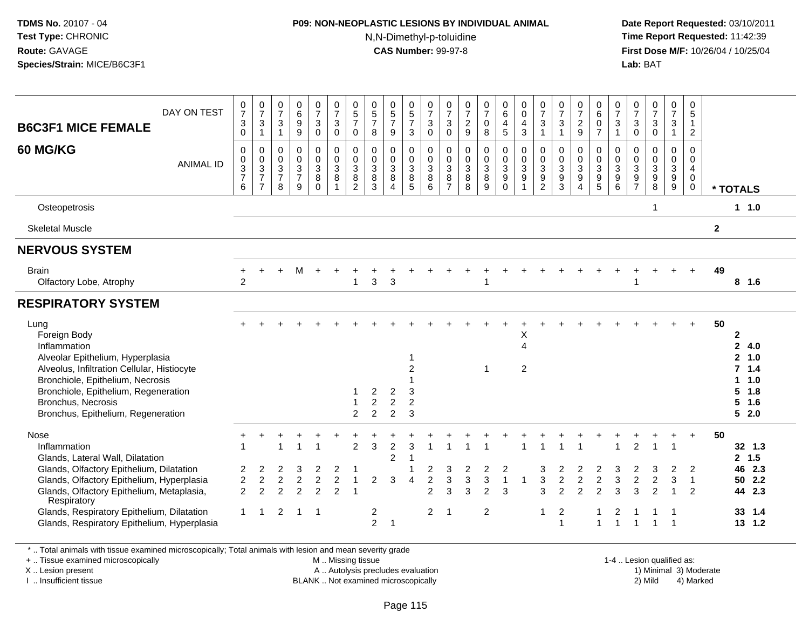### **P09: NON-NEOPLASTIC LESIONS BY INDIVIDUAL ANIMAL**N,N-Dimethyl-p-toluidine

 **Date Report Requested:** 03/10/2011 **Time Report Requested:** 11:42:39 **First Dose M/F:** 10/26/04 / 10/25/04 Lab: BAT **Lab:** BAT

| DAY ON TEST<br><b>B6C3F1 MICE FEMALE</b><br><b>60 MG/KG</b><br><b>ANIMAL ID</b>                                                                                                                                                                                                                            | $\frac{0}{7}$<br>$\sqrt{3}$<br>$\mathbf 0$<br>$\mathbf 0$<br>$\pmb{0}$<br>$\ensuremath{\mathsf{3}}$<br>$\overline{7}$<br>6 | $\frac{0}{7}$<br>$\ensuremath{\mathsf{3}}$<br>$\mathbf{1}$<br>$\pmb{0}$<br>$\pmb{0}$<br>$\frac{3}{7}$<br>$\overline{7}$ | $\frac{0}{7}$<br>$\ensuremath{\mathsf{3}}$<br>$\overline{1}$<br>$\pmb{0}$<br>$\mathbf 0$<br>$\sqrt{3}$<br>$\overline{7}$<br>8 | $\begin{array}{c} 0 \\ 6 \end{array}$<br>$\boldsymbol{9}$<br>$\overline{9}$<br>$\pmb{0}$<br>$\mathbf 0$<br>$\mathbf{3}$<br>$\overline{7}$<br>9 | $\frac{0}{7}$<br>3<br>$\mathbf 0$<br>0<br>$\mathbf 0$<br>3<br>8<br>$\Omega$ | $\frac{0}{7}$<br>$\mathbf{3}$<br>$\mathsf 0$<br>$\pmb{0}$<br>$\pmb{0}$<br>$\ensuremath{\mathsf{3}}$<br>8<br>$\overline{1}$ | $\begin{array}{c} 0 \\ 5 \end{array}$<br>$\overline{7}$<br>$\mathbf 0$<br>$\mathbf 0$<br>$\mathbf 0$<br>$\mathbf{3}$<br>8<br>$\overline{2}$ | $\begin{smallmatrix}0\0\5\end{smallmatrix}$<br>$\overline{7}$<br>8<br>0<br>0<br>$\sqrt{3}$<br>$\bf 8$<br>3 | $\begin{array}{c} 0 \\ 5 \\ 7 \end{array}$<br>$\boldsymbol{9}$<br>$\mathbf 0$<br>$\pmb{0}$<br>$\frac{3}{8}$<br>$\overline{4}$ | $\begin{matrix} 0 \\ 5 \end{matrix}$<br>$\boldsymbol{7}$<br>$\mathbf{3}$<br>0<br>$\boldsymbol{0}$<br>$\sqrt{3}$<br>$\frac{8}{5}$ | 0<br>$\overline{7}$<br>$\sqrt{3}$<br>0<br>0<br>$\mathbf 0$<br>$\sqrt{3}$<br>8<br>6 | $\frac{0}{7}$<br>$\mathbf{3}$<br>$\mathbf 0$<br>$\mathbf 0$<br>$\mathbf 0$<br>$\sqrt{3}$<br>8<br>$\overline{7}$ | $\frac{0}{7}$<br>$\frac{2}{9}$<br>$\mathbf 0$<br>$\mathbf 0$<br>$\mathsf 3$<br>8<br>8 | $\frac{0}{7}$<br>$\mathsf{O}$<br>8<br>0<br>$\mathsf{O}$<br>3<br>8<br>9 | $\begin{matrix} 0 \\ 6 \end{matrix}$<br>$\overline{4}$<br>5<br>$\pmb{0}$<br>$\mathbf 0$<br>$\mathbf{3}$<br>$\overline{9}$<br>0 | $\begin{smallmatrix} 0\\0 \end{smallmatrix}$<br>$\overline{4}$<br>$\mathbf{3}$<br>$\pmb{0}$<br>$\pmb{0}$<br>$\ensuremath{\mathsf{3}}$<br>9 | $\frac{0}{7}$<br>$\ensuremath{\mathsf{3}}$<br>$\mathbf{1}$<br>$\pmb{0}$<br>$\pmb{0}$<br>$\frac{3}{9}$ | $\frac{0}{7}$<br>$\ensuremath{\mathsf{3}}$<br>$\mathbf{1}$<br>$\mathbf 0$<br>$\mathbf 0$<br>$\sqrt{3}$<br>$\boldsymbol{9}$<br>3 | $\frac{0}{7}$<br>$\boldsymbol{2}$<br>9<br>0<br>0<br>$\sqrt{3}$<br>$\boldsymbol{9}$<br>$\overline{4}$ | 0<br>6<br>$\mathbf 0$<br>$\overline{7}$<br>0<br>$\mathbf 0$<br>$\sqrt{3}$<br>$\boldsymbol{9}$<br>5 | $\frac{0}{7}$<br>3<br>$\mathbf{1}$<br>0<br>0<br>$\mathbf{3}$<br>9<br>6 | $\frac{0}{7}$<br>$\sqrt{3}$<br>$\pmb{0}$<br>0<br>0<br>$\mathbf{3}$<br>$\frac{9}{7}$ | $\frac{0}{7}$<br>$\ensuremath{\mathsf{3}}$<br>$\pmb{0}$<br>$\mathbf 0$<br>$\pmb{0}$<br>$\ensuremath{\mathsf{3}}$<br>$\frac{9}{8}$ | $\frac{0}{7}$<br>$\mathsf 3$<br>$\mathbf{1}$<br>$\mathbf 0$<br>$\mathbf 0$<br>$\frac{3}{9}$ | 0<br>5<br>$\mathbf{1}$<br>$\overline{2}$<br>$\mathbf 0$<br>$\mathbf 0$<br>4<br>0<br>$\mathbf 0$ |                | * TOTALS                                                                                               |
|------------------------------------------------------------------------------------------------------------------------------------------------------------------------------------------------------------------------------------------------------------------------------------------------------------|----------------------------------------------------------------------------------------------------------------------------|-------------------------------------------------------------------------------------------------------------------------|-------------------------------------------------------------------------------------------------------------------------------|------------------------------------------------------------------------------------------------------------------------------------------------|-----------------------------------------------------------------------------|----------------------------------------------------------------------------------------------------------------------------|---------------------------------------------------------------------------------------------------------------------------------------------|------------------------------------------------------------------------------------------------------------|-------------------------------------------------------------------------------------------------------------------------------|----------------------------------------------------------------------------------------------------------------------------------|------------------------------------------------------------------------------------|-----------------------------------------------------------------------------------------------------------------|---------------------------------------------------------------------------------------|------------------------------------------------------------------------|--------------------------------------------------------------------------------------------------------------------------------|--------------------------------------------------------------------------------------------------------------------------------------------|-------------------------------------------------------------------------------------------------------|---------------------------------------------------------------------------------------------------------------------------------|------------------------------------------------------------------------------------------------------|----------------------------------------------------------------------------------------------------|------------------------------------------------------------------------|-------------------------------------------------------------------------------------|-----------------------------------------------------------------------------------------------------------------------------------|---------------------------------------------------------------------------------------------|-------------------------------------------------------------------------------------------------|----------------|--------------------------------------------------------------------------------------------------------|
| Osteopetrosis                                                                                                                                                                                                                                                                                              |                                                                                                                            |                                                                                                                         |                                                                                                                               |                                                                                                                                                |                                                                             |                                                                                                                            |                                                                                                                                             |                                                                                                            |                                                                                                                               |                                                                                                                                  |                                                                                    |                                                                                                                 |                                                                                       |                                                                        |                                                                                                                                |                                                                                                                                            |                                                                                                       |                                                                                                                                 |                                                                                                      |                                                                                                    |                                                                        |                                                                                     |                                                                                                                                   |                                                                                             |                                                                                                 |                | 11.0                                                                                                   |
| <b>Skeletal Muscle</b>                                                                                                                                                                                                                                                                                     |                                                                                                                            |                                                                                                                         |                                                                                                                               |                                                                                                                                                |                                                                             |                                                                                                                            |                                                                                                                                             |                                                                                                            |                                                                                                                               |                                                                                                                                  |                                                                                    |                                                                                                                 |                                                                                       |                                                                        |                                                                                                                                |                                                                                                                                            |                                                                                                       |                                                                                                                                 |                                                                                                      |                                                                                                    |                                                                        |                                                                                     |                                                                                                                                   |                                                                                             |                                                                                                 | $\overline{2}$ |                                                                                                        |
| <b>NERVOUS SYSTEM</b>                                                                                                                                                                                                                                                                                      |                                                                                                                            |                                                                                                                         |                                                                                                                               |                                                                                                                                                |                                                                             |                                                                                                                            |                                                                                                                                             |                                                                                                            |                                                                                                                               |                                                                                                                                  |                                                                                    |                                                                                                                 |                                                                                       |                                                                        |                                                                                                                                |                                                                                                                                            |                                                                                                       |                                                                                                                                 |                                                                                                      |                                                                                                    |                                                                        |                                                                                     |                                                                                                                                   |                                                                                             |                                                                                                 |                |                                                                                                        |
| <b>Brain</b><br>Olfactory Lobe, Atrophy                                                                                                                                                                                                                                                                    | $\overline{2}$                                                                                                             |                                                                                                                         | $\pm$                                                                                                                         | м                                                                                                                                              | $\ddot{}$                                                                   |                                                                                                                            |                                                                                                                                             | 3                                                                                                          | 3                                                                                                                             |                                                                                                                                  |                                                                                    |                                                                                                                 |                                                                                       |                                                                        |                                                                                                                                |                                                                                                                                            |                                                                                                       |                                                                                                                                 |                                                                                                      |                                                                                                    |                                                                        |                                                                                     |                                                                                                                                   |                                                                                             |                                                                                                 | 49             | 8 1.6                                                                                                  |
| <b>RESPIRATORY SYSTEM</b>                                                                                                                                                                                                                                                                                  |                                                                                                                            |                                                                                                                         |                                                                                                                               |                                                                                                                                                |                                                                             |                                                                                                                            |                                                                                                                                             |                                                                                                            |                                                                                                                               |                                                                                                                                  |                                                                                    |                                                                                                                 |                                                                                       |                                                                        |                                                                                                                                |                                                                                                                                            |                                                                                                       |                                                                                                                                 |                                                                                                      |                                                                                                    |                                                                        |                                                                                     |                                                                                                                                   |                                                                                             |                                                                                                 |                |                                                                                                        |
| Lung<br>Foreign Body<br>Inflammation<br>Alveolar Epithelium, Hyperplasia<br>Alveolus, Infiltration Cellular, Histiocyte<br>Bronchiole, Epithelium, Necrosis<br>Bronchiole, Epithelium, Regeneration<br>Bronchus, Necrosis<br>Bronchus, Epithelium, Regeneration                                            |                                                                                                                            |                                                                                                                         |                                                                                                                               |                                                                                                                                                |                                                                             |                                                                                                                            | $\overline{2}$                                                                                                                              | 2<br>$\overline{c}$<br>$\overline{c}$                                                                      | 2<br>$\boldsymbol{2}$<br>$\overline{2}$                                                                                       | 2<br>3<br>$\overline{2}$<br>3                                                                                                    |                                                                                    |                                                                                                                 |                                                                                       | -1                                                                     |                                                                                                                                | Х<br>$\overline{4}$<br>2                                                                                                                   |                                                                                                       |                                                                                                                                 |                                                                                                      |                                                                                                    |                                                                        |                                                                                     |                                                                                                                                   |                                                                                             |                                                                                                 | 50             | $\overline{2}$<br>$\mathbf{2}$<br>4.0<br>2, 1.0<br>7, 1.4<br>1.0<br>1.<br>5<br>1.8<br>5<br>1.6<br>52.0 |
| Nose<br>Inflammation<br>Glands, Lateral Wall, Dilatation<br>Glands, Olfactory Epithelium, Dilatation<br>Glands, Olfactory Epithelium, Hyperplasia<br>Glands, Olfactory Epithelium, Metaplasia,<br>Respiratory<br>Glands, Respiratory Epithelium, Dilatation<br>Glands, Respiratory Epithelium, Hyperplasia | 2<br>$\overline{2}$<br>$\overline{2}$<br>$\mathbf{1}$                                                                      | 2<br>$\overline{c}$<br>$\mathfrak{p}$                                                                                   | $\overline{c}$<br>$\mathcal{P}$<br>2                                                                                          | $\overline{2}$<br>2<br>1                                                                                                                       | 2<br>$\overline{c}$<br>$\overline{2}$<br>-1                                 | 2<br>$\overline{2}$<br>$\mathfrak{p}$                                                                                      | $\overline{c}$                                                                                                                              | 3<br>$\overline{2}$<br>$\overline{2}$<br>2                                                                 | $\overline{2}$<br>$\overline{c}$<br>3<br>-1                                                                                   | 3<br>4                                                                                                                           | 2<br>$\overline{c}$<br>2<br>2                                                      | 3<br>3<br>3<br>-1                                                                                               | 2<br>3<br>3                                                                           | $\overline{2}$<br>3<br>$\overline{2}$<br>$\overline{2}$                | 2<br>$\overline{1}$<br>3                                                                                                       |                                                                                                                                            | 3<br>3<br>3<br>1                                                                                      | $\overline{c}$<br>2<br>$\overline{1}$                                                                                           | $\overline{c}$<br>2                                                                                  | $\overline{c}$<br>C                                                                                | 3<br>3<br>3                                                            | $\overline{2}$<br>$\overline{2}$<br>3                                               | 3<br>$\overline{2}$<br>2                                                                                                          | $\overline{2}$<br>3                                                                         | $\ddot{}$<br>2<br>-1<br>2                                                                       | 50             | 32 1.3<br>2, 1.5<br>46 2.3<br>50 2.2<br>44 2.3<br>33 <sup>2</sup><br>1.4<br>13, 1.2                    |

\* .. Total animals with tissue examined microscopically; Total animals with lesion and mean severity grade

+ .. Tissue examined microscopically

X .. Lesion present

I .. Insufficient tissue

M .. Missing tissue

A .. Autolysis precludes evaluation

BLANK .. Not examined microscopically 2) Mild 4) Marked

1-4 .. Lesion qualified as:<br>1) Minimal 3) Moderate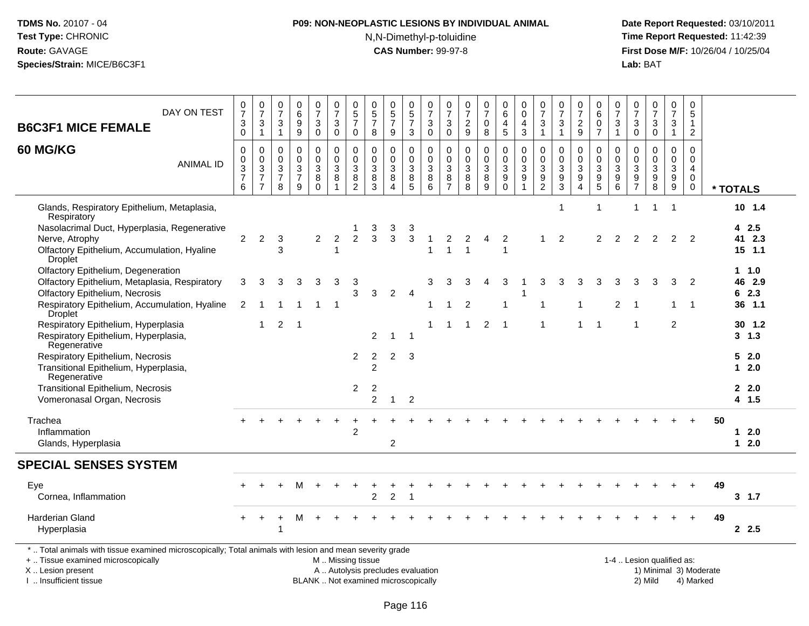# **P09: NON-NEOPLASTIC LESIONS BY INDIVIDUAL ANIMAL**N,N-Dimethyl-p-toluidine

 **Date Report Requested:** 03/10/2011 **Time Report Requested:** 11:42:39 **First Dose M/F:** 10/26/04 / 10/25/04<br>Lab: BAT **Lab:** BAT

| DAY ON TEST<br><b>B6C3F1 MICE FEMALE</b>                                                                                                                           | $\frac{0}{7}$<br>$\ensuremath{\mathsf{3}}$<br>$\mathbf 0$ | $\pmb{0}$<br>$\overline{7}$<br>$\sqrt{3}$<br>$\mathbf{1}$                      | $\mathbf 0$<br>$\overline{7}$<br>3<br>$\mathbf{1}$  | $\pmb{0}$<br>6<br>9<br>$\boldsymbol{9}$                           | $\frac{0}{7}$<br>3<br>$\mathbf 0$                   | $\begin{smallmatrix}0\\7\end{smallmatrix}$<br>$\mathbf{3}$<br>$\mathsf 0$ | $\begin{smallmatrix}0\0\5\end{smallmatrix}$<br>$\overline{7}$<br>0         | $\pmb{0}$<br>$\frac{5}{7}$<br>8                         | $\begin{array}{c} 0 \\ 5 \end{array}$<br>$\overline{7}$<br>9    | 0<br>$\sqrt{5}$<br>$\overline{7}$<br>3                      | $\,0\,$<br>$\overline{7}$<br>3<br>$\mathbf 0$ | 0<br>$\overline{7}$<br>3<br>$\mathbf 0$                     | $\pmb{0}$<br>$\overline{7}$<br>$\overline{c}$<br>$\boldsymbol{9}$ | $\begin{array}{c} 0 \\ 7 \end{array}$<br>$\mathbf 0$<br>$\,8\,$              | $\pmb{0}$<br>$6\phantom{1}$<br>$\overline{4}$<br>$\overline{5}$ | $\pmb{0}$<br>$\mathbf 0$<br>$\overline{4}$<br>$\mathbf{3}$        | 0<br>$\overline{7}$<br>$\mathbf{3}$<br>$\mathbf{1}$               | $\pmb{0}$<br>$\overline{7}$<br>$\sqrt{3}$<br>$\mathbf{1}$    | 0<br>$\overline{7}$<br>$\overline{c}$<br>$\boldsymbol{9}$ | 0<br>$6\overline{6}$<br>0<br>$\overline{7}$                                    | $\frac{0}{7}$<br>$\sqrt{3}$<br>$\mathbf{1}$        | 0<br>$\overline{7}$<br>3<br>0                       | $\frac{0}{7}$<br>$\sqrt{3}$<br>$\pmb{0}$                              | 0<br>$\overline{7}$<br>$\mathbf{3}$<br>$\mathbf{1}$       | $\pmb{0}$<br>$\sqrt{5}$<br>$\mathbf{1}$<br>$\overline{2}$                  |                        |                             |
|--------------------------------------------------------------------------------------------------------------------------------------------------------------------|-----------------------------------------------------------|--------------------------------------------------------------------------------|-----------------------------------------------------|-------------------------------------------------------------------|-----------------------------------------------------|---------------------------------------------------------------------------|----------------------------------------------------------------------------|---------------------------------------------------------|-----------------------------------------------------------------|-------------------------------------------------------------|-----------------------------------------------|-------------------------------------------------------------|-------------------------------------------------------------------|------------------------------------------------------------------------------|-----------------------------------------------------------------|-------------------------------------------------------------------|-------------------------------------------------------------------|--------------------------------------------------------------|-----------------------------------------------------------|--------------------------------------------------------------------------------|----------------------------------------------------|-----------------------------------------------------|-----------------------------------------------------------------------|-----------------------------------------------------------|----------------------------------------------------------------------------|------------------------|-----------------------------|
| 60 MG/KG<br><b>ANIMAL ID</b>                                                                                                                                       | $\mathbf 0$<br>$\pmb{0}$<br>$\frac{3}{7}$<br>6            | $\mathbf 0$<br>$\mathbf 0$<br>$\mathbf{3}$<br>$\overline{7}$<br>$\overline{7}$ | $\Omega$<br>$\mathbf 0$<br>3<br>$\overline{7}$<br>8 | $\mathbf 0$<br>$\mathbf 0$<br>$\mathbf{3}$<br>$\overline{7}$<br>9 | $\mathbf 0$<br>$\overline{0}$<br>3<br>8<br>$\Omega$ | $\pmb{0}$<br>$\mathbf 0$<br>$\mathbf{3}$<br>$\bf 8$<br>$\overline{1}$     | $\mathbf 0$<br>$\pmb{0}$<br>$\sqrt{3}$<br>$\overline{8}$<br>$\overline{2}$ | $\mathbf 0$<br>$\pmb{0}$<br>$\sqrt{3}$<br>$\frac{8}{3}$ | $\Omega$<br>$\mathbf{0}$<br>$\mathbf{3}$<br>8<br>$\overline{A}$ | 0<br>$\mathbf 0$<br>$\sqrt{3}$<br>$\bf 8$<br>$\overline{5}$ | $\Omega$<br>$\mathbf 0$<br>3<br>8<br>6        | $\Omega$<br>$\mathsf{O}\xspace$<br>3<br>8<br>$\overline{7}$ | $\Omega$<br>$\mathbf 0$<br>$\mathbf{3}$<br>8<br>8                 | $\mathbf 0$<br>$\mathbf 0$<br>$\sqrt{3}$<br>$\overline{8}$<br>$\overline{9}$ | 0<br>$\mathbf 0$<br>$\mathbf{3}$<br>9<br>$\Omega$               | $\mathbf 0$<br>$\mathbf 0$<br>$\mathbf{3}$<br>9<br>$\overline{1}$ | $\mathbf 0$<br>$\mathbf 0$<br>$\mathbf{3}$<br>9<br>$\overline{2}$ | $\Omega$<br>$\mathbf 0$<br>$\sqrt{3}$<br>9<br>$\overline{3}$ | $\Omega$<br>$\mathbf 0$<br>3<br>$\boldsymbol{9}$<br>4     | $\mathbf 0$<br>$\mathbf 0$<br>$\sqrt{3}$<br>$\boldsymbol{9}$<br>$\overline{5}$ | $\mathbf 0$<br>$\mathbf 0$<br>$\sqrt{3}$<br>9<br>6 | $\Omega$<br>$\mathbf 0$<br>3<br>9<br>$\overline{7}$ | $\mathbf 0$<br>$\mathsf{O}\xspace$<br>$\frac{3}{9}$<br>$\overline{8}$ | 0<br>$\mathbf 0$<br>$\mathbf{3}$<br>9<br>$\boldsymbol{9}$ | $\mathbf 0$<br>$\mathbf 0$<br>$\overline{4}$<br>$\mathbf 0$<br>$\mathbf 0$ |                        | * TOTALS                    |
| Glands, Respiratory Epithelium, Metaplasia,<br>Respiratory                                                                                                         |                                                           |                                                                                |                                                     |                                                                   |                                                     |                                                                           |                                                                            |                                                         |                                                                 |                                                             |                                               |                                                             |                                                                   |                                                                              |                                                                 |                                                                   |                                                                   | -1                                                           |                                                           | -1                                                                             |                                                    |                                                     | $\overline{1}$                                                        | -1                                                        |                                                                            |                        | $10$ 1.4                    |
| Nasolacrimal Duct, Hyperplasia, Regenerative<br>Nerve, Atrophy<br>Olfactory Epithelium, Accumulation, Hyaline<br>Droplet                                           | 2                                                         | 2                                                                              | 3<br>3                                              |                                                                   | $\overline{2}$                                      | 2<br>-1                                                                   | $\overline{2}$                                                             | 3<br>3                                                  | 3<br>3                                                          | $\mathbf{3}$<br>$\mathsf 3$                                 |                                               | 2                                                           | 2                                                                 | $\overline{4}$                                                               | 2<br>1                                                          |                                                                   |                                                                   | 2                                                            |                                                           | $\overline{2}$                                                                 | 2                                                  | 2                                                   | $\overline{2}$                                                        | 2                                                         | 2                                                                          |                        | 42.5<br>41 2.3<br>$15$ 1.1  |
| Olfactory Epithelium, Degeneration<br>Olfactory Epithelium, Metaplasia, Respiratory<br>Olfactory Epithelium, Necrosis                                              | 3                                                         | 3                                                                              | 3                                                   | 3                                                                 | 3                                                   | 3                                                                         | 3<br>3                                                                     | 3                                                       | $\overline{c}$                                                  | $\overline{4}$                                              | 3                                             | 3                                                           | 3                                                                 | 4                                                                            | 3                                                               | $\overline{\mathbf{1}}$                                           | 3                                                                 | 3                                                            | 3                                                         | 3                                                                              | 3                                                  | 3                                                   | 3                                                                     | 3                                                         | $\overline{2}$                                                             |                        | $1 \t1.0$<br>46 2.9<br>62.3 |
| Respiratory Epithelium, Accumulation, Hyaline<br>Droplet                                                                                                           | $\overline{2}$                                            | -1                                                                             | 1                                                   | -1                                                                | -1                                                  | $\mathbf 1$                                                               |                                                                            |                                                         |                                                                 |                                                             | 1                                             | $\mathbf 1$                                                 | $\overline{2}$                                                    |                                                                              |                                                                 |                                                                   | 1                                                                 |                                                              | 1                                                         |                                                                                | 2                                                  |                                                     |                                                                       | 1                                                         | $\overline{1}$                                                             |                        | 36 1.1                      |
| Respiratory Epithelium, Hyperplasia<br>Respiratory Epithelium, Hyperplasia,<br>Regenerative                                                                        |                                                           | $\mathbf{1}$                                                                   | 2                                                   | $\overline{1}$                                                    |                                                     |                                                                           |                                                                            | $\overline{2}$                                          | -1                                                              | -1                                                          |                                               | $\mathbf{1}$                                                | $\overline{1}$                                                    | $\overline{2}$                                                               | $\overline{\phantom{0}}$                                        |                                                                   | $\mathbf{1}$                                                      |                                                              | $\mathbf{1}$                                              | -1                                                                             |                                                    | -1                                                  |                                                                       | $\overline{2}$                                            |                                                                            |                        | 30, 1.2<br>$3 \t1.3$        |
| Respiratory Epithelium, Necrosis<br>Transitional Epithelium, Hyperplasia,<br>Regenerative                                                                          |                                                           |                                                                                |                                                     |                                                                   |                                                     |                                                                           | $\overline{2}$                                                             | $\overline{c}$<br>$\overline{c}$                        | $\overline{2}$                                                  | 3                                                           |                                               |                                                             |                                                                   |                                                                              |                                                                 |                                                                   |                                                                   |                                                              |                                                           |                                                                                |                                                    |                                                     |                                                                       |                                                           |                                                                            |                        | 52.0<br>$12.0$              |
| Transitional Epithelium, Necrosis<br>Vomeronasal Organ, Necrosis                                                                                                   |                                                           |                                                                                |                                                     |                                                                   |                                                     |                                                                           | $\overline{2}$                                                             | $\overline{c}$<br>$\overline{2}$                        | -1                                                              | $\overline{2}$                                              |                                               |                                                             |                                                                   |                                                                              |                                                                 |                                                                   |                                                                   |                                                              |                                                           |                                                                                |                                                    |                                                     |                                                                       |                                                           |                                                                            |                        | 2.2.0<br>4 1.5              |
| Trachea<br>Inflammation<br>Glands, Hyperplasia                                                                                                                     |                                                           |                                                                                |                                                     |                                                                   |                                                     |                                                                           | $\boldsymbol{2}$                                                           |                                                         | 2                                                               |                                                             |                                               |                                                             |                                                                   |                                                                              |                                                                 |                                                                   |                                                                   |                                                              |                                                           |                                                                                |                                                    |                                                     |                                                                       |                                                           |                                                                            | 50                     | 12.0<br>$12.0$              |
| <b>SPECIAL SENSES SYSTEM</b>                                                                                                                                       |                                                           |                                                                                |                                                     |                                                                   |                                                     |                                                                           |                                                                            |                                                         |                                                                 |                                                             |                                               |                                                             |                                                                   |                                                                              |                                                                 |                                                                   |                                                                   |                                                              |                                                           |                                                                                |                                                    |                                                     |                                                                       |                                                           |                                                                            |                        |                             |
| Eye<br>Cornea, Inflammation                                                                                                                                        |                                                           |                                                                                |                                                     | м                                                                 | $\pm$                                               |                                                                           |                                                                            | 2                                                       | $\overline{c}$                                                  | 1                                                           |                                               |                                                             |                                                                   |                                                                              |                                                                 |                                                                   |                                                                   |                                                              |                                                           |                                                                                |                                                    |                                                     |                                                                       |                                                           | $\div$                                                                     | 49                     | 3, 1.7                      |
| <b>Harderian Gland</b><br>Hyperplasia                                                                                                                              |                                                           |                                                                                | 1                                                   |                                                                   |                                                     |                                                                           |                                                                            |                                                         |                                                                 |                                                             |                                               |                                                             |                                                                   |                                                                              |                                                                 |                                                                   |                                                                   |                                                              |                                                           |                                                                                |                                                    |                                                     |                                                                       |                                                           |                                                                            | 49                     | 2.5                         |
| *  Total animals with tissue examined microscopically; Total animals with lesion and mean severity grade<br>+  Tissue examined microscopically<br>X Lesion present |                                                           |                                                                                |                                                     |                                                                   |                                                     | M  Missing tissue<br>A  Autolysis precludes evaluation                    |                                                                            |                                                         |                                                                 |                                                             |                                               |                                                             |                                                                   |                                                                              |                                                                 |                                                                   |                                                                   |                                                              |                                                           |                                                                                |                                                    |                                                     | 1-4  Lesion qualified as:                                             |                                                           |                                                                            | 1) Minimal 3) Moderate |                             |

I .. Insufficient tissue

BLANK .. Not examined microscopically 2) Mild 4) Marked